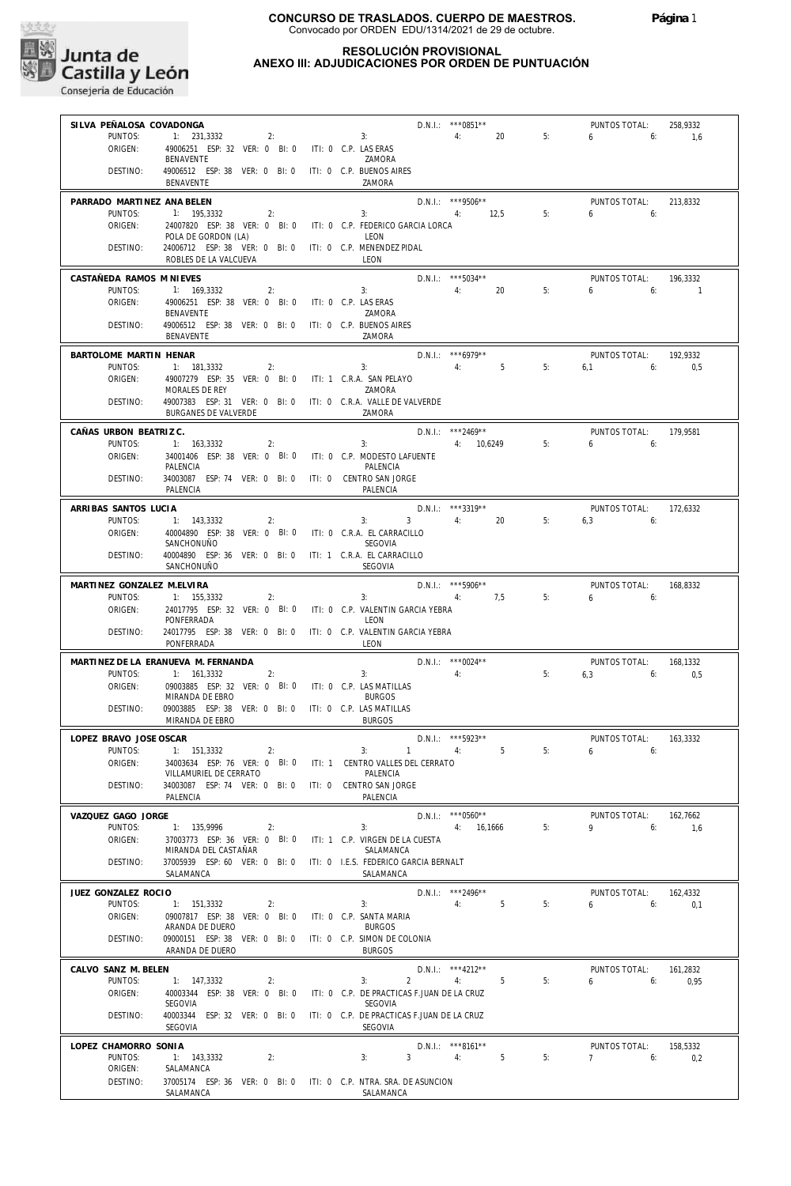

## **RESOLUCIÓN PROVISIONAL ANEXO III: ADJUDICACIONES POR ORDEN DE PUNTUACIÓN**

| SILVA PEÑALOSA COVADONGA       |                                                                                               |                                               | D.N.I.: *** 0851**                   |    | PUNTOS TOTAL:                         | 258,9332   |
|--------------------------------|-----------------------------------------------------------------------------------------------|-----------------------------------------------|--------------------------------------|----|---------------------------------------|------------|
| PUNTOS:                        | 1: 231,3332<br>2:                                                                             | 3:                                            | 20<br>4:                             | 5: | 6<br>6:                               | 1,6        |
| ORIGEN:                        | 49006251 ESP: 32 VER: 0 BI: 0<br>BENAVENTE                                                    | ITI: 0 C.P. LAS ERAS<br>ZAMORA                |                                      |    |                                       |            |
| DESTINO:                       | 49006512 ESP: 38 VER: 0 BI: 0<br>BENAVENTE                                                    | ITI: 0 C.P. BUENOS AIRES<br>ZAMORA            |                                      |    |                                       |            |
| PARRADO MARTINEZ ANA BELEN     |                                                                                               |                                               | D.N.I.: ***9506**                    |    | PUNTOS TOTAL:                         | 213,8332   |
| PUNTOS:<br>ORIGEN:             | 1: 195,3332<br>2:<br>24007820 ESP: 38 VER: 0 BI: 0                                            | 3:<br>ITI: 0 C.P. FEDERICO GARCIA LORCA       | 12,5<br>4:                           | 5: | 6<br>6:                               |            |
|                                | POLA DE GORDON (LA)                                                                           | LEON                                          |                                      |    |                                       |            |
| DESTINO:                       | 24006712 ESP: 38 VER: 0 BI: 0 ITI: 0 C.P. MENENDEZ PIDAL<br>ROBLES DE LA VALCUEVA             | LEON                                          |                                      |    |                                       |            |
| CASTAÑEDA RAMOS M NIEVES       |                                                                                               |                                               | D.N.I.: *** 5034**                   |    | PUNTOS TOTAL:                         | 196,3332   |
| PUNTOS:                        | 1: 169,3332<br>2:                                                                             | 3:                                            | 20<br>4:                             | 5: | 6<br>6:                               | $\sqrt{1}$ |
| ORIGEN:                        | 49006251 ESP: 38 VER: 0 BI: 0<br>BENAVENTE                                                    | ITI: 0 C.P. LAS ERAS<br>ZAMORA                |                                      |    |                                       |            |
| DESTINO:                       | 49006512 ESP: 38 VER: 0 BI: 0<br>BENAVENTE                                                    | ITI: 0 C.P. BUENOS AIRES<br>ZAMORA            |                                      |    |                                       |            |
| BARTOLOME MARTIN HENAR         |                                                                                               |                                               | D.N.I.: *** 6979**                   |    | PUNTOS TOTAL:                         | 192,9332   |
| PUNTOS:                        | 1: 181,3332<br>2:                                                                             | 3:                                            | 5<br>4:                              | 5: | 6,1<br>6:                             | 0,5        |
| ORIGEN:                        | 49007279 ESP: 35 VER: 0 BI: 0<br>MORALES DE REY                                               | ITI: 1 C.R.A. SAN PELAYO<br>ZAMORA            |                                      |    |                                       |            |
| DESTINO:                       | 49007383 ESP: 31 VER: 0 BI: 0 ITI: 0 C.R.A. VALLE DE VALVERDE<br>BURGANES DE VALVERDE         | ZAMORA                                        |                                      |    |                                       |            |
| CAÑAS URBON BEATRIZ C.         |                                                                                               |                                               | $D.N.1::$ ***2469**                  |    | PUNTOS TOTAL:                         | 179,9581   |
| PUNTOS:                        | 1: 163,3332<br>2:                                                                             | 3:                                            | 4: 10,6249                           | 5: | 6<br>6:                               |            |
| ORIGEN:                        | 34001406 ESP: 38 VER: 0 BI: 0<br>PALENCIA                                                     | ITI: 0 C.P. MODESTO LAFUENTE<br>PALENCIA      |                                      |    |                                       |            |
| DESTINO:                       | 34003087 ESP: 74 VER: 0 BI: 0<br>PALENCIA                                                     | ITI: 0 CENTRO SAN JORGE<br>PALENCIA           |                                      |    |                                       |            |
| ARRIBAS SANTOS LUCIA           |                                                                                               |                                               | D.N.I.: ***3319**                    |    | PUNTOS TOTAL:                         | 172.6332   |
| PUNTOS:                        | 1: 143,3332<br>2:                                                                             | $\mathbf{3}$<br>3:                            | 4:<br>20                             | 5: | 6,3<br>6:                             |            |
| ORIGEN:                        | 40004890 ESP: 38 VER: 0 BI: 0<br>SANCHONUÑO                                                   | ITI: 0 C.R.A. EL CARRACILLO<br><b>SEGOVIA</b> |                                      |    |                                       |            |
| DESTINO:                       | 40004890 ESP: 36 VER: 0 BI: 0 ITI: 1 C.R.A. EL CARRACILLO                                     |                                               |                                      |    |                                       |            |
|                                | SANCHONUÑO                                                                                    | SEGOVIA                                       |                                      |    |                                       |            |
| MARTINEZ GONZALEZ M.ELVIRA     |                                                                                               |                                               | D.N.I.: *** 5906**                   |    | PUNTOS TOTAL:                         | 168,8332   |
| PUNTOS:<br>ORIGEN:             | 1: 155,3332<br>2:<br>24017795 ESP: 32 VER: 0 BI: 0                                            | 3:<br>ITI: 0 C.P. VALENTIN GARCIA YEBRA       | 7,5<br>4:                            | 5: | 6<br>6:                               |            |
|                                | PONFERRADA                                                                                    | LEON                                          |                                      |    |                                       |            |
| DESTINO:                       | 24017795 ESP: 38 VER: 0 BI: 0<br>PONFERRADA                                                   | ITI: 0 C.P. VALENTIN GARCIA YEBRA<br>LEON     |                                      |    |                                       |            |
|                                | MARTINEZ DE LA ERANUEVA M. FERNANDA                                                           |                                               | D.N.I.: *** 0024**                   |    | PUNTOS TOTAL:                         | 168,1332   |
| PUNTOS:<br>ORIGEN:             | 1: 161,3332<br>2:<br>09003885 ESP: 32 VER: 0 BI: 0                                            | 3:<br>ITI: 0 C.P. LAS MATILLAS                | 4:                                   | 5: | 6,3<br>6:                             | 0,5        |
|                                | MIRANDA DE EBRO                                                                               | <b>BURGOS</b>                                 |                                      |    |                                       |            |
| DESTINO:                       | 09003885 ESP: 38 VER: 0 BI: 0 ITI: 0 C.P. LAS MATILLAS<br>MIRANDA DE EBRO                     | <b>BURGOS</b>                                 |                                      |    |                                       |            |
| LOPEZ BRAVO JOSE OSCAR         |                                                                                               |                                               | D.N.I.: *** 5923**                   |    | PUNTOS TOTAL:                         | 163,3332   |
|                                | PUNTOS: 1: 151,3332 2:                                                                        |                                               | 3: $1 \t 4$ : $5 \t 5$ :             |    | $\sim$ 6                              |            |
| ORIGEN:                        | 34003634 ESP: 76 VER: 0 BI: 0 ITI: 1 CENTRO VALLES DEL CERRATO<br>VILLAMURIEL DE CERRATO      | PALENCIA                                      |                                      |    |                                       |            |
| DESTINO:                       | 34003087 ESP: 74 VER: 0 BI: 0 ITI: 0 CENTRO SAN JORGE<br>PALENCIA                             | PALENCIA                                      |                                      |    |                                       |            |
| VAZQUEZ GAGO JORGE             |                                                                                               |                                               | $D.N.1.:$ ***0560**                  |    | PUNTOS TOTAL:                         | 162,7662   |
| PUNTOS:                        | $1: 135,9996$ 2:                                                                              | 3:                                            | 4: 16,1666                           | 5: | $9 \t\t 6$                            | 1,6        |
| ORIGEN:                        | 37003773 ESP: 36 VER: 0 BI: 0 ITI: 1 C.P. VIRGEN DE LA CUESTA<br>MIRANDA DEL CASTAÑAR         | SALAMANCA                                     |                                      |    |                                       |            |
| DESTINO:                       | 37005939 ESP: 60 VER: 0 BI: 0 ITI: 0 I.E.S. FEDERICO GARCIA BERNALT                           |                                               |                                      |    |                                       |            |
|                                | SALAMANCA                                                                                     | SALAMANCA                                     |                                      |    |                                       |            |
| JUEZ GONZALEZ ROCIO<br>PUNTOS: | 1: 151,3332<br>2:                                                                             | 3:                                            | $D.N.1.:$ ***2496**<br>4: 5          | 5: | PUNTOS TOTAL:<br>$6 \t\t 6: \t\t 0.1$ | 162,4332   |
| ORIGEN:                        | 09007817 ESP: 38 VER: 0 BI: 0 ITI: 0 C.P. SANTA MARIA                                         |                                               |                                      |    |                                       |            |
| DESTINO:                       | ARANDA DE DUERO<br>09000151 ESP: 38 VER: 0 BI: 0 ITI: 0 C.P. SIMON DE COLONIA                 | <b>BURGOS</b>                                 |                                      |    |                                       |            |
|                                | ARANDA DE DUERO                                                                               | <b>BURGOS</b>                                 |                                      |    |                                       |            |
| CALVO SANZ M. BELEN            |                                                                                               |                                               | D.N.I.: ***4212**                    |    | PUNTOS TOTAL:                         | 161,2832   |
| PUNTOS:<br>ORIGEN:             | 1: 147,3332<br>2:<br>40003344 ESP: 38 VER: 0 BI: 0 ITI: 0 C.P. DE PRACTICAS F.JUAN DE LA CRUZ | $2 \left( \frac{1}{2} \right)$<br>3:          | 5 <sub>5</sub><br>4:                 | 5: | $6\qquad 6$                           | 0.95       |
|                                | SEGOVIA                                                                                       | SEGOVIA                                       |                                      |    |                                       |            |
| DESTINO:                       | 40003344 ESP: 32 VER: 0 BI: 0 ITI: 0 C.P. DE PRACTICAS F.JUAN DE LA CRUZ<br>SEGOVIA           | SEGOVIA                                       |                                      |    |                                       |            |
| LOPEZ CHAMORRO SONIA           |                                                                                               |                                               | D.N.I.: ***8161**                    |    | PUNTOS TOTAL: 158,5332                |            |
| PUNTOS:                        | 1: 143,3332<br>2:                                                                             | 3:                                            | $3 \qquad \qquad 4: \qquad \qquad 5$ | 5: | 7 6: $0,2$                            |            |
| ORIGEN:<br>DESTINO:            | SALAMANCA<br>37005174 ESP: 36 VER: 0 BI: 0 ITI: 0 C.P. NTRA. SRA. DE ASUNCION                 |                                               |                                      |    |                                       |            |
|                                | SALAMANCA                                                                                     | SALAMANCA                                     |                                      |    |                                       |            |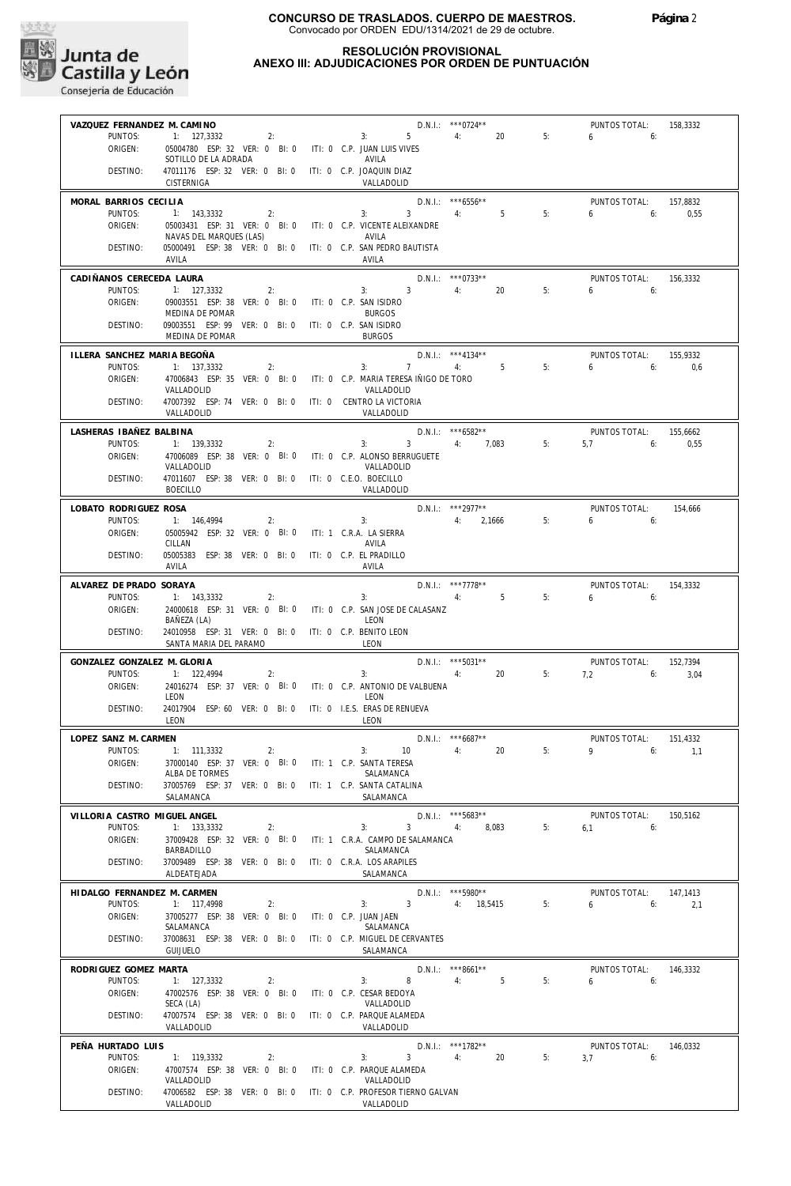

## **RESOLUCIÓN PROVISIONAL ANEXO III: ADJUDICACIONES POR ORDEN DE PUNTUACIÓN**

| VAZQUEZ FERNANDEZ M. CAMINO      |                                                                                   | D.N.I.: *** 0724**                                                             |                                        |    | PUNTOS TOTAL:              | 158,3332 |
|----------------------------------|-----------------------------------------------------------------------------------|--------------------------------------------------------------------------------|----------------------------------------|----|----------------------------|----------|
| PUNTOS:                          | 1: 127,3332                                                                       | 2:<br>$5 - 1$<br>3:                                                            | 4:<br>20                               | 5: | 6<br>6:                    |          |
| ORIGEN:                          | 05004780 ESP: 32 VER: 0 BI: 0 ITI: 0 C.P. JUAN LUIS VIVES<br>SOTILLO DE LA ADRADA | AVILA                                                                          |                                        |    |                            |          |
| DESTINO:                         | 47011176 ESP: 32 VER: 0 BI: 0 ITI: 0 C.P. JOAQUIN DIAZ<br>CISTERNIGA              | VALLADOLID                                                                     |                                        |    |                            |          |
| MORAL BARRIOS CECILIA            |                                                                                   |                                                                                | $D.N.1::$ *** 6556**                   |    | PUNTOS TOTAL:              | 157,8832 |
| PUNTOS:<br>ORIGEN:               | 1: 143,3332<br>2:<br>05003431 ESP: 31 VER: 0 BI: 0                                | 3:<br>3<br>ITI: 0 C.P. VICENTE ALEIXANDRE                                      | 5<br>4:                                | 5: | 6<br>6:                    | 0,55     |
|                                  | NAVAS DEL MARQUES (LAS)                                                           | AVILA                                                                          |                                        |    |                            |          |
| DESTINO:                         | 05000491 ESP: 38 VER: 0 BI: 0<br>AVILA                                            | ITI: 0 C.P. SAN PEDRO BAUTISTA<br>AVILA                                        |                                        |    |                            |          |
| CADIÑANOS CERECEDA LAURA         |                                                                                   |                                                                                | $D.N.1::$ *** 0733**                   |    | PUNTOS TOTAL:              | 156,3332 |
| PUNTOS:<br>ORIGEN:               | 1: 127,3332<br>2:<br>09003551 ESP: 38 VER: 0 BI: 0                                | 3 <sup>1</sup><br>$3:$ $\qquad \qquad$<br>ITI: 0 C.P. SAN ISIDRO               | 4:<br>20                               | 5: | 6<br>6:                    |          |
|                                  | MEDINA DE POMAR                                                                   | <b>BURGOS</b>                                                                  |                                        |    |                            |          |
| DESTINO:                         | 09003551 ESP: 99 VER: 0 BI: 0 ITI: 0 C.P. SAN ISIDRO<br>MEDINA DE POMAR           | <b>BURGOS</b>                                                                  |                                        |    |                            |          |
| ILLERA SANCHEZ MARIA BEGOÑA      |                                                                                   |                                                                                | D.N.I.: ***4134**                      |    | PUNTOS TOTAL:              | 155,9332 |
| PUNTOS:                          | 1: 137,3332<br>2:                                                                 | $7^{\circ}$<br>3:                                                              | $-5$<br>4:                             | 5: | 6<br>6:                    | 0.6      |
| ORIGEN:                          | 47006843 ESP: 35 VER: 0 BI: 0<br>VALLADOLID                                       | ITI: 0 C.P. MARIA TERESA IÑIGO DE TORO<br>VALLADOLID                           |                                        |    |                            |          |
| DESTINO:                         | 47007392 ESP: 74 VER: 0 BI: 0 ITI: 0 CENTRO LA VICTORIA<br>VALLADOLID             | VALLADOLID                                                                     |                                        |    |                            |          |
| LASHERAS IBAÑEZ BALBINA          |                                                                                   |                                                                                | $D.N.1::$ ***6582**                    |    | PUNTOS TOTAL:              | 155,6662 |
| PUNTOS:                          | 1: 139,3332<br>2:                                                                 | 3:<br>$\overline{3}$                                                           | 4: 7,083                               | 5: | 6:<br>5,7                  | 0,55     |
| ORIGEN:                          | 47006089 ESP: 38 VER: 0 BI: 0<br>VALLADOLID                                       | ITI: 0 C.P. ALONSO BERRUGUETE<br>VALLADOLID                                    |                                        |    |                            |          |
| DESTINO:                         | 47011607 ESP: 38 VER: 0 BI: 0<br><b>BOECILLO</b>                                  | ITI: 0 C.E.O. BOECILLO<br>VALLADOLID                                           |                                        |    |                            |          |
| LOBATO RODRIGUEZ ROSA            |                                                                                   |                                                                                | $D.N.1::$ ***2977**                    |    | PUNTOS TOTAL:              | 154.666  |
| PUNTOS:                          | 1: 146,4994<br>2:                                                                 | 3:                                                                             | 4: 2.1666                              | 5: | 6<br>6:                    |          |
| ORIGEN:                          | 05005942 ESP: 32 VER: 0 BI: 0<br>CILLAN                                           | ITI: 1 C.R.A. LA SIERRA<br>AVILA                                               |                                        |    |                            |          |
| DESTINO:                         | 05005383 ESP: 38 VER: 0 BI: 0<br>AVILA                                            | ITI: 0 C.P. EL PRADILLO<br>AVILA                                               |                                        |    |                            |          |
| ALVAREZ DE PRADO SORAYA          |                                                                                   |                                                                                | $D.N.1::$ ***7778**                    |    | PUNTOS TOTAL:              | 154,3332 |
| PUNTOS:                          | 1: 143,3332<br>2:                                                                 | 3:                                                                             | 5<br>4:                                | 5: | 6<br>6:                    |          |
| ORIGEN:                          | BAÑEZA (LA)                                                                       | 24000618 ESP: 31 VER: 0 BI: 0 ITI: 0 C.P. SAN JOSE DE CALASANZ<br>LEON         |                                        |    |                            |          |
| DESTINO:                         | 24010958 ESP: 31 VER: 0 BI: 0<br>SANTA MARIA DEL PARAMO                           | ITI: 0 C.P. BENITO LEON<br>LEON                                                |                                        |    |                            |          |
| GONZALEZ GONZALEZ M. GLORIA      |                                                                                   |                                                                                | D.N.I.: *** 5031**                     |    | PUNTOS TOTAL:              | 152,7394 |
| PUNTOS:                          | 1: 122,4994<br>2:                                                                 | 3:                                                                             | 20<br>4:                               | 5: | $7.2$ 6:                   | 3,04     |
| ORIGEN:                          | 24016274 ESP: 37 VER: 0 BI: 0<br>LEON                                             | ITI: 0 C.P. ANTONIO DE VALBUENA<br>LEON                                        |                                        |    |                            |          |
| DESTINO:                         | 24017904 ESP: 60 VER: 0 BI: 0<br>LEON                                             | ITI: 0 I.E.S. ERAS DE RENUEVA<br>LEON                                          |                                        |    |                            |          |
| LOPEZ SANZ M. CARMEN             |                                                                                   | $D.N.1::$ *** 6687**                                                           |                                        |    | PUNTOS TOTAL:              | 151,4332 |
| PUNTOS:                          | 1: 111,3332<br>2:                                                                 | 10<br>3:                                                                       | 20<br>4:                               | 5: | 9 6: 1,1                   |          |
| ORIGEN:                          | 37000140 ESP: 37 VER: 0 BI: 0<br>ALBA DE TORMES                                   | ITI: 1 C.P. SANTA TERESA<br>SALAMANCA                                          |                                        |    |                            |          |
| DESTINO:                         | 37005769 ESP: 37 VER: 0 BI: 0<br>SALAMANCA                                        | ITI: 1 C.P. SANTA CATALINA<br>SALAMANCA                                        |                                        |    |                            |          |
| VILLORIA CASTRO MIGUEL ANGEL     |                                                                                   |                                                                                | D.N.I.: ***5683**                      |    | PUNTOS TOTAL:              | 150,5162 |
| PUNTOS:                          | 1: 133,3332<br>2:                                                                 | 3:<br>3 <sup>7</sup>                                                           | 8,083<br>4:                            | 5: | 6:<br>6,1                  |          |
| ORIGEN:                          | 37009428 ESP: 32 VER: 0 BI: 0<br>BARBADILLO                                       | ITI: 1 C.R.A. CAMPO DE SALAMANCA<br>SALAMANCA                                  |                                        |    |                            |          |
| DESTINO:                         | 37009489 ESP: 38 VER: 0 BI: 0<br>ALDEATEJADA                                      | ITI: 0 C.R.A. LOS ARAPILES<br>SALAMANCA                                        |                                        |    |                            |          |
| HIDALGO FERNANDEZ M. CARMEN      |                                                                                   |                                                                                | D.N.I.: *** 5980**                     |    | PUNTOS TOTAL:              | 147,1413 |
| PUNTOS:                          | 1: 117.4998<br>2:                                                                 | $\overline{\mathbf{3}}$<br>3:                                                  | 4: 18.5415                             | 5: | 6:<br>6                    | 2,1      |
| ORIGEN:                          | 37005277 ESP: 38 VER: 0 BI: 0<br>SALAMANCA                                        | ITI: 0 C.P. JUAN JAEN<br>SALAMANCA                                             |                                        |    |                            |          |
| DESTINO:                         | 37008631 ESP: 38 VER: 0 BI: 0                                                     | ITI: 0 C.P. MIGUEL DE CERVANTES                                                |                                        |    |                            |          |
|                                  | <b>GUIJUELO</b>                                                                   | SALAMANCA                                                                      |                                        |    |                            |          |
| RODRIGUEZ GOMEZ MARTA<br>PUNTOS: | 1: 127,3332<br>2:                                                                 | 8<br>3:                                                                        | D.N.I.: ***8661**<br>4:<br>$5^{\circ}$ | 5: | PUNTOS TOTAL:<br>6<br>6:   | 146,3332 |
| ORIGEN:                          | 47002576 ESP: 38 VER: 0 BI: 0                                                     | ITI: 0 C.P. CESAR BEDOYA                                                       |                                        |    |                            |          |
| DESTINO:                         | SECA (LA)<br>47007574 ESP: 38 VER: 0 BI: 0                                        | VALLADOLID<br>ITI: 0 C.P. PARQUE ALAMEDA                                       |                                        |    |                            |          |
|                                  | VALLADOLID                                                                        | VALLADOLID                                                                     |                                        |    |                            |          |
| PEÑA HURTADO LUIS<br>PUNTOS:     | 1: 119,3332<br>2:                                                                 | 3 <sup>7</sup><br>3:                                                           | $D.N.1::$ ***1782**<br>20<br>4:        | 5: | PUNTOS TOTAL:<br>3,7<br>6: | 146,0332 |
| ORIGEN:                          | 47007574 ESP: 38 VER: 0 BI: 0                                                     | ITI: 0 C.P. PARQUE ALAMEDA                                                     |                                        |    |                            |          |
| DESTINO:                         | VALLADOLID                                                                        | VALLADOLID<br>47006582 ESP: 38 VER: 0 BI: 0 ITI: 0 C.P. PROFESOR TIERNO GALVAN |                                        |    |                            |          |
|                                  | VALLADOLID                                                                        | VALLADOLID                                                                     |                                        |    |                            |          |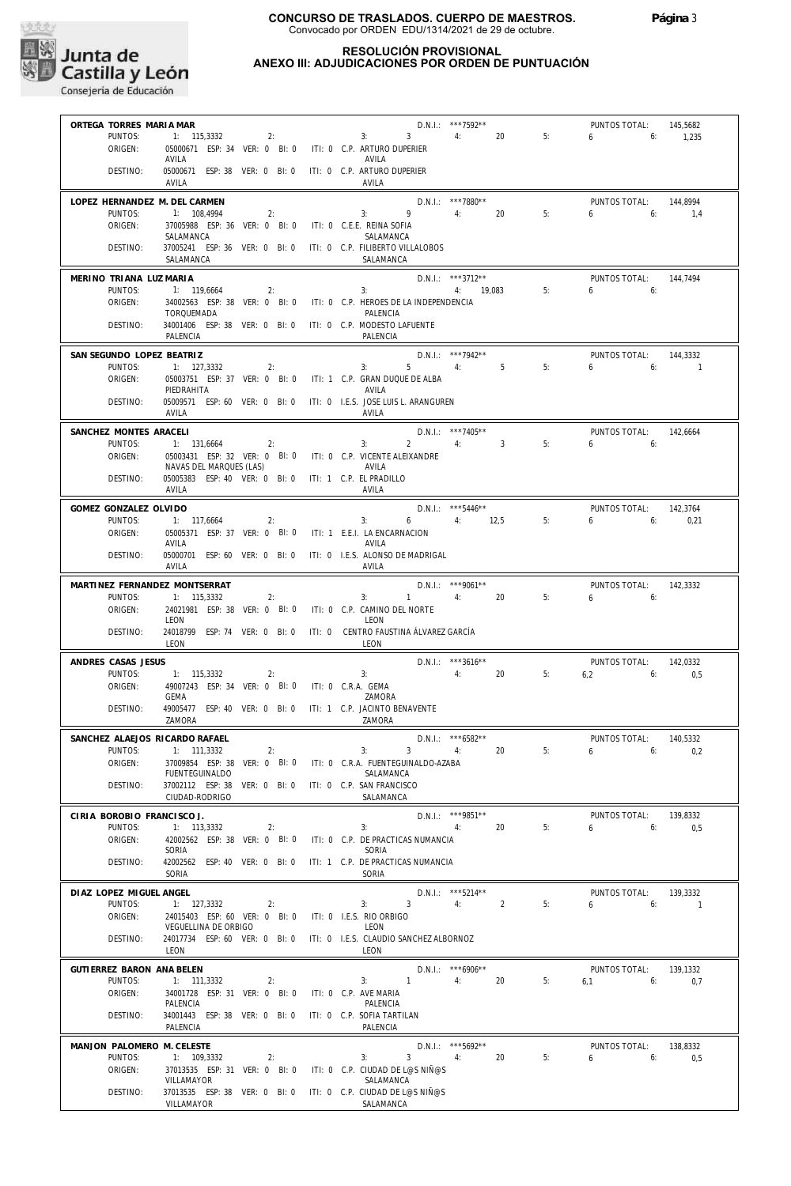

## **RESOLUCIÓN PROVISIONAL ANEXO III: ADJUDICACIONES POR ORDEN DE PUNTUACIÓN**

| ORTEGA TORRES MARIA MAR       |                                                           |    |                                                                      | D.N.I.: ***7592**    |                         |    | PUNTOS TOTAL:  | 145,5682       |
|-------------------------------|-----------------------------------------------------------|----|----------------------------------------------------------------------|----------------------|-------------------------|----|----------------|----------------|
| PUNTOS:                       | $1: 115,3332$ 2:                                          |    | 3:<br>$3^{\circ}$                                                    | 4:                   | 20                      | 5: | $6\quad$<br>6: | 1,235          |
| ORIGEN:                       |                                                           |    | 05000671 ESP: 34 VER: 0 BI: 0 ITI: 0 C.P. ARTURO DUPERIER            |                      |                         |    |                |                |
|                               | AVILA                                                     |    | AVILA                                                                |                      |                         |    |                |                |
| DESTINO:                      | 05000671 ESP: 38 VER: 0 BI: 0 ITI: 0 C.P. ARTURO DUPERIER |    |                                                                      |                      |                         |    |                |                |
|                               | AVILA                                                     |    | AVILA                                                                |                      |                         |    |                |                |
| LOPEZ HERNANDEZ M. DEL CARMEN |                                                           |    |                                                                      | $D.N.1::$ ***7880**  |                         |    | PUNTOS TOTAL:  | 144.8994       |
| PUNTOS:                       | 1: 108,4994                                               | 2: | 9<br>3:                                                              | 4:                   | 20                      | 5: | 6<br>6:        | 1.4            |
| ORIGEN:                       | 37005988 ESP: 36 VER: 0 BI: 0 ITI: 0 C.E.E. REINA SOFIA   |    |                                                                      |                      |                         |    |                |                |
|                               | SALAMANCA                                                 |    | SALAMANCA                                                            |                      |                         |    |                |                |
| DESTINO:                      |                                                           |    | 37005241 ESP: 36 VER: 0 BI: 0 ITI: 0 C.P. FILIBERTO VILLALOBOS       |                      |                         |    |                |                |
|                               | SALAMANCA                                                 |    | SALAMANCA                                                            |                      |                         |    |                |                |
| MERINO TRIANA LUZ MARIA       |                                                           |    |                                                                      | $D.N.1::$ ***3712**  |                         |    | PUNTOS TOTAL:  | 144,7494       |
| PUNTOS:                       | 1: 119,6664                                               | 2: | 3:                                                                   | 4: 19,083            | 5:                      |    | 6:<br>6        |                |
| ORIGEN:                       |                                                           |    | 34002563 ESP: 38 VER: 0 BI: 0 ITI: 0 C.P. HEROES DE LA INDEPENDENCIA |                      |                         |    |                |                |
|                               | TORQUEMADA                                                |    | PALENCIA                                                             |                      |                         |    |                |                |
| DESTINO:                      |                                                           |    | 34001406 ESP: 38 VER: 0 BI: 0 ITI: 0 C.P. MODESTO LAFUENTE           |                      |                         |    |                |                |
|                               | PALENCIA                                                  |    | PALENCIA                                                             |                      |                         |    |                |                |
| SAN SEGUNDO LOPEZ BEATRIZ     |                                                           |    |                                                                      | D.N.I.: ***7942**    |                         |    | PUNTOS TOTAL:  | 144,3332       |
| PUNTOS:                       | 1: 127,3332                                               | 2: | $5 -$<br>3:                                                          | 4:                   | $5^{\circ}$             | 5: | 6<br>6:        | $\overline{1}$ |
| ORIGEN:                       |                                                           |    | 05003751 ESP: 37 VER: 0 BI: 0 ITI: 1 C.P. GRAN DUQUE DE ALBA         |                      |                         |    |                |                |
|                               | PIEDRAHITA                                                |    | AVILA                                                                |                      |                         |    |                |                |
| DESTINO:                      |                                                           |    | 05009571 ESP: 60 VER: 0 BI: 0 ITI: 0 I.E.S. JOSE LUIS L. ARANGUREN   |                      |                         |    |                |                |
|                               | AVILA                                                     |    | AVILA                                                                |                      |                         |    |                |                |
| SANCHEZ MONTES ARACELI        |                                                           |    |                                                                      | D.N.I.: ***7405**    |                         |    | PUNTOS TOTAL:  | 142,6664       |
| PUNTOS:                       | 1: 131,6664                                               | 2: | $2^{\circ}$<br>3:                                                    | 4:                   | $\overline{\mathbf{3}}$ | 5: | 6<br>6:        |                |
| ORIGEN:                       |                                                           |    | 05003431 ESP: 32 VER: 0 BI: 0 ITI: 0 C.P. VICENTE ALEIXANDRE         |                      |                         |    |                |                |
|                               | NAVAS DEL MARQUES (LAS)                                   |    | AVILA                                                                |                      |                         |    |                |                |
| DESTINO:                      | 05005383 ESP: 40 VER: 0 BI: 0 ITI: 1 C.P. EL PRADILLO     |    |                                                                      |                      |                         |    |                |                |
|                               | AVILA                                                     |    | AVILA                                                                |                      |                         |    |                |                |
| GOMEZ GONZALEZ OLVIDO         |                                                           |    |                                                                      | D.N.I.: *** 5446**   |                         |    | PUNTOS TOTAL:  | 142,3764       |
| PUNTOS:                       | 1: 117,6664                                               | 2: | 3:<br>6                                                              | 4: 12.5              |                         | 5: | $6\qquad 6$    | 0,21           |
| ORIGEN:                       | 05005371 ESP: 37 VER: 0 BI: 0                             |    | ITI: 1 E.E.I. LA ENCARNACION                                         |                      |                         |    |                |                |
|                               | AVILA                                                     |    | AVILA                                                                |                      |                         |    |                |                |
| DESTINO:                      |                                                           |    | 05000701 ESP: 60 VER: 0 BI: 0 ITI: 0 I.E.S. ALONSO DE MADRIGAL       |                      |                         |    |                |                |
|                               | AVILA                                                     |    | AVILA                                                                |                      |                         |    |                |                |
|                               | MARTINEZ FERNANDEZ MONTSERRAT                             |    |                                                                      | $D.N.1::$ ***9061**  |                         |    | PUNTOS TOTAL:  | 142,3332       |
| PUNTOS:                       | 1: 115,3332                                               | 2: | 3:<br>$1 \qquad \qquad$                                              | 4:                   | 20                      | 5: | 6<br>6:        |                |
| ORIGEN:                       |                                                           |    | 24021981 ESP: 38 VER: 0 BI: 0 ITI: 0 C.P. CAMINO DEL NORTE           |                      |                         |    |                |                |
|                               | LEON                                                      |    | LEON                                                                 |                      |                         |    |                |                |
| DESTINO:                      |                                                           |    | 24018799 ESP: 74 VER: 0 BI: 0 ITI: 0 CENTRO FAUSTINA ÁLVAREZ GARCÍA  |                      |                         |    |                |                |
|                               | LEON                                                      |    | LEON                                                                 |                      |                         |    |                |                |
| ANDRES CASAS JESUS            |                                                           |    |                                                                      | $D.N.1::$ ***3616**  |                         |    | PUNTOS TOTAL:  | 142,0332       |
| PUNTOS:                       | 1: 115,3332                                               | 2: | 3:                                                                   | 4:                   | 20                      | 5: | $6,2$ 6:       | 0,5            |
| ORIGEN:                       | 49007243 ESP: 34 VER: 0 BI: 0 ITI: 0 C.R.A. GEMA          |    |                                                                      |                      |                         |    |                |                |
|                               | <b>GEMA</b>                                               |    | ZAMORA                                                               |                      |                         |    |                |                |
| DESTINO:                      |                                                           |    | 49005477 ESP: 40 VER: 0 BI: 0 ITI: 1 C.P. JACINTO BENAVENTE          |                      |                         |    |                |                |
|                               | ZAMORA                                                    |    | ZAMORA                                                               |                      |                         |    |                |                |
|                               | SANCHEZ ALAEJOS RICARDO RAFAEL                            |    |                                                                      | $D.N.1.:$ ***6582**  |                         |    | PUNTOS TOTAL:  | 140,5332       |
| PUNTOS:                       | 1: 111,3332                                               | 2: | 3 <sup>1</sup><br>3:                                                 | 4:                   | 20                      | 5: | $6\qquad 6:$   | 0,2            |
| ORIGEN:                       | 37009854 ESP: 38 VER: 0 BI: 0                             |    | ITI: 0 C.R.A. FUENTEGUINALDO-AZABA                                   |                      |                         |    |                |                |
|                               | <b>FUENTEGUINALDO</b>                                     |    | SALAMANCA                                                            |                      |                         |    |                |                |
| DESTINO:                      | 37002112 ESP: 38 VER: 0 BI: 0<br>CIUDAD-RODRIGO           |    | ITI: 0 C.P. SAN FRANCISCO<br>SALAMANCA                               |                      |                         |    |                |                |
|                               |                                                           |    |                                                                      |                      |                         |    |                |                |
| CIRIA BOROBIO FRANCISCO J.    |                                                           |    |                                                                      | D.N.I.: *** 9851**   |                         |    | PUNTOS TOTAL:  | 139,8332       |
| PUNTOS:                       | 1: 113,3332                                               | 2: | 3:                                                                   | 4:                   | 20                      | 5: | 6<br>6:        | 0,5            |
| ORIGEN:                       | 42002562 ESP: 38 VER: 0 BI: 0                             |    | ITI: 0 C.P. DE PRACTICAS NUMANCIA                                    |                      |                         |    |                |                |
|                               | SORIA                                                     |    | SORIA                                                                |                      |                         |    |                |                |
| DESTINO:                      | 42002562 ESP: 40 VER: 0 BI: 0<br>SORIA                    |    | ITI: 1 C.P. DE PRACTICAS NUMANCIA<br>SORIA                           |                      |                         |    |                |                |
|                               |                                                           |    |                                                                      |                      |                         |    |                |                |
| DIAZ LOPEZ MIGUEL ANGEL       |                                                           |    |                                                                      | D.N.I.: *** 5214**   |                         |    | PUNTOS TOTAL:  | 139,3332       |
| PUNTOS:                       | 1: 127,3332                                               | 2: | 3 <sup>1</sup><br>3:                                                 | 4:                   | $\overline{2}$          | 5: | 6<br>6:        | $\overline{1}$ |
| ORIGEN:                       | 24015403 ESP: 60 VER: 0 BI: 0                             |    | ITI: 0 I.E.S. RIO ORBIGO                                             |                      |                         |    |                |                |
| DESTINO:                      | VEGUELLINA DE ORBIGO<br>24017734 ESP: 60 VER: 0 BI: 0     |    | LEON<br>ITI: 0 I.E.S. CLAUDIO SANCHEZ ALBORNOZ                       |                      |                         |    |                |                |
|                               | LEON                                                      |    | LEON                                                                 |                      |                         |    |                |                |
|                               |                                                           |    |                                                                      |                      |                         |    |                |                |
| GUTIERREZ BARON ANA BELEN     |                                                           |    |                                                                      | $D.N.1.:$ *** 6906** |                         |    | PUNTOS TOTAL:  | 139,1332       |
| PUNTOS:                       | 1: 111,3332                                               | 2: | 3:<br>$\mathbf{1}$                                                   | 4:                   | 20                      | 5: | 6:<br>6,1      | 0,7            |
| ORIGEN:                       | 34001728 ESP: 31 VER: 0 BI: 0                             |    | ITI: 0 C.P. AVE MARIA                                                |                      |                         |    |                |                |
| DESTINO:                      | PALENCIA<br>34001443 ESP: 38 VER: 0 BI: 0                 |    | PALENCIA<br>ITI: 0 C.P. SOFIA TARTILAN                               |                      |                         |    |                |                |
|                               | PALENCIA                                                  |    | PALENCIA                                                             |                      |                         |    |                |                |
|                               |                                                           |    |                                                                      |                      |                         |    |                |                |
|                               |                                                           |    |                                                                      | D.N.I.: *** 5692**   |                         |    | PUNTOS TOTAL:  | 138,8332       |
| MANJON PALOMERO M. CELESTE    |                                                           |    |                                                                      |                      |                         |    |                |                |
| PUNTOS:                       | 1: 109,3332                                               | 2: | $\overline{3}$<br>3:                                                 | 4:                   | 20                      | 5: | 6<br>6:        | 0,5            |
| ORIGEN:                       | 37013535 ESP: 31 VER: 0 BI: 0                             |    | ITI: 0 C.P. CIUDAD DE L@S NIÑ@S                                      |                      |                         |    |                |                |
| DESTINO:                      | VILLAMAYOR<br>37013535 ESP: 38 VER: 0 BI: 0               |    | SALAMANCA<br>ITI: 0 C.P. CIUDAD DE L@S NIÑ@S                         |                      |                         |    |                |                |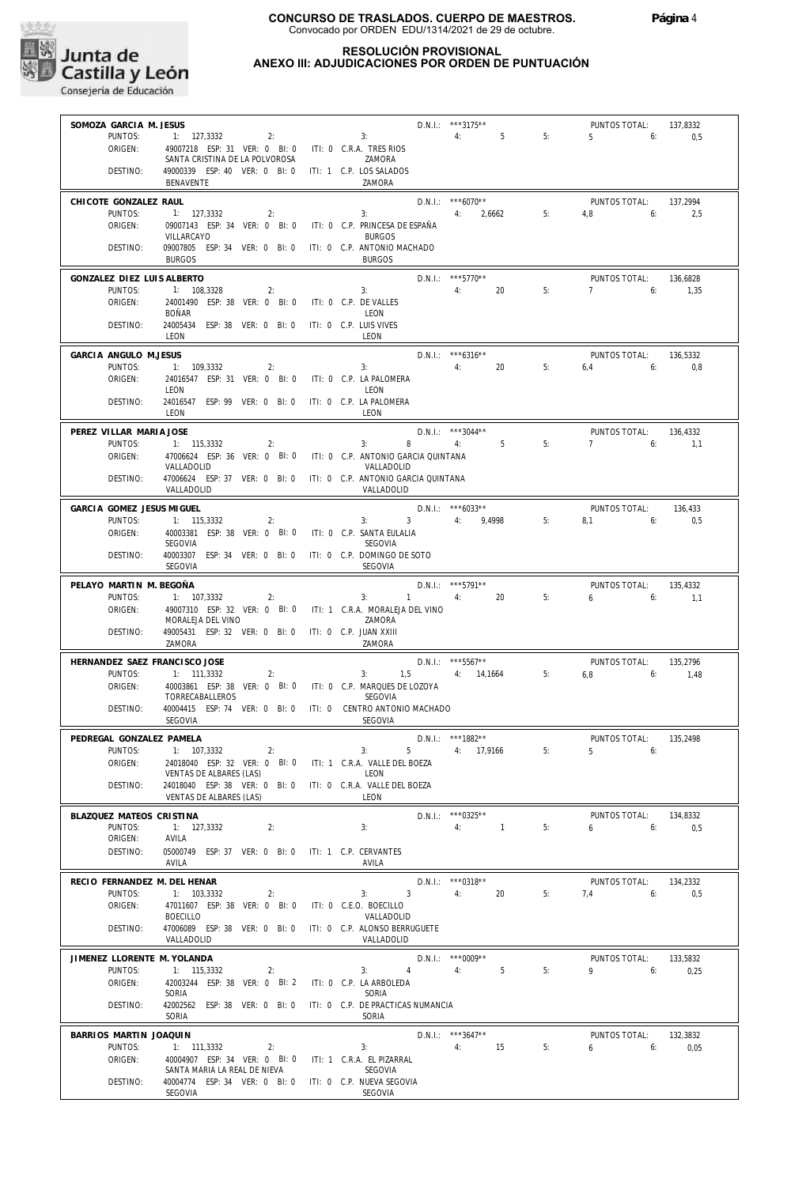

## **RESOLUCIÓN PROVISIONAL ANEXO III: ADJUDICACIONES POR ORDEN DE PUNTUACIÓN**

| SOMOZA GARCIA M. JESUS                  |                                                                 |                                              | D.N.I.: ***3175**                         |    | PUNTOS TOTAL:              | 137,8332         |
|-----------------------------------------|-----------------------------------------------------------------|----------------------------------------------|-------------------------------------------|----|----------------------------|------------------|
| PUNTOS:                                 | 1: 127,3332<br>2:                                               | 3:                                           | 4:<br>5                                   | 5: | $5-1$<br>6:                | 0,5              |
| ORIGEN:                                 | 49007218 ESP: 31 VER: 0 BI: 0<br>SANTA CRISTINA DE LA POLVOROSA | ITI: 0 C.R.A. TRES RIOS<br>ZAMORA            |                                           |    |                            |                  |
| DESTINO:                                | 49000339 ESP: 40 VER: 0 BI: 0                                   | ITI: 1 C.P. LOS SALADOS                      |                                           |    |                            |                  |
|                                         | BENAVENTE                                                       | ZAMORA                                       |                                           |    |                            |                  |
| CHICOTE GONZALEZ RAUL                   |                                                                 |                                              | $D.N.1.:$ ***6070**                       |    | PUNTOS TOTAL:              | 137.2994         |
| PUNTOS:                                 | 1: 127.3332<br>2:                                               | 3:                                           | 4:<br>2,6662                              | 5: | 4.8<br>6:                  | 2.5              |
| ORIGEN:                                 | 09007143 ESP: 34 VER: 0 BI: 0                                   | ITI: 0 C.P. PRINCESA DE ESPAÑA               |                                           |    |                            |                  |
| DESTINO:                                | VILLARCAYO<br>09007805 ESP: 34 VER: 0 BI: 0                     | <b>BURGOS</b><br>ITI: 0 C.P. ANTONIO MACHADO |                                           |    |                            |                  |
|                                         | <b>BURGOS</b>                                                   | <b>BURGOS</b>                                |                                           |    |                            |                  |
| GONZALEZ DIEZ LUIS ALBERTO              |                                                                 |                                              | $D.N.1.:$ ***5770**                       |    | PUNTOS TOTAL:              | 136,6828         |
| PUNTOS:                                 | 1: 108,3328<br>2:                                               | 3:                                           | 20<br>4:                                  | 5: | 7<br>6:                    | 1,35             |
| ORIGEN:                                 | 24001490 ESP: 38 VER: 0 BI: 0                                   | ITI: 0 C.P. DE VALLES                        |                                           |    |                            |                  |
| DESTINO:                                | <b>BOÑAR</b><br>24005434 ESP: 38 VER: 0 BI: 0                   | LEON<br>ITI: 0 C.P. LUIS VIVES               |                                           |    |                            |                  |
|                                         | LEON                                                            | LEON                                         |                                           |    |                            |                  |
| GARCIA ANGULO M.JESUS                   |                                                                 |                                              | D.N.I.: ***6316**                         |    | PUNTOS TOTAL:              | 136,5332         |
| PUNTOS:                                 | 1: 109,3332<br>2:                                               | 3:                                           | 4:<br>20                                  | 5: | 6,4<br>6:                  | 0,8              |
| ORIGEN:                                 | 24016547 ESP: 31 VER: 0 BI: 0                                   | ITI: 0 C.P. LA PALOMERA                      |                                           |    |                            |                  |
|                                         | LEON                                                            | LEON                                         |                                           |    |                            |                  |
| DESTINO:                                | 24016547 ESP: 99 VER: 0 BI: 0<br>LEON                           | ITI: 0 C.P. LA PALOMERA<br>LEON              |                                           |    |                            |                  |
|                                         |                                                                 |                                              |                                           |    |                            |                  |
| PEREZ VILLAR MARIA JOSE<br>PUNTOS:      | 1: 115,3332<br>2:                                               | 8<br>3:                                      | D.N.I.: ***3044**<br>5 <sup>1</sup><br>4: | 5: | PUNTOS TOTAL:<br>7<br>6:   | 136,4332<br>1,1  |
| ORIGEN:                                 | 47006624 ESP: 36 VER: 0 BI: 0                                   | ITI: 0 C.P. ANTONIO GARCIA QUINTANA          |                                           |    |                            |                  |
|                                         | VALLADOLID                                                      | VALLADOLID                                   |                                           |    |                            |                  |
| DESTINO:                                | 47006624 ESP: 37 VER: 0 BI: 0                                   | ITI: 0 C.P. ANTONIO GARCIA QUINTANA          |                                           |    |                            |                  |
|                                         | VALLADOLID                                                      | VALLADOLID                                   |                                           |    |                            |                  |
| GARCIA GOMEZ JESUS MIGUEL               |                                                                 | 3 <sup>7</sup><br>3:                         | $D.N.1.:$ ***6033**<br>4: 9,4998          | 5: | PUNTOS TOTAL:              | 136,433          |
| PUNTOS:<br>ORIGEN:                      | 1: 115,3332<br>2:<br>40003381 ESP: 38 VER: 0 BI: 0              | ITI: 0 C.P. SANTA EULALIA                    |                                           |    | $8.1$ 6:                   | 0,5              |
|                                         | SEGOVIA                                                         | SEGOVIA                                      |                                           |    |                            |                  |
| DESTINO:                                | 40003307 ESP: 34 VER: 0 BI: 0                                   | ITI: 0 C.P. DOMINGO DE SOTO                  |                                           |    |                            |                  |
|                                         | SEGOVIA                                                         | SEGOVIA                                      |                                           |    |                            |                  |
| PELAYO MARTIN M. BEGOÑA                 |                                                                 |                                              | D.N.I.: ***5791**                         |    | PUNTOS TOTAL:              | 135,4332         |
| PUNTOS:                                 | 1: 107,3332<br>2:                                               | $1 -$<br>3:                                  | 20<br>4:                                  | 5: | 6<br>6:                    | 1.1              |
| ORIGEN:                                 | 49007310 ESP: 32 VER: 0 BI: 0<br>MORALEJA DEL VINO              | ITI: 1 C.R.A. MORALEJA DEL VINO<br>ZAMORA    |                                           |    |                            |                  |
| DESTINO:                                | 49005431 ESP: 32 VER: 0 BI: 0                                   | ITI: 0 C.P. JUAN XXIII                       |                                           |    |                            |                  |
|                                         | ZAMORA                                                          | ZAMORA                                       |                                           |    |                            |                  |
| HERNANDEZ SAEZ FRANCISCO JOSE           |                                                                 |                                              | $D.N.1::$ ***5567**                       |    | PUNTOS TOTAL:              | 135.2796         |
| PUNTOS:                                 | 1: 111,3332<br>2:                                               | 3:                                           | 1,5 4: 14,1664                            | 5: | 6,8<br>6:                  | 1,48             |
| ORIGEN:                                 | 40003861 ESP: 38 VER: 0 BI: 0<br>TORRECABALLEROS                | ITI: 0 C.P. MARQUES DE LOZOYA<br>SEGOVIA     |                                           |    |                            |                  |
| DESTINO:                                | 40004415 ESP: 74 VER: 0 BI: 0                                   | ITI: 0 CENTRO ANTONIO MACHADO                |                                           |    |                            |                  |
|                                         | SEGOVIA                                                         | SEGOVIA                                      |                                           |    |                            |                  |
| PEDREGAL GONZALEZ PAMELA                |                                                                 |                                              | D.N.I.: ***1882**                         |    | PUNTOS TOTAL:              | 135,2498         |
| PUNTOS:                                 | 1: 107.3332<br>2:                                               | 3:<br>5                                      | 4: 17,9166                                | 5: | 5 <sup>5</sup><br>6:       |                  |
| ORIGEN:                                 | 24018040 ESP: 32 VER: 0 BI: 0<br>VENTAS DE ALBARES (LAS)        | ITI: 1 C.R.A. VALLE DEL BOEZA<br>LEON        |                                           |    |                            |                  |
| DESTINO:                                | 24018040 ESP: 38 VER: 0 BI: 0                                   | ITI: 0 C.R.A. VALLE DEL BOEZA                |                                           |    |                            |                  |
|                                         | VENTAS DE ALBARES (LAS)                                         | LEON                                         |                                           |    |                            |                  |
| BLAZQUEZ MATEOS CRISTINA                |                                                                 |                                              | $D.N.1::$ *** 0325**                      |    | PUNTOS TOTAL:              | 134,8332         |
| PUNTOS:                                 | 1: 127.3332<br>2:                                               | 3:                                           | $\overline{1}$<br>4:                      | 5: | 6<br>6:                    | 0,5              |
| ORIGEN:                                 | AVILA<br>05000749 ESP: 37 VER: 0 BI: 0 ITI: 1 C.P. CERVANTES    |                                              |                                           |    |                            |                  |
| DESTINO:                                | AVILA                                                           | AVILA                                        |                                           |    |                            |                  |
|                                         |                                                                 |                                              | D.N.I.: *** 0318**                        |    |                            |                  |
| RECIO FERNANDEZ M. DEL HENAR<br>PUNTOS: | 1: 103.3332<br>2:                                               | 3<br>3:                                      | 4:<br>20                                  | 5: | PUNTOS TOTAL:<br>7,4<br>6: | 134,2332<br>0,5  |
| ORIGEN:                                 | 47011607 ESP: 38 VER: 0 BI: 0                                   | ITI: 0 C.E.O. BOECILLO                       |                                           |    |                            |                  |
|                                         | <b>BOECILLO</b>                                                 | VALLADOLID                                   |                                           |    |                            |                  |
| DESTINO:                                | 47006089 ESP: 38 VER: 0 BI: 0<br>VALLADOLID                     | ITI: 0 C.P. ALONSO BERRUGUETE<br>VALLADOLID  |                                           |    |                            |                  |
|                                         |                                                                 |                                              |                                           |    |                            |                  |
| JIMENEZ LLORENTE M. YOLANDA<br>PUNTOS:  | 1: 115,3332<br>2:                                               | $\overline{4}$<br>3:                         | $D.N.1.:$ ***0009**<br>4:<br>5            | 5: | PUNTOS TOTAL:<br>9<br>6:   | 133,5832<br>0,25 |
| ORIGEN:                                 | 42003244 ESP: 38 VER: 0 Bl: 2                                   | ITI: 0 C.P. LA ARBOLEDA                      |                                           |    |                            |                  |
|                                         | SORIA                                                           | SORIA                                        |                                           |    |                            |                  |
| DESTINO:                                | 42002562 ESP: 38 VER: 0 BI: 0                                   | ITI: 0 C.P. DE PRACTICAS NUMANCIA            |                                           |    |                            |                  |
|                                         | SORIA                                                           | SORIA                                        |                                           |    |                            |                  |
| BARRIOS MARTIN JOAQUIN<br>PUNTOS:       |                                                                 |                                              | $D.N.1::$ ***3647**                       |    | PUNTOS TOTAL:              | 132,3832         |
|                                         |                                                                 |                                              |                                           |    |                            |                  |
| ORIGEN:                                 | 1: 111,3332<br>2:<br>40004907 ESP: 34 VER: 0 BI: 0              | 3:<br>ITI: 1 C.R.A. EL PIZARRAL              | 4:<br>15                                  | 5: | 6<br>6:                    | 0,05             |
|                                         | SANTA MARIA LA REAL DE NIEVA                                    | SEGOVIA                                      |                                           |    |                            |                  |
| DESTINO:                                | 40004774 ESP: 34 VER: 0 BI: 0<br>SEGOVIA                        | ITI: 0 C.P. NUEVA SEGOVIA<br>SEGOVIA         |                                           |    |                            |                  |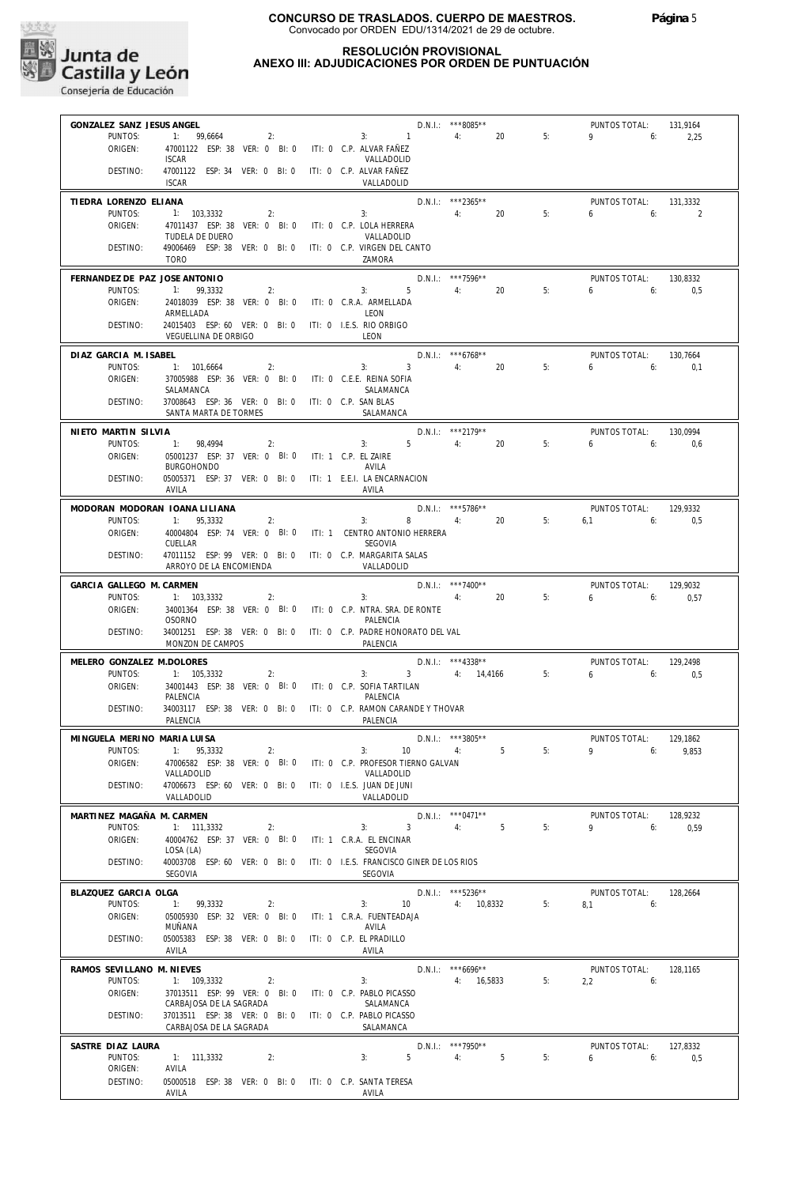

## **RESOLUCIÓN PROVISIONAL ANEXO III: ADJUDICACIONES POR ORDEN DE PUNTUACIÓN**

| GONZALEZ SANZ JESUS ANGEL                |                                                                                             |                                                | D.N.I.: ***8085**                 |    | PUNTOS TOTAL:              | 131,9164        |
|------------------------------------------|---------------------------------------------------------------------------------------------|------------------------------------------------|-----------------------------------|----|----------------------------|-----------------|
| PUNTOS:                                  | $1: 99,6664$ 2:                                                                             | 3: 1                                           | 4:<br>20                          | 5: | 9<br>6:                    | 2,25            |
| ORIGEN:                                  | 47001122 ESP: 38 VER: 0 BI: 0 ITI: 0 C.P. ALVAR FAÑEZ<br><b>ISCAR</b>                       | VALLADOLID                                     |                                   |    |                            |                 |
| DESTINO:                                 | 47001122 ESP: 34 VER: 0 BI: 0 ITI: 0 C.P. ALVAR FAÑEZ<br><b>ISCAR</b>                       | VALLADOLID                                     |                                   |    |                            |                 |
| TIEDRA LORENZO ELIANA                    |                                                                                             |                                                | $D.N.1::$ ***2365**               |    | PUNTOS TOTAL:              | 131.3332        |
| PUNTOS:                                  | 1: 103,3332<br>2:                                                                           | 3:                                             | 4:<br>20                          | 5: | 6<br>6:                    | 2               |
| ORIGEN:                                  | 47011437 ESP: 38 VER: 0 BI: 0 ITI: 0 C.P. LOLA HERRERA<br>TUDELA DE DUERO                   | VALLADOLID                                     |                                   |    |                            |                 |
| DESTINO:                                 | 49006469 ESP: 38 VER: 0 BI: 0 ITI: 0 C.P. VIRGEN DEL CANTO<br><b>TORO</b>                   | ZAMORA                                         |                                   |    |                            |                 |
| FERNANDEZ DE PAZ JOSE ANTONIO<br>PUNTOS: | 1: 99,3332<br>2:                                                                            | 3:5                                            | $D.N.1::$ ***7596**<br>4:<br>20   | 5: | PUNTOS TOTAL:<br>6<br>6:   | 130,8332<br>0,5 |
| ORIGEN:                                  | 24018039 ESP: 38 VER: 0 BI: 0 ITI: 0 C.R.A. ARMELLADA                                       |                                                |                                   |    |                            |                 |
| DESTINO:                                 | ARMELLADA<br>24015403 ESP: 60 VER: 0 BI: 0 ITI: 0 I.E.S. RIO ORBIGO<br>VEGUELLINA DE ORBIGO | LEON<br>LEON                                   |                                   |    |                            |                 |
| DIAZ GARCIA M. ISABEL                    |                                                                                             |                                                | D.N.I.: ***6768**                 |    | PUNTOS TOTAL:              | 130,7664        |
| PUNTOS:                                  | 1: 101,6664<br>2:                                                                           | $3:$ $3:$                                      | $3 \t 4: \t 20$                   | 5: | 6<br>6:                    | 0.1             |
| ORIGEN:                                  | 37005988 ESP: 36 VER: 0 BI: 0 ITI: 0 C.E.E. REINA SOFIA                                     |                                                |                                   |    |                            |                 |
| DESTINO:                                 | SALAMANCA<br>37008643 ESP: 36 VER: 0 BI: 0 ITI: 0 C.P. SAN BLAS                             | SALAMANCA                                      |                                   |    |                            |                 |
|                                          | SANTA MARTA DE TORMES                                                                       | SALAMANCA                                      |                                   |    |                            |                 |
| NIETO MARTIN SILVIA                      |                                                                                             |                                                | D.N.I.: *** 2179**                |    | PUNTOS TOTAL:              | 130.0994        |
| PUNTOS:<br>ORIGEN:                       | 1: 98,4994<br>2:<br>05001237 ESP: 37 VER: 0 BI: 0 ITI: 1 C.P. EL ZAIRE                      | 3:5                                            | 4:<br>20                          | 5: | 6<br>6:                    | 0,6             |
|                                          | <b>BURGOHONDO</b>                                                                           | AVILA                                          |                                   |    |                            |                 |
| DESTINO:                                 | 05005371 ESP: 37 VER: 0 BI: 0 ITI: 1 E.E.I. LA ENCARNACION<br>AVILA                         | AVILA                                          |                                   |    |                            |                 |
| MODORAN MODORAN IOANA LILIANA            |                                                                                             |                                                | $D.N.1.:$ ***5786**               |    | PUNTOS TOTAL:              | 129,9332        |
| PUNTOS:                                  | 1: 95,3332<br>2:                                                                            | 3:                                             | $8 - 1$<br>4: 20                  | 5: | $6.1$ $6:$                 | 0,5             |
| ORIGEN:                                  | 40004804 ESP: 74 VER: 0 BI: 0 ITI: 1 CENTRO ANTONIO HERRERA<br>CUELLAR                      | <b>SEGOVIA</b>                                 |                                   |    |                            |                 |
| DESTINO:                                 | 47011152 ESP: 99 VER: 0 BI: 0 ITI: 0 C.P. MARGARITA SALAS<br>ARROYO DE LA ENCOMIENDA        | VALLADOLID                                     |                                   |    |                            |                 |
| GARCIA GALLEGO M. CARMEN                 |                                                                                             |                                                | $D.N.1::$ ***7400**               |    | PUNTOS TOTAL:              | 129,9032        |
| PUNTOS:<br>ORIGEN:                       | 1: 103,3332<br>2:<br>34001364 ESP: 38 VER: 0 BI: 0 ITI: 0 C.P. NTRA. SRA. DE RONTE          | 3:                                             | 4:<br>20                          | 5: | 6<br>6:                    | 0,57            |
|                                          | <b>OSORNO</b>                                                                               | PALENCIA                                       |                                   |    |                            |                 |
| DESTINO:                                 | 34001251 ESP: 38 VER: 0 BI: 0 ITI: 0 C.P. PADRE HONORATO DEL VAL<br>MONZON DE CAMPOS        | PALENCIA                                       |                                   |    |                            |                 |
| MELERO GONZALEZ M.DOLORES                |                                                                                             |                                                | $D.N.1::$ ***4338**               |    | PUNTOS TOTAL:              | 129,2498        |
| PUNTOS:                                  | 1: 105,3332<br>2:                                                                           | 3:                                             | 3 4: 14,4166                      | 5: | $6\qquad 6$                | 0,5             |
| ORIGEN:                                  | 34001443 ESP: 38 VER: 0 BI: 0 ITI: 0 C.P. SOFIA TARTILAN<br>PALENCIA                        | PALENCIA                                       |                                   |    |                            |                 |
| DESTINO:                                 | 34003117 ESP: 38 VER: 0 BI: 0 ITI: 0 C.P. RAMON CARANDE Y THOVAR<br>PALENCIA                | PALENCIA                                       |                                   |    |                            |                 |
| MINGUELA MERINO MARIA LUISA              |                                                                                             |                                                | $D.N.1.:$ ***3805**               |    | PUNTOS TOTAL:              | 129,1862        |
| PUNTOS:<br>ORIGEN:                       | 1: 95.3332<br>2:<br>47006582 ESP: 38 VER: 0 BI: 0                                           | 3:<br>10<br>ITI: 0 C.P. PROFESOR TIERNO GALVAN | 5<br>4:                           | 5: | $9 \t\t 6$                 | 9.853           |
|                                          | VALLADOLID                                                                                  | VALLADOLID                                     |                                   |    |                            |                 |
| DESTINO:                                 | 47006673 ESP: 60 VER: 0 BI: 0<br>VALLADOLID                                                 | ITI: 0 I.E.S. JUAN DE JUNI<br>VALLADOLID       |                                   |    |                            |                 |
| MARTINEZ MAGAÑA M. CARMEN                |                                                                                             |                                                | $D.N.1::$ *** 0471**              |    | PUNTOS TOTAL:              | 128,9232        |
| PUNTOS:                                  | 1: 111,3332<br>2:                                                                           | 3<br>3:                                        | 4:<br>5                           | 5: | 9<br>6:                    | 0,59            |
| ORIGEN:                                  | 40004762 ESP: 37 VER: 0 BI: 0<br>LOSA (LA)                                                  | ITI: 1 C.R.A. EL ENCINAR<br>SEGOVIA            |                                   |    |                            |                 |
| DESTINO:                                 | 40003708 ESP: 60 VER: 0 BI: 0                                                               | ITI: 0 I.E.S. FRANCISCO GINER DE LOS RIOS      |                                   |    |                            |                 |
|                                          | SEGOVIA                                                                                     | SEGOVIA                                        |                                   |    |                            |                 |
| BLAZQUEZ GARCIA OLGA<br>PUNTOS:          | 1: 99,3332<br>2:                                                                            | 3:<br>10                                       | $D.N.1::$ ***5236**<br>4: 10.8332 | 5: | PUNTOS TOTAL:<br>8.1<br>6: | 128,2664        |
| ORIGEN:                                  | 05005930 ESP: 32 VER: 0 BI: 0                                                               | ITI: 1 C.R.A. FUENTEADAJA                      |                                   |    |                            |                 |
| DESTINO:                                 | MUÑANA<br>05005383 ESP: 38 VER: 0 BI: 0                                                     | AVILA<br>ITI: 0 C.P. EL PRADILLO               |                                   |    |                            |                 |
|                                          | AVILA                                                                                       | AVILA                                          |                                   |    |                            |                 |
| RAMOS SEVILLANO M. NIEVES                |                                                                                             |                                                | $D.N.1::$ ***6696**               |    | PUNTOS TOTAL:              | 128,1165        |
| PUNTOS:<br>ORIGEN:                       | 1: 109,3332<br>2:<br>37013511 ESP: 99 VER: 0 BI: 0                                          | 3:<br>ITI: 0 C.P. PABLO PICASSO                | 4: 16,5833                        | 5: | 2,2<br>6:                  |                 |
|                                          | CARBAJOSA DE LA SAGRADA                                                                     | SALAMANCA                                      |                                   |    |                            |                 |
| DESTINO:                                 | 37013511 ESP: 38 VER: 0 BI: 0<br>CARBAJOSA DE LA SAGRADA                                    | ITI: 0 C.P. PABLO PICASSO<br>SALAMANCA         |                                   |    |                            |                 |
| SASTRE DIAZ LAURA                        |                                                                                             |                                                | $D.N.1::$ ***7950**               |    | PUNTOS TOTAL:              | 127,8332        |
| PUNTOS:                                  | 1: 111,3332<br>2:                                                                           | 5<br>3:                                        | 4:<br>5                           | 5: | 6:<br>6                    | 0,5             |
| ORIGEN:<br>DESTINO:                      | AVILA<br>05000518 ESP: 38 VER: 0 BI: 0 ITI: 0 C.P. SANTA TERESA                             |                                                |                                   |    |                            |                 |
|                                          | AVILA                                                                                       | AVILA                                          |                                   |    |                            |                 |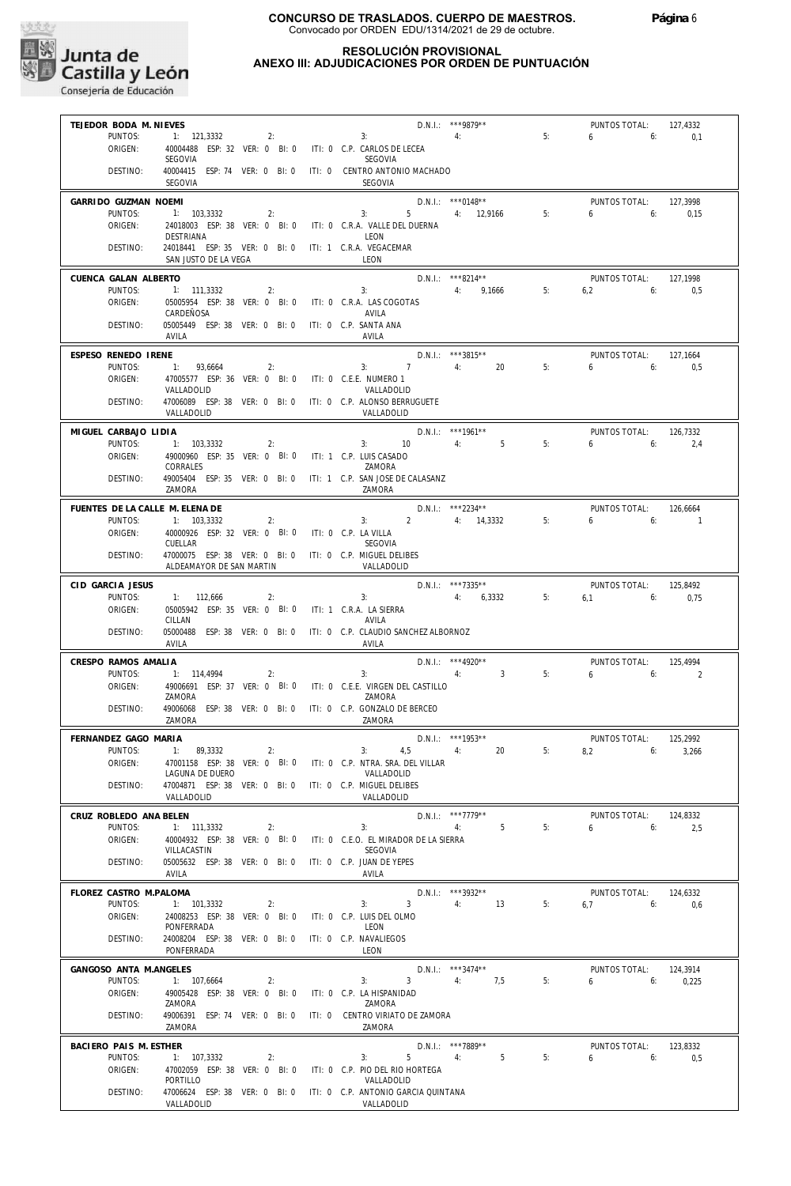

## **RESOLUCIÓN PROVISIONAL ANEXO III: ADJUDICACIONES POR ORDEN DE PUNTUACIÓN**

| TEJEDOR BODA M. NIEVES          |                                                                     |    |                                                                 | $D.N.1.:$ ***9879**      |    | PUNTOS TOTAL:<br>6       | 127,4332                             |
|---------------------------------|---------------------------------------------------------------------|----|-----------------------------------------------------------------|--------------------------|----|--------------------------|--------------------------------------|
| PUNTOS:<br>ORIGEN:              | 1: 121,3332<br>40004488 ESP: 32 VER: 0 BI: 0                        | 2: | 4:<br>3:<br>ITI: 0 C.P. CARLOS DE LECEA                         |                          | 5: | 6:                       | 0,1                                  |
|                                 | SEGOVIA                                                             |    | <b>SEGOVIA</b>                                                  |                          |    |                          |                                      |
| DESTINO:                        |                                                                     |    | 40004415 ESP: 74 VER: 0 BI: 0 ITI: 0 CENTRO ANTONIO MACHADO     |                          |    |                          |                                      |
|                                 | SEGOVIA                                                             |    | SEGOVIA                                                         |                          |    |                          |                                      |
| GARRIDO GUZMAN NOEMI            |                                                                     |    |                                                                 | $D.N.1.:$ ***0148**      |    | PUNTOS TOTAL:            | 127,3998                             |
| PUNTOS:                         | 1: 103,3332                                                         | 2: | 3:                                                              | 5 4: 12,9166             | 5: | 6<br>6:                  | 0.15                                 |
| ORIGEN:                         | 24018003 ESP: 38 VER: 0 BI: 0                                       |    | ITI: 0 C.R.A. VALLE DEL DUERNA                                  |                          |    |                          |                                      |
|                                 | DESTRIANA                                                           |    | LEON                                                            |                          |    |                          |                                      |
| DESTINO:                        | 24018441 ESP: 35 VER: 0 BI: 0 ITI: 1 C.R.A. VEGACEMAR               |    |                                                                 |                          |    |                          |                                      |
|                                 | SAN JUSTO DE LA VEGA                                                |    | LEON                                                            |                          |    |                          |                                      |
| CUENCA GALAN ALBERTO            |                                                                     |    |                                                                 | $D.N.1.:$ ***8214**      |    | PUNTOS TOTAL:            | 127.1998                             |
| PUNTOS:                         | 1: 111,3332                                                         | 2: | 3:                                                              | 4: 9,1666                | 5: | 6:<br>6,2                | 0,5                                  |
| ORIGEN:                         | 05005954 ESP: 38 VER: 0 BI: 0                                       |    | ITI: 0 C.R.A. LAS COGOTAS                                       |                          |    |                          |                                      |
| DESTINO:                        | CARDEÑOSA<br>05005449 ESP: 38 VER: 0 BI: 0                          |    | AVILA<br>ITI: 0 C.P. SANTA ANA                                  |                          |    |                          |                                      |
|                                 | AVILA                                                               |    | AVILA                                                           |                          |    |                          |                                      |
|                                 |                                                                     |    |                                                                 |                          |    |                          |                                      |
| ESPESO RENEDO IRENE<br>PUNTOS:  | 1: 93,6664                                                          | 2: | $3: 7 \t 4:$                                                    | D.N.I.: ***3815**<br>20  | 5: | PUNTOS TOTAL:            | 127,1664                             |
| ORIGEN:                         | 47005577 ESP: 36 VER: 0 BI: 0                                       |    | ITI: 0 C.E.E. NUMERO 1                                          |                          |    | 6<br>6:                  | 0,5                                  |
|                                 | VALLADOLID                                                          |    | VALLADOLID                                                      |                          |    |                          |                                      |
| DESTINO:                        | 47006089 ESP: 38 VER: 0 BI: 0 ITI: 0 C.P. ALONSO BERRUGUETE         |    |                                                                 |                          |    |                          |                                      |
|                                 | VALLADOLID                                                          |    | VALLADOLID                                                      |                          |    |                          |                                      |
| MIGUEL CARBAJO LIDIA            |                                                                     |    |                                                                 | D.N.I.: ***1961**        |    | PUNTOS TOTAL:            | 126,7332                             |
| PUNTOS:                         | 1: 103,3332                                                         | 2: | 3: 10                                                           | 4:<br>5                  | 5: | 6<br>6:                  | 2,4                                  |
| ORIGEN:                         | 49000960 ESP: 35 VER: 0 BI: 0                                       |    | ITI: 1 C.P. LUIS CASADO                                         |                          |    |                          |                                      |
|                                 | CORRALES                                                            |    | ZAMORA                                                          |                          |    |                          |                                      |
| DESTINO:                        | 49005404 ESP: 35 VER: 0 BI: 0                                       |    | ITI: 1 C.P. SAN JOSE DE CALASANZ                                |                          |    |                          |                                      |
|                                 | ZAMORA                                                              |    | ZAMORA                                                          |                          |    |                          |                                      |
| FUENTES DE LA CALLE M. ELENA DE |                                                                     |    |                                                                 | $D.N.1::$ ***2234**      |    | PUNTOS TOTAL:            | 126.6664                             |
| PUNTOS:                         | 1: 103,3332                                                         | 2: | 3:                                                              | 2 4: 14,3332             | 5: | 650                      | $\sim$ 1                             |
| ORIGEN:                         | 40000926 ESP: 32 VER: 0 BI: 0 ITI: 0 C.P. LA VILLA                  |    |                                                                 |                          |    |                          |                                      |
| DESTINO:                        | CUELLAR<br>47000075 ESP: 38 VER: 0 BI: 0 ITI: 0 C.P. MIGUEL DELIBES |    | SEGOVIA                                                         |                          |    |                          |                                      |
|                                 | ALDEAMAYOR DE SAN MARTIN                                            |    | VALLADOLID                                                      |                          |    |                          |                                      |
|                                 |                                                                     |    |                                                                 |                          |    |                          |                                      |
| CID GARCIA JESUS                |                                                                     |    |                                                                 | $D.N.1::$ ***7335**      |    | PUNTOS TOTAL:            | 125,8492                             |
| PUNTOS:<br>ORIGEN:              | 1: 112,666<br>05005942 ESP: 35 VER: 0 BI: 0                         | 2: | 3:<br>ITI: 1 C.R.A. LA SIERRA                                   | 4: 6,3332                | 5: | 6.1<br>6:                | 0,75                                 |
|                                 | CILLAN                                                              |    | AVILA                                                           |                          |    |                          |                                      |
| DESTINO:                        | 05000488 ESP: 38 VER: 0 BI: 0                                       |    | ITI: 0 C.P. CLAUDIO SANCHEZ ALBORNOZ                            |                          |    |                          |                                      |
|                                 |                                                                     |    |                                                                 |                          |    |                          |                                      |
|                                 | AVILA                                                               |    | AVILA                                                           |                          |    |                          |                                      |
|                                 |                                                                     |    |                                                                 |                          |    |                          |                                      |
| CRESPO RAMOS AMALIA<br>PUNTOS:  | 1: 114,4994                                                         | 2: | 3:                                                              | D.N.I.: ***4920**<br>4:3 | 5: | PUNTOS TOTAL:<br>6<br>6: | 125,4994<br>$\overline{\phantom{0}}$ |
| ORIGEN:                         |                                                                     |    | 49006691 ESP: 37 VER: 0 BI: 0 ITI: 0 C.E.E. VIRGEN DEL CASTILLO |                          |    |                          |                                      |
|                                 | ZAMORA                                                              |    | ZAMORA                                                          |                          |    |                          |                                      |
| DESTINO:                        | 49006068 ESP: 38 VER: 0 BI: 0                                       |    | ITI: 0 C.P. GONZALO DE BERCEO                                   |                          |    |                          |                                      |
|                                 | ZAMORA                                                              |    | ZAMORA                                                          |                          |    |                          |                                      |
| FERNANDEZ GAGO MARIA            |                                                                     |    |                                                                 | D.N.I.: ***1953**        |    | PUNTOS TOTAL:            | 125,2992                             |
| PUNTOS:                         | $-11 -$<br>89.3332                                                  | 2: | 3:<br>4,5                                                       | 4:<br>20                 | 5: | 8,2<br>6:                | 3,266                                |
| ORIGEN:                         | 47001158 ESP: 38 VER: 0 BI: 0                                       |    | ITI: 0 C.P. NTRA. SRA. DEL VILLAR                               |                          |    |                          |                                      |
|                                 | LAGUNA DE DUERO                                                     |    | VALLADOLID                                                      |                          |    |                          |                                      |
| DESTINO:                        | 47004871 ESP: 38 VER: 0 BI: 0<br>VALLADOLID                         |    | ITI: 0 C.P. MIGUEL DELIBES<br>VALLADOLID                        |                          |    |                          |                                      |
|                                 |                                                                     |    |                                                                 |                          |    |                          |                                      |
| CRUZ ROBLEDO ANA BELEN          |                                                                     |    |                                                                 | D.N.I.: ***7779**        |    | PUNTOS TOTAL:            | 124,8332                             |
| PUNTOS:                         | 1: 111.3332                                                         | 2: | 3:                                                              | 5<br>4:                  | 5: | 6<br>6:                  | 2,5                                  |
| ORIGEN:                         | 40004932 ESP: 38 VER: 0 BI: 0<br>VILLACASTIN                        |    | ITI: 0 C.E.O. EL MIRADOR DE LA SIERRA<br><b>SEGOVIA</b>         |                          |    |                          |                                      |
| DESTINO:                        | 05005632 ESP: 38 VER: 0 BI: 0                                       |    | ITI: 0 C.P. JUAN DE YEPES                                       |                          |    |                          |                                      |
|                                 | AVILA                                                               |    | AVILA                                                           |                          |    |                          |                                      |
| FLOREZ CASTRO M.PALOMA          |                                                                     |    |                                                                 | D.N.I.: ***3932**        |    | PUNTOS TOTAL:            | 124,6332                             |
| PUNTOS:                         | 1: 101,3332                                                         | 2: | 3<br>3:                                                         | 4:<br>13                 | 5: | 6,7<br>6:                | 0,6                                  |
| ORIGEN:                         | 24008253 ESP: 38 VER: 0 BI: 0                                       |    | ITI: 0 C.P. LUIS DEL OLMO                                       |                          |    |                          |                                      |
|                                 | PONFERRADA                                                          |    | LEON                                                            |                          |    |                          |                                      |
| DESTINO:                        | 24008204 ESP: 38 VER: 0 BI: 0                                       |    | ITI: 0 C.P. NAVALIEGOS                                          |                          |    |                          |                                      |
|                                 | PONFERRADA                                                          |    | LEON                                                            |                          |    |                          |                                      |
| GANGOSO ANTA M.ANGELES          |                                                                     |    |                                                                 | D.N.I.: ***3474**        |    | PUNTOS TOTAL:            | 124,3914                             |
| PUNTOS:                         | 1: 107,6664                                                         | 2: | $\overline{3}$<br>3:                                            | 4:<br>7,5                | 5: | 6<br>6:                  | 0,225                                |
| ORIGEN:                         | 49005428 ESP: 38 VER: 0 BI: 0                                       |    | ITI: 0 C.P. LA HISPANIDAD                                       |                          |    |                          |                                      |
| DESTINO:                        | ZAMORA<br>49006391 ESP: 74 VER: 0 BI: 0                             |    | ZAMORA<br>ITI: 0 CENTRO VIRIATO DE ZAMORA                       |                          |    |                          |                                      |
|                                 | ZAMORA                                                              |    | ZAMORA                                                          |                          |    |                          |                                      |
|                                 |                                                                     |    |                                                                 |                          |    |                          |                                      |
| BACIERO PAIS M. ESTHER          |                                                                     |    |                                                                 | D.N.I.: ***7889**        |    | PUNTOS TOTAL:            | 123,8332                             |
| PUNTOS:<br>ORIGEN:              | 1: 107,3332<br>47002059 ESP: 38 VER: 0 BI: 0                        | 2: | 5<br>3:<br>ITI: 0 C.P. PIO DEL RIO HORTEGA                      | 5<br>4:                  | 5: | 6<br>6:                  | 0,5                                  |
|                                 | PORTILLO                                                            |    | VALLADOLID                                                      |                          |    |                          |                                      |
| DESTINO:                        | 47006624 ESP: 38 VER: 0 BI: 0<br>VALLADOLID                         |    | ITI: 0 C.P. ANTONIO GARCIA QUINTANA<br>VALLADOLID               |                          |    |                          |                                      |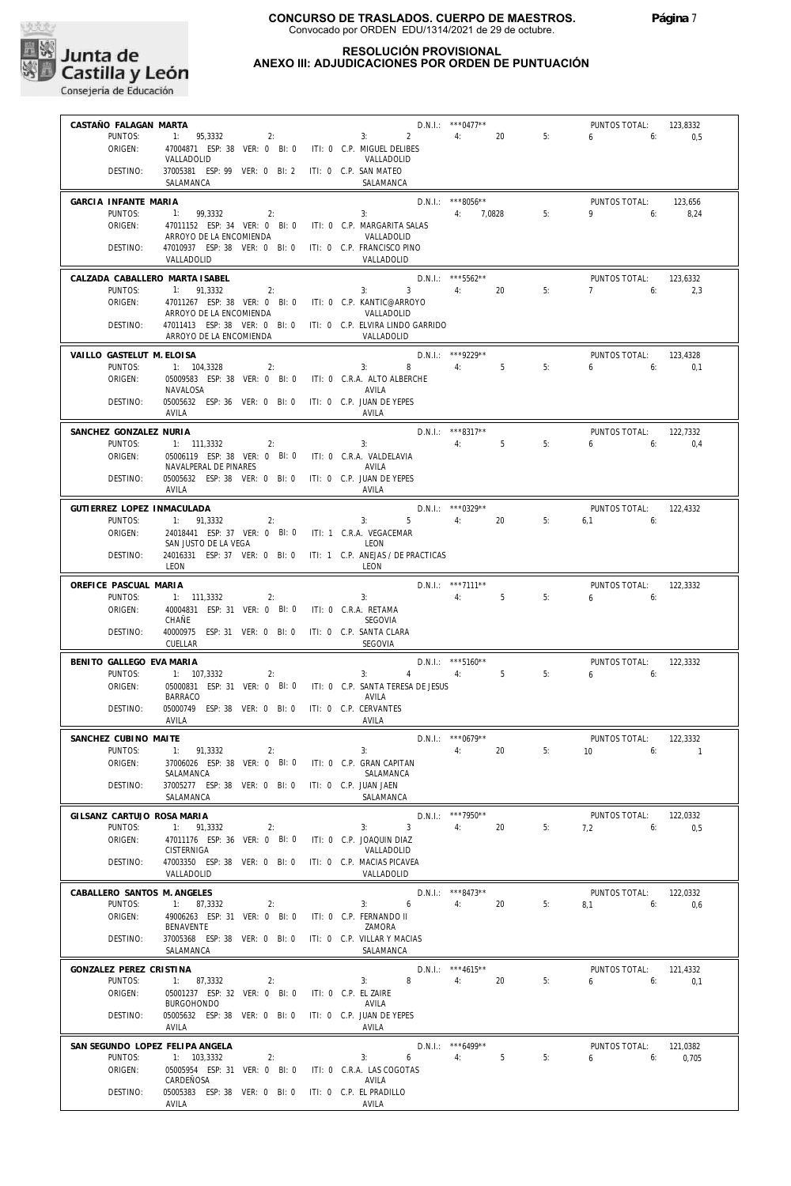

## **RESOLUCIÓN PROVISIONAL ANEXO III: ADJUDICACIONES POR ORDEN DE PUNTUACIÓN**

| CASTAÑO FALAGAN MARTA                 |                                                                                      |           |                                          | $D.N.1.:$ *** 0477**      |    | PUNTOS TOTAL:                        |    | 123,8332                   |
|---------------------------------------|--------------------------------------------------------------------------------------|-----------|------------------------------------------|---------------------------|----|--------------------------------------|----|----------------------------|
| PUNTOS:                               | 1: 95,3332<br>2:                                                                     |           | $3: 2 \t 4:$                             |                           | 20 | 5:<br>$6\qquad 6$                    |    | 0,5                        |
| ORIGEN:                               | 47004871 ESP: 38 VER: 0 BI: 0 ITI: 0 C.P. MIGUEL DELIBES                             |           |                                          |                           |    |                                      |    |                            |
| DESTINO:                              | VALLADOLID<br>37005381 ESP: 99 VER: 0 BI: 2 ITI: 0 C.P. SAN MATEO                    |           | VALLADOLID                               |                           |    |                                      |    |                            |
|                                       | SALAMANCA                                                                            |           | SALAMANCA                                |                           |    |                                      |    |                            |
| GARCIA INFANTE MARIA                  |                                                                                      |           |                                          | D.N.I.: ***8056**         |    | PUNTOS TOTAL:                        |    | 123,656                    |
| PUNTOS:                               | 1: 99,3332                                                                           | 2:        | 4:7.0828<br>3:                           |                           |    | $9 \t\t 6$<br>5:                     |    | 8,24                       |
| ORIGEN:                               | 47011152 ESP: 34 VER: 0 BI: 0 ITI: 0 C.P. MARGARITA SALAS<br>ARROYO DE LA ENCOMIENDA |           | VALLADOLID                               |                           |    |                                      |    |                            |
| DESTINO:                              | 47010937 ESP: 38 VER: 0 BI: 0 ITI: 0 C.P. FRANCISCO PINO                             |           |                                          |                           |    |                                      |    |                            |
|                                       | VALLADOLID                                                                           |           | VALLADOLID                               |                           |    |                                      |    |                            |
| CALZADA CABALLERO MARTA ISABEL        |                                                                                      |           |                                          | D.N.I.: *** 5562**        |    | PUNTOS TOTAL:                        |    | 123,6332                   |
| PUNTOS:                               | 1: 91,3332                                                                           | $2:$ $2:$ | $3: 3 \t 4:$                             |                           | 20 | 5:<br>$7 \t\t\t 6.$                  |    | 2,3                        |
| ORIGEN:                               | 47011267 ESP: 38 VER: 0 BI: 0 ITI: 0 C.P. KANTIC@ARROYO<br>ARROYO DE LA ENCOMIENDA   |           | VALLADOLID                               |                           |    |                                      |    |                            |
| DESTINO:                              | 47011413 ESP: 38 VER: 0 BI: 0 ITI: 0 C.P. ELVIRA LINDO GARRIDO                       |           |                                          |                           |    |                                      |    |                            |
|                                       | ARROYO DE LA ENCOMIENDA                                                              |           | VALLADOLID                               |                           |    |                                      |    |                            |
| VAILLO GASTELUT M. ELOISA             |                                                                                      |           | $D.N.1.:$ ***9229**                      |                           |    | PUNTOS TOTAL:                        |    | 123,4328                   |
| PUNTOS:                               | 1: 104,3328                                                                          | 2:        | $3: 8 \t 4: 5$                           |                           |    | $6\qquad 6$<br>5:                    |    | 0.1                        |
| ORIGEN:                               | 05009583 ESP: 38 VER: 0 BI: 0 ITI: 0 C.R.A. ALTO ALBERCHE<br>NAVALOSA                |           | AVILA                                    |                           |    |                                      |    |                            |
| DESTINO:                              | 05005632 ESP: 36 VER: 0 BI: 0 ITI: 0 C.P. JUAN DE YEPES                              |           |                                          |                           |    |                                      |    |                            |
|                                       | AVILA                                                                                |           | AVILA                                    |                           |    |                                      |    |                            |
| SANCHEZ GONZALEZ NURIA                |                                                                                      |           |                                          | $D.N.1.:$ ***8317**       |    | PUNTOS TOTAL:                        |    | 122.7332                   |
| PUNTOS:                               | 1: 111,3332<br>$\sim$ 2:                                                             |           | 4:5<br>3:                                |                           |    | 5:<br>6.6                            |    | 0,4                        |
| ORIGEN:                               | 05006119 ESP: 38 VER: 0 BI: 0 ITI: 0 C.R.A. VALDELAVIA<br>NAVALPERAL DE PINARES      |           | AVILA                                    |                           |    |                                      |    |                            |
| DESTINO:                              | 05005632 ESP: 38 VER: 0 BI: 0 ITI: 0 C.P. JUAN DE YEPES                              |           |                                          |                           |    |                                      |    |                            |
|                                       | AVILA                                                                                |           | AVILA                                    |                           |    |                                      |    |                            |
| GUTIERREZ LOPEZ INMACULADA            |                                                                                      |           | $D.N.1.:$ ***0329**                      |                           |    | PUNTOS TOTAL: 122.4332               |    |                            |
| PUNTOS:<br>ORIGEN:                    | 1: 91,3332                                                                           | 2:        | $3: 5 \t 4: 20$                          |                           |    | 5:<br>$6.1$ $6:$                     |    |                            |
|                                       | 24018441 ESP: 37 VER: 0 BI: 0 ITI: 1 C.R.A. VEGACEMAR<br>SAN JUSTO DE LA VEGA        |           | LEON                                     |                           |    |                                      |    |                            |
| DESTINO:                              | 24016331 ESP: 37 VER: 0 BI: 0 ITI: 1 C.P. ANEJAS / DE PRACTICAS                      |           |                                          |                           |    |                                      |    |                            |
|                                       | LEON                                                                                 |           | LEON                                     |                           |    |                                      |    |                            |
| OREFICE PASCUAL MARIA                 |                                                                                      |           |                                          | D.N.I.: ***7111**         |    | PUNTOS TOTAL:                        |    | 122,3332                   |
| PUNTOS:<br>ORIGEN:                    | 1: 111,3332<br>40004831 ESP: 31 VER: 0 BI: 0 ITI: 0 C.R.A. RETAMA                    | 2:        | 4:5<br>3:                                |                           |    | 5:<br>$6 \t\t 6$                     |    |                            |
|                                       | CHAÑE                                                                                |           | SEGOVIA                                  |                           |    |                                      |    |                            |
| DESTINO:                              | 40000975 ESP: 31 VER: 0 BI: 0 ITI: 0 C.P. SANTA CLARA                                |           |                                          |                           |    |                                      |    |                            |
|                                       | CUELLAR                                                                              |           | SEGOVIA                                  |                           |    |                                      |    |                            |
| BENITO GALLEGO EVA MARIA              |                                                                                      |           | 3: $4 \t 4$ : 5                          | $D.N.1.:$ ***5160**       |    | PUNTOS TOTAL: 122,3332<br>$6 - 6$    |    |                            |
| PUNTOS:<br>ORIGEN:                    | 1: 107,3332<br>05000831 ESP: 31 VER: 0 BI: 0 ITI: 0 C.P. SANTA TERESA DE JESUS       | 2:        |                                          |                           |    | 5:                                   |    |                            |
|                                       | BARRACO                                                                              |           | AVILA                                    |                           |    |                                      |    |                            |
| DESTINO:                              | 05000749 ESP: 38 VER: 0 BI: 0 ITI: 0 C.P. CERVANTES<br>AVILA                         |           | AVILA                                    |                           |    |                                      |    |                            |
|                                       |                                                                                      |           |                                          |                           |    |                                      |    |                            |
| SANCHEZ CUBINO MAITE<br>PUNTOS:       | 1: 91,3332                                                                           | 2:        | 3:                                       | $D.N.1.:$ ***0679**<br>4: | 20 | PUNTOS TOTAL:<br>$10 \t\t\t 6$<br>5: |    | 122.3332<br>$\overline{1}$ |
| ORIGEN:                               | 37006026 ESP: 38 VER: 0 BI: 0                                                        |           | ITI: 0 C.P. GRAN CAPITAN                 |                           |    |                                      |    |                            |
|                                       | SALAMANCA                                                                            |           | SALAMANCA                                |                           |    |                                      |    |                            |
| DESTINO:                              | 37005277 ESP: 38 VER: 0 BI: 0<br>SALAMANCA                                           |           | ITI: 0 C.P. JUAN JAEN<br>SALAMANCA       |                           |    |                                      |    |                            |
|                                       |                                                                                      |           |                                          |                           |    |                                      |    |                            |
| GILSANZ CARTUJO ROSA MARIA<br>PUNTOS: | 1: 91,3332                                                                           | 2:        | $\overline{3}$<br>3:                     | D.N.I.: ***7950**<br>4:   | 20 | PUNTOS TOTAL:<br>5:<br>7,2           | 6: | 122,0332<br>0,5            |
| ORIGEN:                               | 47011176 ESP: 36 VER: 0 BI: 0                                                        |           | ITI: 0 C.P. JOAQUIN DIAZ                 |                           |    |                                      |    |                            |
|                                       | CISTERNIGA                                                                           |           | VALLADOLID                               |                           |    |                                      |    |                            |
| DESTINO:                              | 47003350 ESP: 38 VER: 0 BI: 0<br>VALLADOLID                                          |           | ITI: 0 C.P. MACIAS PICAVEA<br>VALLADOLID |                           |    |                                      |    |                            |
| CABALLERO SANTOS M. ANGELES           |                                                                                      |           |                                          | $D.N.1::$ ***8473**       |    |                                      |    |                            |
| PUNTOS:                               | 1: 87,3332                                                                           | 2:        | 6<br>3:                                  | 4:                        | 20 | PUNTOS TOTAL:<br>5:<br>8,1           | 6: | 122,0332<br>0,6            |
| ORIGEN:                               | 49006263 ESP: 31 VER: 0 BI: 0                                                        |           | ITI: 0 C.P. FERNANDO II                  |                           |    |                                      |    |                            |
|                                       | BENAVENTE                                                                            |           | ZAMORA                                   |                           |    |                                      |    |                            |
| DESTINO:                              | 37005368 ESP: 38 VER: 0 BI: 0<br>SALAMANCA                                           |           | ITI: 0 C.P. VILLAR Y MACIAS<br>SALAMANCA |                           |    |                                      |    |                            |
| GONZALEZ PEREZ CRISTINA               |                                                                                      |           |                                          | $D.N.1::$ *** 4615**      |    | PUNTOS TOTAL:                        |    | 121,4332                   |
| PUNTOS:                               | 1: 87,3332                                                                           | 2:        | 8<br>3:                                  | 4:                        | 20 | 5:<br>6                              | 6: | 0,1                        |
| ORIGEN:                               | 05001237 ESP: 32 VER: 0 BI: 0                                                        |           | ITI: 0 C.P. EL ZAIRE                     |                           |    |                                      |    |                            |
| DESTINO:                              | <b>BURGOHONDO</b><br>05005632 ESP: 38 VER: 0 BI: 0                                   |           | AVILA<br>ITI: 0 C.P. JUAN DE YEPES       |                           |    |                                      |    |                            |
|                                       | AVILA                                                                                |           | AVILA                                    |                           |    |                                      |    |                            |
| SAN SEGUNDO LOPEZ FELIPA ANGELA       |                                                                                      |           |                                          | D.N.I.: *** 6499**        |    | PUNTOS TOTAL:                        |    | 121,0382                   |
| PUNTOS:                               | 1: 103,3332                                                                          | 2:        | 6<br>3:                                  | 4:                        | 5  | 5:<br>6                              | 6: | 0,705                      |
| ORIGEN:                               | 05005954 ESP: 31 VER: 0 BI: 0                                                        |           | ITI: 0 C.R.A. LAS COGOTAS                |                           |    |                                      |    |                            |
| DESTINO:                              | CARDEÑOSA<br>05005383 ESP: 38 VER: 0 BI: 0                                           |           | AVILA<br>ITI: 0 C.P. EL PRADILLO         |                           |    |                                      |    |                            |
|                                       | AVILA                                                                                |           | AVILA                                    |                           |    |                                      |    |                            |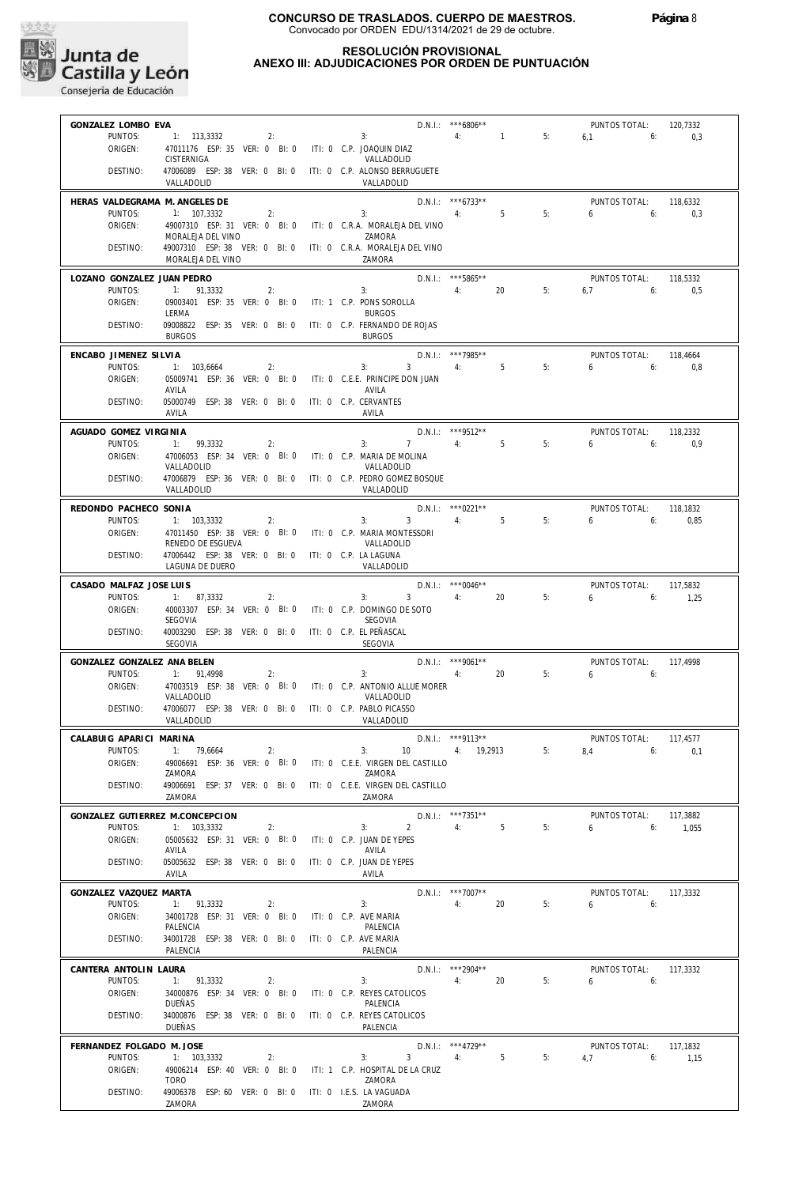

## **RESOLUCIÓN PROVISIONAL ANEXO III: ADJUDICACIONES POR ORDEN DE PUNTUACIÓN**

| GONZALEZ LOMBO EVA                   |                                                                                    |                                             | $D.N.1::$ *** 6806** |    | PUNTOS TOTAL:            | 120.7332         |
|--------------------------------------|------------------------------------------------------------------------------------|---------------------------------------------|----------------------|----|--------------------------|------------------|
| PUNTOS:                              | 1: 113,3332<br>2:                                                                  | 3:                                          | 4:<br>$\sim$ 1       | 5: | 6,1<br>6:                | 0,3              |
| ORIGEN:                              | 47011176 ESP: 35 VER: 0 BI: 0 ITI: 0 C.P. JOAQUIN DIAZ                             |                                             |                      |    |                          |                  |
|                                      | CISTERNIGA                                                                         | VALLADOLID                                  |                      |    |                          |                  |
| DESTINO:                             | 47006089 ESP: 38 VER: 0 BI: 0                                                      | ITI: 0 C.P. ALONSO BERRUGUETE               |                      |    |                          |                  |
|                                      | VALLADOLID                                                                         | VALLADOLID                                  |                      |    |                          |                  |
| HERAS VALDEGRAMA M. ANGELES DE       |                                                                                    |                                             | $D.N.1.:$ ***6733**  |    | PUNTOS TOTAL:            | 118,6332         |
| PUNTOS:                              | 1: 107,3332<br>2:                                                                  | 3:                                          | 5<br>4:              | 5: | 6<br>6:                  | 0,3              |
| ORIGEN:                              | 49007310 ESP: 31 VER: 0 BI: 0 ITI: 0 C.R.A. MORALEJA DEL VINO                      |                                             |                      |    |                          |                  |
|                                      | MORALEJA DEL VINO                                                                  | ZAMORA                                      |                      |    |                          |                  |
| DESTINO:                             | 49007310 ESP: 38 VER: 0 BI: 0 ITI: 0 C.R.A. MORALEJA DEL VINO<br>MORALEJA DEL VINO | ZAMORA                                      |                      |    |                          |                  |
|                                      |                                                                                    |                                             |                      |    |                          |                  |
| LOZANO GONZALEZ JUAN PEDRO           |                                                                                    |                                             | D.N.I.: *** 5865**   |    | PUNTOS TOTAL:            | 118,5332         |
| PUNTOS:                              | 2:<br>1:<br>91,3332                                                                | 3:                                          | 4:<br>20             | 5: | 6,7<br>6:                | 0,5              |
| ORIGEN:                              | 09003401 ESP: 35 VER: 0 BI: 0                                                      | ITI: 1 C.P. PONS SOROLLA<br><b>BURGOS</b>   |                      |    |                          |                  |
| DESTINO:                             | LERMA<br>09008822 ESP: 35 VER: 0 BI: 0                                             | ITI: 0 C.P. FERNANDO DE ROJAS               |                      |    |                          |                  |
|                                      | <b>BURGOS</b>                                                                      | <b>BURGOS</b>                               |                      |    |                          |                  |
|                                      |                                                                                    |                                             |                      |    |                          |                  |
| ENCABO JIMENEZ SILVIA                |                                                                                    |                                             | D.N.I.: ***7985**    |    | PUNTOS TOTAL:            | 118,4664         |
| PUNTOS:                              | 1: 103,6664<br>2:                                                                  | 3:<br>3 <sup>1</sup>                        | 4:<br>5 <sup>5</sup> | 5: | 6<br>6:                  | 0,8              |
| ORIGEN:                              | 05009741 ESP: 36 VER: 0 BI: 0<br>AVILA                                             | ITI: 0 C.E.E. PRINCIPE DON JUAN<br>AVILA    |                      |    |                          |                  |
| DESTINO:                             | 05000749 ESP: 38 VER: 0 BI: 0                                                      | ITI: 0 C.P. CERVANTES                       |                      |    |                          |                  |
|                                      | AVILA                                                                              | AVILA                                       |                      |    |                          |                  |
|                                      |                                                                                    |                                             |                      |    |                          |                  |
| AGUADO GOMEZ VIRGINIA                |                                                                                    |                                             | D.N.I.: *** 9512**   |    | PUNTOS TOTAL:            | 118,2332         |
| PUNTOS:                              | 1: 99,3332<br>2:<br>47006053 ESP: 34 VER: 0 BI: 0                                  | 3:<br>7                                     | 4:<br>5              | 5: | 6<br>6:                  | 0,9              |
| ORIGEN:                              | VALLADOLID                                                                         | ITI: 0 C.P. MARIA DE MOLINA<br>VALLADOLID   |                      |    |                          |                  |
| DESTINO:                             | 47006879 ESP: 36 VER: 0 BI: 0                                                      | iti: 0 C.p. Pedro Gomez Bosque              |                      |    |                          |                  |
|                                      | VALLADOLID                                                                         | VALLADOLID                                  |                      |    |                          |                  |
|                                      |                                                                                    |                                             | $D.N.1::$ *** 0221** |    |                          |                  |
| REDONDO PACHECO SONIA<br>PUNTOS:     | 1: 103,3332<br>2:                                                                  | 3:<br>$\overline{3}$                        | 4:<br>5              | 5: | PUNTOS TOTAL:<br>6<br>6: | 118,1832<br>0,85 |
| ORIGEN:                              | 47011450 ESP: 38 VER: 0 BI: 0 ITI: 0 C.P. MARIA MONTESSORI                         |                                             |                      |    |                          |                  |
|                                      | RENEDO DE ESGUEVA                                                                  | VALLADOLID                                  |                      |    |                          |                  |
| DESTINO:                             | 47006442 ESP: 38 VER: 0 BI: 0 ITI: 0 C.P. LA LAGUNA                                |                                             |                      |    |                          |                  |
|                                      | LAGUNA DE DUERO                                                                    | VALLADOLID                                  |                      |    |                          |                  |
| CASADO MALFAZ JOSE LUIS              |                                                                                    |                                             | $D.N.1::$ *** 0046** |    | PUNTOS TOTAL:            | 117,5832         |
| PUNTOS:                              | 1: 87,3332<br>2:                                                                   | 3<br>3:                                     | 4:<br>20             | 5: | 6<br>6:                  | 1,25             |
| ORIGEN:                              | 40003307 ESP: 34 VER: 0 BI: 0                                                      | ITI: 0 C.P. DOMINGO DE SOTO                 |                      |    |                          |                  |
|                                      | SEGOVIA                                                                            | SEGOVIA                                     |                      |    |                          |                  |
| DESTINO:                             | 40003290 ESP: 38 VER: 0 BI: 0                                                      | ITI: 0 C.P. EL PEÑASCAL                     |                      |    |                          |                  |
|                                      | SEGOVIA                                                                            | SEGOVIA                                     |                      |    |                          |                  |
| GONZALEZ GONZALEZ ANA BELEN          |                                                                                    |                                             | $D.N.I.:$ ***9061**  |    | PUNTOS TOTAL:            | 117,4998         |
| PUNTOS:                              | 1: 91,4998<br>2:                                                                   | 3:                                          | 20<br>4:             | 5: | 6<br>6:                  |                  |
| ORIGEN:                              | 47003519 ESP: 38 VER: 0 BI: 0 ITI: 0 C.P. ANTONIO ALLUE MORER                      |                                             |                      |    |                          |                  |
|                                      | VALLADOLID                                                                         | VALLADOLID                                  |                      |    |                          |                  |
| DESTINO:                             | 47006077 ESP: 38 VER: 0 BI: 0                                                      | ITI: 0 C.P. PABLO PICASSO                   |                      |    |                          |                  |
|                                      | VALLADOLID                                                                         | VALLADOLID                                  |                      |    |                          |                  |
| CALABUIG APARICI MARINA              |                                                                                    |                                             | D.N.I.: ***9113**    |    | PUNTOS TOTAL:            | 117,4577         |
| PUNTOS:                              | 1: 79,6664<br>2:                                                                   | 3:<br>10                                    | 4: 19,2913           | 5: | 8,4<br>6:                | 0,1              |
| ORIGEN:                              | 49006691 ESP: 36 VER: 0 BI: 0                                                      | ITI: 0 C.E.E. VIRGEN DEL CASTILLO           |                      |    |                          |                  |
|                                      | ZAMORA                                                                             | ZAMORA                                      |                      |    |                          |                  |
| DESTINO:                             | 49006691 ESP: 37 VER: 0 BI: 0<br>ZAMORA                                            | ITI: 0 C.E.E. VIRGEN DEL CASTILLO<br>ZAMORA |                      |    |                          |                  |
|                                      |                                                                                    |                                             |                      |    |                          |                  |
|                                      | GONZALEZ GUTIERREZ M.CONCEPCION                                                    |                                             | D.N.I.: ***7351**    |    | PUNTOS TOTAL:            | 117,3882         |
| PUNTOS:                              | 1: 103.3332<br>2:                                                                  | $\overline{2}$<br>3:                        | 4:<br>5              | 5: | 6<br>6:                  | 1,055            |
| ORIGEN:                              | 05005632 ESP: 31 VER: 0 BI: 0                                                      | ITI: 0 C.P. JUAN DE YEPES                   |                      |    |                          |                  |
| DESTINO:                             | AVILA<br>05005632 ESP: 38 VER: 0 BI: 0                                             | AVILA<br>ITI: 0 C.P. JUAN DE YEPES          |                      |    |                          |                  |
|                                      | AVILA                                                                              | AVILA                                       |                      |    |                          |                  |
|                                      |                                                                                    |                                             |                      |    |                          |                  |
| GONZALEZ VAZQUEZ MARTA               |                                                                                    |                                             | $D.N.I.:$ ***7007**  |    | PUNTOS TOTAL:            | 117,3332         |
| PUNTOS:                              | 1: 91,3332<br>2:<br>34001728 ESP: 31 VER: 0 BI: 0                                  | 3:                                          | 4:<br>20             | 5: | 6<br>6:                  |                  |
| ORIGEN:                              | PALENCIA                                                                           | ITI: 0 C.P. AVE MARIA<br>PALENCIA           |                      |    |                          |                  |
| DESTINO:                             | 34001728 ESP: 38 VER: 0 BI: 0                                                      | ITI: 0 C.P. AVE MARIA                       |                      |    |                          |                  |
|                                      | PALENCIA                                                                           | PALENCIA                                    |                      |    |                          |                  |
|                                      |                                                                                    |                                             | D.N.I.: ***2904**    |    |                          |                  |
| CANTERA ANTOLIN LAURA<br>PUNTOS:     | 1:<br>91,3332<br>2:                                                                | 3:                                          | 4:<br>20             | 5: | PUNTOS TOTAL:<br>6<br>6: | 117,3332         |
| ORIGEN:                              | 34000876 ESP: 34 VER: 0 BI: 0                                                      | ITI: 0 C.P. REYES CATOLICOS                 |                      |    |                          |                  |
|                                      | DUEÑAS                                                                             | PALENCIA                                    |                      |    |                          |                  |
| DESTINO:                             | 34000876 ESP: 38 VER: 0 BI: 0                                                      | ITI: 0 C.P. REYES CATOLICOS                 |                      |    |                          |                  |
|                                      | DUEÑAS                                                                             | PALENCIA                                    |                      |    |                          |                  |
|                                      |                                                                                    |                                             | D.N.I.: *** 4729**   |    | PUNTOS TOTAL:            | 117,1832         |
|                                      |                                                                                    |                                             |                      |    |                          |                  |
| FERNANDEZ FOLGADO M. JOSE<br>PUNTOS: | 1: 103,3332                                                                        | 3<br>3:                                     | 5                    | 5: | 6:                       |                  |
| ORIGEN:                              | 2:<br>49006214 ESP: 40 VER: 0 BI: 0                                                | ITI: 1 C.P. HOSPITAL DE LA CRUZ             | 4:                   |    | 4,7                      | 1,15             |
|                                      | <b>TORO</b>                                                                        | ZAMORA                                      |                      |    |                          |                  |
| DESTINO:                             | 49006378 ESP: 60 VER: 0 BI: 0                                                      | ITI: 0 I.E.S. LA VAGUADA                    |                      |    |                          |                  |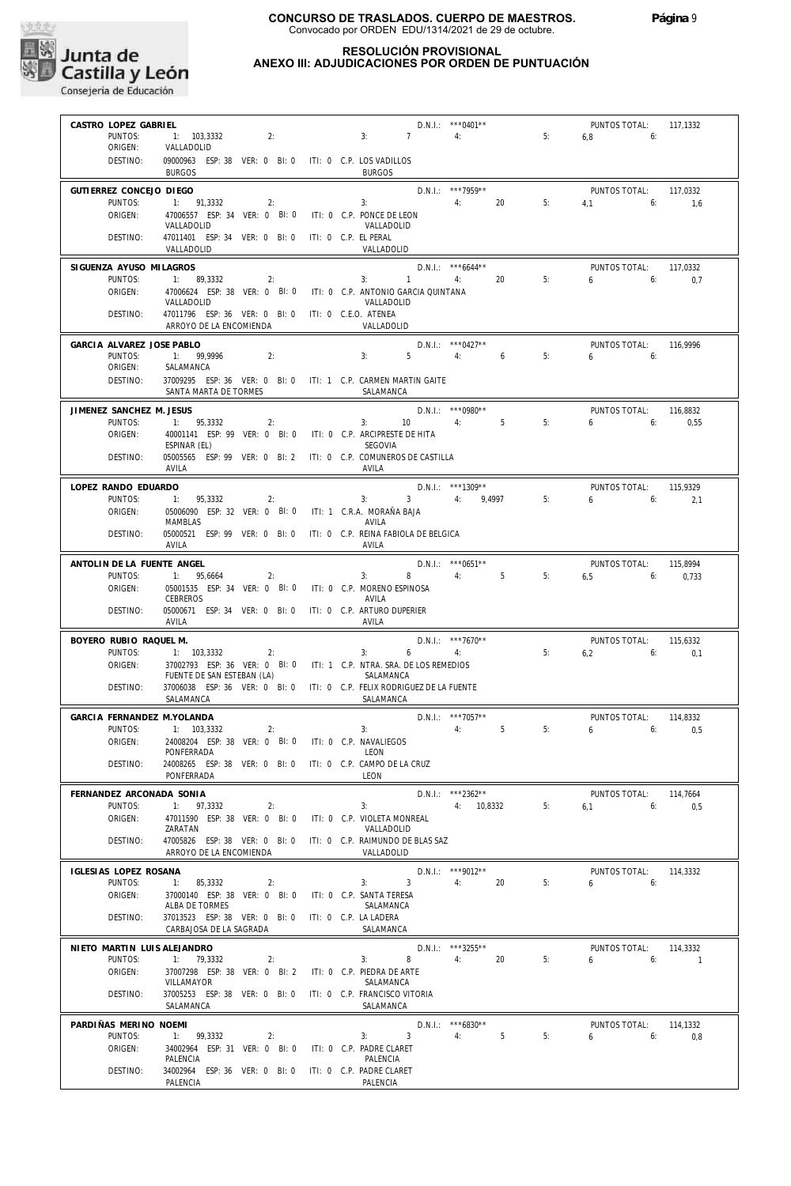

## **RESOLUCIÓN PROVISIONAL ANEXO III: ADJUDICACIONES POR ORDEN DE PUNTUACIÓN**

| CASTRO LOPEZ GABRIEL                |                                                                                                    |                       |                                                | $D.N.1::$ *** 0401**                      |    | PUNTOS TOTAL:              | 117,1332         |
|-------------------------------------|----------------------------------------------------------------------------------------------------|-----------------------|------------------------------------------------|-------------------------------------------|----|----------------------------|------------------|
| PUNTOS:<br>ORIGEN:                  | 1: 103,3332<br>2:<br>VALLADOLID                                                                    |                       | 3:<br>$7\phantom{0}$                           | 4:                                        | 5: | 6,8<br>6:                  |                  |
| DESTINO:                            | 09000963 ESP: 38 VER: 0 BI: 0 ITI: 0 C.P. LOS VADILLOS<br><b>BURGOS</b>                            |                       | <b>BURGOS</b>                                  |                                           |    |                            |                  |
| GUTIERREZ CONCEJO DIEGO             |                                                                                                    |                       |                                                | D.N.I.: ***7959**                         |    | PUNTOS TOTAL:              | 117,0332         |
| PUNTOS:                             | 1: 91,3332<br>2:                                                                                   |                       | 3:                                             | 20<br>4:                                  | 5: | $4.1$ 6:                   | 1,6              |
| ORIGEN:                             | 47006557 ESP: 34 VER: 0 BI: 0 ITI: 0 C.P. PONCE DE LEON<br>VALLADOLID                              |                       | VALLADOLID                                     |                                           |    |                            |                  |
| DESTINO:                            | 47011401 ESP: 34 VER: 0 BI: 0 ITI: 0 C.P. EL PERAL<br>VALLADOLID                                   |                       | VALLADOLID                                     |                                           |    |                            |                  |
| SIGUENZA AYUSO MILAGROS             |                                                                                                    |                       |                                                | $D.N.1.:$ ***6644**                       |    | PUNTOS TOTAL:              | 117,0332         |
| PUNTOS:<br>ORIGEN:                  | 1: 89.3332<br>2:<br>47006624 ESP: 38 VER: 0 BI: 0 ITI: 0 C.P. ANTONIO GARCIA QUINTANA              |                       | 3:<br>$\overline{1}$                           | 4:<br>20                                  | 5: | 6.6                        | 0,7              |
|                                     | VALLADOLID                                                                                         |                       | VALLADOLID                                     |                                           |    |                            |                  |
| DESTINO:                            | 47011796 ESP: 36 VER: 0 BI: 0 ITI: 0 C.E.O. ATENEA<br>ARROYO DE LA ENCOMIENDA                      |                       | VALLADOLID                                     |                                           |    |                            |                  |
| GARCIA ALVAREZ JOSE PABLO           |                                                                                                    |                       |                                                | D.N.I.: *** 0427**                        |    | PUNTOS TOTAL:              | 116,9996         |
| PUNTOS:                             | 1: 99,9996<br>2:                                                                                   |                       | 3:<br>5                                        | 4:<br>6                                   | 5: | $6 \qquad \qquad$<br>6:    |                  |
| ORIGEN:<br>DESTINO:                 | SALAMANCA<br>37009295 ESP: 36 VER: 0 BI: 0 ITI: 1 C.P. CARMEN MARTIN GAITE                         |                       |                                                |                                           |    |                            |                  |
|                                     | SANTA MARTA DE TORMES                                                                              |                       | SALAMANCA                                      |                                           |    |                            |                  |
| JIMENEZ SANCHEZ M. JESUS<br>PUNTOS: | 1: 95,3332<br>2:                                                                                   |                       | 3:<br>10                                       | $D.N.1::$ *** 0980**<br>4:<br>$5^{\circ}$ | 5: | PUNTOS TOTAL:<br>6<br>6:   | 116,8832<br>0,55 |
| ORIGEN:                             | 40001141 ESP: 99 VER: 0 BI: 0 ITI: 0 C.P. ARCIPRESTE DE HITA                                       |                       |                                                |                                           |    |                            |                  |
| DESTINO:                            | ESPINAR (EL)<br>05005565 ESP: 99 VER: 0 BI: 2 ITI: 0 C.P. COMUNEROS DE CASTILLA                    |                       | SEGOVIA                                        |                                           |    |                            |                  |
|                                     | AVILA                                                                                              |                       | AVILA                                          |                                           |    |                            |                  |
| LOPEZ RANDO EDUARDO                 |                                                                                                    |                       |                                                | $D.N.1.:$ ***1309**                       |    | PUNTOS TOTAL:              | 115.9329         |
| PUNTOS:<br>ORIGEN:                  | 1: 95,3332<br>2:<br>05006090 ESP: 32 VER: 0 BI: 0 ITI: 1 C.R.A. MORAÑA BAJA                        |                       | $3^{\circ}$<br>3:                              | 4: 9,4997                                 | 5: | 6<br>6:                    | 2,1              |
|                                     | MAMBLAS                                                                                            |                       | AVILA                                          |                                           |    |                            |                  |
| DESTINO:                            | 05000521 ESP: 99 VER: 0 BI: 0 ITI: 0 C.P. REINA FABIOLA DE BELGICA<br>AVILA                        |                       | AVILA                                          |                                           |    |                            |                  |
| ANTOLIN DE LA FUENTE ANGEL          |                                                                                                    |                       |                                                | $D.N.1::$ ***0651**                       |    | PUNTOS TOTAL:              | 115,8994         |
| PUNTOS:<br>ORIGEN:                  | 1: 95,6664<br>2:<br>05001535 ESP: 34 VER: 0 BI: 0                                                  |                       | 8<br>3:<br>ITI: 0 C.P. MORENO ESPINOSA         | 5 <sub>5</sub><br>4:                      | 5: | 6.5<br>6:                  | 0,733            |
|                                     | <b>CEBREROS</b>                                                                                    |                       | AVILA                                          |                                           |    |                            |                  |
| DESTINO:                            | 05000671 ESP: 34 VER: 0 BI: 0 ITI: 0 C.P. ARTURO DUPERIER<br>AVILA                                 |                       | AVILA                                          |                                           |    |                            |                  |
| BOYERO RUBIO RAQUEL M.              |                                                                                                    |                       |                                                | $D.N.1::$ ***7670**                       |    | PUNTOS TOTAL:              | 115,6332         |
| PUNTOS:                             | 1: 103,3332<br>2:                                                                                  |                       | 6<br>3:                                        | 4:                                        | 5: | 6.2<br>6:                  | 0.1              |
| ORIGEN:                             | 37002793 ESP: 36 VER: 0 BI: 0 ITI: 1 C.P. NTRA. SRA. DE LOS REMEDIOS<br>FUENTE DE SAN ESTEBAN (LA) |                       | SALAMANCA                                      |                                           |    |                            |                  |
| DESTINO:                            | 37006038 ESP: 36 VER: 0 BI: 0 ITI: 0 C.P. FELIX RODRIGUEZ DE LA FUENTE<br>SALAMANCA                |                       | SALAMANCA                                      |                                           |    |                            |                  |
| GARCIA FERNANDEZ M.YOLANDA          |                                                                                                    |                       |                                                | D.N.I.: ***7057**                         |    | PUNTOS TOTAL:              | 114,8332         |
| PUNTOS:                             | 1: 103,3332<br>2:                                                                                  |                       | 3:                                             | 4:<br>5                                   | 5: | 6<br>6:                    | 0,5              |
| ORIGEN:                             | 24008204 ESP: 38 VER: 0 BI: 0 ITI: 0 C.P. NAVALIEGOS<br><b>PONFERRADA</b>                          |                       | LEON                                           |                                           |    |                            |                  |
| DESTINO:                            | 24008265 ESP: 38 VER: 0 BI: 0 ITI: 0 C.P. CAMPO DE LA CRUZ                                         |                       |                                                |                                           |    |                            |                  |
|                                     | PONFERRADA                                                                                         |                       | LEON                                           |                                           |    |                            |                  |
| FERNANDEZ ARCONADA SONIA<br>PUNTOS: | 1:<br>97,3332<br>2:                                                                                |                       | 3:                                             | D.N.I.: ***2362**<br>4: 10,8332           | 5: | PUNTOS TOTAL:<br>6.1<br>6: | 114,7664<br>0,5  |
| ORIGEN:                             | 47011590 ESP: 38 VER: 0 BI: 0                                                                      |                       | ITI: 0 C.P. VIOLETA MONREAL                    |                                           |    |                            |                  |
| DESTINO:                            | ZARATAN<br>47005826 ESP: 38 VER: 0 BI: 0                                                           |                       | VALLADOLID<br>ITI: 0 C.P. RAIMUNDO DE BLAS SAZ |                                           |    |                            |                  |
|                                     | ARROYO DE LA ENCOMIENDA                                                                            |                       | VALLADOLID                                     |                                           |    |                            |                  |
| IGLESIAS LOPEZ ROSANA               |                                                                                                    |                       |                                                | $D.N.I.:$ ***9012**                       |    | PUNTOS TOTAL:              | 114,3332         |
| PUNTOS:<br>ORIGEN:                  | 1: 85,3332<br>2:<br>37000140 ESP: 38 VER: 0 BI: 0                                                  |                       | 3<br>3:<br>ITI: 0 C.P. SANTA TERESA            | 20<br>4:                                  | 5: | 6<br>6:                    |                  |
|                                     | ALBA DE TORMES                                                                                     |                       | SALAMANCA                                      |                                           |    |                            |                  |
| DESTINO:                            | 37013523 ESP: 38 VER: 0 BI: 0<br>CARBAJOSA DE LA SAGRADA                                           | ITI: 0 C.P. LA LADERA | SALAMANCA                                      |                                           |    |                            |                  |
| NIETO MARTIN LUIS ALEJANDRO         |                                                                                                    |                       |                                                | D.N.I.: ***3255**                         |    | PUNTOS TOTAL:              | 114,3332         |
| PUNTOS:<br>ORIGEN:                  | 1: 79,3332<br>2:<br>37007298 ESP: 38 VER: 0 BI: 2                                                  |                       | 3:<br>8<br>ITI: 0 C.P. PIEDRA DE ARTE          | 4:<br>20                                  | 5: | 6<br>6:                    | $\sim$ 1         |
|                                     | VILLAMAYOR                                                                                         |                       | SALAMANCA                                      |                                           |    |                            |                  |
| DESTINO:                            | 37005253 ESP: 38 VER: 0 BI: 0<br>SALAMANCA                                                         |                       | ITI: 0 C.P. FRANCISCO VITORIA<br>SALAMANCA     |                                           |    |                            |                  |
| PARDIÑAS MERINO NOEMI               |                                                                                                    |                       |                                                | D.N.I.: ***6830**                         |    | PUNTOS TOTAL:              | 114,1332         |
| PUNTOS:<br>ORIGEN:                  | 1:<br>99,3332<br>2:<br>34002964 ESP: 31 VER: 0 BI: 0                                               |                       | 3<br>3:<br>ITI: 0 C.P. PADRE CLARET            | 4:<br>5                                   | 5: | 6<br>6:                    | 0,8              |
|                                     | PALENCIA                                                                                           |                       | PALENCIA                                       |                                           |    |                            |                  |
| DESTINO:                            | 34002964 ESP: 36 VER: 0 BI: 0<br>PALENCIA                                                          |                       | ITI: 0 C.P. PADRE CLARET<br>PALENCIA           |                                           |    |                            |                  |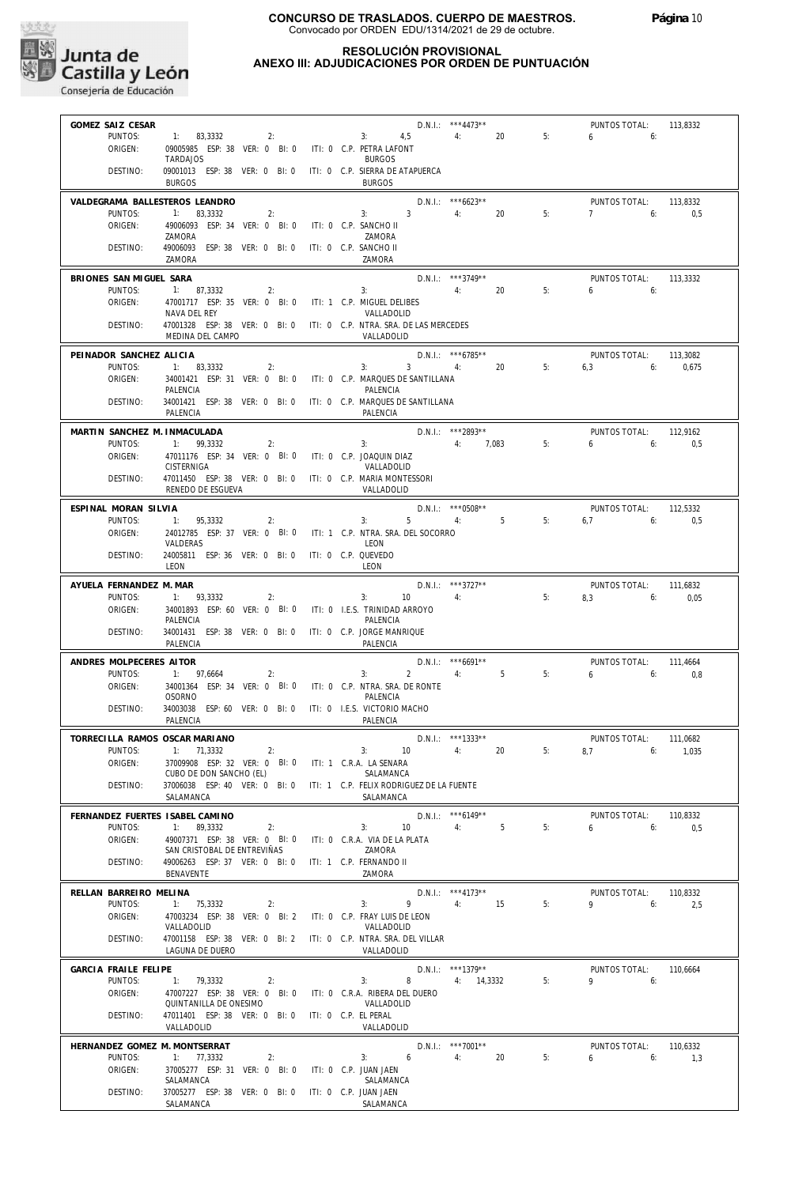

## **RESOLUCIÓN PROVISIONAL ANEXO III: ADJUDICACIONES POR ORDEN DE PUNTUACIÓN**

| GOMEZ SAIZ CESAR                           |                                                                                          |                       |                                                    | D.N.I.: ***4473**                  |    | PUNTOS TOTAL:                | 113,8332        |
|--------------------------------------------|------------------------------------------------------------------------------------------|-----------------------|----------------------------------------------------|------------------------------------|----|------------------------------|-----------------|
| PUNTOS:                                    | 1: 83.3332<br>2:                                                                         |                       | 3:<br>$4.5$ $4:$                                   | 20                                 | 5: | 6<br>6:                      |                 |
| ORIGEN:                                    | 09005985 ESP: 38 VER: 0 BI: 0<br><b>TARDAJOS</b>                                         |                       | ITI: 0 C.P. PETRA LAFONT<br><b>BURGOS</b>          |                                    |    |                              |                 |
| DESTINO:                                   | 09001013 ESP: 38 VER: 0 BI: 0 ITI: 0 C.P. SIERRA DE ATAPUERCA<br><b>BURGOS</b>           |                       | <b>BURGOS</b>                                      |                                    |    |                              |                 |
|                                            | VALDEGRAMA BALLESTEROS LEANDRO                                                           |                       |                                                    | $D.N.1::$ ***6623**                |    | PUNTOS TOTAL:                | 113.8332        |
| PUNTOS:                                    | 1: 83.3332<br>2:                                                                         |                       | 3 <sup>1</sup><br>3:                               | 4:<br>20                           | 5: | 7<br>6:                      | 0.5             |
| ORIGEN:                                    | 49006093 ESP: 34 VER: 0 BI: 0<br>ZAMORA                                                  | ITI: 0 C.P. SANCHO II | ZAMORA                                             |                                    |    |                              |                 |
| DESTINO:                                   | 49006093 ESP: 38 VER: 0 BI: 0                                                            | ITI: 0 C.P. SANCHO II |                                                    |                                    |    |                              |                 |
|                                            | 7AMORA                                                                                   |                       | ZAMORA                                             |                                    |    |                              |                 |
| BRIONES SAN MIGUEL SARA                    |                                                                                          |                       |                                                    | $D.N.1::$ ***3749**                |    | PUNTOS TOTAL:                | 113,3332        |
| PUNTOS:<br>ORIGEN:                         | 1: 87.3332<br>2:<br>47001717 ESP: 35 VER: 0 BI: 0 ITI: 1 C.P. MIGUEL DELIBES             |                       | 3:                                                 | 20<br>4:                           | 5: | 6:<br>6                      |                 |
|                                            | NAVA DEL REY                                                                             |                       | VALLADOLID                                         |                                    |    |                              |                 |
| DESTINO:                                   | 47001328 ESP: 38 VER: 0 BI: 0 ITI: 0 C.P. NTRA. SRA. DE LAS MERCEDES<br>MEDINA DEL CAMPO |                       | VALLADOLID                                         |                                    |    |                              |                 |
| PEINADOR SANCHEZ ALICIA                    |                                                                                          |                       |                                                    | D.N.I.: ***6785**                  |    | PUNTOS TOTAL:                | 113,3082        |
| PUNTOS:                                    | 1: 83,3332<br>2:                                                                         |                       | $3^{\circ}$<br>3:                                  | 4:<br>20                           | 5: | 6.3<br>6:                    | 0,675           |
| ORIGEN:                                    | 34001421 ESP: 31 VER: 0 BI: 0 ITI: 0 C.P. MARQUES DE SANTILLANA<br>PALENCIA              |                       | PALENCIA                                           |                                    |    |                              |                 |
| DESTINO:                                   | 34001421 ESP: 38 VER: 0 BI: 0 ITI: 0 C.P. MARQUES DE SANTILLANA<br>PALENCIA              |                       | PALENCIA                                           |                                    |    |                              |                 |
| MARTIN SANCHEZ M. INMACULADA               |                                                                                          |                       |                                                    | D.N.I.: ***2893**                  |    | PUNTOS TOTAL:                | 112,9162        |
| PUNTOS:                                    | 1: 99,3332<br>2:                                                                         |                       | 3:                                                 | 4: 7,083                           | 5: | 6<br>6:                      | 0,5             |
| ORIGEN:                                    | 47011176 ESP: 34 VER: 0 BI: 0                                                            |                       | iti: 0 C.P. JOAQUIN DIAZ                           |                                    |    |                              |                 |
| DESTINO:                                   | CISTERNIGA<br>47011450 ESP: 38 VER: 0 BI: 0 ITI: 0 C.P. MARIA MONTESSORI                 |                       | VALLADOLID                                         |                                    |    |                              |                 |
|                                            | RENEDO DE ESGUEVA                                                                        |                       | VALLADOLID                                         |                                    |    |                              |                 |
| ESPINAL MORAN SILVIA                       |                                                                                          |                       |                                                    | $D.N.I.:$ *** 0508**               |    | PUNTOS TOTAL:                | 112,5332        |
| PUNTOS:                                    | 1:<br>95.3332<br>2:                                                                      |                       | 3:<br>$5 -$                                        | $4:$ $\overline{\phantom{a}}$<br>5 | 5: | 6.7<br>6:                    | 0,5             |
| ORIGEN:                                    | 24012785 ESP: 37 VER: 0 BI: 0<br>VALDERAS                                                |                       | ITI: 1 C.P. NTRA. SRA. DEL SOCORRO<br>LEON         |                                    |    |                              |                 |
| DESTINO:                                   | 24005811 ESP: 36 VER: 0 BI: 0<br><b>IFON</b>                                             | ITI: 0 C.P. QUEVEDO   | LEON                                               |                                    |    |                              |                 |
| AYUELA FERNANDEZ M. MAR                    |                                                                                          |                       |                                                    | $D.N.I.:$ ***3727**                |    | PUNTOS TOTAL:                | 111,6832        |
| PUNTOS:                                    | 1: 93,3332<br>2:                                                                         |                       | 3:<br>10                                           | 4:                                 | 5: | 6:<br>8,3                    | 0,05            |
| ORIGEN:                                    | 34001893 ESP: 60 VER: 0 BI: 0                                                            |                       | ITI: 0 I.E.S. TRINIDAD ARROYO                      |                                    |    |                              |                 |
| DESTINO:                                   | PALENCIA<br>34001431 ESP: 38 VER: 0 BI: 0<br>PALENCIA                                    |                       | PALENCIA<br>ITI: 0 C.P. JORGE MANRIQUE<br>PALENCIA |                                    |    |                              |                 |
|                                            |                                                                                          |                       |                                                    |                                    |    |                              |                 |
| ANDRES MOLPECERES AITOR<br>PUNTOS:         | 1: 97,6664<br>2:                                                                         |                       | $2^{\circ}$<br>3:                                  | D.N.I.: *** 6691**<br>4:<br>5      | 5: | PUNTOS TOTAL:<br>$6\qquad 6$ | 111,4664<br>0.8 |
| ORIGEN:                                    | 34001364 ESP: 34 VER: 0 BI: 0                                                            |                       | ITI: 0 C.P. NTRA. SRA. DE RONTE                    |                                    |    |                              |                 |
| DESTINO:                                   | <b>OSORNO</b><br>34003038 ESP: 60 VER: 0 BI: 0 ITI: 0 I.E.S. VICTORIO MACHO              |                       | PALENCIA                                           |                                    |    |                              |                 |
|                                            | PALENCIA                                                                                 |                       | PALENCIA                                           |                                    |    |                              |                 |
|                                            | TORRECILLA RAMOS OSCAR MARIANO                                                           |                       |                                                    | D.N.I.: ***1333**                  |    | PUNTOS TOTAL:                | 111.0682        |
| PUNTOS:                                    | 1: 71,3332<br>2:                                                                         |                       | 3:<br>10 <sup>°</sup>                              | 20<br>4:                           | 5: | 8.7 6:                       | 1.035           |
| ORIGEN:                                    | 37009908 ESP: 32 VER: 0 BI: 0<br>CUBO DE DON SANCHO (EL)                                 |                       | ITI: 1 C.R.A. LA SENARA<br>SALAMANCA               |                                    |    |                              |                 |
| DESTINO:                                   | 37006038 ESP: 40 VER: 0 BI: 0                                                            |                       | ITI: 1 C.P. FELIX RODRIGUEZ DE LA FUENTE           |                                    |    |                              |                 |
|                                            | SALAMANCA                                                                                |                       | SALAMANCA                                          |                                    |    |                              |                 |
| FERNANDEZ FUERTES ISABEL CAMINO<br>PUNTOS: | 1: 89,3332                                                                               |                       | 3:<br>10                                           | $D.N.1::$ *** 6149**<br>5<br>4:    | 5: | PUNTOS TOTAL:<br>6<br>6:     | 110,8332        |
| ORIGEN:                                    | 2:<br>49007371 ESP: 38 VER: 0 BI: 0                                                      |                       | ITI: 0 C.R.A. VIA DE LA PLATA                      |                                    |    |                              | 0,5             |
|                                            | SAN CRISTOBAL DE ENTREVIÑAS                                                              |                       | ZAMORA                                             |                                    |    |                              |                 |
| DESTINO:                                   | 49006263 ESP: 37 VER: 0 BI: 0<br>BENAVENTE                                               |                       | ITI: 1 C.P. FERNANDO II<br>ZAMORA                  |                                    |    |                              |                 |
| RELLAN BARREIRO MELINA                     |                                                                                          |                       |                                                    | D.N.I.: ***4173**                  |    | PUNTOS TOTAL:                | 110,8332        |
| PUNTOS:                                    | 1: 75.3332<br>2:                                                                         |                       | 9<br>3:                                            | 4:<br>15                           | 5: | 9<br>6:                      | 2,5             |
| ORIGEN:                                    | 47003234 ESP: 38 VER: 0 BI: 2                                                            |                       | ITI: 0 C.P. FRAY LUIS DE LEON                      |                                    |    |                              |                 |
| DESTINO:                                   | VALLADOLID<br>47001158 ESP: 38 VER: 0 BI: 2 ITI: 0 C.P. NTRA. SRA. DEL VILLAR            |                       | VALLADOLID                                         |                                    |    |                              |                 |
|                                            | LAGUNA DE DUERO                                                                          |                       | VALLADOLID                                         |                                    |    |                              |                 |
| GARCIA FRAILE FELIPE                       |                                                                                          |                       |                                                    | $D.N.I.:$ ***1379**                |    | PUNTOS TOTAL:                | 110,6664        |
| PUNTOS:                                    | 1: 79,3332<br>2:                                                                         |                       | 3:<br>8                                            | 4: 14,3332                         | 5: | 9<br>6:                      |                 |
| ORIGEN:                                    | 47007227 ESP: 38 VER: 0 BI: 0<br>QUINTANILLA DE ONESIMO                                  |                       | ITI: 0 C.R.A. RIBERA DEL DUERO<br>VALLADOLID       |                                    |    |                              |                 |
| DESTINO:                                   | 47011401 ESP: 38 VER: 0 BI: 0<br>VALLADOLID                                              | ITI: 0 C.P. EL PERAL  | VALLADOLID                                         |                                    |    |                              |                 |
| HERNANDEZ GOMEZ M. MONTSERRAT              |                                                                                          |                       |                                                    | D.N.I.: ***7001**                  |    | PUNTOS TOTAL:                | 110,6332        |
| PUNTOS:                                    | 1: 77,3332<br>2:                                                                         |                       | 6<br>3:                                            | 4:<br>20                           | 5: | 6:<br>6                      | 1,3             |
| ORIGEN:                                    | 37005277 ESP: 31 VER: 0 BI: 0                                                            | ITI: 0 C.P. JUAN JAEN |                                                    |                                    |    |                              |                 |
| DESTINO:                                   | SALAMANCA<br>37005277 ESP: 38 VER: 0 BI: 0                                               | ITI: 0 C.P. JUAN JAEN | SALAMANCA                                          |                                    |    |                              |                 |
|                                            | SALAMANCA                                                                                |                       | SALAMANCA                                          |                                    |    |                              |                 |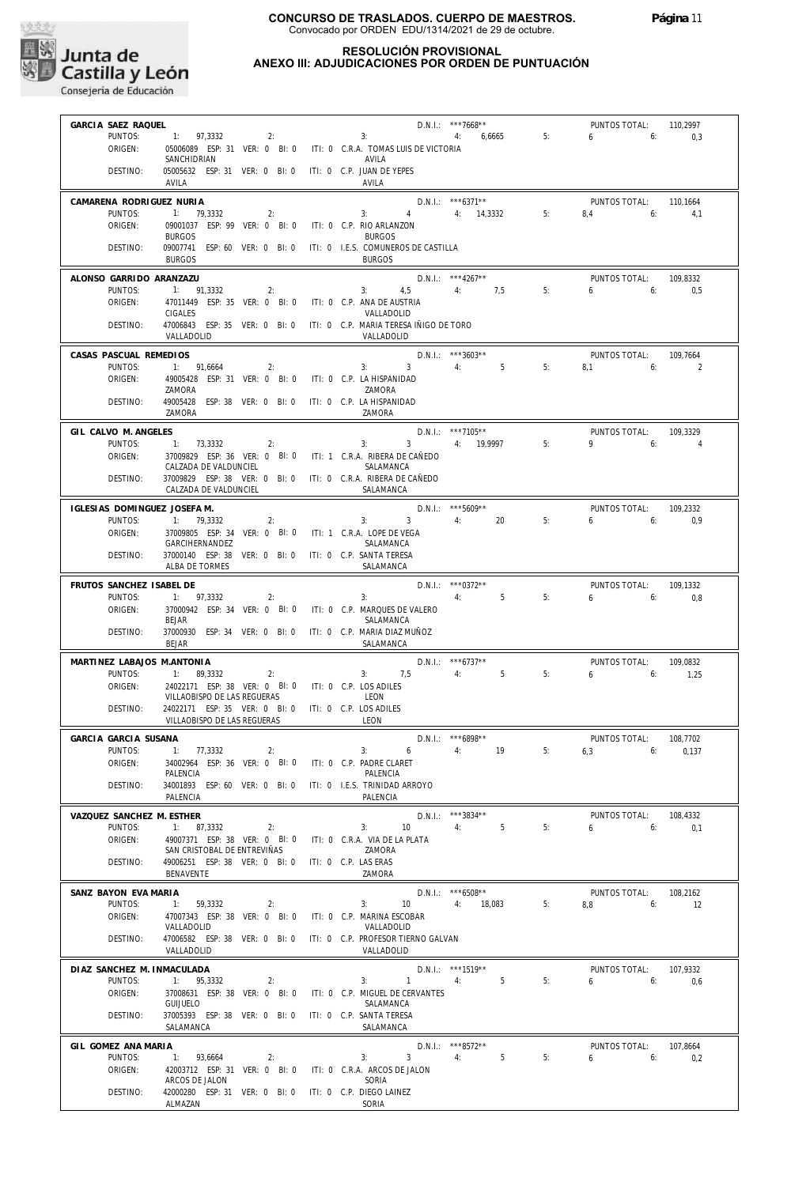

## **RESOLUCIÓN PROVISIONAL ANEXO III: ADJUDICACIONES POR ORDEN DE PUNTUACIÓN**

| GARCIA SAEZ RAQUEL           |                                                                                       |                                                                                    | $D.N.1.:$ ***7668**          |    | PUNTOS TOTAL:             | 110,2997          |
|------------------------------|---------------------------------------------------------------------------------------|------------------------------------------------------------------------------------|------------------------------|----|---------------------------|-------------------|
| PUNTOS:<br>ORIGEN:           | $1: 97,3332$ 2:                                                                       | 3:<br>05006089 ESP: 31 VER: 0 BI: 0 ITI: 0 C.R.A. TOMAS LUIS DE VICTORIA           | 4: 6,6665                    | 5: | $6 \t\t 6$                | 0,3               |
|                              | SANCHIDRIAN                                                                           | AVILA                                                                              |                              |    |                           |                   |
| DESTINO:                     | 05005632 ESP: 31 VER: 0 BI: 0 ITI: 0 C.P. JUAN DE YEPES<br>AVILA                      | AVILA                                                                              |                              |    |                           |                   |
| CAMARENA RODRIGUEZ NURIA     |                                                                                       |                                                                                    | D.N.I.: ***6371**            |    | PUNTOS TOTAL: 110,1664    |                   |
| PUNTOS:<br>ORIGEN:           | 1: 79,3332<br>2:<br>09001037 ESP: 99 VER: 0 BI: 0 ITI: 0 C.P. RIO ARLANZON            | 3: $4 \t 4$ : 14.3332 5:                                                           |                              |    | $8.4$ 6:                  | 4.1               |
|                              | <b>BURGOS</b>                                                                         | <b>BURGOS</b>                                                                      |                              |    |                           |                   |
| DESTINO:                     | <b>BURGOS</b>                                                                         | 09007741 ESP: 60 VER: 0 BI: 0 ITI: 0 I.E.S. COMUNEROS DE CASTILLA<br><b>BURGOS</b> |                              |    |                           |                   |
| ALONSO GARRIDO ARANZAZU      |                                                                                       | $D.N.1.:$ ***4267**                                                                |                              |    | PUNTOS TOTAL:             | 109.8332          |
| PUNTOS:<br>ORIGEN:           | 1: 91,3332<br>2:<br>47011449 ESP: 35 VER: 0 BI: 0 ITI: 0 C.P. ANA DE AUSTRIA          | 3: $4,5$ 4: 7,5                                                                    |                              | 5: | 6.605                     |                   |
|                              | CIGALES                                                                               | VALLADOLID                                                                         |                              |    |                           |                   |
| DESTINO:                     | VALLADOLID                                                                            | 47006843 ESP: 35 VER: 0 BI: 0 ITI: 0 C.P. MARIA TERESA IÑIGO DE TORO<br>VALLADOLID |                              |    |                           |                   |
| CASAS PASCUAL REMEDIOS       |                                                                                       | $D.N.1.:$ ***3603**                                                                |                              |    | PUNTOS TOTAL:             | 109,7664          |
| PUNTOS:                      | 1: 91,6664<br>2:                                                                      | $3:$ $3:$ $4:$ $5$                                                                 |                              | 5: | $8.1$ 6:                  | $\sim$ 2          |
| ORIGEN:                      | 49005428 ESP: 31 VER: 0 BI: 0 ITI: 0 C.P. LA HISPANIDAD<br>ZAMORA                     | ZAMORA                                                                             |                              |    |                           |                   |
| DESTINO:                     | 49005428 ESP: 38 VER: 0 BI: 0 ITI: 0 C.P. LA HISPANIDAD<br>ZAMORA                     | ZAMORA                                                                             |                              |    |                           |                   |
| GIL CALVO M. ANGELES         |                                                                                       |                                                                                    | $D.N.1::$ ***7105**          |    | PUNTOS TOTAL:             | 109.3329          |
| PUNTOS:                      | 1: 73,3332<br>$\overline{2}$ :                                                        | 3: 3: 4: 19.9997                                                                   |                              | 5: | $9 \t\t 6$                | $\overline{4}$    |
| ORIGEN:                      | CALZADA DE VALDUNCIEL                                                                 | 37009829 ESP: 36 VER: 0 BI: 0 ITI: 1 C.R.A. RIBERA DE CAÑEDO<br>SALAMANCA          |                              |    |                           |                   |
| DESTINO:                     | 37009829 ESP: 38 VER: 0 BI: 0 ITI: 0 C.R.A. RIBERA DE CAÑEDO<br>CALZADA DE VALDUNCIEL | SALAMANCA                                                                          |                              |    |                           |                   |
| IGLESIAS DOMINGUEZ JOSEFA M. |                                                                                       |                                                                                    | $D.N.1.:$ ***5609**          |    | PUNTOS TOTAL: 109,2332    |                   |
| PUNTOS:                      | 1: 79,3332<br>2:                                                                      | $3 \t 4$ : 20<br>3:                                                                |                              | 5: | 6. 6: 0.9                 |                   |
| ORIGEN:                      | 37009805 ESP: 34 VER: 0 BI: 0 ITI: 1 C.R.A. LOPE DE VEGA<br>GARCIHERNANDEZ            | SALAMANCA                                                                          |                              |    |                           |                   |
| DESTINO:                     | 37000140 ESP: 38 VER: 0 BI: 0 ITI: 0 C.P. SANTA TERESA<br>ALBA DE TORMES              | SALAMANCA                                                                          |                              |    |                           |                   |
| FRUTOS SANCHEZ ISABEL DE     |                                                                                       |                                                                                    | D.N.I.: *** 0372**           |    | PUNTOS TOTAL:             | 109.1332          |
| PUNTOS:                      | 1: 97,3332<br>2:                                                                      | 4:5<br>3:                                                                          |                              | 5: | 6.6                       | 0.8               |
| ORIGEN:                      | <b>BEJAR</b>                                                                          | 37000942 ESP: 34 VER: 0 BI: 0 ITI: 0 C.P. MARQUES DE VALERO<br>SALAMANCA           |                              |    |                           |                   |
| DESTINO:                     | 37000930 ESP: 34 VER: 0 BI: 0 ITI: 0 C.P. MARIA DIAZ MUÑOZ<br><b>BEJAR</b>            | SALAMANCA                                                                          |                              |    |                           |                   |
| MARTINEZ LABAJOS M.ANTONIA   |                                                                                       | $D.N.1.:$ ***6737**                                                                |                              |    | PUNTOS TOTAL:             | 109,0832          |
| PUNTOS:                      | 1: $89,3332$ 2:                                                                       | 3: 7.5 4: 5                                                                        |                              | 5: | $6 \t\t 6: \t\t 1,25$     |                   |
| ORIGEN:                      | 24022171 ESP: 38 VER: 0 BI: 0 ITI: 0 C.P. LOS ADILES<br>VILLAOBISPO DE LAS REGUERAS   | LEON                                                                               |                              |    |                           |                   |
| DESTINO:                     | 24022171 ESP: 35 VER: 0 BI: 0 ITI: 0 C.P. LOS ADILES                                  |                                                                                    |                              |    |                           |                   |
|                              | VILLAOBISPO DE LAS REGUERAS                                                           | LEON                                                                               |                              |    |                           |                   |
| GARCIA GARCIA SUSANA         | PUNTOS: 1: 77.3332<br>2:                                                              | 3:                                                                                 | D.N.I.: ***6898**<br>6 4: 19 | 5: | PUNTOS TOTAL:<br>$6,3$ 6: | 108,7702<br>0.137 |
| ORIGEN:                      | 34002964 ESP: 36 VER: 0 BI: 0                                                         | ITI: 0 C.P. PADRE CLARET                                                           |                              |    |                           |                   |
| DESTINO:                     | PALENCIA<br>34001893 ESP: 60 VER: 0 BI: 0                                             | PALENCIA<br>ITI: 0 I.E.S. TRINIDAD ARROYO                                          |                              |    |                           |                   |
|                              | PALENCIA                                                                              | PALENCIA                                                                           |                              |    |                           |                   |
| VAZQUEZ SANCHEZ M. ESTHER    |                                                                                       |                                                                                    | $D.N.1::$ ***3834**          |    | PUNTOS TOTAL:             | 108,4332          |
| PUNTOS:<br>ORIGEN:           | 1: 87.3332<br>2:<br>49007371 ESP: 38 VER: 0 BI: 0                                     | 3:<br>10 <sup>°</sup><br>ITI: 0 C.R.A. VIA DE LA PLATA                             | 5<br>4:                      | 5: | 6<br>6:                   | 0,1               |
|                              | SAN CRISTOBAL DE ENTREVIÑAS                                                           | ZAMORA                                                                             |                              |    |                           |                   |
| DESTINO:                     | 49006251 ESP: 38 VER: 0 BI: 0<br>BENAVENTE                                            | ITI: 0 C.P. LAS ERAS<br>ZAMORA                                                     |                              |    |                           |                   |
| SANZ BAYON EVA MARIA         |                                                                                       |                                                                                    | $D.N.1::$ *** 6508**         |    | PUNTOS TOTAL:             | 108,2162          |
| PUNTOS:                      | 1: 59,3332<br>2:                                                                      | 3:<br>10                                                                           | 4:<br>18,083                 | 5: | 8.8<br>6:                 | 12                |
| ORIGEN:                      | 47007343 ESP: 38 VER: 0 BI: 0<br>VALLADOLID                                           | ITI: 0 C.P. MARINA ESCOBAR<br>VALLADOLID                                           |                              |    |                           |                   |
| DESTINO:                     | 47006582 ESP: 38 VER: 0 BI: 0<br>VALLADOLID                                           | ITI: 0 C.P. PROFESOR TIERNO GALVAN<br>VALLADOLID                                   |                              |    |                           |                   |
| DIAZ SANCHEZ M. INMACULADA   |                                                                                       |                                                                                    | D.N.I.: ***1519**            |    | PUNTOS TOTAL:             | 107,9332          |
| PUNTOS:                      | 1: 95,3332<br>2:                                                                      | $\mathbf{1}$<br>3:                                                                 | $5^{\circ}$<br>4:            | 5: | 6<br>6:                   | 0.6               |
| ORIGEN:                      | 37008631 ESP: 38 VER: 0 BI: 0<br><b>GUIJUELO</b>                                      | ITI: 0 C.P. MIGUEL DE CERVANTES<br>SALAMANCA                                       |                              |    |                           |                   |
| DESTINO:                     | 37005393 ESP: 38 VER: 0 BI: 0<br>SALAMANCA                                            | ITI: 0 C.P. SANTA TERESA<br>SALAMANCA                                              |                              |    |                           |                   |
| GIL GOMEZ ANA MARIA          |                                                                                       |                                                                                    | D.N.I.: ***8572**            |    | PUNTOS TOTAL:             | 107,8664          |
| PUNTOS:                      | 1: 93,6664<br>2:                                                                      | 3 <sup>1</sup><br>3:                                                               | 4:<br>5                      | 5: | 6<br>6:                   | 0,2               |
| ORIGEN:                      | 42003712 ESP: 31 VER: 0 BI: 0<br>ARCOS DE JALON                                       | ITI: 0 C.R.A. ARCOS DE JALON<br>SORIA                                              |                              |    |                           |                   |
| DESTINO:                     | 42000280 ESP: 31 VER: 0 BI: 0                                                         | ITI: 0 C.P. DIEGO LAINEZ                                                           |                              |    |                           |                   |
|                              | ALMAZAN                                                                               | SORIA                                                                              |                              |    |                           |                   |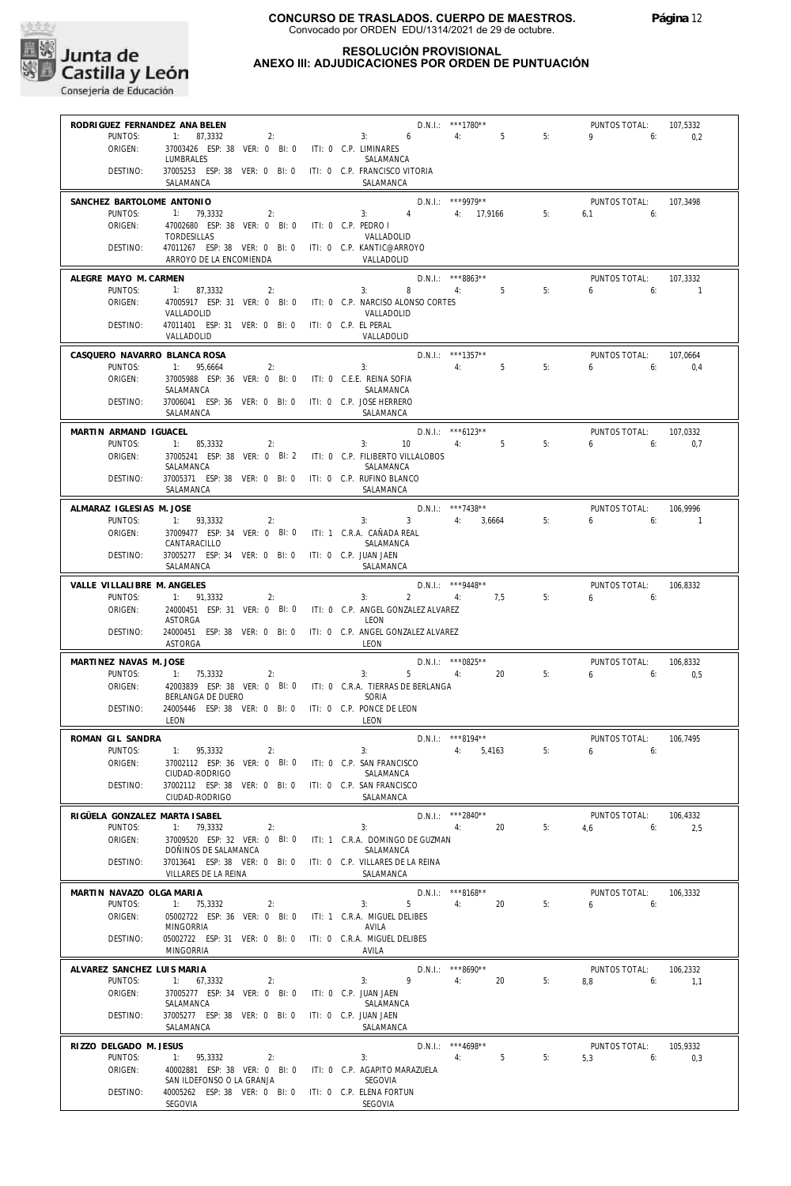

## **RESOLUCIÓN PROVISIONAL ANEXO III: ADJUDICACIONES POR ORDEN DE PUNTUACIÓN**

| RODRIGUEZ FERNANDEZ ANA BELEN     |                                                                                     |                       |                                               | D.N.I.: ***1780**              |    | PUNTOS TOTAL:                   | 107,5332             |
|-----------------------------------|-------------------------------------------------------------------------------------|-----------------------|-----------------------------------------------|--------------------------------|----|---------------------------------|----------------------|
| PUNTOS:<br>ORIGEN:                | 1: 87,3332<br>2:<br>37003426 ESP: 38 VER: 0 BI: 0 ITI: 0 C.P. LIMINARES             |                       | 3:<br>6                                       | 4:5                            | 5: | 9<br>6:                         | 0,2                  |
|                                   | LUMBRALES                                                                           |                       | SALAMANCA                                     |                                |    |                                 |                      |
| DESTINO:                          | 37005253 ESP: 38 VER: 0 BI: 0 ITI: 0 C.P. FRANCISCO VITORIA                         |                       |                                               |                                |    |                                 |                      |
|                                   | SALAMANCA                                                                           |                       | SALAMANCA                                     |                                |    |                                 |                      |
| SANCHEZ BARTOLOME ANTONIO         |                                                                                     |                       |                                               | $D.N.1.:$ ***9979**            |    | PUNTOS TOTAL:                   | 107.3498             |
| PUNTOS:<br>ORIGEN:                | 1: 79,3332<br>2:<br>47002680 ESP: 38 VER: 0 BI: 0 ITI: 0 C.P. PEDRO I               |                       | 3: 4                                          | 4: 17,9166 5:                  |    | $6.1$ $6:$                      |                      |
|                                   | <b>TORDESILLAS</b>                                                                  |                       | VALLADOLID                                    |                                |    |                                 |                      |
| DESTINO:                          | 47011267 ESP: 38 VER: 0 BI: 0 ITI: 0 C.P. KANTIC@ARROYO<br>ARROYO DE LA ENCOMIENDA  |                       | VALLADOLID                                    |                                |    |                                 |                      |
|                                   |                                                                                     |                       |                                               |                                |    |                                 |                      |
| ALEGRE MAYO M. CARMEN<br>PUNTOS:  | 1: 87,3332<br>2:                                                                    |                       | 3:<br>8                                       | $D.N.1::$ ***8863**<br>4: 5    | 5: | PUNTOS TOTAL:<br>$6 \t\t 6$     | 107,3332<br>$\sim$ 1 |
| ORIGEN:                           | 47005917 ESP: 31 VER: 0 BI: 0                                                       |                       | ITI: 0 C.P. NARCISO ALONSO CORTES             |                                |    |                                 |                      |
|                                   | VALLADOLID                                                                          |                       | VALLADOLID                                    |                                |    |                                 |                      |
| DESTINO:                          | 47011401 ESP: 31 VER: 0 BI: 0 ITI: 0 C.P. EL PERAL<br>VALLADOLID                    |                       | VALLADOLID                                    |                                |    |                                 |                      |
| CASQUERO NAVARRO BLANCA ROSA      |                                                                                     |                       |                                               | D.N.I.: ***1357**              |    | PUNTOS TOTAL:                   | 107.0664             |
| PUNTOS:                           | 1: 95,6664<br>2:                                                                    |                       | 3:                                            | 4: 5                           | 5: | $6 \t\t 6$                      | 0.4                  |
| ORIGEN:                           | 37005988 ESP: 36 VER: 0 BI: 0 ITI: 0 C.E.E. REINA SOFIA                             |                       |                                               |                                |    |                                 |                      |
| DESTINO:                          | SALAMANCA<br>37006041 ESP: 36 VER: 0 BI: 0 ITI: 0 C.P. JOSE HERRERO                 |                       | SALAMANCA                                     |                                |    |                                 |                      |
|                                   | SALAMANCA                                                                           |                       | SALAMANCA                                     |                                |    |                                 |                      |
| MARTIN ARMAND IGUACEL             |                                                                                     |                       |                                               | $D.N.1.:$ ***6123**            |    | PUNTOS TOTAL:                   | 107,0332             |
| PUNTOS:                           | 1: 85,3332<br>2:                                                                    |                       | 3:<br>10                                      | 4:5                            | 5: | $6 \t\t 6$                      | 0,7                  |
| ORIGEN:                           | 37005241 ESP: 38 VER: 0 BI: 2 ITI: 0 C.P. FILIBERTO VILLALOBOS<br>SALAMANCA         |                       |                                               |                                |    |                                 |                      |
| DESTINO:                          | 37005371 ESP: 38 VER: 0 BI: 0 ITI: 0 C.P. RUFINO BLANCO                             |                       | SALAMANCA                                     |                                |    |                                 |                      |
|                                   | SALAMANCA                                                                           |                       | SALAMANCA                                     |                                |    |                                 |                      |
| ALMARAZ IGLESIAS M. JOSE          |                                                                                     |                       |                                               | $D.N.1::$ ***7438**            |    | PUNTOS TOTAL:                   | 106,9996             |
| PUNTOS:                           | 1: 93.3332<br>2:                                                                    |                       | 3 <sup>7</sup><br>3:                          | 4: 3.6664                      | 5: | 6:6:                            | $\sim$ $\sim$ 1      |
| ORIGEN:                           | 37009477 ESP: 34 VER: 0 BI: 0 ITI: 1 C.R.A. CAÑADA REAL<br>CANTARACILLO             |                       | SALAMANCA                                     |                                |    |                                 |                      |
| DESTINO:                          | 37005277 ESP: 34 VER: 0 BI: 0 ITI: 0 C.P. JUAN JAEN                                 |                       |                                               |                                |    |                                 |                      |
|                                   | SALAMANCA                                                                           |                       | SALAMANCA                                     |                                |    |                                 |                      |
| VALLE VILLALIBRE M. ANGELES       |                                                                                     |                       |                                               | $D.N.1::$ ***9448**            |    | PUNTOS TOTAL:                   | 106,8332             |
| PUNTOS:                           | 1: 91,3332<br>2:                                                                    |                       | 3:<br>$2^{\circ}$                             | 7,5<br>4:                      | 5: | 6.6                             |                      |
| ORIGEN:                           | 24000451 ESP: 31 VER: 0 BI: 0 ITI: 0 C.P. ANGEL GONZALEZ ALVAREZ<br><b>ASTORGA</b>  |                       | LEON                                          |                                |    |                                 |                      |
| DESTINO:                          | 24000451 ESP: 38 VER: 0 BI: 0 ITI: 0 C.P. ANGEL GONZALEZ ALVAREZ                    |                       |                                               |                                |    |                                 |                      |
|                                   | <b>ASTORGA</b>                                                                      |                       | LEON                                          |                                |    |                                 |                      |
| MARTINEZ NAVAS M. JOSE<br>PUNTOS: |                                                                                     |                       | $5 - 1$<br>3:                                 | D.N.I.: *** 0825**<br>20<br>4: | 5: | PUNTOS TOTAL:<br>$6\qquad 6$    | 106,8332             |
| ORIGEN:                           | 1: 75,3332<br>2:<br>42003839 ESP: 38 VER: 0 BI: 0 ITI: 0 C.R.A. TIERRAS DE BERLANGA |                       |                                               |                                |    |                                 | 0,5                  |
|                                   | BERLANGA DE DUERO                                                                   |                       | SORIA                                         |                                |    |                                 |                      |
| DESTINO:                          | 24005446 ESP: 38 VER: 0 BI: 0 ITI: 0 C.P. PONCE DE LEON<br>LEON                     |                       | LEON                                          |                                |    |                                 |                      |
|                                   |                                                                                     |                       |                                               |                                |    |                                 |                      |
| ROMAN GIL SANDRA<br>PUNTOS:       | 1: 95.3332<br>2:                                                                    |                       | 3:                                            | D.N.I.: ***8194**<br>4: 5,4163 | 5: | PUNTOS TOTAL:<br>6 <sub>6</sub> | 106,7495             |
| ORIGEN:                           | 37002112 ESP: 36 VER: 0 BI: 0 ITI: 0 C.P. SAN FRANCISCO                             |                       |                                               |                                |    |                                 |                      |
| DESTINO:                          | CIUDAD-RODRIGO<br>37002112 ESP: 38 VER: 0 BI: 0 ITI: 0 C.P. SAN FRANCISCO           |                       | SALAMANCA                                     |                                |    |                                 |                      |
|                                   | CIUDAD-RODRIGO                                                                      |                       | SALAMANCA                                     |                                |    |                                 |                      |
| RIGÜELA GONZALEZ MARTA ISABEL     |                                                                                     |                       |                                               | D.N.I.: *** 2840**             |    | PUNTOS TOTAL:                   | 106,4332             |
| PUNTOS:                           | 1: 79,3332<br>2:                                                                    |                       | 3:                                            | 4:<br>20                       | 5: | 4,6<br>6:                       | 2,5                  |
| ORIGEN:                           | 37009520 ESP: 32 VER: 0 BI: 0                                                       |                       | ITI: 1 C.R.A. DOMINGO DE GUZMAN               |                                |    |                                 |                      |
| DESTINO:                          | DOÑINOS DE SALAMANCA<br>37013641 ESP: 38 VER: 0 BI: 0                               |                       | SALAMANCA<br>ITI: 0 C.P. VILLARES DE LA REINA |                                |    |                                 |                      |
|                                   | VILLARES DE LA REINA                                                                |                       | SALAMANCA                                     |                                |    |                                 |                      |
| MARTIN NAVAZO OLGA MARIA          |                                                                                     |                       |                                               | D.N.I.: ***8168**              |    | PUNTOS TOTAL:                   | 106,3332             |
| PUNTOS:                           | 1: 75,3332<br>2:                                                                    |                       | 3:<br>5                                       | 4:<br>20                       | 5: | 6<br>6:                         |                      |
| ORIGEN:                           | 05002722 ESP: 36 VER: 0 BI: 0<br>MINGORRIA                                          |                       | ITI: 1 C.R.A. MIGUEL DELIBES<br>AVILA         |                                |    |                                 |                      |
| DESTINO:                          | 05002722 ESP: 31 VER: 0 BI: 0                                                       |                       | ITI: 0 C.R.A. MIGUEL DELIBES                  |                                |    |                                 |                      |
|                                   | <b>MINGORRIA</b>                                                                    |                       | AVILA                                         |                                |    |                                 |                      |
| ALVAREZ SANCHEZ LUIS MARIA        |                                                                                     |                       |                                               | D.N.I.: ***8690**              |    | PUNTOS TOTAL:                   | 106,2332             |
| PUNTOS:                           | 1: 67,3332<br>2:                                                                    |                       | 9<br>3:                                       | 4:<br>20                       | 5: | 8,8<br>6:                       | 1,1                  |
| ORIGEN:                           | 37005277 ESP: 34 VER: 0 BI: 0<br>SALAMANCA                                          | ITI: 0 C.P. JUAN JAEN | SALAMANCA                                     |                                |    |                                 |                      |
| DESTINO:                          | 37005277 ESP: 38 VER: 0 BI: 0                                                       | ITI: 0 C.P. JUAN JAEN |                                               |                                |    |                                 |                      |
|                                   | SALAMANCA                                                                           |                       | SALAMANCA                                     |                                |    |                                 |                      |
| RIZZO DELGADO M. JESUS<br>PUNTOS: |                                                                                     |                       |                                               | D.N.I.: *** 4698**             |    | PUNTOS TOTAL:                   | 105,9332             |
|                                   |                                                                                     |                       |                                               |                                |    |                                 |                      |
|                                   | 1: 95,3332<br>2:                                                                    |                       | 3:                                            | 5<br>4:                        | 5: | 5,3<br>6:                       | 0,3                  |
| ORIGEN:                           | 40002881 ESP: 38 VER: 0 BI: 0<br>SAN ILDEFONSO O LA GRANJA                          |                       | ITI: 0 C.P. AGAPITO MARAZUELA<br>SEGOVIA      |                                |    |                                 |                      |
| DESTINO:                          | 40005262 ESP: 38 VER: 0 BI: 0<br>SEGOVIA                                            |                       | ITI: 0 C.P. ELENA FORTUN<br>SEGOVIA           |                                |    |                                 |                      |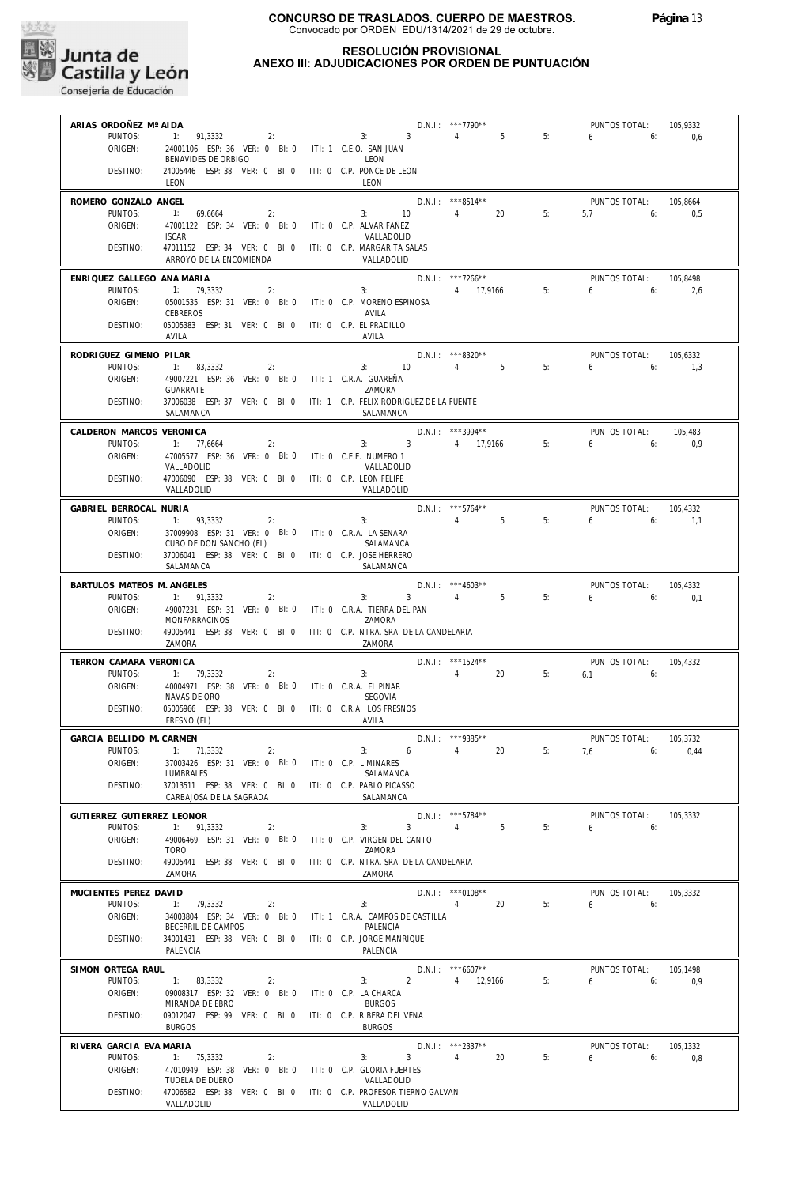

# **RESOLUCIÓN PROVISIONAL**

# **ANEXO III: ADJUDICACIONES POR ORDEN DE PUNTUACIÓN**

| ARIAS ORDOÑEZ Mª AIDA               |                                                                                           |                                                   | D.N.I.: ***7790**               |    | PUNTOS TOTAL:             | 105,9332        |
|-------------------------------------|-------------------------------------------------------------------------------------------|---------------------------------------------------|---------------------------------|----|---------------------------|-----------------|
| PUNTOS:                             | 1: 91,3332                                                                                | 2:<br>3: 3                                        | 4:<br>5                         | 5: | 6<br>6:                   | 0,6             |
| ORIGEN:                             | 24001106 ESP: 36 VER: 0 BI: 0 ITI: 1 C.E.O. SAN JUAN                                      |                                                   |                                 |    |                           |                 |
| DESTINO:                            | BENAVIDES DE ORBIGO<br>24005446 ESP: 38 VER: 0 BI: 0 ITI: 0 C.P. PONCE DE LEON            | LEON                                              |                                 |    |                           |                 |
|                                     | LEON                                                                                      | LEON                                              |                                 |    |                           |                 |
| ROMERO GONZALO ANGEL                |                                                                                           |                                                   | D.N.I.: ***8514**               |    | PUNTOS TOTAL:             | 105,8664        |
| PUNTOS:                             | 1: 69.6664<br>2:                                                                          | 3:<br>10                                          | 4:<br>20                        | 5: | 5,7<br>6:                 | 0.5             |
| ORIGEN:                             | 47001122 ESP: 34 VER: 0 BI: 0                                                             | ITI: 0 C.P. ALVAR FAÑEZ                           |                                 |    |                           |                 |
|                                     | <b>ISCAR</b>                                                                              | VALLADOLID                                        |                                 |    |                           |                 |
| DESTINO:                            | 47011152 ESP: 34 VER: 0 BI: 0 ITI: 0 C.P. MARGARITA SALAS                                 |                                                   |                                 |    |                           |                 |
|                                     | ARROYO DE LA ENCOMIENDA                                                                   | VALLADOLID                                        |                                 |    |                           |                 |
| ENRIQUEZ GALLEGO ANA MARIA          |                                                                                           |                                                   | $D.N.1::$ ***7266**             |    | PUNTOS TOTAL:             | 105,8498        |
| PUNTOS:<br>ORIGEN:                  | 1: 79,3332<br>2:<br>05001535 ESP: 31 VER: 0 BI: 0 ITI: 0 C.P. MORENO ESPINOSA             | $3:$ $3:$                                         | 4: 17,9166                      | 5: | $6 \qquad$<br>6:          | 2,6             |
|                                     | <b>CEBREROS</b>                                                                           | AVILA                                             |                                 |    |                           |                 |
| DESTINO:                            | 05005383 ESP: 31 VER: 0 BI: 0 ITI: 0 C.P. EL PRADILLO                                     |                                                   |                                 |    |                           |                 |
|                                     | AVILA                                                                                     | AVILA                                             |                                 |    |                           |                 |
| RODRIGUEZ GIMENO PILAR              |                                                                                           |                                                   | D.N.I.: ***8320**               |    | PUNTOS TOTAL:             | 105,6332        |
| PUNTOS:                             | 1: 83,3332<br>2:                                                                          | 10<br>3:                                          | 4:<br>$5^{\circ}$               | 5: | 6<br>6:                   | 1,3             |
| ORIGEN:                             | 49007221 ESP: 36 VER: 0 BI: 0                                                             | iti: 1 C.R.A. GUAREÑA                             |                                 |    |                           |                 |
| DESTINO:                            | <b>GUARRATE</b><br>37006038 ESP: 37 VER: 0 BI: 0 ITI: 1 C.P. FELIX RODRIGUEZ DE LA FUENTE | ZAMORA                                            |                                 |    |                           |                 |
|                                     | SALAMANCA                                                                                 | SALAMANCA                                         |                                 |    |                           |                 |
|                                     |                                                                                           |                                                   |                                 |    |                           |                 |
| CALDERON MARCOS VERONICA<br>PUNTOS: | 1: 77,6664<br>2:                                                                          | 3:3                                               | D.N.I.: ***3994**<br>4: 17,9166 | 5: | PUNTOS TOTAL:<br>6<br>6:  | 105,483<br>0,9  |
| ORIGEN:                             | 47005577 ESP: 36 VER: 0 BI: 0                                                             | ITI: 0 C.E.E. NUMERO 1                            |                                 |    |                           |                 |
|                                     | VALLADOLID                                                                                | VALLADOLID                                        |                                 |    |                           |                 |
| DESTINO:                            | 47006090 ESP: 38 VER: 0 BI: 0 ITI: 0 C.P. LEON FELIPE                                     |                                                   |                                 |    |                           |                 |
|                                     | VALLADOLID                                                                                | VALLADOLID                                        |                                 |    |                           |                 |
| GABRIEL BERROCAL NURIA              |                                                                                           |                                                   | $D.N.1::$ ***5764**             |    | PUNTOS TOTAL:             | 105.4332        |
| PUNTOS:                             | 1: 93,3332<br>2:                                                                          | 3:                                                | $5^{\circ}$<br>4:               | 5: | 6<br>6:                   | 1,1             |
| ORIGEN:                             | 37009908 ESP: 31 VER: 0 BI: 0 ITI: 0 C.R.A. LA SENARA<br>CUBO DE DON SANCHO (EL)          | SALAMANCA                                         |                                 |    |                           |                 |
| DESTINO:                            | 37006041 ESP: 38 VER: 0 BI: 0 ITI: 0 C.P. JOSE HERRERO                                    |                                                   |                                 |    |                           |                 |
|                                     | SALAMANCA                                                                                 | SALAMANCA                                         |                                 |    |                           |                 |
| BARTULOS MATEOS M. ANGELES          |                                                                                           |                                                   | $D.N.1::$ *** 4603**            |    | PUNTOS TOTAL:             | 105,4332        |
| PUNTOS:                             | 1: 91,3332<br>2:                                                                          | 3:<br>$3^{\circ}$                                 | 4:<br>5                         | 5: | 6<br>6:                   | 0,1             |
| ORIGEN:                             | 49007231 ESP: 31 VER: 0 BI: 0 ITI: 0 C.R.A. TIERRA DEL PAN                                |                                                   |                                 |    |                           |                 |
|                                     | MONFARRACINOS                                                                             | ZAMORA                                            |                                 |    |                           |                 |
| DESTINO:                            | 49005441 ESP: 38 VER: 0 BI: 0 ITI: 0 C.P. NTRA. SRA. DE LA CANDELARIA<br>ZAMORA           | ZAMORA                                            |                                 |    |                           |                 |
|                                     |                                                                                           |                                                   |                                 |    |                           |                 |
| TERRON CAMARA VERONICA<br>PUNTOS:   | 1: 79,3332<br>2:                                                                          | 3:                                                | D.N.I.: ***1524**<br>4: 20      | 5: | PUNTOS TOTAL:<br>$6,1$ 6: | 105,4332        |
| ORIGEN:                             | 40004971 ESP: 38 VER: 0 BI: 0 ITI: 0 C.R.A. EL PINAR                                      |                                                   |                                 |    |                           |                 |
|                                     | NAVAS DE ORO                                                                              | SEGOVIA                                           |                                 |    |                           |                 |
| DESTINO:                            | 05005966 ESP: 38 VER: 0 BI: 0 ITI: 0 C.R.A. LOS FRESNOS                                   |                                                   |                                 |    |                           |                 |
|                                     | FRESNO (EL)                                                                               | AVILA                                             |                                 |    |                           |                 |
| GARCIA BELLIDO M. CARMEN            |                                                                                           |                                                   | D.N.I.: ***9385**               |    | PUNTOS TOTAL:             | 105,3732        |
|                                     | PUNTOS: 1: 71,3332<br>2:                                                                  |                                                   | 3: $6 \t 4$ : 20                |    | 5: $7,6$ 6:               | 0,44            |
| ORIGEN:                             | 37003426 ESP: 31 VER: 0 BI: 0<br>LUMBRALES                                                | ITI: 0 C.P. LIMINARES<br>SALAMANCA                |                                 |    |                           |                 |
| DESTINO:                            | 37013511 ESP: 38 VER: 0 BI: 0                                                             | ITI: 0 C.P. PABLO PICASSO                         |                                 |    |                           |                 |
|                                     | CARBAJOSA DE LA SAGRADA                                                                   | SALAMANCA                                         |                                 |    |                           |                 |
| GUTIERREZ GUTIERREZ LEONOR          |                                                                                           |                                                   | D.N.I.: ***5784**               |    | PUNTOS TOTAL:             | 105,3332        |
| PUNTOS:                             | 1: 91,3332<br>2:                                                                          | 3:<br>3                                           | 5<br>4:                         | 5: | 6<br>6:                   |                 |
| ORIGEN:                             | 49006469 ESP: 31 VER: 0 BI: 0                                                             | ITI: 0 C.P. VIRGEN DEL CANTO                      |                                 |    |                           |                 |
|                                     | <b>TORO</b><br>49005441 ESP: 38 VER: 0 BI: 0                                              | ZAMORA                                            |                                 |    |                           |                 |
| DESTINO:                            | 7AMORA                                                                                    | ITI: 0 C.P. NTRA. SRA. DE LA CANDELARIA<br>7AMORA |                                 |    |                           |                 |
|                                     |                                                                                           |                                                   |                                 |    |                           |                 |
| MUCIENTES PEREZ DAVID<br>PUNTOS:    | 1: 79,3332<br>2:                                                                          | 3:                                                | D.N.I.: *** 0108**<br>4:<br>20  | 5: | PUNTOS TOTAL:<br>6<br>6:  | 105,3332        |
| ORIGEN:                             | 34003804 ESP: 34 VER: 0 BI: 0 ITI: 1 C.R.A. CAMPOS DE CASTILLA                            |                                                   |                                 |    |                           |                 |
|                                     | BECERRIL DE CAMPOS                                                                        | PALENCIA                                          |                                 |    |                           |                 |
| DESTINO:                            | 34001431 ESP: 38 VER: 0 BI: 0                                                             | ITI: 0 C.P. JORGE MANRIQUE                        |                                 |    |                           |                 |
|                                     | PALENCIA                                                                                  | PALENCIA                                          |                                 |    |                           |                 |
| SIMON ORTEGA RAUL                   |                                                                                           |                                                   | $D.N.1.:$ *** 6607**            |    | PUNTOS TOTAL:             | 105,1498        |
| PUNTOS:                             | 1: 83,3332<br>2:                                                                          | $2^{\circ}$<br>3:                                 | 4: 12,9166                      | 5: | 6<br>6:                   | 0.9             |
| ORIGEN:                             | 09008317 ESP: 32 VER: 0 BI: 0                                                             | ITI: 0 C.P. LA CHARCA<br><b>BURGOS</b>            |                                 |    |                           |                 |
| DESTINO:                            | MIRANDA DE EBRO<br>09012047 ESP: 99 VER: 0 BI: 0                                          | ITI: 0 C.P. RIBERA DEL VENA                       |                                 |    |                           |                 |
|                                     | <b>BURGOS</b>                                                                             | <b>BURGOS</b>                                     |                                 |    |                           |                 |
|                                     |                                                                                           |                                                   |                                 |    |                           |                 |
| RIVERA GARCIA EVA MARIA<br>PUNTOS:  | 1: 75,3332<br>2:                                                                          | 3 <sup>7</sup><br>3:                              | D.N.I.: ***2337**<br>4:<br>20   | 5: | PUNTOS TOTAL:<br>6<br>6:  | 105,1332<br>0,8 |
| ORIGEN:                             | 47010949 ESP: 38 VER: 0 BI: 0                                                             | ITI: 0 C.P. GLORIA FUERTES                        |                                 |    |                           |                 |
|                                     | TUDELA DE DUERO                                                                           | VALLADOLID                                        |                                 |    |                           |                 |
| DESTINO:                            | 47006582 ESP: 38 VER: 0 BI: 0                                                             | ITI: 0 C.P. PROFESOR TIERNO GALVAN                |                                 |    |                           |                 |
|                                     | VALLADOLID                                                                                | VALLADOLID                                        |                                 |    |                           |                 |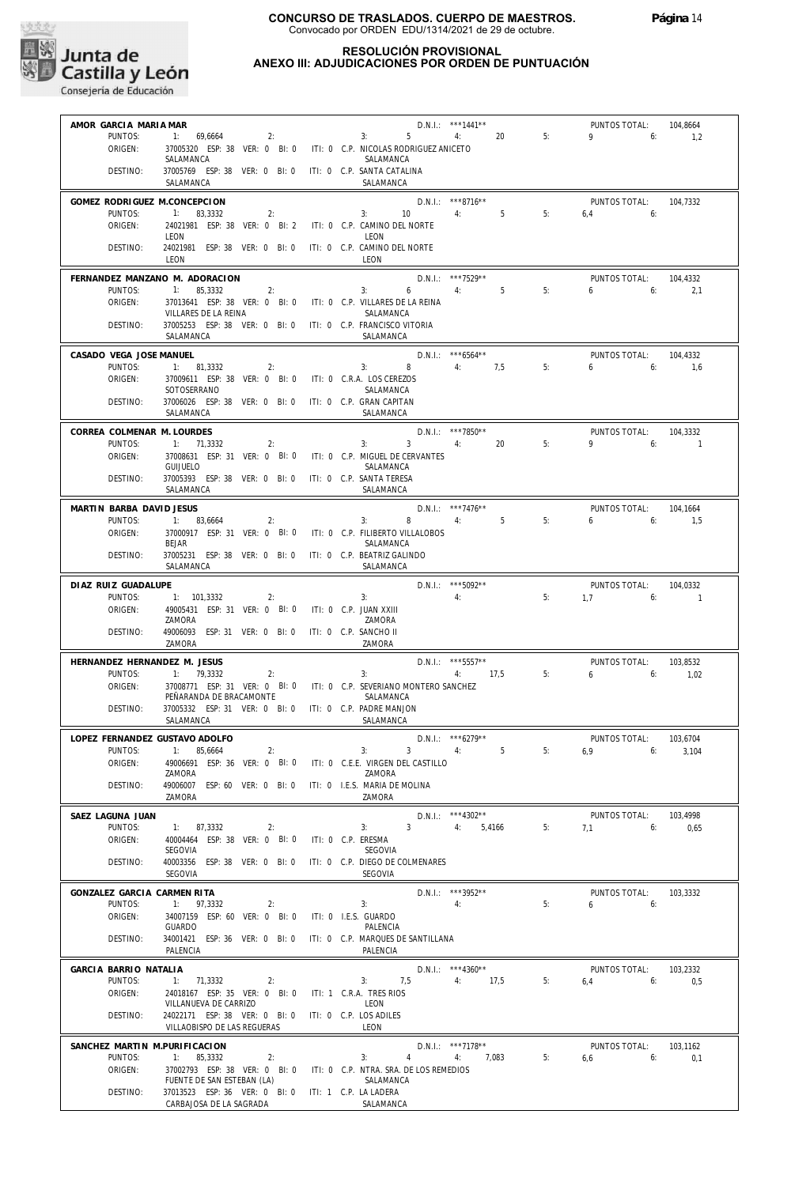

## **RESOLUCIÓN PROVISIONAL ANEXO III: ADJUDICACIONES POR ORDEN DE PUNTUACIÓN**

| AMOR GARCIA MARIA MAR         |                                                                                   |                    | $D.N.1::$ ***1441**                        |                | PUNTOS TOTAL:     | 104,8664    |
|-------------------------------|-----------------------------------------------------------------------------------|--------------------|--------------------------------------------|----------------|-------------------|-------------|
| PUNTOS:                       | 1: 69.6664<br>2:                                                                  |                    | 5 <sup>5</sup><br>4:<br>3:                 | 20<br>5:       | $9 \t\t 6$        | 1,2         |
| ORIGEN:                       | 37005320 ESP: 38 VER: 0 BI: 0 ITI: 0 C.P. NICOLAS RODRIGUEZ ANICETO               |                    |                                            |                |                   |             |
|                               | SALAMANCA                                                                         |                    | SALAMANCA                                  |                |                   |             |
| DESTINO:                      | 37005769 ESP: 38 VER: 0 BI: 0 ITI: 0 C.P. SANTA CATALINA                          |                    |                                            |                |                   |             |
|                               | SALAMANCA                                                                         |                    | SALAMANCA                                  |                |                   |             |
|                               |                                                                                   |                    |                                            |                |                   |             |
| GOMEZ RODRIGUEZ M.CONCEPCION  |                                                                                   |                    | D.N.I.: ***8716**                          |                | PUNTOS TOTAL:     | 104,7332    |
| PUNTOS:                       | 1: 83,3332<br>2:                                                                  |                    | $3: 10 \t 4: 5$                            | 5:             | $6.4$ $6:$        |             |
| ORIGEN:                       | 24021981 ESP: 38 VER: 0 BI: 2 ITI: 0 C.P. CAMINO DEL NORTE                        |                    |                                            |                |                   |             |
|                               | LEON                                                                              |                    | LEON                                       |                |                   |             |
| DESTINO:                      | 24021981 ESP: 38 VER: 0 BI: 0 ITI: 0 C.P. CAMINO DEL NORTE                        |                    |                                            |                |                   |             |
|                               | LEON                                                                              |                    | LEON                                       |                |                   |             |
|                               | FERNANDEZ MANZANO M. ADORACION                                                    |                    | D.N.I.: ***7529**                          |                | PUNTOS TOTAL:     | 104.4332    |
| PUNTOS:                       | 1: 85,3332<br>$\sim$ 2:                                                           |                    | 3:<br>$6 \qquad \qquad 4$                  | 5 <sup>5</sup> | 5:<br>$6\qquad 6$ | 2,1         |
| ORIGEN:                       | 37013641 ESP: 38 VER: 0 BI: 0 ITI: 0 C.P. VILLARES DE LA REINA                    |                    |                                            |                |                   |             |
|                               | VILLARES DE LA REINA                                                              |                    | SALAMANCA                                  |                |                   |             |
| DESTINO:                      | 37005253 ESP: 38 VER: 0 BI: 0 ITI: 0 C.P. FRANCISCO VITORIA                       |                    |                                            |                |                   |             |
|                               | SALAMANCA                                                                         |                    | SALAMANCA                                  |                |                   |             |
|                               |                                                                                   |                    |                                            |                |                   |             |
| CASADO VEGA JOSE MANUEL       |                                                                                   |                    | D.N.I.: ***6564**                          |                | PUNTOS TOTAL:     | 104,4332    |
| PUNTOS:                       | 1: 81,3332<br>2:                                                                  |                    | 3: 8 4: 7,5                                |                | 655<br>5:         | 1.6         |
| ORIGEN:                       | 37009611 ESP: 38 VER: 0 BI: 0 ITI: 0 C.R.A. LOS CEREZOS                           |                    |                                            |                |                   |             |
|                               | SOTOSERRANO                                                                       |                    | SALAMANCA                                  |                |                   |             |
| DESTINO:                      | 37006026 ESP: 38 VER: 0 BI: 0 ITI: 0 C.P. GRAN CAPITAN                            |                    |                                            |                |                   |             |
|                               | SALAMANCA                                                                         |                    | SALAMANCA                                  |                |                   |             |
|                               |                                                                                   |                    |                                            |                |                   |             |
| CORREA COLMENAR M. LOURDES    |                                                                                   |                    | D.N.I.: ***7850**                          |                | PUNTOS TOTAL:     | 104.3332    |
| PUNTOS:                       | 1: 71,3332<br>2:                                                                  |                    | $3 \sim 3$<br>4:<br>3:                     | 20<br>5:       | $9 \t\t 6$        | $\sim$ 1    |
| ORIGEN:                       | 37008631 ESP: 31 VER: 0 BI: 0 ITI: 0 C.P. MIGUEL DE CERVANTES                     |                    |                                            |                |                   |             |
|                               | <b>GUIJUELO</b>                                                                   |                    | SALAMANCA                                  |                |                   |             |
| DESTINO:                      | 37005393 ESP: 38 VER: 0 BI: 0 ITI: 0 C.P. SANTA TERESA                            |                    |                                            |                |                   |             |
|                               | SALAMANCA                                                                         |                    | SALAMANCA                                  |                |                   |             |
| MARTIN BARBA DAVID JESUS      |                                                                                   |                    | D.N.I.: ***7476**                          |                | PUNTOS TOTAL:     | 104,1664    |
| PUNTOS:                       | 1: 83,6664<br>2:                                                                  |                    | 8 4: 5<br>3:                               | 5:             | 6.6               | 1.5         |
| ORIGEN:                       | 37000917 ESP: 31 VER: 0 BI: 0 ITI: 0 C.P. FILIBERTO VILLALOBOS                    |                    |                                            |                |                   |             |
|                               | <b>BEJAR</b>                                                                      |                    | SALAMANCA                                  |                |                   |             |
| DESTINO:                      | 37005231 ESP: 38 VER: 0 BI: 0                                                     |                    | ITI: 0 C.P. BEATRIZ GALINDO                |                |                   |             |
|                               | SALAMANCA                                                                         |                    | SALAMANCA                                  |                |                   |             |
|                               |                                                                                   |                    | $D.N.1.:$ ***5092**                        |                |                   |             |
| DIAZ RUIZ GUADALUPE           |                                                                                   |                    |                                            |                | PUNTOS TOTAL:     | 104.0332    |
| PUNTOS:                       | 1: 101,3332<br>2:                                                                 |                    | 4:<br>3:                                   |                | 5:<br>$1.7$ 6:    | $\sim$ 1    |
|                               |                                                                                   |                    |                                            |                |                   |             |
| ORIGEN:                       | 49005431 ESP: 31 VER: 0 BI: 0 ITI: 0 C.P. JUAN XXIII                              |                    |                                            |                |                   |             |
|                               | ZAMORA                                                                            |                    | ZAMORA                                     |                |                   |             |
| DESTINO:                      | 49006093 ESP: 31 VER: 0 BI: 0 ITI: 0 C.P. SANCHO II                               |                    |                                            |                |                   |             |
|                               | ZAMORA                                                                            |                    | ZAMORA                                     |                |                   |             |
| HERNANDEZ HERNANDEZ M. JESUS  |                                                                                   |                    |                                            |                | PUNTOS TOTAL:     | 103,8532    |
| PUNTOS:                       | 1: 79,3332<br>2:                                                                  |                    | D.N.I.: *** 5557**<br>3:                   | 4: 17.5        | 5:<br>6.6.6       | 1,02        |
| ORIGEN:                       | 37008771 ESP: 31 VER: 0 BI: 0 ITI: 0 C.P. SEVERIANO MONTERO SANCHEZ               |                    |                                            |                |                   |             |
|                               | PEÑARANDA DE BRACAMONTE                                                           |                    | SALAMANCA                                  |                |                   |             |
| DESTINO:                      | 37005332 ESP: 31 VER: 0 BI: 0 ITI: 0 C.P. PADRE MANJON                            |                    |                                            |                |                   |             |
|                               | SALAMANCA                                                                         |                    | SALAMANCA                                  |                |                   |             |
|                               |                                                                                   |                    |                                            |                |                   |             |
|                               | LOPEZ FERNANDEZ GUSTAVO ADOLFO                                                    |                    | $D.N.1::***6279***$                        |                | PUNTOS TOTAL:     | 103,6704    |
| PUNTOS:                       | 1: 85,6664<br>2:                                                                  |                    | $3 \qquad \qquad 4: \qquad \qquad 5$<br>3: | 5:             | 6.9               | 3.104<br>6: |
| ORIGEN:                       | 49006691 ESP: 36 VER: 0 BI: 0                                                     |                    | ITI: 0 C.E.E. VIRGEN DEL CASTILLO          |                |                   |             |
|                               | ZAMORA                                                                            |                    | ZAMORA                                     |                |                   |             |
| DESTINO:                      | 49006007 ESP: 60 VER: 0 BI: 0                                                     |                    | ITI: 0 I.E.S. MARIA DE MOLINA              |                |                   |             |
|                               | ZAMORA                                                                            |                    | ZAMORA                                     |                |                   |             |
| SAEZ LAGUNA JUAN              |                                                                                   |                    | $D.N.1::$ ***4302**                        |                | PUNTOS TOTAL:     | 103,4998    |
| PUNTOS:                       | 1: 87,3332<br>2:                                                                  |                    | 3 <sup>1</sup><br>3:<br>4:                 | 5:<br>5,4166   | 7,1               | 6:<br>0,65  |
| ORIGEN:                       | 40004464 ESP: 38 VER: 0 BI: 0                                                     | ITI: 0 C.P. ERESMA |                                            |                |                   |             |
|                               | SEGOVIA                                                                           |                    | SEGOVIA                                    |                |                   |             |
| DESTINO:                      | 40003356 ESP: 38 VER: 0 BI: 0                                                     |                    | ITI: 0 C.P. DIEGO DE COLMENARES            |                |                   |             |
|                               | SEGOVIA                                                                           |                    | <b>SEGOVIA</b>                             |                |                   |             |
|                               |                                                                                   |                    |                                            |                |                   |             |
| GONZALEZ GARCIA CARMEN RITA   |                                                                                   |                    | D.N.I.: ***3952**                          |                | PUNTOS TOTAL:     | 103,3332    |
| PUNTOS:                       | 1: 97,3332<br>2:                                                                  |                    | 3:<br>4:                                   | 5:             | 6                 | 6:          |
| ORIGEN:                       | 34007159 ESP: 60 VER: 0 BI: 0                                                     |                    | ITI: 0 I.E.S. GUARDO                       |                |                   |             |
|                               | GUARDO                                                                            |                    | PALENCIA                                   |                |                   |             |
| DESTINO:                      | 34001421 ESP: 36 VER: 0 BI: 0                                                     |                    | ITI: 0 C.P. MARQUES DE SANTILLANA          |                |                   |             |
|                               | PALENCIA                                                                          |                    | PALENCIA                                   |                |                   |             |
| GARCIA BARRIO NATALIA         |                                                                                   |                    | $D.N.1.:$ ***4360**                        |                | PUNTOS TOTAL:     | 103,2332    |
| PUNTOS:                       | 1: 71,3332<br>2:                                                                  |                    | 3:<br>7,5<br>4:                            | 17,5<br>5:     | 6:<br>6,4         | 0,5         |
| ORIGEN:                       | 24018167 ESP: 35 VER: 0 BI: 0                                                     |                    | ITI: 1 C.R.A. TRES RIOS                    |                |                   |             |
|                               | VILLANUEVA DE CARRIZO                                                             |                    | LEON                                       |                |                   |             |
| DESTINO:                      | 24022171 ESP: 38 VER: 0 BI: 0                                                     |                    | ITI: 0 C.P. LOS ADILES                     |                |                   |             |
|                               | VILLAOBISPO DE LAS REGUERAS                                                       |                    | LEON                                       |                |                   |             |
|                               |                                                                                   |                    |                                            |                |                   |             |
| SANCHEZ MARTIN M.PURIFICACION |                                                                                   |                    | D.N.I.: ***7178**                          |                | PUNTOS TOTAL:     | 103,1162    |
| PUNTOS:                       | 1: 85,3332<br>2:                                                                  |                    | 3:<br>$\overline{4}$<br>4:                 | 7,083          | 5:<br>6,6         | 6:<br>0,1   |
| ORIGEN:                       | 37002793 ESP: 38 VER: 0 BI: 0                                                     |                    | ITI: 0 C.P. NTRA. SRA. DE LOS REMEDIOS     |                |                   |             |
| DESTINO:                      | FUENTE DE SAN ESTEBAN (LA)<br>37013523 ESP: 36 VER: 0 BI: 0 ITI: 1 C.P. LA LADERA |                    | SALAMANCA                                  |                |                   |             |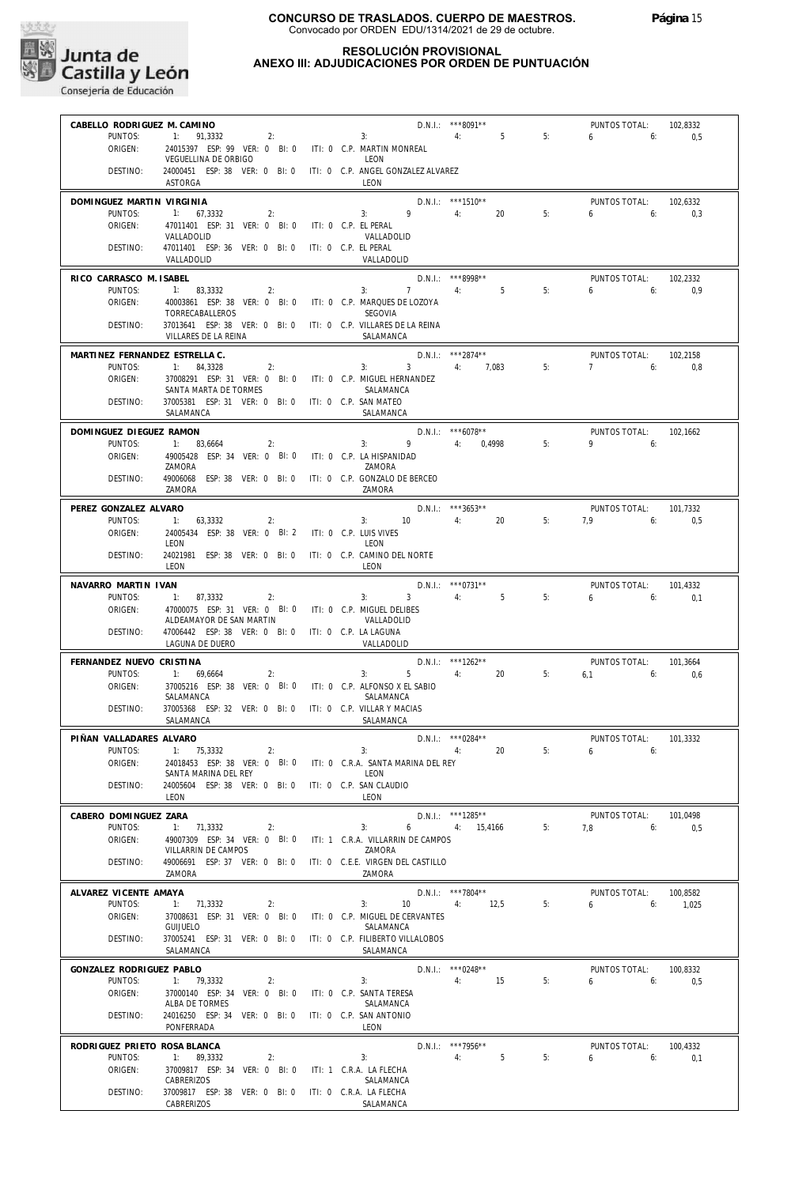

## **RESOLUCIÓN PROVISIONAL ANEXO III: ADJUDICACIONES POR ORDEN DE PUNTUACIÓN**

| CABELLO RODRIGUEZ M. CAMINO         |                                                                                     |                                              |                                        |    |                                            |                 |
|-------------------------------------|-------------------------------------------------------------------------------------|----------------------------------------------|----------------------------------------|----|--------------------------------------------|-----------------|
|                                     | $1: 91,3332$ 2:                                                                     |                                              | $D.N.1.:$ ***8091**<br>3: 4: 5         |    | PUNTOS TOTAL:<br>$6 \t\t 6$                | 102,8332        |
| PUNTOS:<br>ORIGEN:                  | 24015397 ESP: 99 VER: 0 BI: 0 ITI: 0 C.P. MARTIN MONREAL                            |                                              |                                        | 5: |                                            | 0,5             |
|                                     | VEGUELLINA DE ORBIGO                                                                | <b>I FON</b>                                 |                                        |    |                                            |                 |
| DESTINO:                            | 24000451 ESP: 38 VER: 0 BI: 0 ITI: 0 C.P. ANGEL GONZALEZ ALVAREZ                    |                                              |                                        |    |                                            |                 |
|                                     | <b>ASTORGA</b>                                                                      | LEON                                         |                                        |    |                                            |                 |
| DOMINGUEZ MARTIN VIRGINIA           |                                                                                     |                                              | D.N.I.: ***1510**                      |    | PUNTOS TOTAL:                              | 102.6332        |
| PUNTOS:                             | 1: 67,3332<br>2:                                                                    |                                              | $3: 9 \t 4: 20$                        | 5: | 6 6: 0.3                                   |                 |
| ORIGEN:                             | 47011401 ESP: 31 VER: 0 BI: 0 ITI: 0 C.P. EL PERAL                                  |                                              |                                        |    |                                            |                 |
| DESTINO:                            | VALLADOLID<br>47011401 ESP: 36 VER: 0 BI: 0 ITI: 0 C.P. EL PERAL                    | VALLADOLID                                   |                                        |    |                                            |                 |
|                                     | VALLADOLID                                                                          | VALLADOLID                                   |                                        |    |                                            |                 |
|                                     |                                                                                     |                                              | $D.N.1.:$ ***8998**                    |    |                                            |                 |
| RICO CARRASCO M. ISABEL<br>PUNTOS:  | 1: 83,3332<br>2:                                                                    |                                              | 3: 7: 4: 5                             | 5: | PUNTOS TOTAL:<br>$6 \t\t 6: \t\t 0.9$      | 102,2332        |
| ORIGEN:                             | 40003861 ESP: 38 VER: 0 BI: 0 ITI: 0 C.P. MARQUES DE LOZOYA                         |                                              |                                        |    |                                            |                 |
|                                     | TORRECABALLEROS                                                                     | SEGOVIA                                      |                                        |    |                                            |                 |
| DESTINO:                            | 37013641 ESP: 38 VER: 0 BI: 0 ITI: 0 C.P. VILLARES DE LA REINA                      |                                              |                                        |    |                                            |                 |
|                                     | VILLARES DE LA REINA                                                                | SALAMANCA                                    |                                        |    |                                            |                 |
| MARTINEZ FERNANDEZ ESTRELLA C.      |                                                                                     |                                              | $D.N.1.:$ ***2874**                    |    | PUNTOS TOTAL:                              | 102.2158        |
| PUNTOS:                             | 1: 84,3328<br>2:                                                                    |                                              | $3: 3 \t 4: 7,083$                     | 5: | $7 \t\t 6: \t\t 0.8$                       |                 |
| ORIGEN:                             | 37008291 ESP: 31 VER: 0 BI: 0 ITI: 0 C.P. MIGUEL HERNANDEZ<br>SANTA MARTA DE TORMES | SALAMANCA                                    |                                        |    |                                            |                 |
| DESTINO:                            | 37005381 ESP: 31 VER: 0 BI: 0 ITI: 0 C.P. SAN MATEO                                 |                                              |                                        |    |                                            |                 |
|                                     | SALAMANCA                                                                           | SALAMANCA                                    |                                        |    |                                            |                 |
| DOMINGUEZ DIEGUEZ RAMON             |                                                                                     |                                              | $D.N.1.:$ ***6078**                    |    | PUNTOS TOTAL:                              | 102,1662        |
| PUNTOS:                             | 1: 83,6664<br>2:                                                                    |                                              | $3: 9 \t 4: 0.4998$                    | 5: | $9 \t\t 6$                                 |                 |
| ORIGEN:                             | 49005428 ESP: 34 VER: 0 BI: 0 ITI: 0 C.P. LA HISPANIDAD                             |                                              |                                        |    |                                            |                 |
|                                     | ZAMORA                                                                              | ZAMORA                                       |                                        |    |                                            |                 |
| DESTINO:                            | 49006068 ESP: 38 VER: 0 BI: 0 ITI: 0 C.P. GONZALO DE BERCEO<br>ZAMORA               | 7AMORA                                       |                                        |    |                                            |                 |
|                                     |                                                                                     |                                              |                                        |    |                                            |                 |
| PEREZ GONZALEZ ALVARO               |                                                                                     |                                              | $D.N.1.:$ ***3653**<br>$3: 10$ 4: 20   |    | PUNTOS TOTAL:<br>7.9 6: 0.5                | 101,7332        |
| PUNTOS:<br>ORIGEN:                  | 2:<br>1: 63,3332<br>24005434 ESP: 38 VER: 0 BI: 2 ITI: 0 C.P. LUIS VIVES            |                                              |                                        | 5: |                                            |                 |
|                                     | LEON                                                                                | LEON                                         |                                        |    |                                            |                 |
| DESTINO:                            | 24021981 ESP: 38 VER: 0 BI: 0 ITI: 0 C.P. CAMINO DEL NORTE                          |                                              |                                        |    |                                            |                 |
|                                     | LEON                                                                                | LEON                                         |                                        |    |                                            |                 |
| NAVARRO MARTIN IVAN                 |                                                                                     |                                              | $D.N.1.:$ *** 0731**                   |    | PUNTOS TOTAL:                              | 101,4332        |
| PUNTOS:                             | 1: 87,3332<br>2:                                                                    | 3:                                           | $3 \t\t 4$ : 5                         | 5: | 6.6                                        | 0,1             |
| ORIGEN:                             | 47000075 ESP: 31 VER: 0 BI: 0 ITI: 0 C.P. MIGUEL DELIBES                            |                                              |                                        |    |                                            |                 |
| DESTINO:                            | ALDEAMAYOR DE SAN MARTIN<br>47006442 ESP: 38 VER: 0 BI: 0 ITI: 0 C.P. LA LAGUNA     | VALLADOLID                                   |                                        |    |                                            |                 |
|                                     | Laguna de Duero                                                                     | VALLADOLID                                   |                                        |    |                                            |                 |
|                                     |                                                                                     |                                              |                                        |    |                                            |                 |
| FERNANDEZ NUEVO CRISTINA<br>PUNTOS: | 1: 69.6664<br>2:                                                                    | 3:                                           | $D.N.1.:$ ***1262**<br>$5 \t 4: \t 20$ | 5: | PUNTOS TOTAL: 101,3664<br>$6.1$ $6:$ $0.6$ |                 |
| ORIGEN:                             | 37005216 ESP: 38 VER: 0 BI: 0 ITI: 0 C.P. ALFONSO X EL SABIO                        |                                              |                                        |    |                                            |                 |
|                                     | SALAMANCA                                                                           | SALAMANCA                                    |                                        |    |                                            |                 |
| DESTINO:                            |                                                                                     |                                              |                                        |    |                                            |                 |
|                                     | 37005368 ESP: 32 VER: 0 BI: 0 ITI: 0 C.P. VILLAR Y MACIAS                           |                                              |                                        |    |                                            |                 |
|                                     | SALAMANCA                                                                           | SALAMANCA                                    |                                        |    |                                            |                 |
| PIÑAN VALLADARES ALVARO             |                                                                                     |                                              | D.N.I.: ***0284**                      |    | PUNTOS TOTAL:                              | 101,3332        |
|                                     | PUNTOS: 1: 75,3332<br>2:                                                            | 3:                                           | 20<br>4:                               | 5: | 6.6                                        |                 |
| ORIGEN:                             | 24018453 ESP: 38 VER: 0 BI: 0 ITI: 0 C.R.A. SANTA MARINA DEL REY                    |                                              |                                        |    |                                            |                 |
| DESTINO:                            | SANTA MARINA DEL REY<br>24005604 ESP: 38 VER: 0 BI: 0                               | LEON<br>ITI: 0 C.P. SAN CLAUDIO              |                                        |    |                                            |                 |
|                                     | LEON                                                                                | LEON                                         |                                        |    |                                            |                 |
|                                     |                                                                                     |                                              |                                        |    | PUNTOS TOTAL:                              |                 |
| CABERO DOMINGUEZ ZARA<br>PUNTOS:    | 1: 71.3332<br>2:                                                                    | 3:                                           | D.N.I.: ***1285**<br>6<br>4: 15,4166   | 5: | 7,8<br>6:                                  | 101,0498<br>0,5 |
| ORIGEN:                             | 49007309 ESP: 34 VER: 0 BI: 0                                                       | ITI: 1 C.R.A. VILLARRIN DE CAMPOS            |                                        |    |                                            |                 |
|                                     | VILLARRIN DE CAMPOS                                                                 | ZAMORA                                       |                                        |    |                                            |                 |
| DESTINO:                            | 49006691 ESP: 37 VER: 0 BI: 0                                                       | ITI: 0 C.E.E. VIRGEN DEL CASTILLO            |                                        |    |                                            |                 |
|                                     | ZAMORA                                                                              | ZAMORA                                       |                                        |    |                                            |                 |
| ALVAREZ VICENTE AMAYA               |                                                                                     |                                              | $D.N.1::$ ***7804**                    |    | PUNTOS TOTAL:                              | 100,8582        |
| PUNTOS:                             | 1: 71,3332<br>2:                                                                    | 3:                                           | 12,5<br>10<br>4:                       | 5: | 6<br>6:                                    | 1,025           |
| ORIGEN:                             | 37008631 ESP: 31 VER: 0 BI: 0<br><b>GUIJUELO</b>                                    | ITI: 0 C.P. MIGUEL DE CERVANTES<br>SALAMANCA |                                        |    |                                            |                 |
| DESTINO:                            | 37005241 ESP: 31 VER: 0 BI: 0                                                       | ITI: 0 C.P. FILIBERTO VILLALOBOS             |                                        |    |                                            |                 |
|                                     | SALAMANCA                                                                           | SALAMANCA                                    |                                        |    |                                            |                 |
| GONZALEZ RODRIGUEZ PABLO            |                                                                                     |                                              | D.N.I.: ***0248**                      |    | PUNTOS TOTAL:                              | 100,8332        |
| PUNTOS:                             | 1: 79,3332<br>2:                                                                    | 3:                                           | 4:<br>15                               | 5: | 6:<br>6                                    | 0,5             |
| ORIGEN:                             | 37000140 ESP: 34 VER: 0 BI: 0                                                       | ITI: 0 C.P. SANTA TERESA                     |                                        |    |                                            |                 |
|                                     | ALBA DE TORMES                                                                      | SALAMANCA                                    |                                        |    |                                            |                 |
| DESTINO:                            | 24016250 ESP: 34 VER: 0 BI: 0<br>PONFERRADA                                         | ITI: 0 C.P. SAN ANTONIO<br>LEON              |                                        |    |                                            |                 |
|                                     |                                                                                     |                                              |                                        |    |                                            |                 |
| RODRIGUEZ PRIETO ROSA BLANCA        |                                                                                     |                                              | D.N.I.: ***7956**                      |    | PUNTOS TOTAL:                              | 100,4332        |
| PUNTOS:<br>ORIGEN:                  | 1: 89,3332<br>2:<br>37009817 ESP: 34 VER: 0 BI: 0                                   | 3:<br>ITI: 1 C.R.A. LA FLECHA                | 5<br>4:                                | 5: | 6<br>6:                                    | 0,1             |
|                                     | <b>CABRERIZOS</b>                                                                   | SALAMANCA                                    |                                        |    |                                            |                 |
| DESTINO:                            | 37009817 ESP: 38 VER: 0 BI: 0<br>CABRERIZOS                                         | ITI: 0 C.R.A. LA FLECHA<br>SALAMANCA         |                                        |    |                                            |                 |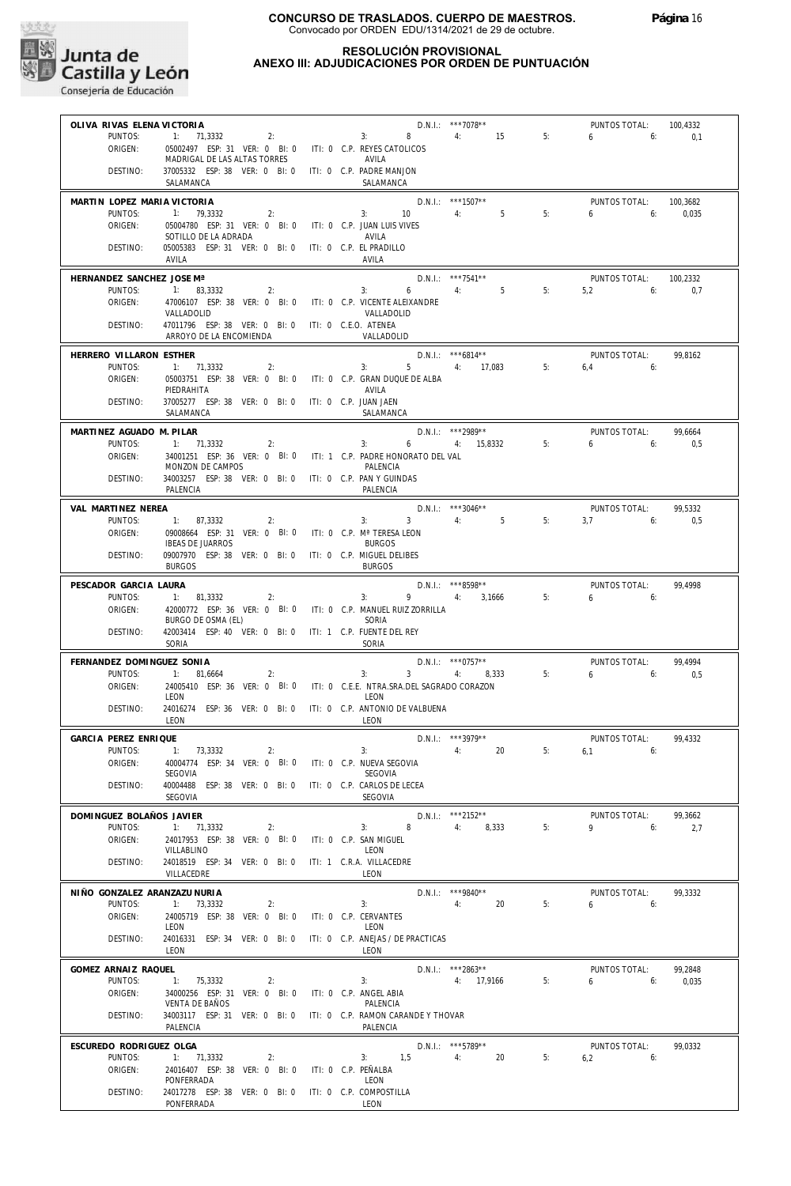

## **RESOLUCIÓN PROVISIONAL ANEXO III: ADJUDICACIONES POR ORDEN DE PUNTUACIÓN**

| OLIVA RIVAS ELENA VICTORIA           |                                                                                  |  |                                    | D.N.I.: ***7078**               |    | PUNTOS TOTAL:                | 100,4332 |
|--------------------------------------|----------------------------------------------------------------------------------|--|------------------------------------|---------------------------------|----|------------------------------|----------|
| PUNTOS:                              | 2:<br>1: 71.3332                                                                 |  | $8 - 1$<br>3:                      | 4: 15                           | 5: | $6\overline{)}$<br>6:        | 0,1      |
| ORIGEN:                              | 05002497 ESP: 31 VER: 0 BI: 0 ITI: 0 C.P. REYES CATOLICOS                        |  |                                    |                                 |    |                              |          |
|                                      | MADRIGAL DE LAS ALTAS TORRES                                                     |  | AVILA                              |                                 |    |                              |          |
| DESTINO:                             | 37005332 ESP: 38 VER: 0 BI: 0 ITI: 0 C.P. PADRE MANJON                           |  |                                    |                                 |    |                              |          |
|                                      | SALAMANCA                                                                        |  | SALAMANCA                          |                                 |    |                              |          |
| MARTIN LOPEZ MARIA VICTORIA          |                                                                                  |  |                                    | D.N.I.: ***1507**               |    | PUNTOS TOTAL:                | 100,3682 |
| PUNTOS:                              | 1: 79.3332<br>2:                                                                 |  | 3:<br>10                           | $5^{\circ}$<br>4:               | 5: | 6<br>6:                      | 0,035    |
| ORIGEN:                              | 05004780 ESP: 31 VER: 0 BI: 0<br>SOTILLO DE LA ADRADA                            |  | ITI: 0 C.P. JUAN LUIS VIVES        |                                 |    |                              |          |
| DESTINO:                             | 05005383 ESP: 31 VER: 0 BI: 0                                                    |  | AVILA<br>ITI: 0 C.P. EL PRADILLO   |                                 |    |                              |          |
|                                      | AVILA                                                                            |  | AVILA                              |                                 |    |                              |          |
|                                      |                                                                                  |  |                                    |                                 |    |                              |          |
| HERNANDEZ SANCHEZ JOSE Mª<br>PUNTOS: |                                                                                  |  |                                    | $D.N.1::$ ***7541**<br>4:5      | 5: | PUNTOS TOTAL:                | 100,2332 |
| ORIGEN:                              | 1: 83,3332<br>2:<br>47006107 ESP: 38 VER: 0 BI: 0 ITI: 0 C.P. VICENTE ALEIXANDRE |  | 3:<br>6                            |                                 |    | 5.2<br>6:                    | 0,7      |
|                                      | VALLADOLID                                                                       |  | VALLADOLID                         |                                 |    |                              |          |
| DESTINO:                             | 47011796 ESP: 38 VER: 0 BI: 0 ITI: 0 C.E.O. ATENEA                               |  |                                    |                                 |    |                              |          |
|                                      | ARROYO DE LA ENCOMIENDA                                                          |  | VALLADOLID                         |                                 |    |                              |          |
| HERRERO VILLARON ESTHER              |                                                                                  |  |                                    | $D.N.1::$ ***6814**             |    | PUNTOS TOTAL:                | 99,8162  |
| PUNTOS:                              | 1: 71,3332<br>2:                                                                 |  | 3:<br>$5 -$                        | 4: 17,083                       | 5: | 6,4<br>6:                    |          |
| ORIGEN:                              | 05003751 ESP: 38 VER: 0 BI: 0                                                    |  | ITI: 0 C.P. GRAN DUQUE DE ALBA     |                                 |    |                              |          |
|                                      | PIEDRAHITA                                                                       |  | AVILA                              |                                 |    |                              |          |
| DESTINO:                             | 37005277 ESP: 38 VER: 0 BI: 0 ITI: 0 C.P. JUAN JAEN                              |  |                                    |                                 |    |                              |          |
|                                      | SALAMANCA                                                                        |  | SALAMANCA                          |                                 |    |                              |          |
| MARTINEZ AGUADO M. PILAR             |                                                                                  |  |                                    | D.N.I.: ***2989**               |    | PUNTOS TOTAL:                | 99,6664  |
| PUNTOS:                              | 1: 71.3332<br>2:                                                                 |  | 6<br>3:                            | 4: 15,8332                      | 5: | 6<br>6:                      | 0,5      |
| ORIGEN:                              | 34001251 ESP: 36 VER: 0 BI: 0 ITI: 1 C.P. PADRE HONORATO DEL VAL                 |  |                                    |                                 |    |                              |          |
|                                      | MONZON DE CAMPOS                                                                 |  | PALENCIA                           |                                 |    |                              |          |
| DESTINO:                             | 34003257 ESP: 38 VER: 0 BI: 0 ITI: 0 C.P. PAN Y GUINDAS                          |  |                                    |                                 |    |                              |          |
|                                      | PALENCIA                                                                         |  | PALENCIA                           |                                 |    |                              |          |
| VAL MARTINEZ NEREA                   |                                                                                  |  |                                    | $D.N.1::$ ***3046**             |    | PUNTOS TOTAL:                | 99.5332  |
| PUNTOS:                              | 2:<br>1: 87,3332                                                                 |  | $3^{\circ}$<br>3:                  | 4:<br>$5 - 5$                   | 5: | 3,7<br>6:                    | 0,5      |
| ORIGEN:                              | 09008664 ESP: 31 VER: 0 BI: 0                                                    |  | ITI: 0 C.P. Mª TERESA LEON         |                                 |    |                              |          |
|                                      | <b>IBEAS DE JUARROS</b>                                                          |  | <b>BURGOS</b>                      |                                 |    |                              |          |
| DESTINO:                             | 09007970 ESP: 38 VER: 0 BI: 0 ITI: 0 C.P. MIGUEL DELIBES                         |  |                                    |                                 |    |                              |          |
|                                      | <b>BURGOS</b>                                                                    |  | <b>BURGOS</b>                      |                                 |    |                              |          |
| PESCADOR GARCIA LAURA                |                                                                                  |  |                                    | D.N.I.: ***8598**               |    | PUNTOS TOTAL:                | 99,4998  |
| PUNTOS:                              | 1: 81,3332<br>2:                                                                 |  | 3:<br>9                            | 4: 3,1666                       | 5: | 6<br>6:                      |          |
| ORIGEN:                              | 42000772 ESP: 36 VER: 0 BI: 0 ITI: 0 C.P. MANUEL RUIZ ZORRILLA                   |  |                                    |                                 |    |                              |          |
| DESTINO:                             | BURGO DE OSMA (EL)<br>42003414 ESP: 40 VER: 0 BI: 0 ITI: 1 C.P. FUENTE DEL REY   |  | SORIA                              |                                 |    |                              |          |
|                                      | SORIA                                                                            |  | SORIA                              |                                 |    |                              |          |
|                                      |                                                                                  |  |                                    |                                 |    |                              |          |
| FERNANDEZ DOMINGUEZ SONIA<br>PUNTOS: | 1: 81.6664                                                                       |  | 3:<br>$3^{\circ}$                  | $D.N.1.:$ ***0757**<br>4: 8.333 | 5: | PUNTOS TOTAL:<br>$6\qquad 6$ | 99.4994  |
| ORIGEN:                              | 2:<br>24005410 ESP: 36 VER: 0 BI: 0 ITI: 0 C.E.E. NTRA.SRA.DEL SAGRADO CORAZON   |  |                                    |                                 |    |                              | 0,5      |
|                                      | LEON                                                                             |  | LEON                               |                                 |    |                              |          |
| DESTINO:                             | 24016274 ESP: 36 VER: 0 BI: 0                                                    |  | ITI: 0 C.P. ANTONIO DE VALBUENA    |                                 |    |                              |          |
|                                      | LEON                                                                             |  | LEON                               |                                 |    |                              |          |
| GARCIA PEREZ ENRIQUE                 |                                                                                  |  |                                    | D.N.I.: *** 3979**              |    | PUNTOS TOTAL:                | 99.4332  |
|                                      | PUNTOS: 1: 73,3332<br>2:                                                         |  | 3:                                 | 4:20                            |    | $5: 6.1$ 6:                  |          |
| ORIGEN:                              | 40004774 ESP: 34 VER: 0 BI: 0                                                    |  | ITI: 0 C.P. NUEVA SEGOVIA          |                                 |    |                              |          |
|                                      | SEGOVIA                                                                          |  | SEGOVIA                            |                                 |    |                              |          |
| DESTINO:                             | 40004488 ESP: 38 VER: 0 BI: 0                                                    |  | ITI: 0 C.P. CARLOS DE LECEA        |                                 |    |                              |          |
|                                      | SEGOVIA                                                                          |  | <b>SEGOVIA</b>                     |                                 |    |                              |          |
| DOMINGUEZ BOLAÑOS JAVIER             |                                                                                  |  |                                    | D.N.I.: ***2152**               |    | PUNTOS TOTAL:                | 99,3662  |
| PUNTOS:                              | 1: 71,3332<br>2:                                                                 |  | 8<br>3:                            | 8,333<br>4:                     | 5: | 9<br>6:                      | 2,7      |
| ORIGEN:                              | 24017953 ESP: 38 VER: 0 BI: 0                                                    |  | ITI: 0 C.P. SAN MIGUEL             |                                 |    |                              |          |
|                                      | VILLABLINO                                                                       |  | LEON                               |                                 |    |                              |          |
| DESTINO:                             | 24018519 ESP: 34 VER: 0 BI: 0                                                    |  | ITI: 1 C.R.A. VILLACEDRE<br>LEON   |                                 |    |                              |          |
|                                      | VILLACEDRE                                                                       |  |                                    |                                 |    |                              |          |
| NIÑO GONZALEZ ARANZAZU NURIA         |                                                                                  |  |                                    | D.N.I.: ***9840**               |    | PUNTOS TOTAL:                | 99,3332  |
| PUNTOS:                              | 1: 73,3332<br>2:                                                                 |  | 3:                                 | 20<br>4:                        | 5: | 6<br>6:                      |          |
| ORIGEN:                              | 24005719 ESP: 38 VER: 0 BI: 0<br>LEON                                            |  | ITI: 0 C.P. CERVANTES<br>LEON      |                                 |    |                              |          |
| DESTINO:                             | 24016331 ESP: 34 VER: 0 BI: 0                                                    |  | ITI: 0 C.P. ANEJAS / DE PRACTICAS  |                                 |    |                              |          |
|                                      | LEON                                                                             |  | LEON                               |                                 |    |                              |          |
|                                      |                                                                                  |  |                                    |                                 |    |                              |          |
| GOMEZ ARNAIZ RAQUEL                  |                                                                                  |  | 3:                                 | D.N.I.: ***2863**               | 5: | PUNTOS TOTAL:                | 99,2848  |
| PUNTOS:<br>ORIGEN:                   | 1: 75,3332<br>2:<br>34000256 ESP: 31 VER: 0 BI: 0                                |  | ITI: 0 C.P. ANGEL ABIA             | 4: 17,9166                      |    | 6<br>6:                      | 0,035    |
|                                      | VENTA DE BAÑOS                                                                   |  | PALENCIA                           |                                 |    |                              |          |
| DESTINO:                             | 34003117 ESP: 31 VER: 0 BI: 0                                                    |  | ITI: 0 C.P. RAMON CARANDE Y THOVAR |                                 |    |                              |          |
|                                      | PALENCIA                                                                         |  | PALENCIA                           |                                 |    |                              |          |
| ESCUREDO RODRIGUEZ OLGA              |                                                                                  |  |                                    | $D.N.1::$ ***5789**             |    | PUNTOS TOTAL:                | 99,0332  |
| PUNTOS:                              | 1: 71,3332<br>2:                                                                 |  | 3: 1.5                             | 20<br>4:                        | 5: | 6,2<br>6:                    |          |
| ORIGEN:                              | 24016407 ESP: 38 VER: 0 BI: 0                                                    |  | ITI: 0 C.P. PEÑALBA                |                                 |    |                              |          |
|                                      | PONFERRADA                                                                       |  | LEON                               |                                 |    |                              |          |
| DESTINO:                             | 24017278 ESP: 38 VER: 0 BI: 0                                                    |  | ITI: 0 C.P. COMPOSTILLA            |                                 |    |                              |          |
|                                      | PONFERRADA                                                                       |  | LEON                               |                                 |    |                              |          |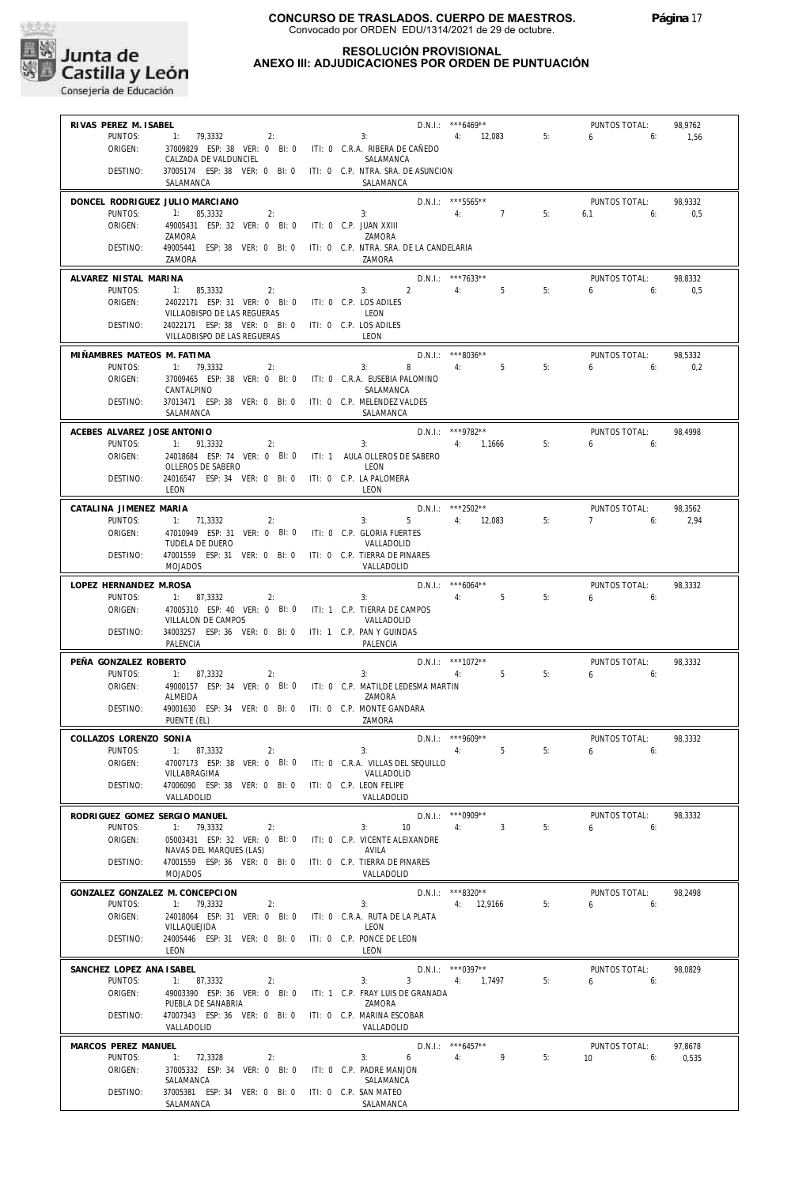

## **RESOLUCIÓN PROVISIONAL ANEXO III: ADJUDICACIONES POR ORDEN DE PUNTUACIÓN**

| RIVAS PEREZ M. ISABEL             |                                                                                 |                                                                                                    |               |
|-----------------------------------|---------------------------------------------------------------------------------|----------------------------------------------------------------------------------------------------|---------------|
|                                   |                                                                                 | D.N.I.: ***6469**<br>PUNTOS TOTAL:                                                                 | 98,9762       |
| PUNTOS:                           | 1: 79,3332<br>2:                                                                | 4: 12,083<br>5 <sub>1</sub><br>3:<br>6                                                             | 6:<br>1,56    |
| ORIGEN:                           | 37009829 ESP: 38 VER: 0 BI: 0 ITI: 0 C.R.A. RIBERA DE CAÑEDO                    |                                                                                                    |               |
|                                   | CALZADA DE VALDUNCIEL                                                           | SALAMANCA                                                                                          |               |
| DESTINO:                          | SALAMANCA                                                                       | 37005174 ESP: 38 VER: 0 BI: 0 ITI: 0 C.P. NTRA. SRA. DE ASUNCION<br>SALAMANCA                      |               |
|                                   |                                                                                 |                                                                                                    |               |
|                                   | DONCEL RODRIGUEZ JULIO MARCIANO                                                 | $D.N.1::$ ***5565**<br>PUNTOS TOTAL:                                                               | 98,9332       |
| PUNTOS:<br>ORIGEN:                | 1: 85,3332<br>2:<br>49005431 ESP: 32 VER: 0 BI: 0 ITI: 0 C.P. JUAN XXIII        | 3:<br>4: 7<br>5:<br>6:<br>6,1                                                                      | 0,5           |
|                                   | ZAMORA                                                                          | ZAMORA                                                                                             |               |
| DESTINO:                          |                                                                                 | 49005441 ESP: 38 VER: 0 BI: 0 ITI: 0 C.P. NTRA. SRA. DE LA CANDELARIA                              |               |
|                                   | ZAMORA                                                                          | ZAMORA                                                                                             |               |
| ALVAREZ NISTAL MARINA             |                                                                                 | D.N.I.: ***7633**<br>PUNTOS TOTAL:                                                                 | 98,8332       |
| PUNTOS:                           | 1: 85,3332<br>2:                                                                | $2^{\circ}$<br>$4:$ $\blacksquare$<br>5 <sub>5</sub><br>5:<br>$3:$ $\qquad \qquad$<br>$6 \t\t\t 6$ | 0,5           |
| ORIGEN:                           | 24022171 ESP: 31 VER: 0 BI: 0 ITI: 0 C.P. LOS ADILES                            |                                                                                                    |               |
|                                   | VILLAOBISPO DE LAS REGUERAS                                                     | LEON                                                                                               |               |
| DESTINO:                          | 24022171 ESP: 38 VER: 0 BI: 0 ITI: 0 C.P. LOS ADILES                            |                                                                                                    |               |
|                                   | VILLAOBISPO DE LAS REGUERAS                                                     | LEON                                                                                               |               |
| MIÑAMBRES MATEOS M. FATIMA        |                                                                                 | $D.N.1::$ ***8036**<br>PUNTOS TOTAL:                                                               | 98,5332       |
| PUNTOS:                           | 1: 79,3332<br>2:                                                                | 8<br>4:<br>5<br>5:<br>$6\qquad 6$<br>3:                                                            | 0,2           |
| ORIGEN:                           | 37009465 ESP: 38 VER: 0 BI: 0 ITI: 0 C.R.A. EUSEBIA PALOMINO                    |                                                                                                    |               |
|                                   | CANTALPINO                                                                      | SALAMANCA                                                                                          |               |
| DESTINO:                          | 37013471 ESP: 38 VER: 0 BI: 0 ITI: 0 C.P. MELENDEZ VALDES<br>SALAMANCA          | SALAMANCA                                                                                          |               |
|                                   |                                                                                 |                                                                                                    |               |
| ACEBES ALVAREZ JOSE ANTONIO       |                                                                                 | D.N.I.: ***9782**<br>PUNTOS TOTAL:                                                                 | 98,4998       |
| PUNTOS:<br>ORIGEN:                | 1: 91,3332<br>2:<br>24018684 ESP: 74 VER: 0 BI: 0 ITI: 1 AULA OLLEROS DE SABERO | 4: 1,1666<br>5:<br>3:<br>$6 \t\t\t 6$                                                              |               |
|                                   | OLLEROS DE SABERO                                                               | LEON                                                                                               |               |
| DESTINO:                          | 24016547 ESP: 34 VER: 0 BI: 0 ITI: 0 C.P. LA PALOMERA                           |                                                                                                    |               |
|                                   | LEON                                                                            | LEON                                                                                               |               |
| CATALINA JIMENEZ MARIA            |                                                                                 | D.N.I.: ***2502**<br>PUNTOS TOTAL:                                                                 | 98,3562       |
| PUNTOS:                           | 1: 71,3332<br>2:                                                                | 5 4: 12,083<br>5:<br>$7 \t\t 6$<br>3:                                                              | 2,94          |
| ORIGEN:                           | 47010949 ESP: 31 VER: 0 BI: 0 ITI: 0 C.P. GLORIA FUERTES                        |                                                                                                    |               |
|                                   | TUDELA DE DUERO                                                                 | VALLADOLID                                                                                         |               |
| DESTINO:                          | 47001559 ESP: 31 VER: 0 BI: 0 ITI: 0 C.P. TIERRA DE PINARES                     |                                                                                                    |               |
|                                   | <b>MOJADOS</b>                                                                  | VALLADOLID                                                                                         |               |
| LOPEZ HERNANDEZ M.ROSA            |                                                                                 | $D.N.1::$ *** 6064**<br>PUNTOS TOTAL:                                                              | 98,3332       |
| PUNTOS:                           | 1: 87,3332<br>2:                                                                | 4:<br>5<br>5:<br>3:<br>$6 \t\t\t 6$                                                                |               |
| ORIGEN:                           | 47005310 ESP: 40 VER: 0 BI: 0 ITI: 1 C.P. TIERRA DE CAMPOS                      |                                                                                                    |               |
| DESTINO:                          | VILLALON DE CAMPOS<br>34003257 ESP: 36 VER: 0 BI: 0 ITI: 1 C.P. PAN Y GUINDAS   | VALLADOLID                                                                                         |               |
|                                   | PALENCIA                                                                        | PALENCIA                                                                                           |               |
|                                   |                                                                                 |                                                                                                    |               |
| PEÑA GONZALEZ ROBERTO             |                                                                                 | $D.N.1.:$ ***1072**<br>PUNTOS TOTAL:<br>5 <sup>1</sup>                                             | 98,3332       |
|                                   |                                                                                 |                                                                                                    |               |
| PUNTOS:                           | 1: 87,3332<br>2:                                                                | 3:<br>5:<br>4:<br>6<br>6:                                                                          |               |
| ORIGEN:                           | ALMEIDA                                                                         | 49000157 ESP: 34 VER: 0 BI: 0 ITI: 0 C.P. MATILDE LEDESMA MARTIN<br>ZAMORA                         |               |
| DESTINO:                          | 49001630 ESP: 34 VER: 0 BI: 0 ITI: 0 C.P. MONTE GANDARA                         |                                                                                                    |               |
|                                   | PUENTE (EL)                                                                     | ZAMORA                                                                                             |               |
|                                   |                                                                                 |                                                                                                    |               |
| COLLAZOS LORENZO SONIA<br>PUNTOS: | 1: 87,3332<br>2:                                                                | $D.N.1.:$ ***9609**<br>PUNTOS TOTAL:<br>3:<br>5<br>6<br>4:<br>5:                                   | 98,3332<br>6: |
| ORIGEN:                           | 47007173 ESP: 38 VER: 0 BI: 0                                                   | ITI: 0 C.R.A. VILLAS DEL SEQUILLO                                                                  |               |
|                                   | VILLABRAGIMA                                                                    | VALLADOLID                                                                                         |               |
| DESTINO:                          | 47006090 ESP: 38 VER: 0 BI: 0                                                   | ITI: 0 C.P. LEON FELIPE                                                                            |               |
|                                   | VALLADOLID                                                                      | VALLADOLID                                                                                         |               |
| RODRIGUEZ GOMEZ SERGIO MANUEL     |                                                                                 | $D.N.1::$ *** 0909**<br>PUNTOS TOTAL:                                                              | 98,3332       |
| PUNTOS:                           | 1: 79,3332<br>2:                                                                | 4:<br>$\overline{3}$<br>5:<br>3:<br>10<br>6                                                        | 6:            |
| ORIGEN:                           | 05003431 ESP: 32 VER: 0 BI: 0                                                   | ITI: 0 C.P. VICENTE ALEIXANDRE                                                                     |               |
|                                   | NAVAS DEL MARQUES (LAS)                                                         | AVILA                                                                                              |               |
| DESTINO:                          | 47001559 ESP: 36 VER: 0 BI: 0<br><b>MOJADOS</b>                                 | ITI: 0 C.P. TIERRA DE PINARES<br>VALLADOLID                                                        |               |
|                                   |                                                                                 |                                                                                                    |               |
|                                   | GONZALEZ GONZALEZ M. CONCEPCION                                                 | D.N.I.: ***8320**<br>PUNTOS TOTAL:                                                                 | 98.2498       |
| PUNTOS:<br>ORIGEN:                | 1: 79,3332<br>2:<br>24018064 ESP: 31 VER: 0 BI: 0                               | 5:<br>3:<br>4: 12,9166<br>6<br>ITI: 0 C.R.A. RUTA DE LA PLATA                                      | 6:            |
|                                   | VILLAQUEJIDA                                                                    | LEON                                                                                               |               |
| DESTINO:                          | 24005446 ESP: 31 VER: 0 BI: 0                                                   | ITI: 0 C.P. PONCE DE LEON                                                                          |               |
|                                   | LEON                                                                            | LEON                                                                                               |               |
| SANCHEZ LOPEZ ANA ISABEL          |                                                                                 | $D.N.1::$ *** 0397**<br>PUNTOS TOTAL:                                                              | 98,0829       |
| PUNTOS:                           | 1: 87,3332<br>2:                                                                | 3:<br>3<br>5:<br>4:<br>1,7497<br>6                                                                 | 6:            |
| ORIGEN:                           | 49003390 ESP: 36 VER: 0 BI: 0                                                   | ITI: 1 C.P. FRAY LUIS DE GRANADA                                                                   |               |
|                                   | PUEBLA DE SANABRIA                                                              | ZAMORA                                                                                             |               |
| DESTINO:                          | 47007343 ESP: 36 VER: 0 BI: 0<br>VALLADOLID                                     | ITI: 0 C.P. MARINA ESCOBAR<br>VALLADOLID                                                           |               |
|                                   |                                                                                 |                                                                                                    |               |
| MARCOS PEREZ MANUEL               |                                                                                 | $D.N.1::$ *** 6457**<br>PUNTOS TOTAL:                                                              | 97,8678       |
| PUNTOS:                           | 1: 72,3328<br>2:                                                                | 9<br>5:<br>3:<br>6<br>4:<br>10                                                                     | 6:<br>0,535   |
| ORIGEN:                           | 37005332 ESP: 34 VER: 0 BI: 0<br>SALAMANCA                                      | ITI: 0 C.P. PADRE MANJON<br>SALAMANCA                                                              |               |
| DESTINO:                          | 37005381 ESP: 34 VER: 0 BI: 0                                                   | ITI: 0 C.P. SAN MATEO                                                                              |               |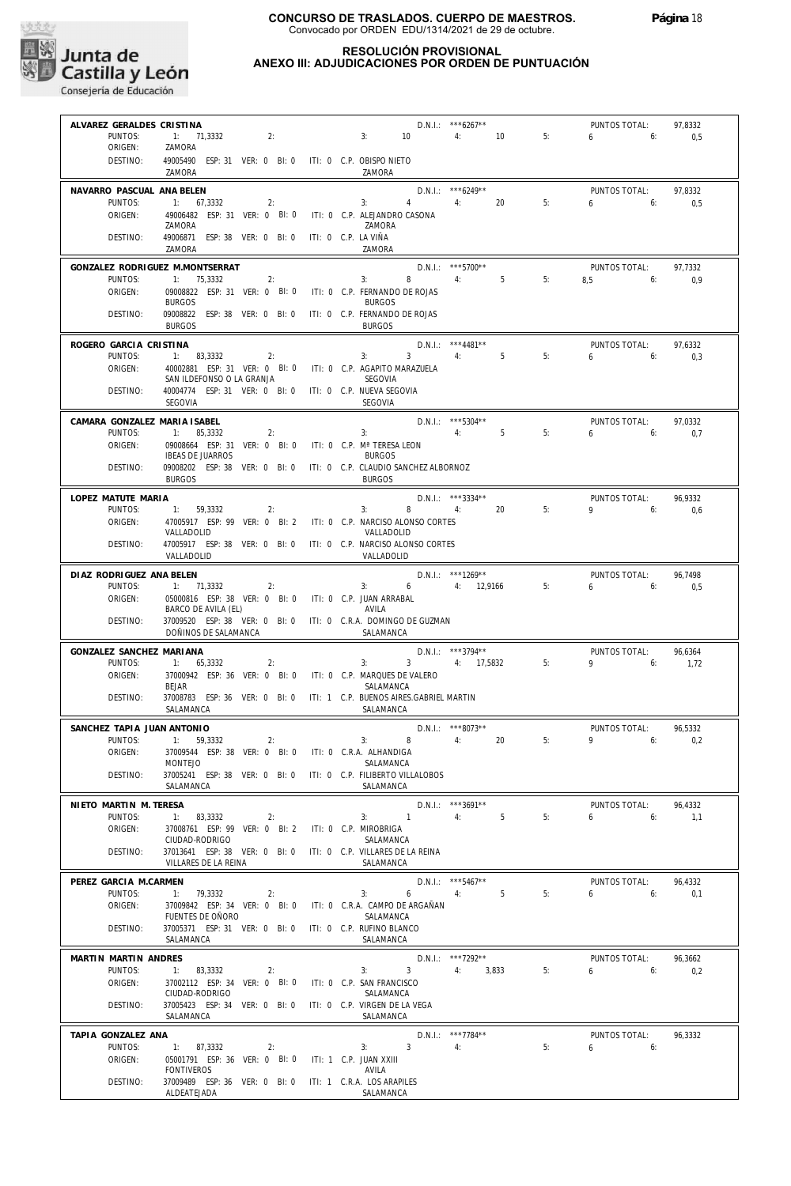

## **RESOLUCIÓN PROVISIONAL ANEXO III: ADJUDICACIONES POR ORDEN DE PUNTUACIÓN**

| ALVAREZ GERALDES CRISTINA<br>PUNTOS:    | 1: 71,3332                                                                           | $3: 10 \t 4: 10$<br>2:                                                             | $D.N.1::$ ***6267**                        | 5: | PUNTOS TOTAL:<br>6.6          | 97,8332<br>0,5  |
|-----------------------------------------|--------------------------------------------------------------------------------------|------------------------------------------------------------------------------------|--------------------------------------------|----|-------------------------------|-----------------|
| ORIGEN:                                 | ZAMORA<br>49005490 ESP: 31 VER: 0 BI: 0 ITI: 0 C.P. OBISPO NIETO                     |                                                                                    |                                            |    |                               |                 |
| DESTINO:                                | ZAMORA                                                                               | ZAMORA                                                                             |                                            |    |                               |                 |
| NAVARRO PASCUAL ANA BELEN               | 1: 67,3332                                                                           | 3: 4: 4:                                                                           | $D.N.1::$ *** 6249**                       |    | PUNTOS TOTAL:<br>$6 \t\t 6$   | 97,8332         |
| PUNTOS:<br>ORIGEN:                      | 2:                                                                                   | 49006482 ESP: 31 VER: 0 BI: 0 ITI: 0 C.P. ALEJANDRO CASONA                         | 20                                         | 5: |                               | 0,5             |
| DESTINO:                                | ZAMORA<br>49006871 ESP: 38 VER: 0 BI: 0 ITI: 0 C.P. LA VIÑA                          | ZAMORA                                                                             |                                            |    |                               |                 |
|                                         | ZAMORA                                                                               | ZAMORA                                                                             |                                            |    |                               |                 |
| PUNTOS:                                 | GONZALEZ RODRIGUEZ M.MONTSERRAT<br>1: 75,3332<br>2:                                  | 3:                                                                                 | D.N.I.: ***5700**<br>8 4: 5                | 5: | PUNTOS TOTAL:<br>$8,5$ 6:     | 97,7332<br>0,9  |
| ORIGEN:                                 | <b>BURGOS</b>                                                                        | 09008822 ESP: 31 VER: 0 BI: 0 ITI: 0 C.P. FERNANDO DE ROJAS<br><b>BURGOS</b>       |                                            |    |                               |                 |
| DESTINO:                                | 09008822 ESP: 38 VER: 0 BI: 0 ITI: 0 C.P. FERNANDO DE ROJAS<br><b>BURGOS</b>         | <b>BURGOS</b>                                                                      |                                            |    |                               |                 |
| ROGERO GARCIA CRISTINA                  |                                                                                      |                                                                                    | $D.N.1.:$ ***4481**                        |    | PUNTOS TOTAL:                 | 97,6332         |
| PUNTOS:<br>ORIGEN:                      | 1: 83,3332<br>2:                                                                     | 3:<br>40002881 ESP: 31 VER: 0 BI: 0 ITI: 0 C.P. AGAPITO MARAZUELA                  | $3 \qquad 4 \qquad 5$                      | 5: | $6\qquad 6$                   | 0.3             |
| DESTINO:                                | SAN ILDEFONSO O LA GRANJA<br>40004774 ESP: 31 VER: 0 BI: 0 ITI: 0 C.P. NUEVA SEGOVIA | SEGOVIA                                                                            |                                            |    |                               |                 |
|                                         | SEGOVIA                                                                              | SEGOVIA                                                                            |                                            |    |                               |                 |
| CAMARA GONZALEZ MARIA ISABEL<br>PUNTOS: | 1: 85,3332<br>2:                                                                     | 4:5<br>3:                                                                          | $D.N.1.:$ ***5304**                        | 5: | PUNTOS TOTAL:<br>$6 \t\t\t 6$ | 97.0332<br>0,7  |
| ORIGEN:                                 | 09008664 ESP: 31 VER: 0 BI: 0 ITI: 0 C.P. Mª TERESA LEON<br><b>IBEAS DE JUARROS</b>  | <b>BURGOS</b>                                                                      |                                            |    |                               |                 |
| DESTINO:                                |                                                                                      | 09008202 ESP: 38 VER: 0 BI: 0 ITI: 0 C.P. CLAUDIO SANCHEZ ALBORNOZ                 |                                            |    |                               |                 |
| LOPEZ MATUTE MARIA                      | <b>BURGOS</b>                                                                        | <b>BURGOS</b>                                                                      |                                            |    |                               |                 |
| PUNTOS:                                 | 1: 59,3332<br>2:                                                                     | $3: 8 \t 4: 20$                                                                    | $D.N.1.:$ ***3334**                        | 5: | PUNTOS TOTAL:<br>$9 \t\t 6$   | 96,9332<br>0,6  |
| ORIGEN:                                 | VALLADOLID                                                                           | 47005917 ESP: 99 VER: 0 BI: 2 ITI: 0 C.P. NARCISO ALONSO CORTES<br>VALLADOLID      |                                            |    |                               |                 |
| DESTINO:                                | VALLADOLID                                                                           | 47005917 ESP: 38 VER: 0 BI: 0 ITI: 0 C.P. NARCISO ALONSO CORTES<br>VALLADOLID      |                                            |    |                               |                 |
| DIAZ RODRIGUEZ ANA BELEN                |                                                                                      |                                                                                    | $D.N.1.:$ ***1269**                        |    | PUNTOS TOTAL:                 | 96,7498         |
| PUNTOS:<br>ORIGEN:                      | $1: 71,3332$ 2:<br>05000816 ESP: 38 VER: 0 BI: 0 ITI: 0 C.P. JUAN ARRABAL            | 3: $6$ 4: 12,9166                                                                  |                                            | 5: | $6 \t\t 6$                    | 0,5             |
| DESTINO:                                | BARCO DE AVILA (EL)                                                                  | AVILA<br>37009520 ESP: 38 VER: 0 BI: 0 ITI: 0 C.R.A. DOMINGO DE GUZMAN             |                                            |    |                               |                 |
|                                         | DOÑINOS DE SALAMANCA                                                                 | SALAMANCA                                                                          |                                            |    |                               |                 |
| GONZALEZ SANCHEZ MARIANA<br>PUNTOS:     | 1: 65,3332<br>2:                                                                     | $3: 3: 4: 17,5832$ 5:                                                              | $D.N.1.:$ ***3794**                        |    | PUNTOS TOTAL:<br>$9 \t\t 6$   | 96.6364<br>1,72 |
| ORIGEN:                                 | <b>BEJAR</b>                                                                         | 37000942 ESP: 36 VER: 0 BI: 0 ITI: 0 C.P. MARQUES DE VALERO<br>SALAMANCA           |                                            |    |                               |                 |
| DESTINO:                                | SALAMANCA                                                                            | 37008783 ESP: 36 VER: 0 BI: 0 ITI: 1 C.P. BUENOS AIRES.GABRIEL MARTIN<br>SALAMANCA |                                            |    |                               |                 |
| SANCHEZ TAPIA JUAN ANTONIO              |                                                                                      |                                                                                    | $D.N.I.:$ ***8073**                        |    | PUNTOS TOTAL:                 | 96,5332         |
| PUNTOS:<br>ORIGEN:                      | 2:<br>1: 59,3332<br>37009544 ESP: 38 VER: 0 BI: 0 ITI: 0 C.R.A. ALHANDIGA            | $3: 8 \t 4: 20$                                                                    |                                            | 5: | 6:<br>9                       | 0,2             |
| DESTINO:                                | MONTEJO                                                                              | SALAMANCA<br>37005241 ESP: 38 VER: 0 BI: 0 ITI: 0 C.P. FILIBERTO VILLALOBOS        |                                            |    |                               |                 |
|                                         | SALAMANCA                                                                            | SALAMANCA                                                                          |                                            |    |                               |                 |
| NIETO MARTIN M. TERESA<br>PUNTOS:       | 1: 83,3332<br>2:                                                                     | 3: 1                                                                               | $D.N.1::$ ***3691**<br>4:<br>$5^{\circ}$   | 5: | PUNTOS TOTAL:<br>6<br>6:      | 96,4332<br>1,1  |
| ORIGEN:                                 | 37008761 ESP: 99 VER: 0 BI: 2 ITI: 0 C.P. MIROBRIGA                                  |                                                                                    |                                            |    |                               |                 |
| DESTINO:                                | CIUDAD-RODRIGO                                                                       | SALAMANCA<br>37013641 ESP: 38 VER: 0 BI: 0 ITI: 0 C.P. VILLARES DE LA REINA        |                                            |    |                               |                 |
|                                         | VILLARES DE LA REINA                                                                 | SALAMANCA                                                                          |                                            |    |                               |                 |
| PEREZ GARCIA M.CARMEN<br>PUNTOS:        | 1: 79,3332<br>2:                                                                     | 3:<br>6                                                                            | D.N.I.: *** 5467**<br>5 <sup>5</sup><br>4: | 5: | PUNTOS TOTAL:<br>6<br>6:      | 96,4332<br>0,1  |
| ORIGEN:                                 | 37009842 ESP: 34 VER: 0 BI: 0<br>FUENTES DE OÑORO                                    | ITI: 0 C.R.A. CAMPO DE ARGAÑAN<br>SALAMANCA                                        |                                            |    |                               |                 |
| DESTINO:                                | 37005371 ESP: 31 VER: 0 BI: 0 ITI: 0 C.P. RUFINO BLANCO<br>SALAMANCA                 | SALAMANCA                                                                          |                                            |    |                               |                 |
| MARTIN MARTIN ANDRES                    |                                                                                      |                                                                                    | D.N.I.: ***7292**                          |    | PUNTOS TOTAL:                 | 96,3662         |
| PUNTOS:<br>ORIGEN:                      | 1: 83,3332<br>2:<br>37002112 ESP: 34 VER: 0 BI: 0                                    | 3 <sup>1</sup><br>3:<br>ITI: 0 C.P. SAN FRANCISCO                                  | 4:<br>3,833                                | 5: | 6<br>6:                       | 0,2             |
| DESTINO:                                | CIUDAD-RODRIGO<br>37005423 ESP: 34 VER: 0 BI: 0                                      | SALAMANCA<br>ITI: 0 C.P. VIRGEN DE LA VEGA                                         |                                            |    |                               |                 |
|                                         | SALAMANCA                                                                            | SALAMANCA                                                                          |                                            |    |                               |                 |
| TAPIA GONZALEZ ANA<br>PUNTOS:           | 1: 87,3332<br>2:                                                                     | $\overline{3}$<br>3:                                                               | $D.N.1::$ ***7784**<br>4:                  | 5: | PUNTOS TOTAL:<br>6<br>6:      | 96,3332         |
| ORIGEN:                                 | 05001791 ESP: 36 VER: 0 BI: 0<br><b>FONTIVEROS</b>                                   | ITI: 1 C.P. JUAN XXIII<br>AVILA                                                    |                                            |    |                               |                 |
| DESTINO:                                | 37009489 ESP: 36 VER: 0 BI: 0                                                        | ITI: 1 C.R.A. LOS ARAPILES                                                         |                                            |    |                               |                 |
|                                         | ALDEATEJADA                                                                          | SALAMANCA                                                                          |                                            |    |                               |                 |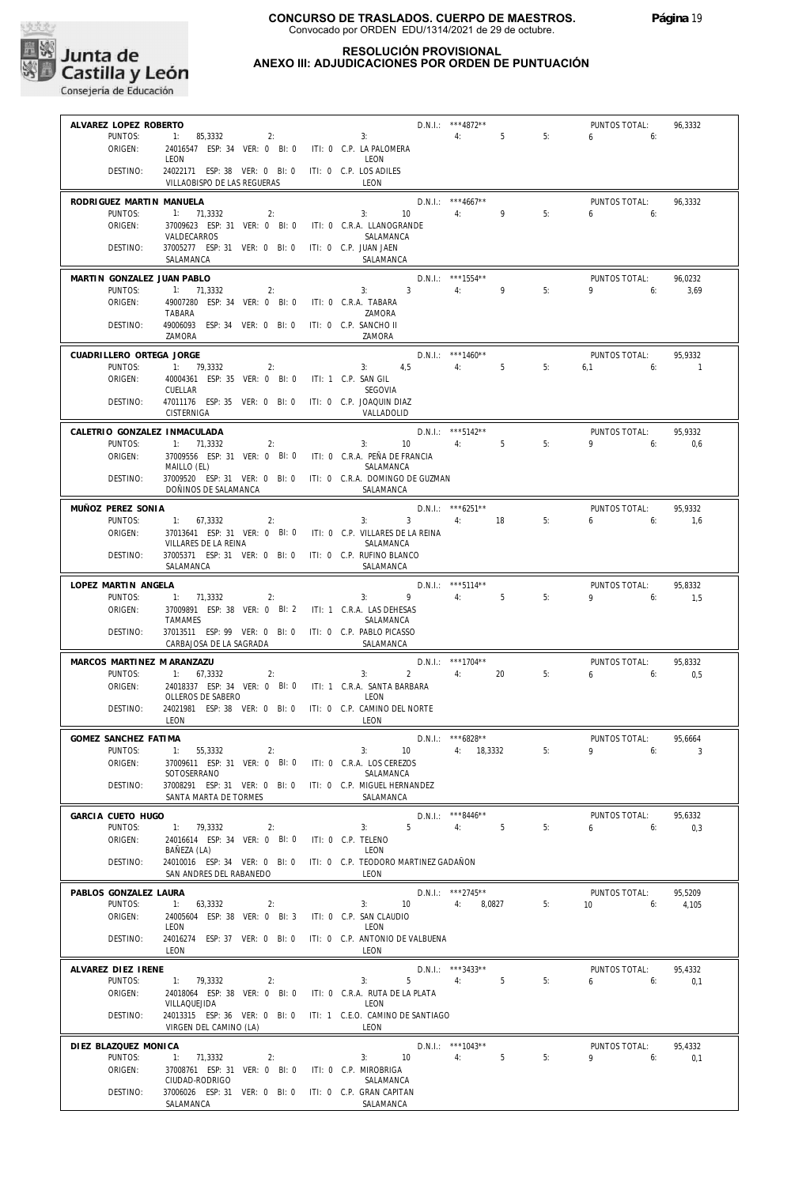

# **CONSEJERIA DE CONSEJERIA DE EDUCACIÓN**<br>Consejería de Educación

**ALVAREZ LOPEZ ROBERTO**

# **CONCURSO DE TRASLADOS. CUERPO DE MAESTROS.** Convocado por ORDEN EDU/1314/2021 de 29 de octubre.

## **RESOLUCIÓN PROVISIONAL ANEXO III: ADJUDICACIONES POR ORDEN DE PUNTUACIÓN**

\*\*\*4872\*\* D.N.I.:

| DESTINO:<br>24022171 ESP: 38 VER: 0 BI: 0<br>ITI: 0 C.P. LOS ADILES<br>VILLAOBISPO DE LAS REGUERAS<br><b>LEON</b><br>$D.N.1::$ ***4667**<br>PUNTOS TOTAL:<br>RODRIGUEZ MARTIN MANUELA<br>96,3332<br>9<br>5:<br>PUNTOS:<br>1: 71,3332<br>2:<br>3:<br>10<br>4:<br>6<br>6:<br>ORIGEN:<br>37009623 ESP: 31 VER: 0 BI: 0<br>ITI: 0 C.R.A. LLANOGRANDE<br>VALDECARROS<br>SALAMANCA<br>37005277 ESP: 31 VER: 0 BI: 0<br>ITI: 0 C.P. JUAN JAEN<br>DESTINO:<br>SALAMANCA<br>SALAMANCA<br>D.N.I.: *** 1554**<br>MARTIN GONZALEZ JUAN PABLO<br>PUNTOS TOTAL:<br>96,0232<br>PUNTOS:<br>3:<br>3 <sup>1</sup><br>4:<br>9<br>5:<br>9<br>1: 71,3332<br>6:<br>3,69<br>2:<br>ORIGEN:<br>49007280 ESP: 34 VER: 0 BI: 0<br>ITI: 0 C.R.A. TABARA<br>TABARA<br>ZAMORA<br>49006093 ESP: 34 VER: 0 BI: 0<br>DESTINO:<br>ITI: 0 C.P. SANCHO II<br>ZAMORA<br>ZAMORA<br>$D.N.1::$ ***1460**<br>CUADRILLERO ORTEGA JORGE<br>PUNTOS TOTAL:<br>95,9332<br>PUNTOS:<br>1: 79,3332<br>4,5<br>4:<br>5<br>5:<br>2:<br>$3:$ $\qquad \qquad$<br>6,1<br>6:<br>$\overline{1}$<br>ORIGEN:<br>40004361 ESP: 35 VER: 0 BI: 0<br>ITI: 1 C.P. SAN GIL<br>CUELLAR<br>SEGOVIA<br>47011176 ESP: 35 VER: 0 BI: 0 ITI: 0 C.P. JOAQUIN DIAZ<br>DESTINO:<br>CISTERNIGA<br>VALLADOLID<br>D.N.I.: *** 5142**<br>CALETRIO GONZALEZ INMACULADA<br>PUNTOS TOTAL:<br>95.9332<br>PUNTOS:<br>1: 71,3332<br>10 <sup>°</sup><br>4:<br>5<br>5:<br>9<br>6:<br>2:<br>3:<br>0,6<br>ORIGEN:<br>37009556 ESP: 31 VER: 0 BI: 0<br>ITI: 0 C.R.A. PEÑA DE FRANCIA<br>MAILLO (EL)<br>SALAMANCA<br>37009520 ESP: 31 VER: 0 BI: 0 ITI: 0 C.R.A. DOMINGO DE GUZMAN<br>DESTINO:<br>DOÑINOS DE SALAMANCA<br>SALAMANCA<br>$D.N.1::$ *** 6251**<br>MUÑOZ PEREZ SONIA<br>PUNTOS TOTAL:<br>95.9332<br>PUNTOS:<br>3:<br>5:<br>1: 67,3332<br>2:<br>$\mathbf{3}$<br>4: 18<br>6<br>6:<br>1,6<br>ORIGEN:<br>37013641 ESP: 31 VER: 0 BI: 0<br>ITI: 0 C.P. VILLARES DE LA REINA<br>VILLARES DE LA REINA<br>SALAMANCA<br>DESTINO:<br>37005371 ESP: 31 VER: 0 BI: 0 ITI: 0 C.P. RUFINO BLANCO<br>SALAMANCA<br>SALAMANCA<br>D.N.I.: *** 5114**<br>LOPEZ MARTIN ANGELA<br>PUNTOS TOTAL:<br>95,8332<br>PUNTOS:<br>4:<br>5<br>5:<br>1: 71,3332<br>2:<br>3:<br>9<br>9<br>6:<br>1,5<br>37009891 ESP: 38 VER: 0 BI: 2<br>ORIGEN:<br>ITI: 1 C.R.A. LAS DEHESAS<br><b>TAMAMES</b><br>SALAMANCA<br>DESTINO:<br>37013511 ESP: 99 VER: 0 BI: 0 ITI: 0 C.P. PABLO PICASSO<br>CARBAJOSA DE LA SAGRADA<br>SALAMANCA<br>$D.N.1::$ ***1704**<br>MARCOS MARTINEZ M ARANZAZU<br>PUNTOS TOTAL:<br>95,8332<br>PUNTOS:<br>3:<br>$2^{\circ}$<br>4:<br>20<br>5:<br>$6\qquad 6$<br>1: 67,3332<br>2:<br>0,5<br>ORIGEN:<br>24018337 ESP: 34 VER: 0 BI: 0<br>ITI: 1 C.R.A. SANTA BARBARA<br>OLLEROS DE SABERO<br>LEON<br>24021981 ESP: 38 VER: 0 BI: 0<br>ITI: 0 C.P. CAMINO DEL NORTE<br>DESTINO:<br>LEON<br>LEON<br>D.N.I.: *** 6828**<br>GOMEZ SANCHEZ FATIMA<br>PUNTOS TOTAL:<br>95,6664<br>PUNTOS:<br>4: 18,3332<br>5:<br>9<br>$\ddot{ }$ 1:<br>55,3332<br>2:<br>3:<br>10 <sup>°</sup><br>6:<br>3<br>ORIGEN:<br>37009611 ESP: 31 VER: 0 BI: 0 ITI: 0 C.R.A. LOS CEREZOS<br>SOTOSERRANO<br>SALAMANCA<br>DESTINO:<br>37008291 ESP: 31 VER: 0 BI: 0 ITI: 0 C.P. MIGUEL HERNANDEZ<br>SANTA MARTA DE TORMES<br>SALAMANCA<br><b>GARCIA CUETO HUGO</b><br>D.N.I.: ***8446**<br>PUNTOS TOTAL:<br>95.6332<br>PUNTOS:<br>5<br>5<br>5:<br>1: 79,3332<br>4:<br>6<br>2:<br>3:<br>6:<br>0,3<br>24016614 ESP: 34 VER: 0 BI: 0<br>ORIGEN:<br>ITI: 0 C.P. TELENO<br>BAÑEZA (LA)<br>LEON<br>DESTINO:<br>24010016 ESP: 34 VER: 0 BI: 0<br>ITI: 0 C.P. TEODORO MARTINEZ GADAÑON<br>SAN ANDRES DEL RABANEDO<br><b>LEON</b><br>PABLOS GONZALEZ LAURA<br>D.N.I.: *** 2745**<br>PUNTOS TOTAL:<br>95,5209<br>PUNTOS:<br>63,3332<br>8,0827<br>5:<br>1:<br>2:<br>3:<br>10 <sup>°</sup><br>4:<br>10 <sup>°</sup><br>6:<br>4,105<br>ORIGEN:<br>24005604 ESP: 38 VER: 0 BI: 3<br>ITI: 0 C.P. SAN CLAUDIO<br>LEON<br>LEON<br>DESTINO:<br>24016274 ESP: 37 VER: 0 BI: 0<br>ITI: 0 C.P. ANTONIO DE VALBUENA<br>LEON<br>LEON<br>D.N.I.: ***3433**<br>PUNTOS TOTAL:<br>ALVAREZ DIEZ IRENE<br>95,4332<br>PUNTOS:<br>3:<br>5<br>5:<br>1: 79,3332<br>2:<br>5<br>4:<br>6<br>6:<br>0,1<br>ITI: 0 C.R.A. RUTA DE LA PLATA<br>ORIGEN:<br>24018064 ESP: 38 VER: 0 BI: 0<br>VILLAQUEJIDA<br>LEON<br>DESTINO:<br>ITI: 1 C.E.O. CAMINO DE SANTIAGO<br>24013315 ESP: 36 VER: 0 BI: 0<br>VIRGEN DEL CAMINO (LA)<br>LEON<br>D.N.I.: ***1043**<br>DIEZ BLAZQUEZ MONICA<br>PUNTOS TOTAL:<br>95,4332<br>5<br>PUNTOS:<br>4:<br>5:<br>9<br>1: 71,3332<br>2:<br>3:<br>10 <sup>°</sup><br>6:<br>0,1<br>ORIGEN:<br>37008761 ESP: 31 VER: 0 BI: 0<br>ITI: 0 C.P. MIROBRIGA | ALVAREZ LUPEZ RUDERIU<br><b>D.N.I</b><br>PUNTOS:<br>1:<br>85,3332<br>2:<br>3:<br>ORIGEN:<br>24016547 ESP: 34 VER: 0 BI: 0<br>ITI: 0 C.P. LA PALOMERA<br>LEON<br>LEON | 40 I Z<br>4:<br>5 | 5: | PUIVIUS IUIAL.<br>6<br>6: | 70,333Z |
|--------------------------------------------------------------------------------------------------------------------------------------------------------------------------------------------------------------------------------------------------------------------------------------------------------------------------------------------------------------------------------------------------------------------------------------------------------------------------------------------------------------------------------------------------------------------------------------------------------------------------------------------------------------------------------------------------------------------------------------------------------------------------------------------------------------------------------------------------------------------------------------------------------------------------------------------------------------------------------------------------------------------------------------------------------------------------------------------------------------------------------------------------------------------------------------------------------------------------------------------------------------------------------------------------------------------------------------------------------------------------------------------------------------------------------------------------------------------------------------------------------------------------------------------------------------------------------------------------------------------------------------------------------------------------------------------------------------------------------------------------------------------------------------------------------------------------------------------------------------------------------------------------------------------------------------------------------------------------------------------------------------------------------------------------------------------------------------------------------------------------------------------------------------------------------------------------------------------------------------------------------------------------------------------------------------------------------------------------------------------------------------------------------------------------------------------------------------------------------------------------------------------------------------------------------------------------------------------------------------------------------------------------------------------------------------------------------------------------------------------------------------------------------------------------------------------------------------------------------------------------------------------------------------------------------------------------------------------------------------------------------------------------------------------------------------------------------------------------------------------------------------------------------------------------------------------------------------------------------------------------------------------------------------------------------------------------------------------------------------------------------------------------------------------------------------------------------------------------------------------------------------------------------------------------------------------------------------------------------------------------------------------------------------------------------------------------------------------------------------------------------------------------------------------------------------------------------------------------------------------------------------------------------------------------------------------------------------------------------------------------------------------------------------------------------------------------------------------------------------------------------------------------------------------------------------------------------------------------------------------------------------------------------------------------------------------------------------------------------------------------------------------------------------------------------------------------------------------------------------------------------------------------------------------------------------------------------------------------|----------------------------------------------------------------------------------------------------------------------------------------------------------------------|-------------------|----|---------------------------|---------|
|                                                                                                                                                                                                                                                                                                                                                                                                                                                                                                                                                                                                                                                                                                                                                                                                                                                                                                                                                                                                                                                                                                                                                                                                                                                                                                                                                                                                                                                                                                                                                                                                                                                                                                                                                                                                                                                                                                                                                                                                                                                                                                                                                                                                                                                                                                                                                                                                                                                                                                                                                                                                                                                                                                                                                                                                                                                                                                                                                                                                                                                                                                                                                                                                                                                                                                                                                                                                                                                                                                                                                                                                                                                                                                                                                                                                                                                                                                                                                                                                                                                                                                                                                                                                                                                                                                                                                                                                                                                                                                                                                                                                  |                                                                                                                                                                      |                   |    |                           |         |
|                                                                                                                                                                                                                                                                                                                                                                                                                                                                                                                                                                                                                                                                                                                                                                                                                                                                                                                                                                                                                                                                                                                                                                                                                                                                                                                                                                                                                                                                                                                                                                                                                                                                                                                                                                                                                                                                                                                                                                                                                                                                                                                                                                                                                                                                                                                                                                                                                                                                                                                                                                                                                                                                                                                                                                                                                                                                                                                                                                                                                                                                                                                                                                                                                                                                                                                                                                                                                                                                                                                                                                                                                                                                                                                                                                                                                                                                                                                                                                                                                                                                                                                                                                                                                                                                                                                                                                                                                                                                                                                                                                                                  |                                                                                                                                                                      |                   |    |                           |         |
|                                                                                                                                                                                                                                                                                                                                                                                                                                                                                                                                                                                                                                                                                                                                                                                                                                                                                                                                                                                                                                                                                                                                                                                                                                                                                                                                                                                                                                                                                                                                                                                                                                                                                                                                                                                                                                                                                                                                                                                                                                                                                                                                                                                                                                                                                                                                                                                                                                                                                                                                                                                                                                                                                                                                                                                                                                                                                                                                                                                                                                                                                                                                                                                                                                                                                                                                                                                                                                                                                                                                                                                                                                                                                                                                                                                                                                                                                                                                                                                                                                                                                                                                                                                                                                                                                                                                                                                                                                                                                                                                                                                                  |                                                                                                                                                                      |                   |    |                           |         |
|                                                                                                                                                                                                                                                                                                                                                                                                                                                                                                                                                                                                                                                                                                                                                                                                                                                                                                                                                                                                                                                                                                                                                                                                                                                                                                                                                                                                                                                                                                                                                                                                                                                                                                                                                                                                                                                                                                                                                                                                                                                                                                                                                                                                                                                                                                                                                                                                                                                                                                                                                                                                                                                                                                                                                                                                                                                                                                                                                                                                                                                                                                                                                                                                                                                                                                                                                                                                                                                                                                                                                                                                                                                                                                                                                                                                                                                                                                                                                                                                                                                                                                                                                                                                                                                                                                                                                                                                                                                                                                                                                                                                  |                                                                                                                                                                      |                   |    |                           |         |
|                                                                                                                                                                                                                                                                                                                                                                                                                                                                                                                                                                                                                                                                                                                                                                                                                                                                                                                                                                                                                                                                                                                                                                                                                                                                                                                                                                                                                                                                                                                                                                                                                                                                                                                                                                                                                                                                                                                                                                                                                                                                                                                                                                                                                                                                                                                                                                                                                                                                                                                                                                                                                                                                                                                                                                                                                                                                                                                                                                                                                                                                                                                                                                                                                                                                                                                                                                                                                                                                                                                                                                                                                                                                                                                                                                                                                                                                                                                                                                                                                                                                                                                                                                                                                                                                                                                                                                                                                                                                                                                                                                                                  |                                                                                                                                                                      |                   |    |                           |         |
|                                                                                                                                                                                                                                                                                                                                                                                                                                                                                                                                                                                                                                                                                                                                                                                                                                                                                                                                                                                                                                                                                                                                                                                                                                                                                                                                                                                                                                                                                                                                                                                                                                                                                                                                                                                                                                                                                                                                                                                                                                                                                                                                                                                                                                                                                                                                                                                                                                                                                                                                                                                                                                                                                                                                                                                                                                                                                                                                                                                                                                                                                                                                                                                                                                                                                                                                                                                                                                                                                                                                                                                                                                                                                                                                                                                                                                                                                                                                                                                                                                                                                                                                                                                                                                                                                                                                                                                                                                                                                                                                                                                                  |                                                                                                                                                                      |                   |    |                           |         |
|                                                                                                                                                                                                                                                                                                                                                                                                                                                                                                                                                                                                                                                                                                                                                                                                                                                                                                                                                                                                                                                                                                                                                                                                                                                                                                                                                                                                                                                                                                                                                                                                                                                                                                                                                                                                                                                                                                                                                                                                                                                                                                                                                                                                                                                                                                                                                                                                                                                                                                                                                                                                                                                                                                                                                                                                                                                                                                                                                                                                                                                                                                                                                                                                                                                                                                                                                                                                                                                                                                                                                                                                                                                                                                                                                                                                                                                                                                                                                                                                                                                                                                                                                                                                                                                                                                                                                                                                                                                                                                                                                                                                  |                                                                                                                                                                      |                   |    |                           |         |
|                                                                                                                                                                                                                                                                                                                                                                                                                                                                                                                                                                                                                                                                                                                                                                                                                                                                                                                                                                                                                                                                                                                                                                                                                                                                                                                                                                                                                                                                                                                                                                                                                                                                                                                                                                                                                                                                                                                                                                                                                                                                                                                                                                                                                                                                                                                                                                                                                                                                                                                                                                                                                                                                                                                                                                                                                                                                                                                                                                                                                                                                                                                                                                                                                                                                                                                                                                                                                                                                                                                                                                                                                                                                                                                                                                                                                                                                                                                                                                                                                                                                                                                                                                                                                                                                                                                                                                                                                                                                                                                                                                                                  |                                                                                                                                                                      |                   |    |                           |         |
|                                                                                                                                                                                                                                                                                                                                                                                                                                                                                                                                                                                                                                                                                                                                                                                                                                                                                                                                                                                                                                                                                                                                                                                                                                                                                                                                                                                                                                                                                                                                                                                                                                                                                                                                                                                                                                                                                                                                                                                                                                                                                                                                                                                                                                                                                                                                                                                                                                                                                                                                                                                                                                                                                                                                                                                                                                                                                                                                                                                                                                                                                                                                                                                                                                                                                                                                                                                                                                                                                                                                                                                                                                                                                                                                                                                                                                                                                                                                                                                                                                                                                                                                                                                                                                                                                                                                                                                                                                                                                                                                                                                                  |                                                                                                                                                                      |                   |    |                           |         |
|                                                                                                                                                                                                                                                                                                                                                                                                                                                                                                                                                                                                                                                                                                                                                                                                                                                                                                                                                                                                                                                                                                                                                                                                                                                                                                                                                                                                                                                                                                                                                                                                                                                                                                                                                                                                                                                                                                                                                                                                                                                                                                                                                                                                                                                                                                                                                                                                                                                                                                                                                                                                                                                                                                                                                                                                                                                                                                                                                                                                                                                                                                                                                                                                                                                                                                                                                                                                                                                                                                                                                                                                                                                                                                                                                                                                                                                                                                                                                                                                                                                                                                                                                                                                                                                                                                                                                                                                                                                                                                                                                                                                  |                                                                                                                                                                      |                   |    |                           |         |
|                                                                                                                                                                                                                                                                                                                                                                                                                                                                                                                                                                                                                                                                                                                                                                                                                                                                                                                                                                                                                                                                                                                                                                                                                                                                                                                                                                                                                                                                                                                                                                                                                                                                                                                                                                                                                                                                                                                                                                                                                                                                                                                                                                                                                                                                                                                                                                                                                                                                                                                                                                                                                                                                                                                                                                                                                                                                                                                                                                                                                                                                                                                                                                                                                                                                                                                                                                                                                                                                                                                                                                                                                                                                                                                                                                                                                                                                                                                                                                                                                                                                                                                                                                                                                                                                                                                                                                                                                                                                                                                                                                                                  |                                                                                                                                                                      |                   |    |                           |         |
|                                                                                                                                                                                                                                                                                                                                                                                                                                                                                                                                                                                                                                                                                                                                                                                                                                                                                                                                                                                                                                                                                                                                                                                                                                                                                                                                                                                                                                                                                                                                                                                                                                                                                                                                                                                                                                                                                                                                                                                                                                                                                                                                                                                                                                                                                                                                                                                                                                                                                                                                                                                                                                                                                                                                                                                                                                                                                                                                                                                                                                                                                                                                                                                                                                                                                                                                                                                                                                                                                                                                                                                                                                                                                                                                                                                                                                                                                                                                                                                                                                                                                                                                                                                                                                                                                                                                                                                                                                                                                                                                                                                                  |                                                                                                                                                                      |                   |    |                           |         |
|                                                                                                                                                                                                                                                                                                                                                                                                                                                                                                                                                                                                                                                                                                                                                                                                                                                                                                                                                                                                                                                                                                                                                                                                                                                                                                                                                                                                                                                                                                                                                                                                                                                                                                                                                                                                                                                                                                                                                                                                                                                                                                                                                                                                                                                                                                                                                                                                                                                                                                                                                                                                                                                                                                                                                                                                                                                                                                                                                                                                                                                                                                                                                                                                                                                                                                                                                                                                                                                                                                                                                                                                                                                                                                                                                                                                                                                                                                                                                                                                                                                                                                                                                                                                                                                                                                                                                                                                                                                                                                                                                                                                  |                                                                                                                                                                      |                   |    |                           |         |
|                                                                                                                                                                                                                                                                                                                                                                                                                                                                                                                                                                                                                                                                                                                                                                                                                                                                                                                                                                                                                                                                                                                                                                                                                                                                                                                                                                                                                                                                                                                                                                                                                                                                                                                                                                                                                                                                                                                                                                                                                                                                                                                                                                                                                                                                                                                                                                                                                                                                                                                                                                                                                                                                                                                                                                                                                                                                                                                                                                                                                                                                                                                                                                                                                                                                                                                                                                                                                                                                                                                                                                                                                                                                                                                                                                                                                                                                                                                                                                                                                                                                                                                                                                                                                                                                                                                                                                                                                                                                                                                                                                                                  |                                                                                                                                                                      |                   |    |                           |         |
|                                                                                                                                                                                                                                                                                                                                                                                                                                                                                                                                                                                                                                                                                                                                                                                                                                                                                                                                                                                                                                                                                                                                                                                                                                                                                                                                                                                                                                                                                                                                                                                                                                                                                                                                                                                                                                                                                                                                                                                                                                                                                                                                                                                                                                                                                                                                                                                                                                                                                                                                                                                                                                                                                                                                                                                                                                                                                                                                                                                                                                                                                                                                                                                                                                                                                                                                                                                                                                                                                                                                                                                                                                                                                                                                                                                                                                                                                                                                                                                                                                                                                                                                                                                                                                                                                                                                                                                                                                                                                                                                                                                                  |                                                                                                                                                                      |                   |    |                           |         |
|                                                                                                                                                                                                                                                                                                                                                                                                                                                                                                                                                                                                                                                                                                                                                                                                                                                                                                                                                                                                                                                                                                                                                                                                                                                                                                                                                                                                                                                                                                                                                                                                                                                                                                                                                                                                                                                                                                                                                                                                                                                                                                                                                                                                                                                                                                                                                                                                                                                                                                                                                                                                                                                                                                                                                                                                                                                                                                                                                                                                                                                                                                                                                                                                                                                                                                                                                                                                                                                                                                                                                                                                                                                                                                                                                                                                                                                                                                                                                                                                                                                                                                                                                                                                                                                                                                                                                                                                                                                                                                                                                                                                  |                                                                                                                                                                      |                   |    |                           |         |
|                                                                                                                                                                                                                                                                                                                                                                                                                                                                                                                                                                                                                                                                                                                                                                                                                                                                                                                                                                                                                                                                                                                                                                                                                                                                                                                                                                                                                                                                                                                                                                                                                                                                                                                                                                                                                                                                                                                                                                                                                                                                                                                                                                                                                                                                                                                                                                                                                                                                                                                                                                                                                                                                                                                                                                                                                                                                                                                                                                                                                                                                                                                                                                                                                                                                                                                                                                                                                                                                                                                                                                                                                                                                                                                                                                                                                                                                                                                                                                                                                                                                                                                                                                                                                                                                                                                                                                                                                                                                                                                                                                                                  |                                                                                                                                                                      |                   |    |                           |         |
|                                                                                                                                                                                                                                                                                                                                                                                                                                                                                                                                                                                                                                                                                                                                                                                                                                                                                                                                                                                                                                                                                                                                                                                                                                                                                                                                                                                                                                                                                                                                                                                                                                                                                                                                                                                                                                                                                                                                                                                                                                                                                                                                                                                                                                                                                                                                                                                                                                                                                                                                                                                                                                                                                                                                                                                                                                                                                                                                                                                                                                                                                                                                                                                                                                                                                                                                                                                                                                                                                                                                                                                                                                                                                                                                                                                                                                                                                                                                                                                                                                                                                                                                                                                                                                                                                                                                                                                                                                                                                                                                                                                                  |                                                                                                                                                                      |                   |    |                           |         |
|                                                                                                                                                                                                                                                                                                                                                                                                                                                                                                                                                                                                                                                                                                                                                                                                                                                                                                                                                                                                                                                                                                                                                                                                                                                                                                                                                                                                                                                                                                                                                                                                                                                                                                                                                                                                                                                                                                                                                                                                                                                                                                                                                                                                                                                                                                                                                                                                                                                                                                                                                                                                                                                                                                                                                                                                                                                                                                                                                                                                                                                                                                                                                                                                                                                                                                                                                                                                                                                                                                                                                                                                                                                                                                                                                                                                                                                                                                                                                                                                                                                                                                                                                                                                                                                                                                                                                                                                                                                                                                                                                                                                  |                                                                                                                                                                      |                   |    |                           |         |
|                                                                                                                                                                                                                                                                                                                                                                                                                                                                                                                                                                                                                                                                                                                                                                                                                                                                                                                                                                                                                                                                                                                                                                                                                                                                                                                                                                                                                                                                                                                                                                                                                                                                                                                                                                                                                                                                                                                                                                                                                                                                                                                                                                                                                                                                                                                                                                                                                                                                                                                                                                                                                                                                                                                                                                                                                                                                                                                                                                                                                                                                                                                                                                                                                                                                                                                                                                                                                                                                                                                                                                                                                                                                                                                                                                                                                                                                                                                                                                                                                                                                                                                                                                                                                                                                                                                                                                                                                                                                                                                                                                                                  |                                                                                                                                                                      |                   |    |                           |         |
|                                                                                                                                                                                                                                                                                                                                                                                                                                                                                                                                                                                                                                                                                                                                                                                                                                                                                                                                                                                                                                                                                                                                                                                                                                                                                                                                                                                                                                                                                                                                                                                                                                                                                                                                                                                                                                                                                                                                                                                                                                                                                                                                                                                                                                                                                                                                                                                                                                                                                                                                                                                                                                                                                                                                                                                                                                                                                                                                                                                                                                                                                                                                                                                                                                                                                                                                                                                                                                                                                                                                                                                                                                                                                                                                                                                                                                                                                                                                                                                                                                                                                                                                                                                                                                                                                                                                                                                                                                                                                                                                                                                                  |                                                                                                                                                                      |                   |    |                           |         |
|                                                                                                                                                                                                                                                                                                                                                                                                                                                                                                                                                                                                                                                                                                                                                                                                                                                                                                                                                                                                                                                                                                                                                                                                                                                                                                                                                                                                                                                                                                                                                                                                                                                                                                                                                                                                                                                                                                                                                                                                                                                                                                                                                                                                                                                                                                                                                                                                                                                                                                                                                                                                                                                                                                                                                                                                                                                                                                                                                                                                                                                                                                                                                                                                                                                                                                                                                                                                                                                                                                                                                                                                                                                                                                                                                                                                                                                                                                                                                                                                                                                                                                                                                                                                                                                                                                                                                                                                                                                                                                                                                                                                  |                                                                                                                                                                      |                   |    |                           |         |
|                                                                                                                                                                                                                                                                                                                                                                                                                                                                                                                                                                                                                                                                                                                                                                                                                                                                                                                                                                                                                                                                                                                                                                                                                                                                                                                                                                                                                                                                                                                                                                                                                                                                                                                                                                                                                                                                                                                                                                                                                                                                                                                                                                                                                                                                                                                                                                                                                                                                                                                                                                                                                                                                                                                                                                                                                                                                                                                                                                                                                                                                                                                                                                                                                                                                                                                                                                                                                                                                                                                                                                                                                                                                                                                                                                                                                                                                                                                                                                                                                                                                                                                                                                                                                                                                                                                                                                                                                                                                                                                                                                                                  |                                                                                                                                                                      |                   |    |                           |         |
|                                                                                                                                                                                                                                                                                                                                                                                                                                                                                                                                                                                                                                                                                                                                                                                                                                                                                                                                                                                                                                                                                                                                                                                                                                                                                                                                                                                                                                                                                                                                                                                                                                                                                                                                                                                                                                                                                                                                                                                                                                                                                                                                                                                                                                                                                                                                                                                                                                                                                                                                                                                                                                                                                                                                                                                                                                                                                                                                                                                                                                                                                                                                                                                                                                                                                                                                                                                                                                                                                                                                                                                                                                                                                                                                                                                                                                                                                                                                                                                                                                                                                                                                                                                                                                                                                                                                                                                                                                                                                                                                                                                                  |                                                                                                                                                                      |                   |    |                           |         |
|                                                                                                                                                                                                                                                                                                                                                                                                                                                                                                                                                                                                                                                                                                                                                                                                                                                                                                                                                                                                                                                                                                                                                                                                                                                                                                                                                                                                                                                                                                                                                                                                                                                                                                                                                                                                                                                                                                                                                                                                                                                                                                                                                                                                                                                                                                                                                                                                                                                                                                                                                                                                                                                                                                                                                                                                                                                                                                                                                                                                                                                                                                                                                                                                                                                                                                                                                                                                                                                                                                                                                                                                                                                                                                                                                                                                                                                                                                                                                                                                                                                                                                                                                                                                                                                                                                                                                                                                                                                                                                                                                                                                  |                                                                                                                                                                      |                   |    |                           |         |
|                                                                                                                                                                                                                                                                                                                                                                                                                                                                                                                                                                                                                                                                                                                                                                                                                                                                                                                                                                                                                                                                                                                                                                                                                                                                                                                                                                                                                                                                                                                                                                                                                                                                                                                                                                                                                                                                                                                                                                                                                                                                                                                                                                                                                                                                                                                                                                                                                                                                                                                                                                                                                                                                                                                                                                                                                                                                                                                                                                                                                                                                                                                                                                                                                                                                                                                                                                                                                                                                                                                                                                                                                                                                                                                                                                                                                                                                                                                                                                                                                                                                                                                                                                                                                                                                                                                                                                                                                                                                                                                                                                                                  |                                                                                                                                                                      |                   |    |                           |         |
|                                                                                                                                                                                                                                                                                                                                                                                                                                                                                                                                                                                                                                                                                                                                                                                                                                                                                                                                                                                                                                                                                                                                                                                                                                                                                                                                                                                                                                                                                                                                                                                                                                                                                                                                                                                                                                                                                                                                                                                                                                                                                                                                                                                                                                                                                                                                                                                                                                                                                                                                                                                                                                                                                                                                                                                                                                                                                                                                                                                                                                                                                                                                                                                                                                                                                                                                                                                                                                                                                                                                                                                                                                                                                                                                                                                                                                                                                                                                                                                                                                                                                                                                                                                                                                                                                                                                                                                                                                                                                                                                                                                                  |                                                                                                                                                                      |                   |    |                           |         |
|                                                                                                                                                                                                                                                                                                                                                                                                                                                                                                                                                                                                                                                                                                                                                                                                                                                                                                                                                                                                                                                                                                                                                                                                                                                                                                                                                                                                                                                                                                                                                                                                                                                                                                                                                                                                                                                                                                                                                                                                                                                                                                                                                                                                                                                                                                                                                                                                                                                                                                                                                                                                                                                                                                                                                                                                                                                                                                                                                                                                                                                                                                                                                                                                                                                                                                                                                                                                                                                                                                                                                                                                                                                                                                                                                                                                                                                                                                                                                                                                                                                                                                                                                                                                                                                                                                                                                                                                                                                                                                                                                                                                  |                                                                                                                                                                      |                   |    |                           |         |
|                                                                                                                                                                                                                                                                                                                                                                                                                                                                                                                                                                                                                                                                                                                                                                                                                                                                                                                                                                                                                                                                                                                                                                                                                                                                                                                                                                                                                                                                                                                                                                                                                                                                                                                                                                                                                                                                                                                                                                                                                                                                                                                                                                                                                                                                                                                                                                                                                                                                                                                                                                                                                                                                                                                                                                                                                                                                                                                                                                                                                                                                                                                                                                                                                                                                                                                                                                                                                                                                                                                                                                                                                                                                                                                                                                                                                                                                                                                                                                                                                                                                                                                                                                                                                                                                                                                                                                                                                                                                                                                                                                                                  |                                                                                                                                                                      |                   |    |                           |         |
|                                                                                                                                                                                                                                                                                                                                                                                                                                                                                                                                                                                                                                                                                                                                                                                                                                                                                                                                                                                                                                                                                                                                                                                                                                                                                                                                                                                                                                                                                                                                                                                                                                                                                                                                                                                                                                                                                                                                                                                                                                                                                                                                                                                                                                                                                                                                                                                                                                                                                                                                                                                                                                                                                                                                                                                                                                                                                                                                                                                                                                                                                                                                                                                                                                                                                                                                                                                                                                                                                                                                                                                                                                                                                                                                                                                                                                                                                                                                                                                                                                                                                                                                                                                                                                                                                                                                                                                                                                                                                                                                                                                                  |                                                                                                                                                                      |                   |    |                           |         |
|                                                                                                                                                                                                                                                                                                                                                                                                                                                                                                                                                                                                                                                                                                                                                                                                                                                                                                                                                                                                                                                                                                                                                                                                                                                                                                                                                                                                                                                                                                                                                                                                                                                                                                                                                                                                                                                                                                                                                                                                                                                                                                                                                                                                                                                                                                                                                                                                                                                                                                                                                                                                                                                                                                                                                                                                                                                                                                                                                                                                                                                                                                                                                                                                                                                                                                                                                                                                                                                                                                                                                                                                                                                                                                                                                                                                                                                                                                                                                                                                                                                                                                                                                                                                                                                                                                                                                                                                                                                                                                                                                                                                  |                                                                                                                                                                      |                   |    |                           |         |
|                                                                                                                                                                                                                                                                                                                                                                                                                                                                                                                                                                                                                                                                                                                                                                                                                                                                                                                                                                                                                                                                                                                                                                                                                                                                                                                                                                                                                                                                                                                                                                                                                                                                                                                                                                                                                                                                                                                                                                                                                                                                                                                                                                                                                                                                                                                                                                                                                                                                                                                                                                                                                                                                                                                                                                                                                                                                                                                                                                                                                                                                                                                                                                                                                                                                                                                                                                                                                                                                                                                                                                                                                                                                                                                                                                                                                                                                                                                                                                                                                                                                                                                                                                                                                                                                                                                                                                                                                                                                                                                                                                                                  |                                                                                                                                                                      |                   |    |                           |         |
|                                                                                                                                                                                                                                                                                                                                                                                                                                                                                                                                                                                                                                                                                                                                                                                                                                                                                                                                                                                                                                                                                                                                                                                                                                                                                                                                                                                                                                                                                                                                                                                                                                                                                                                                                                                                                                                                                                                                                                                                                                                                                                                                                                                                                                                                                                                                                                                                                                                                                                                                                                                                                                                                                                                                                                                                                                                                                                                                                                                                                                                                                                                                                                                                                                                                                                                                                                                                                                                                                                                                                                                                                                                                                                                                                                                                                                                                                                                                                                                                                                                                                                                                                                                                                                                                                                                                                                                                                                                                                                                                                                                                  |                                                                                                                                                                      |                   |    |                           |         |
|                                                                                                                                                                                                                                                                                                                                                                                                                                                                                                                                                                                                                                                                                                                                                                                                                                                                                                                                                                                                                                                                                                                                                                                                                                                                                                                                                                                                                                                                                                                                                                                                                                                                                                                                                                                                                                                                                                                                                                                                                                                                                                                                                                                                                                                                                                                                                                                                                                                                                                                                                                                                                                                                                                                                                                                                                                                                                                                                                                                                                                                                                                                                                                                                                                                                                                                                                                                                                                                                                                                                                                                                                                                                                                                                                                                                                                                                                                                                                                                                                                                                                                                                                                                                                                                                                                                                                                                                                                                                                                                                                                                                  |                                                                                                                                                                      |                   |    |                           |         |
|                                                                                                                                                                                                                                                                                                                                                                                                                                                                                                                                                                                                                                                                                                                                                                                                                                                                                                                                                                                                                                                                                                                                                                                                                                                                                                                                                                                                                                                                                                                                                                                                                                                                                                                                                                                                                                                                                                                                                                                                                                                                                                                                                                                                                                                                                                                                                                                                                                                                                                                                                                                                                                                                                                                                                                                                                                                                                                                                                                                                                                                                                                                                                                                                                                                                                                                                                                                                                                                                                                                                                                                                                                                                                                                                                                                                                                                                                                                                                                                                                                                                                                                                                                                                                                                                                                                                                                                                                                                                                                                                                                                                  |                                                                                                                                                                      |                   |    |                           |         |
|                                                                                                                                                                                                                                                                                                                                                                                                                                                                                                                                                                                                                                                                                                                                                                                                                                                                                                                                                                                                                                                                                                                                                                                                                                                                                                                                                                                                                                                                                                                                                                                                                                                                                                                                                                                                                                                                                                                                                                                                                                                                                                                                                                                                                                                                                                                                                                                                                                                                                                                                                                                                                                                                                                                                                                                                                                                                                                                                                                                                                                                                                                                                                                                                                                                                                                                                                                                                                                                                                                                                                                                                                                                                                                                                                                                                                                                                                                                                                                                                                                                                                                                                                                                                                                                                                                                                                                                                                                                                                                                                                                                                  |                                                                                                                                                                      |                   |    |                           |         |
|                                                                                                                                                                                                                                                                                                                                                                                                                                                                                                                                                                                                                                                                                                                                                                                                                                                                                                                                                                                                                                                                                                                                                                                                                                                                                                                                                                                                                                                                                                                                                                                                                                                                                                                                                                                                                                                                                                                                                                                                                                                                                                                                                                                                                                                                                                                                                                                                                                                                                                                                                                                                                                                                                                                                                                                                                                                                                                                                                                                                                                                                                                                                                                                                                                                                                                                                                                                                                                                                                                                                                                                                                                                                                                                                                                                                                                                                                                                                                                                                                                                                                                                                                                                                                                                                                                                                                                                                                                                                                                                                                                                                  | CIUDAD-RODRIGO<br>SALAMANCA                                                                                                                                          |                   |    |                           |         |
| 37006026 ESP: 31 VER: 0 BI: 0<br>ITI: 0 C.P. GRAN CAPITAN<br>DESTINO:<br>SALAMANCA<br>SALAMANCA                                                                                                                                                                                                                                                                                                                                                                                                                                                                                                                                                                                                                                                                                                                                                                                                                                                                                                                                                                                                                                                                                                                                                                                                                                                                                                                                                                                                                                                                                                                                                                                                                                                                                                                                                                                                                                                                                                                                                                                                                                                                                                                                                                                                                                                                                                                                                                                                                                                                                                                                                                                                                                                                                                                                                                                                                                                                                                                                                                                                                                                                                                                                                                                                                                                                                                                                                                                                                                                                                                                                                                                                                                                                                                                                                                                                                                                                                                                                                                                                                                                                                                                                                                                                                                                                                                                                                                                                                                                                                                  |                                                                                                                                                                      |                   |    |                           |         |

96,3332

PUNTOS TOTAL: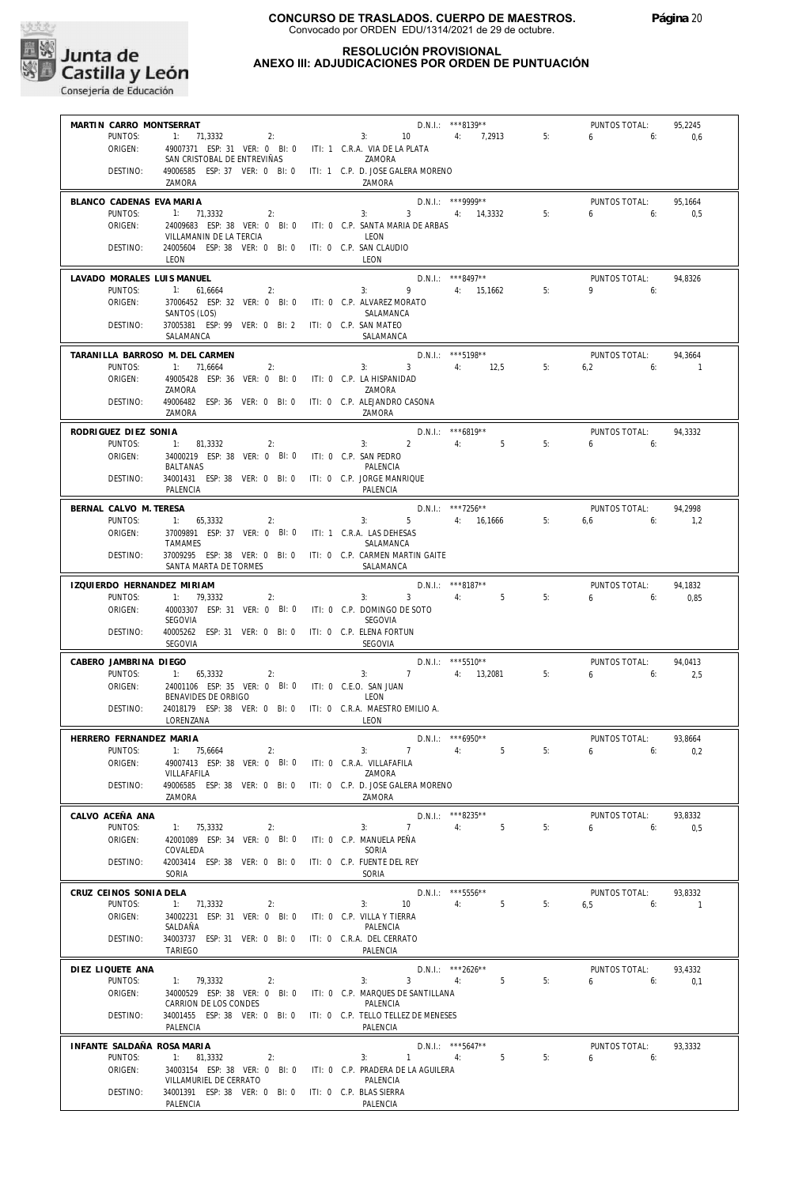

# **RESOLUCIÓN PROVISIONAL**

**ANEXO III: ADJUDICACIONES POR ORDEN DE PUNTUACIÓN**

|                                 | MARTIN CARRO MONTSERRAT                                                         |                                                                                         |                      |    | PUNTOS TOTAL:        | 95,2245  |
|---------------------------------|---------------------------------------------------------------------------------|-----------------------------------------------------------------------------------------|----------------------|----|----------------------|----------|
| PUNTOS:                         |                                                                                 | 1: 71.3332 2:<br>49007371 ESP: 31 VER: 0 BI: 0 ITI- 1 C P A VAR DELATION 1 4: 7,2913 5: |                      |    | $6\qquad 6:$         | 0,6      |
| ORIGEN:                         | SAN CRISTOBAL DE ENTREVIÑAS                                                     | ZAMORA                                                                                  |                      |    |                      |          |
| DESTINO:                        |                                                                                 | 49006585 ESP: 37 VER: 0 BI: 0 ITI: 1 C.P. D. JOSE GALERA MORENO                         |                      |    |                      |          |
|                                 | ZAMORA                                                                          | ZAMORA                                                                                  |                      |    |                      |          |
| BLANCO CADENAS EVA MARIA        |                                                                                 |                                                                                         | $D.N.1.:$ ***9999**  |    | PUNTOS TOTAL:        | 95,1664  |
| PUNTOS:                         | $1: 71,3332$ 2:                                                                 | $3: 3: 4: 14,3332$ 5:                                                                   |                      |    | $6\qquad 6$          | 0,5      |
| ORIGEN:                         | VILLAMANIN DE LA TERCIA                                                         | 24009683 ESP: 38 VER: 0 BI: 0 ITI: 0 C.P. SANTA MARIA DE ARBAS<br>LEON                  |                      |    |                      |          |
| DESTINO:                        | 24005604 ESP: 38 VER: 0 BI: 0 ITI: 0 C.P. SAN CLAUDIO                           |                                                                                         |                      |    |                      |          |
|                                 | LEON                                                                            | LEON                                                                                    |                      |    |                      |          |
| LAVADO MORALES LUIS MANUEL      |                                                                                 |                                                                                         | $D.N.1.:$ ***8497**  |    | PUNTOS TOTAL:        | 94,8326  |
| PUNTOS:                         | 1: 61,6664<br>2:                                                                | 3: 9 4: $15,1662$ 5:                                                                    |                      |    | $9$ 6:               |          |
| ORIGEN:                         | SANTOS (LOS)                                                                    | 37006452 ESP: 32 VER: 0 BI: 0 ITI: 0 C.P. ALVAREZ MORATO<br>SALAMANCA                   |                      |    |                      |          |
| DESTINO:                        | 37005381 ESP: 99 VER: 0 BI: 2 ITI: 0 C.P. SAN MATEO                             |                                                                                         |                      |    |                      |          |
|                                 | SALAMANCA                                                                       | SALAMANCA                                                                               |                      |    |                      |          |
| TARANILLA BARROSO M. DEL CARMEN |                                                                                 |                                                                                         | D.N.I.: *** 5198**   |    | PUNTOS TOTAL:        | 94,3664  |
| PUNTOS:                         | 1: 71,6664                                                                      | 3: $3 \t 4 \t 12.5 \t 5$<br>2:                                                          |                      |    | $6,2$ $6:$ 1         |          |
| ORIGEN:                         | 49005428 ESP: 36 VER: 0 BI: 0 ITI: 0 C.P. LA HISPANIDAD<br>ZAMORA               | ZAMORA                                                                                  |                      |    |                      |          |
| DESTINO:                        |                                                                                 | 49006482 ESP: 36 VER: 0 BI: 0 ITI: 0 C.P. ALEJANDRO CASONA                              |                      |    |                      |          |
|                                 | ZAMORA                                                                          | ZAMORA                                                                                  |                      |    |                      |          |
| RODRIGUEZ DIEZ SONIA            |                                                                                 |                                                                                         | $D.N.1.:$ ***6819**  |    | PUNTOS TOTAL:        | 94,3332  |
| PUNTOS:                         | 1: 81,3332<br>2:                                                                | 3: 2: 4: 5: 5:                                                                          |                      |    | 6.61                 |          |
| ORIGEN:                         | 34000219 ESP: 38 VER: 0 BI: 0 ITI: 0 C.P. SAN PEDRO<br>BALTANAS                 | PALENCIA                                                                                |                      |    |                      |          |
| DESTINO:                        | 34001431 ESP: 38 VER: 0 BI: 0 ITI: 0 C.P. JORGE MANRIQUE                        |                                                                                         |                      |    |                      |          |
|                                 | <b>PALENCIA</b>                                                                 | PALENCIA                                                                                |                      |    |                      |          |
| BERNAL CALVO M. TERESA          |                                                                                 |                                                                                         | $D.N.1.:$ ***7256**  |    | PUNTOS TOTAL:        | 94.2998  |
| PUNTOS:                         | $1: 65,3332$ 2:                                                                 | $3: 5 \t 4: 16,1666 \t 5:$                                                              |                      |    | $6.6$ 6:             | 1,2      |
| ORIGEN:                         | 37009891 ESP: 37 VER: 0 BI: 0 ITI: 1 C.R.A. LAS DEHESAS<br>TAMAMES              | SALAMANCA                                                                               |                      |    |                      |          |
| DESTINO:                        |                                                                                 | 37009295 ESP: 38 VER: 0 BI: 0 ITI: 0 C.P. CARMEN MARTIN GAITE                           |                      |    |                      |          |
|                                 | SANTA MARTA DE TORMES                                                           | SALAMANCA                                                                               |                      |    |                      |          |
| IZQUIERDO HERNANDEZ MIRIAM      |                                                                                 |                                                                                         | D.N.I.: ***8187**    |    | PUNTOS TOTAL:        | 94,1832  |
| PUNTOS:                         | 1: 79,3332<br>2:                                                                | 3: 3 4: 5 5:                                                                            |                      |    | $6\qquad 6$          | 0,85     |
| ORIGEN:                         | SEGOVIA                                                                         | 40003307 ESP: 31 VER: 0 BI: 0 ITI: 0 C.P. DOMINGO DE SOTO<br>SEGOVIA                    |                      |    |                      |          |
| DESTINO:                        | 40005262 ESP: 31 VER: 0 BI: 0 ITI: 0 C.P. ELENA FORTUN                          |                                                                                         |                      |    |                      |          |
|                                 | SEGOVIA                                                                         | SEGOVIA                                                                                 |                      |    |                      |          |
| CABERO JAMBRINA DIEGO           |                                                                                 |                                                                                         | $D.N.I.:$ ***5510**  |    | PUNTOS TOTAL:        | 94,0413  |
| PUNTOS:                         | 1: 65,3332                                                                      | $D.N.I.:$ ***5510**<br>3: 7 4: 13,2081 5:<br>$\overline{2}$ :                           |                      |    | 6.6                  | 2,5      |
| ORIGEN:                         | 24001106 ESP: 35 VER: 0 BI: 0 ITI: 0 C.E.O. SAN JUAN<br>BENAVIDES DE ORBIGO     | LEON                                                                                    |                      |    |                      |          |
| DESTINO:                        |                                                                                 | 24018179 ESP: 38 VER: 0 BI: 0 ITI: 0 C.R.A. MAESTRO EMILIO A.                           |                      |    |                      |          |
|                                 | LORENZANA                                                                       | LEON                                                                                    |                      |    |                      |          |
| HERRERO FERNANDEZ MARIA         |                                                                                 |                                                                                         | D.N.I.: *** 6950**   |    | PUNTOS TOTAL:        | 93.8664  |
|                                 | PUNTOS: 1: 75.6664<br>2:                                                        | 3:                                                                                      | $7 \quad 4$<br>5     | 5: | $6 \t\t 6: \t\t 0.2$ |          |
| ORIGEN:                         | 49007413 ESP: 38 VER: 0 Bl: 0                                                   | ITI: 0 C.R.A. VILLAFAFILA                                                               |                      |    |                      |          |
|                                 |                                                                                 |                                                                                         |                      |    |                      |          |
| DESTINO:                        | VILLAFAFILA                                                                     | ZAMORA<br>49006585 ESP: 38 VER: 0 BI: 0 ITI: 0 C.P. D. JOSE GALERA MORENO               |                      |    |                      |          |
|                                 | ZAMORA                                                                          | ZAMORA                                                                                  |                      |    |                      |          |
| CALVO ACEÑA ANA                 |                                                                                 |                                                                                         | D.N.I.: ***8235**    |    | PUNTOS TOTAL:        | 93,8332  |
| PUNTOS:                         | 1: 75,3332<br>2:                                                                | $7^{\circ}$<br>3:                                                                       | 5 <sup>5</sup><br>4: | 5: | 6<br>6:              | 0,5      |
| ORIGEN:                         | 42001089 ESP: 34 VER: 0 BI: 0                                                   | ITI: 0 C.P. MANUELA PEÑA                                                                |                      |    |                      |          |
| DESTINO:                        | COVALEDA<br>42003414 ESP: 38 VER: 0 BI: 0                                       | SORIA<br>ITI: 0 C.P. FUENTE DEL REY                                                     |                      |    |                      |          |
|                                 | SORIA                                                                           | SORIA                                                                                   |                      |    |                      |          |
| CRUZ CEINOS SONIA DELA          |                                                                                 |                                                                                         | D.N.I.: *** 5556**   |    | PUNTOS TOTAL:        | 93,8332  |
| PUNTOS:                         | 1: 71,3332<br>2:                                                                | 3:<br>10                                                                                | 4:<br>5              | 5: | 6,5<br>6:            | $\sim$ 1 |
| ORIGEN:                         | 34002231 ESP: 31 VER: 0 BI: 0<br>SALDAÑA                                        | ITI: 0 C.P. VILLA Y TIERRA<br>PALENCIA                                                  |                      |    |                      |          |
| DESTINO:                        | 34003737 ESP: 31 VER: 0 BI: 0                                                   | ITI: 0 C.R.A. DEL CERRATO                                                               |                      |    |                      |          |
|                                 | TARIEGO                                                                         | PALENCIA                                                                                |                      |    |                      |          |
| DIEZ LIQUETE ANA                |                                                                                 |                                                                                         | D.N.I.: ***2626**    |    | PUNTOS TOTAL:        | 93,4332  |
| PUNTOS:                         | 1: 79,3332<br>2:                                                                | 3 <sup>7</sup><br>3:                                                                    | 5 <sup>5</sup><br>4: | 5: | $6\qquad 6$          | 0,1      |
| ORIGEN:                         | 34000529 ESP: 38 VER: 0 BI: 0<br>CARRION DE LOS CONDES                          | ITI: 0 C.P. MARQUES DE SANTILLANA<br>PALENCIA                                           |                      |    |                      |          |
| DESTINO:                        | 34001455 ESP: 38 VER: 0 BI: 0                                                   | ITI: 0 C.P. TELLO TELLEZ DE MENESES                                                     |                      |    |                      |          |
|                                 | PALENCIA                                                                        | PALENCIA                                                                                |                      |    |                      |          |
| INFANTE SALDAÑA ROSA MARIA      |                                                                                 |                                                                                         | D.N.I.: *** 5647**   |    | PUNTOS TOTAL:        | 93,3332  |
| PUNTOS:                         | 1: 81,3332<br>2:                                                                | 3:<br>$\mathbf{1}$                                                                      | 5<br>4:              | 5: | $6 \t\t\t 6$         |          |
| ORIGEN:                         | 34003154 ESP: 38 VER: 0 BI: 0                                                   | ITI: 0 C.P. PRADERA DE LA AGUILERA<br>PALENCIA                                          |                      |    |                      |          |
| DESTINO:                        | VILLAMURIEL DE CERRATO<br>34001391 ESP: 38 VER: 0 BI: 0 ITI: 0 C.P. BLAS SIERRA |                                                                                         |                      |    |                      |          |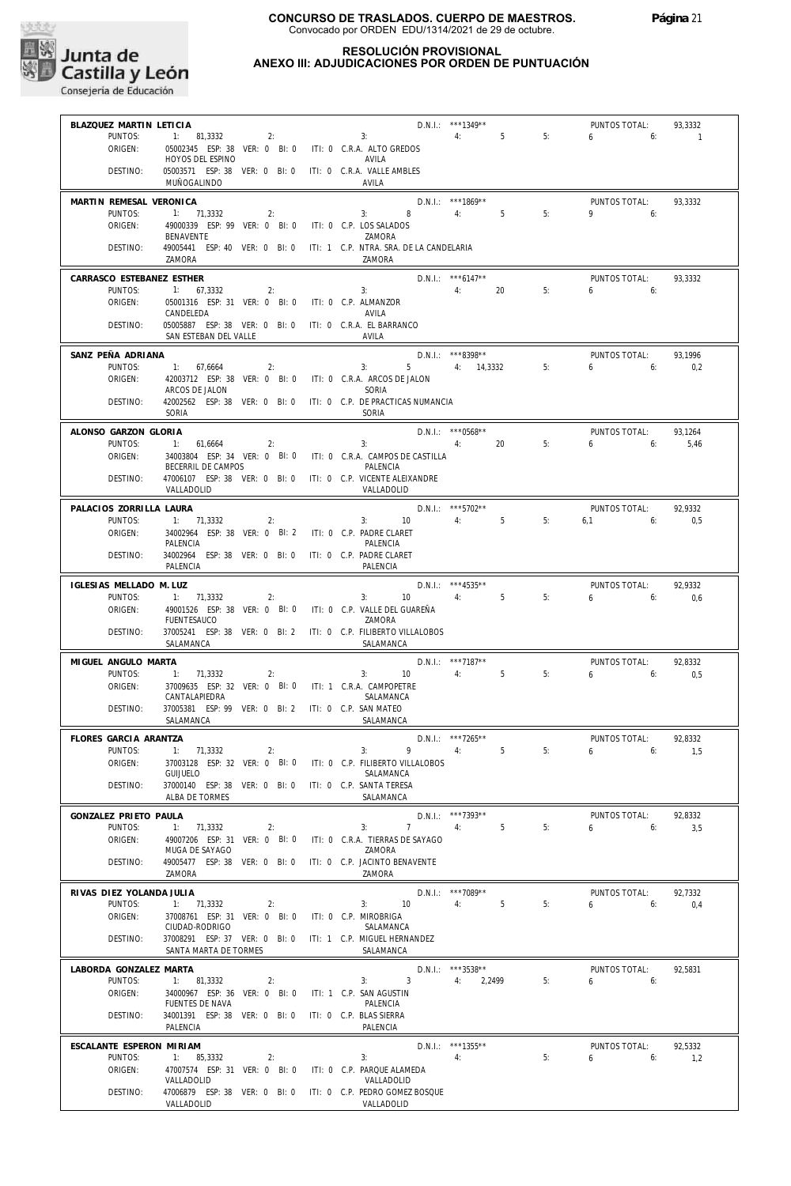

## **RESOLUCIÓN PROVISIONAL ANEXO III: ADJUDICACIONES POR ORDEN DE PUNTUACIÓN**

| BLAZQUEZ MARTIN LETICIA   |                                                                                  |                                                                | D.N.I.: ***1349**    |    | PUNTOS TOTAL: | 93,3332        |
|---------------------------|----------------------------------------------------------------------------------|----------------------------------------------------------------|----------------------|----|---------------|----------------|
| PUNTOS:                   | $1: 81,3332$ 2:                                                                  | 3:                                                             | 4:5                  | 5: | 6 -<br>6:     | $\overline{1}$ |
| ORIGEN:                   | 05002345 ESP: 38 VER: 0 BI: 0 ITI: 0 C.R.A. ALTO GREDOS                          |                                                                |                      |    |               |                |
|                           | HOYOS DEL ESPINO                                                                 | AVILA                                                          |                      |    |               |                |
| DESTINO:                  | 05003571 ESP: 38 VER: 0 BI: 0 ITI: 0 C.R.A. VALLE AMBLES                         |                                                                |                      |    |               |                |
|                           | MUÑOGALINDO                                                                      | AVILA                                                          |                      |    |               |                |
|                           |                                                                                  |                                                                |                      |    |               |                |
| MARTIN REMESAL VERONICA   |                                                                                  |                                                                | D.N.I.: ***1869**    |    | PUNTOS TOTAL: | 93,3332        |
| PUNTOS:                   | 1: 71,3332<br>2:                                                                 | 3:                                                             | 8 4: 5               | 5: | $9 \t\t 6$    |                |
| ORIGEN:                   | 49000339 ESP: 99 VER: 0 BI: 0 ITI: 0 C.P. LOS SALADOS                            |                                                                |                      |    |               |                |
|                           | BENAVENTE                                                                        | ZAMORA                                                         |                      |    |               |                |
| DESTINO:                  | 49005441 ESP: 40 VER: 0 BI: 0 ITI: 1 C.P. NTRA. SRA. DE LA CANDELARIA            |                                                                |                      |    |               |                |
|                           | ZAMORA                                                                           | ZAMORA                                                         |                      |    |               |                |
| CARRASCO ESTEBANEZ ESTHER |                                                                                  |                                                                | $D.N.1::$ *** 6147** |    | PUNTOS TOTAL: | 93,3332        |
| PUNTOS:                   | 1: 67,3332<br>2:                                                                 | $\frac{644}{4}$ : 20                                           |                      | 5: | $6\qquad 6$   |                |
|                           |                                                                                  |                                                                |                      |    |               |                |
| ORIGEN:                   | 05001316 ESP: 31 VER: 0 BI: 0 ITI: 0 C.P. ALMANZOR                               | AVILA                                                          |                      |    |               |                |
|                           | CANDELEDA                                                                        |                                                                |                      |    |               |                |
| DESTINO:                  | 05005887 ESP: 38 VER: 0 BI: 0 ITI: 0 C.R.A. EL BARRANCO<br>SAN ESTEBAN DEL VALLE | AVILA                                                          |                      |    |               |                |
|                           |                                                                                  |                                                                |                      |    |               |                |
| SANZ PEÑA ADRIANA         |                                                                                  |                                                                | $D.N.1.:$ ***8398**  |    | PUNTOS TOTAL: | 93,1996        |
| PUNTOS:                   | 1: 67,6664<br>2:                                                                 | 3:                                                             | 5 4: 14,3332         | 5: | $6\qquad 6$   | 0,2            |
| ORIGEN:                   | 42003712 ESP: 38 VER: 0 BI: 0 ITI: 0 C.R.A. ARCOS DE JALON                       |                                                                |                      |    |               |                |
|                           | ARCOS DE JALON                                                                   | SORIA                                                          |                      |    |               |                |
| DESTINO:                  | 42002562 ESP: 38 VER: 0 BI: 0 ITI: 0 C.P. DE PRACTICAS NUMANCIA                  |                                                                |                      |    |               |                |
|                           | SORIA                                                                            | SORIA                                                          |                      |    |               |                |
|                           |                                                                                  |                                                                |                      |    |               |                |
| ALONSO GARZON GLORIA      |                                                                                  |                                                                | $D.N.I.:$ *** 0568** |    | PUNTOS TOTAL: | 93,1264        |
| PUNTOS:                   | 1: 61,6664<br>2:                                                                 | $\overline{4}$ :<br>3:                                         | 20                   | 5: | $6\qquad 6$   | 5,46           |
| ORIGEN:                   |                                                                                  | 34003804 ESP: 34 VER: 0 BI: 0 ITI: 0 C.R.A. CAMPOS DE CASTILLA |                      |    |               |                |
|                           | BECERRIL DE CAMPOS                                                               | PALENCIA                                                       |                      |    |               |                |
| DESTINO:                  | 47006107 ESP: 38 VER: 0 BI: 0 ITI: 0 C.P. VICENTE ALEIXANDRE                     |                                                                |                      |    |               |                |
|                           | VALLADOLID                                                                       | VALLADOLID                                                     |                      |    |               |                |
|                           |                                                                                  |                                                                |                      |    |               |                |
| PALACIOS ZORRILLA LAURA   |                                                                                  |                                                                | $D.N.1::$ ***5702**  |    | PUNTOS TOTAL: | 92,9332        |
| PUNTOS:                   | 1: 71,3332<br>2:                                                                 | 3:<br>10                                                       | 4:5                  | 5: | $6.1$ 6:      | 0.5            |
| ORIGEN:                   | 34002964 ESP: 38 VER: 0 BI: 2 ITI: 0 C.P. PADRE CLARET                           |                                                                |                      |    |               |                |
|                           | PALENCIA                                                                         | PALENCIA                                                       |                      |    |               |                |
| DESTINO:                  | 34002964 ESP: 38 VER: 0 BI: 0 ITI: 0 C.P. PADRE CLARET                           |                                                                |                      |    |               |                |
|                           | PALENCIA                                                                         | PALENCIA                                                       |                      |    |               |                |
| IGLESIAS MELLADO M. LUZ   |                                                                                  |                                                                | $D.N.1::$ ***4535**  |    | PUNTOS TOTAL: | 92,9332        |
| PUNTOS:                   | 1: 71,3332<br>2:                                                                 | 3: 10                                                          | $5 - 5$<br>4:        | 5: | $6\qquad 6$   | 0.6            |
| ORIGEN:                   | 49001526 ESP: 38 VER: 0 BI: 0 ITI: 0 C.P. VALLE DEL GUAREÑA                      |                                                                |                      |    |               |                |
|                           | <b>FUENTESAUCO</b>                                                               | ZAMORA                                                         |                      |    |               |                |
| DESTINO:                  | 37005241 ESP: 38 VER: 0 BI: 2 ITI: 0 C.P. FILIBERTO VILLALOBOS                   |                                                                |                      |    |               |                |
|                           | SALAMANCA                                                                        | SALAMANCA                                                      |                      |    |               |                |
|                           |                                                                                  |                                                                |                      |    |               |                |
| MIGUEL ANGULO MARTA       |                                                                                  |                                                                | D.N.I.: ***7187**    |    | PUNTOS TOTAL: | 92,8332        |
| PUNTOS:                   | 1: 71.3332<br>2:                                                                 | 3: 10                                                          | 4:5                  | 5: | $6\qquad 6$   | 0,5            |
| ORIGEN:                   | 37009635 ESP: 32 VER: 0 BI: 0 ITI: 1 C.R.A. CAMPOPETRE                           |                                                                |                      |    |               |                |
|                           | CANTALAPIEDRA                                                                    | SALAMANCA                                                      |                      |    |               |                |
| DESTINO:                  | 37005381 ESP: 99 VER: 0 BI: 2 ITI: 0 C.P. SAN MATEO                              |                                                                |                      |    |               |                |
|                           | SALAMANCA                                                                        | SALAMANCA                                                      |                      |    |               |                |
|                           |                                                                                  |                                                                |                      |    |               |                |
| FLORES GARCIA ARANTZA     |                                                                                  |                                                                | D.N.I.: ***7265**    |    | PUNTOS TOTAL: | 92,8332        |
| PUNTOS:                   | 1: 71.3332<br>2:                                                                 | $9 \t\t 4$ :<br>3:                                             | 5                    | 5: | 650           | 1.5            |
| ORIGEN:                   | 37003128 ESP: 32 VER: 0 BI: 0                                                    | ITI: 0 C.P. FILIBERTO VILLALOBOS                               |                      |    |               |                |
|                           | <b>GUIJUELO</b>                                                                  | SALAMANCA                                                      |                      |    |               |                |
| DESTINO:                  | 37000140 ESP: 38 VER: 0 BI: 0                                                    | ITI: 0 C.P. SANTA TERESA                                       |                      |    |               |                |
|                           | ALBA DE TORMES                                                                   | SALAMANCA                                                      |                      |    |               |                |
| GONZALEZ PRIETO PAULA     |                                                                                  |                                                                | D.N.I.: ***7393**    |    | PUNTOS TOTAL: | 92.8332        |
| PUNTOS:                   | 1:<br>71.3332<br>2:                                                              | 3:<br>$7^{\circ}$                                              | 5<br>4:              | 5: | 6<br>6:       | 3,5            |
| ORIGEN:                   | 49007206 ESP: 31 VER: 0 BI: 0                                                    | ITI: 0 C.R.A. TIERRAS DE SAYAGO                                |                      |    |               |                |
|                           | MUGA DE SAYAGO                                                                   | ZAMORA                                                         |                      |    |               |                |
| DESTINO:                  | 49005477 ESP: 38 VER: 0 BI: 0                                                    | ITI: 0 C.P. JACINTO BENAVENTE                                  |                      |    |               |                |
|                           | ZAMORA                                                                           | ZAMORA                                                         |                      |    |               |                |
|                           |                                                                                  |                                                                |                      |    |               |                |
| RIVAS DIEZ YOLANDA JULIA  |                                                                                  |                                                                | $D.N.1::$ ***7089**  |    | PUNTOS TOTAL: | 92,7332        |
| PUNTOS:                   | 1: 71,3332<br>2:                                                                 | 10 <sup>°</sup><br>3:                                          | 4:<br>5              | 5: | 6<br>6:       | 0,4            |
| ORIGEN:                   | 37008761 ESP: 31 VER: 0 BI: 0                                                    | ITI: 0 C.P. MIROBRIGA                                          |                      |    |               |                |
|                           | CIUDAD-RODRIGO                                                                   | SALAMANCA                                                      |                      |    |               |                |
| DESTINO:                  | 37008291 ESP: 37 VER: 0 BI: 0                                                    | ITI: 1 C.P. MIGUEL HERNANDEZ                                   |                      |    |               |                |
|                           | SANTA MARTA DE TORMES                                                            | SALAMANCA                                                      |                      |    |               |                |
| LABORDA GONZALEZ MARTA    |                                                                                  |                                                                | D.N.I.: ***3538**    |    | PUNTOS TOTAL: | 92,5831        |
|                           |                                                                                  | 3                                                              |                      |    |               |                |
| PUNTOS:                   | 81,3332<br>1:<br>2:                                                              | 3:                                                             | 4:<br>2,2499         | 5: | 6<br>6:       |                |
| ORIGEN:                   | 34000967 ESP: 36 VER: 0 BI: 0                                                    | ITI: 1 C.P. SAN AGUSTIN                                        |                      |    |               |                |
|                           | FUENTES DE NAVA                                                                  | PALENCIA                                                       |                      |    |               |                |
| DESTINO:                  | 34001391 ESP: 38 VER: 0 BI: 0                                                    | ITI: 0 C.P. BLAS SIERRA                                        |                      |    |               |                |
|                           | PALENCIA                                                                         | PALENCIA                                                       |                      |    |               |                |
|                           |                                                                                  |                                                                |                      |    | PUNTOS TOTAL: | 92.5332        |
| ESCALANTE ESPERON MIRIAM  |                                                                                  |                                                                | D.N.I.: ***1355**    |    |               |                |
| PUNTOS:                   |                                                                                  | 3:                                                             | 4:                   | 5: | 6             |                |
| ORIGEN:                   | 1: 85,3332<br>2:                                                                 |                                                                |                      |    | 6:            | 1,2            |
|                           | 47007574 ESP: 31 VER: 0 BI: 0<br>VALLADOLID                                      | ITI: 0 C.P. PARQUE ALAMEDA<br>VALLADOLID                       |                      |    |               |                |
|                           |                                                                                  |                                                                |                      |    |               |                |
| DESTINO:                  | 47006879 ESP: 38 VER: 0 BI: 0<br>VALLADOLID                                      | ITI: 0 C.P. PEDRO GOMEZ BOSQUE<br>VALLADOLID                   |                      |    |               |                |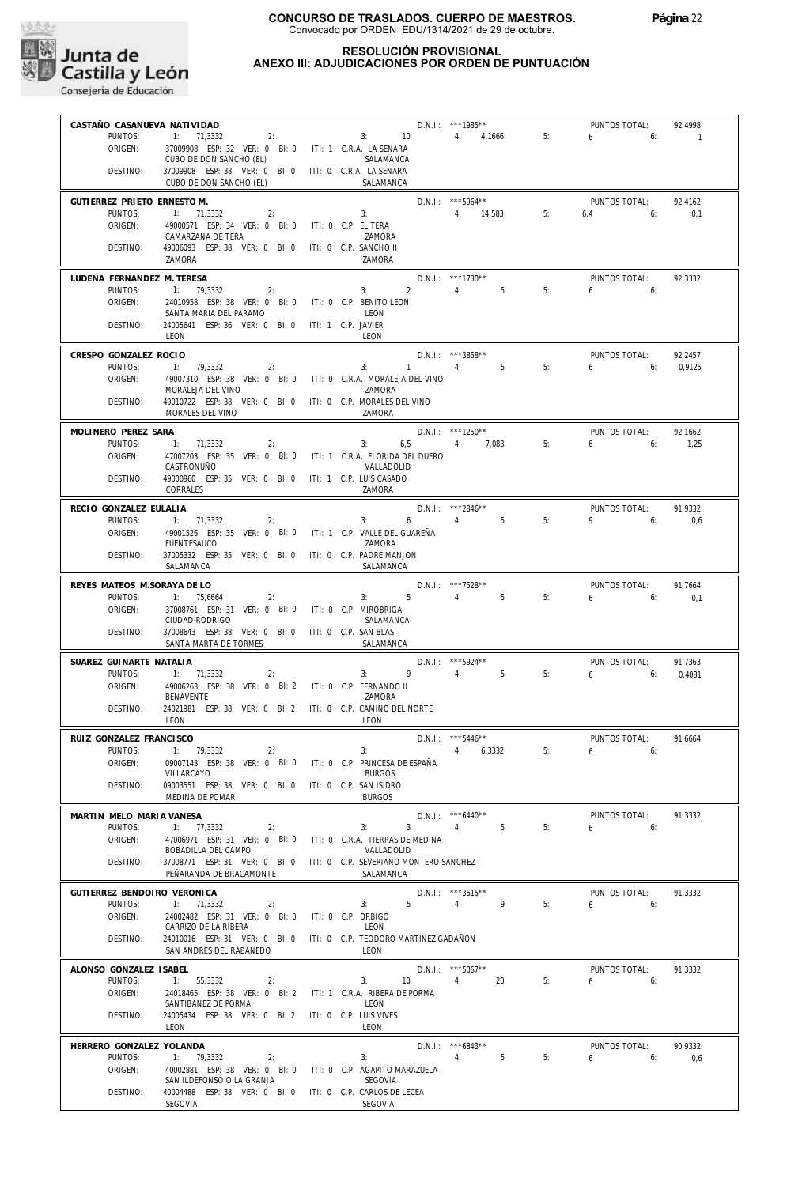

## **RESOLUCIÓN PROVISIONAL ANEXO III: ADJUDICACIONES POR ORDEN DE PUNTUACIÓN**

| CASTAÑO CASANUEVA NATIVIDAD           |                                                                                                |                                                       | D.N.I.: ***1985**            |       | PUNTOS TOTAL:            | 92,4998        |
|---------------------------------------|------------------------------------------------------------------------------------------------|-------------------------------------------------------|------------------------------|-------|--------------------------|----------------|
| PUNTOS:<br>ORIGEN:                    | 1:<br>71,3332<br>2:<br>37009908 ESP: 32 VER: 0 BI: 0 ITI: 1 C.R.A. LA SENARA                   | 3:<br>10                                              | 4:<br>4,1666                 | 5:    | 6<br>6:                  | $\overline{1}$ |
|                                       | CUBO DE DON SANCHO (EL)                                                                        | SALAMANCA                                             |                              |       |                          |                |
| DESTINO:                              | 37009908 ESP: 38 VER: 0 BI: 0 ITI: 0 C.R.A. LA SENARA<br>CUBO DE DON SANCHO (EL)               | SALAMANCA                                             |                              |       |                          |                |
| GUTIERREZ PRIETO ERNESTO M.           |                                                                                                |                                                       | D.N.I.: *** 5964**           |       | PUNTOS TOTAL:            | 92,4162        |
| PUNTOS:<br>ORIGEN:                    | 1: 71,3332<br>2:<br>49000571 ESP: 34 VER: 0 BI: 0                                              | 3:<br>ITI: 0 C.P. EL TERA                             | 4:<br>14,583                 | 5:    | 6,4<br>6:                | 0,1            |
|                                       | CAMARZANA DE TERA                                                                              | ZAMORA                                                |                              |       |                          |                |
| DESTINO:                              | 49006093 ESP: 38 VER: 0 BI: 0<br>ZAMORA                                                        | ITI: 0 C.P. SANCHO II<br>ZAMORA                       |                              |       |                          |                |
| LUDEÑA FERNANDEZ M. TERESA<br>PUNTOS: | 1:<br>79,3332<br>2:                                                                            | $\overline{2}$<br>3:                                  | D.N.I.: ***1730**<br>5<br>4: | 5:    | PUNTOS TOTAL:<br>6<br>6: | 92,3332        |
| ORIGEN:                               | 24010958 ESP: 38 VER: 0 BI: 0                                                                  | ITI: 0 C.P. BENITO LEON                               |                              |       |                          |                |
| DESTINO:                              | SANTA MARIA DEL PARAMO<br>24005641 ESP: 36 VER: 0 BI: 0                                        | LEON<br>ITI: 1 C.P. JAVIER                            |                              |       |                          |                |
|                                       | <b>IFON</b>                                                                                    | LEON                                                  |                              |       |                          |                |
| CRESPO GONZALEZ ROCIO                 |                                                                                                |                                                       | D.N.I.: ***3858**            |       | PUNTOS TOTAL:            | 92,2457        |
| PUNTOS:<br>ORIGEN:                    | 1:<br>79,3332<br>2:<br>49007310 ESP: 38 VER: 0 BI: 0                                           | $\mathbf{1}$<br>3:<br>ITI: 0 C.R.A. MORALEJA DEL VINO | 5<br>4:                      | 5:    | 6<br>6:                  | 0,9125         |
|                                       | MORALEJA DEL VINO                                                                              | ZAMORA                                                |                              |       |                          |                |
| DESTINO:                              | 49010722 ESP: 38 VER: 0 BI: 0 ITI: 0 C.P. MORALES DEL VINO<br>MORALES DEL VINO                 | ZAMORA                                                |                              |       |                          |                |
| MOLINERO PEREZ SARA                   |                                                                                                |                                                       | $D.N.1::$ ***1250**          |       | PUNTOS TOTAL:            | 92,1662        |
| PUNTOS:<br>ORIGEN:                    | 1: 71,3332<br>2:<br>47007203 ESP: 35 VER: 0 BI: 0                                              | 3:<br>6,5<br>ITI: 1 C.R.A. FLORIDA DEL DUERO          | 7,083<br>4:                  | 5:    | 6<br>6:                  | 1,25           |
|                                       | CASTRONUÑO                                                                                     | VALLADOLID                                            |                              |       |                          |                |
| DESTINO:                              | 49000960 ESP: 35 VER: 0 BI: 0<br>CORRALES                                                      | ITI: 1 C.P. LUIS CASADO<br>ZAMORA                     |                              |       |                          |                |
| RECIO GONZALEZ EULALIA                |                                                                                                |                                                       | D.N.I.: *** 2846**           |       | PUNTOS TOTAL:            | 91,9332        |
| PUNTOS:                               | 1: 71,3332<br>2:                                                                               | 6<br>3:                                               | 5<br>4:                      | 5:    | 9<br>6:                  | 0,6            |
| ORIGEN:                               | 49001526 ESP: 35 VER: 0 BI: 0<br><b>FUENTESAUCO</b>                                            | ITI: 1 C.P. VALLE DEL GUAREÑA<br>ZAMORA               |                              |       |                          |                |
| DESTINO:                              | 37005332 ESP: 35 VER: 0 BI: 0<br>SALAMANCA                                                     | ITI: 0 C.P. PADRE MANJON<br>SALAMANCA                 |                              |       |                          |                |
| REYES MATEOS M.SORAYA DE LO           |                                                                                                |                                                       | D.N.I.: ***7528**            |       | PUNTOS TOTAL:            | 91,7664        |
| PUNTOS:<br>ORIGEN:                    | 2:<br>1:<br>75,6664<br>37008761 ESP: 31 VER: 0 BI: 0                                           | 5<br>3:<br>ITI: 0 C.P. MIROBRIGA                      | 4:<br>5                      | 5:    | 6<br>6:                  | 0,1            |
|                                       | CIUDAD-RODRIGO                                                                                 | SALAMANCA                                             |                              |       |                          |                |
| DESTINO:                              | 37008643 ESP: 38 VER: 0 BI: 0<br>SANTA MARTA DE TORMES                                         | ITI: 0 C.P. SAN BLAS<br>SALAMANCA                     |                              |       |                          |                |
| SUAREZ GUINARTE NATALIA               |                                                                                                |                                                       | D.N.I.: *** 5924**           |       | PUNTOS TOTAL:            | 91.7363        |
| PUNTOS:<br>ORIGEN:                    | 1: 71,3332<br>2:<br>49006263 ESP: 38 VER: 0 BI: 2                                              | 9<br>3:<br>ITI: 0 C.P. FERNANDO II                    | 4:<br>5                      | 5:    | 6<br>6:                  | 0,4031         |
|                                       | BENAVENTE                                                                                      | ZAMORA                                                |                              |       |                          |                |
| DESTINO:                              | 24021981 ESP: 38 VER: 0 BI: 2 ITI: 0 C.P. CAMINO DEL NORTE<br>LEON                             | LEON                                                  |                              |       |                          |                |
| RUIZ GONZALEZ FRANCISCO               |                                                                                                |                                                       | D.N.I.: *** 5446**           |       | PUNTOS TOTAL:            | 91.6664        |
| ORIGEN:                               | PUNTOS: 1: 79,3332<br>2:<br>09007143 ESP: 38 VER: 0 BI: 0 ITI: 0 C.P. PRINCESA DE ESPAÑA       | 3:                                                    | 6,3332                       | $-5:$ | 6                        |                |
|                                       | VILLARCAYO                                                                                     | <b>BURGOS</b>                                         |                              |       |                          |                |
| DESTINO:                              | 09003551 ESP: 38 VER: 0 BI: 0 ITI: 0 C.P. SAN ISIDRO<br>MEDINA DE POMAR                        | <b>BURGOS</b>                                         |                              |       |                          |                |
| MARTIN MELO MARIA VANESA              |                                                                                                |                                                       | $D.N.1.:$ ***6440**          |       | PUNTOS TOTAL:            | 91,3332        |
| PUNTOS:<br>ORIGEN:                    | 1: 77,3332<br>2:<br>47006971 ESP: 31 VER: 0 BI: 0 ITI: 0 C.R.A. TIERRAS DE MEDINA              | $3^{\circ}$<br>3:                                     | 4:<br>$5^{\circ}$            | 5:    | $6\qquad 6:$             |                |
|                                       | BOBADILLA DEL CAMPO                                                                            | VALLADOLID                                            |                              |       |                          |                |
| DESTINO:                              | 37008771 ESP: 31 VER: 0 BI: 0 ITI: 0 C.P. SEVERIANO MONTERO SANCHEZ<br>PEÑARANDA DE BRACAMONTE | SALAMANCA                                             |                              |       |                          |                |
| GUTIERREZ BENDOIRO VERONICA           |                                                                                                |                                                       | D.N.I.: ***3615**            |       | PUNTOS TOTAL:            | 91,3332        |
| PUNTOS:                               | 1: 71,3332<br>2:                                                                               | $5 \qquad \qquad 4:$<br>3:                            | 9                            | 5:    | $6\qquad 6$              |                |
| ORIGEN:                               | 24002482 ESP: 31 VER: 0 BI: 0 ITI: 0 C.P. ORBIGO<br>CARRIZO DE LA RIBERA                       | LEON                                                  |                              |       |                          |                |
| DESTINO:                              | 24010016 ESP: 31 VER: 0 BI: 0 ITI: 0 C.P. TEODORO MARTINEZ GADAÑON<br>SAN ANDRES DEL RABANEDO  | LEON                                                  |                              |       |                          |                |
| ALONSO GONZALEZ ISABEL                |                                                                                                |                                                       | $D.N.1::$ ***5067**          |       | PUNTOS TOTAL:            | 91,3332        |
| PUNTOS:<br>ORIGEN:                    | $1: 55,3332$ 2:<br>24018465 ESP: 38 VER: 0 BI: 2 ITI: 1 C.R.A. RIBERA DE PORMA                 | $10 \qquad \qquad 4$<br>3:                            | 20                           | 5:    | $6\qquad 6$              |                |
|                                       | SANTIBAÑEZ DE PORMA                                                                            | LEON                                                  |                              |       |                          |                |
| DESTINO:                              | 24005434 ESP: 38 VER: 0 BI: 2 ITI: 0 C.P. LUIS VIVES<br>LEON                                   | LEON                                                  |                              |       |                          |                |
| HERRERO GONZALEZ YOLANDA              |                                                                                                |                                                       | $D.N.1::$ ***6843**          |       | PUNTOS TOTAL:            | 90,9332        |
| PUNTOS:<br>ORIGEN:                    | 1: 79,3332<br>2:<br>40002881 ESP: 38 VER: 0 BI: 0 ITI: 0 C.P. AGAPITO MARAZUELA                | 3:                                                    | $5 - 5$<br>4:                | 5:    | $6\qquad 6$              | 0,6            |
|                                       | SAN ILDEFONSO O LA GRANJA                                                                      | SEGOVIA                                               |                              |       |                          |                |
| DESTINO:                              | 40004488 ESP: 38 VER: 0 BI: 0 ITI: 0 C.P. CARLOS DE LECEA<br>SEGOVIA                           | SEGOVIA                                               |                              |       |                          |                |
|                                       |                                                                                                |                                                       |                              |       |                          |                |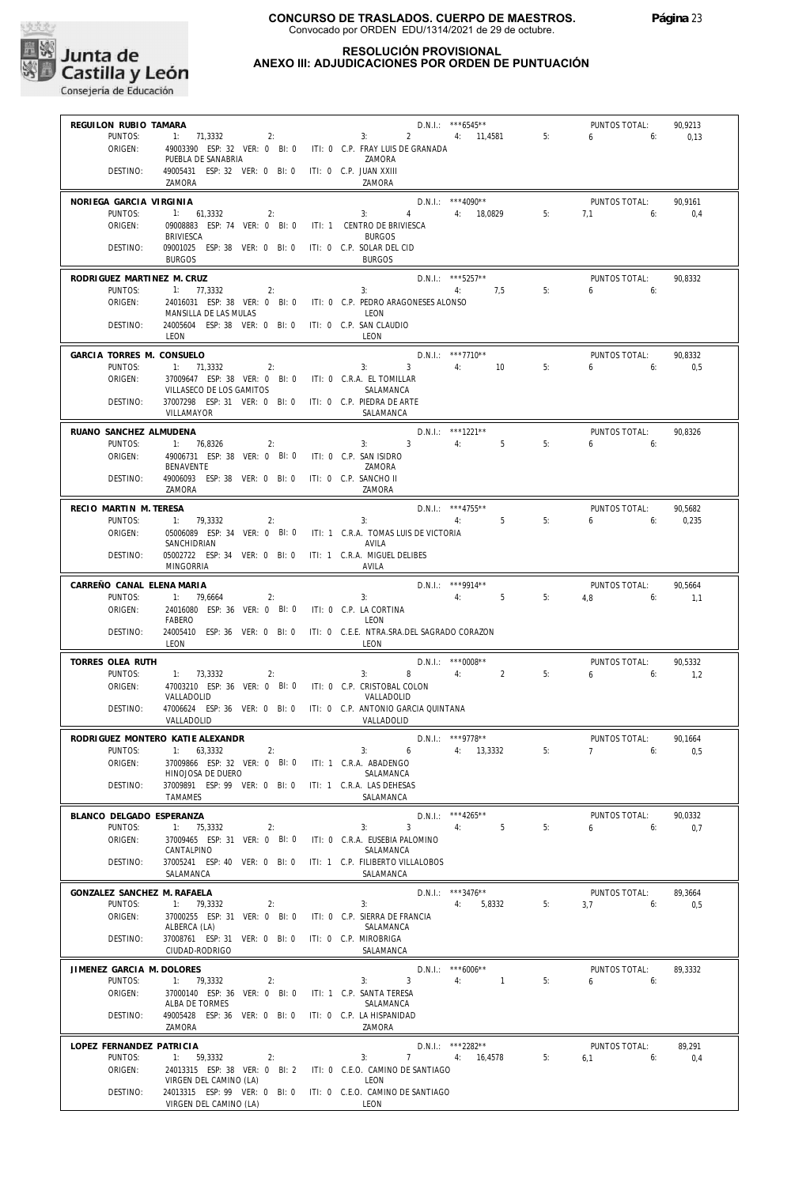

## **RESOLUCIÓN PROVISIONAL ANEXO III: ADJUDICACIONES POR ORDEN DE PUNTUACIÓN**

| REGUILON RUBIO TAMARA                 |                                                                                      |    |                                                    | D.N.I.: ***6545**                     |    | PUNTOS TOTAL:            | 90,9213        |
|---------------------------------------|--------------------------------------------------------------------------------------|----|----------------------------------------------------|---------------------------------------|----|--------------------------|----------------|
| PUNTOS:                               | 1: 71,3332                                                                           | 2: | 3:                                                 | 2 4: 11,4581                          | 5: | $6 \quad \sigma$<br>6:   | 0,13           |
| ORIGEN:                               | 49003390 ESP: 32 VER: 0 BI: 0 ITI: 0 C.P. FRAY LUIS DE GRANADA<br>PUEBLA DE SANABRIA |    | ZAMORA                                             |                                       |    |                          |                |
| DESTINO:                              | 49005431 ESP: 32 VER: 0 BI: 0 ITI: 0 C.P. JUAN XXIII<br>ZAMORA                       |    | ZAMORA                                             |                                       |    |                          |                |
| NORIEGA GARCIA VIRGINIA               |                                                                                      |    |                                                    | $D.N.1::$ *** 4090**                  |    | PUNTOS TOTAL:            | 90.9161        |
| PUNTOS:<br>ORIGEN:                    | 1: 61,3332<br>2:<br>09008883 ESP: 74 VER: 0 BI: 0                                    |    | $4 \quad$<br>3:<br>ITI: 1 CENTRO DE BRIVIESCA      | 4: 18,0829                            | 5: | 7.1<br>6:                | 0.4            |
|                                       | <b>BRIVIESCA</b>                                                                     |    | <b>BURGOS</b>                                      |                                       |    |                          |                |
| DESTINO:                              | 09001025 ESP: 38 VER: 0 BI: 0<br><b>BURGOS</b>                                       |    | ITI: 0 C.P. SOLAR DEL CID<br><b>BURGOS</b>         |                                       |    |                          |                |
| RODRIGUEZ MARTINEZ M. CRUZ<br>PUNTOS: | 1: 77,3332<br>2:                                                                     |    | 3:                                                 | $D.N.1::$ ***5257**<br>4: 7,5         | 5: | PUNTOS TOTAL:<br>6<br>6: | 90.8332        |
| ORIGEN:                               | 24016031 ESP: 38 VER: 0 BI: 0                                                        |    | ITI: 0 C.P. PEDRO ARAGONESES ALONSO                |                                       |    |                          |                |
| DESTINO:                              | MANSILLA DE LAS MULAS<br>24005604 ESP: 38 VER: 0 BI: 0                               |    | LEON<br>ITI: 0 C.P. SAN CLAUDIO                    |                                       |    |                          |                |
|                                       | LEON                                                                                 |    | LEON                                               |                                       |    |                          |                |
| GARCIA TORRES M. CONSUELO<br>PUNTOS:  | 1: 71,3332<br>2:                                                                     |    | $3^{\circ}$<br>3:                                  | $D.N.1::$ ***7710**<br>4: 10          | 5: | PUNTOS TOTAL:<br>6<br>6: | 90,8332<br>0.5 |
| ORIGEN:                               | 37009647 ESP: 38 VER: 0 BI: 0                                                        |    | ITI: 0 C.R.A. EL TOMILLAR                          |                                       |    |                          |                |
|                                       | VILLASECO DE LOS GAMITOS                                                             |    | SALAMANCA                                          |                                       |    |                          |                |
| DESTINO:                              | 37007298 ESP: 31 VER: 0 BI: 0<br>VILLAMAYOR                                          |    | ITI: 0 C.P. PIEDRA DE ARTE<br>SALAMANCA            |                                       |    |                          |                |
| RUANO SANCHEZ ALMUDENA                |                                                                                      |    |                                                    | D.N.I.: ***1221**                     |    | PUNTOS TOTAL:            | 90,8326        |
| PUNTOS:                               | 1: 76,8326<br>2:                                                                     |    | 3:3<br>4:                                          | 5                                     | 5: | 6<br>6:                  |                |
| ORIGEN:                               | 49006731 ESP: 38 VER: 0 BI: 0<br>BENAVENTE                                           |    | ITI: 0 C.P. SAN ISIDRO<br>ZAMORA                   |                                       |    |                          |                |
| DESTINO:                              | 49006093 ESP: 38 VER: 0 BI: 0<br>ZAMORA                                              |    | ITI: 0 C.P. SANCHO II<br>7AMORA                    |                                       |    |                          |                |
| RECIO MARTIN M. TERESA                |                                                                                      |    |                                                    | $D.N.1.:$ ***4755**                   |    | PUNTOS TOTAL:            | 90,5682        |
| PUNTOS:                               | 1: 79,3332<br>2:                                                                     |    | 3:                                                 | 4:5                                   | 5: | 6<br>6:                  | 0,235          |
| ORIGEN:                               | 05006089 ESP: 34 VER: 0 BI: 0<br>SANCHIDRIAN                                         |    | ITI: 1 C.R.A. TOMAS LUIS DE VICTORIA<br>AVILA      |                                       |    |                          |                |
| DESTINO:                              | 05002722 ESP: 34 VER: 0 BI: 0<br><b>MINGORRIA</b>                                    |    | ITI: 1 C.R.A. MIGUEL DELIBES<br>AVILA              |                                       |    |                          |                |
| CARREÑO CANAL ELENA MARIA             |                                                                                      |    |                                                    | $D.N.1::$ ***9914**                   |    | PUNTOS TOTAL:            | 90,5664        |
| PUNTOS:                               | 1: 79,6664<br>2:                                                                     |    | 3:                                                 | 4:<br>5                               | 5: | 4.8<br>6:                | 1,1            |
| ORIGEN:                               | 24016080 ESP: 36 VER: 0 BI: 0<br>FABERO                                              |    | ITI: 0 C.P. LA CORTINA<br>LEON                     |                                       |    |                          |                |
| DESTINO:                              | 24005410 ESP: 36 VER: 0 BI: 0<br>LEON                                                |    | ITI: 0 C.E.E. NTRA.SRA.DEL SAGRADO CORAZON<br>LEON |                                       |    |                          |                |
| TORRES OLEA RUTH                      |                                                                                      |    |                                                    | $D.N.1.:$ *** 0008**                  |    | PUNTOS TOTAL:            | 90.5332        |
| PUNTOS:<br>ORIGEN:                    | 1: 73,3332<br>2:<br>47003210 ESP: 36 VER: 0 BI: 0                                    |    | 8<br>3:<br>ITI: 0 C.P. CRISTOBAL COLON             | $4:$ $\blacksquare$<br>$\overline{2}$ | 5: | $6\qquad 6$              | 1,2            |
|                                       | VALLADOLID                                                                           |    | VALLADOLID                                         |                                       |    |                          |                |
| DESTINO:                              | 47006624 ESP: 36 VER: 0 BI: 0 ITI: 0 C.P. ANTONIO GARCIA QUINTANA<br>VALLADOLID      |    | VALLADOLID                                         |                                       |    |                          |                |
|                                       | RODRIGUEZ MONTERO KATIE ALEXANDR                                                     |    |                                                    | D.N.I.: ***9778**                     |    | PUNTOS TOTAL:            | 90.1664        |
| PUNTOS:                               | 1: 63,3332<br>2:<br>37009866 ESP: 32 VER: 0 BI: 0                                    |    | 3:<br>ITI: 1 C.R.A. ABADENGO                       | $6$ 4: 13,3332                        | 5: | 7<br>6:                  | 0,5            |
| ORIGEN:                               | HINOJOSA DE DUERO                                                                    |    | SALAMANCA                                          |                                       |    |                          |                |
| DESTINO:                              | 37009891 ESP: 99 VER: 0 BI: 0<br><b>TAMAMES</b>                                      |    | ITI: 1 C.R.A. LAS DEHESAS<br>SALAMANCA             |                                       |    |                          |                |
| BLANCO DELGADO ESPERANZA              |                                                                                      |    |                                                    | D.N.I.: *** 4265**                    |    | PUNTOS TOTAL:            | 90.0332        |
| PUNTOS:                               | 1: 75,3332<br>2:                                                                     |    | 3<br>3:                                            | 4:<br>5                               | 5: | 6<br>6:                  | 0,7            |
| ORIGEN:                               | 37009465 ESP: 31 VER: 0 BI: 0<br>CANTALPINO                                          |    | ITI: 0 C.R.A. EUSEBIA PALOMINO<br>SALAMANCA        |                                       |    |                          |                |
| DESTINO:                              | 37005241 ESP: 40 VER: 0 BI: 0<br>SALAMANCA                                           |    | ITI: 1 C.P. FILIBERTO VILLALOBOS<br>SALAMANCA      |                                       |    |                          |                |
| GONZALEZ SANCHEZ M. RAFAELA           |                                                                                      |    |                                                    | $D.N.1::$ ***3476**                   |    | PUNTOS TOTAL:            | 89,3664        |
| PUNTOS:                               | 1: 79.3332<br>2:                                                                     |    | 3:                                                 | 4: 5,8332                             | 5: | 3.7<br>6:                | 0,5            |
| ORIGEN:                               | 37000255 ESP: 31 VER: 0 BI: 0<br>ALBERCA (LA)                                        |    | ITI: 0 C.P. SIERRA DE FRANCIA<br>SALAMANCA         |                                       |    |                          |                |
| DESTINO:                              | 37008761 ESP: 31 VER: 0 BI: 0<br>CIUDAD-RODRIGO                                      |    | ITI: 0 C.P. MIROBRIGA<br>SALAMANCA                 |                                       |    |                          |                |
| JIMENEZ GARCIA M. DOLORES             |                                                                                      |    |                                                    | $D.N.1.:$ ***6006**                   |    | PUNTOS TOTAL:            | 89,3332        |
| PUNTOS:                               | 1: 79,3332<br>2:                                                                     |    | 3<br>3:                                            | 4:<br>$\overline{1}$                  | 5: | 6<br>6:                  |                |
| ORIGEN:                               | 37000140 ESP: 36 VER: 0 BI: 0<br>ALBA DE TORMES                                      |    | ITI: 1 C.P. SANTA TERESA<br>SALAMANCA              |                                       |    |                          |                |
| DESTINO:                              | 49005428 ESP: 36 VER: 0 BI: 0<br>ZAMORA                                              |    | ITI: 0 C.P. LA HISPANIDAD<br>ZAMORA                |                                       |    |                          |                |
| LOPEZ FERNANDEZ PATRICIA              |                                                                                      |    |                                                    | D.N.I.: ***2282**                     |    | PUNTOS TOTAL:            | 89,291         |
| PUNTOS:                               | 1: 59,3332<br>2:                                                                     |    | 7<br>3:                                            | 4: 16,4578                            | 5: | 6:<br>6,1                | 0,4            |
| ORIGEN:                               | 24013315 ESP: 38 VER: 0 BI: 2<br>VIRGEN DEL CAMINO (LA)                              |    | ITI: 0 C.E.O. CAMINO DE SANTIAGO<br>LEON           |                                       |    |                          |                |
| DESTINO:                              | 24013315 ESP: 99 VER: 0 BI: 0                                                        |    | ITI: 0 C.E.O. CAMINO DE SANTIAGO                   |                                       |    |                          |                |
|                                       | VIRGEN DEL CAMINO (LA)                                                               |    | LEON                                               |                                       |    |                          |                |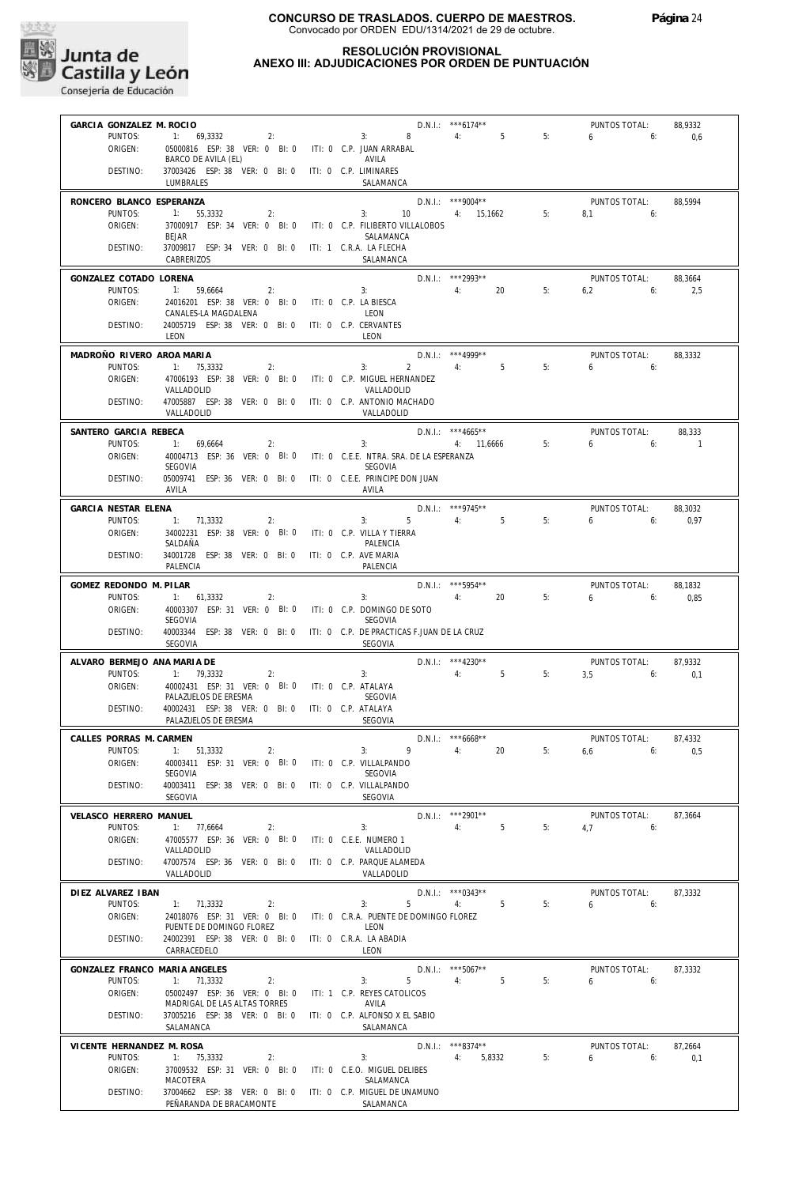

## **RESOLUCIÓN PROVISIONAL ANEXO III: ADJUDICACIONES POR ORDEN DE PUNTUACIÓN**

| GARCIA GONZALEZ M. ROCIO          |                                                                                            |                                                | $D.N.1::$ *** 6174**                            |    | PUNTOS TOTAL:                          | 88,9332         |
|-----------------------------------|--------------------------------------------------------------------------------------------|------------------------------------------------|-------------------------------------------------|----|----------------------------------------|-----------------|
| PUNTOS:                           | 1: $69,3332$ 2:                                                                            | 3: 8 4: 5                                      |                                                 | 5: | 6<br>6:                                | 0,6             |
| ORIGEN:                           | 05000816 ESP: 38 VER: 0 BI: 0 ITI: 0 C.P. JUAN ARRABAL<br>BARCO DE AVILA (EL)              | AVILA                                          |                                                 |    |                                        |                 |
| DESTINO:                          | 37003426 ESP: 38 VER: 0 BI: 0 ITI: 0 C.P. LIMINARES                                        |                                                |                                                 |    |                                        |                 |
|                                   | LUMBRALES                                                                                  | SALAMANCA                                      |                                                 |    |                                        |                 |
| RONCERO BLANCO ESPERANZA          |                                                                                            |                                                | $D.N.1.:$ ***9004**                             |    | PUNTOS TOTAL:                          | 88,5994         |
| PUNTOS:                           | 1: 55,3332<br>2:                                                                           | 3:                                             | 10 4: 15,1662                                   | 5: | 8.1<br>6:                              |                 |
| ORIGEN:                           | 37000917 ESP: 34 VER: 0 BI: 0<br><b>BEJAR</b>                                              | ITI: 0 C.P. FILIBERTO VILLALOBOS<br>SALAMANCA  |                                                 |    |                                        |                 |
| DESTINO:                          | 37009817 ESP: 34 VER: 0 BI: 0 ITI: 1 C.R.A. LA FLECHA                                      |                                                |                                                 |    |                                        |                 |
|                                   | CABRERIZOS                                                                                 | SALAMANCA                                      |                                                 |    |                                        |                 |
| GONZALEZ COTADO LORENA            |                                                                                            |                                                | D.N.I.: ***2993**                               |    | PUNTOS TOTAL:                          | 88,3664         |
| PUNTOS:                           | 1: 59,6664<br>2:                                                                           | 3:                                             | 4: 20                                           | 5: | 6:<br>6,2                              | 2,5             |
| ORIGEN:                           | 24016201 ESP: 38 VER: 0 BI: 0 ITI: 0 C.P. LA BIESCA<br>CANALES-LA MAGDALENA                | LEON                                           |                                                 |    |                                        |                 |
| DESTINO:                          | 24005719 ESP: 38 VER: 0 BI: 0 ITI: 0 C.P. CERVANTES                                        |                                                |                                                 |    |                                        |                 |
|                                   | LEON                                                                                       | LEON                                           |                                                 |    |                                        |                 |
| MADROÑO RIVERO AROA MARIA         |                                                                                            |                                                | $D.N.1::$ *** 4999**                            |    | PUNTOS TOTAL:                          | 88,3332         |
| PUNTOS:<br>ORIGEN:                | 1: 75,3332<br>2:<br>47006193 ESP: 38 VER: 0 BI: 0 ITI: 0 C.P. MIGUEL HERNANDEZ             | 3:                                             | $2 \qquad \qquad 4$ :<br>5 <sup>5</sup>         | 5: | 6<br>6:                                |                 |
|                                   | VALLADOLID                                                                                 | VALLADOLID                                     |                                                 |    |                                        |                 |
| DESTINO:                          | 47005887 ESP: 38 VER: 0 BI: 0 ITI: 0 C.P. ANTONIO MACHADO                                  |                                                |                                                 |    |                                        |                 |
|                                   | VALLADOLID                                                                                 | VALLADOLID                                     |                                                 |    |                                        |                 |
| SANTERO GARCIA REBECA             |                                                                                            |                                                | $D.N.1::$ ***4665**                             |    | PUNTOS TOTAL:                          | 88,333          |
| PUNTOS:<br>ORIGEN:                | 1: 69.6664<br>2:<br>40004713 ESP: 36 VER: 0 BI: 0 ITI: 0 C.E.E. NTRA. SRA. DE LA ESPERANZA | 3:                                             | 4: 11,6666                                      | 5: | 6<br>6:                                | $\sim$ 1        |
|                                   | SEGOVIA                                                                                    | SEGOVIA                                        |                                                 |    |                                        |                 |
| DESTINO:                          | 05009741 ESP: 36 VER: 0 BI: 0                                                              | ITI: 0 C.E.E. PRINCIPE DON JUAN                |                                                 |    |                                        |                 |
|                                   | AVILA                                                                                      | AVILA                                          |                                                 |    |                                        |                 |
| GARCIA NESTAR ELENA<br>PUNTOS:    | 1: 71,3332<br>2:                                                                           | 3:<br>$5 -$                                    | $D.N.1.:$ ***9745**<br>4:5                      | 5: | PUNTOS TOTAL:<br>$6\qquad 6$           | 88,3032         |
| ORIGEN:                           | 34002231 ESP: 38 VER: 0 BI: 0 ITI: 0 C.P. VILLA Y TIERRA                                   |                                                |                                                 |    |                                        | 0,97            |
|                                   | SALDAÑA                                                                                    | PALENCIA                                       |                                                 |    |                                        |                 |
| DESTINO:                          | 34001728 ESP: 38 VER: 0 BI: 0<br>PALENCIA                                                  | ITI: 0 C.P. AVE MARIA<br>PALENCIA              |                                                 |    |                                        |                 |
|                                   |                                                                                            |                                                |                                                 |    |                                        |                 |
| GOMEZ REDONDO M. PILAR<br>PUNTOS: | 1: 61,3332<br>2:                                                                           | 3:                                             | D.N.I.: *** 5954**<br>$4:$ $\blacksquare$<br>20 | 5: | PUNTOS TOTAL:<br>$6\overline{6}$<br>6: | 88,1832<br>0,85 |
| ORIGEN:                           | 40003307 ESP: 31 VER: 0 BI: 0 ITI: 0 C.P. DOMINGO DE SOTO                                  |                                                |                                                 |    |                                        |                 |
|                                   | SEGOVIA                                                                                    | SEGOVIA                                        |                                                 |    |                                        |                 |
| DESTINO:                          | 40003344 ESP: 38 VER: 0 BI: 0 ITI: 0 C.P. DE PRACTICAS F.JUAN DE LA CRUZ<br>SEGOVIA        | SEGOVIA                                        |                                                 |    |                                        |                 |
| ALVARO BERMEJO ANA MARIA DE       |                                                                                            |                                                | $D.N.I.:$ ***4230**                             |    | PUNTOS TOTAL:                          | 87,9332         |
| PUNTOS:                           | 1: 79,3332<br>2:                                                                           | 3:                                             | 4:<br>5                                         | 5: | $3,5$ 6:                               | 0,1             |
| ORIGEN:                           | 40002431 ESP: 31 VER: 0 BI: 0 ITI: 0 C.P. ATALAYA                                          |                                                |                                                 |    |                                        |                 |
| DESTINO:                          | PALAZUELOS DE ERESMA<br>40002431 ESP: 38 VER: 0 BI: 0 ITI: 0 C.P. ATALAYA                  | <b>SEGOVIA</b>                                 |                                                 |    |                                        |                 |
|                                   | PALAZUELOS DE ERESMA                                                                       | <b>SEGOVIA</b>                                 |                                                 |    |                                        |                 |
| CALLES PORRAS M. CARMEN           |                                                                                            |                                                | $D.N.1.:$ ***6668**                             |    | PUNTOS TOTAL:                          | 87,4332         |
| PUNTOS:                           | 1: 51,3332<br>2:                                                                           | 3:<br>$9 \t\t 4$ :                             | $20\degree$                                     | 5: | $6,6$ 6:                               | 0,5             |
| ORIGEN:                           | 40003411 ESP: 31 VER: 0 BI: 0                                                              | ITI: 0 C.P. VILLALPANDO                        |                                                 |    |                                        |                 |
| DESTINO:                          | <b>SEGOVIA</b><br>40003411 ESP: 38 VER: 0 BI: 0                                            | <b>SEGOVIA</b><br>ITI: 0 C.P. VILLALPANDO      |                                                 |    |                                        |                 |
|                                   | SEGOVIA                                                                                    | SEGOVIA                                        |                                                 |    |                                        |                 |
| VELASCO HERRERO MANUEL            |                                                                                            |                                                | D.N.I.: *** 2901**                              |    | PUNTOS TOTAL:                          | 87,3664         |
| PUNTOS:                           | 1: 77,6664<br>2:                                                                           | 3:                                             | 4:<br>5                                         | 5: | 4,7<br>6:                              |                 |
| ORIGEN:                           | 47005577 ESP: 36 VER: 0 BI: 0<br>VALLADOLID                                                | ITI: 0 C.E.E. NUMERO 1<br>VALLADOLID           |                                                 |    |                                        |                 |
| DESTINO:                          | 47007574 ESP: 36 VER: 0 BI: 0                                                              | ITI: 0 C.P. PARQUE ALAMEDA                     |                                                 |    |                                        |                 |
|                                   | VALLADOLID                                                                                 | VALLADOLID                                     |                                                 |    |                                        |                 |
| DIEZ ALVAREZ IBAN                 |                                                                                            |                                                | $D.N.1::$ *** 0343**                            |    | PUNTOS TOTAL:                          | 87,3332         |
| PUNTOS:                           | 1: 71,3332<br>2:                                                                           | 5<br>3:                                        | 4:<br>5                                         | 5: | 6<br>6:                                |                 |
| ORIGEN:                           | 24018076 ESP: 31 VER: 0 BI: 0<br>PUENTE DE DOMINGO FLOREZ                                  | ITI: 0 C.R.A. PUENTE DE DOMINGO FLOREZ<br>LEON |                                                 |    |                                        |                 |
| DESTINO:                          | 24002391 ESP: 38 VER: 0 BI: 0                                                              | ITI: 0 C.R.A. LA ABADIA                        |                                                 |    |                                        |                 |
|                                   | CARRACEDELO                                                                                | LEON                                           |                                                 |    |                                        |                 |
| GONZALEZ FRANCO MARIA ANGELES     |                                                                                            |                                                | $D.N.1::$ ***5067**                             |    | PUNTOS TOTAL:                          | 87,3332         |
| PUNTOS:                           | 1:<br>71,3332<br>2:                                                                        | 5<br>3:                                        | 4:<br>5                                         | 5: | 6<br>6:                                |                 |
| ORIGEN:                           | 05002497 ESP: 36 VER: 0 BI: 0<br>MADRIGAL DE LAS ALTAS TORRES                              | ITI: 1 C.P. REYES CATOLICOS<br>AVILA           |                                                 |    |                                        |                 |
| DESTINO:                          | 37005216 ESP: 38 VER: 0 BI: 0                                                              | ITI: 0 C.P. ALFONSO X EL SABIO                 |                                                 |    |                                        |                 |
|                                   | SALAMANCA                                                                                  | SALAMANCA                                      |                                                 |    |                                        |                 |
| VICENTE HERNANDEZ M. ROSA         |                                                                                            |                                                | $D.N.1::$ ***8374**                             |    | PUNTOS TOTAL:                          | 87,2664         |
| PUNTOS:<br>ORIGEN:                | 1: 75,3332<br>2:                                                                           | 3:<br>ITI: 0 C.E.O. MIGUEL DELIBES             | 5,8332<br>4:                                    | 5: | 6<br>6:                                | 0,1             |
|                                   | 37009532 ESP: 31 VER: 0 BI: 0<br>MACOTERA                                                  | SALAMANCA                                      |                                                 |    |                                        |                 |
| DESTINO:                          | 37004662 ESP: 38 VER: 0 BI: 0                                                              | ITI: 0 C.P. MIGUEL DE UNAMUNO                  |                                                 |    |                                        |                 |
|                                   | PEÑARANDA DE BRACAMONTE                                                                    | SALAMANCA                                      |                                                 |    |                                        |                 |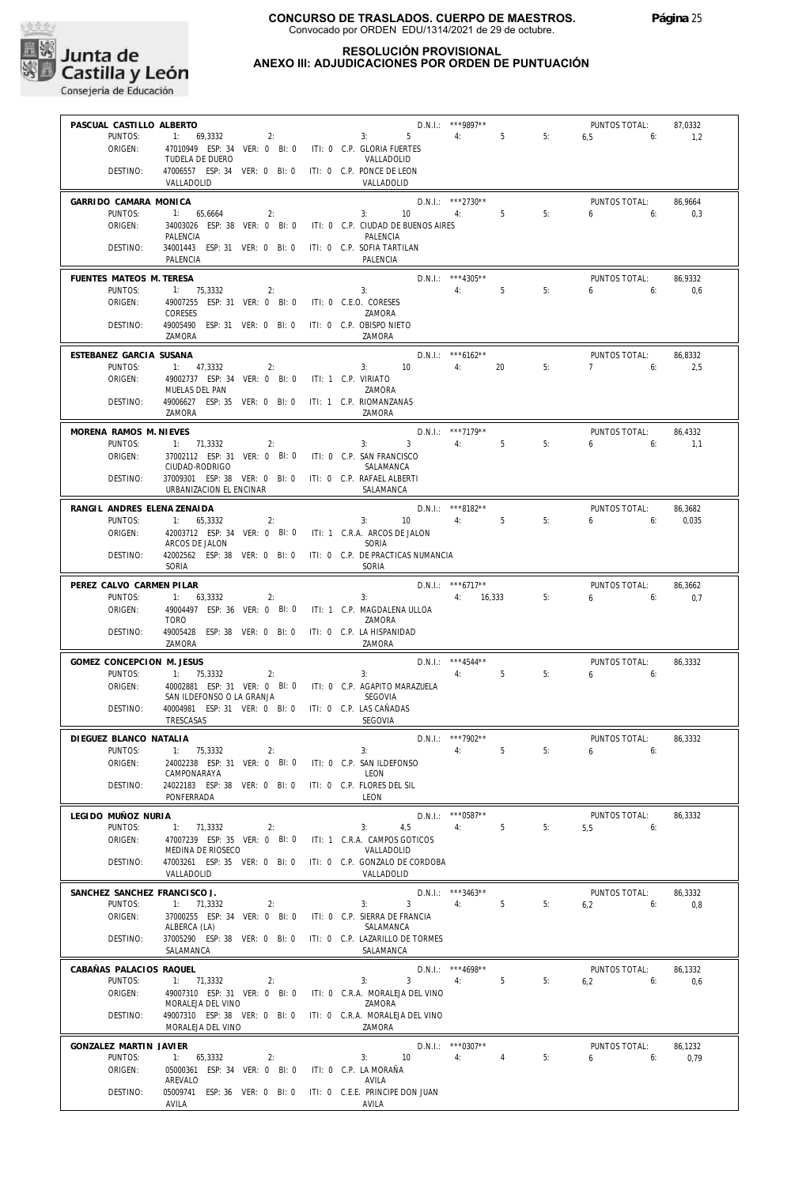

## **RESOLUCIÓN PROVISIONAL ANEXO III: ADJUDICACIONES POR ORDEN DE PUNTUACIÓN**

| PASCUAL CASTILLO ALBERTO             |                                                                         |                                                                              | D.N.I.: *** 9897**           |    | PUNTOS TOTAL:                | 87,0332 |
|--------------------------------------|-------------------------------------------------------------------------|------------------------------------------------------------------------------|------------------------------|----|------------------------------|---------|
| PUNTOS:                              | 1: 69,3332<br>2:                                                        | $5 -$<br>3:                                                                  | 4: 5                         | 5: | $6.5$ 6:                     | 1,2     |
| ORIGEN:                              | 47010949 ESP: 34 VER: 0 BI: 0 ITI: 0 C.P. GLORIA FUERTES                |                                                                              |                              |    |                              |         |
|                                      | TUDELA DE DUERO                                                         | VALLADOLID                                                                   |                              |    |                              |         |
| DESTINO:                             | 47006557 ESP: 34 VER: 0 BI: 0 ITI: 0 C.P. PONCE DE LEON<br>VALLADOLID   | VALLADOLID                                                                   |                              |    |                              |         |
|                                      |                                                                         |                                                                              |                              |    |                              |         |
| GARRIDO CAMARA MONICA                |                                                                         |                                                                              | $D.N.1.:$ ***2730**          |    | PUNTOS TOTAL:                | 86,9664 |
| PUNTOS:                              | 1: 65.6664<br>2:                                                        | $3: 10 \t 4: 5$                                                              |                              | 5: | $6\qquad 6$                  | 0.3     |
| ORIGEN:                              | PALENCIA                                                                | 34003026 ESP: 38 VER: 0 BI: 0 ITI: 0 C.P. CIUDAD DE BUENOS AIRES<br>PALENCIA |                              |    |                              |         |
| DESTINO:                             | 34001443 ESP: 31 VER: 0 BI: 0 ITI: 0 C.P. SOFIA TARTILAN                |                                                                              |                              |    |                              |         |
|                                      | PALENCIA                                                                | PALENCIA                                                                     |                              |    |                              |         |
| FUENTES MATEOS M. TERESA             |                                                                         |                                                                              | $D.N.1::$ *** 4305**         |    | PUNTOS TOTAL:                | 86.9332 |
| PUNTOS:                              | 1: 75,3332<br>2:                                                        | 3: 5                                                                         |                              | 5: | $6 \t\t 6$                   | 0,6     |
| ORIGEN:                              | 49007255 ESP: 31 VER: 0 BI: 0                                           | ITI: 0 C.E.O. CORESES                                                        |                              |    |                              |         |
|                                      | CORESES                                                                 | ZAMORA                                                                       |                              |    |                              |         |
| DESTINO:                             | 49005490 ESP: 31 VER: 0 BI: 0 ITI: 0 C.P. OBISPO NIETO                  |                                                                              |                              |    |                              |         |
|                                      | ZAMORA                                                                  | ZAMORA                                                                       |                              |    |                              |         |
| ESTEBANEZ GARCIA SUSANA              |                                                                         |                                                                              | $D.N.1::$ *** 6162**         |    | PUNTOS TOTAL:                | 86,8332 |
| PUNTOS:                              | 1: 47,3332<br>2:                                                        | 3: 10                                                                        | 4:<br>20                     | 5: | $7 \t\t 6$                   | 2,5     |
| ORIGEN:                              | 49002737 ESP: 34 VER: 0 BI: 0 ITI: 1 C.P. VIRIATO                       |                                                                              |                              |    |                              |         |
| DESTINO:                             | MUELAS DEL PAN<br>49006627 ESP: 35 VER: 0 BI: 0 ITI: 1 C.P. RIOMANZANAS | ZAMORA                                                                       |                              |    |                              |         |
|                                      | ZAMORA                                                                  | ZAMORA                                                                       |                              |    |                              |         |
|                                      |                                                                         |                                                                              |                              |    |                              |         |
| MORENA RAMOS M. NIEVES<br>PUNTOS:    | 1: 71,3332                                                              | $3^{\circ}$<br>3:                                                            | D.N.I.: ***7179**<br>5<br>4: | 5: | PUNTOS TOTAL:<br>$6\qquad 6$ | 86,4332 |
| ORIGEN:                              | 2:<br>37002112 ESP: 31 VER: 0 BI: 0 ITI: 0 C.P. SAN FRANCISCO           |                                                                              |                              |    |                              | 1,1     |
|                                      | CIUDAD-RODRIGO                                                          | SALAMANCA                                                                    |                              |    |                              |         |
| DESTINO:                             | 37009301 ESP: 38 VER: 0 BI: 0 ITI: 0 C.P. RAFAEL ALBERTI                |                                                                              |                              |    |                              |         |
|                                      | URBANIZACION EL ENCINAR                                                 | SALAMANCA                                                                    |                              |    |                              |         |
| RANGIL ANDRES ELENA ZENAIDA          |                                                                         |                                                                              | D.N.I.: ***8182**            |    | PUNTOS TOTAL:                | 86,3682 |
| PUNTOS:                              | 1: 65,3332<br>2:                                                        | 3:<br>10                                                                     | 5<br>4:                      | 5: | $6\qquad 6$                  | 0,035   |
| ORIGEN:                              | 42003712 ESP: 34 VER: 0 BI: 0 ITI: 1 C.R.A. ARCOS DE JALON              |                                                                              |                              |    |                              |         |
|                                      | ARCOS DE JALON                                                          | SORIA                                                                        |                              |    |                              |         |
| DESTINO:                             | SORIA                                                                   | 42002562 ESP: 38 VER: 0 BI: 0 ITI: 0 C.P. DE PRACTICAS NUMANCIA<br>SORIA     |                              |    |                              |         |
|                                      |                                                                         |                                                                              |                              |    |                              |         |
| PEREZ CALVO CARMEN PILAR             |                                                                         |                                                                              | $D.N.1::$ *** 6717**         |    | PUNTOS TOTAL:                | 86,3662 |
| PUNTOS:                              | 1: 63,3332<br>2:                                                        | 3:                                                                           | 4: 16,333                    | 5: | 6.6                          | 0.7     |
|                                      |                                                                         |                                                                              |                              |    |                              |         |
| ORIGEN:                              | <b>TORO</b>                                                             | 49004497 ESP: 36 VER: 0 BI: 0 ITI: 1 C.P. MAGDALENA ULLOA<br>ZAMORA          |                              |    |                              |         |
| DESTINO:                             | 49005428 ESP: 38 VER: 0 BI: 0                                           | ITI: 0 C.P. LA HISPANIDAD                                                    |                              |    |                              |         |
|                                      | ZAMORA                                                                  | ZAMORA                                                                       |                              |    |                              |         |
|                                      |                                                                         |                                                                              |                              |    |                              |         |
| GOMEZ CONCEPCION M. JESUS<br>PUNTOS: | 1: 75,3332<br>2:                                                        | 3:                                                                           | $D.N.1.:$ ***4544**<br>4:5   | 5: | PUNTOS TOTAL:<br>$6\qquad 6$ | 86,3332 |
| ORIGEN:                              |                                                                         | 40002881 ESP: 31 VER: 0 BI: 0 ITI: 0 C.P. AGAPITO MARAZUELA                  |                              |    |                              |         |
|                                      | SAN ILDEFONSO O LA GRANJA                                               | SEGOVIA                                                                      |                              |    |                              |         |
| DESTINO:                             | 40004981 ESP: 31 VER: 0 BI: 0 ITI: 0 C.P. LAS CAÑADAS                   |                                                                              |                              |    |                              |         |
|                                      | TRESCASAS                                                               | SEGOVIA                                                                      |                              |    |                              |         |
| DIEGUEZ BLANCO NATALIA               |                                                                         |                                                                              | D.N.I.: ***7902**            |    | PUNTOS TOTAL:                | 86.3332 |
| PUNTOS:                              | 1: 75.3332<br>2:                                                        | 3:                                                                           | 5<br>4:                      | 5: | $6\qquad 6:$                 |         |
| ORIGEN:                              | 24002238 ESP: 31 VER: 0 BI: 0                                           | ITI: 0 C.P. SAN ILDEFONSO                                                    |                              |    |                              |         |
| DESTINO:                             | CAMPONARAYA<br>24022183 ESP: 38 VER: 0 BI: 0                            | LEON<br>ITI: 0 C.P. FLORES DEL SIL                                           |                              |    |                              |         |
|                                      | PONFERRADA                                                              | LEON                                                                         |                              |    |                              |         |
| LEGIDO MUÑOZ NURIA                   |                                                                         |                                                                              | $D.N.I.:$ *** 0587**         |    | PUNTOS TOTAL:                | 86,3332 |
| PUNTOS:                              | 1: 71,3332<br>2:                                                        | 3:<br>4,5                                                                    | 5 <sub>5</sub><br>4:         | 5: | 5,5<br>6:                    |         |
| ORIGEN:                              | 47007239 ESP: 35 VER: 0 BI: 0                                           | ITI: 1 C.R.A. CAMPOS GOTICOS                                                 |                              |    |                              |         |
|                                      | MEDINA DE RIOSECO                                                       | VALLADOLID                                                                   |                              |    |                              |         |
| DESTINO:                             | 47003261 ESP: 35 VER: 0 BI: 0                                           | ITI: 0 C.P. GONZALO DE CORDOBA                                               |                              |    |                              |         |
|                                      | VALLADOLID                                                              | VALLADOLID                                                                   |                              |    |                              |         |
| SANCHEZ SANCHEZ FRANCISCO J.         |                                                                         |                                                                              | $D.N.I.:$ ***3463**          |    | PUNTOS TOTAL:                | 86,3332 |
| PUNTOS:                              | 1: 71.3332<br>2:                                                        | $\overline{3}$<br>3:                                                         | 4:<br>5 <sub>5</sub>         | 5: | 6:<br>6.2                    | 0,8     |
| ORIGEN:                              | 37000255 ESP: 34 VER: 0 BI: 0<br>ALBERCA (LA)                           | ITI: 0 C.P. SIERRA DE FRANCIA<br>SALAMANCA                                   |                              |    |                              |         |
| DESTINO:                             | 37005290 ESP: 38 VER: 0 BI: 0                                           | ITI: 0 C.P. LAZARILLO DE TORMES                                              |                              |    |                              |         |
|                                      | SALAMANCA                                                               | SALAMANCA                                                                    |                              |    |                              |         |
| CABAÑAS PALACIOS RAQUEL              |                                                                         |                                                                              | D.N.I.: *** 4698**           |    | PUNTOS TOTAL:                | 86,1332 |
| PUNTOS:                              | 1: 71,3332<br>2:                                                        | $\overline{3}$<br>3:                                                         | $5^{\circ}$<br>4:            | 5: | 6,2<br>6:                    | 0,6     |
| ORIGEN:                              | 49007310 ESP: 31 VER: 0 BI: 0                                           | ITI: 0 C.R.A. MORALEJA DEL VINO                                              |                              |    |                              |         |
|                                      | MORALEJA DEL VINO                                                       | ZAMORA                                                                       |                              |    |                              |         |
| DESTINO:                             | 49007310 ESP: 38 VER: 0 BI: 0                                           | ITI: 0 C.R.A. MORALEJA DEL VINO                                              |                              |    |                              |         |
|                                      | MORALEJA DEL VINO                                                       | ZAMORA                                                                       |                              |    |                              |         |
| GONZALEZ MARTIN JAVIER               |                                                                         |                                                                              | $D.N.1::$ *** 0307**         |    | PUNTOS TOTAL:                | 86,1232 |
| PUNTOS:                              | 1: 65,3332<br>2:                                                        | 3:<br>10                                                                     | 4:<br>$\overline{4}$         | 5: | 6<br>6:                      | 0,79    |
| ORIGEN:                              | 05000361 ESP: 34 VER: 0 BI: 0<br>AREVALO                                | ITI: 0 C.P. LA MORAÑA<br>AVILA                                               |                              |    |                              |         |
| DESTINO:                             | 05009741 ESP: 36 VER: 0 BI: 0<br>AVILA                                  | ITI: 0 C.E.E. PRINCIPE DON JUAN<br>AVILA                                     |                              |    |                              |         |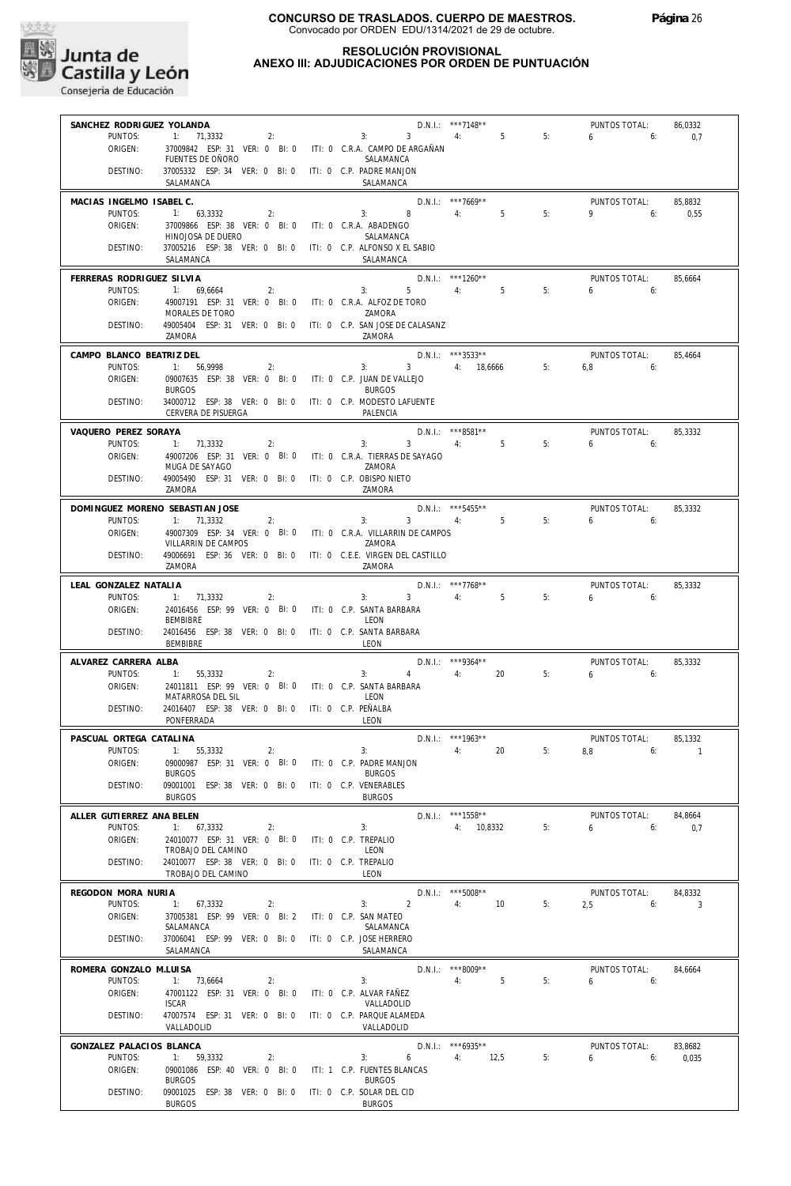

## **RESOLUCIÓN PROVISIONAL ANEXO III: ADJUDICACIONES POR ORDEN DE PUNTUACIÓN**

| SANCHEZ RODRIGUEZ YOLANDA |                                                                 |                      |                                            | D.N.I.: ***7148**    |    | PUNTOS TOTAL:     | 86,0332 |
|---------------------------|-----------------------------------------------------------------|----------------------|--------------------------------------------|----------------------|----|-------------------|---------|
| PUNTOS:                   | $1: 71,3332$ 2:                                                 |                      | 3: 3: 4: 5                                 |                      | 5: | $6\qquad 6$       | 0,7     |
| ORIGEN:                   | 37009842 ESP: 31 VER: 0 BI: 0 ITI: 0 C.R.A. CAMPO DE ARGAÑAN    |                      |                                            |                      |    |                   |         |
|                           | FUENTES DE OÑORO                                                |                      | SALAMANCA                                  |                      |    |                   |         |
| DESTINO:                  | 37005332 ESP: 34 VER: 0 BI: 0 ITI: 0 C.P. PADRE MANJON          |                      |                                            |                      |    |                   |         |
|                           | SALAMANCA                                                       |                      | SALAMANCA                                  |                      |    |                   |         |
| MACIAS INGELMO ISABEL C.  |                                                                 |                      |                                            | $D.N.1.:$ ***7669**  |    | PUNTOS TOTAL:     | 85.8832 |
| PUNTOS:                   | 1: 63,3332<br>2:                                                |                      | 3: 8                                       | 4: 5                 | 5: | $9^{\circ}$<br>6: | 0,55    |
| ORIGEN:                   | 37009866 ESP: 38 VER: 0 BI: 0 ITI: 0 C.R.A. ABADENGO            |                      |                                            |                      |    |                   |         |
|                           | HINOJOSA DE DUERO                                               |                      | SALAMANCA                                  |                      |    |                   |         |
| DESTINO:                  | 37005216 ESP: 38 VER: 0 BI: 0 ITI: 0 C.P. ALFONSO X EL SABIO    |                      |                                            |                      |    |                   |         |
|                           | SALAMANCA                                                       |                      | SALAMANCA                                  |                      |    |                   |         |
| FERRERAS RODRIGUEZ SILVIA |                                                                 |                      |                                            | $D.N.1.:$ ***1260**  |    | PUNTOS TOTAL:     | 85,6664 |
| PUNTOS:                   | 1: 69,6664<br>2:                                                |                      | $3: 5 \t 4: 5$                             |                      | 5: | $6 - 6$           |         |
| ORIGEN:                   | 49007191 ESP: 31 VER: 0 BI: 0 ITI: 0 C.R.A. ALFOZ DE TORO       |                      |                                            |                      |    |                   |         |
|                           | MORALES DE TORO                                                 |                      | ZAMORA                                     |                      |    |                   |         |
| DESTINO:                  | 49005404 ESP: 31 VER: 0 BI: 0 ITI: 0 C.P. SAN JOSE DE CALASANZ  |                      |                                            |                      |    |                   |         |
|                           | ZAMORA                                                          |                      | ZAMORA                                     |                      |    |                   |         |
| CAMPO BLANCO BEATRIZ DEL  |                                                                 |                      |                                            | $D.N.1.:$ ***3533**  |    | PUNTOS TOTAL:     | 85,4664 |
| PUNTOS:                   | 1: 56,9998<br>2:                                                |                      | $3: 3: 4: 18,6666$ 5:                      |                      |    | $6.8$ 6:          |         |
| ORIGEN:                   | 09007635 ESP: 38 VER: 0 BI: 0 ITI: 0 C.P. JUAN DE VALLEJO       |                      |                                            |                      |    |                   |         |
|                           | <b>BURGOS</b>                                                   |                      | <b>BURGOS</b>                              |                      |    |                   |         |
| DESTINO:                  | 34000712 ESP: 38 VER: 0 BI: 0 ITI: 0 C.P. MODESTO LAFUENTE      |                      |                                            |                      |    |                   |         |
|                           | CERVERA DE PISUERGA                                             |                      | PALENCIA                                   |                      |    |                   |         |
| VAQUERO PEREZ SORAYA      |                                                                 |                      |                                            | D.N.I.: ***8581**    |    | PUNTOS TOTAL:     | 85,3332 |
| PUNTOS:                   | 1: 71.3332<br>2:                                                |                      | $3^{\circ}$<br>3:                          | 4: 5                 | 5: | 6:<br>6           |         |
| ORIGEN:                   | 49007206 ESP: 31 VER: 0 BI: 0 ITI: 0 C.R.A. TIERRAS DE SAYAGO   |                      |                                            |                      |    |                   |         |
|                           | MUGA DE SAYAGO                                                  |                      | ZAMORA                                     |                      |    |                   |         |
| DESTINO:                  | 49005490 ESP: 31 VER: 0 BI: 0 ITI: 0 C.P. OBISPO NIETO          |                      |                                            |                      |    |                   |         |
|                           | ZAMORA                                                          |                      | ZAMORA                                     |                      |    |                   |         |
|                           | DOMINGUEZ MORENO SEBASTIAN JOSE                                 |                      |                                            | D.N.I.: ***5455**    |    | PUNTOS TOTAL:     | 85,3332 |
| PUNTOS:                   | 1: 71,3332<br>2:                                                |                      | 3: 3: 4: 5                                 |                      | 5: | $6\qquad 6$       |         |
| ORIGEN:                   | 49007309 ESP: 34 VER: 0 BI: 0 ITI: 0 C.R.A. VILLARRIN DE CAMPOS |                      |                                            |                      |    |                   |         |
|                           | VILLARRIN DE CAMPOS                                             |                      | ZAMORA                                     |                      |    |                   |         |
| DESTINO:                  | 49006691 ESP: 36 VER: 0 BI: 0 ITI: 0 C.E.E. VIRGEN DEL CASTILLO |                      |                                            |                      |    |                   |         |
|                           | ZAMORA                                                          |                      | ZAMORA                                     |                      |    |                   |         |
| LEAL GONZALEZ NATALIA     |                                                                 |                      |                                            | D.N.I.: ***7768**    |    | PUNTOS TOTAL:     | 85,3332 |
| PUNTOS:                   | 1: 71,3332<br>2:                                                |                      | 3:<br>$3^{\circ}$                          | 4: 5                 | 5: | 6.6               |         |
| ORIGEN:                   | 24016456 ESP: 99 VER: 0 BI: 0 ITI: 0 C.P. SANTA BARBARA         |                      |                                            |                      |    |                   |         |
|                           | <b>BEMBIBRE</b>                                                 |                      | <b>I EON</b>                               |                      |    |                   |         |
| DESTINO:                  | 24016456 ESP: 38 VER: 0 BI: 0 ITI: 0 C.P. SANTA BARBARA         |                      |                                            |                      |    |                   |         |
|                           | BEMBIBRE                                                        |                      | LEON                                       |                      |    |                   |         |
| ALVAREZ CARRERA ALBA      |                                                                 |                      |                                            | D.N.I.: ***9364**    |    | PUNTOS TOTAL:     | 85,3332 |
| PUNTOS:                   | 1: 55,3332<br>2:                                                |                      | $4\overline{ }$<br>3:                      | 4:20                 | 5: | 6.6               |         |
| ORIGEN:                   | 24011811 ESP: 99 VER: 0 BI: 0 ITI: 0 C.P. SANTA BARBARA         |                      |                                            |                      |    |                   |         |
|                           | MATARROSA DEL SIL                                               |                      | LEON                                       |                      |    |                   |         |
| DESTINO:                  | 24016407 ESP: 38 VER: 0 BI: 0 ITI: 0 C.P. PEÑALBA               |                      |                                            |                      |    |                   |         |
|                           | PONFERRADA                                                      |                      | LEON                                       |                      |    |                   |         |
| PASCUAL ORTEGA CATALINA   |                                                                 |                      |                                            | $D.N.I.:$ ***1963**  |    | PUNTOS TOTAL:     | 85,1332 |
|                           | PUNTOS: 1: 55,3332<br>2:                                        |                      | 3:                                         |                      |    | 4: 20 5: 8,8 6: 1 |         |
| ORIGEN:                   | 09000987 ESP: 31 VER: 0 BI: 0                                   |                      | ITI: 0 C.P. PADRE MANJON                   |                      |    |                   |         |
|                           | <b>BURGOS</b>                                                   |                      | <b>BURGOS</b>                              |                      |    |                   |         |
| DESTINO:                  | 09001001 ESP: 38 VER: 0 BI: 0                                   |                      | ITI: 0 C.P. VENERABLES                     |                      |    |                   |         |
|                           | <b>BURGOS</b>                                                   |                      | <b>BURGOS</b>                              |                      |    |                   |         |
| ALLER GUTIERREZ ANA BELEN |                                                                 |                      |                                            | $D.N.1::$ ***1558**  |    | PUNTOS TOTAL:     | 84,8664 |
| PUNTOS:                   | 1: 67,3332<br>2:                                                |                      | 3:                                         | 4: 10.8332           | 5: | 6<br>6:           | 0.7     |
| ORIGEN:                   | 24010077 ESP: 31 VER: 0 BI: 0                                   |                      | ITI: 0 C.P. TREPALIO                       |                      |    |                   |         |
|                           | TROBAJO DEL CAMINO                                              |                      | LEON                                       |                      |    |                   |         |
| DESTINO:                  | 24010077 ESP: 38 VER: 0 BI: 0                                   | ITI: 0 C.P. TREPALIO |                                            |                      |    |                   |         |
|                           | TROBAJO DEL CAMINO                                              |                      | LEON                                       |                      |    |                   |         |
| REGODON MORA NURIA        |                                                                 |                      |                                            | $D.N.1::$ ***5008**  |    | PUNTOS TOTAL:     | 84.8332 |
| PUNTOS:                   | 1: 67,3332<br>2:                                                |                      | $\mathcal{P}$<br>3:                        | 4:<br>10             | 5: | 2,5<br>6:         | 3       |
| ORIGEN:                   | 37005381 ESP: 99 VER: 0 BI: 2                                   |                      | ITI: 0 C.P. SAN MATEO                      |                      |    |                   |         |
|                           | SALAMANCA                                                       |                      | SALAMANCA                                  |                      |    |                   |         |
| DESTINO:                  | 37006041 ESP: 99 VER: 0 BI: 0<br>SALAMANCA                      |                      | ITI: 0 C.P. JOSE HERRERO<br>SALAMANCA      |                      |    |                   |         |
|                           |                                                                 |                      |                                            |                      |    |                   |         |
| ROMERA GONZALO M.LUISA    |                                                                 |                      |                                            | D.N.I.: ***8009**    |    | PUNTOS TOTAL:     | 84,6664 |
| PUNTOS:                   | 1: 73,6664<br>2:                                                |                      | 3:                                         | 5<br>4:              | 5: | 6<br>6:           |         |
| ORIGEN:                   | 47001122 ESP: 31 VER: 0 BI: 0                                   |                      | ITI: 0 C.P. ALVAR FAÑEZ                    |                      |    |                   |         |
|                           | <b>ISCAR</b>                                                    |                      | VALLADOLID                                 |                      |    |                   |         |
| DESTINO:                  | 47007574 ESP: 31 VER: 0 BI: 0<br>VALLADOLID                     |                      | ITI: 0 C.P. PARQUE ALAMEDA<br>VALLADOLID   |                      |    |                   |         |
|                           |                                                                 |                      |                                            |                      |    |                   |         |
| GONZALEZ PALACIOS BLANCA  |                                                                 |                      |                                            | $D.N.1::$ *** 6935** |    | PUNTOS TOTAL:     | 83,8682 |
| PUNTOS:                   | 1: 59,3332<br>2:                                                |                      | 6<br>3:                                    | 4: 12,5              | 5: | 6<br>6:           | 0,035   |
| ORIGEN:                   | 09001086 ESP: 40 VER: 0 BI: 0                                   |                      | ITI: 1 C.P. FUENTES BLANCAS                |                      |    |                   |         |
|                           | <b>BURGOS</b>                                                   |                      | <b>BURGOS</b>                              |                      |    |                   |         |
| DESTINO:                  | 09001025 ESP: 38 VER: 0 BI: 0<br><b>BURGOS</b>                  |                      | ITI: 0 C.P. SOLAR DEL CID<br><b>BURGOS</b> |                      |    |                   |         |
|                           |                                                                 |                      |                                            |                      |    |                   |         |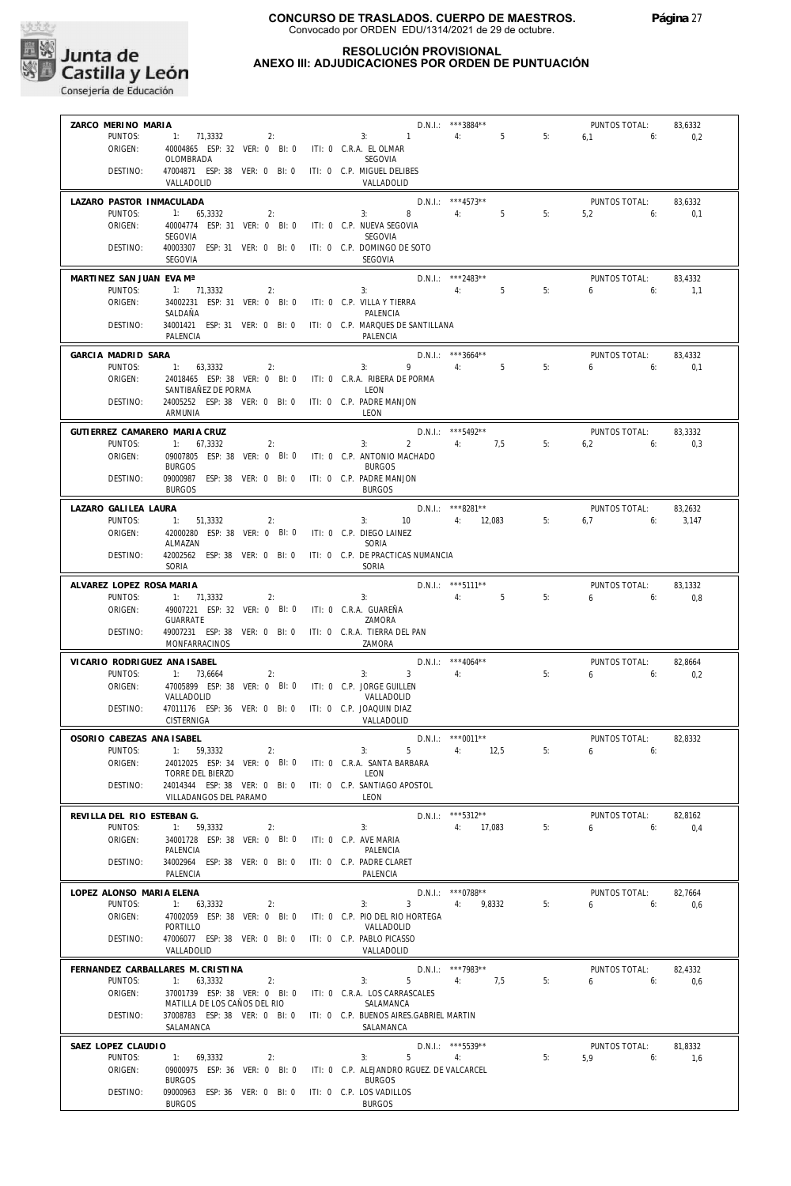

#### **RESOLUCIÓN PROVISIONAL ANEXO III: ADJUDICACIONES POR ORDEN DE PUNTUACIÓN**

| ZARCO MERINO MARIA            |                                                                 |    |                                            | D.N.I.: ***3884**                 |    | PUNTOS TOTAL: | 83,6332 |
|-------------------------------|-----------------------------------------------------------------|----|--------------------------------------------|-----------------------------------|----|---------------|---------|
| PUNTOS:                       | $1: 71,3332$ 2: 3: 1                                            |    |                                            | N.I.: ***3884** $\overline{5}$ 5: | 5: | $6.1$ 6:      | 0,2     |
| ORIGEN:                       | 40004865 ESP: 32 VER: 0 BI: 0 ITI: 0 C.R.A. EL OLMAR            |    |                                            |                                   |    |               |         |
|                               | OLOMBRADA                                                       |    | <b>SEGOVIA</b>                             |                                   |    |               |         |
| DESTINO:                      | 47004871 ESP: 38 VER: 0 BI: 0 ITI: 0 C.P. MIGUEL DELIBES        |    |                                            |                                   |    |               |         |
|                               | VALLADOLID                                                      |    | VALLADOLID                                 |                                   |    |               |         |
|                               |                                                                 |    |                                            |                                   |    |               |         |
| LAZARO PASTOR INMACULADA      |                                                                 |    | $D.N.I.:$ ***4573**<br>3: 8 4: 5           |                                   |    | PUNTOS TOTAL: | 83,6332 |
| PUNTOS:                       | 1: 65,3332<br>2:                                                |    |                                            |                                   | 5: | $5,2$ 6:      | 0,1     |
| ORIGEN:                       | 40004774 ESP: 31 VER: 0 BI: 0 ITI: 0 C.P. NUEVA SEGOVIA         |    |                                            |                                   |    |               |         |
|                               | SEGOVIA                                                         |    | SEGOVIA                                    |                                   |    |               |         |
| DESTINO:                      | 40003307 ESP: 31 VER: 0 BI: 0 ITI: 0 C.P. DOMINGO DE SOTO       |    |                                            |                                   |    |               |         |
|                               | SEGOVIA                                                         |    | <b>SEGOVIA</b>                             |                                   |    |               |         |
|                               |                                                                 |    |                                            |                                   |    |               |         |
| MARTINEZ SAN JUAN EVA Mª      |                                                                 |    | D.N.I.: ***2483**<br>3: $4: 5$             | $D.N.1::$ ***2483**               |    | PUNTOS TOTAL: | 83.4332 |
| PUNTOS:                       | 1: 71,3332<br>2:                                                |    |                                            |                                   | 5: | $6\qquad 6:$  | 1,1     |
| ORIGEN:                       | 34002231 ESP: 31 VER: 0 BI: 0 ITI: 0 C.P. VILLA Y TIERRA        |    |                                            |                                   |    |               |         |
|                               | SALDAÑA                                                         |    | PAI FNCIA                                  |                                   |    |               |         |
| DESTINO:                      | 34001421 ESP: 31 VER: 0 BI: 0 ITI: 0 C.P. MARQUES DE SANTILLANA |    |                                            |                                   |    |               |         |
|                               | PALENCIA                                                        |    | PALENCIA                                   |                                   |    |               |         |
| GARCIA MADRID SARA            |                                                                 |    |                                            | $D.N.1.:$ ***3664**               |    | PUNTOS TOTAL: | 83,4332 |
| PUNTOS:                       | 1: 63,3332<br>2:                                                |    | $3: 9 \t 4: 5$                             |                                   | 5: | $6\qquad 6$   | 0,1     |
| ORIGEN:                       | 24018465 ESP: 38 VER: 0 BI: 0 ITI: 0 C.R.A. RIBERA DE PORMA     |    |                                            |                                   |    |               |         |
|                               | SANTIBAÑEZ DE PORMA                                             |    | LEON                                       |                                   |    |               |         |
| DESTINO:                      | 24005252 ESP: 38 VER: 0 BI: 0 ITI: 0 C.P. PADRE MANJON          |    |                                            |                                   |    |               |         |
|                               | ARMUNIA                                                         |    | LEON                                       |                                   |    |               |         |
|                               |                                                                 |    |                                            |                                   |    |               |         |
| GUTIERREZ CAMARERO MARIA CRUZ |                                                                 |    |                                            | D.N.I.: ***5492**                 |    | PUNTOS TOTAL: | 83,3332 |
| PUNTOS:                       | 1: 67,3332<br>2:                                                |    | 3:                                         | 2 4: 7,5 5:                       |    | $6.2$ 6:      | 0,3     |
| ORIGEN:                       | 09007805 ESP: 38 VER: 0 BI: 0 ITI: 0 C.P. ANTONIO MACHADO       |    |                                            |                                   |    |               |         |
|                               | <b>BURGOS</b>                                                   |    | <b>BURGOS</b>                              |                                   |    |               |         |
| DESTINO:                      | 09000987 ESP: 38 VER: 0 BI: 0 ITI: 0 C.P. PADRE MANJON          |    |                                            |                                   |    |               |         |
|                               | <b>BURGOS</b>                                                   |    | <b>BURGOS</b>                              |                                   |    |               |         |
|                               |                                                                 |    |                                            |                                   |    |               |         |
| LAZARO GALILEA LAURA          |                                                                 |    |                                            | D.N.I.: ***8281**                 |    | PUNTOS TOTAL: | 83,2632 |
| PUNTOS:                       | 1: 51,3332<br>2:                                                |    | 3: $10$ 4: $12,083$                        |                                   | 5: | $6.7$ 6:      | 3,147   |
| ORIGEN:                       | 42000280 ESP: 38 VER: 0 BI: 0 ITI: 0 C.P. DIEGO LAINEZ          |    |                                            |                                   |    |               |         |
|                               | ALMAZAN                                                         |    | SORIA                                      |                                   |    |               |         |
| DESTINO:                      | 42002562 ESP: 38 VER: 0 BI: 0 ITI: 0 C.P. DE PRACTICAS NUMANCIA |    |                                            |                                   |    |               |         |
|                               | SORIA                                                           |    | SORIA                                      |                                   |    |               |         |
| ALVAREZ LOPEZ ROSA MARIA      |                                                                 |    |                                            | D.N.I.: ***5111**                 |    | PUNTOS TOTAL: | 83,1332 |
| PUNTOS:                       | 1: 71,3332<br>2:                                                |    | 3: 4: 5                                    |                                   | 5: | 6.6           | 0,8     |
| ORIGEN:                       | 49007221 ESP: 32 VER: 0 BI: 0 ITI: 0 C.R.A. GUAREÑA             |    |                                            |                                   |    |               |         |
|                               | GUARRATE                                                        |    | ZAMORA                                     |                                   |    |               |         |
| DESTINO:                      | 49007231 ESP: 38 VER: 0 BI: 0 ITI: 0 C.R.A. TIERRA DEL PAN      |    |                                            |                                   |    |               |         |
|                               | MONFARRACINOS                                                   |    | ZAMORA                                     |                                   |    |               |         |
|                               |                                                                 |    |                                            |                                   |    |               |         |
| VICARIO RODRIGUEZ ANA ISABEL  |                                                                 |    |                                            | $D.N.1.:$ ***4064**               |    | PUNTOS TOTAL: | 82,8664 |
| PUNTOS:                       | 1: 73,6664                                                      | 2: | $3: 3 \t 4:$                               |                                   | 5: | $6 \t\t 6$    | 0,2     |
| ORIGEN:                       | 47005899 ESP: 38 VER: 0 BI: 0 ITI: 0 C.P. JORGE GUILLEN         |    |                                            |                                   |    |               |         |
|                               | VALLADOLID                                                      |    | VALLADOLID                                 |                                   |    |               |         |
| DESTINO:                      |                                                                 |    |                                            |                                   |    |               |         |
|                               | 47011176 ESP: 36 VER: 0 BI: 0 ITI: 0 C.P. JOAQUIN DIAZ          |    |                                            |                                   |    |               |         |
|                               | CISTERNIGA                                                      |    | VALLADOLID                                 |                                   |    |               |         |
|                               |                                                                 |    |                                            |                                   |    |               |         |
| OSORIO CABEZAS ANA ISABEL     |                                                                 |    |                                            | $D.N.1::$ ***0011**               |    | PUNTOS TOTAL: | 82.8332 |
|                               | PUNTOS: 1: 59.3332<br>2:                                        |    | 3:                                         | $5 \t 4: \t 12.5$                 | 5: | 650           |         |
| ORIGEN:                       | 24012025 ESP: 34 VER: 0 BI: 0                                   |    | ITI: 0 C.R.A. SANTA BARBARA                |                                   |    |               |         |
|                               | TORRE DEL BIERZO                                                |    | LEON                                       |                                   |    |               |         |
| DESTINO:                      | 24014344 ESP: 38 VER: 0 BI: 0                                   |    | ITI: 0 C.P. SANTIAGO APOSTOL               |                                   |    |               |         |
|                               | VILLADANGOS DEL PARAMO                                          |    | LEON                                       |                                   |    |               |         |
| REVILLA DEL RIO ESTEBAN G.    |                                                                 |    |                                            | $D.N.1::$ ***5312**               |    | PUNTOS TOTAL: | 82,8162 |
| PUNTOS:                       | 1: 59,3332<br>2:                                                |    | 3:                                         | 4: 17,083                         | 5: | 6<br>6:       |         |
| ORIGEN:                       | 34001728 ESP: 38 VER: 0 BI: 0                                   |    | ITI: 0 C.P. AVE MARIA                      |                                   |    |               | 0,4     |
|                               | PALENCIA                                                        |    | PALENCIA                                   |                                   |    |               |         |
| DESTINO:                      | 34002964 ESP: 38 VER: 0 BI: 0                                   |    | ITI: 0 C.P. PADRE CLARET                   |                                   |    |               |         |
|                               | PALENCIA                                                        |    | PALENCIA                                   |                                   |    |               |         |
|                               |                                                                 |    |                                            |                                   |    |               |         |
| LOPEZ ALONSO MARIA ELENA      |                                                                 |    |                                            | $D.N.I.:$ ***0788**               |    | PUNTOS TOTAL: | 82,7664 |
| PUNTOS:                       | 1: 63,3332<br>2:                                                |    | 3<br>3:                                    | 4:<br>9.8332                      | 5: | 6<br>6:       | 0,6     |
| ORIGEN:                       | 47002059 ESP: 38 VER: 0 BI: 0                                   |    | ITI: 0 C.P. PIO DEL RIO HORTEGA            |                                   |    |               |         |
|                               | PORTILLO                                                        |    | VALLADOLID                                 |                                   |    |               |         |
| DESTINO:                      | 47006077 ESP: 38 VER: 0 BI: 0                                   |    | ITI: 0 C.P. PABLO PICASSO                  |                                   |    |               |         |
|                               | VALLADOLID                                                      |    | VALLADOLID                                 |                                   |    |               |         |
|                               | FERNANDEZ CARBALLARES M. CRISTINA                               |    |                                            | D.N.I.: ***7983**                 |    | PUNTOS TOTAL: | 82,4332 |
|                               |                                                                 |    |                                            |                                   |    |               |         |
| PUNTOS:                       | 2:<br>1: 63,3332                                                |    | 3:<br>5                                    | 4:<br>7,5                         | 5: | 6<br>6:       | 0,6     |
| ORIGEN:                       | 37001739 ESP: 38 VER: 0 BI: 0                                   |    | ITI: 0 C.R.A. LOS CARRASCALES<br>SALAMANCA |                                   |    |               |         |
| DESTINO:                      | MATILLA DE LOS CAÑOS DEL RIO<br>37008783 ESP: 38 VER: 0 BI: 0   |    | ITI: 0 C.P. BUENOS AIRES.GABRIEL MARTIN    |                                   |    |               |         |
|                               |                                                                 |    |                                            |                                   |    |               |         |
|                               | SALAMANCA                                                       |    | SALAMANCA                                  |                                   |    |               |         |
| SAEZ LOPEZ CLAUDIO            |                                                                 |    |                                            | D.N.I.: *** 5539**                |    | PUNTOS TOTAL: | 81,8332 |
| PUNTOS:                       | 1: 69,3332<br>2:                                                |    | 5<br>3:                                    | 4:                                | 5: | 5.9<br>6:     | 1,6     |
| ORIGEN:                       | 09000975 ESP: 36 VER: 0 BI: 0                                   |    | ITI: 0 C.P. ALEJANDRO RGUEZ. DE VALCARCEL  |                                   |    |               |         |
|                               | <b>BURGOS</b>                                                   |    | <b>BURGOS</b>                              |                                   |    |               |         |
| DESTINO:                      | 09000963 ESP: 36 VER: 0 BI: 0<br><b>BURGOS</b>                  |    | ITI: 0 C.P. LOS VADILLOS<br><b>BURGOS</b>  |                                   |    |               |         |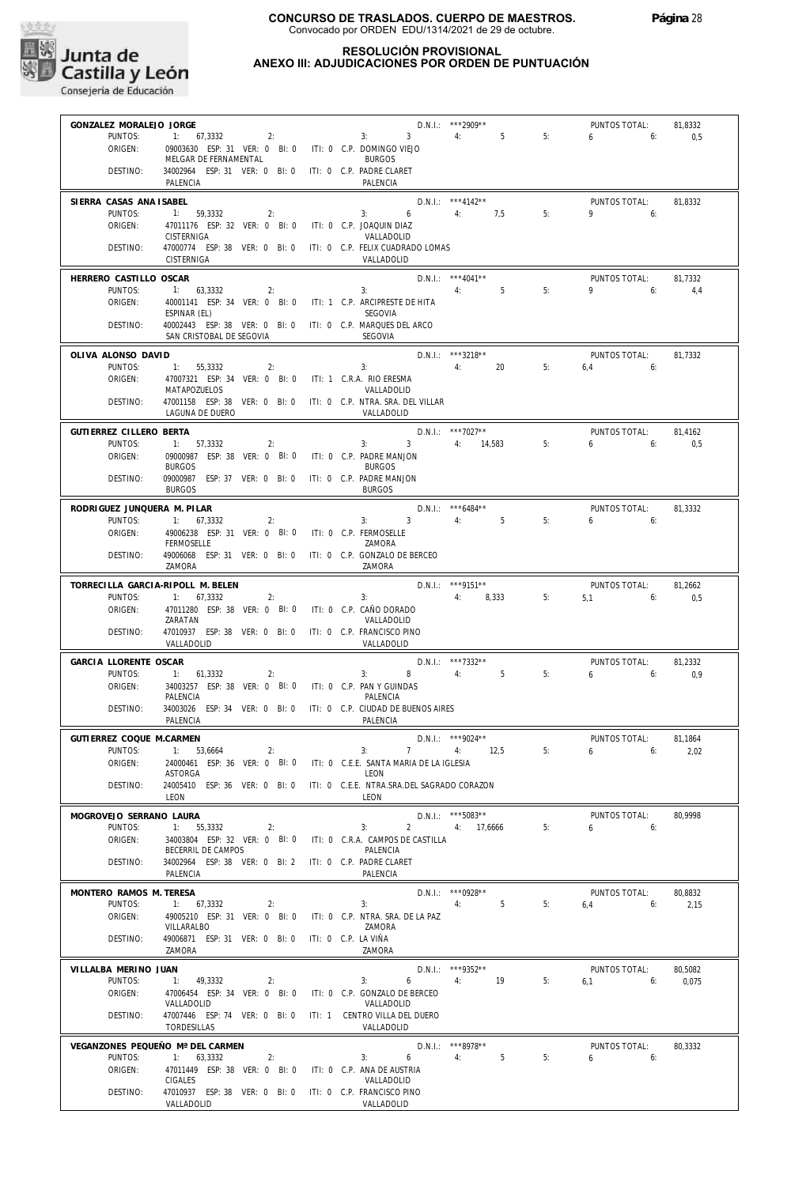

## **RESOLUCIÓN PROVISIONAL ANEXO III: ADJUDICACIONES POR ORDEN DE PUNTUACIÓN**

| GONZALEZ MORALEJO JORGE                |                                                                                        |                                                                              | D.N.I.: ***2909**                       |    | PUNTOS TOTAL:                | 81,8332          |
|----------------------------------------|----------------------------------------------------------------------------------------|------------------------------------------------------------------------------|-----------------------------------------|----|------------------------------|------------------|
| PUNTOS:                                | 2:<br>1: 67,3332                                                                       | 3: 3: 4:                                                                     | $5^{\circ}$                             | 5: | $6\qquad 6:$                 | 0,5              |
| ORIGEN:                                | 09003630 ESP: 31 VER: 0 BI: 0 ITI: 0 C.P. DOMINGO VIEJO<br>MELGAR DE FERNAMENTAL       | <b>BURGOS</b>                                                                |                                         |    |                              |                  |
| DESTINO:                               | 34002964 ESP: 31 VER: 0 BI: 0 ITI: 0 C.P. PADRE CLARET<br>PALENCIA                     | PALENCIA                                                                     |                                         |    |                              |                  |
| SIERRA CASAS ANA ISABEL                |                                                                                        | $D.N.I.:$ ***4142**<br>3: 6 4: 7,5                                           |                                         |    | PUNTOS TOTAL:                | 81.8332          |
| PUNTOS:<br>ORIGEN:                     | 1: 59,3332<br>2:<br>47011176 ESP: 32 VER: 0 BI: 0 ITI: 0 C.P. JOAQUIN DIAZ             |                                                                              |                                         | 5: | $9 \t\t 6$                   |                  |
|                                        | CISTERNIGA                                                                             | VALLADOLID                                                                   |                                         |    |                              |                  |
| DESTINO:                               | CISTERNIGA                                                                             | 47000774 ESP: 38 VER: 0 BI: 0 ITI: 0 C.P. FELIX CUADRADO LOMAS<br>VALLADOLID |                                         |    |                              |                  |
| HERRERO CASTILLO OSCAR                 |                                                                                        |                                                                              |                                         |    | PUNTOS TOTAL:                | 81,7332          |
| PUNTOS:                                | 1: 63,3332<br>2:                                                                       | 3:<br>40001141 ESP: 34 VER: 0 BI: 0 ITI: 1 C.P. ARCIPRESTE DE HITA           | D.N.I.: $***4041**$<br>4: 5             | 5: | $9 \t\t 6$                   | 4,4              |
| ORIGEN:                                | ESPINAR (EL)                                                                           | <b>SEGOVIA</b>                                                               |                                         |    |                              |                  |
| DESTINO:                               | 40002443 ESP: 38 VER: 0 BI: 0 ITI: 0 C.P. MARQUES DEL ARCO<br>SAN CRISTOBAL DE SEGOVIA | <b>SEGOVIA</b>                                                               |                                         |    |                              |                  |
| OLIVA ALONSO DAVID                     |                                                                                        |                                                                              | D.N.I.: ***3218**                       |    | PUNTOS TOTAL:                | 81,7332          |
| PUNTOS:                                | 1: 55,3332<br>2:                                                                       | D.N.I.: ***3218"<br>: $\frac{1}{4}$<br>3:                                    | 20                                      | 5: | $6.4$ 6:                     |                  |
| ORIGEN:                                | 47007321 ESP: 34 VER: 0 BI: 0 ITI: 1 C.R.A. RIO ERESMA<br>MATAPOZUELOS                 | VALLADOLID                                                                   |                                         |    |                              |                  |
| DESTINO:                               |                                                                                        | 47001158 ESP: 38 VER: 0 BI: 0 ITI: 0 C.P. NTRA. SRA. DEL VILLAR              |                                         |    |                              |                  |
|                                        | LAGUNA DE DUERO                                                                        | VALLADOLID                                                                   | D.N.I.: ***7027**                       |    |                              |                  |
| GUTIERREZ CILLERO BERTA<br>PUNTOS:     | 1: 57,3332<br>2:                                                                       | 3:                                                                           | $3 \t 4: \t 14,583 \t 5:$               |    | PUNTOS TOTAL:<br>$6\qquad 6$ | 81,4162<br>0,5   |
| ORIGEN:                                | 09000987 ESP: 38 VER: 0 BI: 0 ITI: 0 C.P. PADRE MANJON<br><b>BURGOS</b>                |                                                                              |                                         |    |                              |                  |
| DESTINO:                               | 09000987 ESP: 37 VER: 0 BI: 0 ITI: 0 C.P. PADRE MANJON                                 | <b>BURGOS</b>                                                                |                                         |    |                              |                  |
|                                        | <b>BURGOS</b>                                                                          | <b>BURGOS</b>                                                                |                                         |    |                              |                  |
| RODRIGUEZ JUNQUERA M. PILAR<br>PUNTOS: | 2:<br>1: 67.3332                                                                       | $3: 3 \t 3 \t 4: 5$                                                          | $D.N.I.:$ ***6484**                     | 5: | PUNTOS TOTAL:<br>$6\qquad 6$ | 81,3332          |
| ORIGEN:                                | 49006238 ESP: 31 VER: 0 BI: 0 ITI: 0 C.P. FERMOSELLE                                   |                                                                              |                                         |    |                              |                  |
| DESTINO:                               | FERMOSELLE<br>49006068 ESP: 31 VER: 0 BI: 0 ITI: 0 C.P. GONZALO DE BERCEO              | ZAMORA                                                                       |                                         |    |                              |                  |
|                                        | ZAMORA                                                                                 | ZAMORA                                                                       |                                         |    |                              |                  |
|                                        | TORRECILLA GARCIA-RIPOLL M. BELEN                                                      | $D.N.1.:$ ***9151**                                                          |                                         |    | PUNTOS TOTAL:                | 81,2662          |
| PUNTOS:<br>ORIGEN:                     | 1: 67,3332<br>2:<br>47011280 ESP: 38 VER: 0 BI: 0 ITI: 0 C.P. CAÑO DORADO              | 3: 4: 8,333 5:                                                               |                                         |    | $5.1$ 6:                     | 0,5              |
|                                        | ZARATAN                                                                                | VALLADOLID                                                                   |                                         |    |                              |                  |
| DESTINO:                               | 47010937 ESP: 38 VER: 0 BI: 0<br>VALLADOLID                                            | ITI: 0 C.P. FRANCISCO PINO<br>VALLADOLID                                     |                                         |    |                              |                  |
| GARCIA LLORENTE OSCAR                  |                                                                                        | $D.N.1.:$ ***7332**                                                          |                                         |    | PUNTOS TOTAL:                | 81,2332          |
| PUNTOS:                                | 1: 61,3332<br>2:<br>34003257 ESP: 38 VER: 0 BI: 0 ITI: 0 C.P. PAN Y GUINDAS            | $3: 8 \t 4: 5$                                                               |                                         | 5: | 6<br>6:                      | 0,9              |
| ORIGEN:                                | PALENCIA                                                                               | PALENCIA                                                                     |                                         |    |                              |                  |
| DESTINO:                               | PALENCIA                                                                               | 34003026 ESP: 34 VER: 0 BI: 0 ITI: 0 C.P. CIUDAD DE BUENOS AIRES<br>PALENCIA |                                         |    |                              |                  |
| GUTIERREZ COQUE M.CARMEN               |                                                                                        |                                                                              | $D.N.1.:$ ***9024**                     |    | PUNTOS TOTAL:                | 81,1864          |
|                                        | PUNTOS: 1: 53,6664<br>2:                                                               | 3:                                                                           | 7 4: 12,5                               | 5: | $6\qquad 6$                  | 2,02             |
| ORIGEN:                                | 24000461 ESP: 36 VER: 0 BI: 0<br>ASTORGA                                               | ITI: 0 C.E.E. SANTA MARIA DE LA IGLESIA<br>LEON                              |                                         |    |                              |                  |
| DESTINO:                               | 24005410 ESP: 36 VER: 0 BI: 0<br>LEON                                                  | ITI: 0 C.E.E. NTRA.SRA.DEL SAGRADO CORAZON<br>LEON                           |                                         |    |                              |                  |
| MOGROVEJO SERRANO LAURA                |                                                                                        |                                                                              | $D.N.I.:$ ***5083**                     |    | PUNTOS TOTAL:                | 80,9998          |
| PUNTOS:                                | 1: 55,3332<br>2:                                                                       | $\overline{2}$<br>3:                                                         | 4: 17,6666                              | 5: | 6<br>6:                      |                  |
| ORIGEN:                                | 34003804 ESP: 32 VER: 0 BI: 0<br>BECERRIL DE CAMPOS                                    | ITI: 0 C.R.A. CAMPOS DE CASTILLA<br>PALENCIA                                 |                                         |    |                              |                  |
| DESTINO:                               | 34002964 ESP: 38 VER: 0 BI: 2                                                          | ITI: 0 C.P. PADRE CLARET                                                     |                                         |    |                              |                  |
|                                        | PALENCIA                                                                               | PALENCIA                                                                     |                                         |    |                              |                  |
| MONTERO RAMOS M. TERESA<br>PUNTOS:     | 1: 67,3332<br>2:                                                                       | 3:                                                                           | D.N.I.: *** 0928**<br>$5^{\circ}$<br>4: | 5: | PUNTOS TOTAL:<br>6,4<br>6:   | 80.8832<br>2,15  |
| ORIGEN:                                | 49005210 ESP: 31 VER: 0 BI: 0<br>VILLARALBO                                            | ITI: 0 C.P. NTRA. SRA. DE LA PAZ                                             |                                         |    |                              |                  |
| DESTINO:                               | 49006871 ESP: 31 VER: 0 BI: 0                                                          | ZAMORA<br>ITI: 0 C.P. LA VIÑA                                                |                                         |    |                              |                  |
|                                        | ZAMORA                                                                                 | ZAMORA                                                                       |                                         |    |                              |                  |
| VILLALBA MERINO JUAN<br>PUNTOS:        | 1: 49,3332<br>2:                                                                       | 3:<br>6                                                                      | D.N.I.: ***9352**<br>4:<br>19           | 5: | PUNTOS TOTAL:<br>6.1<br>6:   | 80,5082<br>0,075 |
| ORIGEN:                                | 47006454 ESP: 34 VER: 0 BI: 0                                                          | ITI: 0 C.P. GONZALO DE BERCEO                                                |                                         |    |                              |                  |
| DESTINO:                               | VALLADOLID<br>47007446 ESP: 74 VER: 0 BI: 0                                            | VALLADOLID<br>ITI: 1 CENTRO VILLA DEL DUERO                                  |                                         |    |                              |                  |
|                                        | TORDESILLAS                                                                            | VALLADOLID                                                                   |                                         |    |                              |                  |
|                                        | VEGANZONES PEQUEÑO Mª DEL CARMEN                                                       |                                                                              | D.N.I.: ***8978**                       |    | PUNTOS TOTAL:                | 80,3332          |
| PUNTOS:<br>ORIGEN:                     | 1: 63,3332<br>2:<br>47011449 ESP: 38 VER: 0 BI: 0                                      | 3:<br>6<br>ITI: 0 C.P. ANA DE AUSTRIA                                        | 4:<br>5                                 | 5: | 6<br>6:                      |                  |
|                                        | CIGALES                                                                                | VALLADOLID                                                                   |                                         |    |                              |                  |
| DESTINO:                               | 47010937 ESP: 38 VER: 0 BI: 0<br>VALLADOLID                                            | ITI: 0 C.P. FRANCISCO PINO<br>VALLADOLID                                     |                                         |    |                              |                  |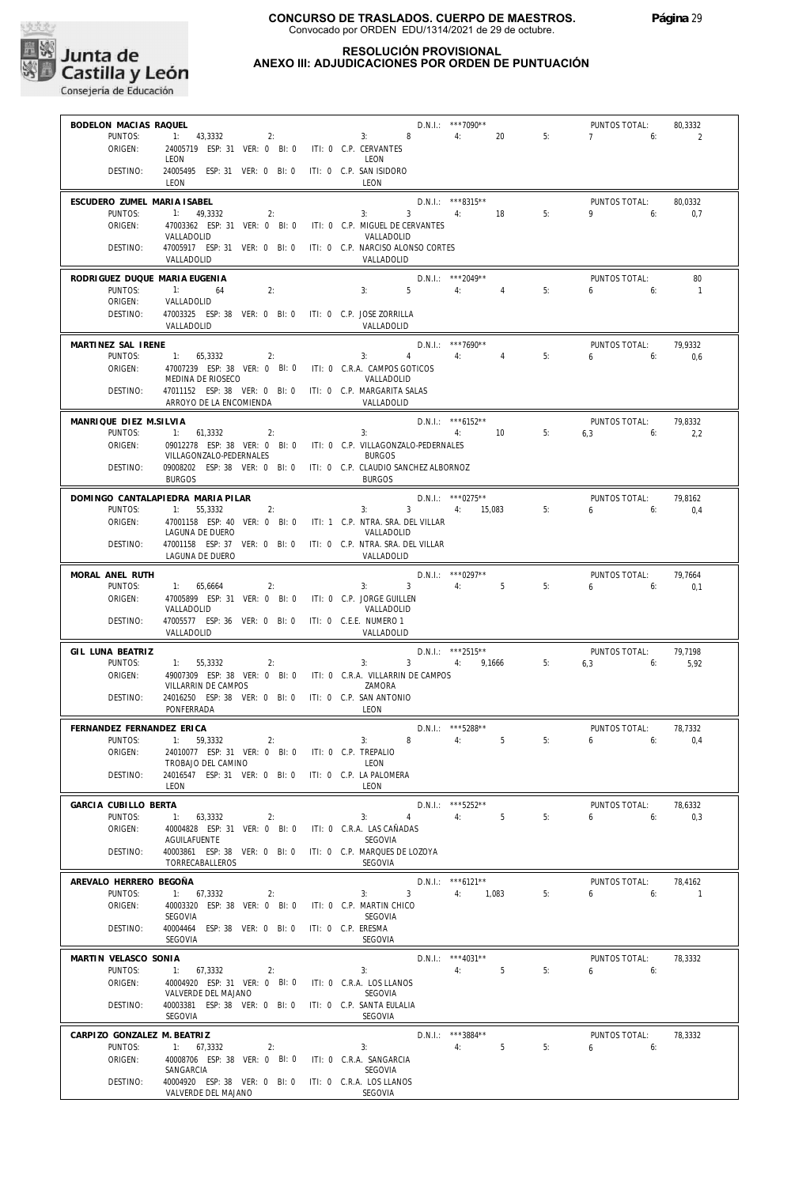

## **RESOLUCIÓN PROVISIONAL ANEXO III: ADJUDICACIONES POR ORDEN DE PUNTUACIÓN**

| BODELON MACIAS RAQUEL             |                                                                                     | $D.N.1.:$ ***7090**                                           | PUNTOS TOTAL:             | 80,3332        |
|-----------------------------------|-------------------------------------------------------------------------------------|---------------------------------------------------------------|---------------------------|----------------|
| PUNTOS:<br>ORIGEN:                | 1: 43,3332<br>2:<br>24005719 ESP: 31 VER: 0 BI: 0                                   | 3: 8<br>4:<br>20<br>5:<br>ITI: 0 C.P. CERVANTES               | 7<br>6:                   | 2              |
|                                   | LEON                                                                                | LEON                                                          |                           |                |
| DESTINO:                          | 24005495 ESP: 31 VER: 0 BI: 0<br>LEON                                               | ITI: 0 C.P. SAN ISIDORO<br>LEON                               |                           |                |
| ESCUDERO ZUMEL MARIA ISABEL       |                                                                                     | D.N.I.: ***8315**                                             | PUNTOS TOTAL:             | 80.0332        |
| PUNTOS:<br>ORIGEN:                | 1: 49.3332<br>2:<br>47003362 ESP: 31 VER: 0 Bl: 0                                   | 3:<br>$3 \t 4 \t 18$<br>5:<br>ITI: 0 C.P. MIGUEL DE CERVANTES | 9<br>6:                   | 0,7            |
|                                   | VALLADOLID                                                                          | VALLADOLID                                                    |                           |                |
| DESTINO:                          | 47005917 ESP: 31 VER: 0 BI: 0 ITI: 0 C.P. NARCISO ALONSO CORTES<br>VALLADOLID       | VALLADOLID                                                    |                           |                |
| RODRIGUEZ DUQUE MARIA EUGENIA     |                                                                                     | D.N.I.: *** 2049**                                            | PUNTOS TOTAL:             | 80             |
| PUNTOS:<br>ORIGEN:                | $-1:$<br>2:<br>64<br>VALLADOLID                                                     | 5 <sub>5</sub><br>4:<br>5:<br>3:<br>4                         | 6<br>6:                   | $\overline{1}$ |
| DESTINO:                          | 47003325 ESP: 38 VER: 0 BI: 0 ITI: 0 C.P. JOSE ZORRILLA<br>VALLADOLID               | VALLADOLID                                                    |                           |                |
| MARTINEZ SAL IRENE                |                                                                                     | $D.N.I.:$ ***7690**                                           | PUNTOS TOTAL:             | 79.9332        |
| PUNTOS:                           | 1: 65,3332<br>2:                                                                    | 4:<br>$\overline{4}$<br>5:<br>3:<br>$\overline{4}$            | 6<br>6:                   | 0.6            |
| ORIGEN:                           | 47007239 ESP: 38 VER: 0 BI: 0 ITI: 0 C.R.A. CAMPOS GOTICOS<br>MEDINA DE RIOSECO     | VALLADOLID                                                    |                           |                |
| DESTINO:                          | 47011152 ESP: 38 VER: 0 BI: 0 ITI: 0 C.P. MARGARITA SALAS                           |                                                               |                           |                |
|                                   | ARROYO DE LA ENCOMIENDA                                                             | VALLADOLID                                                    |                           |                |
| MANRIQUE DIEZ M.SILVIA<br>PUNTOS: | 1: 61,3332<br>2:                                                                    | D.N.I.: *** 6152**<br>4: 10<br>5:<br>3:                       | PUNTOS TOTAL:<br>$6,3$ 6: | 79,8332<br>2,2 |
| ORIGEN:                           | 09012278 ESP: 38 VER: 0 BI: 0 ITI: 0 C.P. VILLAGONZALO-PEDERNALES                   |                                                               |                           |                |
| DESTINO:                          | VILLAGONZALO-PEDERNALES<br>09008202 ESP: 38 VER: 0 BI: 0                            | <b>BURGOS</b><br>ITI: 0 C.P. CLAUDIO SANCHEZ ALBORNOZ         |                           |                |
|                                   | <b>BURGOS</b>                                                                       | <b>BURGOS</b>                                                 |                           |                |
|                                   | DOMINGO CANTALAPIEDRA MARIA PILAR                                                   | $D.N.1::$ *** 0275**                                          | PUNTOS TOTAL:             | 79,8162        |
| PUNTOS:<br>ORIGEN:                | 1: 55.3332<br>2:<br>47001158 ESP: 40 VER: 0 BI: 0 ITI: 1 C.P. NTRA. SRA. DEL VILLAR | 3:<br>3 4: 15.083<br>5:                                       | 6<br>6:                   | 0,4            |
|                                   | LAGUNA DE DUERO                                                                     | VALLADOLID                                                    |                           |                |
| DESTINO:                          | 47001158 ESP: 37 VER: 0 BI: 0<br>LAGUNA DE DUERO                                    | ITI: 0 C.P. NTRA. SRA. DEL VILLAR<br>VALLADOLID               |                           |                |
| MORAL ANEL RUTH                   |                                                                                     | $D.N.I.:$ ***0297**                                           | PUNTOS TOTAL:             | 79,7664        |
| PUNTOS:<br>ORIGEN:                | 1: 65,6664<br>2:<br>47005899 ESP: 31 VER: 0 BI: 0 ITI: 0 C.P. JORGE GUILLEN         | 3: 3<br>4:5<br>5:                                             | 6<br>6:                   | 0,1            |
|                                   | VALLADOLID                                                                          | VALLADOLID                                                    |                           |                |
| DESTINO:                          | 47005577 ESP: 36 VER: 0 BI: 0<br>VALLADOLID                                         | ITI: 0 C.E.E. NUMERO 1<br>VALLADOLID                          |                           |                |
| GIL LUNA BEATRIZ                  |                                                                                     | $D.N.1::$ ***2515**                                           | PUNTOS TOTAL:             | 79,7198        |
| PUNTOS:                           | 1:<br>55,3332<br>2:                                                                 | $3^{\circ}$<br>4: 9,1666 5:<br>3:                             | 6,3<br>6:                 | 5,92           |
| ORIGEN:                           | 49007309 ESP: 38 VER: 0 BI: 0<br>VILLARRIN DE CAMPOS                                | ITI: 0 C.R.A. VILLARRIN DE CAMPOS<br>ZAMORA                   |                           |                |
| DESTINO:                          | 24016250 ESP: 38 VER: 0 BI: 0 ITI: 0 C.P. SAN ANTONIO<br>PONFERRADA                 | LEON                                                          |                           |                |
| FERNANDEZ FERNANDEZ ERICA         |                                                                                     | $D.N.1.:$ ***5288**                                           | PUNTOS TOTAL:             | 78,7332        |
| PUNTOS:                           | 1:<br>59.3332<br>2:                                                                 | 5<br>8<br>4:<br>5:<br>3:                                      | 6<br>6:                   | 0.4            |
| ORIGEN:                           | 24010077 ESP: 31 VER: 0 BI: 0 ITI: 0 C.P. TREPALIO<br>TROBAJO DEL CAMINO            | LEON                                                          |                           |                |
| DESTINO:                          | 24016547 ESP: 31 VER: 0 BI: 0 ITI: 0 C.P. LA PALOMERA                               |                                                               |                           |                |
|                                   | LEON                                                                                | LEON                                                          |                           |                |
| GARCIA CUBILLO BERTA              |                                                                                     | D.N.I.: *** 5252**                                            | PUNTOS TOTAL:             | 78,6332        |
| PUNTOS:<br>ORIGEN:                | 1: 63,3332<br>2:<br>40004828 ESP: 31 VER: 0 BI: 0                                   | 4 4 5<br>5:<br>3:<br>ITI: 0 C.R.A. LAS CAÑADAS                | 6.6                       | 0,3            |
|                                   | <b>AGUILAFUENTE</b>                                                                 | SEGOVIA                                                       |                           |                |
| DESTINO:                          | 40003861 ESP: 38 VER: 0 BI: 0 ITI: 0 C.P. MARQUES DE LOZOYA<br>TORRECABALLEROS      | SEGOVIA                                                       |                           |                |
| AREVALO HERRERO BEGOÑA            |                                                                                     | $D.N.1.:$ *** 6121**                                          | PUNTOS TOTAL:             | 78.4162        |
| PUNTOS:                           | 1: 67,3332<br>2:                                                                    | 3 <sup>7</sup><br>4: 1,083<br>5:<br>3:                        | $6\qquad 6$               | $\sim$ 1       |
| ORIGEN:                           | 40003320 ESP: 38 VER: 0 BI: 0<br>SEGOVIA                                            | ITI: 0 C.P. MARTIN CHICO<br>SEGOVIA                           |                           |                |
| DESTINO:                          | 40004464 ESP: 38 VER: 0 BI: 0<br>SEGOVIA                                            | ITI: 0 C.P. ERESMA<br>SEGOVIA                                 |                           |                |
| MARTIN VELASCO SONIA              |                                                                                     | $D.N.1::$ *** 4031**                                          | PUNTOS TOTAL:             | 78,3332        |
| PUNTOS:                           | 1: 67,3332<br>2:                                                                    | 4:<br>5<br>5:<br>3:                                           | $6\qquad 6$               |                |
| ORIGEN:                           | 40004920 ESP: 31 VER: 0 BI: 0 ITI: 0 C.R.A. LOS LLANOS<br>VALVERDE DEL MAJANO       | SEGOVIA                                                       |                           |                |
| DESTINO:                          | 40003381 ESP: 38 VER: 0 BI: 0 ITI: 0 C.P. SANTA EULALIA<br>SEGOVIA                  | SEGOVIA                                                       |                           |                |
| CARPIZO GONZALEZ M. BEATRIZ       |                                                                                     | D.N.I.: ***3884**                                             | PUNTOS TOTAL:             | 78,3332        |
| PUNTOS:                           | 1: 67,3332<br>2:                                                                    | 4:<br>5 <sup>5</sup><br>5:<br>3:                              | $6 \t\t\t 6$              |                |
| ORIGEN:                           | 40008706 ESP: 38 VER: 0 BI: 0 ITI: 0 C.R.A. SANGARCIA<br>SANGARCIA                  | SEGOVIA                                                       |                           |                |
| DESTINO:                          | 40004920 ESP: 38 VER: 0 BI: 0 ITI: 0 C.R.A. LOS LLANOS                              |                                                               |                           |                |
|                                   | VALVERDE DEL MAJANO                                                                 | SEGOVIA                                                       |                           |                |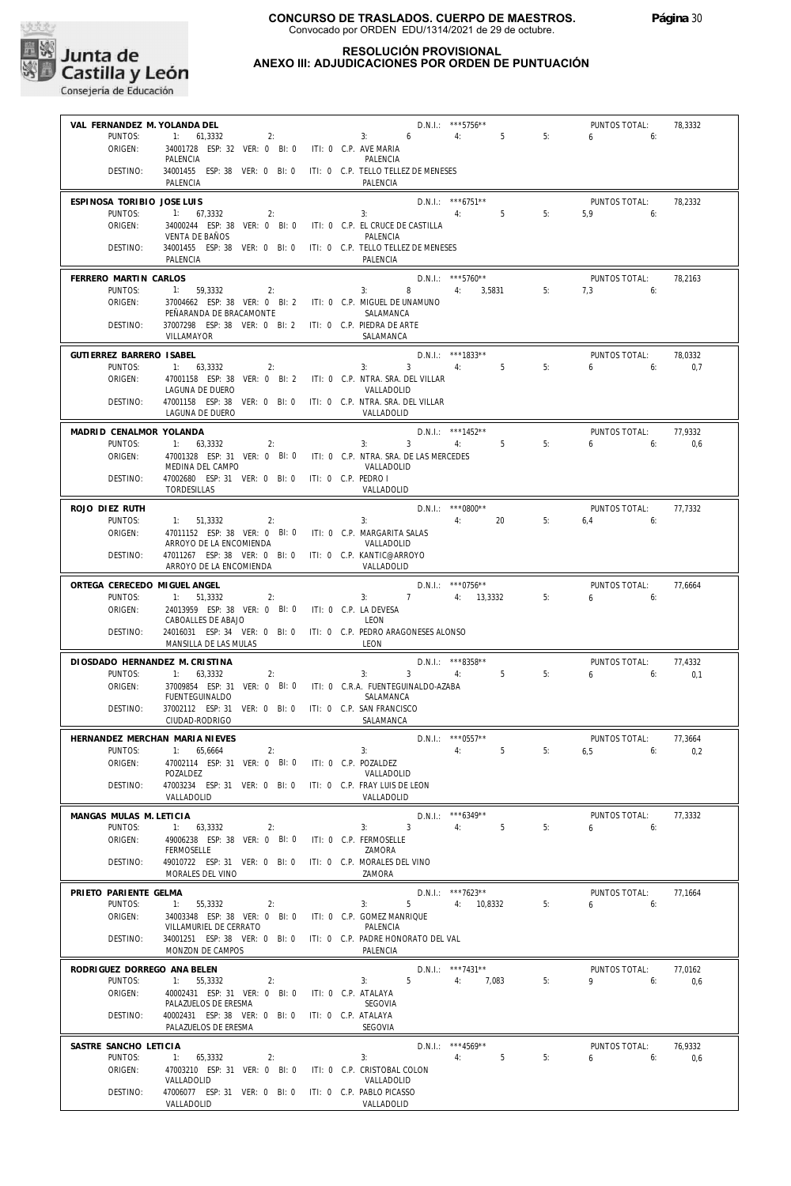

## **RESOLUCIÓN PROVISIONAL ANEXO III: ADJUDICACIONES POR ORDEN DE PUNTUACIÓN**

| VAL FERNANDEZ M. YOLANDA DEL   |                                                                                           |                       |                                              | D.N.I.: ***5756**                    |    | PUNTOS TOTAL:                        | 78,3332 |
|--------------------------------|-------------------------------------------------------------------------------------------|-----------------------|----------------------------------------------|--------------------------------------|----|--------------------------------------|---------|
| PUNTOS:                        | 2:<br>1: 61,3332                                                                          |                       | 3: 6                                         | 4: 5                                 | 5: | 6<br>6:                              |         |
| ORIGEN:                        | 34001728 ESP: 32 VER: 0 BI: 0 ITI: 0 C.P. AVE MARIA<br>PALENCIA                           |                       | PALENCIA                                     |                                      |    |                                      |         |
| DESTINO:                       | 34001455 ESP: 38 VER: 0 BI: 0                                                             |                       | ITI: 0 C.P. TELLO TELLEZ DE MENESES          |                                      |    |                                      |         |
|                                | PALENCIA                                                                                  |                       | PALENCIA                                     |                                      |    |                                      |         |
| ESPINOSA TORIBIO JOSE LUIS     |                                                                                           |                       |                                              | $D.N.1.:$ ***6751**                  |    | PUNTOS TOTAL:                        | 78,2332 |
| PUNTOS:                        | 1: 67,3332<br>2:                                                                          |                       | 3:                                           | 5 <sub>5</sub><br>4:                 | 5: | 5.9<br>6:                            |         |
| ORIGEN:                        | 34000244 ESP: 38 VER: 0 BI: 0<br>VENTA DE BAÑOS                                           |                       | ITI: 0 C.P. EL CRUCE DE CASTILLA<br>PALENCIA |                                      |    |                                      |         |
| DESTINO:                       | 34001455 ESP: 38 VER: 0 BI: 0                                                             |                       | ITI: 0 C.P. TELLO TELLEZ DE MENESES          |                                      |    |                                      |         |
|                                | PAI FNCIA                                                                                 |                       | PAI FNCIA                                    |                                      |    |                                      |         |
| FERRERO MARTIN CARLOS          |                                                                                           |                       |                                              | $D.N.1::$ ***5760**                  |    | PUNTOS TOTAL:                        | 78,2163 |
| PUNTOS:                        | 1: 59,3332<br>2:                                                                          |                       | 8<br>3:                                      | 4: 3,5831                            | 5: | 7.3<br>6:                            |         |
| ORIGEN:                        | 37004662 ESP: 38 VER: 0 BI: 2 ITI: 0 C.P. MIGUEL DE UNAMUNO<br>PEÑARANDA DE BRACAMONTE    |                       | SALAMANCA                                    |                                      |    |                                      |         |
| DESTINO:                       | 37007298 ESP: 38 VER: 0 BI: 2 ITI: 0 C.P. PIEDRA DE ARTE                                  |                       |                                              |                                      |    |                                      |         |
|                                | VILLAMAYOR                                                                                |                       | SALAMANCA                                    |                                      |    |                                      |         |
| GUTIERREZ BARRERO ISABEL       |                                                                                           |                       |                                              | $D.N.1::$ ***1833**                  |    | PUNTOS TOTAL:                        | 78,0332 |
| PUNTOS:                        | 1: 63,3332<br>2:                                                                          |                       | 3:                                           | $3 \qquad \qquad 4: \qquad \qquad 5$ | 5: | 6:<br>6                              | 0,7     |
| ORIGEN:                        | 47001158 ESP: 38 VER: 0 BI: 2 ITI: 0 C.P. NTRA. SRA. DEL VILLAR<br>LAGUNA DE DUERO        |                       | VALLADOLID                                   |                                      |    |                                      |         |
| DESTINO:                       | 47001158 ESP: 38 VER: 0 BI: 0 ITI: 0 C.P. NTRA. SRA. DEL VILLAR                           |                       |                                              |                                      |    |                                      |         |
|                                | LAGUNA DE DUERO                                                                           |                       | VALLADOLID                                   |                                      |    |                                      |         |
| MADRID CENALMOR YOLANDA        |                                                                                           |                       |                                              | D.N.I.: ***1452**                    |    | PUNTOS TOTAL:                        | 77,9332 |
| PUNTOS:                        | 1: 63,3332<br>2:                                                                          |                       | 3:<br>$\overline{\phantom{a}3}$              | 4:<br>5                              | 5: | 6<br>6:                              | 0,6     |
| ORIGEN:                        | 47001328 ESP: 31 VER: 0 BI: 0 ITI: 0 C.P. NTRA. SRA. DE LAS MERCEDES<br>MEDINA DEL CAMPO  |                       | VALLADOLID                                   |                                      |    |                                      |         |
| DESTINO:                       | 47002680 ESP: 31 VER: 0 BI: 0 ITI: 0 C.P. PEDRO I                                         |                       |                                              |                                      |    |                                      |         |
|                                | TORDESILLAS                                                                               |                       | VALLADOLID                                   |                                      |    |                                      |         |
| ROJO DIEZ RUTH                 |                                                                                           |                       |                                              | $D.N.1::$ *** 0800**                 |    | PUNTOS TOTAL:                        | 77,7332 |
| PUNTOS:                        | 1: 51,3332<br>2:                                                                          |                       | 3:                                           | 4:<br>20                             | 5: | $6.4$ 6:                             |         |
| ORIGEN:                        | 47011152 ESP: 38 VER: 0 BI: 0 ITI: 0 C.P. MARGARITA SALAS                                 |                       | VALLADOLID                                   |                                      |    |                                      |         |
| DESTINO:                       | ARROYO DE LA ENCOMIENDA<br>47011267 ESP: 38 VER: 0 BI: 0 ITI: 0 C.P. KANTIC@ARROYO        |                       |                                              |                                      |    |                                      |         |
|                                | ARROYO DE LA ENCOMIENDA                                                                   |                       | VALLADOLID                                   |                                      |    |                                      |         |
| ORTEGA CERECEDO MIGUEL ANGEL   |                                                                                           |                       |                                              | $D.N.1.:$ ***0756**                  |    | PUNTOS TOTAL:                        | 77,6664 |
| PUNTOS:                        | 1: 51,3332<br>2:                                                                          |                       | $\overline{7}$<br>3:                         | 4: 13,3332                           | 5: | $6 \left( \frac{1}{2} \right)$<br>6: |         |
| ORIGEN:                        | 24013959 ESP: 38 VER: 0 BI: 0                                                             | ITI: 0 C.P. LA DEVESA |                                              |                                      |    |                                      |         |
| DESTINO:                       | CABOALLES DE ABAJO<br>24016031 ESP: 34 VER: 0 BI: 0 ITI: 0 C.P. PEDRO ARAGONESES ALONSO   |                       | LEON                                         |                                      |    |                                      |         |
|                                | MANSILLA DE LAS MULAS                                                                     |                       | LEON                                         |                                      |    |                                      |         |
| DIOSDADO HERNANDEZ M. CRISTINA |                                                                                           |                       |                                              | $D.N.1::$ ***8358**                  |    | PUNTOS TOTAL:                        | 77,4332 |
| PUNTOS:                        | 1: 63,3332<br>2:                                                                          |                       | 3:<br>$\overline{3}$                         | 5<br>4:                              | 5: | $6\qquad 6$                          | 0.1     |
| ORIGEN:                        | 37009854 ESP: 31 VER: 0 BI: 0 ITI: 0 C.R.A. FUENTEGUINALDO-AZABA<br><b>FUENTEGUINALDO</b> |                       | SALAMANCA                                    |                                      |    |                                      |         |
| DESTINO:                       | 37002112 ESP: 31 VER: 0 BI: 0 ITI: 0 C.P. SAN FRANCISCO                                   |                       |                                              |                                      |    |                                      |         |
|                                | CIUDAD-RODRIGO                                                                            |                       | SALAMANCA                                    |                                      |    |                                      |         |
|                                | HERNANDEZ MERCHAN MARIA NIEVES                                                            |                       |                                              | $D.N.1::$ *** 0557**                 |    | PUNTOS TOTAL:                        | 77,3664 |
| PUNTOS:                        | 1: 65,6664<br>2:                                                                          |                       | 3:                                           | 5<br>4:                              | 5: | 6,5<br>6:                            | 0.2     |
| ORIGEN:                        | 47002114 ESP: 31 VER: 0 BI: 0<br>POZALDEZ                                                 | ITI: 0 C.P. POZALDEZ  | VALLADOLID                                   |                                      |    |                                      |         |
| DESTINO:                       | 47003234 ESP: 31 VER: 0 BI: 0                                                             |                       | ITI: 0 C.P. FRAY LUIS DE LEON                |                                      |    |                                      |         |
|                                | VALLADOLID                                                                                |                       | VALLADOLID                                   |                                      |    |                                      |         |
| MANGAS MULAS M. LETICIA        |                                                                                           |                       |                                              | D.N.I.: *** 6349**                   |    | PUNTOS TOTAL:                        | 77.3332 |
| PUNTOS:                        | 1: 63,3332<br>2:                                                                          |                       | $\overline{3}$<br>3:                         | 5<br>4:                              | 5: | 6<br>6:                              |         |
| ORIGEN:                        | 49006238 ESP: 38 VER: 0 BI: 0<br><b>FERMOSELLE</b>                                        |                       | ITI: 0 C.P. FERMOSELLE<br>ZAMORA             |                                      |    |                                      |         |
| DESTINO:                       | 49010722 ESP: 31 VER: 0 BI: 0                                                             |                       | ITI: 0 C.P. MORALES DEL VINO                 |                                      |    |                                      |         |
|                                | MORALES DEL VINO                                                                          |                       | ZAMORA                                       |                                      |    |                                      |         |
| PRIETO PARIENTE GELMA          |                                                                                           |                       |                                              | $D.N.1::$ ***7623**                  |    | PUNTOS TOTAL:                        | 77,1664 |
| PUNTOS:                        | 1:<br>55,3332<br>2:                                                                       |                       | 5<br>3:                                      | 4: 10,8332                           | 5: | 6<br>6:                              |         |
| ORIGEN:                        | 34003348 ESP: 38 VER: 0 BI: 0<br>VILLAMURIEL DE CERRATO                                   |                       | ITI: 0 C.P. GOMEZ MANRIQUE<br>PALENCIA       |                                      |    |                                      |         |
| DESTINO:                       | 34001251 ESP: 38 VER: 0 BI: 0 ITI: 0 C.P. PADRE HONORATO DEL VAL                          |                       |                                              |                                      |    |                                      |         |
|                                | MONZON DE CAMPOS                                                                          |                       | PALENCIA                                     |                                      |    |                                      |         |
| RODRIGUEZ DORREGO ANA BELEN    |                                                                                           |                       |                                              | D.N.I.: ***7431**                    |    | PUNTOS TOTAL:                        | 77,0162 |
| PUNTOS:                        | 1:<br>55,3332<br>2:                                                                       |                       | 5<br>3:                                      | 4:<br>7,083                          | 5: | 9<br>6:                              | 0,6     |
| ORIGEN:                        | 40002431 ESP: 31 VER: 0 BI: 0<br>PALAZUELOS DE ERESMA                                     | ITI: 0 C.P. ATALAYA   | SEGOVIA                                      |                                      |    |                                      |         |
| DESTINO:                       | 40002431 ESP: 38 VER: 0 BI: 0                                                             | ITI: 0 C.P. ATALAYA   |                                              |                                      |    |                                      |         |
|                                | PALAZUELOS DE ERESMA                                                                      |                       | SEGOVIA                                      |                                      |    |                                      |         |
| SASTRE SANCHO LETICIA          |                                                                                           |                       |                                              | $D.N.1::$ *** 4569**                 |    | PUNTOS TOTAL:                        | 76,9332 |
| PUNTOS:                        | 1: 65,3332<br>2:                                                                          |                       | 3:                                           | 5<br>4:                              | 5: | 6<br>6:                              | 0,6     |
| ORIGEN:                        | 47003210 ESP: 31 VER: 0 BI: 0<br>VALLADOLID                                               |                       | ITI: 0 C.P. CRISTOBAL COLON<br>VALLADOLID    |                                      |    |                                      |         |
| DESTINO:                       | 47006077 ESP: 31 VER: 0 BI: 0                                                             |                       | ITI: 0 C.P. PABLO PICASSO                    |                                      |    |                                      |         |
|                                | VALLADOLID                                                                                |                       | VALLADOLID                                   |                                      |    |                                      |         |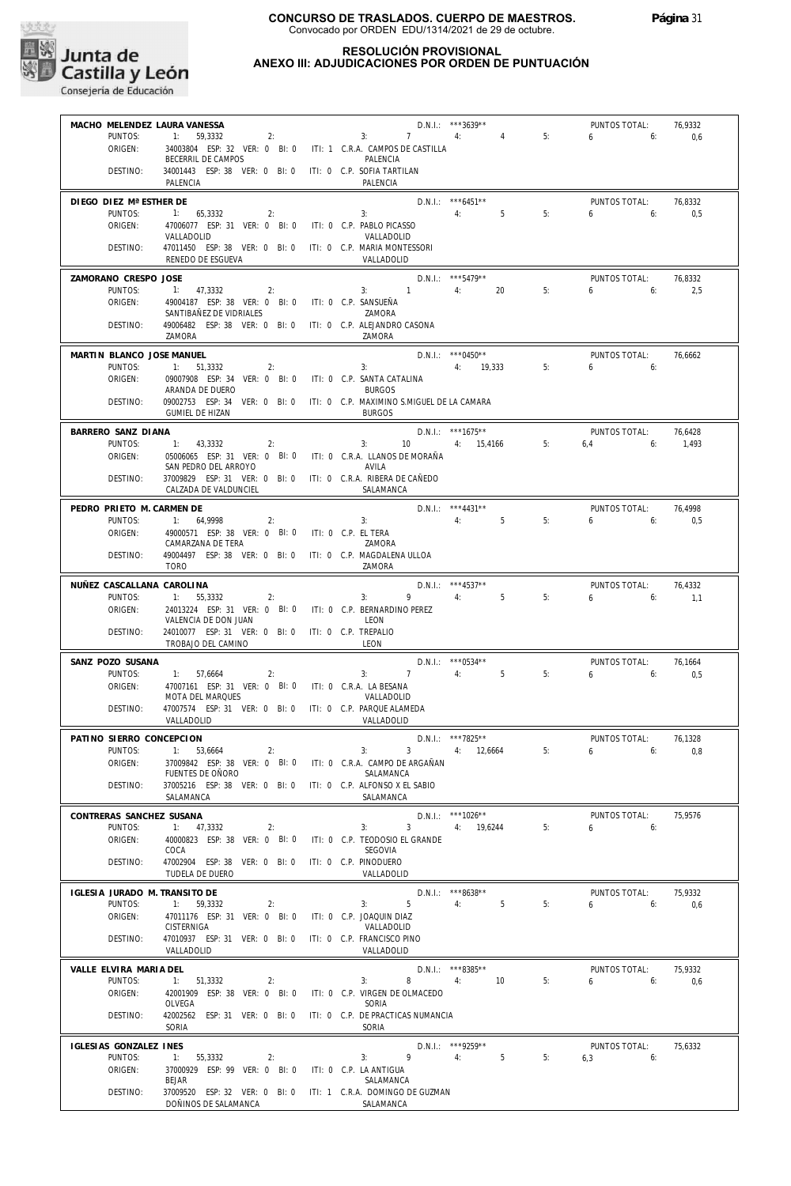

## **RESOLUCIÓN PROVISIONAL ANEXO III: ADJUDICACIONES POR ORDEN DE PUNTUACIÓN**

| MACHO MELENDEZ LAURA VANESSA  |                                                                                                    |    |                                             | D.N.I.: ***3639**    |    | PUNTOS TOTAL:    | 76,9332 |
|-------------------------------|----------------------------------------------------------------------------------------------------|----|---------------------------------------------|----------------------|----|------------------|---------|
| PUNTOS:                       | $-1$ :<br>59,3332                                                                                  | 2: | $3: 7 \t 4:$                                | 4                    | 5: | $6\qquad 6:$     | 0,6     |
| ORIGEN:                       | 34003804 ESP: 32 VER: 0 BI: 0 ITI: 1 C.R.A. CAMPOS DE CASTILLA<br>BECERRIL DE CAMPOS               |    | PALENCIA                                    |                      |    |                  |         |
| DESTINO:                      | 34001443 ESP: 38 VER: 0 BI: 0 ITI: 0 C.P. SOFIA TARTILAN<br>PALENCIA                               |    | PALENCIA                                    |                      |    |                  |         |
| DIEGO DIEZ Mª ESTHER DE       |                                                                                                    |    |                                             | D.N.I.: *** 6451**   |    | PUNTOS TOTAL:    | 76,8332 |
| PUNTOS:<br>ORIGEN:            | 1: 65,3332<br>2:<br>47006077 ESP: 31 VER: 0 BI: 0 ITI: 0 C.P. PABLO PICASSO                        |    | 3:                                          | 5<br>4:              | 5: | $6 \qquad$<br>6: | 0,5     |
|                               | VALLADOLID                                                                                         |    | VALLADOLID                                  |                      |    |                  |         |
| DESTINO:                      | 47011450 ESP: 38 VER: 0 BI: 0 ITI: 0 C.P. MARIA MONTESSORI<br>RENEDO DE ESGUEVA                    |    | VALLADOLID                                  |                      |    |                  |         |
| ZAMORANO CRESPO JOSE          |                                                                                                    |    |                                             | $D.N.1::$ ***5479**  |    | PUNTOS TOTAL:    | 76.8332 |
| PUNTOS:<br>ORIGEN:            | 1: 47,3332<br>2:<br>49004187 ESP: 38 VER: 0 BI: 0 ITI: 0 C.P. SANSUEÑA                             |    | 3: 1                                        | 20<br>4:             | 5: | $6 \quad$<br>6:  | 2,5     |
|                               | SANTIBAÑEZ DE VIDRIALES                                                                            |    | ZAMORA                                      |                      |    |                  |         |
| DESTINO:                      | 49006482 ESP: 38 VER: 0 BI: 0 ITI: 0 C.P. ALEJANDRO CASONA<br>ZAMORA                               |    | ZAMORA                                      |                      |    |                  |         |
| MARTIN BLANCO JOSE MANUEL     |                                                                                                    |    |                                             | $D.N.1.:$ ***0450**  |    | PUNTOS TOTAL:    | 76,6662 |
| PUNTOS:<br>ORIGEN:            | 1: 51,3332<br>2:<br>09007908 ESP: 34 VER: 0 BI: 0 ITI: 0 C.P. SANTA CATALINA                       |    | 3:                                          | 4: 19,333            | 5: | 6<br>6:          |         |
|                               | ARANDA DE DUERO                                                                                    |    | <b>BURGOS</b>                               |                      |    |                  |         |
| DESTINO:                      | 09002753 ESP: 34 VER: 0 BI: 0 ITI: 0 C.P. MAXIMINO S.MIGUEL DE LA CAMARA<br><b>GUMIEL DE HIZAN</b> |    | <b>BURGOS</b>                               |                      |    |                  |         |
| BARRERO SANZ DIANA            |                                                                                                    |    |                                             | $D.N.1.:$ ***1675**  |    | PUNTOS TOTAL:    | 76,6428 |
| PUNTOS:                       | 1: 43,3332<br>2:                                                                                   |    | 10<br>3:                                    | 4: 15,4166           | 5: | 6:<br>6.4        | 1,493   |
| ORIGEN:                       | 05006065 ESP: 31 VER: 0 BI: 0 ITI: 0 C.R.A. LLANOS DE MORAÑA<br>SAN PEDRO DEL ARROYO               |    | AVILA                                       |                      |    |                  |         |
| DESTINO:                      | 37009829 ESP: 31 VER: 0 BI: 0 ITI: 0 C.R.A. RIBERA DE CAÑEDO<br>CALZADA DE VALDUNCIEL              |    | SALAMANCA                                   |                      |    |                  |         |
| PEDRO PRIETO M. CARMEN DE     |                                                                                                    |    |                                             | D.N.I.: ***4431**    |    | PUNTOS TOTAL:    | 76,4998 |
| PUNTOS:                       | 1: 64,9998<br>2:                                                                                   |    | 3:                                          | 5 <sup>5</sup><br>4: | 5: | 6<br>6:          | 0,5     |
| ORIGEN:                       | 49000571 ESP: 38 VER: 0 BI: 0 ITI: 0 C.P. EL TERA<br>CAMARZANA DE TERA                             |    | ZAMORA                                      |                      |    |                  |         |
| DESTINO:                      | 49004497 ESP: 38 VER: 0 BI: 0 ITI: 0 C.P. MAGDALENA ULLOA<br><b>TORO</b>                           |    | ZAMORA                                      |                      |    |                  |         |
| NUÑEZ CASCALLANA CAROLINA     |                                                                                                    |    |                                             | $D.N.1::$ *** 4537** |    | PUNTOS TOTAL:    | 76,4332 |
| PUNTOS:                       | 1: 55,3332<br>2:                                                                                   |    | 3:<br>9                                     | 4:<br>5              | 5: | 6<br>6:          | 1,1     |
| ORIGEN:                       | 24013224 ESP: 31 VER: 0 BI: 0 ITI: 0 C.P. BERNARDINO PEREZ<br>VALENCIA DE DON JUAN                 |    | LEON                                        |                      |    |                  |         |
| DESTINO:                      | 24010077 ESP: 31 VER: 0 BI: 0 ITI: 0 C.P. TREPALIO<br>TROBAJO DEL CAMINO                           |    | LEON                                        |                      |    |                  |         |
| SANZ POZO SUSANA              |                                                                                                    |    |                                             | $D.N.1::$ *** 0534** |    | PUNTOS TOTAL:    | 76,1664 |
| PUNTOS:                       | 1:<br>2:<br>57,6664                                                                                |    | $\overline{7}$<br>3:                        | 5<br>4:              | 5: | $6\qquad 6$      | 0,5     |
| ORIGEN:                       | 47007161 ESP: 31 VER: 0 BI: 0 ITI: 0 C.R.A. LA BESANA<br>MOTA DEL MARQUES                          |    | VALLADOLID                                  |                      |    |                  |         |
| DESTINO:                      | 47007574 ESP: 31 VER: 0 BI: 0 ITI: 0 C.P. PARQUE ALAMEDA<br>VALLADOLID                             |    | VALLADOLID                                  |                      |    |                  |         |
| PATINO SIERRO CONCEPCION      |                                                                                                    |    |                                             | D.N.I.: ***7825**    |    | PUNTOS TOTAL:    | 76,1328 |
|                               | PUNTOS: 1: 53,6664<br>2:                                                                           |    | 3: 3: 4: 12,6664                            |                      | 5: | $6\qquad 6$      | 0,8     |
| ORIGEN:                       | 37009842 ESP: 38 VER: 0 BI: 0<br>FUENTES DE OÑORO                                                  |    | ITI: 0 C.R.A. CAMPO DE ARGAÑAN<br>SALAMANCA |                      |    |                  |         |
| DESTINO:                      | 37005216 ESP: 38 VER: 0 BI: 0<br>SALAMANCA                                                         |    | ITI: 0 C.P. ALFONSO X EL SABIO<br>SALAMANCA |                      |    |                  |         |
| CONTRERAS SANCHEZ SUSANA      |                                                                                                    |    |                                             | $D.N.1.:$ ***1026**  |    | PUNTOS TOTAL:    | 75,9576 |
| PUNTOS:                       | 1: 47,3332<br>2:                                                                                   |    | $3 \sim 3$<br>3:                            | 4: 19,6244           | 5: | $6 \qquad$<br>6: |         |
| ORIGEN:                       | 40000823 ESP: 38 VER: 0 BI: 0<br>COCA                                                              |    | ITI: 0 C.P. TEODOSIO EL GRANDE<br>SEGOVIA   |                      |    |                  |         |
| DESTINO:                      | 47002904 ESP: 38 VER: 0 BI: 0<br>TUDELA DE DUERO                                                   |    | ITI: 0 C.P. PINODUERO<br>VALLADOLID         |                      |    |                  |         |
| IGLESIA JURADO M. TRANSITO DE |                                                                                                    |    |                                             | D.N.I.: ***8638**    |    | PUNTOS TOTAL:    | 75,9332 |
| PUNTOS:                       | 1: 59,3332<br>2:                                                                                   |    | $5 -$<br>3:                                 | 4:<br>5 <sup>5</sup> | 5: | 6<br>6:          | 0,6     |
| ORIGEN:                       | 47011176 ESP: 31 VER: 0 BI: 0<br>CISTERNIGA                                                        |    | ITI: 0 C.P. JOAQUIN DIAZ<br>VALLADOLID      |                      |    |                  |         |
| DESTINO:                      | 47010937 ESP: 31 VER: 0 BI: 0<br>VALLADOLID                                                        |    | ITI: 0 C.P. FRANCISCO PINO<br>VALLADOLID    |                      |    |                  |         |
| VALLE ELVIRA MARIA DEL        |                                                                                                    |    |                                             | D.N.I.: ***8385**    |    | PUNTOS TOTAL:    | 75,9332 |
| PUNTOS:                       | 1:<br>51,3332<br>2:                                                                                |    | 8<br>3:                                     | 10<br>4:             | 5: | 6<br>6:          | 0,6     |
| ORIGEN:                       | 42001909 ESP: 38 VER: 0 BI: 0<br>OLVEGA                                                            |    | ITI: 0 C.P. VIRGEN DE OLMACEDO<br>SORIA     |                      |    |                  |         |
| DESTINO:                      | 42002562 ESP: 31 VER: 0 BI: 0<br>SORIA                                                             |    | ITI: 0 C.P. DE PRACTICAS NUMANCIA<br>SORIA  |                      |    |                  |         |
| IGLESIAS GONZALEZ INES        |                                                                                                    |    |                                             | D.N.I.: ***9259**    |    | PUNTOS TOTAL:    | 75,6332 |
| PUNTOS:                       | 1: 55,3332<br>2:                                                                                   |    | 9<br>$3:$ $\qquad \qquad$                   | 4:<br>5 <sub>5</sub> | 5: | 6:<br>6,3        |         |
| ORIGEN:                       | 37000929 ESP: 99 VER: 0 BI: 0<br>BEJAR                                                             |    | ITI: 0 C.P. LA ANTIGUA<br>SALAMANCA         |                      |    |                  |         |
| DESTINO:                      | 37009520 ESP: 32 VER: 0 BI: 0 ITI: 1 C.R.A. DOMINGO DE GUZMAN                                      |    |                                             |                      |    |                  |         |
|                               | DOÑINOS DE SALAMANCA                                                                               |    | SALAMANCA                                   |                      |    |                  |         |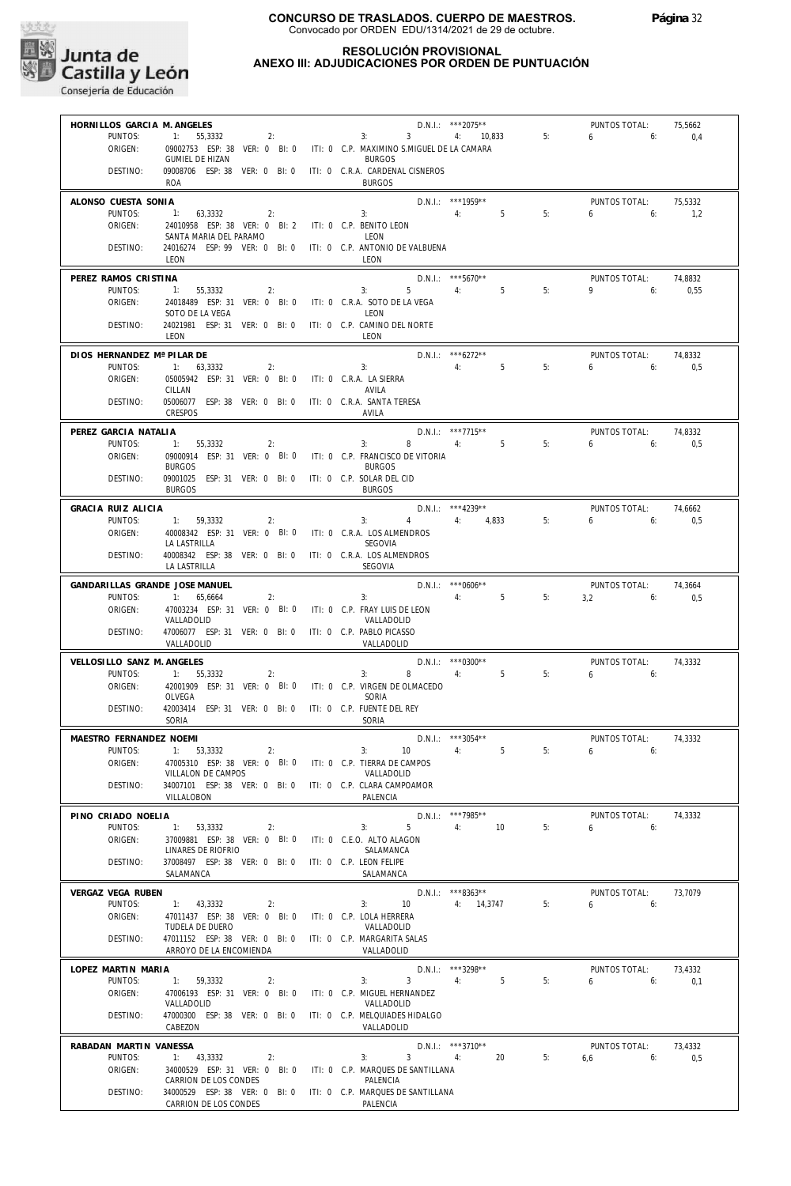

## **RESOLUCIÓN PROVISIONAL ANEXO III: ADJUDICACIONES POR ORDEN DE PUNTUACIÓN**

| HORNILLOS GARCIA M. ANGELES    |                                                                                     |                            |                                                             | D.N.I.: ***2075**                      |    | PUNTOS TOTAL:                | 75,5662        |
|--------------------------------|-------------------------------------------------------------------------------------|----------------------------|-------------------------------------------------------------|----------------------------------------|----|------------------------------|----------------|
| PUNTOS:                        | 1:<br>55,3332<br>2:                                                                 | 3:                         | $\overline{3}$                                              | 4:<br>10,833                           | 5: | 6<br>6:                      | 0,4            |
| ORIGEN:                        | 09002753 ESP: 38 VER: 0 BI: 0<br><b>GUMIEL DE HIZAN</b>                             |                            | ITI: 0 C.P. MAXIMINO S.MIGUEL DE LA CAMARA<br><b>BURGOS</b> |                                        |    |                              |                |
| DESTINO:                       | 09008706 ESP: 38 VER: 0 BI: 0<br><b>ROA</b>                                         |                            | ITI: 0 C.R.A. CARDENAL CISNEROS<br><b>BURGOS</b>            |                                        |    |                              |                |
| ALONSO CUESTA SONIA            |                                                                                     |                            |                                                             | D.N.I.: ***1959**                      |    | PUNTOS TOTAL:                | 75,5332        |
| PUNTOS:                        | 1:<br>63,3332<br>2:                                                                 | 3:                         |                                                             | 5<br>4:                                | 5: | 6<br>6:                      | 1,2            |
| ORIGEN:                        | 24010958 ESP: 38 VER: 0 BI: 2<br>SANTA MARIA DEL PARAMO                             | ITI: 0 C.P. BENITO LEON    | LEON                                                        |                                        |    |                              |                |
| DESTINO:                       | 24016274 ESP: 99 VER: 0 BI: 0<br>LEON                                               |                            | ITI: 0 C.P. ANTONIO DE VALBUENA<br>LEON                     |                                        |    |                              |                |
| PEREZ RAMOS CRISTINA           |                                                                                     |                            |                                                             | $D.N.1.:$ ***5670**                    |    | PUNTOS TOTAL:                | 74,8832        |
| PUNTOS:<br>ORIGEN:             | 1:<br>55,3332<br>2:<br>24018489 ESP: 31 VER: 0 BI: 0                                |                            | 5<br>3:<br>ITI: 0 C.R.A. SOTO DE LA VEGA                    | 5<br>4:                                | 5: | 9<br>6:                      | 0,55           |
|                                | SOTO DE LA VEGA                                                                     |                            | LEON                                                        |                                        |    |                              |                |
| DESTINO:                       | 24021981 ESP: 31 VER: 0 BI: 0<br>LEON                                               |                            | ITI: 0 C.P. CAMINO DEL NORTE<br>LEON                        |                                        |    |                              |                |
| DIOS HERNANDEZ Mª PILAR DE     |                                                                                     |                            |                                                             | $D.N.1::$ *** 6272**                   |    | PUNTOS TOTAL:                | 74,8332        |
| PUNTOS:                        | 1:<br>63,3332<br>2:                                                                 | 3:                         |                                                             | 5<br>4:                                | 5: | 6<br>6:                      | 0.5            |
| ORIGEN:                        | 05005942 ESP: 31 VER: 0 BI: 0<br>CILLAN                                             | ITI: 0 C.R.A. LA SIERRA    | AVILA                                                       |                                        |    |                              |                |
| DESTINO:                       | 05006077 ESP: 38 VER: 0 BI: 0<br><b>CRESPOS</b>                                     | ITI: 0 C.R.A. SANTA TERESA | AVILA                                                       |                                        |    |                              |                |
| PEREZ GARCIA NATALIA           |                                                                                     |                            |                                                             | $D.N.1::$ ***7715**                    |    | PUNTOS TOTAL:                | 74,8332        |
| PUNTOS:                        | 1:<br>55,3332<br>2:                                                                 |                            | 3:<br>8                                                     | $5^{\circ}$<br>4:                      | 5: | 6:<br>6                      | 0,5            |
| ORIGEN:                        | 09000914 ESP: 31 VER: 0 BI: 0<br><b>BURGOS</b>                                      |                            | ITI: 0 C.P. FRANCISCO DE VITORIA<br><b>BURGOS</b>           |                                        |    |                              |                |
| DESTINO:                       | 09001025 ESP: 31 VER: 0 BI: 0                                                       | ITI: 0 C.P. SOLAR DEL CID  |                                                             |                                        |    |                              |                |
| <b>GRACIA RUIZ ALICIA</b>      | <b>BURGOS</b>                                                                       |                            | <b>BURGOS</b>                                               |                                        |    |                              |                |
| PUNTOS:                        | 1: 59,3332<br>2:                                                                    |                            | 3:<br>4                                                     | $D.N.1::$ ***4239**<br>4: 4.833        | 5: | PUNTOS TOTAL:<br>6:<br>6     | 74,6662<br>0,5 |
| ORIGEN:                        | 40008342 ESP: 31 VER: 0 BI: 0                                                       |                            | ITI: 0 C.R.A. LOS ALMENDROS                                 |                                        |    |                              |                |
| DESTINO:                       | LA LASTRILLA<br>40008342 ESP: 38 VER: 0 BI: 0                                       |                            | SEGOVIA<br>ITI: 0 C.R.A. LOS ALMENDROS                      |                                        |    |                              |                |
|                                | LA LASTRILLA                                                                        |                            | SEGOVIA                                                     |                                        |    |                              |                |
| GANDARILLAS GRANDE JOSE MANUEL |                                                                                     |                            |                                                             | $D.N.1::$ *** 0606**                   |    | PUNTOS TOTAL:                | 74,3664        |
| PUNTOS:<br>ORIGEN:             | 1:<br>65,6664<br>2:<br>47003234 ESP: 31 VER: 0 BI: 0                                | 3:                         | ITI: 0 C.P. FRAY LUIS DE LEON                               | 5<br>4:                                | 5: | 3,2<br>6:                    | 0,5            |
|                                | VALLADOLID                                                                          |                            | VALLADOLID                                                  |                                        |    |                              |                |
| DESTINO:                       | 47006077 ESP: 31 VER: 0 BI: 0<br>VALLADOLID                                         | ITI: 0 C.P. PABLO PICASSO  | VALLADOLID                                                  |                                        |    |                              |                |
| VELLOSILLO SANZ M. ANGELES     |                                                                                     |                            |                                                             | $D.N.1::$ *** 0300**                   |    | PUNTOS TOTAL:                | 74,3332        |
| PUNTOS:                        | 1:<br>55,3332<br>2:                                                                 | 3:                         | 8                                                           | 5<br>4:                                | 5: | 6<br>6:                      |                |
| ORIGEN:                        | 42001909 ESP: 31 VER: 0 BI: 0<br>OLVEGA                                             |                            | ITI: 0 C.P. VIRGEN DE OLMACEDO<br>SORIA                     |                                        |    |                              |                |
| DESTINO:                       | 42003414 ESP: 31 VER: 0 BI: 0<br>SORIA                                              | ITI: 0 C.P. FUENTE DEL REY | SORIA                                                       |                                        |    |                              |                |
| MAESTRO FERNANDEZ NOEMI        |                                                                                     |                            |                                                             | $D.N.1::$ ***3054**                    |    | PUNTOS TOTAL:                | 74,3332        |
|                                | PUNTOS: 1: 53,3332<br>2:                                                            |                            | $3: 10 \t 4:$                                               | $5^{\circ}$                            | 5: | $6 \t\t 6$                   |                |
| ORIGEN:                        | 47005310 ESP: 38 VER: 0 BI: 0 ITI: 0 C.P. TIERRA DE CAMPOS<br>VILLALON DE CAMPOS    |                            | VALLADOLID                                                  |                                        |    |                              |                |
| DESTINO:                       | 34007101 ESP: 38 VER: 0 BI: 0 ITI: 0 C.P. CLARA CAMPOAMOR<br>VILLALOBON             |                            | PAI FNCIA                                                   |                                        |    |                              |                |
| PINO CRIADO NOELIA             |                                                                                     |                            |                                                             | D.N.I.: ***7985**                      |    | PUNTOS TOTAL:                | 74,3332        |
| PUNTOS:                        | 1: 53,3332<br>2:                                                                    |                            | $5 -$<br>3:                                                 | 10<br>4:                               | 5: | $6 \t\t\t 6$                 |                |
| ORIGEN:                        | 37009881 ESP: 38 VER: 0 BI: 0 ITI: 0 C.E.O. ALTO ALAGON<br>LINARES DE RIOFRIO       |                            | SALAMANCA                                                   |                                        |    |                              |                |
| DESTINO:                       | 37008497 ESP: 38 VER: 0 BI: 0 ITI: 0 C.P. LEON FELIPE<br>SALAMANCA                  |                            | SALAMANCA                                                   |                                        |    |                              |                |
| VERGAZ VEGA RUBEN              |                                                                                     |                            |                                                             | $D.N.1::$ ***8363**                    |    | PUNTOS TOTAL:                | 73,7079        |
| PUNTOS:                        | 1: 43,3332<br>2:                                                                    |                            | 3:<br>10                                                    | 4: 14,3747                             | 5: | $6\qquad 6$                  |                |
| ORIGEN:                        | 47011437 ESP: 38 VER: 0 BI: 0 ITI: 0 C.P. LOLA HERRERA<br>TUDELA DE DUERO           |                            | VALLADOLID                                                  |                                        |    |                              |                |
| DESTINO:                       | 47011152 ESP: 38 VER: 0 BI: 0 ITI: 0 C.P. MARGARITA SALAS                           |                            |                                                             |                                        |    |                              |                |
|                                | ARROYO DE LA ENCOMIENDA                                                             |                            | VALLADOLID                                                  |                                        |    |                              |                |
| LOPEZ MARTIN MARIA<br>PUNTOS:  | 1: 59,3332<br>2:                                                                    |                            | 3 <sup>7</sup><br>3:                                        | D.N.I.: ***3298**<br>4:<br>$5^{\circ}$ | 5: | PUNTOS TOTAL:<br>$6\qquad 6$ | 73,4332<br>0,1 |
| ORIGEN:                        | 47006193 ESP: 31 VER: 0 BI: 0 ITI: 0 C.P. MIGUEL HERNANDEZ                          |                            |                                                             |                                        |    |                              |                |
|                                | VALLADOLID                                                                          |                            | VALLADOLID                                                  |                                        |    |                              |                |
| DESTINO:                       | 47000300 ESP: 38 VER: 0 BI: 0 ITI: 0 C.P. MELQUIADES HIDALGO<br>CABEZON             |                            | VALLADOLID                                                  |                                        |    |                              |                |
| RABADAN MARTIN VANESSA         |                                                                                     |                            |                                                             | $D.N.I.:$ ***3710**                    |    | PUNTOS TOTAL:                | 73,4332        |
| PUNTOS:<br>ORIGEN:             | 1: 43,3332<br>2:<br>34000529 ESP: 31 VER: 0 BI: 0 ITI: 0 C.P. MARQUES DE SANTILLANA |                            | 3:<br>3 <sup>1</sup>                                        | 4:<br>20                               | 5: | $6,6$ 6:                     | 0,5            |
|                                | CARRION DE LOS CONDES                                                               |                            | PALENCIA                                                    |                                        |    |                              |                |
| DESTINO:                       | 34000529 ESP: 38 VER: 0 BI: 0 ITI: 0 C.P. MARQUES DE SANTILLANA                     |                            | PALENCIA                                                    |                                        |    |                              |                |
|                                | CARRION DE LOS CONDES                                                               |                            |                                                             |                                        |    |                              |                |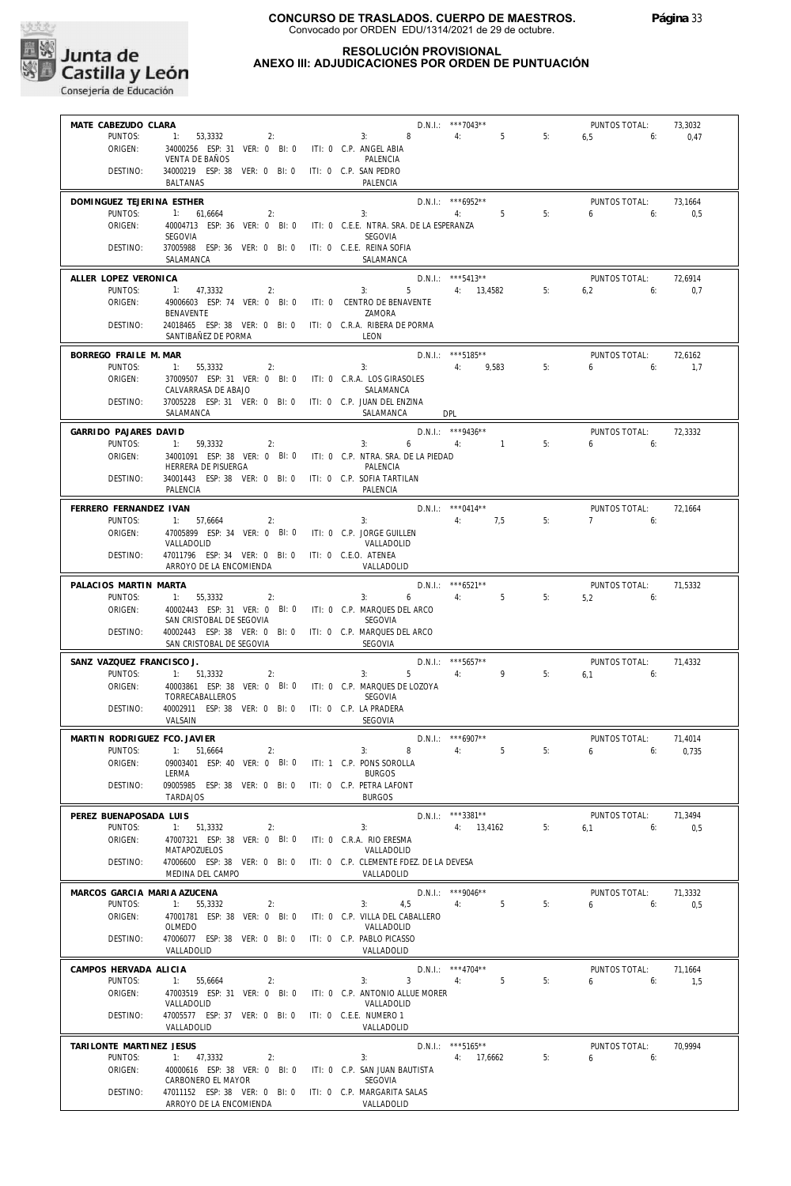

## **RESOLUCIÓN PROVISIONAL ANEXO III: ADJUDICACIONES POR ORDEN DE PUNTUACIÓN**

| MATE CABEZUDO CLARA              |                                                                                       | $2:$ <b>D.N.I.:</b> $***7043**$<br>2: 3: 8 4: 5 5:                     |                                  |    | <b>PUNTOS TOTAL:</b> | 73,3032 |
|----------------------------------|---------------------------------------------------------------------------------------|------------------------------------------------------------------------|----------------------------------|----|----------------------|---------|
| PUNTOS:                          | 1: 53,3332                                                                            |                                                                        |                                  |    | $6.5$ 6:             | 0,47    |
| ORIGEN:                          | 34000256 ESP: 31 VER: 0 BI: 0 ITI: 0 C.P. ANGEL ABIA                                  |                                                                        |                                  |    |                      |         |
|                                  | <b>VENTA DE BAÑOS</b>                                                                 | PALENCIA                                                               |                                  |    |                      |         |
| DESTINO:                         | 34000219 ESP: 38 VER: 0 BI: 0 ITI: 0 C.P. SAN PEDRO                                   |                                                                        |                                  |    |                      |         |
|                                  | BALTANAS                                                                              | PALENCIA                                                               |                                  |    |                      |         |
| DOMINGUEZ TEJERINA ESTHER        |                                                                                       |                                                                        | D.N.I.: *** 6952**               |    | PUNTOS TOTAL:        | 73.1664 |
| PUNTOS:                          | 1: 61,6664<br>2:                                                                      | $D.N.1.:$ $***6952**$<br>3: 4: 5                                       |                                  | 5: | 6 <sub>6</sub>       | 0,5     |
| ORIGEN:                          |                                                                                       | 40004713 ESP: 36 VER: 0 BI: 0 ITI: 0 C.E.E. NTRA. SRA. DE LA ESPERANZA |                                  |    |                      |         |
|                                  | SEGOVIA                                                                               | SEGOVIA                                                                |                                  |    |                      |         |
| DESTINO:                         | 37005988 ESP: 36 VER: 0 BI: 0 ITI: 0 C.E.E. REINA SOFIA                               |                                                                        |                                  |    |                      |         |
|                                  | SALAMANCA                                                                             | SALAMANCA                                                              |                                  |    |                      |         |
|                                  |                                                                                       |                                                                        |                                  |    |                      |         |
| ALLER LOPEZ VERONICA             |                                                                                       |                                                                        | $D.N.1.:$ ***5413**              |    | <b>PUNTOS TOTAL:</b> | 72,6914 |
| PUNTOS:<br>ORIGEN:               | 1: 47,3332<br>2:                                                                      |                                                                        |                                  |    | $6,2$ $6:$           | 0,7     |
|                                  | 49006603 ESP: 74 VER: 0 BI: 0 ITI: 0 CENTRO DE BENAVENTE<br><b>BENAVENTE</b>          | ZAMORA                                                                 |                                  |    |                      |         |
| DESTINO:                         | 24018465 ESP: 38 VER: 0 BI: 0 ITI: 0 C.R.A. RIBERA DE PORMA                           |                                                                        |                                  |    |                      |         |
|                                  | SANTIBAÑEZ DE PORMA                                                                   | LEON                                                                   |                                  |    |                      |         |
|                                  |                                                                                       |                                                                        |                                  |    |                      |         |
| BORREGO FRAILE M. MAR            |                                                                                       |                                                                        | D.N.I.: ***5185**<br>4: 9,583 5: |    | PUNTOS TOTAL:        | 72,6162 |
| PUNTOS:                          | $1: 55,3332$ 2:                                                                       | 3:                                                                     |                                  |    | $6\qquad 6:$         | 1.7     |
| ORIGEN:                          | 37009507 ESP: 31 VER: 0 BI: 0 ITI: 0 C.R.A. LOS GIRASOLES                             |                                                                        |                                  |    |                      |         |
|                                  | CALVARRASA DE ABAJO                                                                   | SALAMANCA                                                              |                                  |    |                      |         |
| DESTINO:                         | 37005228 ESP: 31 VER: 0 BI: 0 ITI: 0 C.P. JUAN DEL ENZINA                             |                                                                        |                                  |    |                      |         |
|                                  | SALAMANCA                                                                             | SALAMANCA DPL                                                          |                                  |    |                      |         |
| GARRIDO PAJARES DAVID            |                                                                                       | $D.N.I.:$ ***9436**                                                    |                                  |    | PUNTOS TOTAL:        | 72,3332 |
| PUNTOS:                          | 1: 59,3332<br>2:                                                                      | $3: 6 \t 4: 1 \t 5:$                                                   |                                  |    | 6 <sub>6</sub>       |         |
| ORIGEN:                          |                                                                                       | 34001091 ESP: 38 VER: 0 BI: 0 ITI: 0 C.P. NTRA. SRA. DE LA PIEDAD      |                                  |    |                      |         |
|                                  | HERRERA DE PISUERGA                                                                   | PALENCIA                                                               |                                  |    |                      |         |
| DESTINO:                         | 34001443 ESP: 38 VER: 0 BI: 0 ITI: 0 C.P. SOFIA TARTILAN                              |                                                                        |                                  |    |                      |         |
|                                  | PALENCIA                                                                              | PALENCIA                                                               |                                  |    |                      |         |
| FERRERO FERNANDEZ IVAN           |                                                                                       |                                                                        |                                  |    | PUNTOS TOTAL:        | 72.1664 |
| PUNTOS:                          | 1: 57,6664                                                                            | 2:<br>3:                                                               | D.N.I.: ***0414**<br>4: 7,5      | 5: | $7 \t\t\t 6$         |         |
| ORIGEN:                          | 47005899 ESP: 34 VER: 0 BI: 0 ITI: 0 C.P. JORGE GUILLEN                               |                                                                        |                                  |    |                      |         |
|                                  | VALLADOLID                                                                            | VALLADOLID                                                             |                                  |    |                      |         |
| DESTINO:                         | 47011796 ESP: 34 VER: 0 BI: 0 ITI: 0 C.E.O. ATENEA                                    |                                                                        |                                  |    |                      |         |
|                                  | ARROYO DE LA ENCOMIENDA                                                               | VALLADOLID                                                             |                                  |    |                      |         |
|                                  |                                                                                       |                                                                        | D.N.I.: ***6521**                |    |                      |         |
| PALACIOS MARTIN MARTA<br>PUNTOS: |                                                                                       | $3: 6 \t 4: 5 \t 5:$                                                   |                                  |    | PUNTOS TOTAL:        | 71,5332 |
| ORIGEN:                          | 1: 55,3332<br>$\sim$ 2:<br>40002443 ESP: 31 VER: 0 BI: 0 ITI: 0 C.P. MARQUES DEL ARCO |                                                                        |                                  |    | $5,2$ 6:             |         |
|                                  | SAN CRISTOBAL DE SEGOVIA                                                              | SEGOVIA                                                                |                                  |    |                      |         |
| DESTINO:                         | 40002443 ESP: 38 VER: 0 BI: 0 ITI: 0 C.P. MARQUES DEL ARCO                            |                                                                        |                                  |    |                      |         |
|                                  | SAN CRISTOBAL DE SEGOVIA                                                              | SEGOVIA                                                                |                                  |    |                      |         |
|                                  |                                                                                       |                                                                        |                                  |    |                      |         |
| SANZ VAZQUEZ FRANCISCO J.        | $\overline{2}$ :                                                                      | 3:                                                                     | D.N.I.: ***5657**                |    | PUNTOS TOTAL:        | 71,4332 |
| PUNTOS:<br>ORIGEN:               | 1: 51,3332                                                                            | 40003861 ESP: 38 VER: 0 BI: 0 ITI: 0 C.P. MARQUES DE LOZOYA            | 5 4: 9 5:                        |    | $6.1$ $6:$           |         |
|                                  | TORRECABALLEROS                                                                       | SEGOVIA                                                                |                                  |    |                      |         |
| DESTINO:                         | 40002911 ESP: 38 VER: 0 BI: 0 ITI: 0 C.P. LA PRADERA                                  |                                                                        |                                  |    |                      |         |
|                                  | VALSAIN                                                                               | SEGOVIA                                                                |                                  |    |                      |         |
|                                  |                                                                                       |                                                                        |                                  |    |                      |         |
| MARTIN RODRIGUEZ FCO. JAVIER     |                                                                                       |                                                                        | $D.N.1::$ *** 6907**             |    | PUNTOS TOTAL:        | 71,4014 |
| PUNTOS:                          | 1: 51,6664<br>2:                                                                      | 3:                                                                     | 8 4: 5                           | 5: | $6\qquad 6$          | 0.735   |
| ORIGEN:                          | 09003401 ESP: 40 VER: 0 BI: 0                                                         | ITI: 1 C.P. PONS SOROLLA                                               |                                  |    |                      |         |
|                                  | LERMA<br>09005985 ESP: 38 VER: 0 BI: 0                                                | <b>BURGOS</b><br>ITI: 0 C.P. PETRA LAFONT                              |                                  |    |                      |         |
| DESTINO:                         | <b>TARDAJOS</b>                                                                       | <b>BURGOS</b>                                                          |                                  |    |                      |         |
|                                  |                                                                                       |                                                                        |                                  |    |                      |         |
| PEREZ BUENAPOSADA LUIS           |                                                                                       |                                                                        | $D.N.1::$ ***3381**              |    | PUNTOS TOTAL:        | 71,3494 |
| PUNTOS:                          | 1: 51,3332<br>2:                                                                      | 3:                                                                     | 4: 13,4162                       | 5: | 6,1<br>6:            | 0,5     |
| ORIGEN:                          |                                                                                       | ITI: 0 C.R.A. RIO ERESMA                                               |                                  |    |                      |         |
|                                  | 47007321 ESP: 38 VER: 0 BI: 0                                                         |                                                                        |                                  |    |                      |         |
|                                  | MATAPOZUELOS                                                                          | VALLADOLID                                                             |                                  |    |                      |         |
| DESTINO:                         | 47006600 ESP: 38 VER: 0 BI: 0                                                         | ITI: 0 C.P. CLEMENTE FDEZ. DE LA DEVESA                                |                                  |    |                      |         |
|                                  | MEDINA DEL CAMPO                                                                      | VALLADOLID                                                             |                                  |    |                      |         |
| MARCOS GARCIA MARIA AZUCENA      |                                                                                       |                                                                        | $D.N.1::$ *** 9046**             |    | PUNTOS TOTAL:        | 71,3332 |
| PUNTOS:                          | 1: 55,3332<br>2:                                                                      | 3:<br>4,5                                                              | 5<br>4:                          | 5: | 6<br>6:              | 0,5     |
| ORIGEN:                          | 47001781 ESP: 38 VER: 0 BI: 0                                                         | ITI: 0 C.P. VILLA DEL CABALLERO                                        |                                  |    |                      |         |
|                                  | OLMEDO                                                                                | VALLADOLID                                                             |                                  |    |                      |         |
| DESTINO:                         | 47006077 ESP: 38 VER: 0 BI: 0                                                         | ITI: 0 C.P. PABLO PICASSO                                              |                                  |    |                      |         |
|                                  | VALLADOLID                                                                            | VALLADOLID                                                             |                                  |    |                      |         |
| CAMPOS HERVADA ALICIA            |                                                                                       |                                                                        | $D.N.1::$ *** 4704**             |    | PUNTOS TOTAL:        | 71,1664 |
| PUNTOS:                          | 1:<br>55,6664<br>2:                                                                   | 3:<br>3                                                                | 5<br>4:                          | 5: | 6<br>6:              | 1,5     |
| ORIGEN:                          | 47003519 ESP: 31 VER: 0 BI: 0                                                         | ITI: 0 C.P. ANTONIO ALLUE MORER                                        |                                  |    |                      |         |
|                                  | VALLADOLID                                                                            | VALLADOLID                                                             |                                  |    |                      |         |
| DESTINO:                         | 47005577 ESP: 37 VER: 0 BI: 0                                                         | ITI: 0 C.E.E. NUMERO 1                                                 |                                  |    |                      |         |
|                                  | VALLADOLID                                                                            | VALLADOLID                                                             |                                  |    |                      |         |
| TARILONTE MARTINEZ JESUS         |                                                                                       |                                                                        | $D.N.1::$ ***5165**              |    | PUNTOS TOTAL:        | 70,9994 |
| PUNTOS:                          | 1: 47,3332<br>2:                                                                      | 3:                                                                     | 4: 17,6662                       | 5: | 6<br>6:              |         |
| ORIGEN:                          | 40000616 ESP: 38 VER: 0 BI: 0                                                         | ITI: 0 C.P. SAN JUAN BAUTISTA                                          |                                  |    |                      |         |
|                                  | CARBONERO EL MAYOR                                                                    | SEGOVIA                                                                |                                  |    |                      |         |
| DESTINO:                         | 47011152 ESP: 38 VER: 0 BI: 0 ITI: 0 C.P. MARGARITA SALAS<br>ARROYO DE LA ENCOMIENDA  | VALLADOLID                                                             |                                  |    |                      |         |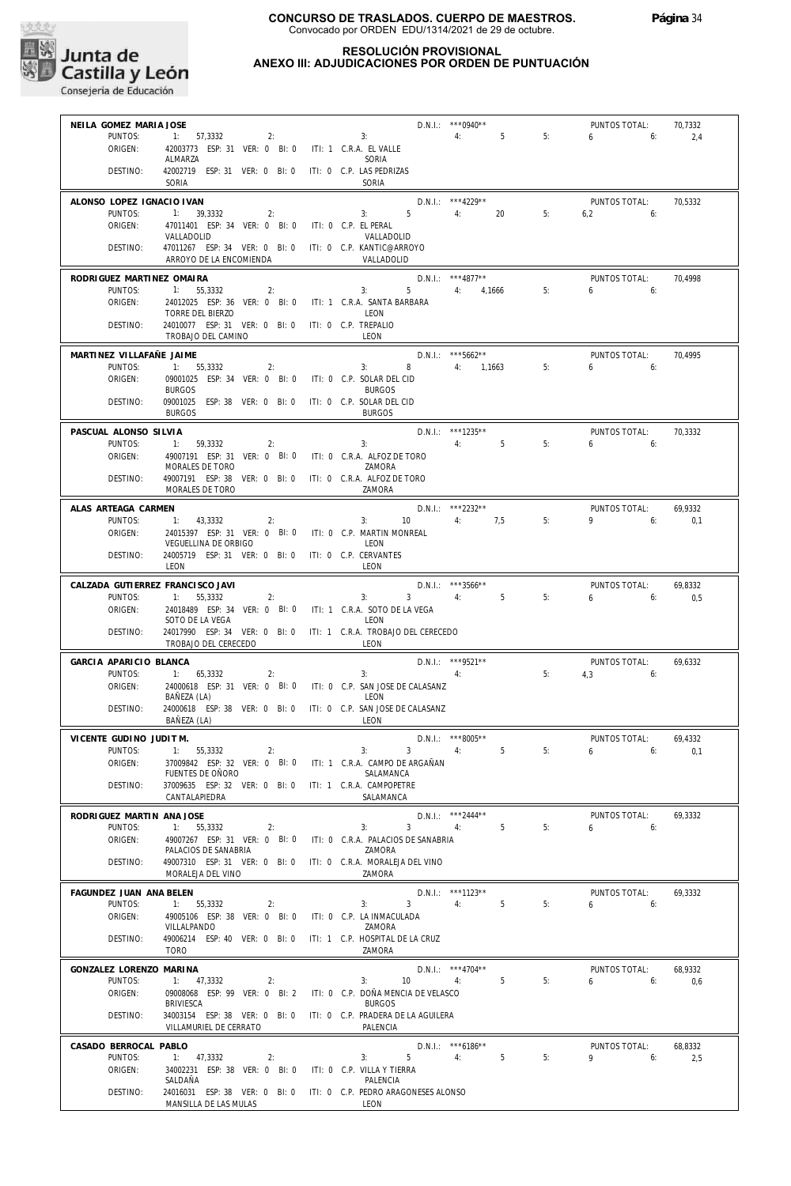

## **RESOLUCIÓN PROVISIONAL ANEXO III: ADJUDICACIONES POR ORDEN DE PUNTUACIÓN**

| NEILA GOMEZ MARIA JOSE             |                                                                                            |                           |                                       | $D.N.1::$ *** 0940**                        |                      | PUNTOS TOTAL:            | 70,7332        |
|------------------------------------|--------------------------------------------------------------------------------------------|---------------------------|---------------------------------------|---------------------------------------------|----------------------|--------------------------|----------------|
| PUNTOS:                            | 1: 57,3332<br>2:                                                                           | 3:                        |                                       | 4:                                          | 5<br>5:              | 6<br>6:                  | 2,4            |
| ORIGEN:                            | 42003773 ESP: 31 VER: 0 BI: 0 ITI: 1 C.R.A. EL VALLE<br>ALMARZA                            |                           | SORIA                                 |                                             |                      |                          |                |
| DESTINO:                           | 42002719 ESP: 31 VER: 0 BI: 0                                                              | ITI: 0 C.P. LAS PEDRIZAS  |                                       |                                             |                      |                          |                |
|                                    | SORIA                                                                                      |                           | SORIA                                 |                                             |                      |                          |                |
| ALONSO LOPEZ IGNACIO IVAN          |                                                                                            |                           |                                       | D.N.I.: *** 4229**                          |                      | PUNTOS TOTAL:            | 70,5332        |
| PUNTOS:                            | 1: 39,3332<br>2:                                                                           | 3:                        | $5 -$                                 | 20<br>4:                                    | 5:                   | 6.2<br>6:                |                |
| ORIGEN:                            | 47011401 ESP: 34 VER: 0 BI: 0<br>VALLADOLID                                                | ITI: 0 C.P. EL PERAL      | VALLADOLID                            |                                             |                      |                          |                |
| DESTINO:                           | 47011267 ESP: 34 VER: 0 BI: 0 ITI: 0 C.P. KANTIC@ARROYO                                    |                           |                                       |                                             |                      |                          |                |
|                                    | ARROYO DE LA ENCOMIENDA                                                                    |                           | VALLADOLID                            |                                             |                      |                          |                |
| RODRIGUEZ MARTINEZ OMAIRA          |                                                                                            |                           |                                       | $D.N.I.:$ ***4877**                         |                      | PUNTOS TOTAL:            | 70,4998        |
| PUNTOS:                            | 55.3332<br>2:<br>1:                                                                        |                           | $5 -$<br>3:                           | 4: 4,1666                                   | 5:                   | 6<br>6:                  |                |
| ORIGEN:                            | 24012025 ESP: 36 VER: 0 BI: 0 ITI: 1 C.R.A. SANTA BARBARA<br>TORRE DEL BIERZO              |                           | LEON                                  |                                             |                      |                          |                |
| DESTINO:                           | 24010077 ESP: 31 VER: 0 BI: 0 ITI: 0 C.P. TREPALIO                                         |                           |                                       |                                             |                      |                          |                |
|                                    | TROBAJO DEL CAMINO                                                                         |                           | LEON                                  |                                             |                      |                          |                |
| MARTINEZ VILLAFAÑE JAIME           |                                                                                            |                           |                                       | $D.N.1.:$ ***5662**                         |                      | PUNTOS TOTAL:            | 70,4995        |
| PUNTOS:                            | 1: 55,3332<br>2:                                                                           | 3:                        | 8                                     | 4: 1,1663                                   | 5:                   | 6<br>6:                  |                |
| ORIGEN:                            | 09001025 ESP: 34 VER: 0 BI: 0<br><b>BURGOS</b>                                             | ITI: 0 C.P. SOLAR DEL CID | <b>BURGOS</b>                         |                                             |                      |                          |                |
| DESTINO:                           | 09001025 ESP: 38 VER: 0 BI: 0                                                              | ITI: 0 C.P. SOLAR DEL CID |                                       |                                             |                      |                          |                |
|                                    | <b>BURGOS</b>                                                                              |                           | <b>BURGOS</b>                         |                                             |                      |                          |                |
| PASCUAL ALONSO SILVIA              |                                                                                            |                           |                                       | D.N.I.: ***1235**                           |                      | PUNTOS TOTAL:            | 70,3332        |
| PUNTOS:                            | 59,3332<br>1:<br>2:                                                                        | 3:                        |                                       | 4:                                          | 5<br>5:              | 6<br>6:                  |                |
| ORIGEN:                            | 49007191 ESP: 31 VER: 0 BI: 0<br>MORALES DE TORO                                           |                           | ITI: 0 C.R.A. ALFOZ DE TORO<br>7AMORA |                                             |                      |                          |                |
| DESTINO:                           | 49007191 ESP: 38 VER: 0 BI: 0 ITI: 0 C.R.A. ALFOZ DE TORO                                  |                           |                                       |                                             |                      |                          |                |
|                                    | MORALES DE TORO                                                                            |                           | ZAMORA                                |                                             |                      |                          |                |
| ALAS ARTEAGA CARMEN                |                                                                                            |                           |                                       | D.N.I.: ***2232**                           |                      | PUNTOS TOTAL:            | 69,9332        |
| PUNTOS:                            | 1: 43,3332<br>2:                                                                           | 3:                        | 10 <sup>1</sup>                       | 4: 7,5                                      | 5:                   | 9<br>6:                  | 0,1            |
| ORIGEN:                            | 24015397 ESP: 31 VER: 0 BI: 0<br>VEGUELLINA DE ORBIGO                                      |                           | ITI: 0 C.P. MARTIN MONREAL<br>LEON    |                                             |                      |                          |                |
| DESTINO:                           | 24005719 ESP: 31 VER: 0 BI: 0 ITI: 0 C.P. CERVANTES                                        |                           |                                       |                                             |                      |                          |                |
|                                    | LEON                                                                                       |                           | LEON                                  |                                             |                      |                          |                |
|                                    | CALZADA GUTIERREZ FRANCISCO JAVI                                                           |                           |                                       | $D.N.1::$ ***3566**                         |                      | PUNTOS TOTAL:            | 69,8332        |
| PUNTOS:                            | 1:<br>55,3332<br>2:                                                                        | 3:                        | 3 <sup>1</sup>                        | 4:                                          | 5<br>5:              | 6<br>6:                  | 0.5            |
| ORIGEN:                            | 24018489 ESP: 34 VER: 0 BI: 0 ITI: 1 C.R.A. SOTO DE LA VEGA<br>SOTO DE LA VEGA             |                           | LEON                                  |                                             |                      |                          |                |
| DESTINO:                           | 24017990 ESP: 34 VER: 0 BI: 0 ITI: 1 C.R.A. TROBAJO DEL CERECEDO                           |                           |                                       |                                             |                      |                          |                |
|                                    | TROBAJO DEL CERECEDO                                                                       |                           | LEON                                  |                                             |                      |                          |                |
| GARCIA APARICIO BLANCA             |                                                                                            |                           |                                       | D.N.I.: ***9521**                           |                      | PUNTOS TOTAL:            | 69,6332        |
| PUNTOS:<br>ORIGEN:                 | 1: 65,3332<br>2:<br>24000618 ESP: 31 VER: 0 BI: 0 ITI: 0 C.P. SAN JOSE DE CALASANZ         | 3:                        |                                       | 4:                                          | 5:                   | 6:<br>4,3                |                |
|                                    | BAÑEZA (LA)                                                                                |                           | LEON                                  |                                             |                      |                          |                |
| DESTINO:                           | 24000618 ESP: 38 VER: 0 BI: 0 ITI: 0 C.P. SAN JOSE DE CALASANZ                             |                           |                                       |                                             |                      |                          |                |
|                                    | BAÑEZA (LA)                                                                                |                           | LEON                                  |                                             |                      |                          |                |
| VICENTE GUDINO JUDIT M.            |                                                                                            |                           |                                       | $D.N.1::$ ***8005**                         |                      | PUNTOS TOTAL:            | 69,4332        |
| ORIGEN:                            | PUNTOS: 1: 55,3332<br>2:<br>37009842 ESP: 32 VER: 0 BI: 0 ITI: 1 C.R.A. CAMPO DE ARGAÑAN   |                           | 3: 3: 4:                              |                                             | $5^{\circ}$          | 5: $6 \t 6$ : 0.1        |                |
|                                    | FUENTES DE OÑORO                                                                           |                           | SALAMANCA                             |                                             |                      |                          |                |
| DESTINO:                           | 37009635 ESP: 32 VER: 0 BI: 0                                                              | ITI: 1 C.R.A. CAMPOPETRE  |                                       |                                             |                      |                          |                |
|                                    | CANTALAPIEDRA                                                                              |                           | SALAMANCA                             |                                             |                      |                          |                |
| RODRIGUEZ MARTIN ANA JOSE          |                                                                                            |                           |                                       | D.N.I.: ***2444**                           |                      | PUNTOS TOTAL:            | 69,3332        |
| PUNTOS:<br>ORIGEN:                 | 1: 55,3332<br>2:<br>49007267 ESP: 31 VER: 0 BI: 0 ITI: 0 C.R.A. PALACIOS DE SANABRIA       | 3:                        | 3 <sup>1</sup>                        | 4:                                          | 5:<br>5              | 6<br>6:                  |                |
|                                    | PALACIOS DE SANABRIA                                                                       |                           | ZAMORA                                |                                             |                      |                          |                |
| DESTINO:                           | 49007310 ESP: 31 VER: 0 BI: 0 ITI: 0 C.R.A. MORALEJA DEL VINO                              |                           |                                       |                                             |                      |                          |                |
|                                    | MORALEJA DEL VINO                                                                          |                           | ZAMORA                                |                                             |                      |                          |                |
| FAGUNDEZ JUAN ANA BELEN<br>PUNTOS: |                                                                                            |                           |                                       | $D.N.1::***1123**$<br>$3 \qquad \qquad 4$ : | 5 <sub>5</sub>       | PUNTOS TOTAL:            | 69,3332        |
| ORIGEN:                            | 1: 55,3332<br>2:<br>49005106 ESP: 38 VER: 0 BI: 0 ITI: 0 C.P. LAINMACULADA                 | 3:                        |                                       |                                             | 5:                   | $6\qquad 6$              |                |
|                                    | VILLALPANDO                                                                                |                           | ZAMORA                                |                                             |                      |                          |                |
| DESTINO:                           | 49006214 ESP: 40 VER: 0 BI: 0 ITI: 1 C.P. HOSPITAL DE LA CRUZ<br><b>TORO</b>               |                           | ZAMORA                                |                                             |                      |                          |                |
|                                    |                                                                                            |                           |                                       |                                             |                      |                          |                |
| GONZALEZ LORENZO MARINA<br>PUNTOS: | 1: 47,3332<br>2:                                                                           | 3:                        | 10                                    | D.N.I.: ***4704**<br>4:                     | 5 <sub>5</sub><br>5: | PUNTOS TOTAL:<br>6<br>6: | 68,9332<br>0,6 |
| ORIGEN:                            | 09008068 ESP: 99 VER: 0 BI: 2 ITI: 0 C.P. DOÑA MENCIA DE VELASCO                           |                           |                                       |                                             |                      |                          |                |
|                                    | BRIVIESCA                                                                                  |                           | <b>BURGOS</b>                         |                                             |                      |                          |                |
| DESTINO:                           | 34003154 ESP: 38 VER: 0 BI: 0 ITI: 0 C.P. PRADERA DE LA AGUILERA<br>VILLAMURIEL DE CERRATO |                           | PALENCIA                              |                                             |                      |                          |                |
|                                    |                                                                                            |                           |                                       |                                             |                      |                          |                |
| CASADO BERROCAL PABLO<br>PUNTOS:   | 1: 47,3332<br>2:                                                                           | 3:                        | 5 <sub>5</sub>                        | $D.N.1::$ *** 6186**<br>4:<br>$5^{\circ}$   | 5:                   | PUNTOS TOTAL:<br>9<br>6: | 68,8332<br>2,5 |
| ORIGEN:                            | 34002231 ESP: 38 VER: 0 BI: 0 ITI: 0 C.P. VILLA Y TIERRA                                   |                           |                                       |                                             |                      |                          |                |
|                                    | SALDAÑA                                                                                    |                           | PALENCIA                              |                                             |                      |                          |                |
| DESTINO:                           | 24016031 ESP: 38 VER: 0 BI: 0 ITI: 0 C.P. PEDRO ARAGONESES ALONSO<br>MANSILLA DE LAS MULAS |                           | LEON                                  |                                             |                      |                          |                |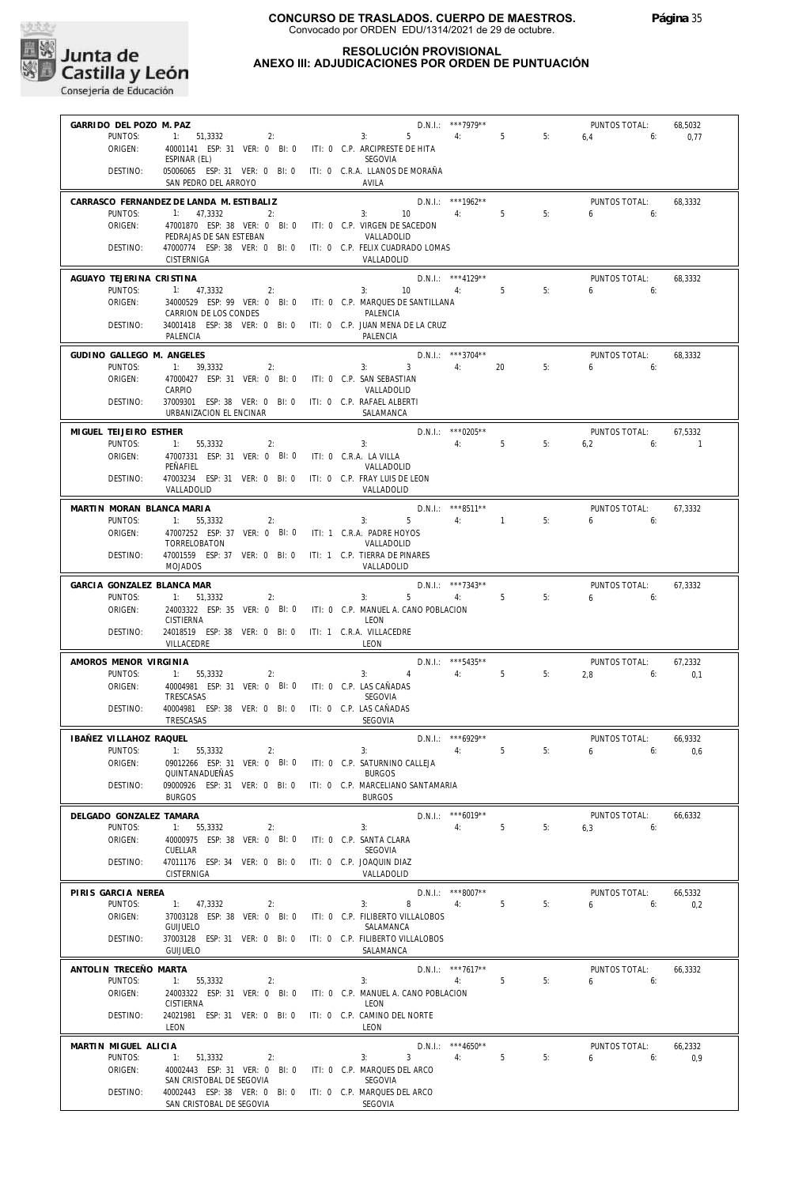

## **RESOLUCIÓN PROVISIONAL ANEXO III: ADJUDICACIONES POR ORDEN DE PUNTUACIÓN**

| GARRIDO DEL POZO M. PAZ    |                                                                              |                                                    | D.N.I.: ***7979**    |                |    | PUNTOS TOTAL:   | 68,5032        |
|----------------------------|------------------------------------------------------------------------------|----------------------------------------------------|----------------------|----------------|----|-----------------|----------------|
| PUNTOS:<br>ORIGEN:         | 1: 51,3332<br>2:                                                             | 5<br>3:                                            | 4:                   | 5 <sub>5</sub> | 5: | 6,4<br>6:       | 0,77           |
|                            | 40001141 ESP: 31 VER: 0 BI: 0 ITI: 0 C.P. ARCIPRESTE DE HITA<br>ESPINAR (EL) | <b>SEGOVIA</b>                                     |                      |                |    |                 |                |
| DESTINO:                   | 05006065 ESP: 31 VER: 0 BI: 0<br>SAN PEDRO DEL ARROYO                        | iti: 0 C.R.A. LLANOS DE MORAÑA<br>AVILA            |                      |                |    |                 |                |
|                            | CARRASCO FERNANDEZ DE LANDA M. ESTIBALIZ                                     |                                                    | D.N.I.: ***1962**    |                |    | PUNTOS TOTAL:   | 68,3332        |
| PUNTOS:<br>ORIGEN:         | 1:<br>47,3332<br>2:<br>47001870 ESP: 38 VER: 0 BI: 0                         | 3:<br>10<br>ITI: 0 C.P. VIRGEN DE SACEDON          | 4:                   | 5              | 5: | 6<br>6:         |                |
|                            | PEDRAJAS DE SAN ESTEBAN                                                      | VALLADOLID                                         |                      |                |    |                 |                |
| DESTINO:                   | 47000774 ESP: 38 VER: 0 BI: 0<br>CISTERNIGA                                  | ITI: 0 C.P. FELIX CUADRADO LOMAS<br>VALLADOLID     |                      |                |    |                 |                |
| AGUAYO TEJERINA CRISTINA   |                                                                              |                                                    | D.N.I.: *** 4129**   |                |    | PUNTOS TOTAL:   | 68.3332        |
| PUNTOS:<br>ORIGEN:         | 1:<br>47,3332<br>2:<br>34000529 ESP: 99 VER: 0 BI: 0                         | 3:<br>10<br>ITI: 0 C.P. MARQUES DE SANTILLANA      | 4:                   | 5              | 5: | 6<br>6:         |                |
|                            | CARRION DE LOS CONDES                                                        | PALENCIA                                           |                      |                |    |                 |                |
| DESTINO:                   | 34001418 ESP: 38 VER: 0 BI: 0 ITI: 0 C.P. JUAN MENA DE LA CRUZ<br>PALENCIA   | PALENCIA                                           |                      |                |    |                 |                |
| GUDINO GALLEGO M. ANGELES  |                                                                              |                                                    | D.N.I.: ***3704**    |                |    | PUNTOS TOTAL:   | 68,3332        |
| PUNTOS:<br>ORIGEN:         | 1:<br>39,3332<br>2:<br>47000427 ESP: 31 VER: 0 BI: 0                         | $\overline{3}$<br>3:<br>ITI: 0 C.P. SAN SEBASTIAN  | 4:                   | 20             | 5: | 6<br>6:         |                |
|                            | CARPIO                                                                       | VALLADOLID                                         |                      |                |    |                 |                |
| DESTINO:                   | 37009301 ESP: 38 VER: 0 BI: 0<br>URBANIZACION EL ENCINAR                     | ITI: 0 C.P. RAFAEL ALBERTI<br>SALAMANCA            |                      |                |    |                 |                |
| MIGUEL TEIJEIRO ESTHER     |                                                                              |                                                    | $D.N.1::$ *** 0205** |                |    | PUNTOS TOTAL:   | 67,5332        |
| PUNTOS:                    | 55,3332<br>1:<br>2:                                                          | 3:                                                 | 4:                   | 5              | 5: | 6,2<br>6:       | $\overline{1}$ |
| ORIGEN:                    | 47007331 ESP: 31 VER: 0 BI: 0<br>PEÑAFIEL                                    | ITI: 0 C.R.A. LA VILLA<br>VALLADOLID               |                      |                |    |                 |                |
| DESTINO:                   | 47003234 ESP: 31 VER: 0 BI: 0                                                | ITI: 0 C.P. FRAY LUIS DE LEON                      |                      |                |    |                 |                |
|                            | VALLADOLID                                                                   | VALLADOLID                                         |                      |                |    |                 |                |
| MARTIN MORAN BLANCA MARIA  |                                                                              |                                                    | D.N.I.: ***8511**    |                |    | PUNTOS TOTAL:   | 67,3332        |
| PUNTOS:<br>ORIGEN:         | 55,3332<br>2:<br>1:<br>47007252 ESP: 37 VER: 0 BI: 0                         | 3:<br>5<br>ITI: 1 C.R.A. PADRE HOYOS               | 4: 1                 |                | 5: | 6<br>6:         |                |
|                            | TORRELOBATON                                                                 | VALLADOLID                                         |                      |                |    |                 |                |
| DESTINO:                   | 47001559 ESP: 37 VER: 0 BI: 0<br><b>MOJADOS</b>                              | ITI: 1 C.P. TIERRA DE PINARES<br>VALLADOLID        |                      |                |    |                 |                |
| GARCIA GONZALEZ BLANCA MAR |                                                                              |                                                    | D.N.I.: ***7343**    |                |    | PUNTOS TOTAL:   | 67,3332        |
| PUNTOS:                    | 1:<br>51,3332<br>2:                                                          | 5<br>3:                                            | 4:                   | 5              | 5: | 6<br>6:         |                |
| ORIGEN:                    | 24003322 ESP: 35 VER: 0 BI: 0<br><b>CISTIERNA</b>                            | ITI: 0 C.P. MANUEL A. CANO POBLACION<br>LEON       |                      |                |    |                 |                |
| DESTINO:                   | 24018519 ESP: 38 VER: 0 BI: 0<br>VILLACEDRE                                  | ITI: 1 C.R.A. VILLACEDRE<br>LEON                   |                      |                |    |                 |                |
| AMOROS MENOR VIRGINIA      |                                                                              |                                                    | $D.N.1::$ ***5435**  |                |    | PUNTOS TOTAL:   | 67,2332        |
| PUNTOS:<br>ORIGEN:         | 1:<br>55,3332<br>2:<br>40004981 ESP: 31 VER: 0 BI: 0                         | 3:<br>$\overline{4}$                               | 4:                   | 5              | 5: | 2,8<br>6:       | 0,1            |
|                            | TRESCASAS                                                                    | ITI: 0 C.P. LAS CAÑADAS<br><b>SEGOVIA</b>          |                      |                |    |                 |                |
| DESTINO:                   | 40004981 ESP: 38 VER: 0 BI: 0<br>TRESCASAS                                   | ITI: 0 C.P. LAS CAÑADAS<br>SEGOVIA                 |                      |                |    |                 |                |
| IBAÑEZ VILLAHOZ RAQUEL     |                                                                              |                                                    | D.N.I.: *** 6929**   |                |    | PUNTOS TOTAL:   | 66,9332        |
| PUNTOS:                    | 1:<br>55,3332<br>2:                                                          | 3:                                                 | 4:                   | 5              | 5: | $6\qquad$<br>6: | 0,6            |
| ORIGEN:                    | 09012266 ESP: 31 VER: 0 BI: 0<br>QUINTANADUEÑAS                              | ITI: 0 C.P. SATURNINO CALLEJA<br><b>BURGOS</b>     |                      |                |    |                 |                |
| DESTINO:                   | 09000926 ESP: 31 VER: 0 BI: 0<br><b>BURGOS</b>                               | ITI: 0 C.P. MARCELIANO SANTAMARIA<br><b>BURGOS</b> |                      |                |    |                 |                |
| DELGADO GONZALEZ TAMARA    |                                                                              |                                                    | $D.N.1::$ *** 6019** |                |    | PUNTOS TOTAL:   | 66,6332        |
| PUNTOS:                    | 1: 55,3332<br>2:                                                             | 3:                                                 | 4:                   | 5              | 5: | 6,3<br>6:       |                |
| ORIGEN:                    | 40000975 ESP: 38 VER: 0 BI: 0<br>CUELLAR                                     | ITI: 0 C.P. SANTA CLARA<br>SEGOVIA                 |                      |                |    |                 |                |
| DESTINO:                   | 47011176 ESP: 34 VER: 0 BI: 0                                                | ITI: 0 C.P. JOAQUIN DIAZ                           |                      |                |    |                 |                |
|                            | <b>CISTERNIGA</b>                                                            | VALLADOLID                                         |                      |                |    |                 |                |
| PIRIS GARCIA NEREA         |                                                                              |                                                    | $D.N.1.:$ ***8007**  |                |    | PUNTOS TOTAL:   | 66,5332        |
| PUNTOS:<br>ORIGEN:         | 1: 47,3332<br>2:<br>37003128 ESP: 38 VER: 0 BI: 0                            | 3:<br>8<br>ITI: 0 C.P. FILIBERTO VILLALOBOS        | 4:                   | 5              | 5: | 6:<br>6         | 0,2            |
|                            | <b>GUIJUELO</b>                                                              | SALAMANCA                                          |                      |                |    |                 |                |
| DESTINO:                   | 37003128 ESP: 31 VER: 0 BI: 0<br><b>GUIJUELO</b>                             | ITI: 0 C.P. FILIBERTO VILLALOBOS<br>SALAMANCA      |                      |                |    |                 |                |
| ANTOLIN TRECEÑO MARTA      |                                                                              |                                                    | D.N.I.: ***7617**    |                |    | PUNTOS TOTAL:   | 66,3332        |
| PUNTOS:                    | 1:<br>55,3332<br>2:                                                          | 3:                                                 | 4:                   | 5              | 5: | 6<br>6:         |                |
| ORIGEN:                    | 24003322 ESP: 31 VER: 0 BI: 0<br><b>CISTIERNA</b>                            | ITI: 0 C.P. MANUEL A. CANO POBLACION<br>LEON       |                      |                |    |                 |                |
| DESTINO:                   | 24021981 ESP: 31 VER: 0 BI: 0<br>LEON                                        | ITI: 0 C.P. CAMINO DEL NORTE<br>LEON               |                      |                |    |                 |                |
| MARTIN MIGUEL ALICIA       |                                                                              |                                                    | $D.N.1::$ ***4650**  |                |    | PUNTOS TOTAL:   | 66,2332        |
| PUNTOS:                    | 1: 51,3332<br>2:                                                             | 3:<br>$\overline{3}$                               | 4:                   | 5              | 5: | 6<br>6:         | 0,9            |
| ORIGEN:                    | 40002443 ESP: 31 VER: 0 BI: 0<br>SAN CRISTOBAL DE SEGOVIA                    | ITI: 0 C.P. MARQUES DEL ARCO<br>SEGOVIA            |                      |                |    |                 |                |
| DESTINO:                   | 40002443 ESP: 38 VER: 0 BI: 0 ITI: 0 C.P. MARQUES DEL ARCO                   |                                                    |                      |                |    |                 |                |
|                            | SAN CRISTOBAL DE SEGOVIA                                                     | SEGOVIA                                            |                      |                |    |                 |                |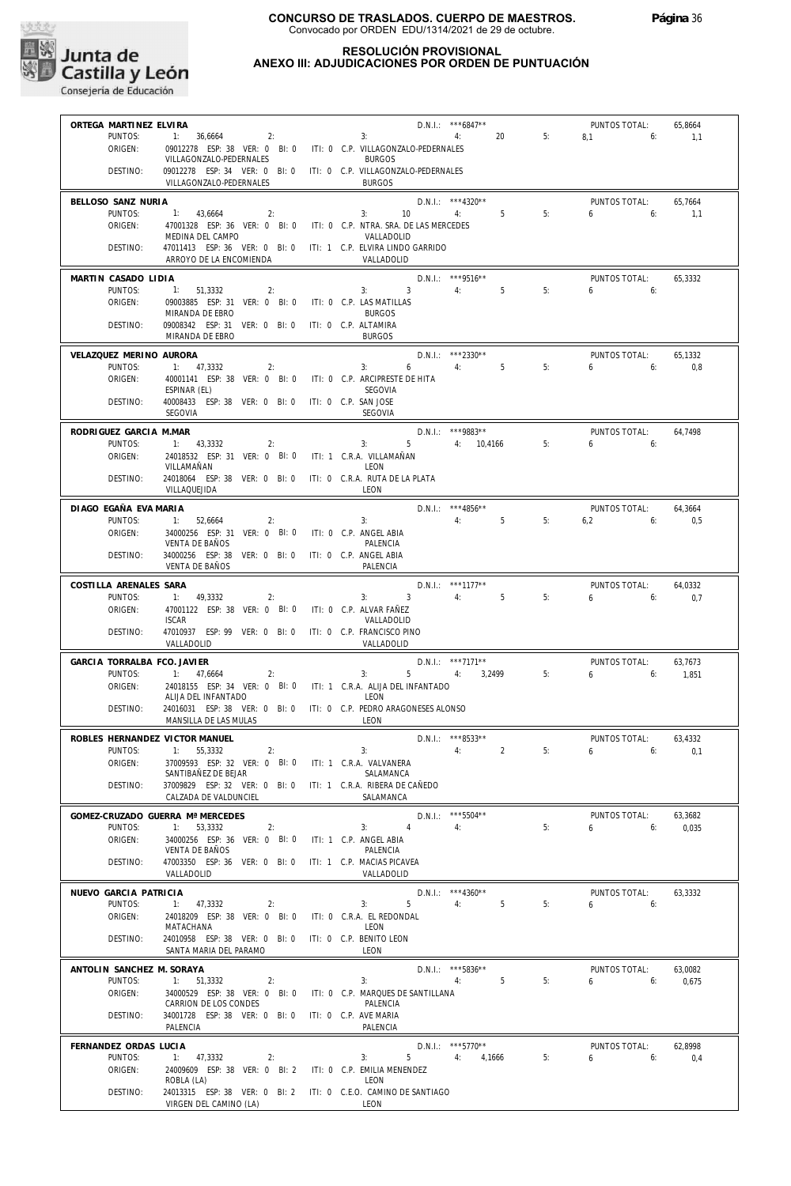

## **RESOLUCIÓN PROVISIONAL ANEXO III: ADJUDICACIONES POR ORDEN DE PUNTUACIÓN**

| ORTEGA MARTINEZ ELVIRA         |                                                                              | D.N.I.: *** 6847**<br>PUNTOS TOTAL:<br>65,8664                   |
|--------------------------------|------------------------------------------------------------------------------|------------------------------------------------------------------|
| PUNTOS:                        | 1:<br>36,6664<br>2:                                                          | 20<br>5:<br>8,1<br>1,1<br>6:<br>3:<br>4:                         |
| ORIGEN:                        | 09012278 ESP: 38 VER: 0 BI: 0<br>VILLAGONZALO-PEDERNALES                     | ITI: 0 C.P. VILLAGONZALO-PEDERNALES<br><b>BURGOS</b>             |
| DESTINO:                       | 09012278 ESP: 34 VER: 0 BI: 0                                                | ITI: 0 C.P. VILLAGONZALO-PEDERNALES                              |
|                                | VILLAGONZALO-PEDERNALES                                                      | <b>BURGOS</b>                                                    |
| BELLOSO SANZ NURIA             |                                                                              | D.N.I.: ***4320**<br>PUNTOS TOTAL:<br>65,7664                    |
| PUNTOS:                        | 1:<br>43,6664<br>2:                                                          | 5<br>5:<br>3:<br>10<br>4:<br>6<br>6:<br>1,1                      |
| ORIGEN:                        | 47001328 ESP: 36 VER: 0 BI: 0<br>MEDINA DEL CAMPO                            | ITI: 0 C.P. NTRA. SRA. DE LAS MERCEDES<br>VALLADOLID             |
| DESTINO:                       | 47011413 ESP: 36 VER: 0 BI: 0                                                | ITI: 1 C.P. ELVIRA LINDO GARRIDO                                 |
|                                | ARROYO DE LA ENCOMIENDA                                                      | VALLADOLID                                                       |
| MARTIN CASADO LIDIA            |                                                                              | D.N.I.: *** 9516**<br>PUNTOS TOTAL:<br>65,3332                   |
| PUNTOS:                        | $-1:$<br>51.3332<br>2:                                                       | 4:<br>5<br>5:<br>$\overline{\mathbf{3}}$<br>3:<br>6<br>6:        |
| ORIGEN:                        | 09003885 ESP: 31 VER: 0 BI: 0<br>MIRANDA DE EBRO                             | ITI: 0 C.P. LAS MATILLAS<br><b>BURGOS</b>                        |
| DESTINO:                       | 09008342 ESP: 31 VER: 0 BI: 0                                                | ITI: 0 C.P. ALTAMIRA                                             |
|                                | MIRANDA DE EBRO                                                              | <b>BURGOS</b>                                                    |
| VELAZQUEZ MERINO AURORA        |                                                                              | D.N.I.: ***2330**<br>PUNTOS TOTAL:<br>65,1332                    |
| PUNTOS:                        | 1: 47,3332<br>2:                                                             | 6<br>4:<br>5<br>5:<br>3:<br>6<br>0,8<br>6:                       |
| ORIGEN:                        | 40001141 ESP: 38 VER: 0 BI: 0<br>ESPINAR (EL)                                | ITI: 0 C.P. ARCIPRESTE DE HITA<br>SEGOVIA                        |
| DESTINO:                       | 40008433 ESP: 38 VER: 0 BI: 0                                                | ITI: 0 C.P. SAN JOSE                                             |
|                                | SEGOVIA                                                                      | <b>SEGOVIA</b>                                                   |
| RODRIGUEZ GARCIA M.MAR         |                                                                              | D.N.I.: ***9883**<br>PUNTOS TOTAL:<br>64,7498                    |
| PUNTOS:                        | 1: 43,3332<br>2:                                                             | 5<br>5:<br>3:<br>4: 10,4166<br>6<br>6:                           |
| ORIGEN:                        | 24018532 ESP: 31 VER: 0 BI: 0                                                | ITI: 1 C.R.A. VILLAMAÑAN                                         |
| DESTINO:                       | VILLAMAÑAN<br>24018064 ESP: 38 VER: 0 BI: 0                                  | LEON<br>ITI: 0 C.R.A. RUTA DE LA PLATA                           |
|                                | VILLAQUEJIDA                                                                 | LEON                                                             |
| DIAGO EGAÑA EVA MARIA          |                                                                              | D.N.I.: *** 4856**<br>PUNTOS TOTAL:<br>64,3664                   |
| PUNTOS:                        | 1:<br>52,6664<br>2:                                                          | 4:<br>5<br>5:<br>3:<br>6,2<br>6:<br>0,5                          |
| ORIGEN:                        | 34000256 ESP: 31 VER: 0 BI: 0                                                | ITI: 0 C.P. ANGEL ABIA                                           |
| DESTINO:                       | <b>VENTA DE BAÑOS</b><br>34000256 ESP: 38 VER: 0 BI: 0                       | PALENCIA<br>ITI: 0 C.P. ANGEL ABIA                               |
|                                | <b>VENTA DE BAÑOS</b>                                                        | PALENCIA                                                         |
| COSTILLA ARENALES SARA         |                                                                              | D.N.I.: ***1177**<br>PUNTOS TOTAL:<br>64,0332                    |
| PUNTOS:                        | 1:<br>49,3332<br>2:                                                          | 5<br>5:<br>3:<br>$\overline{\mathbf{3}}$<br>4:<br>6<br>6:<br>0,7 |
| ORIGEN:                        | 47001122 ESP: 38 VER: 0 BI: 0                                                | ITI: 0 C.P. ALVAR FAÑEZ                                          |
| DESTINO:                       | <b>ISCAR</b><br>47010937 ESP: 99 VER: 0 BI: 0                                | VALLADOLID<br>ITI: 0 C.P. FRANCISCO PINO                         |
|                                | VALLADOLID                                                                   | VALLADOLID                                                       |
| GARCIA TORRALBA FCO. JAVIER    |                                                                              | D.N.I.: ***7171**<br>PUNTOS TOTAL:<br>63,7673                    |
| PUNTOS:                        | 1:<br>2:<br>47,6664                                                          | 5:<br>6<br>3:<br>5<br>4:<br>3,2499<br>1,851<br>6:                |
| ORIGEN:                        | 24018155 ESP: 34 VER: 0 BI: 0                                                | ITI: 1 C.R.A. ALIJA DEL INFANTADO<br>LEON                        |
| DESTINO:                       | ALIJA DEL INFANTADO<br>24016031 ESP: 38 VER: 0 BI: 0                         | ITI: 0 C.P. PEDRO ARAGONESES ALONSO                              |
|                                | MANSILLA DE LAS MULAS                                                        | LEON                                                             |
| ROBLES HERNANDEZ VICTOR MANUEL |                                                                              | D.N.I.: ***8533**<br>PUNTOS TOTAL:<br>63,4332                    |
| PUNTOS:                        | 1: 55,3332<br>2:                                                             | 3:<br>5:<br>0,1<br>4:2<br>$6 \t\t 6$                             |
| ORIGEN:                        | 37009593 ESP: 32 VER: 0 BI: 0                                                | ITI: 1 C.R.A. VALVANERA<br>SALAMANCA                             |
| DESTINO:                       | SANTIBAÑEZ DE BEJAR<br>37009829 ESP: 32 VER: 0 BI: 0                         | ITI: 1 C.R.A. RIBERA DE CAÑEDO                                   |
|                                | CALZADA DE VALDUNCIEL                                                        | SALAMANCA                                                        |
|                                | GOMEZ-CRUZADO GUERRA Mª MERCEDES                                             | D.N.I.: ***5504**<br>PUNTOS TOTAL:<br>63,3682                    |
| PUNTOS:                        | 1: 53.3332<br>2:                                                             | 5:<br>3:<br>4<br>4:<br>6<br>6:<br>0,035                          |
| ORIGEN:                        | 34000256 ESP: 36 VER: 0 BI: 0<br><b>VENTA DE BAÑOS</b>                       | ITI: 1 C.P. ANGEL ABIA<br>PALENCIA                               |
| DESTINO:                       | 47003350 ESP: 36 VER: 0 BI: 0                                                | ITI: 1 C.P. MACIAS PICAVEA                                       |
|                                | VALLADOLID                                                                   | VALLADOLID                                                       |
| NUEVO GARCIA PATRICIA          |                                                                              | $D.N.1::$ ***4360**<br>PUNTOS TOTAL:<br>63,3332                  |
| PUNTOS:                        | 1:<br>47,3332<br>2:                                                          | 5<br>4:<br>5<br>5:<br>3:<br>6<br>6:                              |
| ORIGEN:                        | 24018209 ESP: 38 VER: 0 BI: 0                                                | ITI: 0 C.R.A. EL REDONDAL                                        |
| DESTINO:                       | MATACHANA<br>24010958 ESP: 38 VER: 0 BI: 0                                   | LEON<br>ITI: 0 C.P. BENITO LEON                                  |
|                                | SANTA MARIA DEL PARAMO                                                       | LEON                                                             |
| ANTOLIN SANCHEZ M. SORAYA      |                                                                              | D.N.I.: *** 5836**<br>PUNTOS TOTAL:<br>63,0082                   |
| PUNTOS:                        | 1: 51,3332<br>2:                                                             | 5:<br>3:<br>5<br>6<br>6:<br>0,675<br>4:                          |
| ORIGEN:                        | 34000529 ESP: 38 VER: 0 BI: 0<br>CARRION DE LOS CONDES                       | ITI: 0 C.P. MARQUES DE SANTILLANA                                |
| DESTINO:                       | 34001728 ESP: 38 VER: 0 BI: 0                                                | PALENCIA<br>ITI: 0 C.P. AVE MARIA                                |
|                                | PALENCIA                                                                     | PALENCIA                                                         |
| FERNANDEZ ORDAS LUCIA          |                                                                              | $D.N.1::$ ***5770**<br>PUNTOS TOTAL:<br>62,8998                  |
| PUNTOS:                        | 1: 47,3332<br>2:                                                             | 3:<br>$5 -$<br>4:<br>4,1666<br>5:<br>6<br>0,4<br>6:              |
| ORIGEN:                        | 24009609 ESP: 38 VER: 0 BI: 2                                                | ITI: 0 C.P. EMILIA MENENDEZ                                      |
| DESTINO:                       | ROBLA (LA)<br>24013315 ESP: 38 VER: 0 BI: 2 ITI: 0 C.E.O. CAMINO DE SANTIAGO | LEON                                                             |
|                                | VIRGEN DEL CAMINO (LA)                                                       | LEON                                                             |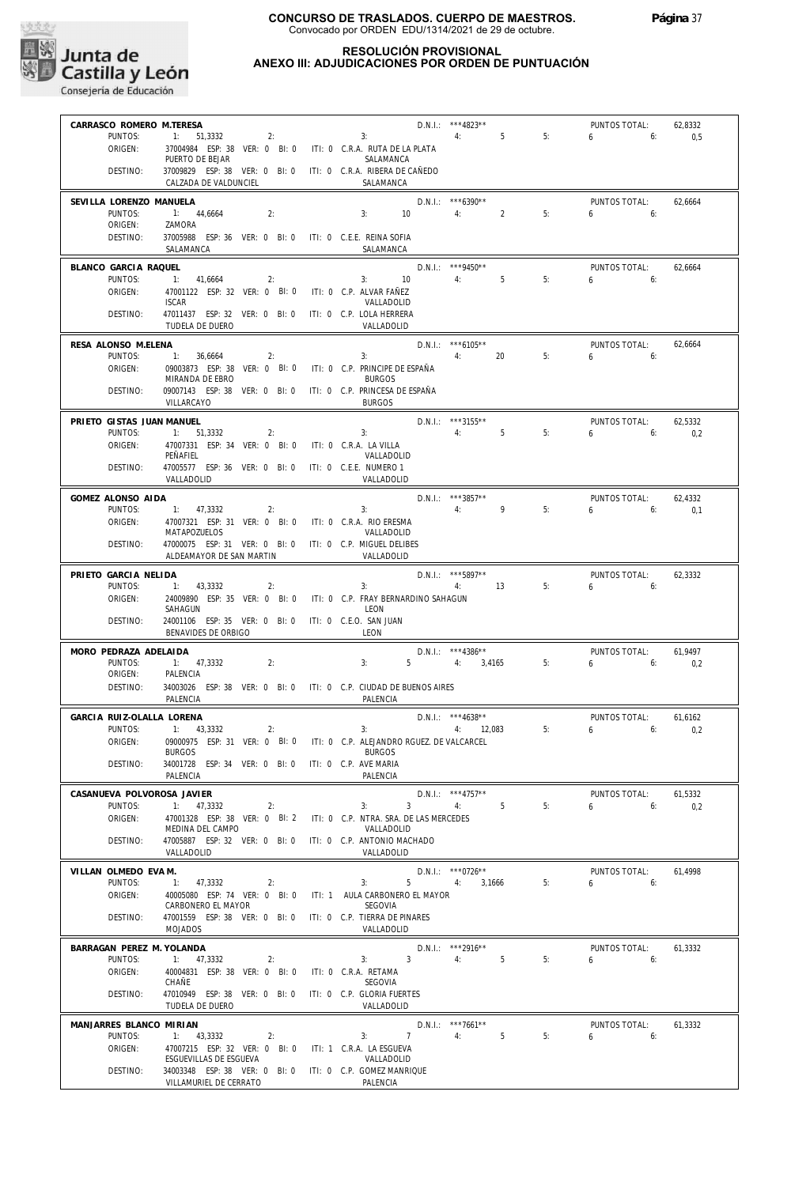

51,3332 2: 3:

#### **RESOLUCIÓN PROVISIONAL ANEXO III: ADJUDICACIONES POR ORDEN DE PUNTUACIÓN**

D.N.I.: \*\*\*4823\*\*

4:

5

5:

6

PUNTOS TOTAL:

6:

**CONSEGUIDA DE CONSEJERIA DE CONSEJERIA de Educación** 

PUNTOS:

ORIGEN:

**CARRASCO ROMERO M.TERESA**

1:

| ORIGEN:                              | 37004984 ESP: 38 VER: 0 BI: 0<br>PUERTO DE BEJAR                                      | ITI: 0 C.R.A. RUTA DE LA PLATA<br>SALAMANCA                                                                         |
|--------------------------------------|---------------------------------------------------------------------------------------|---------------------------------------------------------------------------------------------------------------------|
| DESTINO:                             | 37009829 ESP: 38 VER: 0 BI: 0 ITI: 0 C.R.A. RIBERA DE CAÑEDO<br>CALZADA DE VALDUNCIEL | SALAMANCA                                                                                                           |
| SEVILLA LORENZO MANUELA<br>PUNTOS:   | 1: 44,6664<br>2:                                                                      | D.N.I.: ***6390**<br>PUNTOS TOTAL:<br>62,6664<br>10<br>$\overline{2}$<br>5:<br>3:<br>4:<br>6<br>6:                  |
| ORIGEN:                              | ZAMORA                                                                                |                                                                                                                     |
| DESTINO:                             | 37005988 ESP: 36 VER: 0 BI: 0 ITI: 0 C.E.E. REINA SOFIA<br>SALAMANCA                  | SALAMANCA                                                                                                           |
| BLANCO GARCIA RAQUEL<br>PUNTOS:      | 1:<br>41,6664<br>2:                                                                   | D.N.I.: *** 9450**<br>PUNTOS TOTAL:<br>62,6664<br>5<br>5:<br>3:<br>10<br>4:<br>6<br>6:                              |
| ORIGEN:                              | 47001122 ESP: 32 VER: 0 BI: 0<br><b>ISCAR</b>                                         | ITI: 0 C.P. ALVAR FAÑEZ<br>VALLADOLID                                                                               |
| DESTINO:                             | 47011437 ESP: 32 VER: 0 BI: 0<br>TUDELA DE DUERO                                      | ITI: 0 C.P. LOLA HERRERA<br>VALLADOLID                                                                              |
| RESA ALONSO M.ELENA                  |                                                                                       | $D.N.1::$ *** 6105**<br>PUNTOS TOTAL:<br>62,6664                                                                    |
| PUNTOS:<br>ORIGEN:                   | 1:<br>36,6664<br>2:<br>09003873 ESP: 38 VER: 0 BI: 0                                  | 5:<br>4:<br>20<br>3:<br>6<br>6:<br>ITI: 0 C.P. PRINCIPE DE ESPAÑA                                                   |
| DESTINO:                             | MIRANDA DE EBRO<br>09007143 ESP: 38 VER: 0 BI: 0<br>VILLARCAYO                        | <b>BURGOS</b><br>ITI: 0 C.P. PRINCESA DE ESPAÑA<br><b>BURGOS</b>                                                    |
| PRIETO GISTAS JUAN MANUEL            |                                                                                       | D.N.I.: ***3155**<br>PUNTOS TOTAL:<br>62,5332                                                                       |
| PUNTOS:<br>ORIGEN:                   | 51.3332<br>1:<br>2:<br>47007331 ESP: 34 VER: 0 BI: 0                                  | 5<br>5:<br>3:<br>4:<br>6<br>6:<br>0,2<br>ITI: 0 C.R.A. LA VILLA                                                     |
| DESTINO:                             | PEÑAFIEL<br>47005577 ESP: 36 VER: 0 BI: 0                                             | VALLADOLID<br>ITI: 0 C.E.E. NUMERO 1                                                                                |
| GOMEZ ALONSO AIDA                    | VALLADOLID                                                                            | VALLADOLID<br>D.N.I.: ***3857**<br>PUNTOS TOTAL:<br>62,4332                                                         |
| PUNTOS:                              | 1: 47.3332<br>2:                                                                      | 9<br>5:<br>3:<br>4:<br>6<br>6:<br>0,1                                                                               |
| ORIGEN:                              | 47007321 ESP: 31 VER: 0 BI: 0<br>MATAPOZUELOS                                         | ITI: 0 C.R.A. RIO ERESMA<br>VALLADOLID                                                                              |
| DESTINO:                             | 47000075 ESP: 31 VER: 0 BI: 0<br>ALDEAMAYOR DE SAN MARTIN                             | ITI: 0 C.P. MIGUEL DELIBES<br>VALLADOLID                                                                            |
| PRIETO GARCIA NELIDA<br>PUNTOS:      | 1:<br>43,3332<br>2:                                                                   | D.N.I.: *** 5897**<br>PUNTOS TOTAL:<br>62,3332<br>5:<br>13<br>6<br>3:<br>4:<br>6:                                   |
| ORIGEN:                              | 24009890 ESP: 35 VER: 0 BI: 0<br>SAHAGUN                                              | ITI: 0 C.P. FRAY BERNARDINO SAHAGUN<br>LEON                                                                         |
| DESTINO:                             | 24001106 ESP: 35 VER: 0 BI: 0<br>BENAVIDES DE ORBIGO                                  | ITI: 0 C.E.O. SAN JUAN<br>LEON                                                                                      |
| MORO PEDRAZA ADELAIDA<br>PUNTOS:     | 1:<br>47,3332<br>2:                                                                   | D.N.I.: ***4386**<br>PUNTOS TOTAL:<br>61,9497<br>5<br>5:<br>3:<br>4:<br>3,4165<br>6<br>6:                           |
| ORIGEN:                              | PALENCIA                                                                              | 0,2                                                                                                                 |
| DESTINO:                             | 34003026 ESP: 38 VER: 0 BI: 0 ITI: 0 C.P. CIUDAD DE BUENOS AIRES<br>PALENCIA          | PALENCIA                                                                                                            |
| GARCIA RUIZ-OLALLA LORENA<br>PUNTOS: | 43,3332<br>2:<br>1:                                                                   | $D.N.1::$ ***4638**<br>PUNTOS TOTAL:<br>61,6162<br>5:<br>3:<br>6<br>0,2<br>4:<br>12,083<br>6:                       |
| ORIGEN:                              | 09000975 ESP: 31 VER: 0 BI: 0<br><b>BURGOS</b>                                        | ITI: 0 C.P. ALEJANDRO RGUEZ. DE VALCARCEL<br><b>BURGOS</b>                                                          |
| DESTINO:                             | 34001728 ESP: 34 VER: 0 BI: 0<br>PALENCIA                                             | ITI: 0 C.P. AVE MARIA<br>PALENCIA                                                                                   |
| CASANUEVA POLVOROSA JAVIER           |                                                                                       | D.N.I.: ***4757**<br>PUNTOS TOTAL:<br>61,5332                                                                       |
| PUNTOS:<br>ORIGEN:                   | 1: 47,3332<br>2:                                                                      | 5:<br>4: 5<br>$6\qquad 6$<br>0,2<br>3:<br>3<br>47001328 ESP: 38 VER: 0 BI: 2 ITI: 0 C.P. NTRA. SRA. DE LAS MERCEDES |
| DESTINO:                             | MEDINA DEL CAMPO<br>47005887 ESP: 32 VER: 0 BI: 0 ITI: 0 C.P. ANTONIO MACHADO         | VALLADOLID                                                                                                          |
|                                      | VALLADOLID                                                                            | VALLADOLID                                                                                                          |
| VILLAN OLMEDO EVA M.<br>PUNTOS:      | 1: 47,3332<br>2:                                                                      | $D.N.1.:$ ***0726**<br>PUNTOS TOTAL:<br>61,4998<br>5<br>5:<br>3:<br>4:<br>3,1666<br>6<br>6:                         |
| ORIGEN:                              | 40005080 ESP: 74 VER: 0 BI: 0<br>CARBONERO EL MAYOR                                   | ITI: 1 AULA CARBONERO EL MAYOR<br>SEGOVIA                                                                           |
| DESTINO:                             | 47001559 ESP: 38 VER: 0 BI: 0 ITI: 0 C.P. TIERRA DE PINARES<br>MOJADOS                | VALLADOLID                                                                                                          |
| BARRAGAN PEREZ M. YOLANDA<br>PUNTOS: | 1: 47,3332<br>2:                                                                      | D.N.I.: ***2916**<br>PUNTOS TOTAL:<br>61,3332<br>3 <sup>7</sup><br>4:<br>5<br>3:<br>5:<br>$6\qquad 6$               |
| ORIGEN:                              | 40004831 ESP: 38 VER: 0 BI: 0                                                         | ITI: 0 C.R.A. RETAMA                                                                                                |
| DESTINO:                             | CHAÑE<br>47010949 ESP: 38 VER: 0 BI: 0<br>TUDELA DE DUERO                             | SEGOVIA<br>ITI: 0 C.P. GLORIA FUERTES<br>VALLADOLID                                                                 |
| MANJARRES BLANCO MIRIAN              |                                                                                       | D.N.I.: ***7661**<br>PUNTOS TOTAL:<br>61,3332                                                                       |
| PUNTOS:<br>ORIGEN:                   | 1: 43,3332<br>2:<br>47007215 ESP: 32 VER: 0 BI: 0 ITI: 1 C.R.A. LA ESGUEVA            | $\overline{7}$<br>4:<br>5<br>5:<br>3:<br>6<br>6:                                                                    |
| DESTINO:                             | ESGUEVILLAS DE ESGUEVA<br>34003348 ESP: 38 VER: 0 BI: 0 ITI: 0 C.P. GOMEZ MANRIQUE    | VALLADOLID                                                                                                          |
|                                      | VILLAMURIEL DE CERRATO                                                                | PALENCIA                                                                                                            |

0,5

62,8332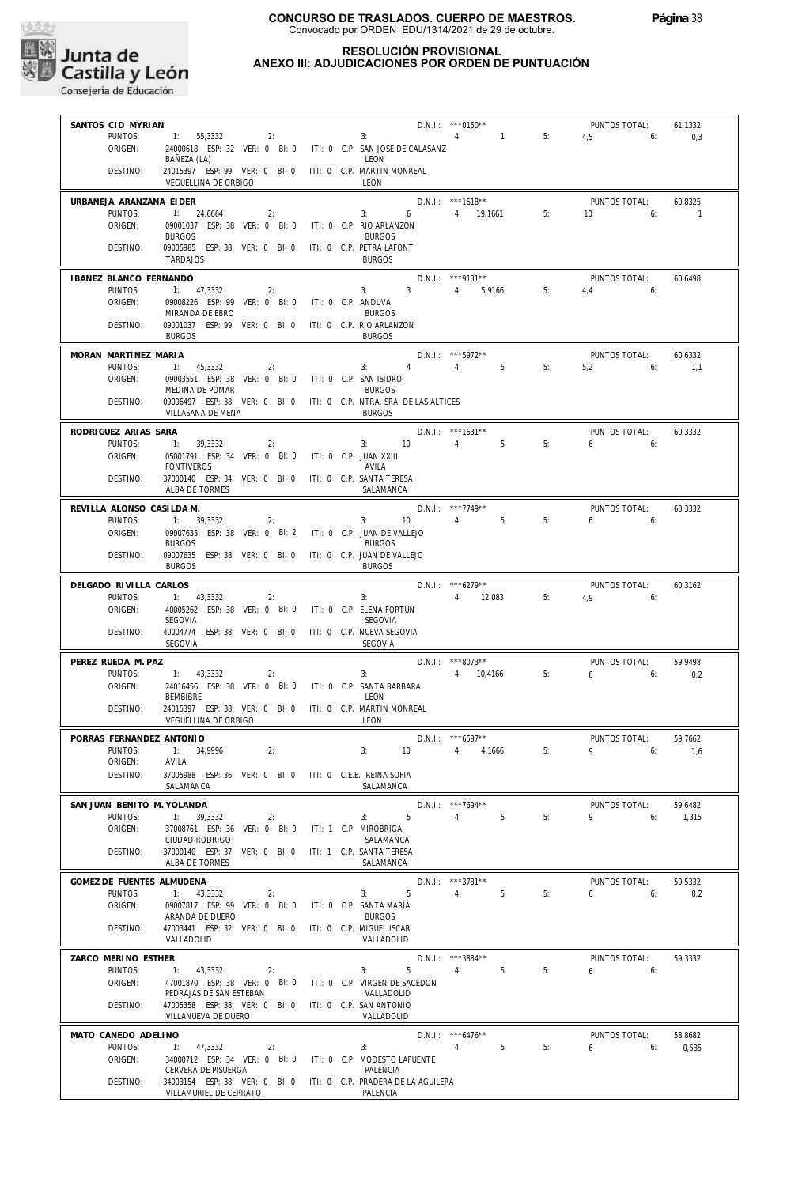

#### **RESOLUCIÓN PROVISIONAL ANEXO III: ADJUDICACIONES POR ORDEN DE PUNTUACIÓN**

| SANTOS CID MYRIAN          | N<br>1: 55,3332 2:<br>2: 3:<br>2: 3:<br>2:<br>2:<br>3:<br>4: 1 5: 4,5<br>6:             |    |                                            |                     |    |                                                                    | 61,1332 |
|----------------------------|-----------------------------------------------------------------------------------------|----|--------------------------------------------|---------------------|----|--------------------------------------------------------------------|---------|
| PUNTOS:                    |                                                                                         |    |                                            |                     |    | $4,5$ 6:                                                           | 0,3     |
| ORIGEN:                    | 24000618 ESP: 32 VER: 0 BI: 0 ITI: 0 C.P. SAN JOSE DE CALASANZ                          |    | LEON                                       |                     |    |                                                                    |         |
| DESTINO:                   | BAÑEZA (LA)<br>24015397 ESP: 99 VER: 0 BI: 0 ITI: 0 C.P. MARTIN MONREAL                 |    |                                            |                     |    |                                                                    |         |
|                            | VEGUELLINA DE ORBIGO                                                                    |    | LEON                                       |                     |    |                                                                    |         |
| URBANEJA ARANZANA FIDER    |                                                                                         |    |                                            | $D.N.I.:$ ***1618** |    | PUNTOS TOTAL:                                                      | 60,8325 |
| PUNTOS:                    | 1: 24,6664                                                                              | 2: | 3: D.N.I.: ***1618**<br>3: 6 4: 19,1661 5: |                     |    | $10$ 6: $1$                                                        |         |
| ORIGEN:                    | 09001037 ESP: 38 VER: 0 BI: 0 ITI: 0 C.P. RIO ARLANZON                                  |    |                                            |                     |    |                                                                    |         |
| DESTINO:                   | <b>BURGOS</b><br>09005985 ESP: 38 VER: 0 BI: 0 ITI: 0 C.P. PETRA LAFONT                 |    | <b>BURGOS</b>                              |                     |    |                                                                    |         |
|                            | <b>TARDAJOS</b>                                                                         |    | <b>BURGOS</b>                              |                     |    |                                                                    |         |
| IBAÑEZ BLANCO FERNANDO     |                                                                                         |    |                                            | $D.N.1.:$ ***9131** |    | PUNTOS TOTAL:                                                      | 60,6498 |
| PUNTOS:                    | 1: 47,3332<br>2:                                                                        |    | 3: $3 \t 3 \t 4 \t 5,9166 \t 5$            |                     |    | $4.4$ 6:                                                           |         |
| ORIGEN:                    | 09008226 ESP: 99 VER: 0 BI: 0 ITI: 0 C.P. ANDUVA                                        |    |                                            |                     |    |                                                                    |         |
| DESTINO:                   | MIRANDA DE EBRO<br>09001037 ESP: 99 VER: 0 BI: 0 ITI: 0 C.P. RIO ARLANZON               |    | <b>BURGOS</b>                              |                     |    |                                                                    |         |
|                            | <b>BURGOS</b>                                                                           |    | <b>BURGOS</b>                              |                     |    |                                                                    |         |
| MORAN MARTINEZ MARIA       |                                                                                         |    |                                            | $D.N.1.:$ ***5972** |    | PUNTOS TOTAL:                                                      | 60,6332 |
| PUNTOS:                    | 1: 45,3332                                                                              | 2: | 3: $4 \t 4$ : $5 \t 5$                     |                     | 5: | $5,2$ 6: $1,1$                                                     |         |
| ORIGEN:                    | 09003551 ESP: 38 VER: 0 BI: 0 ITI: 0 C.P. SAN ISIDRO                                    |    |                                            |                     |    |                                                                    |         |
| DESTINO:                   | MEDINA DE POMAR<br>09006497 ESP: 38 VER: 0 BI: 0 ITI: 0 C.P. NTRA. SRA. DE LAS ALTICES  |    | <b>BURGOS</b>                              |                     |    |                                                                    |         |
|                            | VILLASANA DE MENA                                                                       |    | <b>BURGOS</b>                              |                     |    |                                                                    |         |
| RODRIGUEZ ARIAS SARA       |                                                                                         |    |                                            | $D.N.1.:$ ***1631** |    | PUNTOS TOTAL:                                                      | 60.3332 |
| PUNTOS:                    | 1: 39,3332<br>2:                                                                        |    | 3: 10 4: 5 5:                              |                     |    | $6\qquad 6$                                                        |         |
| ORIGEN:                    | 05001791 ESP: 34 VER: 0 BI: 0 ITI: 0 C.P. JUAN XXIII                                    |    |                                            |                     |    |                                                                    |         |
| DESTINO:                   | <b>FONTIVEROS</b><br>37000140 ESP: 34 VER: 0 BI: 0 ITI: 0 C.P. SANTA TERESA             |    | AVILA                                      |                     |    |                                                                    |         |
|                            | ALBA DE TORMES                                                                          |    | SALAMANCA                                  |                     |    |                                                                    |         |
| REVILLA ALONSO CASILDA M.  |                                                                                         |    | $D.N.1.:$ ***7749**                        |                     |    | PUNTOS TOTAL:                                                      | 60,3332 |
| PUNTOS:                    | $1: 39,3332$ 2:                                                                         |    | $3: 10 \t 4: 5$                            |                     | 5: | $6\qquad 6$                                                        |         |
| ORIGEN:                    | 09007635 ESP: 38 VER: 0 BI: 2 ITI: 0 C.P. JUAN DE VALLEJO                               |    |                                            |                     |    |                                                                    |         |
| DESTINO:                   | <b>BURGOS</b><br>09007635 ESP: 38 VER: 0 BI: 0 ITI: 0 C.P. JUAN DE VALLEJO              |    | <b>BURGOS</b>                              |                     |    |                                                                    |         |
|                            | <b>BURGOS</b>                                                                           |    | <b>BURGOS</b>                              |                     |    |                                                                    |         |
| DELGADO RIVILLA CARLOS     |                                                                                         |    |                                            |                     |    |                                                                    | 60.3162 |
| PUNTOS:                    | 1: 43,3332<br>2:                                                                        |    |                                            |                     |    | D.N.I.: ***6279** PUNTOS TOTAL:<br>3: $4: 12.083$ $5: 4.9$ $6: 6:$ |         |
| ORIGEN:                    | 40005262 ESP: 38 VER: 0 BI: 0 ITI: 0 C.P. ELENA FORTUN<br>SEGOVIA                       |    |                                            |                     |    |                                                                    |         |
| DESTINO:                   | 40004774 ESP: 38 VER: 0 BI: 0 ITI: 0 C.P. NUEVA SEGOVIA                                 |    | SEGOVIA                                    |                     |    |                                                                    |         |
|                            | SEGOVIA                                                                                 |    | SEGOVIA                                    |                     |    |                                                                    |         |
| PEREZ RUEDA M. PAZ         |                                                                                         |    |                                            |                     |    | PUNTOS TOTAL:                                                      | 59,9498 |
| PUNTOS:                    | 1: 43.3332<br>2:                                                                        |    | D.N.I.: ***8073**<br>3: $4: 10,4166$ 5:    |                     |    | $6\qquad 6$                                                        | 0,2     |
| ORIGEN:                    | 24016456 ESP: 38 VER: 0 BI: 0 ITI: 0 C.P. SANTA BARBARA<br>BEMBIBRE                     |    | LEON                                       |                     |    |                                                                    |         |
| DESTINO:                   | 24015397 ESP: 38 VER: 0 BI: 0 ITI: 0 C.P. MARTIN MONREAL                                |    |                                            |                     |    |                                                                    |         |
|                            | <b>VEGUELLINA DE ORBIGO</b>                                                             |    | LEON                                       |                     |    |                                                                    |         |
| PORRAS FERNANDEZ ANTONIO   |                                                                                         |    |                                            | $D.N.1.:$ ***6597** |    | PUNTOS TOTAL:                                                      | 59,7662 |
|                            | PUNTOS: 1: 34.9996<br>2:                                                                |    | 3:                                         | 10 4: 4,1666        | 5: | 9 6: 1.6                                                           |         |
| ORIGEN:<br>DESTINO:        | AVILA<br>37005988 ESP: 36 VER: 0 BI: 0 ITI: 0 C.E.E. REINA SOFIA                        |    |                                            |                     |    |                                                                    |         |
|                            | SALAMANCA                                                                               |    | SALAMANCA                                  |                     |    |                                                                    |         |
| SAN JUAN BENITO M. YOLANDA |                                                                                         |    |                                            | D.N.I.: ***7694**   |    | PUNTOS TOTAL:                                                      | 59,6482 |
| PUNTOS:                    | 1: 39,3332<br>2:                                                                        |    | $5 -$<br>3:                                | $5^{\circ}$<br>4:   | 5: | 9<br>6:                                                            | 1,315   |
| ORIGEN:                    | 37008761 ESP: 36 VER: 0 BI: 0                                                           |    | ITI: 1 C.P. MIROBRIGA                      |                     |    |                                                                    |         |
| DESTINO:                   | CIUDAD-RODRIGO<br>37000140 ESP: 37 VER: 0 BI: 0 ITI: 1 C.P. SANTA TERESA                |    | SALAMANCA                                  |                     |    |                                                                    |         |
|                            | ALBA DE TORMES                                                                          |    | SALAMANCA                                  |                     |    |                                                                    |         |
| GOMEZ DE FUENTES ALMUDENA  |                                                                                         |    |                                            | D.N.I.: ***3731**   |    | PUNTOS TOTAL:                                                      | 59,5332 |
| PUNTOS:                    |                                                                                         |    | 5<br>3:                                    | 4:<br>5             | 5: | $6 \t\t 6$                                                         | 0,2     |
|                            | 1: 43,3332<br>2:                                                                        |    |                                            |                     |    |                                                                    |         |
| ORIGEN:                    | 09007817 ESP: 99 VER: 0 BI: 0 ITI: 0 C.P. SANTA MARIA                                   |    |                                            |                     |    |                                                                    |         |
| DESTINO:                   | ARANDA DE DUERO<br>47003441 ESP: 32 VER: 0 BI: 0                                        |    | <b>BURGOS</b><br>ITI: 0 C.P. MIGUEL ISCAR  |                     |    |                                                                    |         |
|                            | VALLADOLID                                                                              |    | VALLADOLID                                 |                     |    |                                                                    |         |
| ZARCO MERINO ESTHER        |                                                                                         |    |                                            | D.N.I.: ***3884**   |    | PUNTOS TOTAL:                                                      | 59,3332 |
| PUNTOS:                    | 1: 43,3332<br>2:                                                                        |    | 3:<br>5                                    | 4:<br>5             | 5: | $6\qquad 6$                                                        |         |
| ORIGEN:                    | 47001870 ESP: 38 VER: 0 BI: 0 ITI: 0 C.P. VIRGEN DE SACEDON                             |    |                                            |                     |    |                                                                    |         |
| DESTINO:                   | PEDRAJAS DE SAN ESTEBAN<br>47005358 ESP: 38 VER: 0 BI: 0 ITI: 0 C.P. SAN ANTONIO        |    | VALLADOLID                                 |                     |    |                                                                    |         |
|                            | VILLANUEVA DE DUERO                                                                     |    | VALLADOLID                                 |                     |    |                                                                    |         |
| MATO CANEDO ADELINO        |                                                                                         |    |                                            | D.N.I.: *** 6476**  |    | PUNTOS TOTAL:                                                      | 58,8682 |
| PUNTOS:                    | 1: 47,3332<br>$\sim$ 2:                                                                 |    | 3:<br>4:                                   | 5                   | 5: | 6<br>6:                                                            | 0,535   |
| ORIGEN:                    | 34000712 ESP: 34 VER: 0 BI: 0 ITI: 0 C.P. MODESTO LAFUENTE                              |    |                                            |                     |    |                                                                    |         |
| DESTINO:                   | CERVERA DE PISUERGA<br>34003154 ESP: 38 VER: 0 BI: 0 ITI: 0 C.P. PRADERA DE LA AGUILERA |    | PALENCIA                                   |                     |    |                                                                    |         |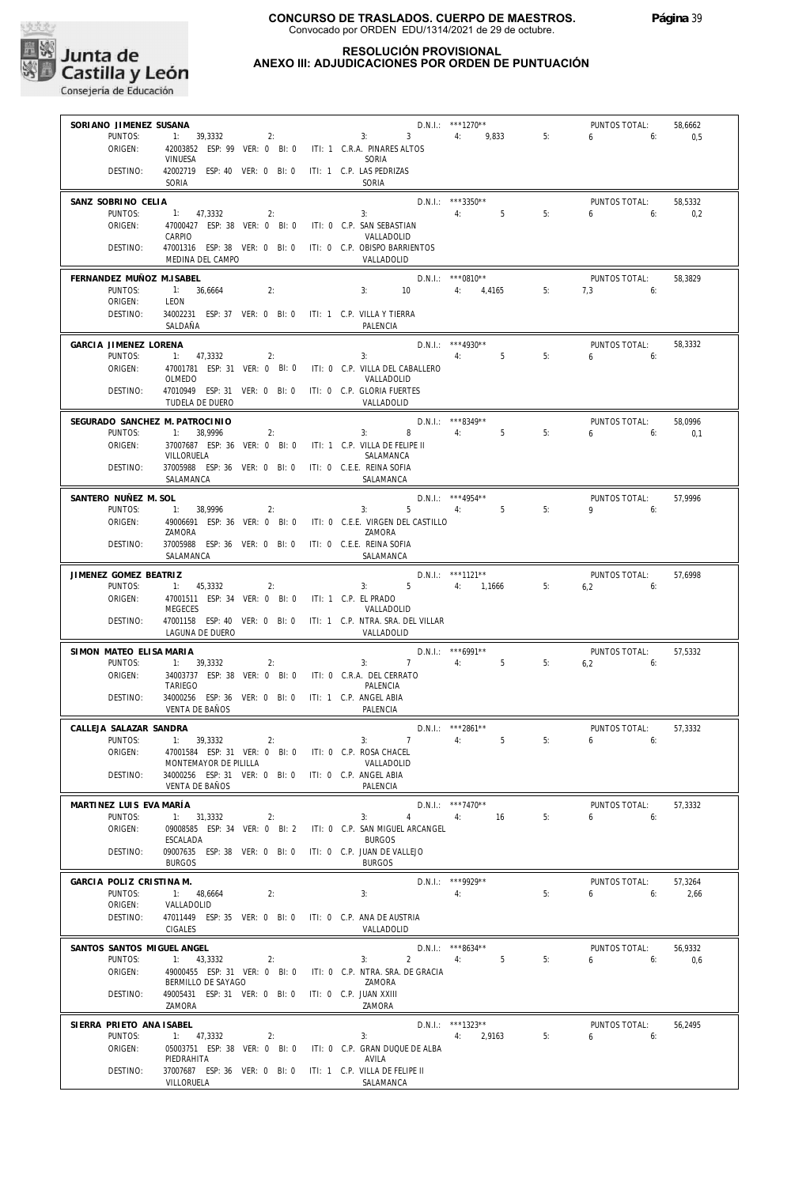

#### **RESOLUCIÓN PROVISIONAL ANEXO III: ADJUDICACIONES POR ORDEN DE PUNTUACIÓN**

| SORIANO JIMENEZ SUSANA                    |                                                                                    |                                       | D.N.I.: ***1270**                  |    | PUNTOS TOTAL:                | 58,6662        |
|-------------------------------------------|------------------------------------------------------------------------------------|---------------------------------------|------------------------------------|----|------------------------------|----------------|
| PUNTOS:<br>ORIGEN:                        | 1: 39,3332<br>2:<br>42003852 ESP: 99 VER: 0 BI: 0 ITI: 1 C.R.A. PINARES ALTOS      | $\overline{\mathbf{3}}$<br>3:         | 4: 9,833                           | 5: | $6\qquad 6:$                 | 0,5            |
|                                           | VINUESA                                                                            | SORIA                                 |                                    |    |                              |                |
| DESTINO:                                  | 42002719 ESP: 40 VER: 0 BI: 0 ITI: 1 C.P. LAS PEDRIZAS<br>SORIA                    | SORIA                                 |                                    |    |                              |                |
| SANZ SOBRINO CELIA                        |                                                                                    |                                       | $D.N.1.:$ ***3350**                |    | PUNTOS TOTAL:                | 58,5332        |
| PUNTOS:<br>ORIGEN:                        | 1: 47,3332<br>2:<br>47000427 ESP: 38 VER: 0 BI: 0 ITI: 0 C.P. SAN SEBASTIAN        | $-$ 4: 5<br>3:                        |                                    | 5: | $6\qquad 6:$                 | 0.2            |
| DESTINO:                                  | CARPIO<br>47001316 ESP: 38 VER: 0 BI: 0 ITI: 0 C.P. OBISPO BARRIENTOS              | VALLADOLID                            |                                    |    |                              |                |
|                                           | MEDINA DEL CAMPO                                                                   | VALLADOLID                            |                                    |    |                              |                |
| FERNANDEZ MUÑOZ M.ISABEL                  |                                                                                    |                                       | $D.N.1::$ ***0810**                |    | PUNTOS TOTAL:                | 58,3829        |
| PUNTOS:<br>ORIGEN:                        | 1: 36,6664<br>2:<br>LEON                                                           | 3:                                    | 10 4: 4,4165 5:                    |    | $7,3$ 6:                     |                |
| DESTINO:                                  | 34002231 ESP: 37 VER: 0 BI: 0 ITI: 1 C.P. VILLA Y TIERRA<br>SALDAÑA                | PALENCIA                              |                                    |    |                              |                |
| GARCIA JIMENEZ LORENA                     |                                                                                    |                                       | $D.N.1.:$ ***4930**                |    | PUNTOS TOTAL:                | 58,3332        |
| PUNTOS:                                   | 1: 47,3332<br>2:                                                                   | 3: 4: 5                               |                                    | 5: | $6\qquad 6$                  |                |
| ORIGEN:                                   | 47001781 ESP: 31 VER: 0 BI: 0 ITI: 0 C.P. VILLA DEL CABALLERO<br>OLMEDO            | VALLADOLID                            |                                    |    |                              |                |
| DESTINO:                                  | 47010949 ESP: 31 VER: 0 BI: 0 ITI: 0 C.P. GLORIA FUERTES                           |                                       |                                    |    |                              |                |
|                                           | TUDELA DE DUERO                                                                    | VALLADOLID                            |                                    |    |                              |                |
| SEGURADO SANCHEZ M. PATROCINIO<br>PUNTOS: | 1: 38,9996<br>2:                                                                   | $D.N.1.:$ ***8349**<br>$3: 8 \t 4: 5$ |                                    | 5: | PUNTOS TOTAL:<br>$6\qquad 6$ | 58,0996<br>0,1 |
| ORIGEN:                                   | 37007687 ESP: 36 VER: 0 BI: 0 ITI: 1 C.P. VILLA DE FELIPE II                       |                                       |                                    |    |                              |                |
| DESTINO:                                  | VILLORUELA<br>37005988 ESP: 36 VER: 0 BI: 0 ITI: 0 C.E.E. REINA SOFIA              | SALAMANCA                             |                                    |    |                              |                |
|                                           | SALAMANCA                                                                          | SALAMANCA                             |                                    |    |                              |                |
| SANTERO NUÑEZ M. SOL<br>PUNTOS:           | 1: 38,9996<br>2:                                                                   | $D.N.1.:$ ***4954**<br>$3: 5$ 4: 5    |                                    | 5: | PUNTOS TOTAL:<br>$9 \t\t 6$  | 57.9996        |
| ORIGEN:                                   | 49006691 ESP: 36 VER: 0 BI: 0 ITI: 0 C.E.E. VIRGEN DEL CASTILLO                    |                                       |                                    |    |                              |                |
| DESTINO:                                  | ZAMORA<br>37005988 ESP: 36 VER: 0 BI: 0 ITI: 0 C.E.E. REINA SOFIA                  | ZAMORA                                |                                    |    |                              |                |
|                                           | SALAMANCA                                                                          | SALAMANCA                             |                                    |    |                              |                |
| JIMENEZ GOMEZ BEATRIZ                     |                                                                                    |                                       | $D.N.1.:$ ***1121**                |    | PUNTOS TOTAL:                | 57,6998        |
| PUNTOS:<br>ORIGEN:                        | 1: 45,3332<br>2:<br>47001511 ESP: 34 VER: 0 BI: 0 ITI: 1 C.P. EL PRADO             | $3: 5 \t 4: 1,1666$                   |                                    | 5: | $6,2$ 6:                     |                |
|                                           | <b>MEGECES</b>                                                                     | VALLADOLID                            |                                    |    |                              |                |
| DESTINO:                                  | 47001158 ESP: 40 VER: 0 BI: 0 ITI: 1 C.P. NTRA. SRA. DEL VILLAR<br>Laguna de Duero | VALLADOLID                            |                                    |    |                              |                |
| SIMON MATEO ELISA MARIA                   |                                                                                    | $D.N.1.:$ ***6991**                   |                                    |    | PUNTOS TOTAL:                | 57,5332        |
| PUNTOS:<br>ORIGEN:                        | 1: 39,3332<br>2:<br>34003737 ESP: 38 VER: 0 BI: 0 ITI: 0 C.R.A. DEL CERRATO        | 3: $7 \t 4$ : 5                       |                                    | 5: | $6,2$ 6:                     |                |
|                                           | TARIEGO                                                                            | PALENCIA                              |                                    |    |                              |                |
| DESTINO:                                  | 34000256 ESP: 36 VER: 0 BI: 0 ITI: 1 C.P. ANGEL ABIA<br><b>VENTA DE BAÑOS</b>      | PALENCIA                              |                                    |    |                              |                |
| CALLEJA SALAZAR SANDRA                    |                                                                                    |                                       | D.N.I.: ***2861**                  |    | PUNTOS TOTAL:                | 57,3332        |
| PUNTOS:<br>ORIGEN:                        | 1: 39,3332<br>2:<br>47001584 ESP: 31 VER: 0 BI: 0 ITI: 0 C.P. ROSA CHACEL          | $7 \t 4$<br>3:                        | 5 <sup>1</sup>                     | 5: | $6\qquad 6$                  |                |
|                                           | MONTEMAYOR DE PILILLA                                                              | VALLADOLID                            |                                    |    |                              |                |
| DESTINO:                                  | 34000256 ESP: 31 VER: 0 BI: 0 ITI: 0 C.P. ANGEL ABIA<br><b>VENTA DE BAÑOS</b>      | PALENCIA                              |                                    |    |                              |                |
| MARTINEZ LUIS EVA MARÍA                   |                                                                                    |                                       | D.N.I.: ***7470**                  |    | PUNTOS TOTAL:                | 57,3332        |
| PUNTOS:<br>ORIGEN:                        | 1: 31,3332<br>2:<br>09008585 ESP: 34 VER: 0 BI: 2 ITI: 0 C.P. SAN MIGUEL ARCANGEL  | 3:                                    | 4 4: 16                            | 5: | $6\qquad 6$                  |                |
|                                           | ESCALADA                                                                           | <b>BURGOS</b>                         |                                    |    |                              |                |
| DESTINO:                                  | 09007635 ESP: 38 VER: 0 BI: 0 ITI: 0 C.P. JUAN DE VALLEJO<br><b>BURGOS</b>         | <b>BURGOS</b>                         |                                    |    |                              |                |
| GARCIA POLIZ CRISTINA M.                  |                                                                                    |                                       | D.N.I.: *** 9929**                 |    | PUNTOS TOTAL:                | 57,3264        |
| PUNTOS:<br>ORIGEN:                        | 1: 48,6664<br>2:<br>VALLADOLID                                                     | 3:<br>4:                              |                                    | 5: | $6 \t\t 6$                   | 2,66           |
| DESTINO:                                  | 47011449 ESP: 35 VER: 0 BI: 0 ITI: 0 C.P. ANA DE AUSTRIA                           |                                       |                                    |    |                              |                |
|                                           | CIGALES                                                                            | VALLADOLID                            |                                    |    |                              |                |
| SANTOS SANTOS MIGUEL ANGEL<br>PUNTOS:     | $1: 43,3332$ 2:                                                                    | $2 \t 4$<br>3:                        | $D.N.1.:$ ***8634**<br>$5^{\circ}$ | 5: | PUNTOS TOTAL:<br>$6 \t\t 6$  | 56,9332<br>0,6 |
| ORIGEN:                                   | 49000455 ESP: 31 VER: 0 BI: 0 ITI: 0 C.P. NTRA. SRA. DE GRACIA                     |                                       |                                    |    |                              |                |
| DESTINO:                                  | BERMILLO DE SAYAGO<br>49005431 ESP: 31 VER: 0 BI: 0 ITI: 0 C.P. JUAN XXIII         | ZAMORA                                |                                    |    |                              |                |
|                                           | ZAMORA                                                                             | ZAMORA                                |                                    |    |                              |                |
| SIERRA PRIETO ANA ISABEL                  |                                                                                    |                                       | D.N.I.: ***1323**                  |    | PUNTOS TOTAL:                | 56,2495        |
| PUNTOS:<br>ORIGEN:                        | 1: 47,3332<br>2:<br>05003751 ESP: 38 VER: 0 BI: 0 ITI: 0 C.P. GRAN DUQUE DE ALBA   | 3:                                    | 4: 2,9163                          | 5: | $6\qquad 6:$                 |                |
| DESTINO:                                  | PIEDRAHITA<br>37007687 ESP: 36 VER: 0 BI: 0 ITI: 1 C.P. VILLA DE FELIPE II         | AVILA                                 |                                    |    |                              |                |
|                                           | VILLORUELA                                                                         | SALAMANCA                             |                                    |    |                              |                |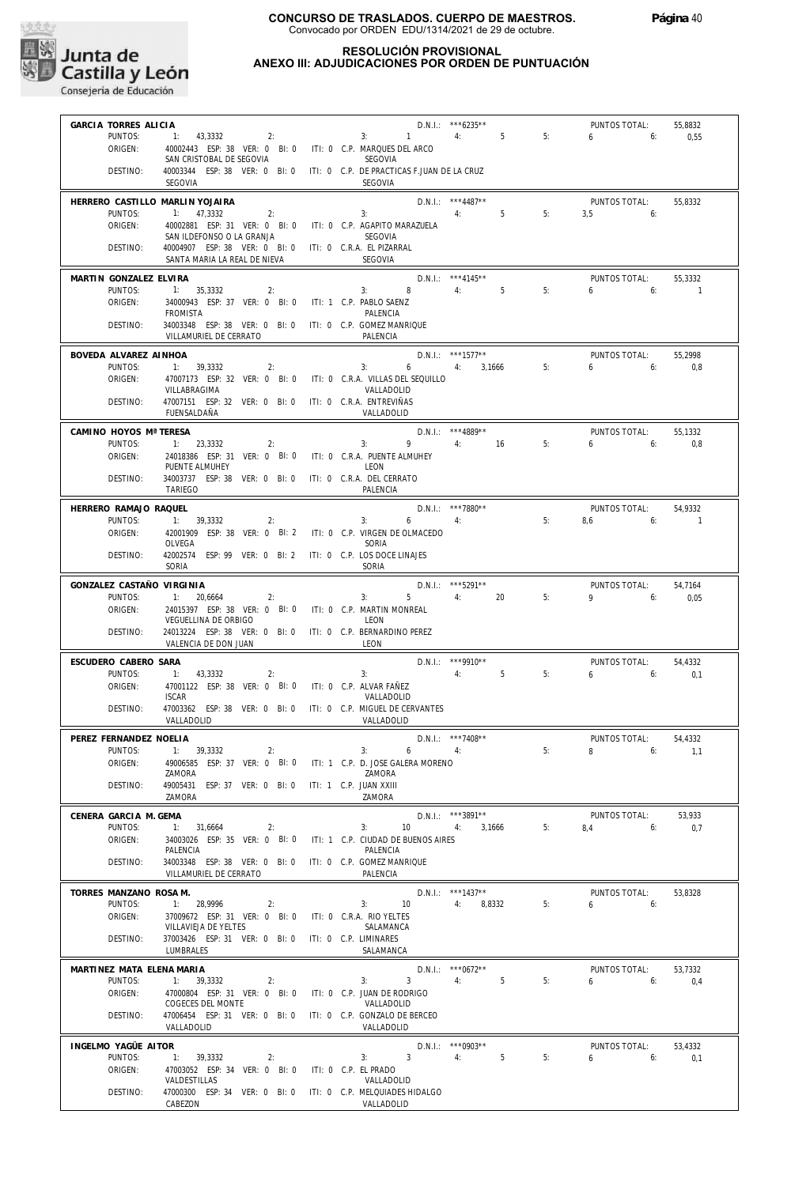

#### **RESOLUCIÓN PROVISIONAL ANEXO III: ADJUDICACIONES POR ORDEN DE PUNTUACIÓN**

| GARCIA TORRES ALICIA                 |                                                                                        | D.N.I.: *** 6235**<br>PUNTOS TOTAL:<br>55,8832                                                                  |  |
|--------------------------------------|----------------------------------------------------------------------------------------|-----------------------------------------------------------------------------------------------------------------|--|
| PUNTOS:                              | 1: 43,3332<br>2:                                                                       | 4:<br>5<br>5:<br>3: 1<br>6<br>6:<br>0,55                                                                        |  |
| ORIGEN:                              | 40002443 ESP: 38 VER: 0 BI: 0 ITI: 0 C.P. MARQUES DEL ARCO<br>SAN CRISTOBAL DE SEGOVIA | SEGOVIA                                                                                                         |  |
| DESTINO:                             |                                                                                        | 40003344 ESP: 38 VER: 0 BI: 0 ITI: 0 C.P. DE PRACTICAS F.JUAN DE LA CRUZ                                        |  |
|                                      | SEGOVIA                                                                                | SEGOVIA                                                                                                         |  |
| HERRERO CASTILLO MARLIN YOJAIRA      |                                                                                        | D.N.I.: ***4487**<br>PUNTOS TOTAL:<br>55,8332                                                                   |  |
| PUNTOS:                              | 1: 47,3332<br>2:                                                                       | $5^{\circ}$<br>5:<br>3:<br>4:<br>3.5<br>6:                                                                      |  |
| ORIGEN:                              | 40002881 ESP: 31 VER: 0 BI: 0 ITI: 0 C.P. AGAPITO MARAZUELA                            |                                                                                                                 |  |
| DESTINO:                             | SAN ILDEFONSO O LA GRANJA<br>40004907 ESP: 38 VER: 0 BI: 0 ITI: 0 C.R.A. EL PIZARRAL   | SEGOVIA                                                                                                         |  |
|                                      | SANTA MARIA LA REAL DE NIEVA                                                           | <b>SEGOVIA</b>                                                                                                  |  |
| MARTIN GONZALEZ ELVIRA               |                                                                                        | $D.N.1::$ ***4145**<br>PUNTOS TOTAL:<br>55.3332                                                                 |  |
| PUNTOS:                              | 1: 35,3332<br>2:                                                                       | 8<br>4:5<br>5:<br>3:<br>6<br>6:<br>$\overline{1}$                                                               |  |
| ORIGEN:                              | 34000943 ESP: 37 VER: 0 BI: 0 ITI: 1 C.P. PABLO SAENZ                                  |                                                                                                                 |  |
| DESTINO:                             | <b>FROMISTA</b><br>34003348 ESP: 38 VER: 0 BI: 0 ITI: 0 C.P. GOMEZ MANRIQUE            | PALENCIA                                                                                                        |  |
|                                      | VILLAMURIEL DE CERRATO                                                                 | PALENCIA                                                                                                        |  |
| BOVEDA ALVAREZ AINHOA                |                                                                                        | $D.N.1.:$ ***1577**<br>PUNTOS TOTAL:<br>55,2998                                                                 |  |
| PUNTOS:                              | 1: 39,3332<br>2:                                                                       | 5:<br>3:<br>$6 \qquad \qquad 4$<br>3,1666<br>6<br>6:<br>0,8                                                     |  |
| ORIGEN:                              | 47007173 ESP: 32 VER: 0 BI: 0 ITI: 0 C.R.A. VILLAS DEL SEQUILLO                        |                                                                                                                 |  |
| DESTINO:                             | VILLABRAGIMA                                                                           | VALLADOLID                                                                                                      |  |
|                                      | 47007151 ESP: 32 VER: 0 BI: 0 ITI: 0 C.R.A. ENTREVIÑAS<br>FUENSALDAÑA                  | VALLADOLID                                                                                                      |  |
| CAMINO HOYOS Mª TERESA               |                                                                                        | D.N.I.: *** 4889**<br>PUNTOS TOTAL:<br>55,1332                                                                  |  |
| PUNTOS:                              | 1: 23,3332<br>2:                                                                       | 9<br>4: 16<br>3:<br>5:<br>6<br>6:<br>0,8                                                                        |  |
| ORIGEN:                              | 24018386 ESP: 31 VER: 0 BI: 0                                                          | ITI: 0 C.R.A. PUENTE ALMUHEY                                                                                    |  |
|                                      | PUENTE ALMUHEY                                                                         | LEON                                                                                                            |  |
| DESTINO:                             | 34003737 ESP: 38 VER: 0 BI: 0 ITI: 0 C.R.A. DEL CERRATO<br><b>TARIEGO</b>              | PALENCIA                                                                                                        |  |
|                                      |                                                                                        |                                                                                                                 |  |
| HERRERO RAMAJO RAQUEL<br>PUNTOS:     | 1: 39.3332<br>2:                                                                       | D.N.I.: ***7880**<br>PUNTOS TOTAL:<br>54,9332<br>5:<br>3:<br>4:<br>8.6<br>6:<br>6<br>$\blacksquare$             |  |
| ORIGEN:                              | 42001909 ESP: 38 VER: 0 BI: 2 ITI: 0 C.P. VIRGEN DE OLMACEDO                           |                                                                                                                 |  |
|                                      | OLVEGA                                                                                 | SORIA                                                                                                           |  |
| DESTINO:                             | 42002574 ESP: 99 VER: 0 BI: 2 ITI: 0 C.P. LOS DOCE LINAJES<br>SORIA                    | <b>SORIA</b>                                                                                                    |  |
|                                      |                                                                                        |                                                                                                                 |  |
| GONZALEZ CASTAÑO VIRGINIA<br>PUNTOS: | 1: 20,6664<br>2:                                                                       | D.N.I.: *** 5291**<br>PUNTOS TOTAL:<br>54,7164<br>5 <sup>1</sup><br>4:<br>20<br>5:<br>9<br>6:<br>3:<br>0,05     |  |
| ORIGEN:                              | 24015397 ESP: 38 VER: 0 BI: 0 ITI: 0 C.P. MARTIN MONREAL                               |                                                                                                                 |  |
|                                      | VEGUELLINA DE ORBIGO                                                                   | LEON                                                                                                            |  |
| DESTINO:                             | 24013224 ESP: 38 VER: 0 BI: 0 ITI: 0 C.P. BERNARDINO PEREZ<br>VALENCIA DE DON JUAN     | LEON                                                                                                            |  |
|                                      |                                                                                        |                                                                                                                 |  |
| ESCUDERO CABERO SARA<br>PUNTOS:      | 1:<br>43,3332<br>2:                                                                    | D.N.I.: *** 9910**<br>PUNTOS TOTAL:<br>54,4332<br>5<br>5:<br>3:<br>$4:$ $\blacksquare$<br>$6 \t\t\t 6$<br>0,1   |  |
| ORIGEN:                              | 47001122 ESP: 38 VER: 0 BI: 0 ITI: 0 C.P. ALVAR FAÑEZ                                  |                                                                                                                 |  |
|                                      | <b>ISCAR</b>                                                                           | VALLADOLID                                                                                                      |  |
| DESTINO:                             | 47003362 ESP: 38 VER: 0 BI: 0 ITI: 0 C.P. MIGUEL DE CERVANTES<br>VALLADOLID            | VALLADOLID                                                                                                      |  |
|                                      |                                                                                        |                                                                                                                 |  |
| PEREZ FERNANDEZ NOELIA<br>PUNTOS:    | 1: 39,3332<br>2:                                                                       | D.N.I.: ***7408**<br>PUNTOS TOTAL:<br>54,4332<br>5:<br>8 6: 1,1<br>3:<br>6<br>4:                                |  |
| ORIGEN:                              | 49006585 ESP: 37 VER: 0 BI: 0                                                          | ITI: 1 C.P. D. JOSE GALERA MORENO                                                                               |  |
|                                      | ZAMORA                                                                                 | ZAMORA                                                                                                          |  |
| DESTINO:                             | 49005431 ESP: 37 VER: 0 BI: 0<br>7AMORA                                                | ITI: 1 C.P. JUAN XXIII<br>ZAMORA                                                                                |  |
|                                      |                                                                                        |                                                                                                                 |  |
| CENERA GARCIA M. GEMA<br>PUNTOS:     | 31,6664<br>1:<br>2:                                                                    | D.N.I.: ***3891**<br>PUNTOS TOTAL:<br>53,933<br>5:<br>3:<br>10 <sup>°</sup><br>3,1666<br>8,4<br>6:<br>0,7<br>4: |  |
| ORIGEN:                              | 34003026 ESP: 35 VER: 0 BI: 0                                                          | ITI: 1 C.P. CIUDAD DE BUENOS AIRES                                                                              |  |
|                                      | PALENCIA                                                                               | PALENCIA                                                                                                        |  |
| DESTINO:                             | 34003348 ESP: 38 VER: 0 BI: 0                                                          | ITI: 0 C.P. GOMEZ MANRIQUE                                                                                      |  |
|                                      | VILLAMURIEL DE CERRATO                                                                 | PALENCIA                                                                                                        |  |
| TORRES MANZANO ROSA M.<br>PUNTOS:    |                                                                                        | D.N.I.: ***1437**<br>PUNTOS TOTAL:<br>53,8328                                                                   |  |
| ORIGEN:                              | 1: 28,9996<br>2:<br>37009672 ESP: 31 VER: 0 BI: 0                                      | 3:<br>10<br>4: 8,8332<br>5:<br>6<br>6:<br>ITI: 0 C.R.A. RIO YELTES                                              |  |
|                                      | VILLAVIEJA DE YELTES                                                                   | SALAMANCA                                                                                                       |  |
| DESTINO:                             | 37003426 ESP: 31 VER: 0 BI: 0 ITI: 0 C.P. LIMINARES                                    |                                                                                                                 |  |
|                                      | LUMBRALES                                                                              | SALAMANCA                                                                                                       |  |
| MARTINEZ MATA ELENA MARIA            |                                                                                        | D.N.I.: *** 0672**<br>PUNTOS TOTAL:<br>53,7332                                                                  |  |
| PUNTOS:<br>ORIGEN:                   | 1:<br>39,3332<br>2:<br>47000804 ESP: 31 VER: 0 BI: 0                                   | $\overline{3}$<br>4:<br>5<br>5:<br>3:<br>6<br>0,4<br>6:<br>ITI: 0 C.P. JUAN DE RODRIGO                          |  |
|                                      | COGECES DEL MONTE                                                                      | VALLADOLID                                                                                                      |  |
| DESTINO:                             | 47006454 ESP: 31 VER: 0 BI: 0                                                          | ITI: 0 C.P. GONZALO DE BERCEO                                                                                   |  |
|                                      | VALLADOLID                                                                             | VALLADOLID                                                                                                      |  |
| INGELMO YAGÜE AITOR                  |                                                                                        | $D.N.1::$ *** 0903**<br>53,4332<br>PUNTOS TOTAL:                                                                |  |
| PUNTOS:<br>ORIGEN:                   | 1: 39,3332<br>2:<br>47003052 ESP: 34 VER: 0 BI: 0                                      | $\overline{3}$<br>4:<br>5 <sup>5</sup><br>5:<br>3:<br>6<br>6:<br>0,1<br>ITI: 0 C.P. EL PRADO                    |  |
|                                      | VALDESTILLAS                                                                           | VALLADOLID                                                                                                      |  |
| DESTINO:                             | 47000300 ESP: 34 VER: 0 BI: 0                                                          | ITI: 0 C.P. MELQUIADES HIDALGO                                                                                  |  |
|                                      | CABEZON                                                                                | VALLADOLID                                                                                                      |  |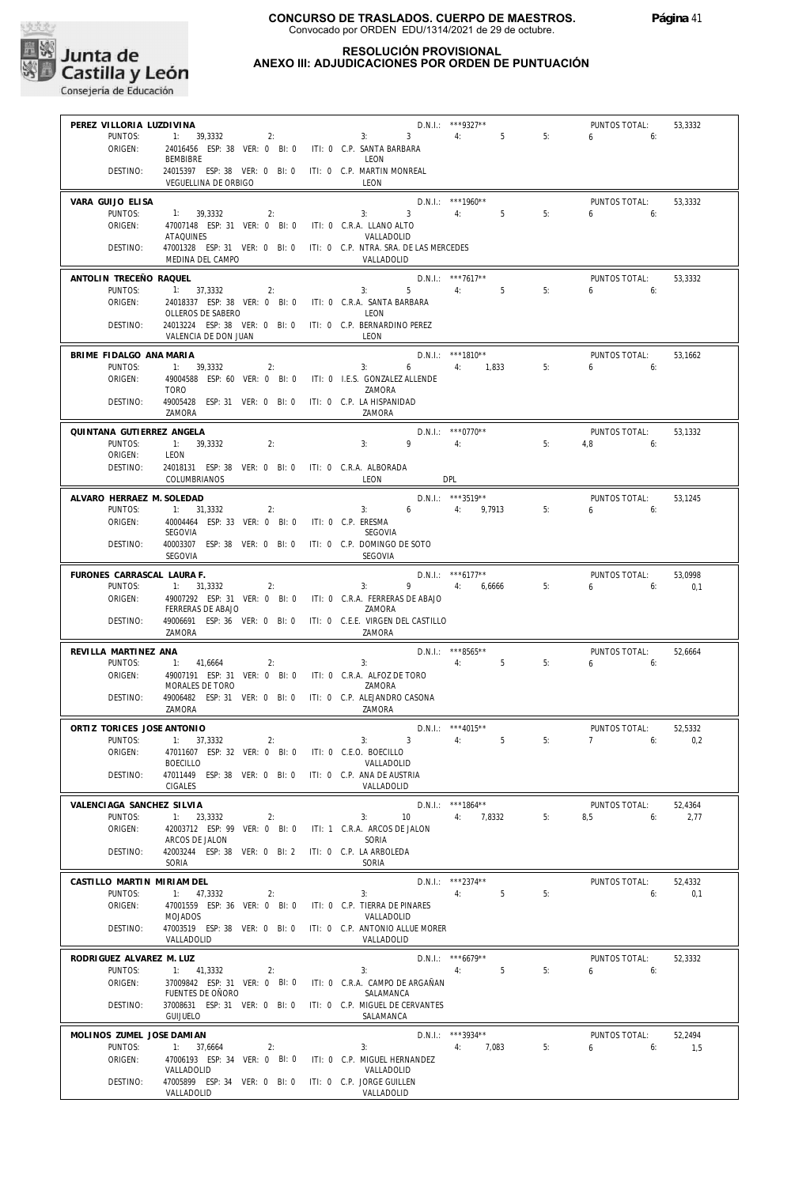

#### **RESOLUCIÓN PROVISIONAL ANEXO III: ADJUDICACIONES POR ORDEN DE PUNTUACIÓN**

| PEREZ VILLORIA LUZDIVINA   |                                                                      |                               | D.N.I.: ***9327**                    |                      |    | PUNTOS TOTAL: | 53,3332 |
|----------------------------|----------------------------------------------------------------------|-------------------------------|--------------------------------------|----------------------|----|---------------|---------|
| PUNTOS:                    | 1: 39,3332<br>2:                                                     | 3:                            | $3^{\circ}$                          | 4:<br>5 <sup>1</sup> | 5: | 6.6           |         |
| ORIGEN:                    | 24016456 ESP: 38 VER: 0 BI: 0 ITI: 0 C.P. SANTA BARBARA              |                               |                                      |                      |    |               |         |
|                            | BEMBIBRE                                                             | LEON                          |                                      |                      |    |               |         |
| DESTINO:                   | 24015397 ESP: 38 VER: 0 BI: 0 ITI: 0 C.P. MARTIN MONREAL             |                               |                                      |                      |    |               |         |
|                            | VEGUELLINA DE ORBIGO                                                 | LEON                          |                                      |                      |    |               |         |
|                            |                                                                      |                               |                                      |                      |    |               |         |
| VARA GUIJO ELISA           |                                                                      |                               | $D.N.1::$ ***1960**                  |                      |    | PUNTOS TOTAL: | 53,3332 |
| PUNTOS:                    | 1: 39,3332<br>2:                                                     | 3:                            | $3 \qquad \qquad$                    | 4:<br>5              | 5: | 650           |         |
|                            |                                                                      |                               |                                      |                      |    |               |         |
| ORIGEN:                    | 47007148 ESP: 31 VER: 0 BI: 0 ITI: 0 C.R.A. LLANO ALTO               |                               |                                      |                      |    |               |         |
|                            | ATAQUINES                                                            | VALLADOLID                    |                                      |                      |    |               |         |
| DESTINO:                   | 47001328 ESP: 31 VER: 0 BI: 0 ITI: 0 C.P. NTRA. SRA. DE LAS MERCEDES |                               |                                      |                      |    |               |         |
|                            | MEDINA DEL CAMPO                                                     | VALLADOLID                    |                                      |                      |    |               |         |
|                            |                                                                      |                               |                                      |                      |    |               |         |
| ANTOLIN TRECEÑO RAQUEL     |                                                                      |                               | $D.N.1::$ ***7617**                  |                      |    | PUNTOS TOTAL: | 53,3332 |
| PUNTOS:                    | 1: 37,3332<br>2:                                                     | 3:                            | $5 \qquad \qquad 4: \qquad \qquad 5$ |                      | 5: | $6 \t\t 6$    |         |
| ORIGEN:                    | 24018337 ESP: 38 VER: 0 BI: 0 ITI: 0 C.R.A. SANTA BARBARA            |                               |                                      |                      |    |               |         |
|                            | OLLEROS DE SABERO                                                    | LEON                          |                                      |                      |    |               |         |
| DESTINO:                   | 24013224 ESP: 38 VER: 0 BI: 0 ITI: 0 C.P. BERNARDINO PEREZ           |                               |                                      |                      |    |               |         |
|                            | VALENCIA DE DON JUAN                                                 | LEON                          |                                      |                      |    |               |         |
|                            |                                                                      |                               |                                      |                      |    |               |         |
| BRIME FIDALGO ANA MARIA    |                                                                      |                               |                                      | D.N.I.: ***1810**    |    | PUNTOS TOTAL: | 53,1662 |
| PUNTOS:                    | 1: 39,3332<br>2:                                                     | 3:                            |                                      | 6 4: 1,833           | 5: | 6.6           |         |
| ORIGEN:                    | 49004588 ESP: 60 VER: 0 BI: 0 ITI: 0 I.E.S. GONZALEZ ALLENDE         |                               |                                      |                      |    |               |         |
|                            | <b>TORO</b>                                                          | ZAMORA                        |                                      |                      |    |               |         |
| DESTINO:                   | 49005428 ESP: 31 VER: 0 BI: 0 ITI: 0 C.P. LA HISPANIDAD              |                               |                                      |                      |    |               |         |
|                            | ZAMORA                                                               | 7AMORA                        |                                      |                      |    |               |         |
|                            |                                                                      |                               |                                      |                      |    |               |         |
| QUINTANA GUTIERREZ ANGELA  |                                                                      |                               |                                      | $D.N.1.:$ ***0770**  |    | PUNTOS TOTAL: | 53.1332 |
| PUNTOS:                    | 1: 39,3332<br>2:                                                     | 3:                            | $9 \t\t 4$ :                         |                      | 5: | $4.8$ 6:      |         |
| ORIGEN:                    | LEON                                                                 |                               |                                      |                      |    |               |         |
|                            |                                                                      |                               |                                      |                      |    |               |         |
| DESTINO:                   | 24018131 ESP: 38 VER: 0 BI: 0 ITI: 0 C.R.A. ALBORADA                 |                               |                                      |                      |    |               |         |
|                            | COLUMBRIANOS                                                         | LEON                          | <b>DPL</b>                           |                      |    |               |         |
| ALVARO HERRAEZ M. SOLEDAD  |                                                                      |                               |                                      | $D.N.1.:$ ***3519**  |    | PUNTOS TOTAL: | 53,1245 |
|                            |                                                                      |                               |                                      |                      |    |               |         |
| PUNTOS:                    | 1: 31,3332<br>2:                                                     |                               | 3: $6$ 4: 9,7913                     |                      | 5: | $6\qquad 6$   |         |
| ORIGEN:                    | 40004464 ESP: 33 VER: 0 BI: 0                                        | ITI: 0 C.P. ERESMA            |                                      |                      |    |               |         |
|                            | SEGOVIA                                                              | SEGOVIA                       |                                      |                      |    |               |         |
| DESTINO:                   | 40003307 ESP: 38 VER: 0 BI: 0 ITI: 0 C.P. DOMINGO DE SOTO            |                               |                                      |                      |    |               |         |
|                            | SEGOVIA                                                              | SEGOVIA                       |                                      |                      |    |               |         |
|                            |                                                                      |                               |                                      |                      |    |               |         |
| FURONES CARRASCAL LAURA F. |                                                                      |                               |                                      | $D.N.1.:$ *** 6177** |    | PUNTOS TOTAL: | 53,0998 |
| PUNTOS:                    | 1: 31,3332<br>2:                                                     | 3:                            |                                      | 9 4: 6,6666          | 5: | 6:<br>6       | 0,1     |
| ORIGEN:                    | 49007292 ESP: 31 VER: 0 BI: 0 ITI: 0 C.R.A. FERRERAS DE ABAJO        |                               |                                      |                      |    |               |         |
|                            | FERRERAS DE ABAJO                                                    | ZAMORA                        |                                      |                      |    |               |         |
| DESTINO:                   | 49006691 ESP: 36 VER: 0 BI: 0 ITI: 0 C.E.E. VIRGEN DEL CASTILLO      |                               |                                      |                      |    |               |         |
|                            | ZAMORA                                                               | ZAMORA                        |                                      |                      |    |               |         |
|                            |                                                                      |                               |                                      |                      |    |               |         |
| REVILLA MARTINEZ ANA       |                                                                      |                               |                                      | D.N.I.: ***8565**    |    | PUNTOS TOTAL: | 52,6664 |
| PUNTOS:                    | 1: 41,6664<br>2:                                                     | 3:                            |                                      | 4:5                  | 5: | $6\qquad 6$   |         |
| ORIGEN:                    | 49007191 ESP: 31 VER: 0 BI: 0 ITI: 0 C.R.A. ALFOZ DE TORO            |                               |                                      |                      |    |               |         |
|                            | MORALES DE TORO                                                      | ZAMORA                        |                                      |                      |    |               |         |
| DESTINO:                   | 49006482 ESP: 31 VER: 0 BI: 0 ITI: 0 C.P. ALEJANDRO CASONA           |                               |                                      |                      |    |               |         |
|                            | ZAMORA                                                               | ZAMORA                        |                                      |                      |    |               |         |
|                            |                                                                      |                               |                                      |                      |    |               |         |
| ORTIZ TORICES JOSE ANTONIO |                                                                      |                               | D.N.I.: *** 4015**                   |                      |    | PUNTOS TOTAL: | 52.5332 |
| PUNTOS:                    | 1: 37,3332<br>2:                                                     | 3:                            | $3 \sim 3$                           | 4:<br>5              | 5: | 7<br>6:       | 0,2     |
| ORIGEN:                    | 47011607 ESP: 32 VER: 0 BI: 0 ITI: 0 C.E.O. BOECILLO                 |                               |                                      |                      |    |               |         |
|                            | <b>BOECILLO</b>                                                      | VALLADOLID                    |                                      |                      |    |               |         |
| DESTINO:                   | 47011449 ESP: 38 VER: 0 BI: 0 ITI: 0 C.P. ANA DE AUSTRIA             |                               |                                      |                      |    |               |         |
|                            | <b>CIGALES</b>                                                       | VALLADOLID                    |                                      |                      |    |               |         |
|                            |                                                                      |                               |                                      |                      |    |               |         |
| VALENCIAGA SANCHEZ SILVIA  |                                                                      |                               |                                      | $D.N.1::$ ***1864**  |    | PUNTOS TOTAL: | 52,4364 |
| PUNTOS:                    | 1: 23,3332<br>2:                                                     | 3:                            | 10                                   | 4: 7,8332            | 5: | 8,5<br>6:     | 2,77    |
| ORIGEN:                    | 42003712 ESP: 99 VER: 0 BI: 0                                        | ITI: 1 C.R.A. ARCOS DE JALON  |                                      |                      |    |               |         |
|                            |                                                                      |                               |                                      |                      |    |               |         |
|                            | ARCOS DE JALON                                                       | SORIA                         |                                      |                      |    |               |         |
| DESTINO:                   | 42003244 ESP: 38 VER: 0 BI: 2 ITI: 0 C.P. LA ARBOLEDA                |                               |                                      |                      |    |               |         |
|                            | SORIA                                                                | SORIA                         |                                      |                      |    |               |         |
| CASTILLO MARTIN MIRIAM DEL |                                                                      |                               |                                      | D.N.I.: ***2374**    |    | PUNTOS TOTAL: |         |
|                            |                                                                      |                               |                                      |                      |    |               | 52,4332 |
| PUNTOS:                    | 1: 47,3332<br>2:                                                     | 3:                            |                                      | 4:<br>-5             | 5: | 6:            | 0.1     |
| ORIGEN:                    | 47001559 ESP: 36 VER: 0 BI: 0                                        | ITI: 0 C.P. TIERRA DE PINARES |                                      |                      |    |               |         |
|                            | MOJADOS                                                              | VALLADOLID                    |                                      |                      |    |               |         |
| DESTINO:                   | 47003519 ESP: 38 VER: 0 BI: 0 ITI: 0 C.P. ANTONIO ALLUE MORER        |                               |                                      |                      |    |               |         |
|                            | VALLADOLID                                                           | VALLADOLID                    |                                      |                      |    |               |         |
|                            |                                                                      |                               |                                      |                      |    |               |         |
| RODRIGUEZ ALVAREZ M. LUZ   |                                                                      |                               |                                      | $D.N.1.:$ ***6679**  |    | PUNTOS TOTAL: | 52,3332 |
| PUNTOS:                    | 1: 41,3332<br>2:                                                     | 3:                            |                                      | 4:<br>5              | 5: | 6<br>6:       |         |
| ORIGEN:                    | 37009842 ESP: 31 VER: 0 BI: 0 ITI: 0 C.R.A. CAMPO DE ARGAÑAN         |                               |                                      |                      |    |               |         |
|                            | FUENTES DE OÑORO                                                     | SALAMANCA                     |                                      |                      |    |               |         |
| DESTINO:                   | 37008631 ESP: 31 VER: 0 BI: 0 ITI: 0 C.P. MIGUEL DE CERVANTES        |                               |                                      |                      |    |               |         |
|                            | <b>GUIJUELO</b>                                                      | SALAMANCA                     |                                      |                      |    |               |         |
|                            |                                                                      |                               |                                      |                      |    |               |         |
| MOLINOS ZUMEL JOSE DAMIAN  |                                                                      |                               |                                      | D.N.I.: ***3934**    |    | PUNTOS TOTAL: | 52,2494 |
| PUNTOS:                    | 1: 37,6664<br>2:                                                     | 3:                            |                                      | 4: 7,083             | 5: | 6<br>$6:$ 6:  | 1,5     |
| ORIGEN:                    | 47006193 ESP: 34 VER: 0 BI: 0 ITI: 0 C.P. MIGUEL HERNANDEZ           |                               |                                      |                      |    |               |         |
|                            | VALLADOLID                                                           | VALLADOLID                    |                                      |                      |    |               |         |
| DESTINO:                   | 47005899 ESP: 34 VER: 0 BI: 0 ITI: 0 C.P. JORGE GUILLEN              |                               |                                      |                      |    |               |         |
|                            | VALLADOLID                                                           | VALLADOLID                    |                                      |                      |    |               |         |
|                            |                                                                      |                               |                                      |                      |    |               |         |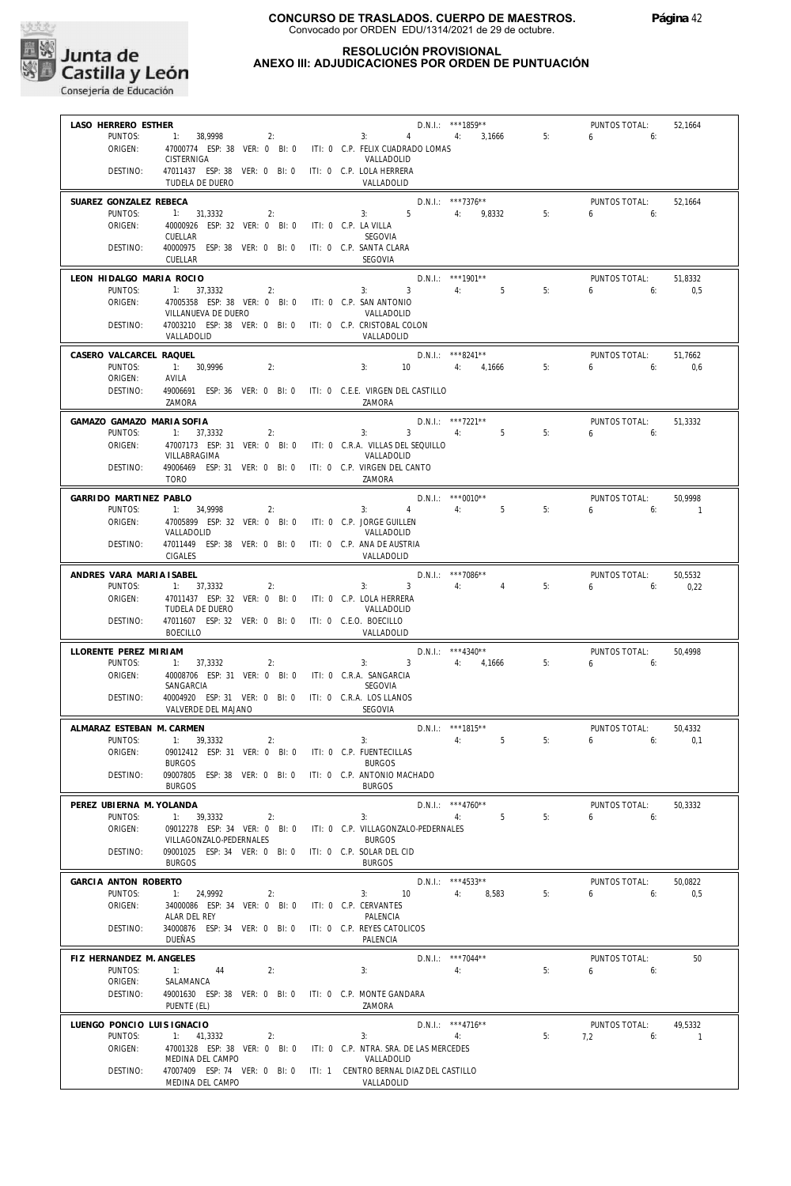

#### **RESOLUCIÓN PROVISIONAL ANEXO III: ADJUDICACIONES POR ORDEN DE PUNTUACIÓN**

| LASO HERRERO ESTHER        |                                                                           | D.N.I.: ***1859**                                                                  | PUNTOS TOTAL:<br>52,1664      |
|----------------------------|---------------------------------------------------------------------------|------------------------------------------------------------------------------------|-------------------------------|
| PUNTOS:                    | $1: 38,9998$ 2:                                                           | 3: 4: 3,1666                                                                       | 5:<br>6.6                     |
| ORIGEN:                    |                                                                           | 47000774 ESP: 38 VER: 0 BI: 0 ITI: 0 C.P. FELIX CUADRADO LOMAS                     |                               |
|                            | CISTERNIGA                                                                | VALLADOLID                                                                         |                               |
| DESTINO:                   | 47011437 ESP: 38 VER: 0 BI: 0 ITI: 0 C.P. LOLA HERRERA                    |                                                                                    |                               |
|                            | TUDELA DE DUERO                                                           | VALLADOLID                                                                         |                               |
| SUAREZ GONZALEZ REBECA     |                                                                           | D.N.I.: ***7376**                                                                  | PUNTOS TOTAL:<br>52.1664      |
| PUNTOS:                    | 1: 31,3332<br>2:                                                          | $3: 5$ 4: 9,8332                                                                   | 5:<br>$6\qquad 6$             |
| ORIGEN:                    | 40000926 ESP: 32 VER: 0 BI: 0 ITI: 0 C.P. LA VILLA                        |                                                                                    |                               |
|                            | CUELLAR                                                                   | SEGOVIA                                                                            |                               |
| DESTINO:                   | 40000975 ESP: 38 VER: 0 BI: 0 ITI: 0 C.P. SANTA CLARA                     |                                                                                    |                               |
|                            | CUELLAR                                                                   | <b>SEGOVIA</b>                                                                     |                               |
| LEON HIDALGO MARIA ROCIO   |                                                                           | $D.N.1.:$ ***1901**                                                                | PUNTOS TOTAL:<br>51.8332      |
| PUNTOS:                    | 1: 37,3332                                                                | 3: 3: 4: 5<br>2:                                                                   | 5:<br>6.6<br>0,5              |
| ORIGEN:                    | 47005358 ESP: 38 VER: 0 BI: 0 ITI: 0 C.P. SAN ANTONIO                     |                                                                                    |                               |
|                            | VILLANUEVA DE DUERO                                                       | VALLADOLID                                                                         |                               |
| DESTINO:                   | 47003210 ESP: 38 VER: 0 BI: 0 ITI: 0 C.P. CRISTOBAL COLON                 |                                                                                    |                               |
|                            | VALLADOLID                                                                | VALLADOLID                                                                         |                               |
| CASERO VALCARCEL RAQUEL    |                                                                           | D.N.I.: ***8241**                                                                  | PUNTOS TOTAL:<br>51,7662      |
| PUNTOS:                    | 1: 30.9996<br>2:                                                          | 10 4: 4,1666 5:<br>3:                                                              | $6\qquad 6$<br>0.6            |
| ORIGEN:                    | AVILA                                                                     |                                                                                    |                               |
| DESTINO:                   |                                                                           | 49006691 ESP: 36 VER: 0 BI: 0 ITI: 0 C.E.E. VIRGEN DEL CASTILLO                    |                               |
|                            | ZAMORA                                                                    | ZAMORA                                                                             |                               |
| GAMAZO GAMAZO MARIA SOFIA  |                                                                           | $D.N.1.:$ ***7221**                                                                | PUNTOS TOTAL:<br>51,3332      |
| PUNTOS:                    | 2:<br>1: 37,3332                                                          | 3: $3 \t 4 \t 5$                                                                   | 6.6<br>5:                     |
| ORIGEN:                    |                                                                           | 47007173 ESP: 31 VER: 0 BI: 0 ITI: 0 C.R.A. VILLAS DEL SEQUILLO                    |                               |
|                            | VILLABRAGIMA                                                              | VALLADOLID                                                                         |                               |
| DESTINO:                   | 49006469 ESP: 31 VER: 0 BI: 0 ITI: 0 C.P. VIRGEN DEL CANTO<br><b>TORO</b> |                                                                                    |                               |
|                            |                                                                           | ZAMORA                                                                             |                               |
| GARRIDO MARTINEZ PABLO     |                                                                           | $D.N.1.:$ ***0010**                                                                | PUNTOS TOTAL:<br>50.9998      |
| PUNTOS:                    | 1: 34,9998<br>2:                                                          | $4 \t 4$ : 5<br>3:                                                                 | 5:<br>$6\qquad 6$<br>$\sim$ 1 |
| ORIGEN:                    | 47005899 ESP: 32 VER: 0 BI: 0 ITI: 0 C.P. JORGE GUILLEN                   |                                                                                    |                               |
| DESTINO:                   | VALLADOLID                                                                | VALLADOLID                                                                         |                               |
|                            | 47011449 ESP: 38 VER: 0 BI: 0 ITI: 0 C.P. ANA DE AUSTRIA<br>CIGALES       | VALLADOLID                                                                         |                               |
|                            |                                                                           |                                                                                    |                               |
| ANDRES VARA MARIA ISABEL   |                                                                           | $D.N.1.:$ ***7086**                                                                | PUNTOS TOTAL:<br>50,5532      |
| PUNTOS:                    | 1: 37,3332<br>2:                                                          | $3: 3 \t 4: 4$                                                                     | 5:<br>$6 \t\t\t 6$<br>0,22    |
| ORIGEN:                    | 47011437 ESP: 32 VER: 0 BI: 0 ITI: 0 C.P. LOLA HERRERA<br>TUDELA DE DUERO |                                                                                    |                               |
| DESTINO:                   | 47011607 ESP: 32 VER: 0 BI: 0 ITI: 0 C.E.O. BOECILLO                      | VALLADOLID                                                                         |                               |
|                            | BOECILLO                                                                  | VALLADOLID                                                                         |                               |
|                            |                                                                           |                                                                                    |                               |
| LLORENTE PEREZ MIRIAM      |                                                                           | $D.N.1.:$ ***4340**<br>3: $3 \t 4$ : $4,1666 \t 5$ :                               | PUNTOS TOTAL:<br>50.4998      |
| PUNTOS:<br>ORIGEN:         | 1: 37,3332<br>2:<br>40008706 ESP: 31 VER: 0 BI: 0 ITI: 0 C.R.A. SANGARCIA |                                                                                    | 6.6                           |
|                            | SANGARCIA                                                                 | SEGOVIA                                                                            |                               |
| DESTINO:                   | 40004920 ESP: 31 VER: 0 BI: 0 ITI: 0 C.R.A. LOS LLANOS                    |                                                                                    |                               |
|                            | VALVERDE DEL MAJANO                                                       | <b>SEGOVIA</b>                                                                     |                               |
| ALMARAZ ESTEBAN M. CARMEN  |                                                                           | $D.N.1.:$ ***1815**                                                                | PUNTOS TOTAL:<br>50,4332      |
| PUNTOS:                    | 1: 39,3332<br>2:                                                          | $4:$ $4:$<br>5<br>3:                                                               | 5:<br>6:<br>0,1               |
| ORIGEN:                    | 09012412 ESP: 31 VER: 0 BI: 0 ITI: 0 C.P. FUENTECILLAS                    |                                                                                    |                               |
|                            | <b>BURGOS</b>                                                             | <b>BURGOS</b>                                                                      |                               |
| DESTINO:                   | 09007805 ESP: 38 VER: 0 BI: 0 ITI: 0 C.P. ANTONIO MACHADO                 |                                                                                    |                               |
|                            | <b>BURGOS</b>                                                             | <b>BURGOS</b>                                                                      |                               |
| PEREZ UBIERNA M. YOLANDA   |                                                                           | $D.N.1::$ ***4760**                                                                | PUNTOS TOTAL:<br>50,3332      |
| PUNTOS:                    | $1: 39,3332$ 2:                                                           | 3:<br>4: 5                                                                         | 5:<br>$6\qquad 6$             |
| ORIGEN:                    |                                                                           | 09012278 ESP: 34 VER: 0 BI: 0 ITI: 0 C.P. VILLAGONZALO-PEDERNALES                  |                               |
|                            | VILLAGONZALO-PEDERNALES                                                   | <b>BURGOS</b>                                                                      |                               |
| DESTINO:                   | 09001025 ESP: 34 VER: 0 BI: 0 ITI: 0 C.P. SOLAR DEL CID                   |                                                                                    |                               |
|                            | <b>BURGOS</b>                                                             | <b>BURGOS</b>                                                                      |                               |
| GARCIA ANTON ROBERTO       |                                                                           | $D.N.1::$ ***4533**                                                                | PUNTOS TOTAL:<br>50,0822      |
| PUNTOS:                    | 1: 24,9992<br>2:                                                          | 10<br>4: 8,583<br>3:                                                               | 5:<br>$6 \qquad$<br>6:<br>0,5 |
| ORIGEN:                    | 34000086 ESP: 34 VER: 0 BI: 0 ITI: 0 C.P. CERVANTES<br>ALAR DEL REY       |                                                                                    |                               |
| DESTINO:                   | 34000876 ESP: 34 VER: 0 BI: 0 ITI: 0 C.P. REYES CATOLICOS                 | PALENCIA                                                                           |                               |
|                            | DUEÑAS                                                                    | PALENCIA                                                                           |                               |
|                            |                                                                           |                                                                                    |                               |
| FIZ HERNANDEZ M. ANGELES   |                                                                           | $D.N.1::$ ***7044**                                                                | PUNTOS TOTAL:<br>50           |
| PUNTOS:<br>ORIGEN:         | 1: 44<br>2:<br>SALAMANCA                                                  | 3:<br>4:                                                                           | $6\qquad 6:$<br>5:            |
| DESTINO:                   | 49001630 ESP: 38 VER: 0 BI: 0 ITI: 0 C.P. MONTE GANDARA                   |                                                                                    |                               |
|                            | PUENTE (EL)                                                               | ZAMORA                                                                             |                               |
|                            |                                                                           |                                                                                    |                               |
| LUENGO PONCIO LUIS IGNACIO |                                                                           | $D.N.1::$ ***4716**                                                                | PUNTOS TOTAL:<br>49,5332      |
| PUNTOS:                    | 1: 41,3332<br>2:                                                          | 4:<br>3:                                                                           | 5:<br>$7,2$ 6:<br>$\sim$ 1    |
| ORIGEN:                    | MEDINA DEL CAMPO                                                          | 47001328 ESP: 38 VER: 0 BI: 0 ITI: 0 C.P. NTRA. SRA. DE LAS MERCEDES<br>VALLADOLID |                               |
| DESTINO:                   |                                                                           | 47007409 ESP: 74 VER: 0 BI: 0 ITI: 1 CENTRO BERNAL DIAZ DEL CASTILLO               |                               |
|                            | MEDINA DEL CAMPO                                                          | VALLADOLID                                                                         |                               |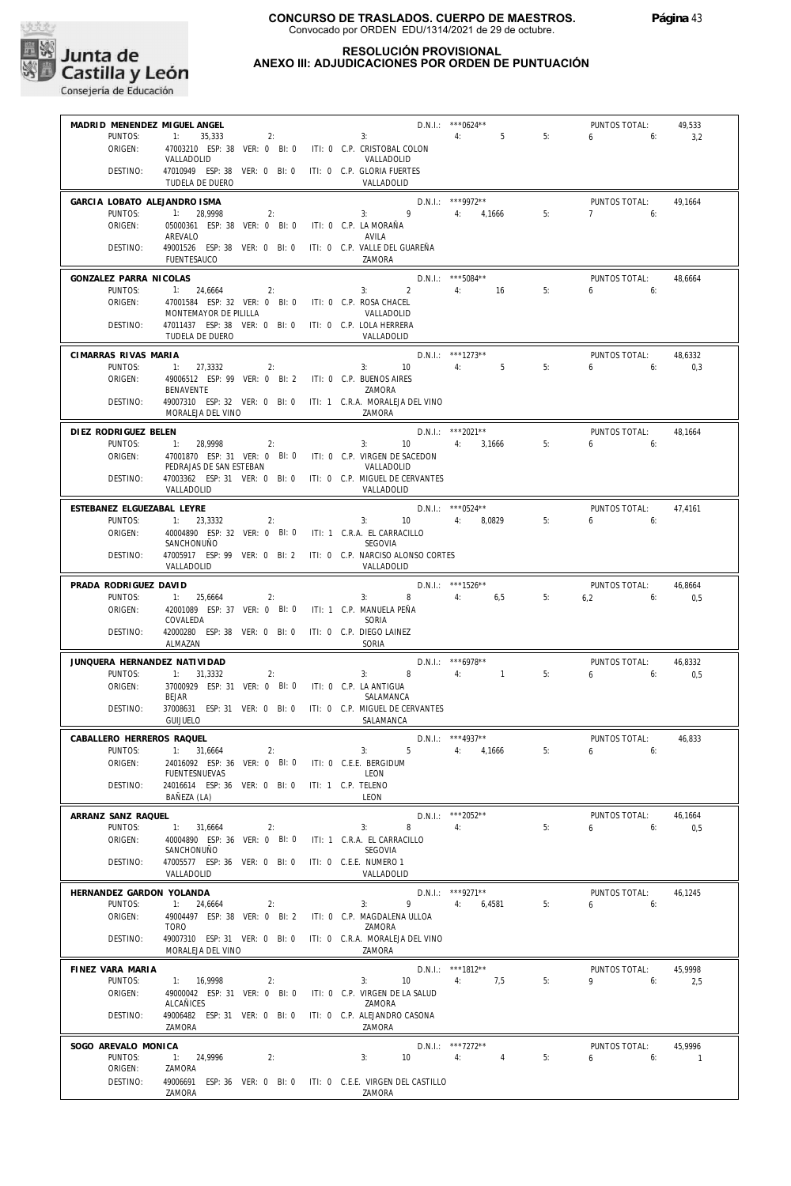

| MADRID MENENDEZ MIGUEL ANGEL      |                                                                                 | $D.N.1::$ *** 0624**                                                    |                   |    | PUNTOS TOTAL:            | 49,533         |
|-----------------------------------|---------------------------------------------------------------------------------|-------------------------------------------------------------------------|-------------------|----|--------------------------|----------------|
| PUNTOS:                           | 2:<br>1:<br>35,333                                                              | 3:                                                                      | 4:<br>5           | 5: | 6<br>6:                  | 3,2            |
| ORIGEN:                           | 47003210 ESP: 38 VER: 0 BI: 0 ITI: 0 C.P. CRISTOBAL COLON<br>VALLADOLID         | VALLADOLID                                                              |                   |    |                          |                |
| DESTINO:                          | 47010949 ESP: 38 VER: 0 BI: 0 ITI: 0 C.P. GLORIA FUERTES<br>TUDELA DE DUERO     | VALLADOLID                                                              |                   |    |                          |                |
| GARCIA LOBATO ALEJANDRO ISMA      |                                                                                 |                                                                         | D.N.I.: ***9972** |    | PUNTOS TOTAL:            | 49,1664        |
| PUNTOS:<br>ORIGEN:                | 1: 28,9998<br>2:<br>05000361 ESP: 38 VER: 0 BI: 0                               | $\overline{9}$<br>3:<br>ITI: 0 C.P. LA MORAÑA                           | 4: 4,1666         | 5: | $7^{\circ}$<br>6:        |                |
|                                   | AREVALO                                                                         | AVILA                                                                   |                   |    |                          |                |
| DESTINO:                          | 49001526 ESP: 38 VER: 0 BI: 0<br><b>FUENTESAUCO</b>                             | ITI: 0 C.P. VALLE DEL GUAREÑA<br>7AMORA                                 |                   |    |                          |                |
| GONZALEZ PARRA NICOLAS<br>PUNTOS: | 1: 24,6664<br>2:                                                                | D.N.I.: *** 5084**<br>$\overline{2}$<br>3:                              | 4: 16             | 5: | PUNTOS TOTAL:<br>6:<br>6 | 48,6664        |
| ORIGEN:                           | 47001584 ESP: 32 VER: 0 BI: 0                                                   | ITI: 0 C.P. ROSA CHACEL                                                 |                   |    |                          |                |
| DESTINO:                          | MONTEMAYOR DE PILILLA<br>47011437 ESP: 38 VER: 0 BI: 0 ITI: 0 C.P. LOLA HERRERA | VALLADOLID                                                              |                   |    |                          |                |
|                                   | TUDELA DE DUERO                                                                 | VALLADOLID                                                              |                   |    |                          |                |
| CIMARRAS RIVAS MARIA<br>PUNTOS:   | 1: 27,3332<br>2:                                                                | D.N.I.: ***1273**<br>4:<br>3: 10                                        | 5                 | 5: | PUNTOS TOTAL:<br>6<br>6: | 48,6332<br>0,3 |
| ORIGEN:                           | 49006512 ESP: 99 VER: 0 BI: 2 ITI: 0 C.P. BUENOS AIRES                          |                                                                         |                   |    |                          |                |
| DESTINO:                          | BENAVENTE                                                                       | ZAMORA<br>49007310 ESP: 32 VER: 0 BI: 0 ITI: 1 C.R.A. MORALEJA DEL VINO |                   |    |                          |                |
|                                   | MORALEJA DEL VINO                                                               | ZAMORA                                                                  |                   |    |                          |                |
| DIEZ RODRIGUEZ BELEN              |                                                                                 | D.N.I.: ***2021**                                                       |                   |    | PUNTOS TOTAL:            | 48,1664        |
| PUNTOS:<br>ORIGEN:                | 1: 28.9998<br>2:                                                                | 3:<br>10<br>47001870 ESP: 31 VER: 0 BI: 0 ITI: 0 C.P. VIRGEN DE SACEDON | 4:<br>3,1666      | 5: | 650                      |                |
|                                   | PEDRAJAS DE SAN ESTEBAN                                                         | VALLADOLID                                                              |                   |    |                          |                |
| DESTINO:                          | 47003362 ESP: 31 VER: 0 BI: 0<br>VALLADOLID                                     | ITI: 0 C.P. MIGUEL DE CERVANTES<br>VALLADOLID                           |                   |    |                          |                |
| ESTEBANEZ ELGUEZABAL LEYRE        |                                                                                 | $D.N.1::$ *** 0524**                                                    |                   |    | PUNTOS TOTAL:            | 47.4161        |
| PUNTOS:<br>ORIGEN:                | 1: 23,3332<br>2:<br>40004890 ESP: 32 VER: 0 BI: 0                               | 3:<br>10<br>ITI: 1 C.R.A. EL CARRACILLO                                 | 4: 8,0829         | 5: | 6.6                      |                |
|                                   | SANCHONUÑO                                                                      | <b>SEGOVIA</b>                                                          |                   |    |                          |                |
| DESTINO:                          | 47005917 ESP: 99 VER: 0 BI: 2<br>VALLADOLID                                     | ITI: 0 C.P. NARCISO ALONSO CORTES<br>VALLADOLID                         |                   |    |                          |                |
| PRADA RODRIGUEZ DAVID             |                                                                                 | D.N.I.: ***1526**                                                       |                   |    | PUNTOS TOTAL:            | 46,8664        |
| PUNTOS:                           | 1: 25,6664<br>2:                                                                | 8<br>3:                                                                 | 4:<br>6,5         | 5: | 6.2<br>6:                | 0,5            |
| ORIGEN:                           | 42001089 ESP: 37 VER: 0 BI: 0<br>COVALEDA                                       | ITI: 1 C.P. MANUELA PEÑA<br>SORIA                                       |                   |    |                          |                |
| DESTINO:                          | 42000280 ESP: 38 VER: 0 BI: 0<br>ALMAZAN                                        | ITI: 0 C.P. DIEGO LAINEZ<br>SORIA                                       |                   |    |                          |                |
| JUNQUERA HERNANDEZ NATIVIDAD      |                                                                                 | D.N.I.: *** 6978**                                                      |                   |    | PUNTOS TOTAL:            | 46,8332        |
| PUNTOS:                           | 1: 31,3332<br>2:                                                                | 3:                                                                      | 4:<br>$\sim$ 1    | 5: | $6 \t\t 6$               | 0,5            |
| ORIGEN:                           | 37000929 ESP: 31 VER: 0 BI: 0<br>BEJAR                                          | ITI: 0 C.P. LA ANTIGUA<br>SALAMANCA                                     |                   |    |                          |                |
| DESTINO:                          | 37008631 ESP: 31 VER: 0 BI: 0<br><b>GUIJUELO</b>                                | ITI: 0 C.P. MIGUEL DE CERVANTES<br>SALAMANCA                            |                   |    |                          |                |
| CABALLERO HERREROS RAQUEL         |                                                                                 | D.N.I.: *** 4937**                                                      |                   |    | PUNTOS TOTAL:            | 46,833         |
| PUNTOS:<br>ORIGEN:                | 1: 31,6664<br>2:<br>24016092 ESP: 36 VER: 0 BI: 0                               | 3:<br>$5 - 1$<br>ITI: 0 C.E.E. BERGIDUM                                 | 4: 4.1666         | 5: | $6\qquad \qquad$<br>6:   |                |
|                                   | <b>FUENTESNUEVAS</b>                                                            | LEON                                                                    |                   |    |                          |                |
| DESTINO:                          | 24016614 ESP: 36 VER: 0 BI: 0<br>BAÑEZA (LA)                                    | ITI: 1 C.P. TELENO<br>LEON                                              |                   |    |                          |                |
| ARRANZ SANZ RAQUEL                |                                                                                 | D.N.I.: *** 2052**                                                      |                   |    | PUNTOS TOTAL:            | 46.1664        |
| PUNTOS:                           | 1: 31,6664<br>2:                                                                | 3:<br>8                                                                 | 4:                | 5: | 6<br>6:                  | 0,5            |
| ORIGEN:                           | 40004890 ESP: 36 VER: 0 BI: 0<br>SANCHONUÑO                                     | ITI: 1 C.R.A. EL CARRACILLO<br>SEGOVIA                                  |                   |    |                          |                |
| DESTINO:                          | 47005577 ESP: 36 VER: 0 BI: 0<br>VALLADOLID                                     | ITI: 0 C.E.E. NUMERO 1<br>VALLADOLID                                    |                   |    |                          |                |
| HERNANDEZ GARDON YOLANDA          |                                                                                 | D.N.I.: ***9271**                                                       |                   |    | PUNTOS TOTAL:            | 46,1245        |
| PUNTOS:                           | 1: 24,6664<br>2:                                                                | 9<br>3:                                                                 | 4:<br>6,4581      | 5: | 6<br>6:                  |                |
| ORIGEN:                           | 49004497 ESP: 38 VER: 0 BI: 2<br><b>TORO</b>                                    | ITI: 0 C.P. MAGDALENA ULLOA<br>ZAMORA                                   |                   |    |                          |                |
| DESTINO:                          | 49007310 ESP: 31 VER: 0 BI: 0<br>MORALEJA DEL VINO                              | ITI: 0 C.R.A. MORALEJA DEL VINO<br>ZAMORA                               |                   |    |                          |                |
| FINEZ VARA MARIA                  |                                                                                 | D.N.I.: ***1812**                                                       |                   |    | PUNTOS TOTAL:            | 45,9998        |
| PUNTOS:                           | 1: 16,9998<br>2:                                                                | 3:<br>10                                                                | 4:<br>7,5         | 5: | 9<br>6:                  | 2,5            |
| ORIGEN:                           | 49000042 ESP: 31 VER: 0 BI: 0<br>ALCAÑICES                                      | ITI: 0 C.P. VIRGEN DE LA SALUD<br>ZAMORA                                |                   |    |                          |                |
| DESTINO:                          | 49006482 ESP: 31 VER: 0 BI: 0<br>ZAMORA                                         | ITI: 0 C.P. ALEJANDRO CASONA<br>ZAMORA                                  |                   |    |                          |                |
| SOGO AREVALO MONICA               |                                                                                 | D.N.I.: ***7272**                                                       |                   |    | PUNTOS TOTAL:            | 45,9996        |
| PUNTOS:                           | 1: 24,9996<br>2:                                                                | 3:<br>10                                                                | 4:<br>4           | 5: | 6<br>6:                  | $\overline{1}$ |
| ORIGEN:<br>DESTINO:               | ZAMORA                                                                          | 49006691 ESP: 36 VER: 0 BI: 0 ITI: 0 C.E.E. VIRGEN DEL CASTILLO         |                   |    |                          |                |
|                                   | ZAMORA                                                                          | ZAMORA                                                                  |                   |    |                          |                |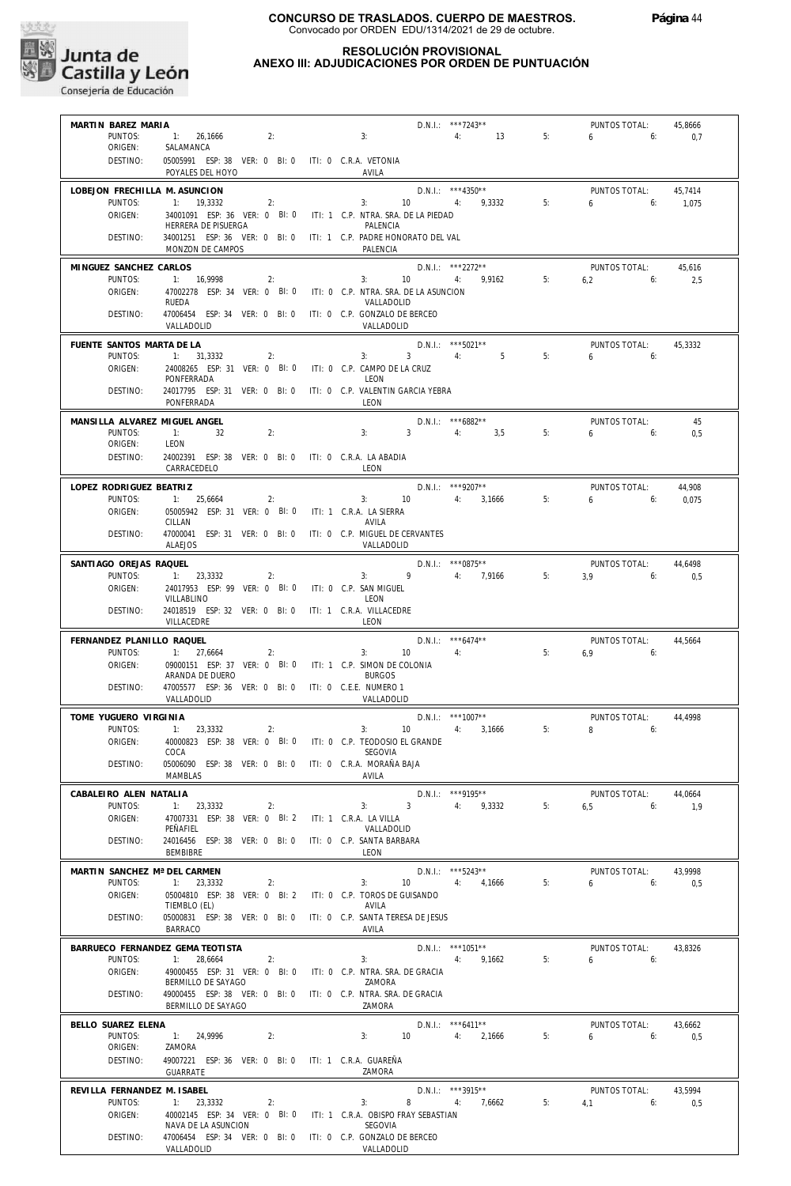

# **RESOLUCIÓN PROVISIONAL**

# **ANEXO III: ADJUDICACIONES POR ORDEN DE PUNTUACIÓN**

| MARTIN BAREZ MARIA               |                                                                                                             |                                                       | D.N.I.: ***7243**                                    |    | PUNTOS TOTAL:               | 45,8666        |
|----------------------------------|-------------------------------------------------------------------------------------------------------------|-------------------------------------------------------|------------------------------------------------------|----|-----------------------------|----------------|
| PUNTOS:                          | 2:<br>1: 26,1666                                                                                            | 3:                                                    | 4: 13                                                | 5: | $6 \qquad$<br>6:            | 0,7            |
| ORIGEN:<br>DESTINO:              | SALAMANCA<br>05005991 ESP: 38 VER: 0 BI: 0 ITI: 0 C.R.A. VETONIA                                            |                                                       |                                                      |    |                             |                |
| LOBEJON FRECHILLA M. ASUNCION    | POYALES DEL HOYO                                                                                            | AVILA                                                 | $D.N.1.:$ ***4350**                                  |    | PUNTOS TOTAL:               | 45.7414        |
| PUNTOS:                          | 1: 19.3332<br>2:                                                                                            | 3:                                                    | 10 4: 9,3332                                         | 5: | $6 \t\t\t 6$                | 1,075          |
| ORIGEN:                          | 34001091 ESP: 36 VER: 0 BI: 0 ITI: 1 C.P. NTRA. SRA. DE LA PIEDAD                                           |                                                       |                                                      |    |                             |                |
| DESTINO:                         | HERRERA DE PISUERGA<br>34001251 ESP: 36 VER: 0 BI: 0 ITI: 1 C.P. PADRE HONORATO DEL VAL<br>MONZON DE CAMPOS | PALENCIA<br>PALENCIA                                  |                                                      |    |                             |                |
| MINGUEZ SANCHEZ CARLOS           |                                                                                                             |                                                       | D.N.I.: ***2272**                                    |    | PUNTOS TOTAL:               | 45,616         |
| PUNTOS:                          | 1: 16.9998<br>2:                                                                                            | $3:$ $\qquad \qquad$                                  | 10 4: 9,9162                                         | 5: | $6.2$ 6:                    | 2,5            |
| ORIGEN:                          | 47002278 ESP: 34 VER: 0 BI: 0 ITI: 0 C.P. NTRA. SRA. DE LA ASUNCION<br>RUEDA                                | VALLADOLID                                            |                                                      |    |                             |                |
| DESTINO:                         | 47006454 ESP: 34 VER: 0 BI: 0 ITI: 0 C.P. GONZALO DE BERCEO<br>VALLADOLID                                   | VALLADOLID                                            |                                                      |    |                             |                |
| FUENTE SANTOS MARTA DE LA        |                                                                                                             |                                                       | D.N.I.: ***5021**                                    |    | PUNTOS TOTAL:               | 45.3332        |
| PUNTOS:                          | 1: 31,3332<br>2:                                                                                            | 3:                                                    | $3 \qquad \qquad 4:$<br>$5^{\circ}$                  | 5: | $6\qquad 6$                 |                |
| ORIGEN:                          | 24008265 ESP: 31 VER: 0 BI: 0 ITI: 0 C.P. CAMPO DE LA CRUZ<br>PONFERRADA                                    | LEON                                                  |                                                      |    |                             |                |
| DESTINO:                         | 24017795 ESP: 31 VER: 0 BI: 0 ITI: 0 C.P. VALENTIN GARCIA YEBRA                                             |                                                       |                                                      |    |                             |                |
|                                  | PONFFRRADA                                                                                                  | LEON                                                  |                                                      |    |                             |                |
| MANSILLA ALVAREZ MIGUEL ANGEL    |                                                                                                             |                                                       | D.N.I.: ***6882**                                    |    | PUNTOS TOTAL:               | 45             |
| PUNTOS:<br>ORIGEN:               | 1:<br>2:<br>32<br>LEON                                                                                      | 3: 3                                                  | 4:3,5                                                | 5: | $6\qquad 6$                 | 0,5            |
| DESTINO:                         | 24002391 ESP: 38 VER: 0 BI: 0 ITI: 0 C.R.A. LA ABADIA                                                       |                                                       |                                                      |    |                             |                |
|                                  | CARRACEDELO                                                                                                 | LEON                                                  |                                                      |    |                             |                |
| LOPEZ RODRIGUEZ BEATRIZ          |                                                                                                             |                                                       | $D.N.1.:$ ***9207**                                  |    | PUNTOS TOTAL:               | 44,908         |
| PUNTOS:<br>ORIGEN:               | 1: 25,6664<br>2:<br>05005942 ESP: 31 VER: 0 BI: 0 ITI: 1 C.R.A. LA SIERRA                                   |                                                       | $3: 10$ $4: 3,1666$                                  | 5: | $6\qquad 6$                 | 0,075          |
|                                  | CILLAN                                                                                                      | AVILA                                                 |                                                      |    |                             |                |
| DESTINO:                         | 47000041 ESP: 31 VER: 0 BI: 0 ITI: 0 C.P. MIGUEL DE CERVANTES<br><b>ALAEJOS</b>                             | VALLADOLID                                            |                                                      |    |                             |                |
| SANTIAGO OREJAS RAQUEL           |                                                                                                             |                                                       | $D.N.1.:$ ***0875**                                  |    | PUNTOS TOTAL:               | 44.6498        |
| PUNTOS:                          | 1: 23,3332<br>2:                                                                                            | 3:                                                    | 9 4: 7,9166                                          | 5: | $3,9$ 6:                    | 0,5            |
| ORIGEN:                          | 24017953 ESP: 99 VER: 0 BI: 0 ITI: 0 C.P. SAN MIGUEL<br>VILLABLINO                                          | LEON                                                  |                                                      |    |                             |                |
| DESTINO:                         | 24018519 ESP: 32 VER: 0 BI: 0 ITI: 1 C.R.A. VILLACEDRE<br>VILLACEDRE                                        | LEON                                                  |                                                      |    |                             |                |
| FERNANDEZ PLANILLO RAQUEL        |                                                                                                             |                                                       | $D.N.1::$ *** 6474**                                 |    | PUNTOS TOTAL:               | 44,5664        |
| PUNTOS:                          | 1: 27,6664<br>2:                                                                                            | 3:                                                    | 4:<br>10 <sup>°</sup>                                | 5: | $6.9$ 6:                    |                |
| ORIGEN:                          | 09000151 ESP: 37 VER: 0 BI: 0 ITI: 1 C.P. SIMON DE COLONIA<br>ARANDA DE DUERO                               | <b>BURGOS</b>                                         |                                                      |    |                             |                |
| DESTINO:                         | 47005577 ESP: 36 VER: 0 BI: 0 ITI: 0 C.E.E. NUMERO 1                                                        |                                                       |                                                      |    |                             |                |
|                                  | VALLADOLID                                                                                                  | VALLADOLID                                            |                                                      |    |                             |                |
| TOME YUGUERO VIRGINIA<br>PUNTOS: |                                                                                                             |                                                       | $D.N.1.:$ ***1007**                                  |    | PUNTOS TOTAL:<br>$8 \t\t 6$ | 44,4998        |
| ORIGEN:                          | 1: 23,3332<br>2:<br>40000823 ESP: 38 VER: 0 BI: 0 ITI: 0 C.P. TEODOSIO EL GRANDE                            | 3:                                                    | 4: 3,1666<br>10 <sup>°</sup>                         | 5: |                             |                |
|                                  | COCA                                                                                                        | SEGOVIA                                               |                                                      |    |                             |                |
| DESTINO:                         | 05006090 ESP: 38 VER: 0 BI: 0 ITI: 0 C.R.A. MORAÑA BAJA<br><b>MAMBLAS</b>                                   | AVILA                                                 |                                                      |    |                             |                |
| CABALEIRO ALEN NATALIA           |                                                                                                             |                                                       | $D.N.1::$ ***9195**                                  |    | PUNTOS TOTAL:               | 44.0664        |
| PUNTOS:                          | 1: 23,3332<br>2:                                                                                            | 3:                                                    | $3^{\circ}$<br>4: 9,3332                             | 5: | 6.5<br>6:                   | 1,9            |
| ORIGEN:                          | 47007331 ESP: 38 VER: 0 BI: 2<br>PEÑAFIEL                                                                   | ITI: 1 C.R.A. LA VILLA<br>VALLADOLID                  |                                                      |    |                             |                |
| DESTINO:                         | 24016456 ESP: 38 VER: 0 BI: 0 ITI: 0 C.P. SANTA BARBARA                                                     |                                                       |                                                      |    |                             |                |
|                                  | <b>BEMBIBRE</b>                                                                                             | LEON                                                  |                                                      |    |                             |                |
| MARTIN SANCHEZ Mª DEL CARMEN     |                                                                                                             |                                                       | D.N.I.: ***5243**                                    |    | PUNTOS TOTAL:               | 43,9998        |
| PUNTOS:<br>ORIGEN:               | 1: 23,3332<br>2:<br>05004810 ESP: 38 VER: 0 Bl: 2                                                           | 3:<br>ITI: 0 C.P. TOROS DE GUISANDO                   | 10<br>4,1666<br>4:                                   | 5: | 6<br>6:                     | 0,5            |
|                                  | TIEMBLO (EL)                                                                                                | AVILA                                                 |                                                      |    |                             |                |
| DESTINO:                         | 05000831 ESP: 38 VER: 0 BI: 0 ITI: 0 C.P. SANTA TERESA DE JESUS<br><b>BARRACO</b>                           | AVILA                                                 |                                                      |    |                             |                |
|                                  | BARRUECO FERNANDEZ GEMA TEOTISTA                                                                            |                                                       | $D.N.1.:$ ***1051**                                  |    | PUNTOS TOTAL:               | 43.8326        |
| PUNTOS:                          | 1: 28,6664<br>2:                                                                                            | 3:                                                    | 4: 9,1662                                            | 5: | 6<br>6:                     |                |
| ORIGEN:                          | 49000455 ESP: 31 VER: 0 BI: 0<br>BERMILLO DE SAYAGO                                                         | ITI: 0 C.P. NTRA. SRA. DE GRACIA<br>ZAMORA            |                                                      |    |                             |                |
| DESTINO:                         | 49000455 ESP: 38 VER: 0 BI: 0 ITI: 0 C.P. NTRA. SRA. DE GRACIA                                              |                                                       |                                                      |    |                             |                |
|                                  | BERMILLO DE SAYAGO                                                                                          | ZAMORA                                                |                                                      |    |                             |                |
| BELLO SUAREZ ELENA<br>PUNTOS:    | 1: 24,9996<br>2:                                                                                            | 3:                                                    | D.N.I.: ***6411**<br>10 <sup>°</sup><br>4:<br>2,1666 | 5: | PUNTOS TOTAL:<br>6<br>6:    | 43,6662<br>0,5 |
| ORIGEN:                          | ZAMORA                                                                                                      |                                                       |                                                      |    |                             |                |
| DESTINO:                         | 49007221 ESP: 36 VER: 0 BI: 0 ITI: 1 C.R.A. GUAREÑA<br>GUARRATE                                             | ZAMORA                                                |                                                      |    |                             |                |
| REVILLA FERNANDEZ M. ISABEL      |                                                                                                             |                                                       | D.N.I.: ***3915**                                    |    | PUNTOS TOTAL:               | 43,5994        |
| PUNTOS:                          | 1: 23,3332<br>2:                                                                                            | 3:                                                    | 8<br>4:<br>7,6662                                    | 5: | $4,1$ 6:                    | 0,5            |
| ORIGEN:                          | 40002145 ESP: 34 VER: 0 BI: 0<br>NAVA DE LA ASUNCION                                                        | ITI: 1 C.R.A. OBISPO FRAY SEBASTIAN<br><b>SEGOVIA</b> |                                                      |    |                             |                |
| DESTINO:                         | 47006454 ESP: 34 VER: 0 BI: 0 ITI: 0 C.P. GONZALO DE BERCEO                                                 |                                                       |                                                      |    |                             |                |
|                                  | VALLADOLID                                                                                                  | VALLADOLID                                            |                                                      |    |                             |                |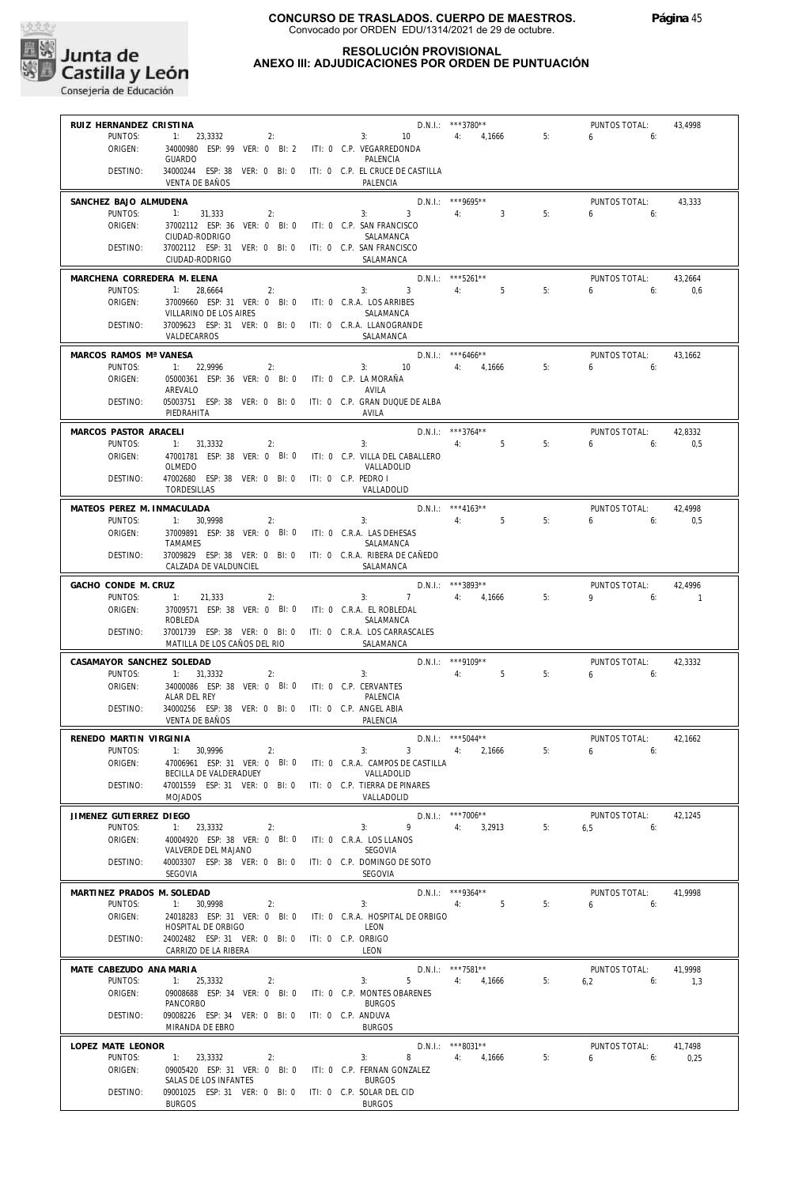

#### **RESOLUCIÓN PROVISIONAL ANEXO III: ADJUDICACIONES POR ORDEN DE PUNTUACIÓN**

| RUIZ HERNANDEZ CRISTINA     |                                                                                             |                                            | $D.N.1::$ ***3780**                 |    | PUNTOS TOTAL: | 43.4998  |
|-----------------------------|---------------------------------------------------------------------------------------------|--------------------------------------------|-------------------------------------|----|---------------|----------|
| PUNTOS:                     | $1: 23,3332$ 2:                                                                             | $3: 10 \t 4: 4.1666$                       |                                     | 5: | $6\qquad 6$   |          |
| ORIGEN:                     | 34000980 ESP: 99 VER: 0 BI: 2 ITI: 0 C.P. VEGARREDONDA                                      |                                            |                                     |    |               |          |
|                             | <b>GUARDO</b>                                                                               | PAI FNCIA                                  |                                     |    |               |          |
| DESTINO:                    | 34000244 ESP: 38 VER: 0 BI: 0 ITI: 0 C.P. EL CRUCE DE CASTILLA                              |                                            |                                     |    |               |          |
|                             | VENTA DE BAÑOS                                                                              | PALENCIA                                   |                                     |    |               |          |
|                             |                                                                                             |                                            |                                     |    |               |          |
| SANCHEZ BAJO ALMUDENA       |                                                                                             |                                            | $D.N.1.:$ ***9695**                 |    | PUNTOS TOTAL: | 43,333   |
| PUNTOS:                     | 1: 31,333<br>2:                                                                             | $3: 3 \t 4: 3$                             |                                     | 5: | $6 \t\t 6$    |          |
| ORIGEN:                     | 37002112 ESP: 36 VER: 0 BI: 0 ITI: 0 C.P. SAN FRANCISCO                                     |                                            |                                     |    |               |          |
|                             | CIUDAD-RODRIGO                                                                              | SALAMANCA                                  |                                     |    |               |          |
| DESTINO:                    | 37002112 ESP: 31 VER: 0 BI: 0 ITI: 0 C.P. SAN FRANCISCO                                     |                                            |                                     |    |               |          |
|                             | CIUDAD-RODRIGO                                                                              | SALAMANCA                                  |                                     |    |               |          |
| MARCHENA CORREDERA M. ELENA |                                                                                             |                                            | $D.N.1::$ ***5261**                 |    | PUNTOS TOTAL: | 43,2664  |
| PUNTOS:                     | 1: 28,6664<br>2:                                                                            | $3: 3 \t 4: 5$                             |                                     | 5: | $6\qquad 6$   | 0,6      |
| ORIGEN:                     | 37009660 ESP: 31 VER: 0 BI: 0 ITI: 0 C.R.A. LOS ARRIBES                                     |                                            |                                     |    |               |          |
|                             | VILLARINO DE LOS AIRES                                                                      | SALAMANCA                                  |                                     |    |               |          |
| DESTINO:                    | 37009623 ESP: 31 VER: 0 BI: 0 ITI: 0 C.R.A. LLANOGRANDE                                     |                                            |                                     |    |               |          |
|                             | VALDECARROS                                                                                 | SALAMANCA                                  |                                     |    |               |          |
|                             |                                                                                             |                                            |                                     |    |               |          |
| MARCOS RAMOS Mª VANESA      |                                                                                             |                                            | $D.N.1.:$ ***6466**                 |    | PUNTOS TOTAL: | 43,1662  |
| PUNTOS:                     | 1: 22,9996<br>2:                                                                            | $3: 10 \t 4: 4,1666$                       |                                     | 5: | $6\qquad 6$   |          |
| ORIGEN:                     | 05000361 ESP: 36 VER: 0 BI: 0 ITI: 0 C.P. LA MORAÑA                                         |                                            |                                     |    |               |          |
|                             | AREVALO                                                                                     | AVILA                                      |                                     |    |               |          |
| DESTINO:                    | 05003751 ESP: 38 VER: 0 BI: 0 ITI: 0 C.P. GRAN DUQUE DE ALBA                                |                                            |                                     |    |               |          |
|                             | PIEDRAHITA                                                                                  | AVILA                                      |                                     |    |               |          |
| MARCOS PASTOR ARACELI       |                                                                                             |                                            | D.N.I.: ***3764**                   |    | PUNTOS TOTAL: | 42,8332  |
| PUNTOS:                     | 1: 31,3332<br>2:                                                                            | 4:<br>3:                                   | 5                                   | 5: | 650           | 0,5      |
| ORIGEN:                     | 47001781 ESP: 38 VER: 0 BI: 0 ITI: 0 C.P. VILLA DEL CABALLERO                               |                                            |                                     |    |               |          |
|                             | OLMEDO                                                                                      | VALLADOLID                                 |                                     |    |               |          |
| DESTINO:                    | 47002680 ESP: 38 VER: 0 BI: 0 ITI: 0 C.P. PEDRO I                                           |                                            |                                     |    |               |          |
|                             | TORDESILLAS                                                                                 | VALLADOLID                                 |                                     |    |               |          |
|                             |                                                                                             |                                            |                                     |    |               |          |
| MATEOS PEREZ M. INMACULADA  |                                                                                             |                                            | D.N.I.: *** 4163**                  |    | PUNTOS TOTAL: | 42,4998  |
| PUNTOS:                     | 1: 30.9998<br>2:                                                                            | 3:                                         | 4:5                                 | 5: | $6\qquad 6$   | 0,5      |
| ORIGEN:                     | 37009891 ESP: 38 VER: 0 BI: 0 ITI: 0 C.R.A. LAS DEHESAS                                     |                                            |                                     |    |               |          |
|                             | <b>TAMAMES</b>                                                                              | SALAMANCA                                  |                                     |    |               |          |
| DESTINO:                    | 37009829 ESP: 38 VER: 0 BI: 0 ITI: 0 C.R.A. RIBERA DE CAÑEDO                                |                                            |                                     |    |               |          |
|                             | CALZADA DE VALDUNCIEL                                                                       | SALAMANCA                                  |                                     |    |               |          |
| GACHO CONDE M. CRUZ         |                                                                                             |                                            | D.N.I.: ***3893**                   |    | PUNTOS TOTAL: | 42,4996  |
| PUNTOS:                     | $-11$<br>21,333<br>2:                                                                       | 7 4: 4.1666<br>3:                          |                                     | 5: | $9 \t\t 6$    | $\sim$ 1 |
| ORIGEN:                     | 37009571 ESP: 38 VER: 0 BI: 0 ITI: 0 C.R.A. EL ROBLEDAL                                     |                                            |                                     |    |               |          |
|                             | ROBLEDA                                                                                     | SALAMANCA                                  |                                     |    |               |          |
|                             |                                                                                             |                                            |                                     |    |               |          |
|                             |                                                                                             |                                            |                                     |    |               |          |
| DESTINO:                    | 37001739 ESP: 38 VER: 0 BI: 0 ITI: 0 C.R.A. LOS CARRASCALES<br>MATILLA DE LOS CAÑOS DEL RIO | SALAMANCA                                  |                                     |    |               |          |
|                             |                                                                                             |                                            |                                     |    |               |          |
| CASAMAYOR SANCHEZ SOLEDAD   |                                                                                             |                                            | D.N.I.: ***9109**                   |    | PUNTOS TOTAL: | 42,3332  |
| PUNTOS:                     | 1: 31,3332<br>2:                                                                            | 3:                                         | 4:5                                 | 5: | $6\qquad 6$   |          |
| ORIGEN:                     | 34000086 ESP: 38 VER: 0 BI: 0 ITI: 0 C.P. CERVANTES                                         |                                            |                                     |    |               |          |
|                             | ALAR DEL REY                                                                                | PALENCIA                                   |                                     |    |               |          |
| DESTINO:                    | 34000256 ESP: 38 VER: 0 BI: 0 ITI: 0 C.P. ANGEL ABIA                                        |                                            |                                     |    |               |          |
|                             | VENTA DE BAÑOS                                                                              | PALENCIA                                   |                                     |    |               |          |
| RENEDO MARTIN VIRGINIA      |                                                                                             |                                            |                                     |    | PUNTOS TOTAL: | 42,1662  |
| PUNTOS:                     | 1: 30.9996<br>2:                                                                            | 3:                                         | D.N.I.: $***5044***$<br>3 4: 2,1666 | 5: | 6.6           |          |
| ORIGEN:                     | 47006961 ESP: 31 VER: 0 BI: 0                                                               | ITI: 0 C.R.A. CAMPOS DE CASTILLA           |                                     |    |               |          |
|                             | BECILLA DE VALDERADUEY                                                                      | VALLADOLID                                 |                                     |    |               |          |
| DESTINO:                    | 47001559 ESP: 31 VER: 0 BI: 0                                                               | ITI: 0 C.P. TIERRA DE PINARES              |                                     |    |               |          |
|                             | <b>MOJADOS</b>                                                                              | VALLADOLID                                 |                                     |    |               |          |
|                             |                                                                                             |                                            |                                     |    |               |          |
| JIMENEZ GUTIERREZ DIEGO     |                                                                                             |                                            | D.N.I.: ***7006**                   |    | PUNTOS TOTAL: | 42,1245  |
| PUNTOS:                     | 1:<br>23,3332<br>2:                                                                         | 9<br>3:                                    | 3,2913<br>4:                        | 5: | 6.5<br>6:     |          |
| ORIGEN:                     | 40004920 ESP: 38 VER: 0 BI: 0                                                               | ITI: 0 C.R.A. LOS LLANOS                   |                                     |    |               |          |
|                             | VALVERDE DEL MAJANO                                                                         | SEGOVIA                                    |                                     |    |               |          |
| DESTINO:                    | 40003307 ESP: 38 VER: 0 BI: 0                                                               | ITI: 0 C.P. DOMINGO DE SOTO                |                                     |    |               |          |
|                             | SEGOVIA                                                                                     | SEGOVIA                                    |                                     |    |               |          |
| MARTINEZ PRADOS M. SOLEDAD  |                                                                                             |                                            | $D.N.1::$ ***9364**                 |    | PUNTOS TOTAL: | 41,9998  |
| PUNTOS:                     | 1:<br>30.9998<br>2:                                                                         | 3:                                         | 5<br>4:                             | 5: | 6<br>6:       |          |
| ORIGEN:                     | 24018283 ESP: 31 VER: 0 BI: 0                                                               | ITI: 0 C.R.A. HOSPITAL DE ORBIGO           |                                     |    |               |          |
|                             | HOSPITAL DE ORBIGO                                                                          | LEON                                       |                                     |    |               |          |
| DESTINO:                    | 24002482 ESP: 31 VER: 0 BI: 0                                                               | ITI: 0 C.P. ORBIGO                         |                                     |    |               |          |
|                             | CARRIZO DE LA RIBERA                                                                        | LEON                                       |                                     |    |               |          |
|                             |                                                                                             |                                            |                                     |    |               |          |
| MATE CABEZUDO ANA MARIA     |                                                                                             |                                            | D.N.I.: ***7581**                   |    | PUNTOS TOTAL: | 41,9998  |
| PUNTOS:                     | 1: 25,3332<br>2:                                                                            | 5<br>3:                                    | 4:<br>4,1666                        | 5: | 6,2<br>6:     | 1,3      |
| ORIGEN:                     | 09008688 ESP: 34 VER: 0 BI: 0                                                               | ITI: 0 C.P. MONTES OBARENES                |                                     |    |               |          |
|                             | PANCORBO                                                                                    | <b>BURGOS</b>                              |                                     |    |               |          |
| DESTINO:                    | 09008226 ESP: 34 VER: 0 BI: 0                                                               | ITI: 0 C.P. ANDUVA                         |                                     |    |               |          |
|                             | MIRANDA DE EBRO                                                                             | <b>BURGOS</b>                              |                                     |    |               |          |
| LOPEZ MATE LEONOR           |                                                                                             |                                            | D.N.I.: ***8031**                   |    | PUNTOS TOTAL: | 41,7498  |
| PUNTOS:                     | 1: 23,3332<br>2:                                                                            | 8<br>3:                                    | 4:<br>4,1666                        | 5: | 6<br>6:       | 0,25     |
| ORIGEN:                     | 09005420 ESP: 31 VER: 0 BI: 0                                                               | ITI: 0 C.P. FERNAN GONZALEZ                |                                     |    |               |          |
|                             | SALAS DE LOS INFANTES                                                                       | <b>BURGOS</b>                              |                                     |    |               |          |
| DESTINO:                    | 09001025 ESP: 31 VER: 0 BI: 0<br><b>BURGOS</b>                                              | ITI: 0 C.P. SOLAR DEL CID<br><b>BURGOS</b> |                                     |    |               |          |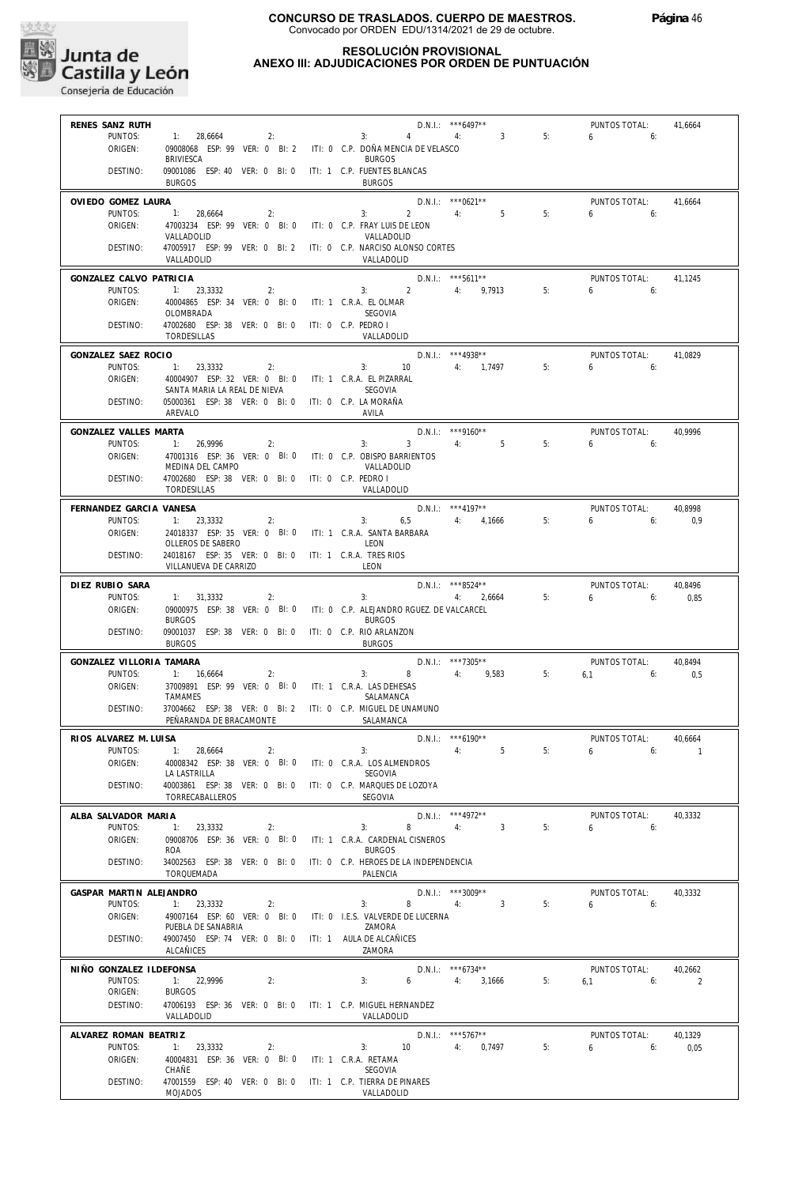

#### **RESOLUCIÓN PROVISIONAL ANEXO III: ADJUDICACIONES POR ORDEN DE PUNTUACIÓN**

| RENES SANZ RUTH                    |                                                                                          |    |                                                         | $D.N.1.:$ ***6497**                        |    | PUNTOS TOTAL:                 | 41,6664                  |
|------------------------------------|------------------------------------------------------------------------------------------|----|---------------------------------------------------------|--------------------------------------------|----|-------------------------------|--------------------------|
| PUNTOS:                            | 1: 28,6664<br>2:                                                                         |    | 3: 4: 3                                                 |                                            | 5: | $6\qquad 6:$                  |                          |
| ORIGEN:                            | 09008068 ESP: 99 VER: 0 BI: 2 ITI: 0 C.P. DOÑA MENCIA DE VELASCO<br><b>BRIVIESCA</b>     |    | <b>BURGOS</b>                                           |                                            |    |                               |                          |
| DESTINO:                           | 09001086 ESP: 40 VER: 0 BI: 0 ITI: 1 C.P. FUENTES BLANCAS<br><b>BURGOS</b>               |    | <b>BURGOS</b>                                           |                                            |    |                               |                          |
| OVIEDO GOMEZ LAURA                 |                                                                                          |    |                                                         | $D.N.1.:$ ***0621**                        |    | PUNTOS TOTAL:                 | 41,6664                  |
| PUNTOS:                            | 1: 28.6664<br>2:                                                                         |    | $3: 2 \t 4: 5$                                          |                                            | 5: | $6\qquad 6$                   |                          |
| ORIGEN:                            | 47003234 ESP: 99 VER: 0 BI: 0 ITI: 0 C.P. FRAY LUIS DE LEON<br>VALLADOLID                |    | VALLADOLID                                              |                                            |    |                               |                          |
| DESTINO:                           | 47005917 ESP: 99 VER: 0 BI: 2 ITI: 0 C.P. NARCISO ALONSO CORTES<br>VALLADOLID            |    | VALLADOLID                                              |                                            |    |                               |                          |
| GONZALEZ CALVO PATRICIA            |                                                                                          |    |                                                         | $D.N.1.:$ ***5611**                        |    | PUNTOS TOTAL:                 | 41,1245                  |
| PUNTOS:                            | 1: 23.3332<br>2:                                                                         |    | $3: 2 \t 4: 9,7913$                                     |                                            | 5: | $6\qquad 6:$                  |                          |
| ORIGEN:                            | 40004865 ESP: 34 VER: 0 BI: 0 ITI: 1 C.R.A. EL OLMAR<br>OLOMBRADA                        |    | SEGOVIA                                                 |                                            |    |                               |                          |
| DESTINO:                           | 47002680 ESP: 38 VER: 0 BI: 0 ITI: 0 C.P. PEDRO I<br>TORDESILLAS                         |    | VALLADOLID                                              |                                            |    |                               |                          |
| GONZALEZ SAEZ ROCIO                |                                                                                          |    | D.N.I.: ***4938**                                       |                                            |    | PUNTOS TOTAL:                 | 41.0829                  |
| PUNTOS:                            | 2:<br>1: 23,3332                                                                         |    | $3: 10$ 4: $1,7497$                                     |                                            | 5: | $6\qquad 6$                   |                          |
| ORIGEN:                            | 40004907 ESP: 32 VER: 0 BI: 0 ITI: 1 C.R.A. EL PIZARRAL                                  |    | SEGOVIA                                                 |                                            |    |                               |                          |
| DESTINO:                           | SANTA MARIA LA REAL DE NIEVA<br>05000361 ESP: 38 VER: 0 BI: 0 ITI: 0 C.P. LA MORAÑA      |    |                                                         |                                            |    |                               |                          |
|                                    | AREVALO                                                                                  |    | AVILA                                                   |                                            |    |                               |                          |
| GONZALEZ VALLES MARTA              |                                                                                          |    |                                                         | $D.N.1.:$ ***9160**                        |    | PUNTOS TOTAL:                 | 40,9996                  |
| PUNTOS:                            | 1: 26.9996<br>2:                                                                         |    | 3:                                                      | $3 \qquad 4: \qquad 5$                     | 5: | $6\qquad 6$                   |                          |
| ORIGEN:                            | 47001316 ESP: 36 VER: 0 BI: 0 ITI: 0 C.P. OBISPO BARRIENTOS<br>MEDINA DEL CAMPO          |    | VALLADOLID                                              |                                            |    |                               |                          |
| DESTINO:                           | 47002680 ESP: 38 VER: 0 BI: 0 ITI: 0 C.P. PEDRO I                                        |    |                                                         |                                            |    |                               |                          |
|                                    | TORDESILLAS                                                                              |    | VALLADOLID                                              |                                            |    |                               |                          |
| FERNANDEZ GARCIA VANESA<br>PUNTOS: | 1: 23,3332                                                                               | 2: | 3: $6,5$ 4: 4,1666                                      | $D.N.1.:$ ***4197**                        | 5: | PUNTOS TOTAL:<br>$6\qquad 6:$ | 40,8998<br>0,9           |
| ORIGEN:                            | 24018337 ESP: 35 VER: 0 BI: 0 ITI: 1 C.R.A. SANTA BARBARA                                |    |                                                         |                                            |    |                               |                          |
|                                    | OLLEROS DE SABERO                                                                        |    | <b>EXAMPLE ON LEON</b>                                  |                                            |    |                               |                          |
| DESTINO:                           | 24018167 ESP: 35 VER: 0 BI: 0 ITI: 1 C.R.A. TRES RIOS<br>VILLANUEVA DE CARRIZO           |    | LEON                                                    |                                            |    |                               |                          |
| DIEZ RUBIO SARA                    |                                                                                          |    |                                                         | D.N.I.: ***8524**                          |    | PUNTOS TOTAL:                 | 40,8496                  |
| PUNTOS:                            | 1: 31,3332<br>2:                                                                         |    | 3: $4: 2,6664$ 5:                                       |                                            |    | 6.6                           | 0,85                     |
| ORIGEN:                            | 09000975 ESP: 38 VER: 0 BI: 0 ITI: 0 C.P. ALEJANDRO RGUEZ. DE VALCARCEL<br><b>BURGOS</b> |    | <b>BURGOS</b>                                           |                                            |    |                               |                          |
| DESTINO:                           | 09001037 ESP: 38 VER: 0 BI: 0 ITI: 0 C.P. RIO ARLANZON<br><b>BURGOS</b>                  |    | <b>BURGOS</b>                                           |                                            |    |                               |                          |
| GONZALEZ VILLORIA TAMARA           |                                                                                          |    |                                                         | D.N.I.: ***7305**                          |    | PUNTOS TOTAL:                 | 40,8494                  |
| PUNTOS:                            | $1: 16,6664$ 2:                                                                          |    | 3: 8 4: 9,583                                           |                                            | 5: | $6.1$ $6:$                    | 0,5                      |
| ORIGEN:                            | 37009891 ESP: 99 VER: 0 BI: 0 ITI: 1 C.R.A. LAS DEHESAS                                  |    |                                                         |                                            |    |                               |                          |
| DESTINO:                           | <b>TAMAMES</b><br>37004662 ESP: 38 VER: 0 BI: 2 ITI: 0 C.P. MIGUEL DE UNAMUNO            |    | SALAMANCA                                               |                                            |    |                               |                          |
|                                    | PEÑARANDA DE BRACAMONTE                                                                  |    | SALAMANCA                                               |                                            |    |                               |                          |
| RIOS ALVAREZ M. LUISA              |                                                                                          |    |                                                         | $D.N.1.:$ *** 6190**                       |    | PUNTOS TOTAL:                 | 40,6664                  |
|                                    | PUNTOS: 1: 28.6664<br>2:                                                                 |    | 3:                                                      | 4:<br>$5^{\circ}$                          | 5: | $6\qquad 6:$                  | $\overline{1}$           |
| ORIGEN:                            | 40008342 ESP: 38 VER: 0 BI: 0<br>LA LASTRILLA                                            |    | ITI: 0 C.R.A. LOS ALMENDROS<br>SEGOVIA                  |                                            |    |                               |                          |
| DESTINO:                           | 40003861 ESP: 38 VER: 0 BI: 0<br>TORRECABALLEROS                                         |    | ITI: 0 C.P. MARQUES DE LOZOYA<br>SEGOVIA                |                                            |    |                               |                          |
|                                    |                                                                                          |    |                                                         |                                            |    |                               |                          |
| ALBA SALVADOR MARIA<br>PUNTOS:     | 23.3332<br>2:                                                                            |    | 3:<br>8                                                 | D.N.I.: *** 4972**<br>$\overline{3}$<br>4: | 5: | PUNTOS TOTAL:<br>6<br>6:      | 40,3332                  |
| ORIGEN:                            | 09008706 ESP: 36 VER: 0 BI: 0                                                            |    | ITI: 1 C.R.A. CARDENAL CISNEROS                         |                                            |    |                               |                          |
| DESTINO:                           | <b>ROA</b><br>34002563 ESP: 38 VER: 0 BI: 0                                              |    | <b>BURGOS</b><br>ITI: 0 C.P. HEROES DE LA INDEPENDENCIA |                                            |    |                               |                          |
|                                    | TORQUEMADA                                                                               |    | PALENCIA                                                |                                            |    |                               |                          |
| GASPAR MARTIN ALEJANDRO            |                                                                                          |    |                                                         | $D.N.1.:$ ***3009**                        |    | PUNTOS TOTAL:                 | 40,3332                  |
| PUNTOS:                            | 1: 23,3332<br>2:                                                                         |    | 8<br>3:                                                 | $\overline{3}$<br>4:                       | 5: | 6<br>6:                       |                          |
| ORIGEN:                            | 49007164 ESP: 60 VER: 0 BI: 0<br>PUEBLA DE SANABRIA                                      |    | ITI: 0 I.E.S. VALVERDE DE LUCERNA<br>ZAMORA             |                                            |    |                               |                          |
| DESTINO:                           | 49007450 ESP: 74 VER: 0 BI: 0<br>ALCAÑICES                                               |    | ITI: 1 AULA DE ALCAÑICES<br>ZAMORA                      |                                            |    |                               |                          |
| NIÑO GONZALEZ ILDEFONSA            |                                                                                          |    |                                                         | $D.N.1::$ *** 6734**                       |    | PUNTOS TOTAL:                 | 40,2662                  |
| PUNTOS:                            | 1: 22,9996<br>2:                                                                         |    | 3:<br>6<br>4:                                           | 3,1666                                     | 5: | 6,1<br>6:                     | $\overline{\phantom{a}}$ |
| ORIGEN:                            | <b>BURGOS</b>                                                                            |    |                                                         |                                            |    |                               |                          |
| DESTINO:                           | 47006193 ESP: 36 VER: 0 BI: 0 ITI: 1 C.P. MIGUEL HERNANDEZ<br>VALLADOLID                 |    | VALLADOLID                                              |                                            |    |                               |                          |
| ALVAREZ ROMAN BEATRIZ              |                                                                                          |    |                                                         | D.N.I.: ***5767**                          |    | PUNTOS TOTAL:                 | 40,1329                  |
| PUNTOS:                            | 1:<br>23,3332<br>2:                                                                      |    | 3:<br>10                                                | 4: 0,7497                                  | 5: | 6<br>6:                       | 0,05                     |
| ORIGEN:                            | 40004831 ESP: 36 VER: 0 BI: 0<br>CHAÑE                                                   |    | ITI: 1 C.R.A. RETAMA<br>SEGOVIA                         |                                            |    |                               |                          |
| DESTINO:                           | 47001559 ESP: 40 VER: 0 BI: 0                                                            |    | ITI: 1 C.P. TIERRA DE PINARES                           |                                            |    |                               |                          |
|                                    | MOJADOS                                                                                  |    | VALLADOLID                                              |                                            |    |                               |                          |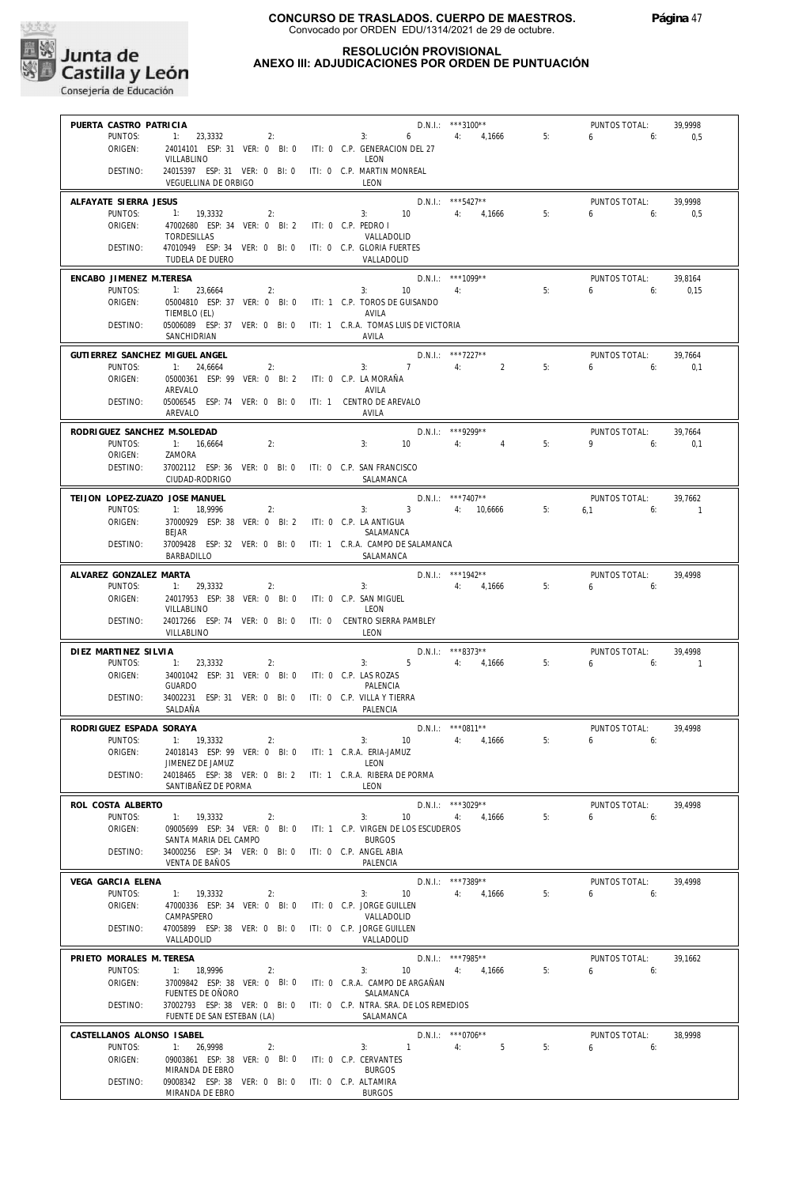

#### **RESOLUCIÓN PROVISIONAL ANEXO III: ADJUDICACIONES POR ORDEN DE PUNTUACIÓN**

| PUERTA CASTRO PATRICIA                    |                                                                             |                           |                                             | $D.N.1.:$ ***3100**            |    | PUNTOS TOTAL:               | 39.9998             |
|-------------------------------------------|-----------------------------------------------------------------------------|---------------------------|---------------------------------------------|--------------------------------|----|-----------------------------|---------------------|
| PUNTOS:                                   | $1: 23,3332$ 2:                                                             |                           | $3: 6 \t 4: 4,1666 \t 5:$                   |                                |    | 6.6                         | 0,5                 |
| ORIGEN:                                   | 24014101 ESP: 31 VER: 0 BI: 0 ITI: 0 C.P. GENERACION DEL 27                 |                           |                                             |                                |    |                             |                     |
| DESTINO:                                  | VILLABLINO<br>24015397 ESP: 31 VER: 0 BI: 0 ITI: 0 C.P. MARTIN MONREAL      |                           | LEON                                        |                                |    |                             |                     |
|                                           | VEGUELLINA DE ORBIGO                                                        |                           | LEON                                        |                                |    |                             |                     |
|                                           |                                                                             |                           |                                             |                                |    |                             |                     |
| ALFAYATE SIERRA JESUS<br>PUNTOS:          |                                                                             |                           | 3: $10$ 4: $4,1666$ 5:                      | D.N.I.: *** 5427**             |    | PUNTOS TOTAL:<br>6.6        | 39,9998             |
| ORIGEN:                                   | 1: 19,3332<br>2:<br>47002680 ESP: 34 VER: 0 BI: 2 ITI: 0 C.P. PEDRO I       |                           |                                             |                                |    |                             | 0.5                 |
|                                           | TORDESILLAS                                                                 |                           | VALLADOLID                                  |                                |    |                             |                     |
| DESTINO:                                  | 47010949 ESP: 34 VER: 0 BI: 0 ITI: 0 C.P. GLORIA FUERTES                    |                           |                                             |                                |    |                             |                     |
|                                           | TUDELA DE DUERO                                                             |                           | VALLADOLID                                  |                                |    |                             |                     |
| ENCABO JIMENEZ M.TERESA                   |                                                                             |                           | $D.N.1::$ ***1099**                         |                                |    | PUNTOS TOTAL:               | 39.8164             |
| PUNTOS:                                   | 1: 23,6664<br>2:                                                            |                           | $3: 10$ 4:                                  |                                | 5: | $6\qquad 6$                 | 0,15                |
| ORIGEN:                                   | 05004810 ESP: 37 VER: 0 BI: 0 ITI: 1 C.P. TOROS DE GUISANDO<br>TIEMBLO (EL) |                           | AVILA                                       |                                |    |                             |                     |
| DESTINO:                                  | 05006089 ESP: 37 VER: 0 BI: 0 ITI: 1 C.R.A. TOMAS LUIS DE VICTORIA          |                           |                                             |                                |    |                             |                     |
|                                           | SANCHIDRIAN                                                                 |                           | AVILA                                       |                                |    |                             |                     |
| GUTIERREZ SANCHEZ MIGUEL ANGEL            |                                                                             |                           |                                             | $D.N.1.:$ ***7227**            |    | PUNTOS TOTAL:               | 39,7664             |
| PUNTOS:                                   | 1: 24,6664<br>2:                                                            |                           | $3: 7 \t 4: 2$                              |                                | 5: | $6\qquad 6$                 | 0,1                 |
| ORIGEN:                                   | 05000361 ESP: 99 VER: 0 BI: 2 ITI: 0 C.P. LA MORAÑA                         |                           |                                             |                                |    |                             |                     |
|                                           | AREVALO                                                                     |                           | AVILA                                       |                                |    |                             |                     |
| DESTINO:                                  | 05006545 ESP: 74 VER: 0 BI: 0 ITI: 1 CENTRO DE AREVALO                      |                           |                                             |                                |    |                             |                     |
|                                           | AREVALO                                                                     |                           | AVILA                                       |                                |    |                             |                     |
| RODRIGUEZ SANCHEZ M.SOLEDAD               |                                                                             |                           |                                             | $D.N.1::$ ***9299**            |    | PUNTOS TOTAL:               | 39,7664             |
| PUNTOS:<br>ORIGEN:                        | 1: 16,6664<br>2:<br>ZAMORA                                                  |                           | 3:<br>10                                    | 4: 4                           | 5: | $9 \t\t 6$                  | 0,1                 |
| DESTINO:                                  | 37002112 ESP: 36 VER: 0 BI: 0 ITI: 0 C.P. SAN FRANCISCO                     |                           |                                             |                                |    |                             |                     |
|                                           | CIUDAD-RODRIGO                                                              |                           | SALAMANCA                                   |                                |    |                             |                     |
|                                           |                                                                             |                           |                                             |                                |    |                             |                     |
| TEIJON LOPEZ-ZUAZO JOSE MANUEL<br>PUNTOS: | 1: 18.9996<br>2:                                                            |                           | 3: 3 4: $10,6666$ 5:                        | $D.N.1.:$ ***7407**            |    | PUNTOS TOTAL:<br>$6.1$ $6:$ | 39.7662<br>$\sim$ 1 |
| ORIGEN:                                   | 37000929 ESP: 38 VER: 0 BI: 2 ITI: 0 C.P. LA ANTIGUA                        |                           |                                             |                                |    |                             |                     |
|                                           | <b>BEJAR</b>                                                                |                           | SALAMANCA                                   |                                |    |                             |                     |
| DESTINO:                                  | 37009428 ESP: 32 VER: 0 BI: 0 ITI: 1 C.R.A. CAMPO DE SALAMANCA              |                           |                                             |                                |    |                             |                     |
|                                           | BARBADILLO                                                                  |                           | SALAMANCA                                   |                                |    |                             |                     |
| ALVAREZ GONZALEZ MARTA                    |                                                                             |                           | D.N.I.: ***1942**<br>3: $4: 4,1666$ 5:      |                                |    | PUNTOS TOTAL:               | 39,4998             |
| PUNTOS:                                   | 2:<br>1: 29,3332                                                            |                           |                                             |                                |    | $6 \t\t 6$                  |                     |
| ORIGEN:                                   | 24017953 ESP: 38 VER: 0 BI: 0 ITI: 0 C.P. SAN MIGUEL<br>VILLABLINO          |                           | LEON                                        |                                |    |                             |                     |
| DESTINO:                                  | 24017266 ESP: 74 VER: 0 BI: 0 ITI: 0 CENTRO SIERRA PAMBLEY                  |                           |                                             |                                |    |                             |                     |
|                                           | VILLABLINO                                                                  |                           | LEON                                        |                                |    |                             |                     |
| DIEZ MARTINEZ SILVIA                      |                                                                             |                           |                                             | $D.N.1.:$ ***8373**            |    | PUNTOS TOTAL:               | 39.4998             |
| PUNTOS:                                   | 1: 23,3332<br>2:                                                            |                           | 3: $5 \t 4: 4,1666 \t 5:$                   |                                |    | $6\qquad 6$                 | $\overline{1}$      |
| ORIGEN:                                   |                                                                             |                           |                                             |                                |    |                             |                     |
|                                           | 34001042 ESP: 31 VER: 0 BI: 0 ITI: 0 C.P. LAS ROZAS                         |                           |                                             |                                |    |                             |                     |
|                                           | GUARDO                                                                      |                           | PALENCIA                                    |                                |    |                             |                     |
| DESTINO:                                  | 34002231 ESP: 31 VER: 0 BI: 0 ITI: 0 C.P. VILLA Y TIERRA                    |                           |                                             |                                |    |                             |                     |
|                                           | SALDAÑA                                                                     |                           | PALENCIA                                    |                                |    |                             |                     |
| RODRIGUEZ ESPADA SORAYA                   |                                                                             |                           |                                             | $D.N.I.:$ *** 0811**           |    | PUNTOS TOTAL:               | 39,4998             |
| PUNTOS:                                   | 1: 19,3332<br>2:                                                            |                           | $3: 10 \t 4: 4.1666$                        |                                | 5: | $6 \t\t\t 6$                |                     |
| ORIGEN:                                   | 24018143 ESP: 99 VER: 0 BI: 0 ITI: 1 C.R.A. ERIA-JAMUZ<br>JIMENEZ DE JAMUZ  |                           | LEON                                        |                                |    |                             |                     |
| DESTINO:                                  | 24018465 ESP: 38 VER: 0 BI: 2 ITI: 1 C.R.A. RIBERA DE PORMA                 |                           |                                             |                                |    |                             |                     |
|                                           | SANTIBAÑEZ DE PORMA                                                         |                           | LEON                                        |                                |    |                             |                     |
| ROL COSTA ALBERTO                         |                                                                             |                           |                                             | D.N.I.: ***3029**              |    | PUNTOS TOTAL:               | 39,4998             |
| PUNTOS:                                   | 1: 19,3332<br>2:                                                            | 3:                        | 10                                          | 4:<br>4.1666                   | 5: | 6<br>6:                     |                     |
| ORIGEN:                                   | 09005699 ESP: 34 VER: 0 BI: 0                                               |                           | ITI: 1 C.P. VIRGEN DE LOS ESCUDEROS         |                                |    |                             |                     |
|                                           | SANTA MARIA DEL CAMPO                                                       |                           | <b>BURGOS</b>                               |                                |    |                             |                     |
| DESTINO:                                  | 34000256 ESP: 34 VER: 0 BI: 0<br><b>VENTA DE BAÑOS</b>                      | ITI: 0 C.P. ANGEL ABIA    | PALENCIA                                    |                                |    |                             |                     |
|                                           |                                                                             |                           |                                             |                                |    |                             |                     |
| VEGA GARCIA ELENA<br>PUNTOS:              | 1: 19,3332<br>2:                                                            | 3:                        | 10                                          | D.N.I.: ***7389**<br>4: 4,1666 | 5: | PUNTOS TOTAL:<br>6<br>6:    | 39,4998             |
| ORIGEN:                                   | 47000336 ESP: 34 VER: 0 BI: 0                                               | ITI: 0 C.P. JORGE GUILLEN |                                             |                                |    |                             |                     |
|                                           | CAMPASPERO                                                                  |                           | VALLADOLID                                  |                                |    |                             |                     |
| DESTINO:                                  | 47005899 ESP: 38 VER: 0 BI: 0                                               | ITI: 0 C.P. JORGE GUILLEN |                                             |                                |    |                             |                     |
|                                           | VALLADOLID                                                                  |                           | VALLADOLID                                  |                                |    |                             |                     |
| PRIETO MORALES M. TERESA                  |                                                                             |                           |                                             | D.N.I.: ***7985**              |    | PUNTOS TOTAL:               | 39,1662             |
| PUNTOS:                                   | 1: 18,9996<br>2:                                                            | 3:                        | 10                                          | 4:<br>4,1666                   | 5: | 6<br>6:                     |                     |
| ORIGEN:                                   | 37009842 ESP: 38 VER: 0 BI: 0<br>FUENTES DE OÑORO                           |                           | ITI: 0 C.R.A. CAMPO DE ARGAÑAN<br>SALAMANCA |                                |    |                             |                     |
| DESTINO:                                  | 37002793 ESP: 38 VER: 0 BI: 0 ITI: 0 C.P. NTRA. SRA. DE LOS REMEDIOS        |                           |                                             |                                |    |                             |                     |
|                                           | FUENTE DE SAN ESTEBAN (LA)                                                  |                           | SALAMANCA                                   |                                |    |                             |                     |
| CASTELLANOS ALONSO ISABEL                 |                                                                             |                           |                                             | $D.N.1::$ *** 0706**           |    | PUNTOS TOTAL:               | 38,9998             |
| PUNTOS:                                   | 1: 26,9998<br>2:                                                            | 3:                        | $\overline{1}$                              | 4:<br>5                        | 5: | 6<br>6:                     |                     |
| ORIGEN:                                   | 09003861 ESP: 38 VER: 0 BI: 0                                               | ITI: 0 C.P. CERVANTES     |                                             |                                |    |                             |                     |
| DESTINO:                                  | MIRANDA DE EBRO<br>09008342 ESP: 38 VER: 0 BI: 0                            | ITI: 0 C.P. ALTAMIRA      | <b>BURGOS</b>                               |                                |    |                             |                     |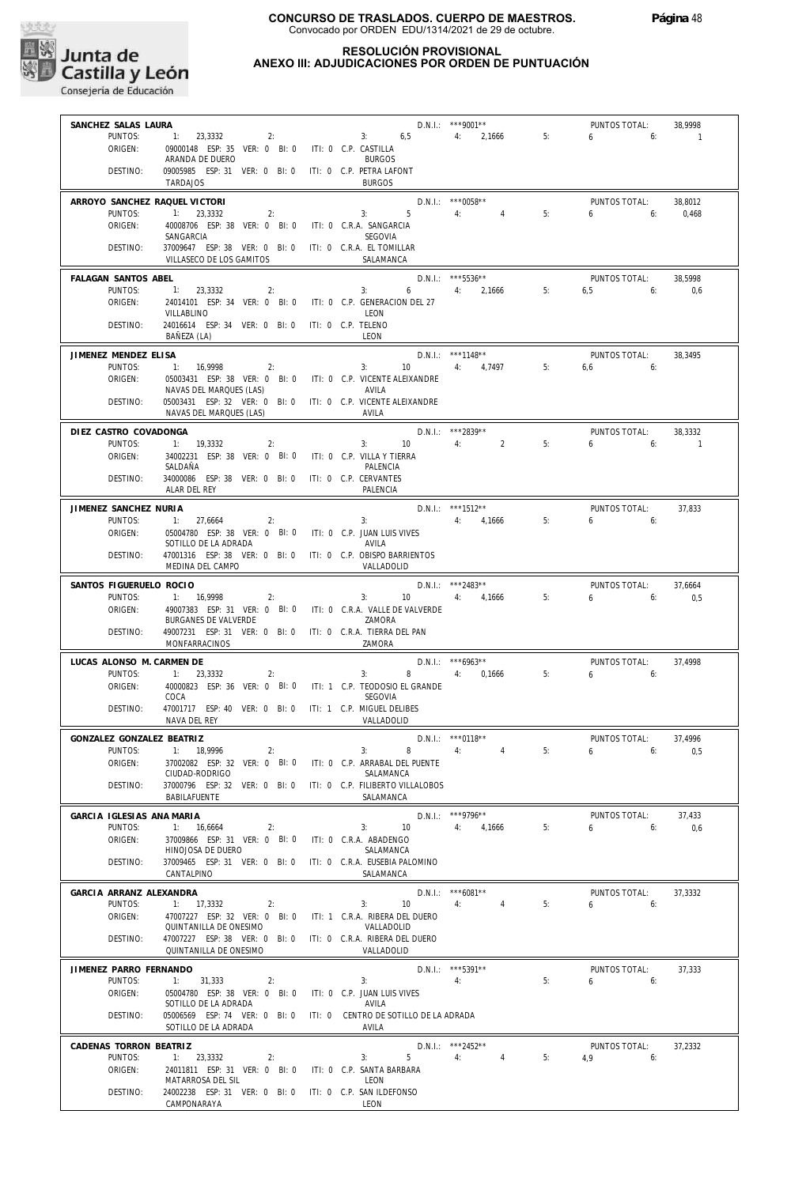

#### **RESOLUCIÓN PROVISIONAL ANEXO III: ADJUDICACIONES POR ORDEN DE PUNTUACIÓN**

| SANCHEZ SALAS LAURA           |                                                                     |                                             | $D.N.1.:$ ***9001**  |    | PUNTOS TOTAL: | 38,9998  |
|-------------------------------|---------------------------------------------------------------------|---------------------------------------------|----------------------|----|---------------|----------|
| PUNTOS:                       | 2:<br>1: 23,3332                                                    | 3: 6.5 4: 2.1666                            |                      | 5: | $6\qquad 6:$  | $\sim$ 1 |
| ORIGEN:                       | 09000148 ESP: 35 VER: 0 BI: 0 ITI: 0 C.P. CASTILLA                  |                                             |                      |    |               |          |
|                               | ARANDA DE DUERO                                                     | <b>BURGOS</b>                               |                      |    |               |          |
| DESTINO:                      | 09005985 ESP: 31 VER: 0 BI: 0 ITI: 0 C.P. PETRA LAFONT              |                                             |                      |    |               |          |
|                               | <b>TARDAJOS</b>                                                     | <b>BURGOS</b>                               |                      |    |               |          |
| ARROYO SANCHEZ RAQUEL VICTORI |                                                                     |                                             | $D.N.1.:$ ***0058**  |    | PUNTOS TOTAL: | 38,8012  |
| PUNTOS:                       | 1: 23,3332<br>2:                                                    | 3:5                                         | 4: 4                 | 5: | $6 - 6$       |          |
|                               |                                                                     |                                             |                      |    |               | 0,468    |
| ORIGEN:                       | 40008706 ESP: 38 VER: 0 BI: 0 ITI: 0 C.R.A. SANGARCIA<br>SANGARCIA  | SEGOVIA                                     |                      |    |               |          |
| DESTINO:                      | 37009647 ESP: 38 VER: 0 BI: 0 ITI: 0 C.R.A. EL TOMILLAR             |                                             |                      |    |               |          |
|                               | VILLASECO DE LOS GAMITOS                                            | SALAMANCA                                   |                      |    |               |          |
|                               |                                                                     |                                             |                      |    |               |          |
| FALAGAN SANTOS ABEL           |                                                                     |                                             | D.N.I.: ***5536**    |    | PUNTOS TOTAL: | 38.5998  |
| PUNTOS:                       | 1: 23,3332<br>2:                                                    | 3: $6$ 4: 2,1666 5:                         |                      |    | $6.5$ 6:      | 0,6      |
| ORIGEN:                       | 24014101 ESP: 34 VER: 0 BI: 0 ITI: 0 C.P. GENERACION DEL 27         |                                             |                      |    |               |          |
|                               | VILLABLINO                                                          | LEON                                        |                      |    |               |          |
| DESTINO:                      | 24016614 ESP: 34 VER: 0 BI: 0 ITI: 0 C.P. TELENO                    |                                             |                      |    |               |          |
|                               | BAÑEZA (LA)                                                         | LEON                                        |                      |    |               |          |
| JIMENEZ MENDEZ ELISA          |                                                                     |                                             | $D.N.1.:$ ***1148**  |    | PUNTOS TOTAL: | 38,3495  |
| PUNTOS:                       | 1: 16,9998<br>2:                                                    | 3:                                          | 10 4: 4,7497         | 5: | $6,6$ 6:      |          |
| ORIGEN:                       | 05003431 ESP: 38 VER: 0 BI: 0 ITI: 0 C.P. VICENTE ALEIXANDRE        |                                             |                      |    |               |          |
|                               | NAVAS DEL MARQUES (LAS)                                             | AVILA                                       |                      |    |               |          |
| DESTINO:                      | 05003431 ESP: 32 VER: 0 BI: 0 ITI: 0 C.P. VICENTE ALEIXANDRE        |                                             |                      |    |               |          |
|                               | NAVAS DEL MARQUES (LAS)                                             | AVILA                                       |                      |    |               |          |
|                               |                                                                     |                                             |                      |    |               |          |
| DIEZ CASTRO COVADONGA         |                                                                     |                                             | D.N.I.: *** 2839**   |    | PUNTOS TOTAL: | 38,3332  |
| PUNTOS:                       | 1: 19,3332<br>2:                                                    | 3:<br>10                                    | 4:<br>$2^{\circ}$    | 5: | $6 \t\t 6$    | $\sim$ 1 |
| ORIGEN:                       | 34002231 ESP: 38 VER: 0 BI: 0 ITI: 0 C.P. VILLA Y TIERRA            |                                             |                      |    |               |          |
|                               | SALDAÑA                                                             | PALENCIA                                    |                      |    |               |          |
| DESTINO:                      | 34000086 ESP: 38 VER: 0 BI: 0 ITI: 0 C.P. CERVANTES                 |                                             |                      |    |               |          |
|                               | ALAR DEL REY                                                        | PALENCIA                                    |                      |    |               |          |
| JIMENEZ SANCHEZ NURIA         |                                                                     |                                             | $D.N.1::$ ***1512**  |    | PUNTOS TOTAL: | 37,833   |
| PUNTOS:                       | 1: 27,6664<br>2:                                                    | 3:                                          | 4: 4,1666            | 5: | $6\qquad 6$   |          |
| ORIGEN:                       | 05004780 ESP: 38 VER: 0 BI: 0 ITI: 0 C.P. JUAN LUIS VIVES           |                                             |                      |    |               |          |
|                               | SOTILLO DE LA ADRADA                                                | AVILA                                       |                      |    |               |          |
| DESTINO:                      | 47001316 ESP: 38 VER: 0 BI: 0 ITI: 0 C.P. OBISPO BARRIENTOS         |                                             |                      |    |               |          |
|                               | MEDINA DEL CAMPO                                                    | VALLADOLID                                  |                      |    |               |          |
| SANTOS FIGUERUELO ROCIO       |                                                                     |                                             | D.N.I.: ***2483**    |    | PUNTOS TOTAL: | 37,6664  |
| PUNTOS:                       | 1: 16,9998<br>2:                                                    | 3:                                          | 10 4: 4,1666         | 5: | $6\qquad 6$   | 0.5      |
| ORIGEN:                       | 49007383 ESP: 31 VER: 0 BI: 0 ITI: 0 C.R.A. VALLE DE VALVERDE       |                                             |                      |    |               |          |
|                               | BURGANES DE VALVERDE                                                | ZAMORA                                      |                      |    |               |          |
| DESTINO:                      | 49007231 ESP: 31 VER: 0 BI: 0 ITI: 0 C.R.A. TIERRA DEL PAN          |                                             |                      |    |               |          |
|                               | MONFARRACINOS                                                       | ZAMORA                                      |                      |    |               |          |
|                               |                                                                     |                                             |                      |    |               |          |
| LUCAS ALONSO M. CARMEN DE     |                                                                     |                                             | $D.N.1::$ ***6963**  |    | PUNTOS TOTAL: | 37,4998  |
| PUNTOS:                       | 1: 23,3332<br>2:                                                    | 3:                                          | 8 4: 0,1666          | 5: | 655           |          |
| ORIGEN:                       | 40000823 ESP: 36 VER: 0 BI: 0 ITI: 1 C.P. TEODOSIO EL GRANDE        |                                             |                      |    |               |          |
|                               | COCA                                                                | SEGOVIA                                     |                      |    |               |          |
| DESTINO:                      | 47001717 ESP: 40 VER: 0 BI: 0 ITI: 1 C.P. MIGUEL DELIBES            |                                             |                      |    |               |          |
|                               | NAVA DEL REY                                                        | VALLADOLID                                  |                      |    |               |          |
| GONZALEZ GONZALEZ BEATRIZ     |                                                                     |                                             | D.N.I.: *** 0118**   |    | PUNTOS TOTAL: | 37,4996  |
| PUNTOS:                       | 1: 18.9996<br>2:                                                    | 3:<br>$8 - 1$                               | 4:<br>$\overline{4}$ | 5: | $6\qquad 6:$  | 0.5      |
| ORIGEN:                       | 37002082 ESP: 32 VER: 0 BI: 0                                       | ITI: 0 C.P. ARRABAL DEL PUENTE              |                      |    |               |          |
|                               | CIUDAD-RODRIGO                                                      | SALAMANCA                                   |                      |    |               |          |
| DESTINO:                      | 37000796 ESP: 32 VER: 0 BI: 0                                       | ITI: 0 C.P. FILIBERTO VILLALOBOS            |                      |    |               |          |
|                               | BABILAFUENTE                                                        | SALAMANCA                                   |                      |    |               |          |
|                               |                                                                     |                                             |                      |    |               |          |
| GARCIA IGLESIAS ANA MARIA     |                                                                     |                                             | D.N.I.: ***9796**    |    | PUNTOS TOTAL: | 37,433   |
| PUNTOS:                       | 1: 16,6664<br>2:                                                    | 3:<br>10                                    | 4,1666<br>4:         | 5: | 6<br>6:       | 0,6      |
| ORIGEN:                       | 37009866 ESP: 31 VER: 0 BI: 0                                       | ITI: 0 C.R.A. ABADENGO                      |                      |    |               |          |
|                               | HINOJOSA DE DUERO                                                   | SALAMANCA<br>ITI: 0 C.R.A. EUSEBIA PALOMINO |                      |    |               |          |
| DESTINO:                      | 37009465 ESP: 31 VER: 0 BI: 0<br>CANTALPINO                         | SALAMANCA                                   |                      |    |               |          |
|                               |                                                                     |                                             |                      |    |               |          |
| GARCIA ARRANZ ALEXANDRA       |                                                                     |                                             | $D.N.1::$ *** 6081** |    | PUNTOS TOTAL: | 37,3332  |
| PUNTOS:                       | 1: 17,3332<br>2:                                                    | 3:<br>10                                    | $\overline{4}$<br>4: | 5: | 6<br>6:       |          |
| ORIGEN:                       | 47007227 ESP: 32 VER: 0 BI: 0                                       | ITI: 1 C.R.A. RIBERA DEL DUERO              |                      |    |               |          |
|                               | QUINTANILLA DE ONESIMO                                              | VALLADOLID                                  |                      |    |               |          |
| DESTINO:                      | 47007227 ESP: 38 VER: 0 BI: 0                                       | ITI: 0 C.R.A. RIBERA DEL DUERO              |                      |    |               |          |
|                               | QUINTANILLA DE ONESIMO                                              | VALLADOLID                                  |                      |    |               |          |
| JIMENEZ PARRO FERNANDO        |                                                                     |                                             | D.N.I.: *** 5391**   |    | PUNTOS TOTAL: | 37,333   |
| PUNTOS:                       | 1:<br>31,333<br>2:                                                  | 3:                                          | 4:                   | 5: | 6<br>6:       |          |
| ORIGEN:                       | 05004780 ESP: 38 VER: 0 BI: 0                                       | ITI: 0 C.P. JUAN LUIS VIVES                 |                      |    |               |          |
|                               | SOTILLO DE LA ADRADA                                                | AVILA                                       |                      |    |               |          |
| DESTINO:                      | 05006569 ESP: 74 VER: 0 BI: 0 ITI: 0 CENTRO DE SOTILLO DE LA ADRADA |                                             |                      |    |               |          |
|                               | SOTILLO DE LA ADRADA                                                | AVILA                                       |                      |    |               |          |
|                               |                                                                     |                                             |                      |    |               |          |
| CADENAS TORRON BEATRIZ        |                                                                     |                                             | D.N.I.: ***2452**    |    | PUNTOS TOTAL: | 37,2332  |
| PUNTOS:                       | 1: 23,3332<br>2:                                                    | 5<br>3:                                     | 4:<br>$\overline{4}$ | 5: | 4.9<br>6:     |          |
| ORIGEN:                       | 24011811 ESP: 31 VER: 0 BI: 0                                       | ITI: 0 C.P. SANTA BARBARA                   |                      |    |               |          |
|                               | MATARROSA DEL SIL                                                   | LEON                                        |                      |    |               |          |
| DESTINO:                      | 24002238 ESP: 31 VER: 0 BI: 0<br>CAMPONARAYA                        | ITI: 0 C.P. SAN ILDEFONSO<br>LEON           |                      |    |               |          |
|                               |                                                                     |                                             |                      |    |               |          |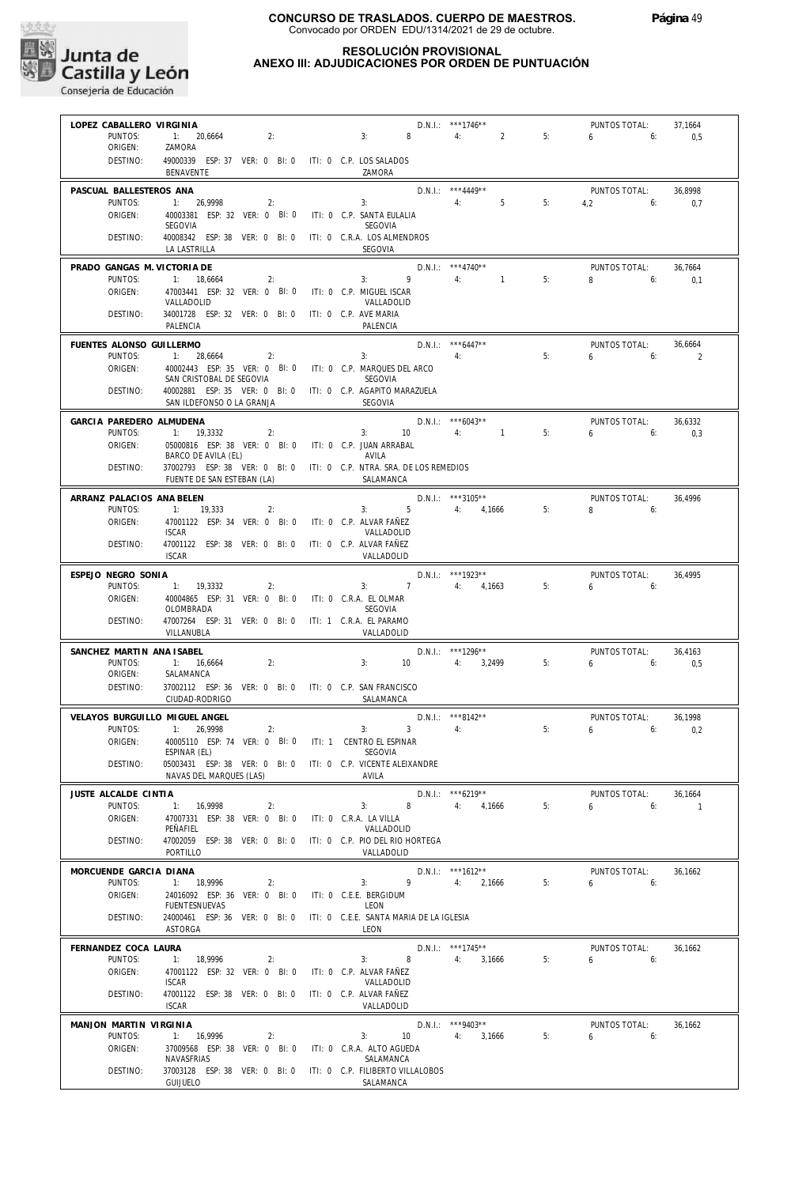

## **RESOLUCIÓN PROVISIONAL**

### **ANEXO III: ADJUDICACIONES POR ORDEN DE PUNTUACIÓN**

| LOPEZ CABALLERO VIRGINIA          |                                                                                                    |                                                 |                          | D.N.I.: ***1746**<br>8 4: 2 5:           |    | PUNTOS TOTAL:                   | 37,1664                  |
|-----------------------------------|----------------------------------------------------------------------------------------------------|-------------------------------------------------|--------------------------|------------------------------------------|----|---------------------------------|--------------------------|
| PUNTOS:<br>ORIGEN:                | $1: 20,6664$ 2:<br>ZAMORA                                                                          | 3:                                              |                          |                                          | 5: | $6\qquad 6:$                    | 0,5                      |
| DESTINO:                          | 49000339 ESP: 37 VER: 0 BI: 0 ITI: 0 C.P. LOS SALADOS<br>BENAVENTE                                 | ZAMORA                                          |                          |                                          |    |                                 |                          |
| PASCUAL BALLESTEROS ANA           |                                                                                                    |                                                 |                          | $D.N.1.:$ ***4449**                      |    | PUNTOS TOTAL:                   | 36.8998                  |
| PUNTOS:<br>ORIGEN:                | 1: 26,9998<br>2:<br>40003381 ESP: 32 VER: 0 BI: 0 ITI: 0 C.P. SANTA EULALIA                        |                                                 |                          |                                          |    | 3: $4: 5: 4,2: 6: 0,7$          |                          |
|                                   | SEGOVIA                                                                                            | SEGOVIA                                         |                          |                                          |    |                                 |                          |
| DESTINO:                          | 40008342 ESP: 38 VER: 0 BI: 0 ITI: 0 C.R.A. LOS ALMENDROS<br>LA LASTRILLA                          | SEGOVIA                                         |                          |                                          |    |                                 |                          |
| PRADO GANGAS M. VICTORIA DE       |                                                                                                    |                                                 | $D.N.1.:$ ***4740**      | $\frac{3!}{4!}$ 1                        |    | PUNTOS TOTAL:                   | 36,7664                  |
| PUNTOS:<br>ORIGEN:                | 1: $18,6664$ 2:<br>47003441 ESP: 32 VER: 0 BI: 0 ITI: 0 C.P. MIGUEL ISCAR                          |                                                 |                          |                                          | 5: | 8 6: 0,1                        |                          |
| DESTINO:                          | VALLADOLID<br>34001728 ESP: 32 VER: 0 BI: 0 ITI: 0 C.P. AVE MARIA                                  | VALLADOLID                                      |                          |                                          |    |                                 |                          |
|                                   | PALENCIA                                                                                           | PALENCIA                                        |                          |                                          |    |                                 |                          |
| FUENTES ALONSO GUILLERMO          |                                                                                                    |                                                 | $D.N.1.:$ ***6447**      |                                          |    | PUNTOS TOTAL:                   | 36,6664                  |
| PUNTOS:<br>ORIGEN:                | $1: 28,6664$ 2:<br>40002443 ESP: 35 VER: 0 BI: 0 ITI: 0 C.P. MARQUES DEL ARCO                      |                                                 | $3:$ 4:                  | 5:                                       |    | $6\qquad 6$                     | $\overline{\phantom{0}}$ |
|                                   | SAN CRISTOBAL DE SEGOVIA SEGOVIA                                                                   |                                                 |                          |                                          |    |                                 |                          |
| DESTINO:                          | 40002881 ESP: 35 VER: 0 BI: 0 ITI: 0 C.P. AGAPITO MARAZUELA<br>SAN ILDEFONSO O LA GRANJA           | SEGOVIA                                         |                          |                                          |    |                                 |                          |
| GARCIA PAREDERO ALMUDENA          |                                                                                                    |                                                 | $D.N.1.:$ ***6043**      |                                          |    | PUNTOS TOTAL:                   | 36,6332                  |
| PUNTOS:                           | $1: 19,3332$ 2: 3: 10 4: 1 5:                                                                      |                                                 |                          |                                          |    | $6\qquad 6$                     | 0,3                      |
| ORIGEN:                           | 05000816 ESP: 38 VER: 0 BI: 0 ITI: 0 C.P. JUAN ARRABAL<br>BARCO DE AVILA (EL)                      | AVILA                                           |                          |                                          |    |                                 |                          |
| DESTINO:                          | 37002793 ESP: 38 VER: 0 BI: 0 ITI: 0 C.P. NTRA. SRA. DE LOS REMEDIOS<br>FUENTE DE SAN ESTEBAN (LA) | SALAMANCA                                       |                          |                                          |    |                                 |                          |
| ARRANZ PALACIOS ANA BELEN         |                                                                                                    |                                                 |                          |                                          |    | D.N.I.: ***3105** PUNTOS TOTAL: | 36,4996                  |
| ORIGEN:                           | PUNTOS: 1: 19,333 2:<br>47001122 ESP: 34 VER: 0 BI: 0 ITI: 0 C.P. ALVAR FAÑEZ                      |                                                 |                          | 3: $5$ 4: $4,1666$ 5:                    |    | $8 \t\t 6$                      |                          |
|                                   | <b>ISCAR</b>                                                                                       | VALLADOLID                                      |                          |                                          |    |                                 |                          |
| DESTINO:                          | 47001122 ESP: 38 VER: 0 BI: 0 ITI: 0 C.P. ALVAR FAÑEZ<br><b>ISCAR</b>                              | VALLADOLID                                      |                          |                                          |    |                                 |                          |
| ESPEJO NEGRO SONIA                |                                                                                                    |                                                 |                          | $D.N.I.:$ ***1923**<br>3: 7 4: 4,1663 5: |    | PUNTOS TOTAL:                   | 36.4995                  |
| PUNTOS:<br>ORIGEN:                | 1: 19,3332<br>2:<br>40004865 ESP: 31 VER: 0 BI: 0 ITI: 0 C.R.A. EL OLMAR                           |                                                 |                          |                                          |    | 6.6                             |                          |
|                                   | OLOMBRADA                                                                                          | SEGOVIA                                         |                          |                                          |    |                                 |                          |
| DESTINO:                          | 47007264 ESP: 31 VER: 0 BI: 0 ITI: 1 C.R.A. EL PARAMO<br>VILLANUBLA                                | VALLADOLID                                      |                          |                                          |    |                                 |                          |
| SANCHEZ MARTIN ANA ISABEL         |                                                                                                    |                                                 |                          | D.N.I.: ***1296**                        |    | PUNTOS TOTAL:                   | 36,4163                  |
| PUNTOS:<br>ORIGEN:                | 1: 16,6664<br>2:<br>SALAMANCA                                                                      |                                                 |                          | 3: 10 $4:3,2499$ 5:                      |    | $6 \t\t 6$ : 0,5                |                          |
| DESTINO:                          | 37002112 ESP: 36 VER: 0 BI: 0 ITI: 0 C.P. SAN FRANCISCO                                            | SALAMANCA                                       |                          |                                          |    |                                 |                          |
| VELAYOS BURGUILLO MIGUEL ANGEL    | CIUDAD-RODRIGO                                                                                     |                                                 |                          |                                          |    | PUNTOS TOTAL:                   | 36.1998                  |
| PUNTOS:                           | 1: 26,9998<br>2:                                                                                   |                                                 |                          | $D.N.I.:$ ***8142**<br>3: 3 4:           | 5: | $6 \t\t 6$                      | 0.2                      |
| ORIGEN:                           | 40005110 ESP: 74 VER: 0 BI: 0 ITI: 1 CENTRO EL ESPINAR<br>ESPINAR (EL)                             | SEGOVIA                                         |                          |                                          |    |                                 |                          |
| DESTINO:                          | 05003431 ESP: 38 VER: 0 BI: 0 ITI: 0 C.P. VICENTE ALEIXANDRE                                       |                                                 |                          |                                          |    |                                 |                          |
|                                   | NAVAS DEL MARQUES (LAS)                                                                            | AVILA                                           |                          |                                          |    |                                 |                          |
| JUSTE ALCALDE CINTIA<br>PUNTOS:   | 1: 16,9998<br>2:                                                                                   | 3:                                              | D.N.I.: *** 6219**<br>8  | 4: 4,1666                                | 5: | PUNTOS TOTAL:<br>6<br>6:        | 36,1664<br>$\sim$ 1      |
| ORIGEN:                           | 47007331 ESP: 38 VER: 0 BI: 0<br>PEÑAFIEL                                                          | ITI: 0 C.R.A. LA VILLA<br>VALLADOLID            |                          |                                          |    |                                 |                          |
| DESTINO:                          | 47002059 ESP: 38 VER: 0 BI: 0                                                                      | ITI: 0 C.P. PIO DEL RIO HORTEGA                 |                          |                                          |    |                                 |                          |
|                                   | PORTILLO                                                                                           | VALLADOLID                                      |                          |                                          |    |                                 |                          |
| MORCUENDE GARCIA DIANA<br>PUNTOS: | 1: 18,9996<br>2:                                                                                   | 3:                                              | $D.N.1.:$ ***1612**<br>9 | 4:<br>2,1666                             | 5: | PUNTOS TOTAL:<br>6<br>6:        | 36,1662                  |
| ORIGEN:                           | 24016092 ESP: 36 VER: 0 BI: 0                                                                      | ITI: 0 C.E.E. BERGIDUM                          |                          |                                          |    |                                 |                          |
| DESTINO:                          | FUENTESNUEVAS<br>24000461 ESP: 36 VER: 0 BI: 0                                                     | LEON<br>ITI: 0 C.E.E. SANTA MARIA DE LA IGLESIA |                          |                                          |    |                                 |                          |
|                                   | ASTORGA                                                                                            | LEON                                            |                          |                                          |    |                                 |                          |
| FERNANDEZ COCA LAURA<br>PUNTOS:   | 1: 18,9996<br>2:                                                                                   | 3:                                              | D.N.I.: ***1745**<br>8   | 4:<br>3,1666                             | 5: | PUNTOS TOTAL:<br>6<br>6:        | 36,1662                  |
| ORIGEN:                           | 47001122 ESP: 32 VER: 0 BI: 0                                                                      | ITI: 0 C.P. ALVAR FAÑEZ                         |                          |                                          |    |                                 |                          |
| DESTINO:                          | <b>ISCAR</b><br>47001122 ESP: 38 VER: 0 BI: 0                                                      | VALLADOLID<br>ITI: 0 C.P. ALVAR FAÑEZ           |                          |                                          |    |                                 |                          |
|                                   | <b>ISCAR</b>                                                                                       | VALLADOLID                                      |                          |                                          |    |                                 |                          |
| MANJON MARTIN VIRGINIA            |                                                                                                    |                                                 | $D.N.1::$ ***9403**      |                                          |    | PUNTOS TOTAL:                   | 36,1662                  |
| PUNTOS:<br>ORIGEN:                | 1: 16,9996<br>2:<br>37009568 ESP: 38 VER: 0 BI: 0                                                  | 3:<br>ITI: 0 C.R.A. ALTO AGUEDA                 | 10                       | 4: 3,1666                                | 5: | 6<br>6:                         |                          |
|                                   | NAVASFRIAS                                                                                         | SALAMANCA                                       |                          |                                          |    |                                 |                          |
| DESTINO:                          | 37003128 ESP: 38 VER: 0 BI: 0 ITI: 0 C.P. FILIBERTO VILLALOBOS<br><b>GUIJUELO</b>                  | SALAMANCA                                       |                          |                                          |    |                                 |                          |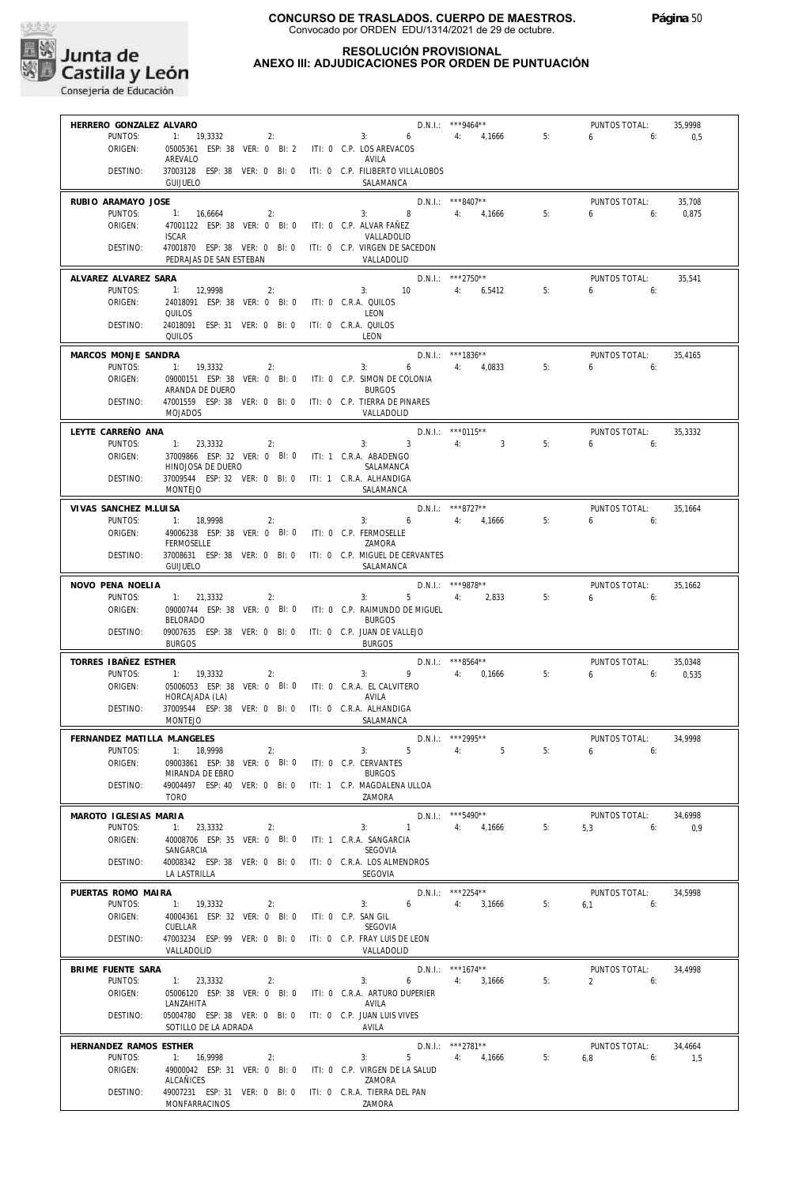

#### **RESOLUCIÓN PROVISIONAL ANEXO III: ADJUDICACIONES POR ORDEN DE PUNTUACIÓN**

| HERRERO GONZALEZ ALVARO          |                                                                                 |                             |                                               | $D.N.1::$ ***9464**  |    | PUNTOS TOTAL:                | 35,9998 |
|----------------------------------|---------------------------------------------------------------------------------|-----------------------------|-----------------------------------------------|----------------------|----|------------------------------|---------|
| PUNTOS:                          | 1: 19,3332                                                                      | 2:                          | $3: 6 \t 4: 4.1666$                           |                      | 5: | $6 \t\t\t 6$                 | 0,5     |
| ORIGEN:                          | 05005361 ESP: 38 VER: 0 BI: 2 ITI: 0 C.P. LOS AREVACOS                          |                             |                                               |                      |    |                              |         |
|                                  | AREVALO                                                                         |                             | AVILA                                         |                      |    |                              |         |
| DESTINO:                         | 37003128 ESP: 38 VER: 0 BI: 0 ITI: 0 C.P. FILIBERTO VILLALOBOS                  |                             |                                               |                      |    |                              |         |
|                                  | <b>GUIJUELO</b>                                                                 |                             | SALAMANCA                                     |                      |    |                              |         |
| RUBIO ARAMAYO JOSE               |                                                                                 |                             |                                               | $D.N.1.:$ ***8407**  |    | PUNTOS TOTAL:                | 35,708  |
| PUNTOS:                          | 1: 16,6664<br>2:                                                                |                             | 3: 8 4: 4,1666                                |                      | 5: | 6<br>6:                      | 0.875   |
| ORIGEN:                          | 47001122 ESP: 38 VER: 0 BI: 0 ITI: 0 C.P. ALVAR FAÑEZ                           |                             |                                               |                      |    |                              |         |
|                                  | <b>ISCAR</b>                                                                    |                             | VALLADOLID                                    |                      |    |                              |         |
| DESTINO:                         | 47001870 ESP: 38 VER: 0 BI: 0 ITI: 0 C.P. VIRGEN DE SACEDON                     |                             |                                               |                      |    |                              |         |
|                                  | PEDRAJAS DE SAN ESTEBAN                                                         |                             | VALLADOLID                                    |                      |    |                              |         |
| ALVAREZ ALVAREZ SARA             |                                                                                 |                             |                                               | $D.N.1.:$ ***2750**  |    | PUNTOS TOTAL:                | 35,541  |
| PUNTOS:                          | 1: 12,9998<br>2:                                                                |                             | $3: 10 \t 4: 6,5412$                          |                      | 5: | 6<br>6:                      |         |
| ORIGEN:                          | 24018091 ESP: 38 VER: 0 BI: 0 ITI: 0 C.R.A. QUILOS                              |                             |                                               |                      |    |                              |         |
|                                  | QUILOS                                                                          |                             | LEON                                          |                      |    |                              |         |
| DESTINO:                         | 24018091 ESP: 31 VER: 0 BI: 0 ITI: 0 C.R.A. QUILOS                              |                             |                                               |                      |    |                              |         |
|                                  | QUILOS                                                                          |                             | LEON                                          |                      |    |                              |         |
| MARCOS MONJE SANDRA              |                                                                                 |                             |                                               | D.N.I.: ***1836**    |    | PUNTOS TOTAL:                | 35,4165 |
| PUNTOS:                          | 1: 19,3332<br>2:                                                                |                             | $6\quad$<br>3:                                | 4: 4,0833            | 5: | $6\qquad 6$                  |         |
| ORIGEN:                          | 09000151 ESP: 38 VER: 0 BI: 0 ITI: 0 C.P. SIMON DE COLONIA                      |                             |                                               |                      |    |                              |         |
|                                  | ARANDA DE DUERO                                                                 |                             | <b>BURGOS</b>                                 |                      |    |                              |         |
| DESTINO:                         | 47001559 ESP: 38 VER: 0 BI: 0 ITI: 0 C.P. TIERRA DE PINARES                     |                             |                                               |                      |    |                              |         |
|                                  | <b>MOJADOS</b>                                                                  |                             | VALLADOLID                                    |                      |    |                              |         |
| LEYTE CARREÑO ANA                |                                                                                 |                             |                                               | D.N.I.: *** 0115**   |    | PUNTOS TOTAL:                | 35,3332 |
| PUNTOS:                          | 1: 23,3332<br>2:                                                                |                             | 3:3                                           | 4:<br>$\sim$ 3       | 5: | 6:<br>6                      |         |
| ORIGEN:                          | 37009866 ESP: 32 VER: 0 BI: 0 ITI: 1 C.R.A. ABADENGO                            |                             |                                               |                      |    |                              |         |
|                                  | HINOJOSA DE DUERO                                                               |                             | SALAMANCA                                     |                      |    |                              |         |
| DESTINO:                         | 37009544 ESP: 32 VER: 0 BI: 0 ITI: 1 C.R.A. ALHANDIGA                           |                             |                                               |                      |    |                              |         |
|                                  | <b>MONTEJO</b>                                                                  |                             | SALAMANCA                                     |                      |    |                              |         |
|                                  |                                                                                 |                             |                                               | $D.N.1.:$ ***8727**  |    |                              |         |
| VIVAS SANCHEZ M.LUISA<br>PUNTOS: | 1: 18,9998<br>2:                                                                |                             | $D.N.I.:$ ***8/2/**<br>3: 6 4: 4,1666         |                      | 5: | PUNTOS TOTAL:<br>$6\qquad 6$ | 35,1664 |
| ORIGEN:                          | 49006238 ESP: 38 VER: 0 BI: 0 ITI: 0 C.P. FERMOSELLE                            |                             |                                               |                      |    |                              |         |
|                                  | <b>FERMOSELLE</b>                                                               |                             | ZAMORA                                        |                      |    |                              |         |
| DESTINO:                         | 37008631 ESP: 38 VER: 0 BI: 0 ITI: 0 C.P. MIGUEL DE CERVANTES                   |                             |                                               |                      |    |                              |         |
|                                  | <b>GUIJUELO</b>                                                                 |                             | SALAMANCA                                     |                      |    |                              |         |
|                                  |                                                                                 |                             |                                               |                      |    |                              |         |
| NOVO PENA NOELIA                 |                                                                                 |                             |                                               | D.N.I.: ***9878**    |    | PUNTOS TOTAL:                | 35,1662 |
| PUNTOS:                          | 1: 21,3332<br>2:                                                                |                             | 3:                                            | 5 4: 2,833           | 5: | 6<br>6:                      |         |
| ORIGEN:                          | 09000744 ESP: 38 VER: 0 BI: 0 ITI: 0 C.P. RAIMUNDO DE MIGUEL<br><b>BELORADO</b> |                             | <b>BURGOS</b>                                 |                      |    |                              |         |
| DESTINO:                         | 09007635 ESP: 38 VER: 0 BI: 0                                                   |                             | ITI: 0 C.P. JUAN DE VALLEJO                   |                      |    |                              |         |
|                                  | <b>BURGOS</b>                                                                   |                             | <b>BURGOS</b>                                 |                      |    |                              |         |
|                                  |                                                                                 |                             |                                               |                      |    |                              |         |
| TORRES IBAÑEZ ESTHER             |                                                                                 |                             |                                               | D.N.I.: ***8564**    |    | PUNTOS TOTAL:                | 35,0348 |
| PUNTOS:                          | 1: 19,3332<br>2:                                                                |                             | 3:                                            | 9 4: 0,1666          | 5: | $6\qquad 6$                  | 0,535   |
| ORIGEN:                          | 05006053 ESP: 38 VER: 0 BI: 0 ITI: 0 C.R.A. EL CALVITERO                        |                             |                                               |                      |    |                              |         |
| DESTINO:                         | HORCAJADA (LA)<br>37009544 ESP: 38 VER: 0 BI: 0 ITI: 0 C.R.A. ALHANDIGA         |                             | AVILA                                         |                      |    |                              |         |
|                                  | MONTEJO                                                                         |                             | SALAMANCA                                     |                      |    |                              |         |
|                                  |                                                                                 |                             |                                               |                      |    |                              |         |
| FERNANDEZ MATILLA M.ANGELES      |                                                                                 |                             |                                               | D.N.I.: *** 2995**   |    | PUNTOS TOTAL:                | 34,9998 |
|                                  | PUNTOS: 1: 18,9998<br>2:                                                        |                             | $5 - 5$<br>3:                                 | 5 <sub>5</sub><br>4: | 5: | $6\qquad 6:$                 |         |
| ORIGEN:                          | 09003861 ESP: 38 VER: 0 BI: 0                                                   | ITI: 0 C.P. CERVANTES       |                                               |                      |    |                              |         |
|                                  | MIRANDA DE EBRO                                                                 |                             | <b>BURGOS</b>                                 |                      |    |                              |         |
| DESTINO:                         | 49004497 ESP: 40 VER: 0 BI: 0<br><b>TORO</b>                                    |                             | ITI: 1 C.P. MAGDALENA ULLOA<br>7AMORA         |                      |    |                              |         |
|                                  |                                                                                 |                             |                                               |                      |    |                              |         |
| MAROTO IGLESIAS MARIA            |                                                                                 |                             |                                               | $D.N.1.:$ ***5490**  |    | PUNTOS TOTAL:                | 34,6998 |
| PUNTOS:                          | 1:<br>23,3332<br>2:                                                             |                             | 3:<br>$\mathbf{1}$                            | 4: 4,1666            | 5: | 5,3<br>6:                    | 0,9     |
| ORIGEN:                          | 40008706 ESP: 35 VER: 0 BI: 0                                                   | ITI: 1 C.R.A. SANGARCIA     |                                               |                      |    |                              |         |
|                                  | SANGARCIA                                                                       |                             | SEGOVIA                                       |                      |    |                              |         |
| DESTINO:                         | 40008342 ESP: 38 VER: 0 BI: 0                                                   |                             | ITI: 0 C.R.A. LOS ALMENDROS<br><b>SEGOVIA</b> |                      |    |                              |         |
|                                  | LA LASTRILLA                                                                    |                             |                                               |                      |    |                              |         |
| PUERTAS ROMO MAIRA               |                                                                                 |                             |                                               | D.N.I.: ***2254**    |    | PUNTOS TOTAL:                | 34,5998 |
| PUNTOS:                          | 1: 19,3332<br>2:                                                                |                             | 6<br>3:                                       | 4: 3,1666            | 5: | 6.1<br>6:                    |         |
| ORIGEN:                          | 40004361 ESP: 32 VER: 0 BI: 0                                                   | ITI: 0 C.P. SAN GIL         |                                               |                      |    |                              |         |
|                                  | CUELLAR                                                                         |                             | SEGOVIA                                       |                      |    |                              |         |
| DESTINO:                         | 47003234 ESP: 99 VER: 0 BI: 0                                                   |                             | ITI: 0 C.P. FRAY LUIS DE LEON                 |                      |    |                              |         |
|                                  | VALLADOLID                                                                      |                             | VALLADOLID                                    |                      |    |                              |         |
| BRIME FUENTE SARA                |                                                                                 |                             |                                               | $D.N.1.:$ ***1674**  |    | PUNTOS TOTAL:                | 34,4998 |
| PUNTOS:                          | 1: 23,3332<br>2:                                                                |                             | 3:<br>6                                       | 3,1666<br>4:         | 5: | $\overline{2}$<br>6:         |         |
| ORIGEN:                          | 05006120 ESP: 38 VER: 0 BI: 0                                                   |                             | ITI: 0 C.R.A. ARTURO DUPERIER                 |                      |    |                              |         |
|                                  | LANZAHITA                                                                       |                             | AVILA                                         |                      |    |                              |         |
| DESTINO:                         | 05004780 ESP: 38 VER: 0 BI: 0                                                   | ITI: 0 C.P. JUAN LUIS VIVES |                                               |                      |    |                              |         |
|                                  | SOTILLO DE LA ADRADA                                                            |                             | AVILA                                         |                      |    |                              |         |
| HERNANDEZ RAMOS ESTHER           |                                                                                 |                             |                                               | $D.N.1::$ ***2781**  |    | PUNTOS TOTAL:                | 34,4664 |
| PUNTOS:                          | 1: 16,9998<br>2:                                                                |                             | $5 -$<br>3:                                   | 4:<br>4,1666         | 5: | 6,8<br>6:                    | 1,5     |
| ORIGEN:                          | 49000042 ESP: 31 VER: 0 BI: 0                                                   |                             | ITI: 0 C.P. VIRGEN DE LA SALUD                |                      |    |                              |         |
|                                  | ALCAÑICES                                                                       |                             | ZAMORA                                        |                      |    |                              |         |
|                                  |                                                                                 |                             | ITI: 0 C.R.A. TIERRA DEL PAN                  |                      |    |                              |         |
| DESTINO:                         | 49007231 ESP: 31 VER: 0 BI: 0<br>MONFARRACINOS                                  |                             | ZAMORA                                        |                      |    |                              |         |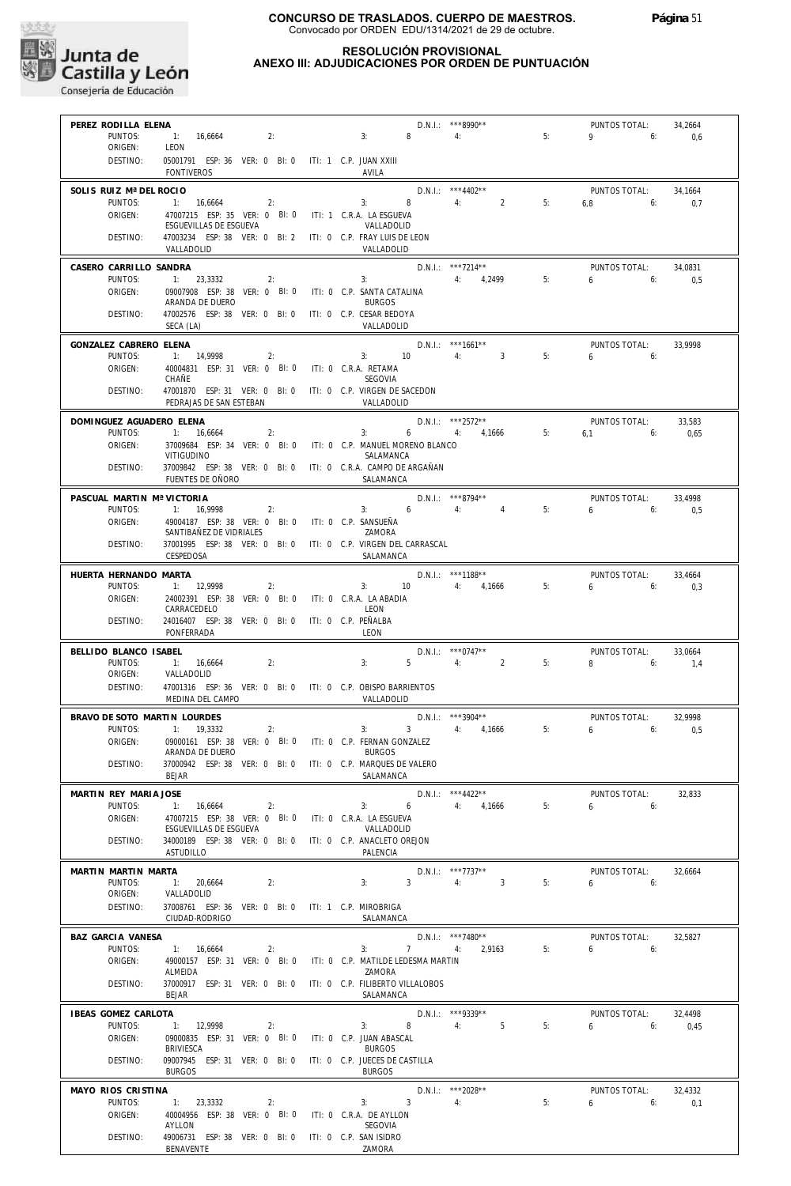

#### **RESOLUCIÓN PROVISIONAL ANEXO III: ADJUDICACIONES POR ORDEN DE PUNTUACIÓN**

| PUNTOS:                                                                                                                   |                                                                                  |    |  | $D.N.1.:$ ***8990**                                                         |                                    |    | PUNTOS TOTAL:             | 34,2664        |
|---------------------------------------------------------------------------------------------------------------------------|----------------------------------------------------------------------------------|----|--|-----------------------------------------------------------------------------|------------------------------------|----|---------------------------|----------------|
|                                                                                                                           | 1: 16,6664                                                                       | 2: |  | 8 4:<br>3:                                                                  |                                    | 5: | $9 \t\t 6$                | 0,6            |
| ORIGEN:                                                                                                                   | LEON                                                                             |    |  |                                                                             |                                    |    |                           |                |
| DESTINO:                                                                                                                  | 05001791 ESP: 36 VER: 0 BI: 0 ITI: 1 C.P. JUAN XXIII<br><b>FONTIVEROS</b>        |    |  | AVILA                                                                       |                                    |    |                           |                |
|                                                                                                                           |                                                                                  |    |  |                                                                             |                                    |    |                           |                |
| SOLIS RUIZ Mª DEL ROCIO<br>PUNTOS:                                                                                        | 1: 16,6664                                                                       | 2: |  | $3: 8 \t 4: 2$                                                              | $D.N.1.:$ ***4402**                | 5: | PUNTOS TOTAL:<br>$6,8$ 6: | 34,1664<br>0,7 |
| ORIGEN:                                                                                                                   | 47007215 ESP: 35 VER: 0 BI: 0 ITI: 1 C.R.A. LA ESGUEVA                           |    |  |                                                                             |                                    |    |                           |                |
|                                                                                                                           | ESGUEVILLAS DE ESGUEVA                                                           |    |  | VALLADOLID                                                                  |                                    |    |                           |                |
| DESTINO:                                                                                                                  | 47003234 ESP: 38 VER: 0 BI: 2 ITI: 0 C.P. FRAY LUIS DE LEON<br>VALLADOLID        |    |  | VALLADOLID                                                                  |                                    |    |                           |                |
| CASERO CARRILLO SANDRA                                                                                                    |                                                                                  |    |  |                                                                             | $D.N.1.:$ ***7214**                |    | PUNTOS TOTAL:             | 34,0831        |
| PUNTOS:                                                                                                                   | 1: 23.3332                                                                       | 2: |  | 3:                                                                          | 4: 4,2499                          | 5: | $6 \t\t 6$                | 0,5            |
| ORIGEN:                                                                                                                   | 09007908 ESP: 38 VER: 0 BI: 0 ITI: 0 C.P. SANTA CATALINA<br>ARANDA DE DUERO      |    |  | <b>BURGOS</b>                                                               |                                    |    |                           |                |
| DESTINO:                                                                                                                  | 47002576 ESP: 38 VER: 0 BI: 0 ITI: 0 C.P. CESAR BEDOYA<br>SECA (LA)              |    |  | VALLADOLID                                                                  |                                    |    |                           |                |
| GONZALEZ CABRERO ELENA                                                                                                    |                                                                                  |    |  |                                                                             | $D.N.I.:$ ***1661**                |    | PUNTOS TOTAL:             | 33.9998        |
| PUNTOS:                                                                                                                   | 1: 14,9998                                                                       | 2: |  | 3: 10                                                                       | 4:3                                | 5: | $6\qquad 6$               |                |
| ORIGEN:                                                                                                                   | 40004831 ESP: 31 VER: 0 BI: 0 ITI: 0 C.R.A. RETAMA<br>CHAÑE                      |    |  | SEGOVIA                                                                     |                                    |    |                           |                |
| DESTINO:                                                                                                                  | PEDRAJAS DE SAN ESTEBAN                                                          |    |  | 47001870 ESP: 31 VER: 0 BI: 0 ITI: 0 C.P. VIRGEN DE SACEDON<br>VALLADOLID   |                                    |    |                           |                |
| DOMINGUEZ AGUADERO ELENA                                                                                                  |                                                                                  |    |  |                                                                             | $D.N.1.:$ ***2572**                |    | PUNTOS TOTAL:             | 33,583         |
| PUNTOS:                                                                                                                   | 1: 16,6664                                                                       | 2: |  | 3:                                                                          | 6 4: 4,1666 5:                     |    | $6.1$ $6:$                | 0.65           |
| ORIGEN:                                                                                                                   |                                                                                  |    |  | 37009684 ESP: 34 VER: 0 BI: 0 ITI: 0 C.P. MANUEL MORENO BLANCO              |                                    |    |                           |                |
| DESTINO:                                                                                                                  | VITIGUDINO                                                                       |    |  | SALAMANCA<br>37009842 ESP: 38 VER: 0 BI: 0 ITI: 0 C.R.A. CAMPO DE ARGAÑAN   |                                    |    |                           |                |
|                                                                                                                           | FUENTES DE OÑORO                                                                 |    |  | SALAMANCA                                                                   |                                    |    |                           |                |
| PASCUAL MARTIN Mª VICTORIA                                                                                                |                                                                                  |    |  | $3: 6 \t 4: 4$                                                              | $D.N.1::$ ***8794**                |    | PUNTOS TOTAL:             | 33.4998        |
| PUNTOS:<br>ORIGEN:                                                                                                        | 1: 16,9998<br>49004187 ESP: 38 VER: 0 BI: 0 ITI: 0 C.P. SANSUEÑA                 | 2: |  |                                                                             |                                    | 5: | $6 \t\t 6$                | 0.5            |
|                                                                                                                           | SANTIBAÑEZ DE VIDRIALES                                                          |    |  | 7AMORA                                                                      |                                    |    |                           |                |
| DESTINO:                                                                                                                  | CESPEDOSA                                                                        |    |  | 37001995 ESP: 38 VER: 0 BI: 0 ITI: 0 C.P. VIRGEN DEL CARRASCAL<br>SALAMANCA |                                    |    |                           |                |
| HUERTA HERNANDO MARTA                                                                                                     |                                                                                  |    |  |                                                                             | D.N.I.: ***1188**                  |    | PUNTOS TOTAL:             | 33,4664        |
| PUNTOS:                                                                                                                   | 1: 12,9998                                                                       | 2: |  | $3: 10 \t 4: 4.1666$                                                        |                                    | 5: | $6 \t\t 6$                | 0,3            |
| ORIGEN:                                                                                                                   | 24002391 ESP: 38 VER: 0 BI: 0 ITI: 0 C.R.A. LA ABADIA<br>CARRACEDELO             |    |  | LEON                                                                        |                                    |    |                           |                |
| DESTINO:                                                                                                                  | 24016407 ESP: 38 VER: 0 BI: 0 ITI: 0 C.P. PEÑALBA<br>PONFERRADA                  |    |  | LEON                                                                        |                                    |    |                           |                |
| BELLIDO BLANCO ISABEL                                                                                                     |                                                                                  |    |  |                                                                             | $D.N.1.:$ ***0747**                |    | PUNTOS TOTAL:             | 33,0664        |
| PUNTOS:                                                                                                                   | 1: 16,6664                                                                       | 2: |  | 3:<br>$5 -$                                                                 | 4: 2                               | 5: | 8<br>6:                   | 1,4            |
| ORIGEN:                                                                                                                   | VALLADOLID                                                                       |    |  |                                                                             |                                    |    |                           |                |
|                                                                                                                           |                                                                                  |    |  |                                                                             |                                    |    |                           |                |
| DESTINO:                                                                                                                  | MEDINA DEL CAMPO                                                                 |    |  | 47001316 ESP: 36 VER: 0 BI: 0 ITI: 0 C.P. OBISPO BARRIENTOS<br>VALLADOLID   |                                    |    |                           |                |
|                                                                                                                           |                                                                                  |    |  |                                                                             |                                    |    |                           |                |
| BRAVO DE SOTO MARTIN LOURDES<br>PUNTOS:                                                                                   | 1: 19,3332                                                                       | 2: |  | 3:                                                                          | $D.N.1.:$ ***3904**<br>3 4: 4,1666 | 5: | PUNTOS TOTAL:<br>6<br>6:  | 32,9998<br>0,5 |
| ORIGEN:                                                                                                                   |                                                                                  |    |  | 09000161 ESP: 38 VER: 0 BI: 0 ITI: 0 C.P. FERNAN GONZALEZ                   |                                    |    |                           |                |
|                                                                                                                           | ARANDA DE DUERO                                                                  |    |  | <b>BURGOS</b>                                                               |                                    |    |                           |                |
|                                                                                                                           | DESTINO: 37000942 ESP: 38 VER: 0 BI: 0 ITI: 0 C.P. MARQUES DE VALERO<br>BEJAR    |    |  | SALAMANCA                                                                   |                                    |    |                           |                |
|                                                                                                                           |                                                                                  |    |  |                                                                             | $D.N.1::$ ***4422**                |    | PUNTOS TOTAL:             | 32,833         |
| PUNTOS:                                                                                                                   | 1: 16,6664                                                                       | 2: |  | $6 \t 4: \t 4.1666$<br>3:                                                   |                                    | 5: | 6.6                       |                |
| ORIGEN:                                                                                                                   | 47007215 ESP: 38 VER: 0 BI: 0 ITI: 0 C.R.A. LA ESGUEVA<br>ESGUEVILLAS DE ESGUEVA |    |  | VALLADOLID                                                                  |                                    |    |                           |                |
| DESTINO:                                                                                                                  | 34000189 ESP: 38 VER: 0 BI: 0 ITI: 0 C.P. ANACLETO OREJON                        |    |  |                                                                             |                                    |    |                           |                |
|                                                                                                                           | ASTUDILLO                                                                        |    |  | PALENCIA                                                                    |                                    |    |                           |                |
|                                                                                                                           |                                                                                  |    |  |                                                                             | D.N.I.: ***7737**                  |    | PUNTOS TOTAL:             | 32.6664        |
| PUNTOS:                                                                                                                   | 1: 20.6664                                                                       | 2: |  | 3:<br>$3^{\circ}$                                                           | 4:<br>$\sim$ 3                     | 5: | $6\qquad 6$               |                |
| ORIGEN:<br>DESTINO:                                                                                                       | VALLADOLID<br>37008761 ESP: 36 VER: 0 BI: 0 ITI: 1 C.P. MIROBRIGA                |    |  |                                                                             |                                    |    |                           |                |
|                                                                                                                           | CIUDAD-RODRIGO                                                                   |    |  | SALAMANCA                                                                   |                                    |    |                           |                |
| PUNTOS:                                                                                                                   |                                                                                  | 2: |  | 3:                                                                          | $D.N.1::$ ***7480**<br>7 4: 2,9163 | 5: | PUNTOS TOTAL:<br>6.6.6    | 32,5827        |
| ORIGEN:                                                                                                                   | 1: 16,6664<br>49000157 ESP: 31 VER: 0 BI: 0                                      |    |  | ITI: 0 C.P. MATILDE LEDESMA MARTIN                                          |                                    |    |                           |                |
|                                                                                                                           | ALMEIDA                                                                          |    |  | ZAMORA                                                                      |                                    |    |                           |                |
| DESTINO:                                                                                                                  | 37000917 ESP: 31 VER: 0 BI: 0<br><b>BEJAR</b>                                    |    |  | ITI: 0 C.P. FILIBERTO VILLALOBOS<br>SALAMANCA                               |                                    |    |                           |                |
|                                                                                                                           |                                                                                  |    |  |                                                                             | $D.N.1::$ ***9339**                |    | PUNTOS TOTAL:             | 32,4498        |
| PUNTOS:                                                                                                                   | 1: 12,9998                                                                       | 2: |  | 3:                                                                          | 8 4: 5                             | 5: | 6:<br>$6 \quad$           | 0,45           |
| ORIGEN:                                                                                                                   | 09000835 ESP: 31 VER: 0 BI: 0                                                    |    |  | ITI: 0 C.P. JUAN ABASCAL                                                    |                                    |    |                           |                |
| DESTINO:                                                                                                                  | BRIVIESCA<br>09007945 ESP: 31 VER: 0 BI: 0                                       |    |  | <b>BURGOS</b><br>ITI: 0 C.P. JUECES DE CASTILLA                             |                                    |    |                           |                |
|                                                                                                                           | <b>BURGOS</b>                                                                    |    |  | <b>BURGOS</b>                                                               |                                    |    |                           |                |
| PUNTOS:                                                                                                                   | 1: 23,3332                                                                       | 2: |  | 3:<br>$3^{\circ}$                                                           | $D.N.1::$ ***2028**<br>4:          | 5: | PUNTOS TOTAL:<br>6<br>6:  | 32,4332<br>0,1 |
| MARTIN REY MARIA JOSE<br>MARTIN MARTIN MARTA<br>BAZ GARCIA VANESA<br>IBEAS GOMEZ CARLOTA<br>MAYO RIOS CRISTINA<br>ORIGEN: | 40004956 ESP: 38 VER: 0 BI: 0                                                    |    |  | ITI: 0 C.R.A. DE AYLLON                                                     |                                    |    |                           |                |
| DESTINO:                                                                                                                  | AYLLON<br>49006731 ESP: 38 VER: 0 BI: 0                                          |    |  | SEGOVIA<br>ITI: 0 C.P. SAN ISIDRO                                           |                                    |    |                           |                |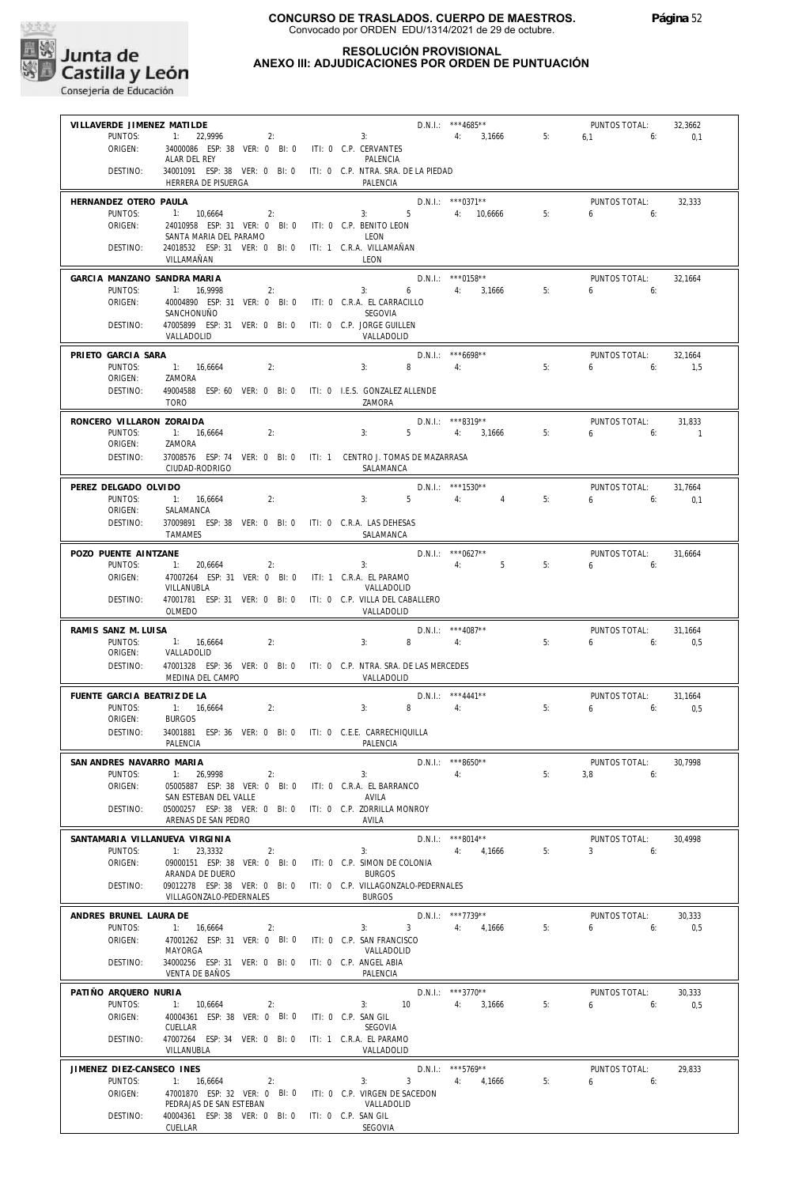

| VILLAVERDE JIMENEZ MATILDE             |                                                                                          |                                                             |                | $D.N.1.:$ ***4685**                       |    | PUNTOS TOTAL:                          | 32,3662        |
|----------------------------------------|------------------------------------------------------------------------------------------|-------------------------------------------------------------|----------------|-------------------------------------------|----|----------------------------------------|----------------|
| PUNTOS:<br>ORIGEN:                     | 22,9996<br>1:<br>2:<br>34000086 ESP: 38 VER: 0 BI: 0 ITI: 0 C.P. CERVANTES               | 3:                                                          |                | 4: 3,1666                                 | 5: | $6.1$ $6:$                             | 0,1            |
|                                        | ALAR DEL REY                                                                             | PALENCIA                                                    |                |                                           |    |                                        |                |
| DESTINO:                               | 34001091 ESP: 38 VER: 0 BI: 0 ITI: 0 C.P. NTRA. SRA. DE LA PIEDAD<br>HERRERA DE PISUERGA | PALENCIA                                                    |                |                                           |    |                                        |                |
| HERNANDEZ OTERO PAULA                  |                                                                                          |                                                             |                | $D.N.1::$ *** 0371**                      |    | PUNTOS TOTAL:                          | 32,333         |
| PUNTOS:<br>ORIGEN:                     | 1: 10,6664<br>2:<br>24010958 ESP: 31 VER: 0 BI: 0                                        | 3:<br>ITI: 0 C.P. BENITO LEON                               |                | 5 4: 10,6666                              | 5: | 6<br>6:                                |                |
| DESTINO:                               | SANTA MARIA DEL PARAMO<br>24018532 ESP: 31 VER: 0 BI: 0                                  | LEON<br>ITI: 1 C.R.A. VILLAMAÑAN                            |                |                                           |    |                                        |                |
|                                        | VILLAMAÑAN                                                                               | <b>IFON</b>                                                 |                |                                           |    |                                        |                |
| GARCIA MANZANO SANDRA MARIA            |                                                                                          |                                                             |                | $D.N.1.:$ ***0158**                       |    | PUNTOS TOTAL:                          | 32.1664        |
| PUNTOS:<br>ORIGEN:                     | 1: 16,9998<br>2:<br>40004890 ESP: 31 VER: 0 BI: 0                                        | 3:<br>ITI: 0 C.R.A. EL CARRACILLO                           |                | 6 4: 3,1666                               | 5: | $6\qquad 6$                            |                |
| DESTINO:                               | SANCHONUÑO<br>47005899 ESP: 31 VER: 0 BI: 0                                              | SEGOVIA<br>ITI: 0 C.P. JORGE GUILLEN                        |                |                                           |    |                                        |                |
|                                        | VALLADOLID                                                                               | VALLADOLID                                                  |                |                                           |    |                                        |                |
| PRIETO GARCIA SARA                     |                                                                                          |                                                             |                | $D.N.1::$ *** 6698**                      |    | PUNTOS TOTAL:                          | 32,1664        |
| PUNTOS:<br>ORIGEN:                     | 1: 16,6664<br>2:<br>ZAMORA                                                               | 3:                                                          | $8 \t\t 4$ :   |                                           | 5: | 6<br>6:                                | 1,5            |
| DESTINO:                               | 49004588 ESP: 60 VER: 0 BI: 0 ITI: 0 I.E.S. GONZALEZ ALLENDE<br><b>TORO</b>              | ZAMORA                                                      |                |                                           |    |                                        |                |
| RONCERO VILLARON ZORAIDA               |                                                                                          |                                                             |                | $D.N.I.:$ ***8319**                       |    | PUNTOS TOTAL:                          | 31,833         |
| PUNTOS:<br>ORIGEN:                     | 1: 16,6664<br>2:<br>ZAMORA                                                               | 3:                                                          | $5 - 1$        | 4: 3,1666                                 | 5: | $6\qquad 6$                            | $-1$           |
| DESTINO:                               | 37008576 ESP: 74 VER: 0 BI: 0 ITI: 1 CENTRO J. TOMAS DE MAZARRASA<br>CIUDAD-RODRIGO      | SALAMANCA                                                   |                |                                           |    |                                        |                |
| PEREZ DELGADO OLVIDO                   |                                                                                          |                                                             |                | $D.N.1::$ ***1530**                       |    | PUNTOS TOTAL:                          | 31,7664        |
| PUNTOS:                                | 2:<br>1: 16.6664                                                                         | 3:                                                          | 5 <sup>5</sup> | 4:<br>$\overline{4}$                      | 5: | 6<br>6:                                | 0,1            |
| ORIGEN:<br>DESTINO:                    | SALAMANCA<br>37009891 ESP: 38 VER: 0 BI: 0 ITI: 0 C.R.A. LAS DEHESAS                     |                                                             |                |                                           |    |                                        |                |
|                                        | <b>TAMAMES</b>                                                                           | SALAMANCA                                                   |                |                                           |    |                                        |                |
| POZO PUENTE AINTZANE<br>PUNTOS:        | 1: 20,6664<br>2:                                                                         | 3:                                                          |                | $D.N.1::$ *** 0627**<br>$5^{\circ}$<br>4: | 5: | PUNTOS TOTAL:<br>6:<br>6               | 31,6664        |
| ORIGEN:                                | 47007264 ESP: 31 VER: 0 BI: 0                                                            | ITI: 1 C.R.A. EL PARAMO                                     |                |                                           |    |                                        |                |
| DESTINO:                               | VILLANUBLA<br>47001781 ESP: 31 VER: 0 BI: 0<br>OLMEDO                                    | VALLADOLID<br>ITI: 0 C.P. VILLA DEL CABALLERO<br>VALLADOLID |                |                                           |    |                                        |                |
| RAMIS SANZ M. LUISA                    |                                                                                          |                                                             |                | $D.N.1::$ *** 4087**                      |    | PUNTOS TOTAL:                          | 31,1664        |
| PUNTOS:<br>ORIGEN:                     | 1: 16,6664<br>2:<br>VALLADOLID                                                           | 3:                                                          | 8<br>4:        |                                           | 5: | 6<br>6:                                | 0,5            |
| DESTINO:                               | 47001328 ESP: 36 VER: 0 BI: 0 ITI: 0 C.P. NTRA. SRA. DE LAS MERCEDES                     |                                                             |                |                                           |    |                                        |                |
|                                        | MEDINA DEL CAMPO                                                                         | VALLADOLID                                                  |                |                                           |    |                                        |                |
| FUENTE GARCIA BEATRIZ DE LA<br>PUNTOS: | 2:<br>1: 16,6664                                                                         | 3:                                                          | 8              | $D.N.1::$ *** 4441**<br>4:                | 5: | PUNTOS TOTAL:<br>$6\qquad 6$           | 31,1664<br>0,5 |
| ORIGEN:<br>DESTINO:                    | <b>BURGOS</b><br>34001881 ESP: 36 VER: 0 BI: 0 ITI: 0 C.E.E. CARRECHIQUILLA              |                                                             |                |                                           |    |                                        |                |
|                                        | PALENCIA                                                                                 | PALENCIA                                                    |                |                                           |    |                                        |                |
| SAN ANDRES NAVARRO MARIA               |                                                                                          |                                                             |                | D.N.I.: ***8650**                         |    | PUNTOS TOTAL:                          | 30,7998        |
| PUNTOS:<br>ORIGEN:                     | 1:<br>26.9998<br>2:<br>05005887 ESP: 38 VER: 0 BI: 0 ITI: 0 C.R.A. EL BARRANCO           | 3:                                                          |                | 4:                                        | 5: | 3.8<br>6:                              |                |
| DESTINO:                               | SAN ESTEBAN DEL VALLE<br>05000257 ESP: 38 VER: 0 BI: 0 ITI: 0 C.P. ZORRILLA MONROY       | AVILA                                                       |                |                                           |    |                                        |                |
|                                        | ARENAS DE SAN PEDRO                                                                      | AVILA                                                       |                |                                           |    |                                        |                |
| SANTAMARIA VILLANUEVA VIRGINIA         |                                                                                          |                                                             |                | $D.N.1.:$ ***8014**                       |    | PUNTOS TOTAL:                          | 30,4998        |
| PUNTOS:<br>ORIGEN:                     | 1: 23,3332<br>2:<br>09000151 ESP: 38 VER: 0 BI: 0 ITI: 0 C.P. SIMON DE COLONIA           | 3:                                                          |                | 4: 4,1666                                 | 5: | $3 \quad \overline{\phantom{a}}$<br>6: |                |
| DESTINO:                               | ARANDA DE DUERO<br>09012278 ESP: 38 VER: 0 BI: 0 ITI: 0 C.P. VILLAGONZALO-PEDERNALES     | <b>BURGOS</b>                                               |                |                                           |    |                                        |                |
|                                        | VILLAGONZALO-PEDERNALES                                                                  | <b>BURGOS</b>                                               |                |                                           |    |                                        |                |
| ANDRES BRUNEL LAURA DE<br>PUNTOS:      | 1: 16.6664<br>2:                                                                         | 3:                                                          | 3 <sup>7</sup> | $D.N.1::$ ***7739**<br>4: 4,1666          | 5: | PUNTOS TOTAL:<br>6<br>6:               | 30,333<br>0,5  |
| ORIGEN:                                | 47001262 ESP: 31 VER: 0 BI: 0<br>MAYORGA                                                 | ITI: 0 C.P. SAN FRANCISCO                                   |                |                                           |    |                                        |                |
| DESTINO:                               | 34000256 ESP: 31 VER: 0 BI: 0 ITI: 0 C.P. ANGEL ABIA                                     | VALLADOLID                                                  |                |                                           |    |                                        |                |
|                                        | <b>VENTA DE BAÑOS</b>                                                                    | PALENCIA                                                    |                |                                           |    |                                        |                |
| PATIÑO ARQUERO NURIA<br>PUNTOS:        | 1: 10,6664<br>2:                                                                         | 3: 10                                                       |                | $D.N.1::$ ***3770**<br>4: 3,1666          | 5: | PUNTOS TOTAL:<br>6<br>6:               | 30,333<br>0,5  |
| ORIGEN:                                | 40004361 ESP: 38 VER: 0 BI: 0<br>CUELLAR                                                 | ITI: 0 C.P. SAN GIL<br>SEGOVIA                              |                |                                           |    |                                        |                |
| DESTINO:                               | 47007264 ESP: 34 VER: 0 BI: 0<br>VILLANUBLA                                              | ITI: 1 C.R.A. EL PARAMO<br>VALLADOLID                       |                |                                           |    |                                        |                |
| JIMENEZ DIEZ-CANSECO INES              |                                                                                          |                                                             |                | D.N.I.: *** 5769**                        |    | PUNTOS TOTAL:                          | 29,833         |
| PUNTOS:                                | 1: 16,6664<br>2:                                                                         | 3:                                                          | 3 <sup>7</sup> | 4: 4,1666                                 | 5: | 6<br>6:                                |                |
| ORIGEN:                                | 47001870 ESP: 32 VER: 0 BI: 0<br>PEDRAJAS DE SAN ESTEBAN                                 | ITI: 0 C.P. VIRGEN DE SACEDON<br>VALLADOLID                 |                |                                           |    |                                        |                |
| DESTINO:                               | 40004361 ESP: 38 VER: 0 BI: 0 ITI: 0 C.P. SAN GIL<br>CUELLAR                             | SEGOVIA                                                     |                |                                           |    |                                        |                |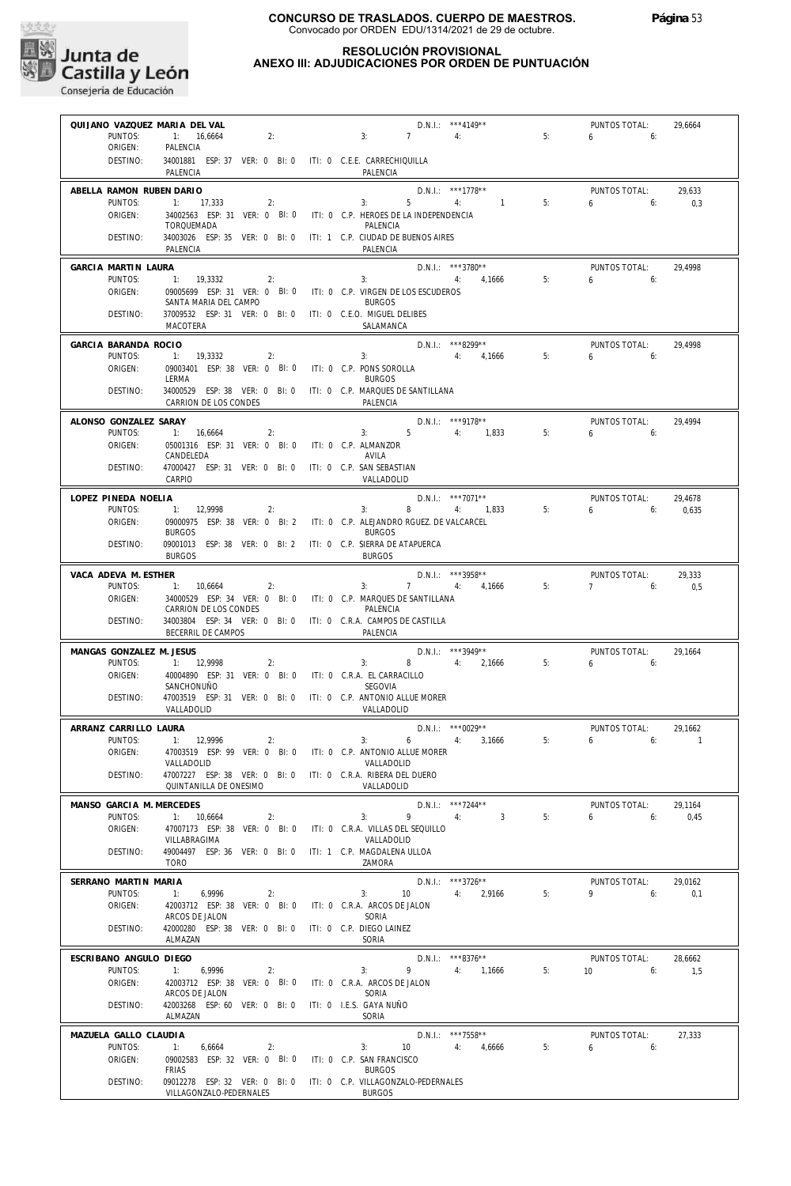

| QUIJANO VAZQUEZ MARIA DEL VAL       |                                                                                      | D.N.I.: *** 4149**                                                                               |                      | PUNTOS TOTAL:                | 29,6664                   |
|-------------------------------------|--------------------------------------------------------------------------------------|--------------------------------------------------------------------------------------------------|----------------------|------------------------------|---------------------------|
| PUNTOS:<br>ORIGEN:                  | 2:<br>1: 16,6664<br>PALENCIA                                                         | $7 \quad 4$<br>3:                                                                                | 5:                   | $6\qquad 6:$                 |                           |
| DESTINO:                            | 34001881 ESP: 37 VER: 0 BI: 0 ITI: 0 C.E.E. CARRECHIQUILLA<br>PALENCIA               | PALENCIA                                                                                         |                      |                              |                           |
| ABELLA RAMON RUBEN DARIO            |                                                                                      | $D.N.1::$ ***1778**                                                                              |                      | PUNTOS TOTAL:                | 29,633                    |
| PUNTOS:                             | 1: 17,333<br>2:                                                                      | $5 - 5$<br>3:<br>4:                                                                              | $\sim$ 1<br>5:       | $6\qquad 6$                  | 0,3                       |
| ORIGEN:                             | TORQUEMADA                                                                           | 34002563 ESP: 31 VER: 0 BI: 0 ITI: 0 C.P. HEROES DE LA INDEPENDENCIA<br>PALENCIA                 |                      |                              |                           |
| DESTINO:                            | PALENCIA                                                                             | 34003026 ESP: 35 VER: 0 BI: 0 ITI: 1 C.P. CIUDAD DE BUENOS AIRES<br>PALENCIA                     |                      |                              |                           |
| GARCIA MARTIN LAURA                 |                                                                                      | D.N.I.: ***3780**                                                                                |                      | PUNTOS TOTAL:                | 29.4998                   |
| PUNTOS:<br>ORIGEN:                  | 1: 19,3332<br>2:                                                                     | 4: 4,1666<br>3:<br>09005699 ESP: 31 VER: 0 BI: 0 ITI: 0 C.P. VIRGEN DE LOS ESCUDEROS             | 5:                   | 650                          |                           |
|                                     | SANTA MARIA DEL CAMPO                                                                | <b>BURGOS</b>                                                                                    |                      |                              |                           |
| DESTINO:                            | 37009532 ESP: 31 VER: 0 BI: 0 ITI: 0 C.E.O. MIGUEL DELIBES<br>MACOTERA               | SALAMANCA                                                                                        |                      |                              |                           |
| GARCIA BARANDA ROCIO                |                                                                                      | D.N.I.: ***8299**                                                                                |                      | PUNTOS TOTAL:                | 29,4998                   |
| PUNTOS:<br>ORIGEN:                  | 1: 19,3332<br>2:<br>09003401 ESP: 38 VER: 0 BI: 0 ITI: 0 C.P. PONS SOROLLA           | 4: 4.1666<br>3:                                                                                  | 5:                   | $6 \t\t\t 6$                 |                           |
|                                     | LERMA                                                                                | <b>BURGOS</b>                                                                                    |                      |                              |                           |
| DESTINO:                            | CARRION DE LOS CONDES                                                                | 34000529 ESP: 38 VER: 0 BI: 0 ITI: 0 C.P. MARQUES DE SANTILLANA<br>PALENCIA                      |                      |                              |                           |
| ALONSO GONZALEZ SARAY               |                                                                                      | D.N.I.: ***9178**                                                                                |                      | PUNTOS TOTAL:                | 29,4994                   |
| PUNTOS:<br>ORIGEN:                  | 1: 16,6664<br>$\overline{2}$ :<br>05001316 ESP: 31 VER: 0 BI: 0 ITI: 0 C.P. ALMANZOR | $3: 5 \t 4: 1,833$                                                                               | 5:                   | $6 \t\t 6$                   |                           |
|                                     | CANDELEDA                                                                            | AVILA                                                                                            |                      |                              |                           |
| DESTINO:                            | 47000427 ESP: 31 VER: 0 BI: 0 ITI: 0 C.P. SAN SEBASTIAN<br>CARPIO                    | VALLADOLID                                                                                       |                      |                              |                           |
| LOPEZ PINEDA NOELIA                 |                                                                                      | D.N.I.: ***7071**                                                                                |                      | PUNTOS TOTAL:                | 29,4678                   |
| PUNTOS:<br>ORIGEN:                  | 1: 12,9998<br>2:                                                                     | 3: 8 4: 1,833<br>09000975 ESP: 38 VER: 0 BI: 2 ITI: 0 C.P. ALEJANDRO RGUEZ. DE VALCARCEL         | 5:                   | $6 \t\t\t 6$                 | 0,635                     |
| DESTINO:                            | <b>BURGOS</b>                                                                        | <b>BURGOS</b><br>09001013 ESP: 38 VER: 0 BI: 2 ITI: 0 C.P. SIERRA DE ATAPUERCA                   |                      |                              |                           |
|                                     | <b>BURGOS</b>                                                                        | <b>BURGOS</b>                                                                                    |                      |                              |                           |
| VACA ADEVA M. ESTHER<br>PUNTOS:     | 1: 10,6664<br>2:                                                                     | $D.N.1.:$ ***3958**<br>7 4: 4,1666<br>3:                                                         | 5:                   | PUNTOS TOTAL:<br>$7$ 6:      | 29,333<br>0,5             |
| ORIGEN:                             |                                                                                      | 34000529 ESP: 34 VER: 0 BI: 0 ITI: 0 C.P. MARQUES DE SANTILLANA                                  |                      |                              |                           |
| DESTINO:                            | CARRION DE LOS CONDES                                                                | PALENCIA<br>34003804 ESP: 34 VER: 0 BI: 0 ITI: 0 C.R.A. CAMPOS DE CASTILLA                       |                      |                              |                           |
|                                     | BECERRIL DE CAMPOS                                                                   | PALENCIA                                                                                         |                      |                              |                           |
| MANGAS GONZALEZ M. JESUS<br>PUNTOS: | 1: 12,9998<br>2:                                                                     | D.N.I.: ***3949**<br>$3: 8 \t 4: 2,1666$                                                         | 5:                   | PUNTOS TOTAL:<br>$6\qquad 6$ | 29.1664                   |
| ORIGEN:                             | 40004890 ESP: 31 VER: 0 BI: 0 ITI: 0 C.R.A. EL CARRACILLO                            |                                                                                                  |                      |                              |                           |
| DESTINO:                            | SANCHONUÑO                                                                           | <b>SEGOVIA</b><br>47003519 ESP: 31 VER: 0 BI: 0 ITI: 0 C.P. ANTONIO ALLUE MORER                  |                      |                              |                           |
|                                     | VALLADOLID                                                                           | VALLADOLID                                                                                       |                      |                              |                           |
| ARRANZ CARRILLO LAURA<br>PUNTOS:    | 1: 12,9996<br>2:                                                                     | $D.N.1::$ *** 0029**<br>6 4: 3,1666<br>3:                                                        | 5:                   | PUNTOS TOTAL:<br>6<br>6:     | 29,1662<br>$\overline{1}$ |
| ORIGEN:                             |                                                                                      | 47003519 ESP: 99 VER: 0 BI: 0 ITI: 0 C.P. ANTONIO ALLUE MORER                                    |                      |                              |                           |
| DESTINO:                            | VALLADOLID<br>47007227 ESP: 38 VER: 0 BI: 0 ITI: 0 C.R.A. RIBERA DEL DUERO           | VALLADOLID                                                                                       |                      |                              |                           |
|                                     | QUINTANILLA DE ONESIMO                                                               | VALLADOLID                                                                                       |                      |                              |                           |
| MANSO GARCIA M. MERCEDES            |                                                                                      | D.N.I.: ***7244**                                                                                |                      | PUNTOS TOTAL:                | 29,1164                   |
| PUNTOS:<br>ORIGEN:                  | 1: 10,6664<br>$\sim$ 2:                                                              | $9 \rightarrow 9$<br>4:<br>3:<br>47007173 ESP: 38 VER: 0 BI: 0 ITI: 0 C.R.A. VILLAS DEL SEQUILLO | $\overline{3}$<br>5: | $6\qquad 6$                  | 0,45                      |
|                                     | VILLABRAGIMA                                                                         | VALLADOLID                                                                                       |                      |                              |                           |
| DESTINO:                            | 49004497 ESP: 36 VER: 0 BI: 0 ITI: 1 C.P. MAGDALENA ULLOA<br>TORO                    | 7AMORA                                                                                           |                      |                              |                           |
| SERRANO MARTIN MARIA                |                                                                                      | $D.N.1.:$ ***3726**                                                                              |                      | PUNTOS TOTAL:                | 29,0162                   |
| PUNTOS:<br>ORIGEN:                  | 1:<br>6,9996<br>2:<br>42003712 ESP: 38 VER: 0 BI: 0 ITI: 0 C.R.A. ARCOS DE JALON     | 3:<br>10 4: 2,9166                                                                               | 5:                   | $9 \t\t 6$                   | 0.1                       |
|                                     | ARCOS DE JALON                                                                       | SORIA                                                                                            |                      |                              |                           |
| DESTINO:                            | 42000280 ESP: 38 VER: 0 BI: 0 ITI: 0 C.P. DIEGO LAINEZ<br>ALMAZAN                    | SORIA                                                                                            |                      |                              |                           |
| ESCRIBANO ANGULO DIEGO              |                                                                                      | $D.N.I.:$ ***8376**                                                                              |                      | PUNTOS TOTAL:                | 28,6662                   |
| PUNTOS:<br>ORIGEN:                  | 1:<br>6,9996<br>2:<br>42003712 ESP: 38 VER: 0 BI: 0 ITI: 0 C.R.A. ARCOS DE JALON     | 9 4: 1,1666<br>3:                                                                                | 5:                   | $10 \t\t\t 6$                | 1,5                       |
|                                     | ARCOS DE JALON                                                                       | SORIA                                                                                            |                      |                              |                           |
| DESTINO:                            | 42003268 ESP: 60 VER: 0 BI: 0 ITI: 0 I.E.S. GAYA NUÑO<br>ALMAZAN                     | SORIA                                                                                            |                      |                              |                           |
| MAZUELA GALLO CLAUDIA               |                                                                                      | D.N.I.: ***7558**                                                                                |                      | PUNTOS TOTAL:                | 27,333                    |
| PUNTOS:<br>ORIGEN:                  | 2:<br>6,6664<br>09002583 ESP: 32 VER: 0 BI: 0 ITI: 0 C.P. SAN FRANCISCO              | 3:<br>10 4: 4,6666                                                                               | 5:                   | $6\qquad 6$                  |                           |
| DESTINO:                            | <b>FRIAS</b>                                                                         | <b>BURGOS</b><br>09012278 ESP: 32 VER: 0 BI: 0 ITI: 0 C.P. VILLAGONZALO-PEDERNALES               |                      |                              |                           |
|                                     | VILLAGONZALO-PEDERNALES                                                              | <b>BURGOS</b>                                                                                    |                      |                              |                           |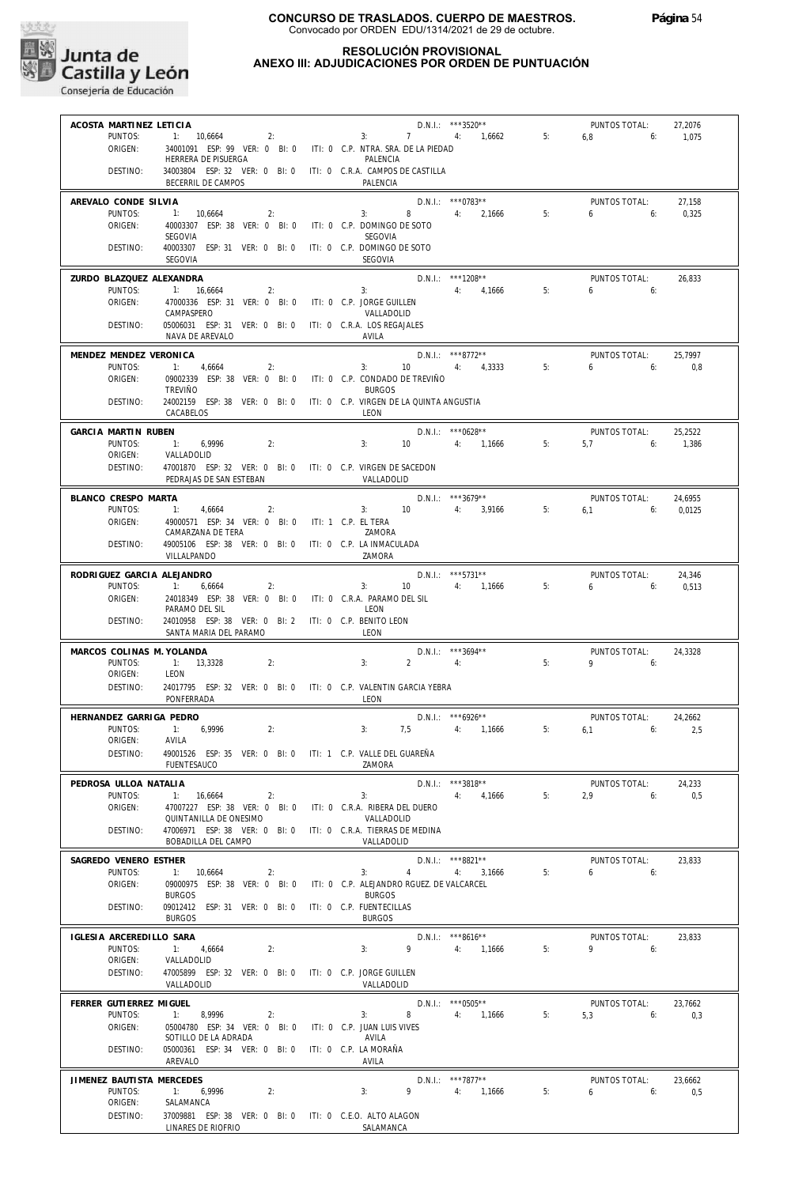

#### **RESOLUCIÓN PROVISIONAL ANEXO III: ADJUDICACIONES POR ORDEN DE PUNTUACIÓN**

**Junta de<br>Castilla y León**<br>Consejería de Educación

| ACOSTA MARTINEZ LETICIA               |                                                                                        |                                                                   | $D.N.1.:$ ***3520**                  |    | PUNTOS TOTAL:              | 27,2076         |
|---------------------------------------|----------------------------------------------------------------------------------------|-------------------------------------------------------------------|--------------------------------------|----|----------------------------|-----------------|
| PUNTOS:<br>ORIGEN:                    | $1: 10,6664$ 2:<br>34001091 ESP: 99 VER: 0 BI: 0 ITI: 0 C.P. NTRA. SRA. DE LA PIEDAD   | 3:                                                                | 7 4: 1,6662                          | 5: | 6.8<br>6:                  | 1,075           |
|                                       | HERRERA DE PISUERGA                                                                    | PALENCIA                                                          |                                      |    |                            |                 |
| DESTINO:                              | 34003804 ESP: 32 VER: 0 BI: 0 ITI: 0 C.R.A. CAMPOS DE CASTILLA<br>BECERRIL DE CAMPOS   | PALENCIA                                                          |                                      |    |                            |                 |
| AREVALO CONDE SILVIA                  |                                                                                        |                                                                   | $D.N.1.:$ *** 0783**                 |    | PUNTOS TOTAL:              | 27,158          |
| PUNTOS:<br>ORIGEN:                    | 1: 10,6664<br>2:<br>40003307 ESP: 38 VER: 0 BI: 0                                      | 3:<br>ITI: 0 C.P. DOMINGO DE SOTO                                 | 8 4: 2.1666                          | 5: | 6:<br>6                    | 0.325           |
|                                       | SEGOVIA                                                                                | <b>SEGOVIA</b>                                                    |                                      |    |                            |                 |
| DESTINO:                              | 40003307 ESP: 31 VER: 0 BI: 0<br>SEGOVIA                                               | ITI: 0 C.P. DOMINGO DE SOTO<br>SEGOVIA                            |                                      |    |                            |                 |
| <b>7URDO BLAZOUEZ ALEXANDRA</b>       |                                                                                        |                                                                   | D.N.I.: ***1208**                    |    | PUNTOS TOTAL:              | 26,833          |
| PUNTOS:<br>ORIGEN:                    | 1: 16,6664<br>2:<br>47000336 ESP: 31 VER: 0 BI: 0                                      | 3:<br>ITI: 0 C.P. JORGE GUILLEN                                   | $4: 4.1666$ 5:                       |    | 6.6                        |                 |
|                                       | CAMPASPERO                                                                             | VALLADOLID                                                        |                                      |    |                            |                 |
| DESTINO:                              | 05006031 ESP: 31 VER: 0 BI: 0 ITI: 0 C.R.A. LOS REGAJALES<br>NAVA DE AREVALO           | AVILA                                                             |                                      |    |                            |                 |
| MENDEZ MENDEZ VERONICA                |                                                                                        |                                                                   | $D.N.1.:$ ***8772**                  |    | PUNTOS TOTAL:              | 25,7997         |
| PUNTOS:                               | 1: 4,6664<br>2:                                                                        | 3:                                                                | $10 \t\t 4$ : $4,3333$               | 5: | 6.6                        | 0,8             |
| ORIGEN:                               | 09002339 ESP: 38 VER: 0 BI: 0 ITI: 0 C.P. CONDADO DE TREVIÑO<br><b>TREVIÑO</b>         | <b>BURGOS</b>                                                     |                                      |    |                            |                 |
| DESTINO:                              | 24002159 ESP: 38 VER: 0 BI: 0                                                          | ITI: 0 C.P. VIRGEN DE LA QUINTA ANGUSTIA                          |                                      |    |                            |                 |
|                                       | CACABELOS                                                                              | LEON                                                              |                                      |    |                            |                 |
| GARCIA MARTIN RUBEN                   |                                                                                        |                                                                   | $D.N.1.:$ ***0628**                  |    | PUNTOS TOTAL:              | 25,2522         |
| PUNTOS:<br>ORIGEN:                    | 1: 6.9996<br>2:<br>VALLADOLID                                                          | 3:                                                                | 10 4: 1,1666                         | 5: | $5.7$ 6:                   | 1,386           |
| DESTINO:                              | 47001870 ESP: 32 VER: 0 BI: 0 ITI: 0 C.P. VIRGEN DE SACEDON<br>PEDRAJAS DE SAN ESTEBAN | VALLADOLID                                                        |                                      |    |                            |                 |
| BLANCO CRESPO MARTA                   |                                                                                        |                                                                   | $D.N.1.:$ ***3679**                  |    | PUNTOS TOTAL:              | 24,6955         |
| PUNTOS:                               | $-1:$<br>4,6664<br>2:                                                                  | 3: 10 4: 3,9166 5:                                                |                                      |    | $6.1$ 6:                   | 0,0125          |
| ORIGEN:                               | 49000571 ESP: 34 VER: 0 BI: 0 ITI: 1 C.P. EL TERA<br>CAMARZANA DE TERA                 | ZAMORA                                                            |                                      |    |                            |                 |
| DESTINO:                              | 49005106 ESP: 38 VER: 0 BI: 0 ITI: 0 C.P. LA INMACULADA                                |                                                                   |                                      |    |                            |                 |
|                                       | VILLALPANDO                                                                            | ZAMORA                                                            |                                      |    |                            |                 |
| RODRIGUEZ GARCIA ALEJANDRO<br>PUNTOS: | $-1:$<br>6,6664<br>2:                                                                  | $3:$ $\qquad \qquad$                                              | $D.N.1.:$ ***5731**<br>10 4: 1,1666  | 5: | PUNTOS TOTAL:<br>6<br>6:   | 24,346<br>0,513 |
| ORIGEN:                               | 24018349 ESP: 38 VER: 0 BI: 0 ITI: 0 C.R.A. PARAMO DEL SIL                             |                                                                   |                                      |    |                            |                 |
|                                       | PARAMO DEL SIL                                                                         | LEON                                                              |                                      |    |                            |                 |
| DESTINO:                              | 24010958 ESP: 38 VER: 0 BI: 2 ITI: 0 C.P. BENITO LEON<br>SANTA MARIA DEL PARAMO        | <b>I FON</b>                                                      |                                      |    |                            |                 |
| MARCOS COLINAS M. YOLANDA             |                                                                                        |                                                                   | D.N.I.: ***3694**                    |    | PUNTOS TOTAL:              | 24.3328         |
| PUNTOS:                               | 1: 13,3328<br>2:<br>LEON                                                               | $2 \t\t 4$<br>3:                                                  |                                      | 5: | $9 \t\t 6$                 |                 |
| ORIGEN:<br>DESTINO:                   | 24017795 ESP: 32 VER: 0 BI: 0 ITI: 0 C.P. VALENTIN GARCIA YEBRA                        |                                                                   |                                      |    |                            |                 |
|                                       | PONFERRADA                                                                             | LEON                                                              |                                      |    |                            |                 |
| HERNANDEZ GARRIGA PEDRO               |                                                                                        |                                                                   | $D.N.1::$ ***6926**                  |    | PUNTOS TOTAL:              | 24,2662         |
| PUNTOS:<br>ORIGEN:                    | 1: 6,9996<br>2:<br>AVILA                                                               | 3:                                                                | 7,5 4: 1,1666                        | 5: | $6.1$ 6:                   | 2,5             |
| DESTINO:                              | 49001526 ESP: 35 VER: 0 BI: 0 ITI: 1 C.P. VALLE DEL GUAREÑA                            |                                                                   |                                      |    |                            |                 |
|                                       | FUENTESAUCO                                                                            | ZAMORA                                                            |                                      |    |                            |                 |
| PEDROSA ULLOA NATALIA<br>PUNTOS:      | 1:<br>16,6664<br>2:                                                                    | 3:                                                                | D.N.I.: ***3818**<br>4,1666<br>4:    | 5: | PUNTOS TOTAL:<br>2.9<br>6: | 24,233<br>0.5   |
| ORIGEN:                               | 47007227 ESP: 38 VER: 0 BI: 0                                                          | ITI: 0 C.R.A. RIBERA DEL DUERO                                    |                                      |    |                            |                 |
| DESTINO:                              | QUINTANILLA DE ONESIMO<br>47006971 ESP: 38 VER: 0 BI: 0                                | VALLADOLID<br>ITI: 0 C.R.A. TIERRAS DE MEDINA                     |                                      |    |                            |                 |
|                                       | BOBADILLA DEL CAMPO                                                                    | VALLADOLID                                                        |                                      |    |                            |                 |
| SAGREDO VENERO ESTHER                 |                                                                                        |                                                                   | D.N.I.: ***8821**                    |    | PUNTOS TOTAL:              | 23,833          |
| PUNTOS:<br>ORIGEN:                    | 1: 10,6664<br>2:<br>09000975 ESP: 38 VER: 0 BI: 0                                      | 3:<br>$\overline{4}$<br>ITI: 0 C.P. ALEJANDRO RGUEZ. DE VALCARCEL | 4:<br>3,1666                         | 5: | 6<br>6:                    |                 |
|                                       | <b>BURGOS</b>                                                                          | <b>BURGOS</b>                                                     |                                      |    |                            |                 |
| DESTINO:                              | 09012412 ESP: 31 VER: 0 BI: 0<br><b>BURGOS</b>                                         | ITI: 0 C.P. FUENTECILLAS<br><b>BURGOS</b>                         |                                      |    |                            |                 |
| IGLESIA ARCEREDILLO SARA              |                                                                                        |                                                                   | D.N.I.: ***8616**                    |    | PUNTOS TOTAL:              | 23,833          |
| PUNTOS:                               | 1:<br>4,6664<br>2:                                                                     | 9<br>3:                                                           | 4:<br>1,1666                         | 5: | 9<br>6:                    |                 |
| ORIGEN:<br>DESTINO:                   | VALLADOLID<br>47005899 ESP: 32 VER: 0 BI: 0                                            | ITI: 0 C.P. JORGE GUILLEN                                         |                                      |    |                            |                 |
|                                       | VALLADOLID                                                                             | VALLADOLID                                                        |                                      |    |                            |                 |
| FERRER GUTIERREZ MIGUEL<br>PUNTOS:    | 1:<br>8,9996<br>2:                                                                     | 3:<br>8                                                           | $D.N.1::$ *** 0505**<br>4:<br>1,1666 | 5: | PUNTOS TOTAL:<br>5,3<br>6: | 23,7662<br>0,3  |
| ORIGEN:                               | 05004780 ESP: 34 VER: 0 BI: 0                                                          | ITI: 0 C.P. JUAN LUIS VIVES                                       |                                      |    |                            |                 |
| DESTINO:                              | SOTILLO DE LA ADRADA<br>05000361 ESP: 34 VER: 0 BI: 0                                  | AVILA<br>ITI: 0 C.P. LA MORAÑA                                    |                                      |    |                            |                 |
|                                       | AREVALO                                                                                | AVILA                                                             |                                      |    |                            |                 |
| JIMENEZ BAUTISTA MERCEDES             |                                                                                        |                                                                   | D.N.I.: ***7877**                    |    | PUNTOS TOTAL:              | 23,6662         |
| PUNTOS:<br>ORIGEN:                    | 1:<br>6,9996<br>2:<br>SALAMANCA                                                        | 3:<br>9                                                           | 4:<br>1,1666                         | 5: | 6<br>6:                    | 0,5             |
| DESTINO:                              | 37009881 ESP: 38 VER: 0 BI: 0 ITI: 0 C.E.O. ALTO ALAGON                                |                                                                   |                                      |    |                            |                 |
|                                       | LINARES DE RIOFRIO                                                                     | SALAMANCA                                                         |                                      |    |                            |                 |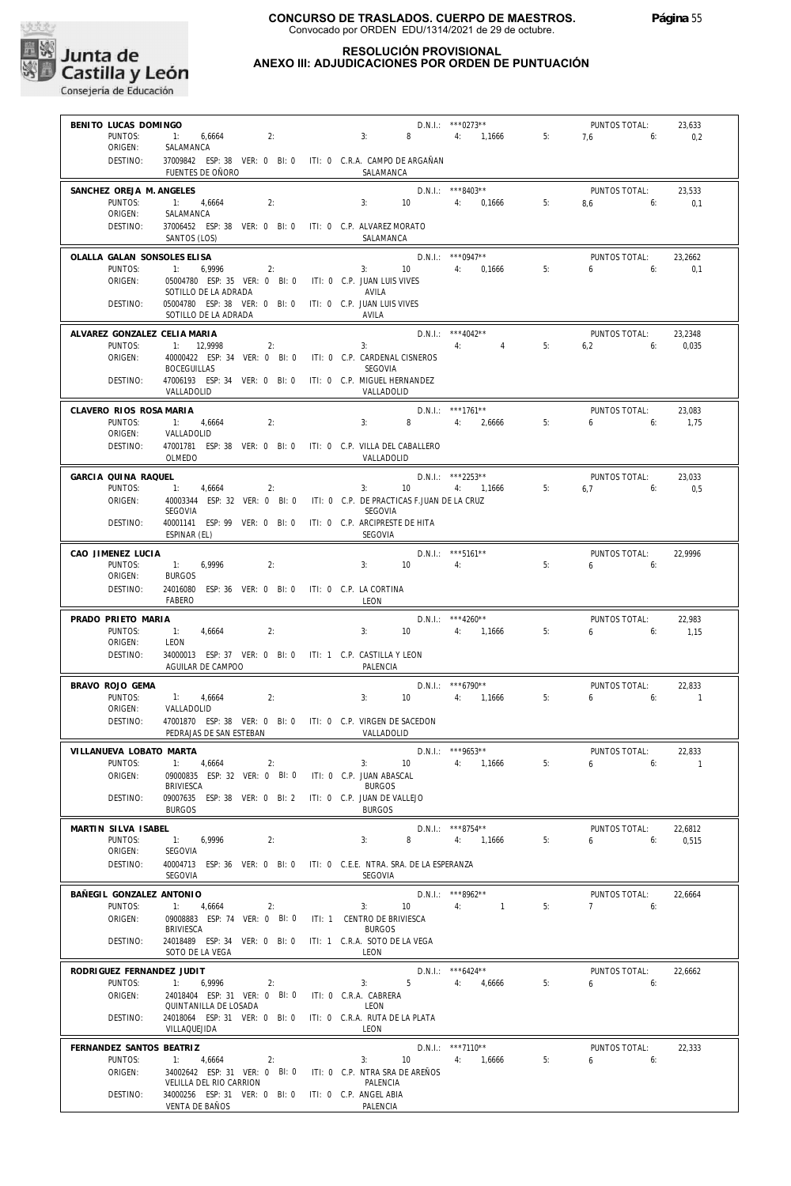

| BENITO LUCAS DOMINGO                |                                                                                        |               |                     | $D.N.1::$ ***0273**       |    | PUNTOS TOTAL:                                   | 23,633   |
|-------------------------------------|----------------------------------------------------------------------------------------|---------------|---------------------|---------------------------|----|-------------------------------------------------|----------|
| PUNTOS:<br>ORIGEN:                  | 1: 6,6664<br>2:<br>SALAMANCA                                                           | 3:            |                     | 8 4: 1,1666               | 5: | $7.6$ 6:                                        | 0,2      |
| DESTINO:                            | 37009842 ESP: 38 VER: 0 BI: 0 ITI: 0 C.R.A. CAMPO DE ARGAÑAN                           |               |                     |                           |    |                                                 |          |
|                                     | FUENTES DE OÑORO                                                                       |               | SALAMANCA           |                           |    |                                                 |          |
| SANCHEZ OREJA M. ANGELES            |                                                                                        |               |                     | $D.N.1::$ ***8403**       |    | PUNTOS TOTAL:                                   | 23,533   |
| PUNTOS:<br>ORIGEN:                  | 1: 4,6664<br>2:<br>SALAMANCA                                                           |               | 3: 10               | 4: 0,1666                 | 5: | $8.6$ 6:                                        | 0,1      |
| DESTINO:                            | 37006452 ESP: 38 VER: 0 BI: 0 ITI: 0 C.P. ALVAREZ MORATO                               |               |                     |                           |    |                                                 |          |
|                                     | SANTOS (LOS)                                                                           |               | SALAMANCA           |                           |    |                                                 |          |
| OLALLA GALAN SONSOLES ELISA         |                                                                                        |               |                     | $D.N.I.:$ *** 0947**      |    | PUNTOS TOTAL:                                   | 23,2662  |
| PUNTOS:                             | 1:<br>6,9996<br>2:                                                                     |               | 3: 10               | 4: 0,1666                 | 5: | $6\qquad 6$                                     | 0,1      |
| ORIGEN:                             | 05004780 ESP: 35 VER: 0 BI: 0 ITI: 0 C.P. JUAN LUIS VIVES<br>SOTILLO DE LA ADRADA      | AVILA         |                     |                           |    |                                                 |          |
| DESTINO:                            | 05004780 ESP: 38 VER: 0 BI: 0 ITI: 0 C.P. JUAN LUIS VIVES                              |               |                     |                           |    |                                                 |          |
|                                     | SOTILLO DE LA ADRADA                                                                   | AVILA         |                     |                           |    |                                                 |          |
| ALVAREZ GONZALEZ CELIA MARIA        |                                                                                        |               |                     | $D.N.1::$ ***4042**       |    | PUNTOS TOTAL:                                   | 23,2348  |
| PUNTOS:<br>ORIGEN:                  | 1: 12,9998<br>2:                                                                       | 3:            |                     | 4:<br>$\sim$ 4            | 5: | $6,2$ $6:$                                      | 0,035    |
|                                     | 40000422 ESP: 34 VER: 0 BI: 0 ITI: 0 C.P. CARDENAL CISNEROS<br><b>BOCEGUILLAS</b>      | SEGOVIA       |                     |                           |    |                                                 |          |
| DESTINO:                            | 47006193 ESP: 34 VER: 0 BI: 0 ITI: 0 C.P. MIGUEL HERNANDEZ                             |               |                     |                           |    |                                                 |          |
|                                     | VALLADOLID                                                                             |               | VALLADOLID          |                           |    |                                                 |          |
| CLAVERO RIOS ROSA MARIA             |                                                                                        |               |                     | D.N.I.: ***1761**         |    | PUNTOS TOTAL:                                   | 23,083   |
| PUNTOS:<br>ORIGEN:                  | 1: 4,6664<br>2:<br>VALLADOLID                                                          | 3:            | $8 - 1$             | 4: 2,6666                 | 5: | $6 \t\t\t 6$                                    | 1,75     |
| DESTINO:                            | 47001781 ESP: 38 VER: 0 BI: 0 ITI: 0 C.P. VILLA DEL CABALLERO                          |               |                     |                           |    |                                                 |          |
|                                     | OLMEDO                                                                                 |               | VALLADOLID          |                           |    |                                                 |          |
| GARCIA QUINA RAQUEL                 |                                                                                        |               |                     | $D.N.1.:$ ***2253**       |    | PUNTOS TOTAL:                                   | 23.033   |
| PUNTOS:                             | 1: 4,6664<br>2:                                                                        |               |                     | 3: $10$ 4: $1,1666$ 5:    |    | 6,7<br>6:                                       | 0,5      |
| ORIGEN:                             | 40003344 ESP: 32 VER: 0 BI: 0 ITI: 0 C.P. DE PRACTICAS F.JUAN DE LA CRUZ<br>SEGOVIA    | SEGOVIA       |                     |                           |    |                                                 |          |
| DESTINO:                            | 40001141 ESP: 99 VER: 0 BI: 0 ITI: 0 C.P. ARCIPRESTE DE HITA                           |               |                     |                           |    |                                                 |          |
|                                     | ESPINAR (EL)                                                                           | SEGOVIA       |                     |                           |    |                                                 |          |
| CAO JIMENEZ LUCIA                   |                                                                                        |               |                     | $D.N.1::$ ***5161**       |    | PUNTOS TOTAL:                                   | 22,9996  |
| PUNTOS:<br>ORIGEN:                  | 1:<br>6,9996<br>2:<br><b>BURGOS</b>                                                    | 3:            | 10                  | 4:                        | 5: | 6<br>6:                                         |          |
| DESTINO:                            | 24016080 ESP: 36 VER: 0 BI: 0 ITI: 0 C.P. LA CORTINA                                   |               |                     |                           |    |                                                 |          |
|                                     | <b>FABERO</b>                                                                          | LEON          |                     |                           |    |                                                 |          |
| PRADO PRIETO MARIA                  |                                                                                        |               |                     | $D.N.1::$ ***4260**       |    | PUNTOS TOTAL:                                   | 22,983   |
| PUNTOS:                             | 1:<br>4,6664<br>2:                                                                     | 3:            | 10 <sup>°</sup>     | 4: 1,1666                 | 5: | 6:<br>6                                         | 1,15     |
| ORIGEN:<br>DESTINO:                 | LEON<br>34000013 ESP: 37 VER: 0 BI: 0 ITI: 1 C.P. CASTILLA Y LEON                      |               |                     |                           |    |                                                 |          |
|                                     | AGUILAR DE CAMPOO                                                                      | PALENCIA      |                     |                           |    |                                                 |          |
| BRAVO ROJO GEMA                     |                                                                                        |               |                     | $D.N.1.:$ ***6790**       |    | PUNTOS TOTAL:                                   | 22,833   |
| PUNTOS:                             | 1: 4,6664<br>2:                                                                        | 3:            |                     | 10 4: 1,1666              |    | $6\qquad 6$                                     | $\sim$ 1 |
| ORIGEN:<br>DESTINO:                 |                                                                                        |               |                     |                           | 5: |                                                 |          |
|                                     | VALLADOLID                                                                             |               |                     |                           |    |                                                 |          |
|                                     | 47001870 ESP: 38 VER: 0 BI: 0 ITI: 0 C.P. VIRGEN DE SACEDON<br>PEDRAJAS DE SAN ESTEBAN |               | VALLADOLID          |                           |    |                                                 |          |
|                                     |                                                                                        |               |                     |                           |    |                                                 |          |
| VILLANUEVA LOBATO MARTA<br>PUNTOS:  | 1: 4,6664<br>2:                                                                        |               | $3: 10$ $4: 1,1666$ | D.N.I.: ***9653**         | 5: | PUNTOS TOTAL: 22.833<br>$6 \qquad \qquad$<br>6: | $\sim$ 1 |
| ORIGEN:                             | 09000835 ESP: 32 VER: 0 BI: 0 ITI: 0 C.P. JUAN ABASCAL                                 |               |                     |                           |    |                                                 |          |
| DESTINO:                            | BRIVIESCA                                                                              | <b>BURGOS</b> |                     |                           |    |                                                 |          |
|                                     | 09007635 ESP: 38 VER: 0 BI: 2 ITI: 0 C.P. JUAN DE VALLEJO<br><b>BURGOS</b>             | <b>BURGOS</b> |                     |                           |    |                                                 |          |
| MARTIN SILVA ISABEL                 |                                                                                        |               |                     | D.N.I.: ***8754**         |    | PUNTOS TOTAL:                                   | 22,6812  |
| PUNTOS:                             | 1: 6,9996<br>2:                                                                        | 3:            |                     | 8 4: 1,1666               | 5: | $6\qquad 6$                                     | 0,515    |
| ORIGEN:                             | SEGOVIA                                                                                |               |                     |                           |    |                                                 |          |
| DESTINO:                            | 40004713 ESP: 36 VER: 0 BI: 0 ITI: 0 C.E.E. NTRA. SRA. DE LA ESPERANZA<br>SEGOVIA      | SEGOVIA       |                     |                           |    |                                                 |          |
|                                     |                                                                                        |               |                     |                           |    |                                                 |          |
| BAÑEGIL GONZALEZ ANTONIO<br>PUNTOS: | 1: 4,6664<br>2:                                                                        | 3:            | 10                  | D.N.I.: ***8962**<br>4: 1 | 5: | PUNTOS TOTAL:<br>$7 \t\t\t 6.$                  | 22,6664  |
| ORIGEN:                             | 09008883 ESP: 74 VER: 0 BI: 0 ITI: 1 CENTRO DE BRIVIESCA                               |               |                     |                           |    |                                                 |          |
|                                     | BRIVIESCA                                                                              | <b>BURGOS</b> |                     |                           |    |                                                 |          |
| DESTINO:                            | 24018489 ESP: 34 VER: 0 BI: 0 ITI: 1 C.R.A. SOTO DE LA VEGA<br>SOTO DE LA VEGA         | LEON          |                     |                           |    |                                                 |          |
| RODRIGUEZ FERNANDEZ JUDIT           |                                                                                        |               |                     | $D.N.1::$ ***6424**       |    | PUNTOS TOTAL:                                   | 22,6662  |
| PUNTOS:                             | 1: 6,9996<br>2:                                                                        | 3:            |                     | 5 4: 4,6666               | 5: | $6 \t\t 6$                                      |          |
| ORIGEN:                             | 24018404 ESP: 31 VER: 0 BI: 0 ITI: 0 C.R.A. CABRERA                                    |               |                     |                           |    |                                                 |          |
| DESTINO:                            | QUINTANILLA DE LOSADA<br>24018064 ESP: 31 VER: 0 BI: 0 ITI: 0 C.R.A. RUTA DE LA PLATA  | LEON          |                     |                           |    |                                                 |          |
|                                     | VILLAQUEJIDA                                                                           | LEON          |                     |                           |    |                                                 |          |
| FERNANDEZ SANTOS BEATRIZ            |                                                                                        |               |                     | $D.N.1.:$ ***7110**       |    | PUNTOS TOTAL:                                   | 22,333   |
| PUNTOS:                             | 1: 4,6664<br>2:                                                                        | 3:            | 10                  | 4: 1,6666                 | 5: | $6\qquad 6$                                     |          |
| ORIGEN:                             | 34002642 ESP: 31 VER: 0 BI: 0 ITI: 0 C.P. NTRA SRA DE AREÑOS                           |               |                     |                           |    |                                                 |          |
| DESTINO:                            | VELILLA DEL RIO CARRION<br>34000256 ESP: 31 VER: 0 BI: 0 ITI: 0 C.P. ANGEL ABIA        |               | PALENCIA            |                           |    |                                                 |          |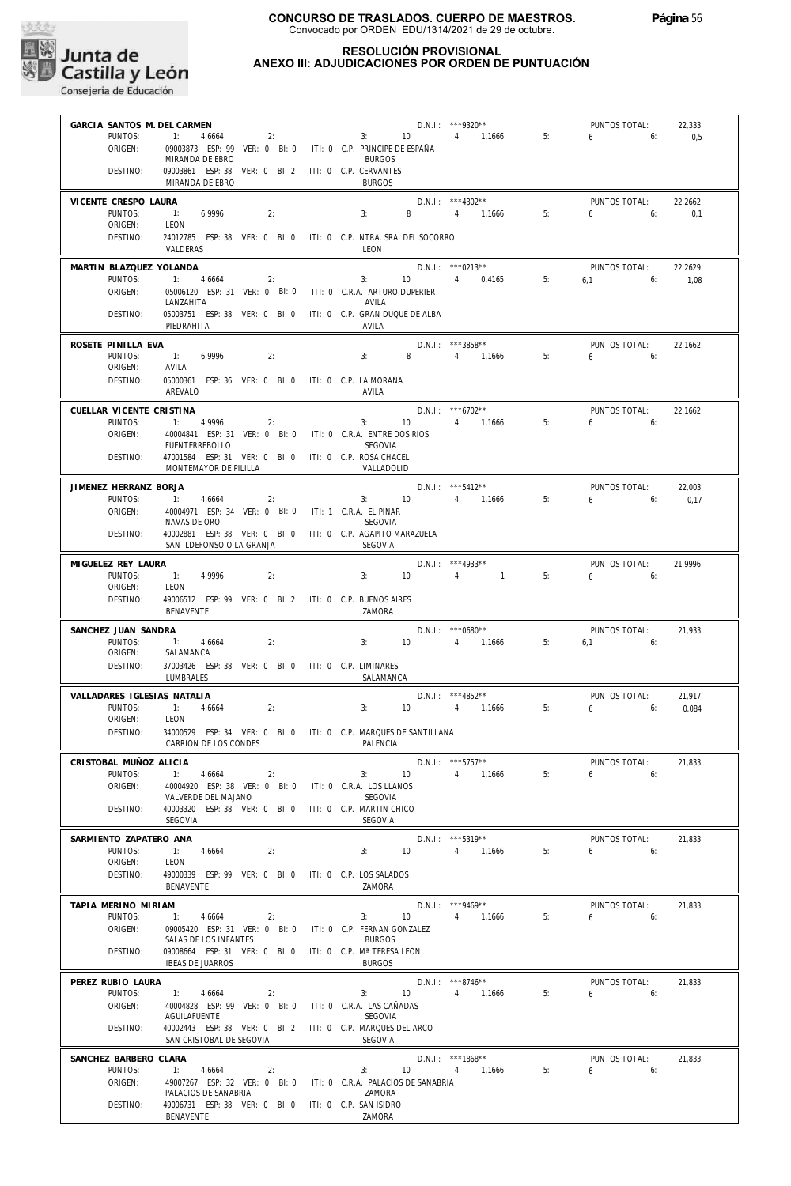

| GARCIA SANTOS M. DEL CARMEN         |                                                                                          |    |                                         |       | D.N.I.: ***9320**                   |    | PUNTOS TOTAL:                     | 22,333          |
|-------------------------------------|------------------------------------------------------------------------------------------|----|-----------------------------------------|-------|-------------------------------------|----|-----------------------------------|-----------------|
| PUNTOS:<br>ORIGEN:                  | $\mathbb{1}$ :<br>4,6664<br>09003873 ESP: 99 VER: 0 BI: 0                                | 2: | 3: 10<br>ITI: 0 C.P. PRINCIPE DE ESPAÑA |       | 4: 1,1666                           | 5: | 6<br>6:                           | 0,5             |
|                                     | MIRANDA DE EBRO                                                                          |    | <b>BURGOS</b>                           |       |                                     |    |                                   |                 |
| DESTINO:                            | 09003861 ESP: 38 VER: 0 BI: 2 ITI: 0 C.P. CERVANTES<br>MIRANDA DE EBRO                   |    | <b>BURGOS</b>                           |       |                                     |    |                                   |                 |
| VICENTE CRESPO LAURA                |                                                                                          |    |                                         |       | $D.N.1.:$ ***4302**                 |    | PUNTOS TOTAL:                     | 22,2662         |
| PUNTOS:<br>ORIGEN:                  | $\sim$ 1:<br>6,9996<br>LEON                                                              | 2: | 3:                                      | 8     | 4: 1,1666                           | 5: | 6<br>6:                           | 0.1             |
| DESTINO:                            | 24012785 ESP: 38 VER: 0 BI: 0 ITI: 0 C.P. NTRA. SRA. DEL SOCORRO                         |    |                                         |       |                                     |    |                                   |                 |
|                                     | VALDERAS                                                                                 |    | LEON                                    |       |                                     |    |                                   |                 |
| MARTIN BLAZQUEZ YOLANDA<br>PUNTOS:  | 4,6664                                                                                   | 2: | 3:                                      |       | D.N.I.: ***0213**<br>10 4: 0,4165   | 5: | PUNTOS TOTAL:<br>$6.1$ $6:$       | 22,2629<br>1,08 |
| ORIGEN:                             | 05006120 ESP: 31 VER: 0 BI: 0                                                            |    | iti: 0 C.R.A. Arturo duperier           |       |                                     |    |                                   |                 |
| DESTINO:                            | LANZAHITA<br>05003751 ESP: 38 VER: 0 BI: 0                                               |    | AVILA<br>ITI: 0 C.P. GRAN DUQUE DE ALBA |       |                                     |    |                                   |                 |
|                                     | PIEDRAHITA                                                                               |    | AVILA                                   |       |                                     |    |                                   |                 |
| ROSETE PINILLA EVA                  |                                                                                          |    |                                         |       | $D.N.1::$ ***3858**                 |    | PUNTOS TOTAL:                     | 22,1662         |
| PUNTOS:<br>ORIGEN:                  | 6,9996<br>1:<br>AVILA                                                                    | 2: | 3:                                      | $8 -$ | 4: 1,1666                           | 5: | $6\qquad 6$                       |                 |
| DESTINO:                            | 05000361 ESP: 36 VER: 0 BI: 0 ITI: 0 C.P. LA MORAÑA                                      |    |                                         |       |                                     |    |                                   |                 |
|                                     | AREVALO                                                                                  |    | AVILA                                   |       |                                     |    |                                   |                 |
| CUELLAR VICENTE CRISTINA<br>PUNTOS: | 4,9996                                                                                   | 2: | 3:                                      |       | $D.N.1::$ ***6702**<br>10 4: 1,1666 | 5: | PUNTOS TOTAL:<br>$6 \qquad$<br>6: | 22,1662         |
| ORIGEN:                             | 40004841 ESP: 31 VER: 0 BI: 0 ITI: 0 C.R.A. ENTRE DOS RIOS                               |    |                                         |       |                                     |    |                                   |                 |
| DESTINO:                            | <b>FUENTERREBOLLO</b><br>47001584 ESP: 31 VER: 0 BI: 0                                   |    | SEGOVIA<br>ITI: 0 C.P. ROSA CHACEL      |       |                                     |    |                                   |                 |
|                                     | MONTEMAYOR DE PILILLA                                                                    |    | VALLADOLID                              |       |                                     |    |                                   |                 |
| JIMENEZ HERRANZ BORJA               |                                                                                          |    |                                         |       | $D.N.1.:$ ***5412**                 |    | PUNTOS TOTAL:                     | 22,003          |
| PUNTOS:                             | 1:<br>4,6664<br>40004971 ESP: 34 VER: 0 BI: 0 ITI: 1 C.R.A. EL PINAR                     | 2: | 3: 10                                   |       | 4: 1,1666                           | 5: | 6<br>6:                           | 0,17            |
| ORIGEN:                             | NAVAS DE ORO                                                                             |    | SEGOVIA                                 |       |                                     |    |                                   |                 |
| DESTINO:                            | 40002881 ESP: 38 VER: 0 BI: 0 ITI: 0 C.P. AGAPITO MARAZUELA<br>SAN ILDEFONSO O LA GRANJA |    | SEGOVIA                                 |       |                                     |    |                                   |                 |
|                                     |                                                                                          |    |                                         |       | $D.N.1::$ *** 4933**                |    |                                   |                 |
| MIGUELEZ REY LAURA<br>PUNTOS:       | 1:<br>4,9996                                                                             | 2: | 3:                                      | 10    | $\sim$ 1<br>4:                      | 5: | PUNTOS TOTAL:<br>6<br>6:          | 21,9996         |
| ORIGEN:                             | LEON                                                                                     |    |                                         |       |                                     |    |                                   |                 |
| DESTINO:                            | 49006512 ESP: 99 VER: 0 BI: 2 ITI: 0 C.P. BUENOS AIRES<br>BENAVENTE                      |    | ZAMORA                                  |       |                                     |    |                                   |                 |
| SANCHEZ JUAN SANDRA                 |                                                                                          |    |                                         |       | $D.N.I.:$ ***0680**                 |    | PUNTOS TOTAL:                     | 21,933          |
| PUNTOS:<br>ORIGEN:                  | 1: 4,6664<br>SALAMANCA                                                                   | 2: | 3:                                      | 10    | 4: 1,1666                           | 5: | $6,1$ $6:$                        |                 |
| DESTINO:                            | 37003426 ESP: 38 VER: 0 BI: 0 ITI: 0 C.P. LIMINARES                                      |    |                                         |       |                                     |    |                                   |                 |
|                                     | LUMBRALES                                                                                |    | SALAMANCA                               |       |                                     |    |                                   |                 |
| VALLADARES IGLESIAS NATALIA         |                                                                                          |    |                                         |       | $D.N.1.:$ ***4852**<br>4: 1.1666    |    | PUNTOS TOTAL:                     | 21,917          |
| PUNTOS:<br>ORIGEN:                  | 1:<br>4,6664<br>LEON                                                                     | 2: | 3:                                      | 10    |                                     | 5: | 6<br>6:                           | 0,084           |
| DESTINO:                            | 34000529 ESP: 34 VER: 0 BI: 0 ITI: 0 C.P. MARQUES DE SANTILLANA                          |    |                                         |       |                                     |    |                                   |                 |
|                                     | CARRION DE LOS CONDES                                                                    |    | PALENCIA                                |       |                                     |    |                                   |                 |
| CRISTOBAL MUÑOZ ALICIA<br>PUNTOS:   | 4,6664                                                                                   | 2: | 3:                                      | 10    | $D.N.1.:$ ***5757**<br>4: 1,1666    | 5: | PUNTOS TOTAL:<br>6.6              | 21,833          |
| ORIGEN:                             | 40004920 ESP: 38 VER: 0 BI: 0 ITI: 0 C.R.A. LOS LLANOS                                   |    |                                         |       |                                     |    |                                   |                 |
| DESTINO:                            | VALVERDE DEL MAJANO<br>40003320 ESP: 38 VER: 0 BI: 0 ITI: 0 C.P. MARTIN CHICO            |    | SEGOVIA                                 |       |                                     |    |                                   |                 |
|                                     | SEGOVIA                                                                                  |    | SEGOVIA                                 |       |                                     |    |                                   |                 |
| SARMIENTO ZAPATERO ANA              |                                                                                          |    |                                         |       | $D.N.1::$ ***5319**                 |    | PUNTOS TOTAL:                     | 21,833          |
| PUNTOS:<br>ORIGEN:                  | 1: 4,6664<br>LEON                                                                        | 2: | 3: 10                                   |       | 4: 1,1666                           | 5: | $6\qquad 6$                       |                 |
| DESTINO:                            | 49000339 ESP: 99 VER: 0 BI: 0 ITI: 0 C.P. LOS SALADOS                                    |    |                                         |       |                                     |    |                                   |                 |
|                                     | BENAVENTE                                                                                |    | ZAMORA                                  |       |                                     |    |                                   |                 |
| TAPIA MERINO MIRIAM<br>PUNTOS:      | 1:<br>4,6664                                                                             | 2: | 3:                                      |       | $D.N.1::$ ***9469**<br>10 4: 1,1666 | 5: | PUNTOS TOTAL:<br>$6 \t\t\t 6$     | 21,833          |
| ORIGEN:                             | 09005420 ESP: 31 VER: 0 BI: 0 ITI: 0 C.P. FERNAN GONZALEZ                                |    |                                         |       |                                     |    |                                   |                 |
| DESTINO:                            | SALAS DE LOS INFANTES                                                                    |    | <b>BURGOS</b>                           |       |                                     |    |                                   |                 |
|                                     | 09008664 ESP: 31 VER: 0 BI: 0 ITI: 0 C.P. Mª TERESA LEON                                 |    |                                         |       |                                     |    |                                   |                 |
|                                     | <b>IBEAS DE JUARROS</b>                                                                  |    | <b>BURGOS</b>                           |       |                                     |    |                                   |                 |
| PEREZ RUBIO LAURA                   |                                                                                          |    |                                         |       | $D.N.1.:$ ***8746**                 |    | PUNTOS TOTAL:                     | 21,833          |
| PUNTOS:<br>ORIGEN:                  | 1:<br>4,6664<br>40004828 ESP: 99 VER: 0 BI: 0 ITI: 0 C.R.A. LAS CAÑADAS                  | 2: | 3:                                      | 10    | 4: 1,1666                           | 5: | $6 \t\t\t 6$                      |                 |
|                                     | AGUILAFUENTE                                                                             |    | SEGOVIA                                 |       |                                     |    |                                   |                 |
| DESTINO:                            | 40002443 ESP: 38 VER: 0 BI: 2 ITI: 0 C.P. MARQUES DEL ARCO<br>SAN CRISTOBAL DE SEGOVIA   |    | <b>SEGOVIA</b>                          |       |                                     |    |                                   |                 |
| SANCHEZ BARBERO CLARA               |                                                                                          |    |                                         |       | D.N.I.: ***1868**                   |    | PUNTOS TOTAL:                     | 21,833          |
| PUNTOS:                             | 1:<br>4,6664                                                                             | 2: | 3:                                      |       | 10 4: 1,1666                        | 5: | $6\qquad 6$                       |                 |
| ORIGEN:                             | 49007267 ESP: 32 VER: 0 BI: 0 ITI: 0 C.R.A. PALACIOS DE SANABRIA<br>PALACIOS DE SANABRIA |    | ZAMORA                                  |       |                                     |    |                                   |                 |
| DESTINO:                            | 49006731 ESP: 38 VER: 0 BI: 0 ITI: 0 C.P. SAN ISIDRO<br>BENAVENTE                        |    | ZAMORA                                  |       |                                     |    |                                   |                 |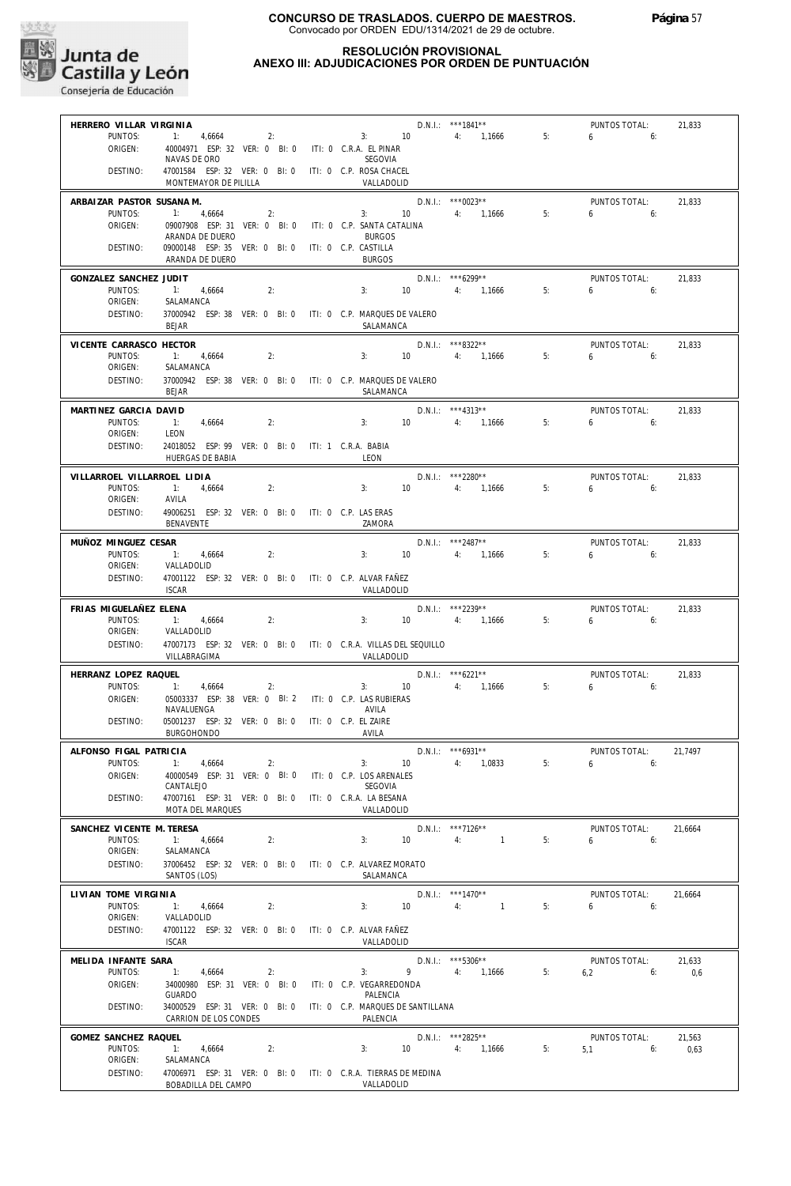

#### **RESOLUCIÓN PROVISIONAL ANEXO III: ADJUDICACIONES POR ORDEN DE PUNTUACIÓN**

| HERRERO VILLAR VIRGINIA           |                                                                                  |                      |                   | D.N.I.: ***1841**                 |    | PUNTOS TOTAL:          | 21,833  |
|-----------------------------------|----------------------------------------------------------------------------------|----------------------|-------------------|-----------------------------------|----|------------------------|---------|
| PUNTOS:                           | 1: $4,6664$<br>2:                                                                |                      | 3:<br>10          | 4: 1,1666                         | 5: | $6\qquad 6:$           |         |
| ORIGEN:                           | 40004971 ESP: 32 VER: 0 BI: 0 ITI: 0 C.R.A. EL PINAR<br>NAVAS DE ORO             |                      | SEGOVIA           |                                   |    |                        |         |
| DESTINO:                          | 47001584 ESP: 32 VER: 0 BI: 0 ITI: 0 C.P. ROSA CHACEL                            |                      |                   |                                   |    |                        |         |
|                                   | MONTEMAYOR DE PILILLA                                                            |                      | VALLADOLID        |                                   |    |                        |         |
| ARBAIZAR PASTOR SUSANA M.         |                                                                                  |                      |                   | $D.N.1::$ ***0023**               |    | PUNTOS TOTAL:          | 21,833  |
| PUNTOS:                           | 4,6664<br>$-1:$<br>2:                                                            | 3:                   | 10 <sup>°</sup>   | 4: 1,1666                         | 5: | $6\qquad 6$            |         |
| ORIGEN:                           | 09007908 ESP: 31 VER: 0 BI: 0 ITI: 0 C.P. SANTA CATALINA<br>ARANDA DE DUERO      |                      | <b>BURGOS</b>     |                                   |    |                        |         |
| DESTINO:                          | 09000148 ESP: 35 VER: 0 BI: 0 ITI: 0 C.P. CASTILLA                               |                      |                   |                                   |    |                        |         |
|                                   | ARANDA DE DUERO                                                                  |                      | <b>BURGOS</b>     |                                   |    |                        |         |
| GONZALEZ SANCHEZ JUDIT            |                                                                                  |                      |                   | D.N.I.: *** 6299**                |    | PUNTOS TOTAL:          | 21,833  |
| PUNTOS:                           | $-1:$<br>4,6664<br>2:                                                            | 3:                   | $10-10$           | 4: 1,1666                         | 5: | $6\qquad 6$            |         |
| ORIGEN:<br>DESTINO:               | SALAMANCA<br>37000942 ESP: 38 VER: 0 BI: 0 ITI: 0 C.P. MARQUES DE VALERO         |                      |                   |                                   |    |                        |         |
|                                   | <b>BEJAR</b>                                                                     |                      | SALAMANCA         |                                   |    |                        |         |
| VICENTE CARRASCO HECTOR           |                                                                                  |                      |                   | D.N.I.: ***8322**                 |    | PUNTOS TOTAL:          | 21,833  |
| PUNTOS:                           | 1: 4,6664<br>2:                                                                  | 3:                   | 10 <sup>°</sup>   | 4: 1,1666                         | 5: | 6<br>6:                |         |
| ORIGEN:                           | SALAMANCA                                                                        |                      |                   |                                   |    |                        |         |
| DESTINO:                          | 37000942 ESP: 38 VER: 0 BI: 0 ITI: 0 C.P. MARQUES DE VALERO<br><b>BEJAR</b>      |                      | SALAMANCA         |                                   |    |                        |         |
|                                   |                                                                                  |                      |                   |                                   |    |                        |         |
| MARTINEZ GARCIA DAVID<br>PUNTOS:  | 2:<br>$-1:$<br>4,6664                                                            | 3:                   | 10 <sup>1</sup>   | $D.N.I.:$ ***4313**<br>4: 1,1666  | 5: | PUNTOS TOTAL:<br>6.6   | 21,833  |
| ORIGEN:                           | LEON                                                                             |                      |                   |                                   |    |                        |         |
| DESTINO:                          | 24018052 ESP: 99 VER: 0 BI: 0 ITI: 1 C.R.A. BABIA                                |                      |                   |                                   |    |                        |         |
|                                   | HUERGAS DE BABIA                                                                 | LEON                 |                   |                                   |    |                        |         |
| VILLARROEL VILLARROEL LIDIA       |                                                                                  |                      |                   | D.N.I.: ***2280**                 |    | PUNTOS TOTAL:          | 21,833  |
| PUNTOS:<br>ORIGEN:                | $-1:$<br>2:<br>4,6664<br>AVILA                                                   | 3:                   | 10 <sup>°</sup>   | 4: 1,1666                         | 5: | $6\qquad 6$            |         |
| DESTINO:                          | 49006251 ESP: 32 VER: 0 BI: 0 ITI: 0 C.P. LAS ERAS                               |                      |                   |                                   |    |                        |         |
|                                   | BENAVENTE                                                                        |                      | ZAMORA            |                                   |    |                        |         |
| MUÑOZ MINGUEZ CESAR               |                                                                                  |                      |                   | $D.N.1::$ ***2487**               |    | PUNTOS TOTAL:          | 21,833  |
| PUNTOS:                           | $-1:$<br>4,6664<br>2:                                                            | 3:                   | 10                | 4: 1,1666                         | 5: | 6<br>6:                |         |
| ORIGEN:                           | VALLADOLID                                                                       |                      |                   |                                   |    |                        |         |
| DESTINO:                          | 47001122 ESP: 32 VER: 0 BI: 0 ITI: 0 C.P. ALVAR FAÑEZ<br><b>ISCAR</b>            |                      | VALLADOLID        |                                   |    |                        |         |
|                                   |                                                                                  |                      |                   | D.N.I.: ***2239**                 |    |                        |         |
|                                   |                                                                                  |                      |                   |                                   |    | PUNTOS TOTAL:          | 21,833  |
| FRIAS MIGUELAÑEZ ELENA<br>PUNTOS: |                                                                                  |                      | 10                |                                   |    |                        |         |
| ORIGEN:                           | 2:<br>$-1$ :<br>4,6664<br>VALLADOLID                                             | 3:                   |                   | 4: 1,1666                         | 5: | $6\qquad 6$            |         |
| DESTINO:                          | 47007173 ESP: 32 VER: 0 BI: 0 ITI: 0 C.R.A. VILLAS DEL SEQUILLO                  |                      |                   |                                   |    |                        |         |
|                                   | VILLABRAGIMA                                                                     |                      | VALLADOLID        |                                   |    |                        |         |
| HERRANZ LOPEZ RAQUEL              |                                                                                  |                      |                   | $D.N.1.:$ ***6221**               |    | PUNTOS TOTAL:          | 21,833  |
| PUNTOS:                           | 1:<br>4,6664<br>2:                                                               |                      | 3:<br>10          | 4: 1,1666                         | 5: | $6\qquad \qquad$<br>6: |         |
| ORIGEN:                           | 05003337 ESP: 38 VER: 0 BI: 2 ITI: 0 C.P. LAS RUBIERAS<br>NAVALUENGA             |                      | AVILA             |                                   |    |                        |         |
| DESTINO:                          | 05001237 ESP: 32 VER: 0 BI: 0                                                    | ITI: 0 C.P. EL ZAIRE |                   |                                   |    |                        |         |
|                                   | <b>BURGOHONDO</b>                                                                | AVILA                |                   |                                   |    |                        |         |
| ALFONSO FIGAL PATRICIA            |                                                                                  |                      |                   | $D.N.1::$ *** 6931**              |    | PUNTOS TOTAL:          | 21,7497 |
| PUNTOS:<br>ORIGEN:                | 1: 4,6664<br>2:                                                                  | 3:                   | $\overline{10}$   | $4: 1,0833$ 5:                    |    | 6:<br>6                |         |
|                                   | 40000549 ESP: 31 VER: 0 BI: 0 ITI: 0 C.P. LOS ARENALES<br>CANTALEJO              |                      | SEGOVIA           |                                   |    |                        |         |
| DESTINO:                          | 47007161 ESP: 31 VER: 0 BI: 0 ITI: 0 C.R.A. LA BESANA                            |                      |                   |                                   |    |                        |         |
|                                   | MOTA DEL MARQUES                                                                 |                      | VALLADOLID        |                                   |    |                        |         |
| SANCHEZ VICENTE M. TERESA         |                                                                                  |                      |                   | D.N.I.: ***7126**                 |    | PUNTOS TOTAL:          | 21,6664 |
| PUNTOS:<br>ORIGEN:                | 1: 4,6664<br>2:<br>SALAMANCA                                                     |                      | 3:<br>10          | 4:<br>$\sim$ $\sim$ 1             | 5: | 6.6                    |         |
| DESTINO:                          | 37006452 ESP: 32 VER: 0 BI: 0 ITI: 0 C.P. ALVAREZ MORATO                         |                      |                   |                                   |    |                        |         |
|                                   | SANTOS (LOS)                                                                     |                      | SALAMANCA         |                                   |    |                        |         |
| LIVIAN TOME VIRGINIA              |                                                                                  |                      |                   | D.N.I.: ***1470**                 |    | PUNTOS TOTAL:          | 21,6664 |
| PUNTOS:                           | 1: 4,6664<br>2:                                                                  |                      | 3: 10             | 4:<br>$\sim$ $\sim$ $\sim$ $\sim$ | 5: | $6 \t\t 6$             |         |
| ORIGEN:<br>DESTINO:               | VALLADOLID<br>47001122 ESP: 32 VER: 0 BI: 0 ITI: 0 C.P. ALVAR FAÑEZ              |                      |                   |                                   |    |                        |         |
|                                   | <b>ISCAR</b>                                                                     |                      | VALLADOLID        |                                   |    |                        |         |
| MELIDA INFANTE SARA               |                                                                                  |                      |                   | $D.N.1.:$ ***5306**               |    | PUNTOS TOTAL:          | 21,633  |
| PUNTOS:                           | 1: 4,6664<br>2:                                                                  | 3:                   | $9 \qquad \qquad$ | 4: 1,1666                         | 5: | 6,2<br>6:              | 0,6     |
| ORIGEN:                           | 34000980 ESP: 31 VER: 0 BI: 0 ITI: 0 C.P. VEGARREDONDA                           |                      |                   |                                   |    |                        |         |
| DESTINO:                          | <b>GUARDO</b><br>34000529 ESP: 31 VER: 0 BI: 0 ITI: 0 C.P. MARQUES DE SANTILLANA |                      | PALENCIA          |                                   |    |                        |         |
|                                   | CARRION DE LOS CONDES                                                            |                      | PALENCIA          |                                   |    |                        |         |
| GOMEZ SANCHEZ RAQUEL              |                                                                                  |                      |                   | D.N.I.: ***2825**                 |    | PUNTOS TOTAL:          | 21,563  |
| PUNTOS:                           | 1: 4,6664<br>2:                                                                  | 3:                   |                   | 10 4: 1,1666                      | 5: | $5,1$ 6:               | 0,63    |
| ORIGEN:<br>DESTINO:               | SALAMANCA<br>47006971 ESP: 31 VER: 0 BI: 0 ITI: 0 C.R.A. TIERRAS DE MEDINA       |                      |                   |                                   |    |                        |         |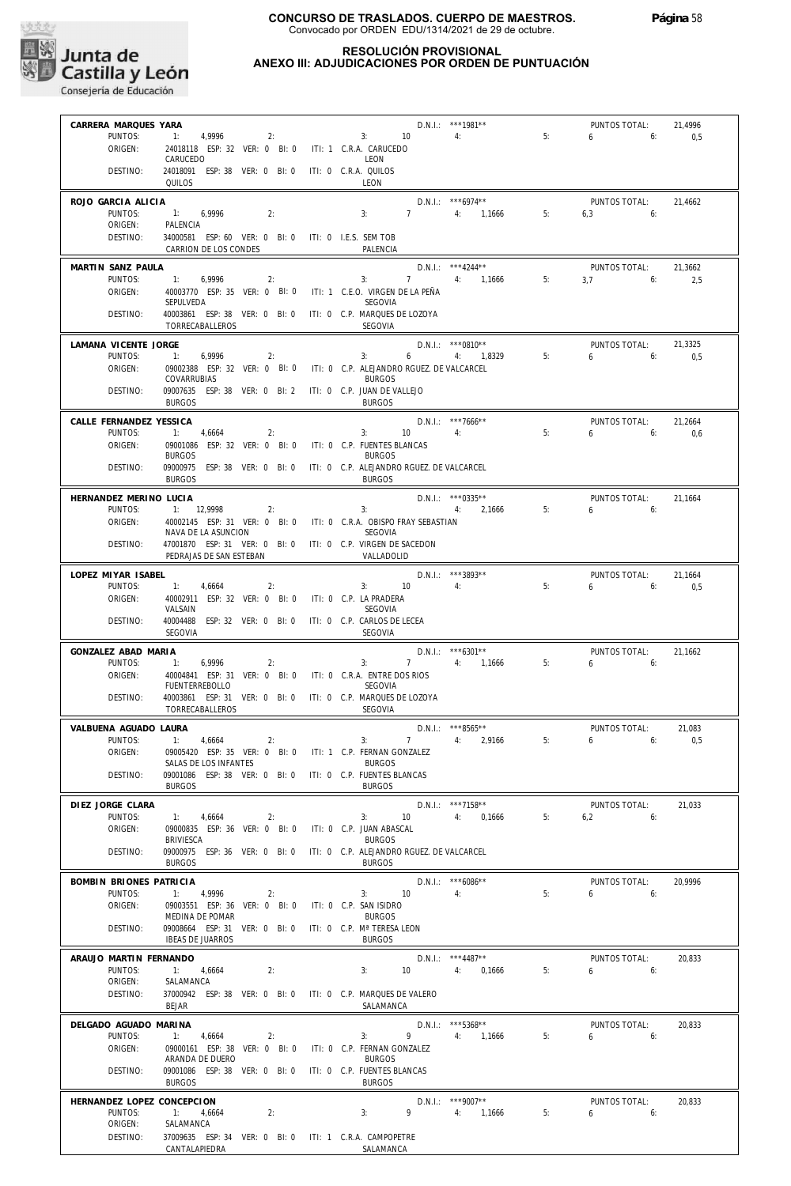

#### **RESOLUCIÓN PROVISIONAL ANEXO III: ADJUDICACIONES POR ORDEN DE PUNTUACIÓN**

| CARRERA MARQUES YARA         |                                                                                        |                                                            | D.N.I.: ***1981**                  |    | PUNTOS TOTAL:              | 21,4996 |
|------------------------------|----------------------------------------------------------------------------------------|------------------------------------------------------------|------------------------------------|----|----------------------------|---------|
| PUNTOS:                      | 1: 4,9996<br>2:                                                                        | 3: 10                                                      | $4:$ $4:$                          | 5: | $6\overline{)}$<br>6:      | 0,5     |
| ORIGEN:                      | 24018118 ESP: 32 VER: 0 BI: 0                                                          | ITI: 1 C.R.A. CARUCEDO                                     |                                    |    |                            |         |
| DESTINO:                     | CARUCEDO<br>24018091 ESP: 38 VER: 0 BI: 0                                              | LEON<br>ITI: 0 C.R.A. QUILOS                               |                                    |    |                            |         |
|                              | QUILOS                                                                                 | LEON                                                       |                                    |    |                            |         |
| ROJO GARCIA ALICIA           |                                                                                        |                                                            | $D.N.1::$ ***6974**                |    | PUNTOS TOTAL:              | 21,4662 |
| PUNTOS:                      | 1: 6,9996<br>2:                                                                        | 3:                                                         | 7 4: 1,1666                        | 5: | $6,3$ 6:                   |         |
| ORIGEN:                      | PALENCIA                                                                               |                                                            |                                    |    |                            |         |
| DESTINO:                     | 34000581 ESP: 60 VER: 0 BI: 0 ITI: 0 I.E.S. SEM TOB                                    | PALENCIA                                                   |                                    |    |                            |         |
|                              | CARRION DE LOS CONDES                                                                  |                                                            |                                    |    |                            |         |
| MARTIN SANZ PAULA<br>PUNTOS: |                                                                                        |                                                            | $D.N.1::$ ***4244**<br>7 4: 1.1666 | 5: | PUNTOS TOTAL:<br>$3.7$ 6:  | 21,3662 |
| ORIGEN:                      | 6,9996<br>1:<br>2:<br>40003770 ESP: 35 VER: 0 BI: 0 ITI: 1 C.E.O. VIRGEN DE LA PEÑA    | 3:                                                         |                                    |    |                            | 2,5     |
|                              | SEPULVEDA                                                                              | SEGOVIA                                                    |                                    |    |                            |         |
| DESTINO:                     | 40003861 ESP: 38 VER: 0 BI: 0 ITI: 0 C.P. MARQUES DE LOZOYA                            |                                                            |                                    |    |                            |         |
|                              | TORRECABALLEROS                                                                        | <b>SEGOVIA</b>                                             |                                    |    |                            |         |
| LAMANA VICENTE JORGE         |                                                                                        |                                                            | $D.N.1.:$ ***0810**                |    | PUNTOS TOTAL:              | 21.3325 |
| PUNTOS:                      | 6,9996<br>1:<br>2:                                                                     | 3:                                                         | $6\qquad \qquad$<br>4: 1,8329      | 5: | $6\qquad 6$                | 0,5     |
| ORIGEN:                      | 09002388 ESP: 32 VER: 0 BI: 0 ITI: 0 C.P. ALEJANDRO RGUEZ. DE VALCARCEL<br>COVARRUBIAS | <b>BURGOS</b>                                              |                                    |    |                            |         |
| DESTINO:                     | 09007635 ESP: 38 VER: 0 BI: 2 ITI: 0 C.P. JUAN DE VALLEJO                              |                                                            |                                    |    |                            |         |
|                              | <b>BURGOS</b>                                                                          | <b>BURGOS</b>                                              |                                    |    |                            |         |
| CALLE FERNANDEZ YESSICA      |                                                                                        |                                                            | $D.N.1::$ ***7666**                |    | PUNTOS TOTAL:              | 21,2664 |
| PUNTOS:                      | 1: 4,6664<br>2:                                                                        | 3:                                                         | $10 \qquad \qquad 4$               | 5: | 6:<br>6                    | 0,6     |
| ORIGEN:                      | 09001086 ESP: 32 VER: 0 BI: 0<br><b>BURGOS</b>                                         | ITI: 0 C.P. FUENTES BLANCAS<br><b>BURGOS</b>               |                                    |    |                            |         |
| DESTINO:                     | 09000975 ESP: 38 VER: 0 BI: 0                                                          | ITI: 0 C.P. ALEJANDRO RGUEZ. DE VALCARCEL                  |                                    |    |                            |         |
|                              | <b>BURGOS</b>                                                                          | <b>BURGOS</b>                                              |                                    |    |                            |         |
| HERNANDEZ MERINO LUCIA       |                                                                                        |                                                            | $D.N.1::$ ***0335**                |    | PUNTOS TOTAL:              | 21,1664 |
| PUNTOS:                      | 1: 12,9998<br>2:                                                                       | 3:                                                         | 4: 2,1666                          | 5: | 6<br>6:                    |         |
| ORIGEN:                      | 40002145 ESP: 31 VER: 0 BI: 0 ITI: 0 C.R.A. OBISPO FRAY SEBASTIAN                      |                                                            |                                    |    |                            |         |
| DESTINO:                     | NAVA DE LA ASUNCION<br>47001870 ESP: 31 VER: 0 BI: 0 ITI: 0 C.P. VIRGEN DE SACEDON     | SEGOVIA                                                    |                                    |    |                            |         |
|                              | PEDRAJAS DE SAN ESTEBAN                                                                | VALLADOLID                                                 |                                    |    |                            |         |
| LOPEZ MIYAR ISABEL           |                                                                                        |                                                            | D.N.I.: ***3893**                  |    | PUNTOS TOTAL:              | 21,1664 |
| PUNTOS:                      | 1:<br>4,6664<br>2:                                                                     | 3: 10                                                      | 4:                                 | 5: | 6<br>6:                    | 0,5     |
| ORIGEN:                      | 40002911 ESP: 32 VER: 0 BI: 0                                                          | ITI: 0 C.P. LA PRADERA                                     |                                    |    |                            |         |
| DESTINO:                     | VALSAIN<br>40004488 ESP: 32 VER: 0 BI: 0                                               | SEGOVIA<br>ITI: 0 C.P. CARLOS DE LECEA                     |                                    |    |                            |         |
|                              | SEGOVIA                                                                                | SEGOVIA                                                    |                                    |    |                            |         |
| GONZALEZ ABAD MARIA          |                                                                                        |                                                            | $D.N.1.:$ ***6301**                |    | PUNTOS TOTAL:              | 21,1662 |
| PUNTOS:                      | 1:<br>6,9996<br>2:                                                                     |                                                            | $3: 7$ 4: 1,1666                   | 5: | $6\qquad 6$                |         |
| ORIGEN:                      | 40004841 ESP: 31 VER: 0 BI: 0 ITI: 0 C.R.A. ENTRE DOS RIOS                             |                                                            |                                    |    |                            |         |
| DESTINO:                     | <b>FUENTERREBOLLO</b><br>40003861 ESP: 31 VER: 0 BI: 0 ITI: 0 C.P. MARQUES DE LOZOYA   | SEGOVIA                                                    |                                    |    |                            |         |
|                              | TORRECABALLEROS                                                                        | SEGOVIA                                                    |                                    |    |                            |         |
| VALBUENA AGUADO LAURA        |                                                                                        |                                                            | $D.N.1::$ ***8565**                |    | PUNTOS TOTAL:              | 21,083  |
| PUNTOS:                      | 1: 4,6664<br>2:                                                                        | 3:                                                         | 7 4: 2.9166                        | 5: | 6<br>6:                    | 0,5     |
| ORIGEN:                      | 09005420 ESP: 35 VER: 0 BI: 0 ITI: 1 C.P. FERNAN GONZALEZ                              |                                                            |                                    |    |                            |         |
|                              | SALAS DE LOS INFANTES                                                                  | <b>BURGOS</b>                                              |                                    |    |                            |         |
| DESTINO:                     | 09001086 ESP: 38 VER: 0 BI: 0 ITI: 0 C.P. FUENTES BLANCAS<br><b>BURGOS</b>             | <b>BURGOS</b>                                              |                                    |    |                            |         |
|                              |                                                                                        |                                                            |                                    |    |                            |         |
| DIEZ JORGE CLARA<br>PUNTOS:  | 1: 4,6664<br>2:                                                                        | 3:<br>10                                                   | D.N.I.: ***7158**<br>4: 0.1666     | 5: | PUNTOS TOTAL:<br>6,2<br>6: | 21,033  |
| ORIGEN:                      | 09000835 ESP: 36 VER: 0 BI: 0                                                          | ITI: 0 C.P. JUAN ABASCAL                                   |                                    |    |                            |         |
|                              | <b>BRIVIESCA</b>                                                                       | <b>BURGOS</b>                                              |                                    |    |                            |         |
| DESTINO:                     | 09000975 ESP: 36 VER: 0 BI: 0<br><b>BURGOS</b>                                         | ITI: 0 C.P. ALEJANDRO RGUEZ. DE VALCARCEL<br><b>BURGOS</b> |                                    |    |                            |         |
|                              |                                                                                        |                                                            |                                    |    |                            |         |
| BOMBIN BRIONES PATRICIA      | 1:                                                                                     |                                                            | $D.N.1::$ *** 6086**               |    | PUNTOS TOTAL:              | 20,9996 |
| PUNTOS:<br>ORIGEN:           | 4,9996<br>2:<br>09003551 ESP: 36 VER: 0 BI: 0                                          | 3:<br>10<br>ITI: 0 C.P. SAN ISIDRO                         | 4:                                 | 5: | 6<br>6:                    |         |
|                              | MEDINA DE POMAR                                                                        | <b>BURGOS</b>                                              |                                    |    |                            |         |
| DESTINO:                     | 09008664 ESP: 31 VER: 0 BI: 0                                                          | ITI: 0 C.P. Mª TERESA LEON                                 |                                    |    |                            |         |
|                              | <b>IBFAS DE JUARROS</b>                                                                | <b>BURGOS</b>                                              |                                    |    |                            |         |
| ARAUJO MARTIN FERNANDO       |                                                                                        |                                                            | $D.N.1::$ ***4487**                |    | PUNTOS TOTAL:              | 20,833  |
| PUNTOS:<br>ORIGEN:           | 1:<br>4,6664<br>2:<br>SALAMANCA                                                        | 3:<br>10                                                   | 4: 0,1666                          | 5: | 6<br>6:                    |         |
| DESTINO:                     | 37000942 ESP: 38 VER: 0 BI: 0 ITI: 0 C.P. MARQUES DE VALERO                            |                                                            |                                    |    |                            |         |
|                              | <b>BEJAR</b>                                                                           | SALAMANCA                                                  |                                    |    |                            |         |
| DELGADO AGUADO MARINA        |                                                                                        |                                                            | $D.N.1::$ ***5368**                |    | PUNTOS TOTAL:              | 20,833  |
| PUNTOS:                      | 1:<br>4,6664<br>2:                                                                     | 9<br>3:                                                    | 4: 1,1666                          | 5: | 6<br>6:                    |         |
| ORIGEN:                      | 09000161 ESP: 38 VER: 0 BI: 0                                                          | ITI: 0 C.P. FERNAN GONZALEZ                                |                                    |    |                            |         |
| DESTINO:                     | ARANDA DE DUERO<br>09001086 ESP: 38 VER: 0 BI: 0                                       | <b>BURGOS</b><br>ITI: 0 C.P. FUENTES BLANCAS               |                                    |    |                            |         |
|                              | <b>BURGOS</b>                                                                          | <b>BURGOS</b>                                              |                                    |    |                            |         |
| HERNANDEZ LOPEZ CONCEPCION   |                                                                                        |                                                            | $D.N.1.:$ ***9007**                |    | PUNTOS TOTAL:              | 20,833  |
| PUNTOS:                      | 1:<br>4,6664<br>2:                                                                     | 9<br>3:                                                    | 4: 1,1666                          | 5: | 6<br>6:                    |         |
| ORIGEN:                      | SALAMANCA                                                                              |                                                            |                                    |    |                            |         |
| DESTINO:                     | 37009635 ESP: 34 VER: 0 BI: 0 ITI: 1 C.R.A. CAMPOPETRE                                 | SALAMANCA                                                  |                                    |    |                            |         |
|                              | CANTALAPIEDRA                                                                          |                                                            |                                    |    |                            |         |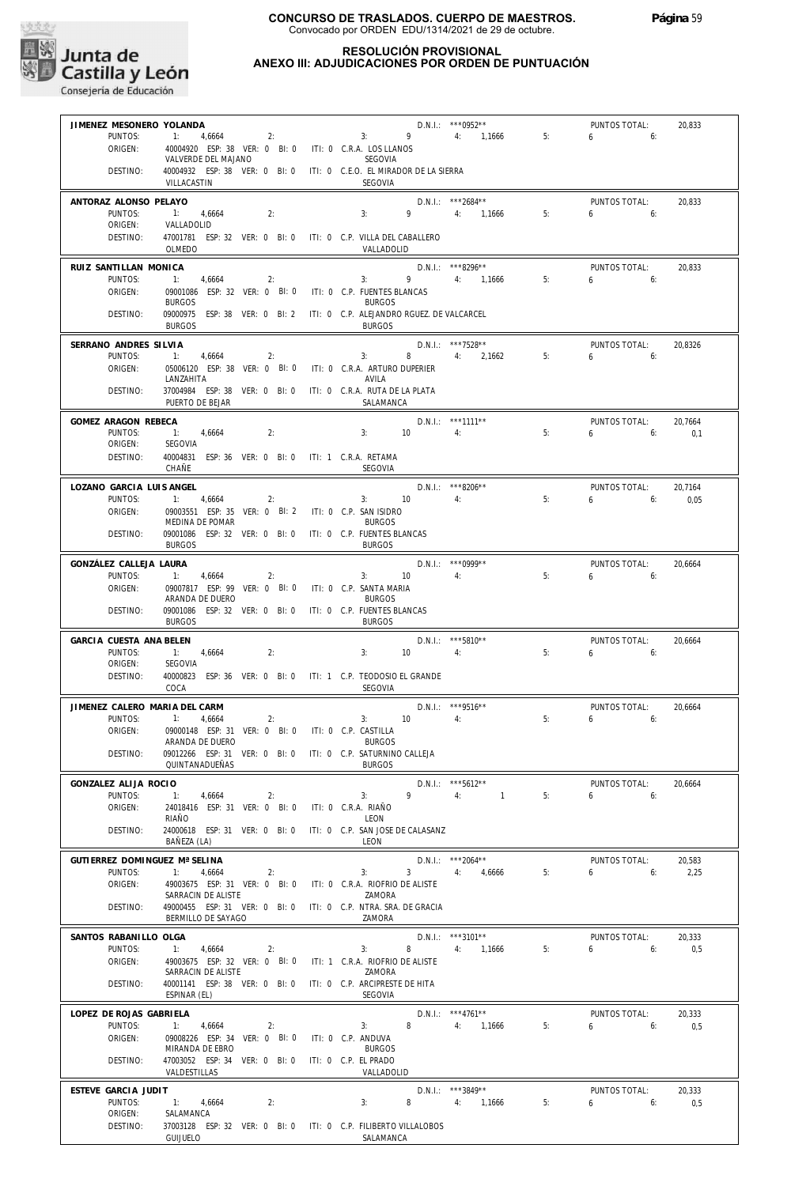

#### **RESOLUCIÓN PROVISIONAL ANEXO III: ADJUDICACIONES POR ORDEN DE PUNTUACIÓN**

| JIMENEZ MESONERO YOLANDA      |                                                                         |                                  |                     | D.N.I.: *** 0952**   |    | PUNTOS TOTAL:                    | 20,833  |
|-------------------------------|-------------------------------------------------------------------------|----------------------------------|---------------------|----------------------|----|----------------------------------|---------|
| PUNTOS:                       | 1: 4,6664<br>2:                                                         |                                  | $3: 9 \t 4: 1,1666$ |                      | 5: | $6 \t\t 6$                       |         |
| ORIGEN:                       | 40004920 ESP: 38 VER: 0 BI: 0 ITI: 0 C.R.A. LOS LLANOS                  |                                  |                     |                      |    |                                  |         |
|                               | VALVERDE DEL MAJANO                                                     | SEGOVIA                          |                     |                      |    |                                  |         |
| DESTINO:                      | 40004932 ESP: 38 VER: 0 BI: 0 ITI: 0 C.E.O. EL MIRADOR DE LA SIERRA     |                                  |                     |                      |    |                                  |         |
|                               | VILLACASTIN                                                             | SEGOVIA                          |                     |                      |    |                                  |         |
| ANTORAZ ALONSO PELAYO         |                                                                         |                                  |                     | D.N.I.: ***2684**    |    | PUNTOS TOTAL:                    | 20,833  |
| PUNTOS:                       | 1: 4,6664<br>2:                                                         | 3:                               |                     | 9 4: 1.1666          | 5: | $6\qquad 6$                      |         |
| ORIGEN:                       | VALLADOLID                                                              |                                  |                     |                      |    |                                  |         |
| DESTINO:                      | 47001781 ESP: 32 VER: 0 BI: 0 ITI: 0 C.P. VILLA DEL CABALLERO           |                                  |                     |                      |    |                                  |         |
|                               | OLMEDO                                                                  |                                  | VALLADOLID          |                      |    |                                  |         |
| RUIZ SANTILLAN MONICA         |                                                                         |                                  |                     | $D.N.1.:$ ***8296**  |    | PUNTOS TOTAL:                    | 20,833  |
| PUNTOS:                       | 1:<br>4,6664<br>2:                                                      | 3:                               | 9 4: 1,1666         |                      | 5: | $6 \t\t\t 6$                     |         |
| ORIGEN:                       | 09001086 ESP: 32 VER: 0 BI: 0 ITI: 0 C.P. FUENTES BLANCAS               |                                  |                     |                      |    |                                  |         |
|                               | <b>BURGOS</b>                                                           | <b>BURGOS</b>                    |                     |                      |    |                                  |         |
| DESTINO:                      | 09000975 ESP: 38 VER: 0 BI: 2 ITI: 0 C.P. ALEJANDRO RGUEZ. DE VALCARCEL |                                  |                     |                      |    |                                  |         |
|                               | <b>BURGOS</b>                                                           | <b>BURGOS</b>                    |                     |                      |    |                                  |         |
| SERRANO ANDRES SILVIA         |                                                                         |                                  |                     | $D.N.1::$ ***7528**  |    | PUNTOS TOTAL:                    | 20,8326 |
| PUNTOS:                       | 1:<br>4,6664<br>2:                                                      | 3:                               |                     | 8 4: 2,1662          | 5: | $6\qquad 6$                      |         |
| ORIGEN:                       | 05006120 ESP: 38 VER: 0 BI: 0 ITI: 0 C.R.A. ARTURO DUPERIER             |                                  |                     |                      |    |                                  |         |
|                               | LANZAHITA                                                               | AVILA                            |                     |                      |    |                                  |         |
| DESTINO:                      | 37004984 ESP: 38 VER: 0 BI: 0                                           | ITI: 0 C.R.A. RUTA DE LA PLATA   |                     |                      |    |                                  |         |
|                               | PUERTO DE BEJAR                                                         |                                  | SALAMANCA           |                      |    |                                  |         |
| GOMEZ ARAGON REBECA           |                                                                         |                                  |                     | D.N.I.: ***1111**    |    | PUNTOS TOTAL:                    | 20,7664 |
| PUNTOS:                       | 1: 4,6664<br>2:                                                         | 3:                               | 10<br>4:            |                      | 5: | $6 \quad \overline{\quad}$<br>6: | 0,1     |
| ORIGEN:                       | SEGOVIA                                                                 |                                  |                     |                      |    |                                  |         |
| DESTINO:                      | 40004831 ESP: 36 VER: 0 BI: 0 ITI: 1 C.R.A. RETAMA                      |                                  |                     |                      |    |                                  |         |
|                               | CHAÑE                                                                   | SEGOVIA                          |                     |                      |    |                                  |         |
| LOZANO GARCIA LUIS ANGEL      |                                                                         |                                  |                     | $D.N.1::$ ***8206**  |    | PUNTOS TOTAL:                    | 20,7164 |
| PUNTOS:                       | 1: 4,6664<br>2:                                                         |                                  | 3: 10               | 4:                   | 5: | 6:<br>6                          | 0.05    |
| ORIGEN:                       | 09003551 ESP: 35 VER: 0 BI: 2 ITI: 0 C.P. SAN ISIDRO                    |                                  |                     |                      |    |                                  |         |
|                               | MEDINA DE POMAR                                                         | <b>BURGOS</b>                    |                     |                      |    |                                  |         |
| DESTINO:                      | 09001086 ESP: 32 VER: 0 BI: 0 ITI: 0 C.P. FUENTES BLANCAS               |                                  |                     |                      |    |                                  |         |
|                               | <b>BURGOS</b>                                                           | <b>BURGOS</b>                    |                     |                      |    |                                  |         |
| GONZÁLEZ CALLEJA LAURA        |                                                                         |                                  |                     | $D.N.1::$ *** 0999** |    | PUNTOS TOTAL:                    | 20,6664 |
| PUNTOS:                       | 1: 4,6664<br>2:                                                         |                                  | $3: 10 \t 4:$       |                      | 5: | 6:<br>6                          |         |
| ORIGEN:                       | 09007817 ESP: 99 VER: 0 BI: 0                                           | ITI: 0 C.P. SANTA MARIA          |                     |                      |    |                                  |         |
|                               | ARANDA DE DUERO                                                         | <b>BURGOS</b>                    |                     |                      |    |                                  |         |
| DESTINO:                      | 09001086 ESP: 32 VER: 0 BI: 0 ITI: 0 C.P. FUENTES BLANCAS               |                                  |                     |                      |    |                                  |         |
|                               | <b>BURGOS</b>                                                           | <b>BURGOS</b>                    |                     |                      |    |                                  |         |
| GARCIA CUESTA ANA BELEN       |                                                                         |                                  |                     | $D.N.I.:$ ***5810**  |    | PUNTOS TOTAL:                    | 20,6664 |
| PUNTOS:                       | 1: 4,6664<br>2:                                                         | 3:                               | 10<br>4:            |                      | 5: | 6:6:                             |         |
| ORIGEN:                       | SEGOVIA                                                                 |                                  |                     |                      |    |                                  |         |
| DESTINO:                      | 40000823 ESP: 36 VER: 0 BI: 0 ITI: 1 C.P. TEODOSIO EL GRANDE            |                                  |                     |                      |    |                                  |         |
|                               | COCA                                                                    | <b>SEGOVIA</b>                   |                     |                      |    |                                  |         |
| JIMENEZ CALERO MARIA DEL CARM |                                                                         |                                  |                     | D.N.I.: *** 9516**   |    | PUNTOS TOTAL:                    | 20,6664 |
| PUNTOS:                       | $-1$ :<br>4,6664<br>2:                                                  | 3:                               | 10                  | 4:                   | 5: | $6 \quad$<br>6:                  |         |
| ORIGEN:                       | 09000148 ESP: 31 VER: 0 BI: 0 ITI: 0 C.P. CASTILLA                      |                                  |                     |                      |    |                                  |         |
|                               | ARANDA DE DUERO                                                         | <b>BURGOS</b>                    |                     |                      |    |                                  |         |
| DESTINO:                      | 09012266 ESP: 31 VER: 0 BI: 0 ITI: 0 C.P. SATURNINO CALLEJA             |                                  |                     |                      |    |                                  |         |
|                               | QUINTANADUEÑAS                                                          | <b>BURGOS</b>                    |                     |                      |    |                                  |         |
| GONZALEZ ALIJA ROCIO          |                                                                         |                                  |                     | D.N.I.: *** 5612**   |    | PUNTOS TOTAL:                    | 20,6664 |
| PUNTOS:                       | 1:<br>4,6664<br>2:                                                      | 3:                               | $9 \t 4$            | $\sim$ 1             | 5: | 6<br>6:                          |         |
| ORIGEN:                       | 24018416 ESP: 31 VER: 0 BI: 0                                           | ITI: 0 C.R.A. RIAÑO              |                     |                      |    |                                  |         |
|                               | RIAÑO                                                                   | LEON                             |                     |                      |    |                                  |         |
| DESTINO:                      | 24000618 ESP: 31 VER: 0 BI: 0                                           | ITI: 0 C.P. SAN JOSE DE CALASANZ |                     |                      |    |                                  |         |
|                               | BAÑEZA (LA)                                                             | LEON                             |                     |                      |    |                                  |         |
| GUTIERREZ DOMINGUEZ Mª SELINA |                                                                         |                                  |                     | $D.N.1.:$ ***2064**  |    | PUNTOS TOTAL:                    | 20,583  |
| PUNTOS:                       | 1:<br>4,6664<br>2:                                                      | 3:                               |                     | $3 \t 4: 4,6666$     | 5: | 6<br>6:                          | 2,25    |
| ORIGEN:                       | 49003675 ESP: 31 VER: 0 BI: 0                                           | ITI: 0 C.R.A. RIOFRIO DE ALISTE  |                     |                      |    |                                  |         |
|                               | SARRACIN DE ALISTE                                                      | ZAMORA                           |                     |                      |    |                                  |         |
| DESTINO:                      | 49000455 ESP: 31 VER: 0 BI: 0                                           | ITI: 0 C.P. NTRA. SRA. DE GRACIA |                     |                      |    |                                  |         |
|                               | BERMILLO DE SAYAGO                                                      | ZAMORA                           |                     |                      |    |                                  |         |
| SANTOS RABANILLO OLGA         |                                                                         |                                  |                     | $D.N.I.:$ ***3101**  |    | PUNTOS TOTAL:                    | 20,333  |
| PUNTOS:                       | 1:<br>4,6664<br>2:                                                      | 3:                               | 8                   | 4: 1,1666            | 5: | 6<br>6:                          | 0,5     |
| ORIGEN:                       | 49003675 ESP: 32 VER: 0 BI: 0                                           | ITI: 1 C.R.A. RIOFRIO DE ALISTE  |                     |                      |    |                                  |         |
|                               | SARRACIN DE ALISTE                                                      | ZAMORA                           |                     |                      |    |                                  |         |
| DESTINO:                      | 40001141 ESP: 38 VER: 0 BI: 0                                           | ITI: 0 C.P. ARCIPRESTE DE HITA   |                     |                      |    |                                  |         |
|                               | ESPINAR (EL)                                                            | SEGOVIA                          |                     |                      |    |                                  |         |
| LOPEZ DE ROJAS GABRIELA       |                                                                         |                                  |                     | $D.N.1::$ ***4761**  |    | PUNTOS TOTAL:                    | 20,333  |
| PUNTOS:                       | 1: 4,6664<br>2:                                                         | 3:                               | 8                   | 4: 1,1666            | 5: | 6<br>6:                          | 0,5     |
| ORIGEN:                       | 09008226 ESP: 34 VER: 0 BI: 0                                           | ITI: 0 C.P. ANDUVA               |                     |                      |    |                                  |         |
|                               | MIRANDA DE EBRO                                                         | <b>BURGOS</b>                    |                     |                      |    |                                  |         |
| DESTINO:                      | 47003052 ESP: 34 VER: 0 BI: 0                                           | ITI: 0 C.P. EL PRADO             |                     |                      |    |                                  |         |
|                               | VALDESTILLAS                                                            |                                  | VALLADOLID          |                      |    |                                  |         |
| ESTEVE GARCIA JUDIT           |                                                                         |                                  |                     | D.N.I.: ***3849**    |    | PUNTOS TOTAL:                    | 20,333  |
| PUNTOS:                       | 1: 4,6664<br>2:                                                         | 3:                               | 8                   | 4: 1,1666            | 5: | $6\qquad 6:$                     | 0,5     |
| ORIGEN:                       | SALAMANCA                                                               |                                  |                     |                      |    |                                  |         |
| DESTINO:                      | 37003128 ESP: 32 VER: 0 BI: 0 ITI: 0 C.P. FILIBERTO VILLALOBOS          |                                  |                     |                      |    |                                  |         |
|                               | GUIJUELO                                                                |                                  | SALAMANCA           |                      |    |                                  |         |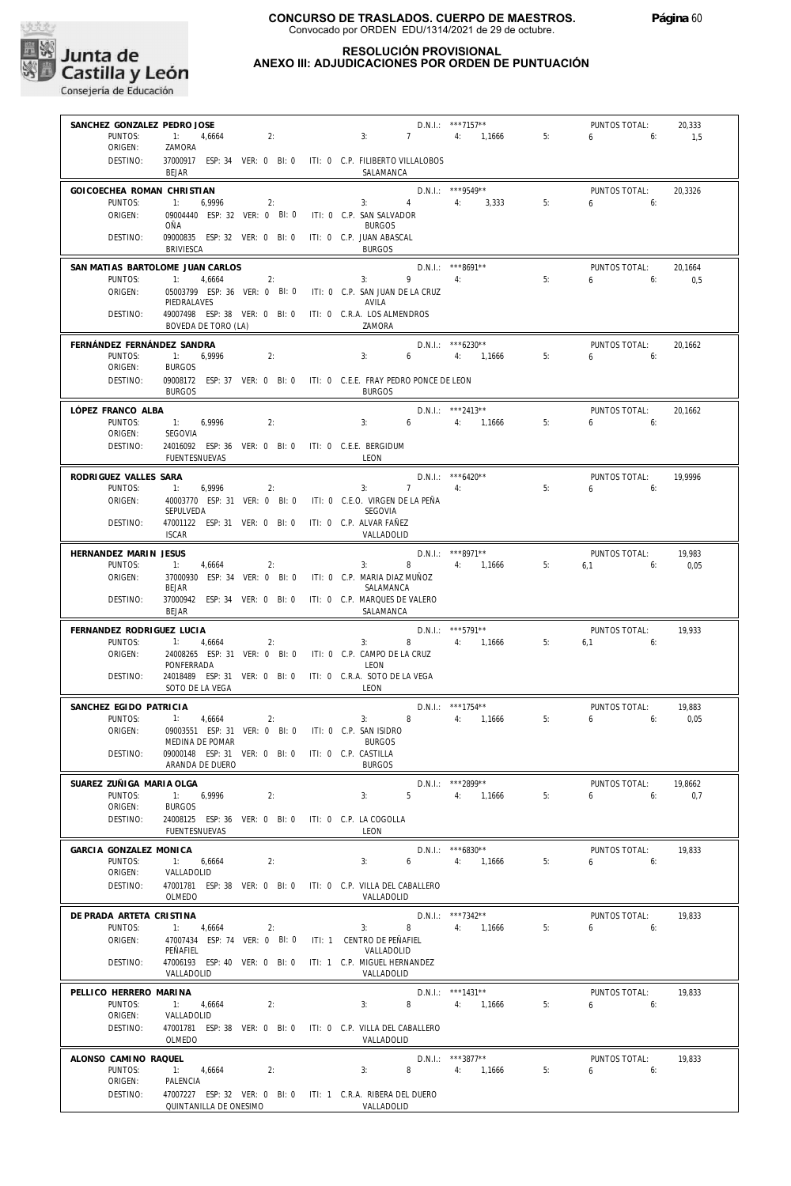

| SANCHEZ GONZALEZ PEDRO JOSE           |                                                                      |                                                      |                                                                                       | $D.N.1::$ ***7157**                       |       | PUNTOS TOTAL:                   | 20,333  |
|---------------------------------------|----------------------------------------------------------------------|------------------------------------------------------|---------------------------------------------------------------------------------------|-------------------------------------------|-------|---------------------------------|---------|
| PUNTOS:<br>ORIGEN:                    | 1: 4,6664<br>ZAMORA                                                  | 2:                                                   | 3:                                                                                    | 7 4: 1.1666                               | 5:    | $6\qquad 6:$                    | 1,5     |
| DESTINO:                              | <b>BEJAR</b>                                                         |                                                      | 37000917 ESP: 34 VER: 0 BI: 0 ITI: 0 C.P. FILIBERTO VILLALOBOS<br>SALAMANCA           |                                           |       |                                 |         |
| GOICOECHEA ROMAN CHRISTIAN            |                                                                      |                                                      |                                                                                       | $D.N.1::$ ***9549**                       |       | PUNTOS TOTAL:                   | 20.3326 |
| PUNTOS:<br>ORIGEN:                    | 1:<br>6,9996<br>09004440 ESP: 32 VER: 0 BI: 0                        | 2:                                                   | $\overline{4}$<br>3:<br>ITI: 0 C.P. SAN SALVADOR                                      | 4: 3,333                                  | 5:    | $6\qquad 6$                     |         |
|                                       | OÑA                                                                  |                                                      | <b>BURGOS</b>                                                                         |                                           |       |                                 |         |
| DESTINO:                              | 09000835 ESP: 32 VER: 0 BI: 0<br><b>BRIVIESCA</b>                    |                                                      | ITI: 0 C.P. JUAN ABASCAL<br><b>BURGOS</b>                                             |                                           |       |                                 |         |
|                                       | SAN MATIAS BARTOLOME JUAN CARLOS                                     |                                                      |                                                                                       | D.N.I.: ***8691**<br>$9 \qquad \qquad 4:$ |       | PUNTOS TOTAL:                   | 20,1664 |
| PUNTOS:<br>ORIGEN:                    | $\overline{1}$ :<br>4,6664                                           | 2:                                                   | 3:<br>05003799 ESP: 36 VER: 0 BI: 0 ITI: 0 C.P. SAN JUAN DE LA CRUZ                   |                                           | 5:    | $6\qquad 6$                     | 0.5     |
| DESTINO:                              | PIEDRALAVES                                                          |                                                      | AVILA<br>49007498 ESP: 38 VER: 0 BI: 0 ITI: 0 C.R.A. LOS ALMENDROS                    |                                           |       |                                 |         |
|                                       | BOVEDA DE TORO (LA)                                                  |                                                      | ZAMORA                                                                                |                                           |       |                                 |         |
| FERNÁNDEZ FERNÁNDEZ SANDRA<br>PUNTOS: | 1: 6,9996                                                            | 2:                                                   | 3:                                                                                    | $D.N.1.:$ ***6230**<br>6 4: 1,1666        | 5:5:5 | PUNTOS TOTAL:<br>$6\qquad 6$    | 20.1662 |
| ORIGEN:                               | <b>BURGOS</b>                                                        |                                                      |                                                                                       |                                           |       |                                 |         |
| DESTINO:                              | <b>BURGOS</b>                                                        |                                                      | 09008172 ESP: 37 VER: 0 BI: 0 ITI: 0 C.E.E. FRAY PEDRO PONCE DE LEON<br><b>BURGOS</b> |                                           |       |                                 |         |
| LÓPEZ FRANCO ALBA                     |                                                                      |                                                      |                                                                                       | D.N.I.: ***2413**                         |       | PUNTOS TOTAL:                   | 20,1662 |
| PUNTOS:<br>ORIGEN:                    | 1: 6,9996<br>SEGOVIA                                                 | 2:                                                   | 3:                                                                                    | $6 \t 4: \t 1,1666$                       | 5:    | $6 \t\t 6$                      |         |
| DESTINO:                              | 24016092 ESP: 36 VER: 0 BI: 0 ITI: 0 C.E.E. BERGIDUM                 |                                                      |                                                                                       |                                           |       |                                 |         |
|                                       | FUENTESNUEVAS                                                        |                                                      | LEON                                                                                  |                                           |       |                                 |         |
| RODRIGUEZ VALLES SARA<br>PUNTOS:      | 1:<br>6,9996                                                         | 2:                                                   | $3: 7 \t 4:$                                                                          | $D.N.1.:$ ***6420**                       | 5:    | PUNTOS TOTAL:<br>6 <sub>6</sub> | 19.9996 |
| ORIGEN:                               | SEPULVEDA                                                            |                                                      | 40003770 ESP: 31 VER: 0 BI: 0 ITI: 0 C.E.O. VIRGEN DE LA PEÑA<br>SEGOVIA              |                                           |       |                                 |         |
| DESTINO:                              | 47001122 ESP: 31 VER: 0 BI: 0<br><b>ISCAR</b>                        |                                                      | ITI: 0 C.P. ALVAR FAÑEZ<br>VALLADOLID                                                 |                                           |       |                                 |         |
| HERNANDEZ MARIN JESUS                 |                                                                      |                                                      |                                                                                       | D.N.I.: ***8971**                         |       | PUNTOS TOTAL:                   | 19,983  |
| PUNTOS:                               | 4,6664<br>$\overline{1}$ :                                           | 2:                                                   | $8 - 1$<br>3:                                                                         | 4: 1,1666                                 | 5:    | $6,1$ $6:$                      | 0,05    |
| ORIGEN:                               | 37000930 ESP: 34 VER: 0 BI: 0<br><b>BEJAR</b>                        |                                                      | ITI: 0   C.P.  MARIA DIAZ MUÑOZ<br>SALAMANCA                                          |                                           |       |                                 |         |
| DESTINO:                              | 37000942 ESP: 34 VER: 0 BI: 0<br>BEJAR                               |                                                      | ITI: 0 C.P. MARQUES DE VALERO<br>SALAMANCA                                            |                                           |       |                                 |         |
| FERNANDEZ RODRIGUEZ LUCIA             |                                                                      |                                                      |                                                                                       | $D.N.1.:$ ***5791**                       |       | PUNTOS TOTAL:                   | 19,933  |
| PUNTOS:<br>ORIGEN:                    | $\overline{1}$ :<br>4,6664                                           | 2:                                                   | 8 4: 1,1666<br>3:<br>24008265 ESP: 31 VER: 0 BI: 0 ITI: 0 C.P. CAMPO DE LA CRUZ       |                                           | 5:    | $6,1$ 6:                        |         |
|                                       | PONFERRADA                                                           |                                                      | LEON                                                                                  |                                           |       |                                 |         |
| DESTINO:                              | 24018489 ESP: 31 VER: 0 BI: 0<br>SOTO DE LA VEGA                     |                                                      | ITI: 0 C.R.A. SOTO DE LA VEGA<br>LEON                                                 |                                           |       |                                 |         |
| SANCHEZ EGIDO PATRICIA                |                                                                      |                                                      |                                                                                       | $D.N.1::$ ***1754**                       |       | PUNTOS TOTAL:                   | 19,883  |
| PUNTOS:<br>ORIGEN:                    | 1:<br>4,6664<br>09003551 ESP: 31 VER: 0 BI: 0 ITI: 0 C.P. SAN ISIDRO | 2:                                                   | 3:                                                                                    | 8 4: 1,1666                               | 5:    | $6 \quad$<br>6:                 | 0,05    |
| DESTINO:                              | MEDINA DE POMAR<br>09000148 ESP: 31 VER: 0 BI: 0                     |                                                      | <b>BURGOS</b><br>ITI: 0 C.P. CASTILLA                                                 |                                           |       |                                 |         |
|                                       | ARANDA DE DUERO                                                      |                                                      | <b>BURGOS</b>                                                                         |                                           |       |                                 |         |
| SUAREZ ZUÑIGA MARIA OLGA<br>PUNTOS:   |                                                                      | 2:                                                   | 5 <sub>1</sub>                                                                        | D.N.I.: ***2899**<br>4: 1.1666            | 5:    | PUNTOS TOTAL:                   | 19.8662 |
| ORIGEN:                               | 1:<br>6,9996<br><b>BURGOS</b>                                        |                                                      | 3:                                                                                    |                                           |       | 6<br>6:                         | 0,7     |
| DESTINO:                              |                                                                      |                                                      |                                                                                       |                                           |       |                                 |         |
|                                       | FUENTESNUEVAS                                                        | 24008125 ESP: 36 VER: 0 BI: 0 ITI: 0 C.P. LA COGOLLA | LEON                                                                                  |                                           |       |                                 |         |
| GARCIA GONZALEZ MONICA                |                                                                      |                                                      |                                                                                       | $D.N.1.:$ ***6830**                       |       | PUNTOS TOTAL:                   | 19,833  |
| PUNTOS:                               | 1:<br>6,6664                                                         | 2:                                                   | 6<br>3:                                                                               | 4:<br>1,1666                              | 5:    | 6<br>6:                         |         |
| ORIGEN:<br>DESTINO:                   | VALLADOLID<br>47001781 ESP: 38 VER: 0 BI: 0                          |                                                      | ITI: 0 C.P. VILLA DEL CABALLERO                                                       |                                           |       |                                 |         |
|                                       | OLMEDO                                                               |                                                      | VALLADOLID                                                                            |                                           |       |                                 |         |
| DE PRADA ARTETA CRISTINA<br>PUNTOS:   | 1:<br>4,6664                                                         | 2:                                                   | 3:<br>8                                                                               | $D.N.1::$ ***7342**<br>4: 1,1666          | 5:    | PUNTOS TOTAL:<br>6<br>6:        | 19,833  |
| ORIGEN:                               | 47007434 ESP: 74 VER: 0 BI: 0<br>PEÑAFIEL                            |                                                      | ITI: 1 CENTRO DE PEÑAFIEL<br>VALLADOLID                                               |                                           |       |                                 |         |
| DESTINO:                              | 47006193 ESP: 40 VER: 0 BI: 0                                        |                                                      | ITI: 1 C.P. MIGUEL HERNANDEZ                                                          |                                           |       |                                 |         |
| PELLICO HERRERO MARINA                | VALLADOLID                                                           |                                                      | VALLADOLID                                                                            | $D.N.I.:$ ***1431**                       |       | PUNTOS TOTAL:                   | 19,833  |
| PUNTOS:                               | 1:<br>4,6664                                                         | 2:                                                   | 8<br>3:                                                                               | 4: 1,1666                                 | 5:    | 6<br>6:                         |         |
| ORIGEN:<br>DESTINO:                   | VALLADOLID<br>47001781 ESP: 38 VER: 0 BI: 0                          |                                                      | ITI: 0 C.P. VILLA DEL CABALLERO                                                       |                                           |       |                                 |         |
|                                       | OLMEDO                                                               |                                                      | VALLADOLID                                                                            |                                           |       |                                 |         |
| ALONSO CAMINO RAQUEL<br>PUNTOS:       | 1:<br>4,6664                                                         | 2:                                                   | 8<br>3:                                                                               | D.N.I.: ***3877**<br>4: 1,1666            | 5:    | PUNTOS TOTAL:<br>6<br>6:        | 19,833  |
| ORIGEN:<br>DESTINO:                   | PALENCIA                                                             |                                                      | 47007227 ESP: 32 VER: 0 BI: 0 ITI: 1 C.R.A. RIBERA DEL DUERO                          |                                           |       |                                 |         |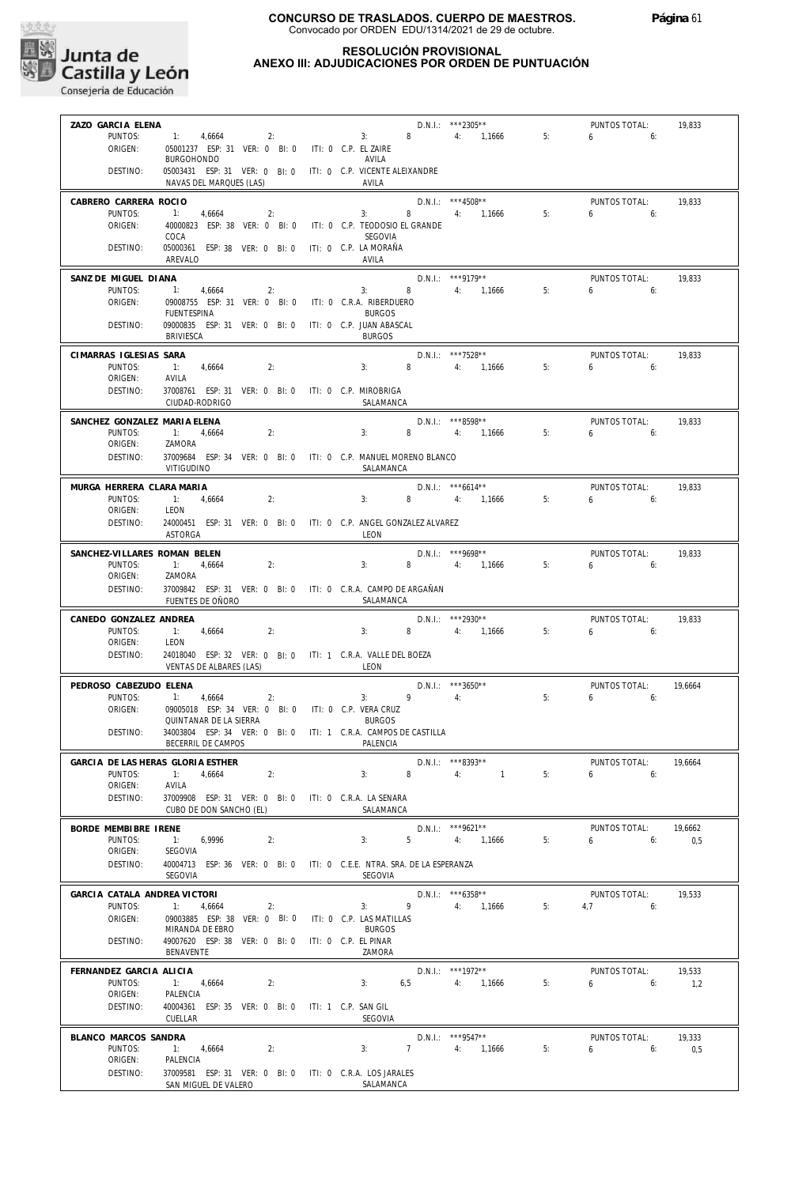

| ZAZO GARCIA ELENA<br>PUNTOS:            | 1: 4,6664<br>2:                                                                         |                                       |              | $D.N.1::$ ***2305**<br>$3: 8 \t 4: 1,1666$ | 5:    | PUNTOS TOTAL:<br>$6\qquad 6$    | 19,833  |
|-----------------------------------------|-----------------------------------------------------------------------------------------|---------------------------------------|--------------|--------------------------------------------|-------|---------------------------------|---------|
| ORIGEN:                                 | 05001237 ESP: 31 VER: 0 BI: 0 ITI: 0 C.P. EL ZAIRE<br><b>BURGOHONDO</b>                 | AVILA                                 |              |                                            |       |                                 |         |
| DESTINO:                                | 05003431 ESP: 31 VER: 0 BI: 0 ITI: 0 C.P. VICENTE ALEIXANDRE<br>NAVAS DEL MARQUES (LAS) | AVILA                                 |              |                                            |       |                                 |         |
| CABRERO CARRERA ROCIO<br>PUNTOS:        | 1: 4,6664<br>2:                                                                         | 3:                                    |              | $D.N.1.:$ ***4508**<br>8 4: 1,1666         | 5:    | PUNTOS TOTAL:<br>$6\qquad 6$    | 19,833  |
| ORIGEN:                                 | 40000823 ESP: 38 VER: 0 BI: 0 ITI: 0 C.P. TEODOSIO EL GRANDE<br>COCA                    | SEGOVIA                               |              |                                            |       |                                 |         |
| DESTINO:                                | 05000361 ESP: 38 VER: 0 BI: 0 ITI: 0 C.P. LA MORAÑA<br>AREVALO                          | AVILA                                 |              |                                            |       |                                 |         |
| SANZ DE MIGUEL DIANA<br>PUNTOS:         | 1: 4,6664<br>2:                                                                         |                                       |              | $D.N.1.:$ ***9179**<br>3: 8 4: 1,1666      | 5:    | PUNTOS TOTAL:<br>$6 = 6$        | 19,833  |
| ORIGEN:                                 | 09008755 ESP: 31 VER: 0 BI: 0 ITI: 0 C.R.A. RIBERDUERO<br>FUENTESPINA                   | <b>BURGOS</b>                         |              |                                            |       |                                 |         |
| DESTINO:                                | 09000835 ESP: 31 VER: 0 BI: 0 ITI: 0 C.P. JUAN ABASCAL<br>BRIVIESCA                     | <b>BURGOS</b>                         |              |                                            |       |                                 |         |
| CIMARRAS IGLESIAS SARA                  | 2:                                                                                      |                                       |              | D.N.I.: ***7528**                          |       | PUNTOS TOTAL:                   | 19,833  |
| PUNTOS:<br>ORIGEN:                      | $-1:$<br>4,6664<br>AVILA                                                                | 3:                                    |              | 8 4: 1,1666                                | 5:    | $6\qquad 6$                     |         |
| DESTINO:                                | 37008761 ESP: 31 VER: 0 BI: 0 ITI: 0 C.P. MIROBRIGA<br>CIUDAD-RODRIGO                   | SALAMANCA                             |              |                                            |       |                                 |         |
| SANCHEZ GONZALEZ MARIA ELENA<br>PUNTOS: | 2:                                                                                      | 3:                                    |              | D.N.I.: ***8598**<br>8 4: 1,1666           | 5:    | PUNTOS TOTAL:<br>$6\qquad 6$    | 19,833  |
| ORIGEN:                                 | $-1:$<br>4,6664<br>ZAMORA                                                               |                                       |              |                                            |       |                                 |         |
| DESTINO:                                | 37009684 ESP: 34 VER: 0 BI: 0 ITI: 0 C.P. MANUEL MORENO BLANCO<br><b>VITIGUDINO</b>     | SALAMANCA                             |              |                                            |       |                                 |         |
| MURGA HERRERA CLARA MARIA<br>PUNTOS:    | 2:<br>1: 4,6664                                                                         | 3:                                    |              | $D.N.1.:$ *** 6614**<br>8 4: 1.1666        | 5:    | PUNTOS TOTAL:<br>$6\qquad 6$    | 19,833  |
| ORIGEN:                                 | LEON                                                                                    |                                       |              |                                            |       |                                 |         |
| DESTINO:                                | 24000451 ESP: 31 VER: 0 BI: 0 ITI: 0 C.P. ANGEL GONZALEZ ALVAREZ<br>ASTORGA             | LEON                                  |              |                                            |       |                                 |         |
| SANCHEZ-VILLARES ROMAN BELEN<br>PUNTOS: | 2:<br>$-1:$<br>4,6664                                                                   | 3:                                    |              | $D.N.1::$ ***9698**<br>8 4: 1,1666         | 5:    | PUNTOS TOTAL:<br>6 <sub>6</sub> | 19,833  |
| ORIGEN:                                 | ZAMORA                                                                                  |                                       |              |                                            |       |                                 |         |
| DESTINO:                                | 37009842 ESP: 31 VER: 0 BI: 0 ITI: 0 C.R.A. CAMPO DE ARGAÑAN<br>FUENTES DE OÑORO        | SALAMANCA                             |              |                                            |       |                                 |         |
| CANEDO GONZALEZ ANDREA<br>PUNTOS:       | 1: 4,6664<br>2:                                                                         | 3:                                    |              | $D.N.1::$ ***2930**<br>8 4: 1,1666         | 5:5:5 | PUNTOS TOTAL:<br>$6\qquad 6$    | 19.833  |
| ORIGEN:                                 | LEON                                                                                    |                                       |              |                                            |       |                                 |         |
| DESTINO:                                | 24018040 ESP: 32 VER: 0 BI: 0 ITI: 1 C.R.A. VALLE DEL BOEZA<br>VENTAS DE ALBARES (LAS)  | LEON                                  |              |                                            |       |                                 |         |
| PEDROSO CABEZUDO ELENA<br>PUNTOS:       | 1: 4,6664<br>2:                                                                         |                                       | $3: 9 \t 4:$ | $D.N.1::$ ***3650**                        | 5:    | PUNTOS TOTAL:<br>6.6            | 19,6664 |
| ORIGEN:                                 | 09005018 ESP: 34 VER: 0 BI: 0 ITI: 0 C.P. VERA CRUZ<br>QUINTANAR DE LA SIERRA           | <b>BURGOS</b>                         |              |                                            |       |                                 |         |
| DESTINO:                                | 34003804 ESP: 34 VER: 0 BI: 0 ITI: 1 C.R.A. CAMPOS DE CASTILLA<br>BECERRIL DE CAMPOS    | PALENCIA                              |              |                                            |       |                                 |         |
| GARCIA DE LAS HERAS GLORIA ESTHER       |                                                                                         |                                       |              | D.N.I.: ***8393**                          |       | PUNTOS TOTAL:                   | 19,6664 |
| PUNTOS:<br>ORIGEN:                      | 1:<br>2:<br>4,6664<br>AVILA                                                             | 3:                                    | 8            | 4:<br>$\sim$ 1                             | 5:    | 6:<br>6                         |         |
| DESTINO:                                | 37009908 ESP: 31 VER: 0 BI: 0 ITI: 0 C.R.A. LA SENARA<br>CUBO DE DON SANCHO (EL)        | SALAMANCA                             |              |                                            |       |                                 |         |
| BORDE MEMBIBRE IRENE                    |                                                                                         |                                       |              | D.N.I.: *** 9621**                         |       | PUNTOS TOTAL:                   | 19,6662 |
| PUNTOS:<br>ORIGEN:                      | 6,9996<br>2:<br>SEGOVIA                                                                 | 3:                                    | $5 -$        | 4: 1.1666                                  | 5:    | $6\qquad 6$                     | 0,5     |
| DESTINO:                                | 40004713 ESP: 36 VER: 0 BI: 0 ITI: 0 C.E.E. NTRA. SRA. DE LA ESPERANZA<br>SEGOVIA       | SEGOVIA                               |              |                                            |       |                                 |         |
| GARCIA CATALA ANDREA VICTORI<br>PUNTOS: | 1:<br>4,6664<br>2:                                                                      | 3:                                    |              | D.N.I.: ***6358**<br>9 4: 1,1666           | 5:    | PUNTOS TOTAL:<br>$4.7$ 6:       | 19,533  |
| ORIGEN:                                 | 09003885 ESP: 38 VER: 0 BI: 0                                                           | ITI: 0 C.P. LAS MATILLAS              |              |                                            |       |                                 |         |
| DESTINO:                                | MIRANDA DE EBRO<br>49007620 ESP: 38 VER: 0 BI: 0                                        | <b>BURGOS</b><br>ITI: 0 C.P. EL PINAR |              |                                            |       |                                 |         |
| FERNANDEZ GARCIA ALICIA                 | BENAVENTE                                                                               | ZAMORA                                |              | D.N.I.: ***1972**                          |       | PUNTOS TOTAL:                   | 19,533  |
| PUNTOS:                                 | 1: 4,6664<br>2:                                                                         | 3:                                    |              | 6,5 4: 1,1666                              | 5:    | $6 \qquad$<br>6:                | 1,2     |
| ORIGEN:<br>DESTINO:                     | PALENCIA<br>40004361 ESP: 35 VER: 0 BI: 0 ITI: 1 C.P. SAN GIL                           |                                       |              |                                            |       |                                 |         |
| BLANCO MARCOS SANDRA                    | CUELLAR                                                                                 | SEGOVIA                               |              | $D.N.1.:$ ***9547**                        |       | PUNTOS TOTAL:                   | 19,333  |
| PUNTOS:<br>ORIGEN:                      | 2:<br>1: 4,6664<br>PALENCIA                                                             | 3:                                    | 7            | 4: 1,1666                                  | 5:    | $6\qquad 6$                     | 0,5     |
| DESTINO:                                | 37009581 ESP: 31 VER: 0 BI: 0 ITI: 0 C.R.A. LOS JARALES<br>SAN MIGUEL DE VALERO         | SALAMANCA                             |              |                                            |       |                                 |         |
|                                         |                                                                                         |                                       |              |                                            |       |                                 |         |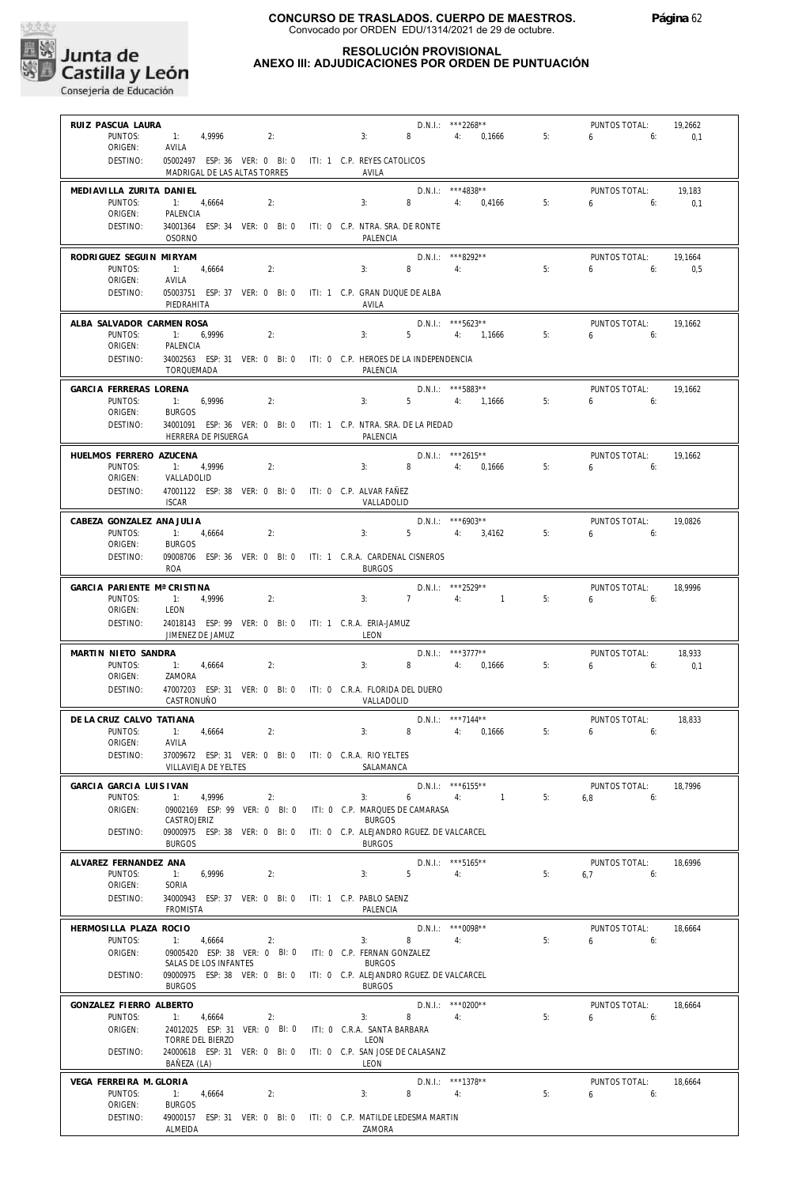

| RUIZ PASCUA LAURA<br>1: 4,9996<br>PUNTOS:<br>ORIGEN:<br>AVILA<br>DESTINO:                                                               | 2:<br>05002497 ESP: 36 VER: 0 BI: 0 ITI: 1 C.P. REYES CATOLICOS                                                 | 3:                                |                                                                                               | D.N.I.: ***2268**<br>8 4: 0,1666                     | 5: | PUNTOS TOTAL:<br>$6\qquad 6:$ | 19,2662<br>0,1 |
|-----------------------------------------------------------------------------------------------------------------------------------------|-----------------------------------------------------------------------------------------------------------------|-----------------------------------|-----------------------------------------------------------------------------------------------|------------------------------------------------------|----|-------------------------------|----------------|
|                                                                                                                                         | MADRIGAL DE LAS ALTAS TORRES                                                                                    |                                   | AVILA                                                                                         |                                                      |    |                               |                |
| MEDIAVILLA ZURITA DANIEL<br>PUNTOS:<br>1: 4,6664<br>ORIGEN:<br>PALENCIA<br>DESTINO:<br><b>OSORNO</b>                                    | 2:<br>34001364 ESP: 34 VER: 0 BI: 0 ITI: 0 C.P. NTRA. SRA. DE RONTE                                             | 3:                                | PALENCIA                                                                                      | $D.N.1::$ ***4838**<br>4: 0,4166                     | 5: | PUNTOS TOTAL:<br>$6 \t\t\t 6$ | 19.183<br>0,1  |
| RODRIGUEZ SEGUIN MIRYAM<br>PUNTOS:<br>1: 4.6664<br>ORIGEN:<br>AVILA                                                                     | 2:                                                                                                              | 3:                                | $8 \t\t 4$                                                                                    | D.N.I.: ***8292**                                    | 5: | PUNTOS TOTAL:<br>$6\qquad 6$  | 19,1664<br>0.5 |
| DESTINO:<br>PIEDRAHITA                                                                                                                  | 05003751 ESP: 37 VER: 0 BI: 0 ITI: 1 C.P. GRAN DUQUE DE ALBA                                                    |                                   | AVILA                                                                                         |                                                      |    |                               |                |
| ALBA SALVADOR CARMEN ROSA<br>PUNTOS:<br>1: 6,9996<br>ORIGEN:<br>PALENCIA                                                                | 2:                                                                                                              | 3:                                |                                                                                               | D.N.I.: *** 5623**<br>5 4: 1,1666                    | 5: | PUNTOS TOTAL:<br>$6\qquad 6$  | 19.1662        |
| DESTINO:<br>TORQUEMADA                                                                                                                  | 34002563 ESP: 31 VER: 0 BI: 0 ITI: 0 C.P. HEROES DE LA INDEPENDENCIA                                            |                                   | PALENCIA                                                                                      |                                                      |    |                               |                |
| GARCIA FERRERAS LORENA<br>PUNTOS:<br>1: 6,9996<br>ORIGEN:<br><b>BURGOS</b>                                                              | 2:                                                                                                              | 3:                                |                                                                                               | D.N.I.: ***5883**<br>5 4: 1,1666                     | 5: | PUNTOS TOTAL:<br>$6\qquad 6$  | 19,1662        |
| DESTINO:                                                                                                                                | 34001091 ESP: 36 VER: 0 BI: 0 ITI: 1 C.P. NTRA. SRA. DE LA PIEDAD<br>HERRERA DE PISUERGA                        |                                   | PALENCIA                                                                                      |                                                      |    |                               |                |
| HUELMOS FERRERO AZUCENA<br>PUNTOS:<br>1: 4.9996<br>ORIGEN:<br>VALLADOLID<br>DESTINO:                                                    | 2:<br>47001122 ESP: 38 VER: 0 BI: 0 ITI: 0 C.P. ALVAR FAÑEZ                                                     |                                   | $3: 8 \t 4: 0.1666$                                                                           | D.N.I.: ***2615**                                    | 5: | PUNTOS TOTAL:<br>$6 - 6$      | 19,1662        |
| <b>ISCAR</b><br>CABEZA GONZALEZ ANA JULIA                                                                                               |                                                                                                                 |                                   | VALLADOLID                                                                                    | $D.N.1.:$ ***6903**                                  |    | PUNTOS TOTAL:                 | 19.0826        |
| 1: 4,6664<br>PUNTOS:<br>ORIGEN:<br><b>BURGOS</b><br>DESTINO:                                                                            | 2:<br>09008706 ESP: 36 VER: 0 BI: 0 ITI: 1 C.R.A. CARDENAL CISNEROS                                             |                                   | 3:                                                                                            | 5 4: 3,4162                                          | 5: | 6.6                           |                |
| ROA<br>GARCIA PARIENTE Mª CRISTINA<br>PUNTOS:<br>1: 4.9996                                                                              | 2:                                                                                                              | 3:                                | <b>BURGOS</b>                                                                                 | D.N.I.: ***2529**<br>7 4: 1                          | 5: | PUNTOS TOTAL:<br>6.6          | 18,9996        |
| ORIGEN:<br>LEON<br>DESTINO:<br>JIMENEZ DE JAMUZ                                                                                         | 24018143 ESP: 99 VER: 0 BI: 0 ITI: 1 C.R.A. ERIA-JAMUZ                                                          |                                   | LEON                                                                                          |                                                      |    |                               |                |
| MARTIN NIETO SANDRA<br>PUNTOS:<br>1: 4,6664<br>ORIGEN:<br>ZAMORA                                                                        | 2:                                                                                                              | 3:                                |                                                                                               | $D.N.1.:$ ***3777**<br>8 4: 0,1666                   | 5: | PUNTOS TOTAL:<br>$6\qquad 6$  | 18,933<br>0.1  |
| DESTINO:<br>CASTRONUÑO                                                                                                                  | 47007203 ESP: 31 VER: 0 BI: 0 ITI: 0 C.R.A. FLORIDA DEL DUERO                                                   |                                   | VALLADOLID                                                                                    |                                                      |    |                               |                |
| DE LA CRUZ CALVO TATIANA<br>PUNTOS:<br>1: 4,6664<br>ORIGEN:<br>AVILA<br>DESTINO: 37009672 ESP: 31 VER: 0 BI: 0 ITI: 0 C.R.A. RIO YELTES | 2:                                                                                                              | 3:                                |                                                                                               | D.N.I.: ***7144**<br>8 4: 0,1666                     | 5: | PUNTOS TOTAL:<br>6.6          | 18,833         |
| GARCIA GARCIA LUIS IVAN<br>PUNTOS:<br>1:                                                                                                | VILLAVIEJA DE YELTES<br>4,9996<br>2:                                                                            | 3:                                | SALAMANCA<br>6                                                                                | $D.N.1::$ *** 6155**<br>4:<br>$\sim$ 1 $\sim$ $\sim$ | 5: | PUNTOS TOTAL:<br>6,8<br>6:    | 18,7996        |
| ORIGEN:<br>CASTROJERIZ<br>DESTINO:                                                                                                      | 09002169 ESP: 99 VER: 0 BI: 0<br>09000975 ESP: 38 VER: 0 BI: 0                                                  |                                   | ITI: 0 C.P. MARQUES DE CAMARASA<br><b>BURGOS</b><br>ITI: 0 C.P. ALEJANDRO RGUEZ. DE VALCARCEL |                                                      |    |                               |                |
| <b>BURGOS</b><br>ALVAREZ FERNANDEZ ANA<br>PUNTOS:<br>1:<br>ORIGEN:<br>SORIA<br>DESTINO:<br><b>FROMISTA</b>                              | 6,9996<br>2:<br>34000943 ESP: 37 VER: 0 BI: 0 ITI: 1 C.P. PABLO SAENZ                                           | 3:                                | <b>BURGOS</b><br>5 <sup>1</sup><br>PALENCIA                                                   | D.N.I.: *** 5165**<br>4:                             | 5: | PUNTOS TOTAL:<br>$6.7$ $6:$   | 18,6996        |
| HERMOSILLA PLAZA ROCIO<br>PUNTOS:<br>1: 4,6664<br>ORIGEN:                                                                               | 2:<br>09005420 ESP: 38 VER: 0 BI: 0<br>SALAS DE LOS INFANTES                                                    | 3:<br>ITI: 0 C.P. FERNAN GONZALEZ | 8<br><b>BURGOS</b>                                                                            | $D.N.1::$ *** 0098**<br>4:                           | 5: | PUNTOS TOTAL:<br>6<br>6:      | 18,6664        |
| DESTINO:<br><b>BURGOS</b>                                                                                                               | 09000975 ESP: 38 VER: 0 BI: 0 ITI: 0 C.P. ALEJANDRO RGUEZ. DE VALCARCEL                                         |                                   | <b>BURGOS</b>                                                                                 |                                                      |    |                               |                |
| GONZALEZ FIERRO ALBERTO<br>PUNTOS:<br>1:<br>ORIGEN:<br>TORRE DEL BIERZO<br>DESTINO:<br>BAÑEZA (LA)                                      | 4,6664<br>2:<br>24012025 ESP: 31 VER: 0 BI: 0<br>24000618 ESP: 31 VER: 0 BI: 0 ITI: 0 C.P. SAN JOSE DE CALASANZ | 3:<br>ITI: 0 C.R.A. SANTA BARBARA | 8<br>LEON<br>LEON                                                                             | $D.N.1::$ *** 0200**<br>4:                           | 5: | PUNTOS TOTAL:<br>6<br>6:      | 18,6664        |
| VEGA FERREIRA M. GLORIA<br>PUNTOS:<br>1: 4,6664<br>ORIGEN:<br><b>BURGOS</b><br>DESTINO:<br>ALMEIDA                                      | 2:<br>49000157 ESP: 31 VER: 0 BI: 0 ITI: 0 C.P. MATILDE LEDESMA MARTIN                                          | 3:                                | 8<br>ZAMORA                                                                                   | D.N.I.: ***1378**<br>4:                              | 5: | PUNTOS TOTAL:<br>6<br>6:      | 18,6664        |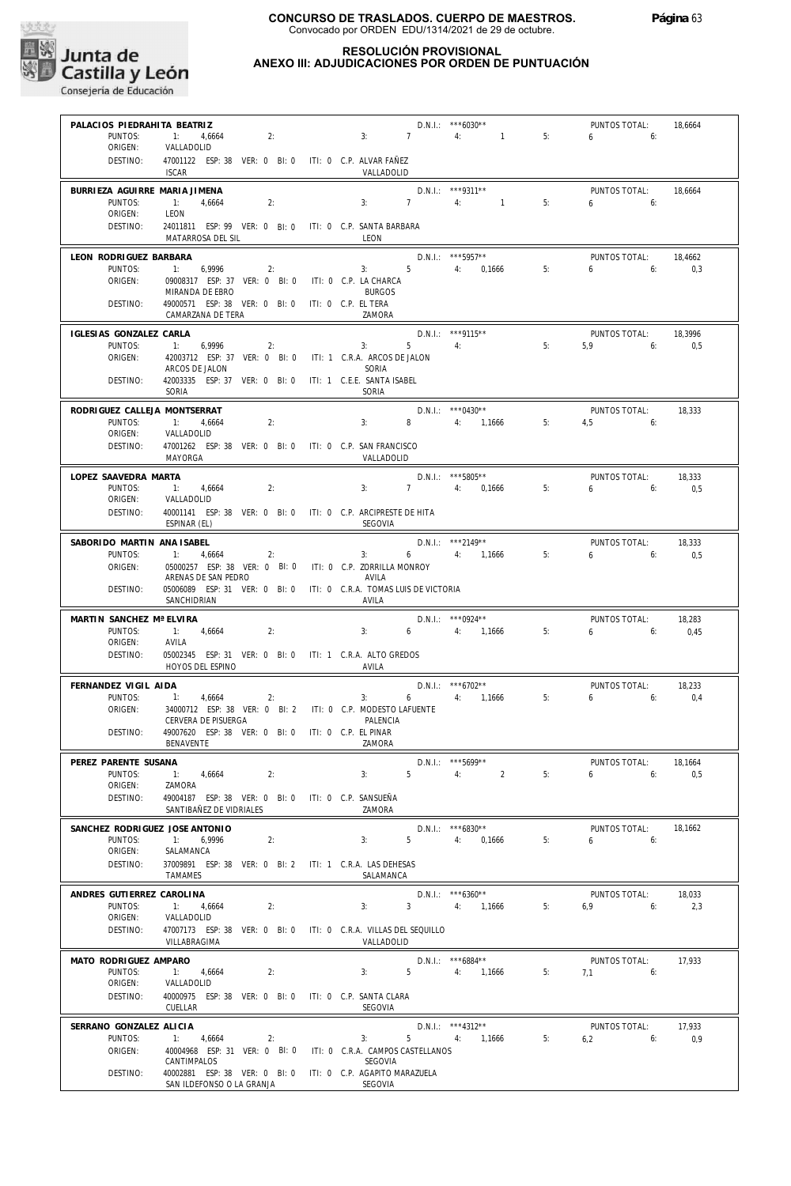

| PALACIOS PIEDRAHITA BEATRIZ<br>PUNTOS:               | 1: 4,6664<br>2:                                                                               | 3:                                  | $\overline{7}$   | $D.N.1.:$ ***6030**<br>4: 1                                | 5: | PUNTOS TOTAL:<br>$6 \t\t 6$       | 18,6664        |
|------------------------------------------------------|-----------------------------------------------------------------------------------------------|-------------------------------------|------------------|------------------------------------------------------------|----|-----------------------------------|----------------|
| ORIGEN:<br>DESTINO:                                  | VALLADOLID<br>47001122 ESP: 38 VER: 0 BI: 0 ITI: 0 C.P. ALVAR FAÑEZ<br><b>ISCAR</b>           |                                     | VALLADOLID       |                                                            |    |                                   |                |
| BURRIEZA AGUIRRE MARIA JIMENA<br>PUNTOS:             | $-1:$<br>4,6664<br>2:                                                                         | 3:                                  | $\overline{7}$   | D.N.I.: ***9311**<br>4:<br>$\sim$ 1                        | 5: | PUNTOS TOTAL:<br>$6\qquad 6$      | 18,6664        |
| ORIGEN:<br>DESTINO:                                  | LEON<br>24011811 ESP: 99 VER: 0 BI: 0 ITI: 0 C.P. SANTA BARBARA<br>MATARROSA DEL SIL          | LEON                                |                  |                                                            |    |                                   |                |
| LEON RODRIGUEZ BARBARA<br>PUNTOS:                    | 1:<br>6,9996<br>2:                                                                            | 3:                                  |                  | D.N.I.: *** 5957**<br>5 4: 0,1666                          | 5: | PUNTOS TOTAL:<br>$6 \t\t\t 6$     | 18.4662<br>0,3 |
| ORIGEN:                                              | 09008317 ESP: 37 VER: 0 BI: 0 ITI: 0 C.P. LA CHARCA<br>MIRANDA DE EBRO                        | <b>BURGOS</b>                       |                  |                                                            |    |                                   |                |
| DESTINO:                                             | 49000571 ESP: 38 VER: 0 BI: 0 ITI: 0 C.P. EL TERA<br>CAMARZANA DE TERA                        | ZAMORA                              |                  |                                                            |    |                                   |                |
| IGLESIAS GONZALEZ CARLA<br>PUNTOS:                   | 1: 6,9996<br>2:                                                                               | 3:                                  | $5 -$            | $D.N.1::$ ***9115**<br>4:                                  | 5: | PUNTOS TOTAL:<br>$5.9$ 6:         | 18,3996<br>0,5 |
| ORIGEN:                                              | 42003712 ESP: 37 VER: 0 BI: 0 ITI: 1 C.R.A. ARCOS DE JALON<br>ARCOS DE JALON                  | SORIA                               |                  |                                                            |    |                                   |                |
| DESTINO:                                             | 42003335 ESP: 37 VER: 0 BI: 0<br>SORIA                                                        | ITI: 1 C.E.E. SANTA ISABEL<br>SORIA |                  |                                                            |    |                                   |                |
| RODRIGUEZ CALLEJA MONTSERRAT<br>PUNTOS:              | $-1:$<br>4,6664<br>2:                                                                         | 3:                                  |                  | $D.N.1.:$ ***0430**<br>8 4: 1,1666                         | 5: | PUNTOS TOTAL:<br>$4,5$ 6:         | 18,333         |
| ORIGEN:<br>DESTINO:                                  | VALLADOLID<br>47001262 ESP: 38 VER: 0 BI: 0 ITI: 0 C.P. SAN FRANCISCO<br>MAYORGA              |                                     | VALLADOLID       |                                                            |    |                                   |                |
| LOPEZ SAAVEDRA MARTA                                 |                                                                                               |                                     |                  | $D.N.1.:$ ***5805**                                        |    | PUNTOS TOTAL:                     | 18,333         |
| PUNTOS:<br>ORIGEN:<br>DESTINO:                       | 1: 4,6664<br>2:<br>VALLADOLID<br>40001141 ESP: 38 VER: 0 BI: 0 ITI: 0 C.P. ARCIPRESTE DE HITA | 3:                                  |                  | 7 4: 0,1666                                                | 5: | 6<br>6:                           | 0,5            |
|                                                      | ESPINAR (EL)                                                                                  | SEGOVIA                             |                  |                                                            |    |                                   |                |
| SABORIDO MARTIN ANA ISABEL<br>PUNTOS:                | $-1$ :<br>4,6664<br>2:                                                                        | 3:                                  |                  | D.N.I.: ***2149**<br>6 4: 1,1666                           | 5: | PUNTOS TOTAL:<br>$6\qquad 6:$     | 18,333<br>0,5  |
| ORIGEN:                                              | 05000257 ESP: 38 VER: 0 BI: 0 ITI: 0 C.P. ZORRILLA MONROY<br>ARENAS DE SAN PEDRO              | AVILA                               |                  |                                                            |    |                                   |                |
| DESTINO:                                             | 05006089 ESP: 31 VER: 0 BI: 0 ITI: 0 C.R.A. TOMAS LUIS DE VICTORIA<br>SANCHIDRIAN             | AVILA                               |                  |                                                            |    |                                   |                |
| MARTIN SANCHEZ Mª ELVIRA<br>PUNTOS:<br>ORIGEN:       | 1: 4,6664<br>2:<br>AVILA                                                                      | 3:                                  |                  | $D.N.1::$ *** 0924**<br>6 4: 1,1666                        | 5: | PUNTOS TOTAL:<br>$6 \qquad 6$     | 18,283<br>0,45 |
| DESTINO:                                             | 05002345 ESP: 31 VER: 0 BI: 0 ITI: 1 C.R.A. ALTO GREDOS<br>HOYOS DEL ESPINO                   | AVILA                               |                  |                                                            |    |                                   |                |
| FERNANDEZ VIGIL AIDA<br>PUNTOS:                      | 1:<br>4,6664<br>2:                                                                            | 3:                                  | $6\qquad \qquad$ | D.N.I.: *** 6702**<br>4: 1,1666                            | 5: | PUNTOS TOTAL:<br>6.6              | 18,233<br>0,4  |
| ORIGEN:                                              | 34000712 ESP: 38 VER: 0 BI: 2 ITI: 0 C.P. MODESTO LAFUENTE<br>CERVERA DE PISUERGA             | PALENCIA                            |                  |                                                            |    |                                   |                |
| DESTINO:                                             | 49007620 ESP: 38 VER: 0 BI: 0 ITI: 0 C.P. EL PINAR<br><b>BENAVENTE</b>                        | ZAMORA                              |                  |                                                            |    |                                   |                |
| PEREZ PARENTE SUSANA<br>PUNTOS:                      | 1: 4,6664<br>2:                                                                               | 3:                                  |                  | D.N.I.: *** 5699**<br>$5 \qquad \qquad 4: \qquad \qquad 2$ | 5: | PUNTOS TOTAL:<br>655              | 18,1664<br>0.5 |
| ORIGEN:<br>DESTINO:                                  | ZAMORA<br>49004187 ESP: 38 VER: 0 BI: 0 ITI: 0 C.P. SANSUEÑA                                  |                                     |                  |                                                            |    |                                   |                |
|                                                      | SANTIBAÑEZ DE VIDRIALES                                                                       | 7AMORA                              |                  |                                                            |    |                                   |                |
| SANCHEZ RODRIGUEZ JOSE ANTONIO<br>PUNTOS:<br>ORIGEN: | 1: 6,9996<br>2:<br>SALAMANCA                                                                  | 3:                                  |                  | $D.N.I.:$ ***6830**<br>5 4: 0,1666                         | 5: | PUNTOS TOTAL:<br>6.6              | 18.1662        |
| DESTINO:                                             | 37009891 ESP: 38 VER: 0 BI: 2 ITI: 1 C.R.A. LAS DEHESAS<br>TAMAMES                            |                                     | SALAMANCA        |                                                            |    |                                   |                |
| ANDRES GUTIERREZ CAROLINA<br>PUNTOS:                 | 1: 4.6664<br>2:                                                                               |                                     |                  | $D.N.1.:$ ***6360**<br>3: 3: 4: 1,1666                     | 5: | PUNTOS TOTAL:<br>$6.9$ $6:$ $2.3$ | 18,033         |
| ORIGEN:<br>DESTINO:                                  | VALLADOLID<br>47007173 ESP: 38 VER: 0 BI: 0 ITI: 0 C.R.A. VILLAS DEL SEQUILLO                 |                                     |                  |                                                            |    |                                   |                |
| MATO RODRIGUEZ AMPARO                                | VILLABRAGIMA                                                                                  |                                     | VALLADOLID       | $D.N.1::$ *** 6884**                                       |    | PUNTOS TOTAL:                     | 17,933         |
| PUNTOS:<br>ORIGEN:                                   | 1: 4,6664<br>2:<br>VALLADOLID                                                                 |                                     |                  | $3: 5 \t 4: 1,1666$                                        | 5: | $7.1$ 6:                          |                |
| DESTINO:                                             | 40000975 ESP: 38 VER: 0 BI: 0 ITI: 0 C.P. SANTA CLARA<br>CUELLAR                              | SEGOVIA                             |                  |                                                            |    |                                   |                |
| SERRANO GONZALEZ ALICIA<br>PUNTOS:                   | 1: 4,6664<br>2:                                                                               | 3:                                  |                  | $D.N.1.:$ ***4312**<br>5 4: 1,1666                         | 5: | PUNTOS TOTAL:<br>$6,2$ $6:$       | 17.933<br>0,9  |
| ORIGEN:                                              | 40004968 ESP: 31 VER: 0 BI: 0 ITI: 0 C.R.A. CAMPOS CASTELLANOS<br>CANTIMPALOS                 | SEGOVIA                             |                  |                                                            |    |                                   |                |
| DESTINO:                                             | 40002881 ESP: 38 VER: 0 BI: 0 ITI: 0 C.P. AGAPITO MARAZUELA<br>SAN ILDEFONSO O LA GRANJA      | SEGOVIA                             |                  |                                                            |    |                                   |                |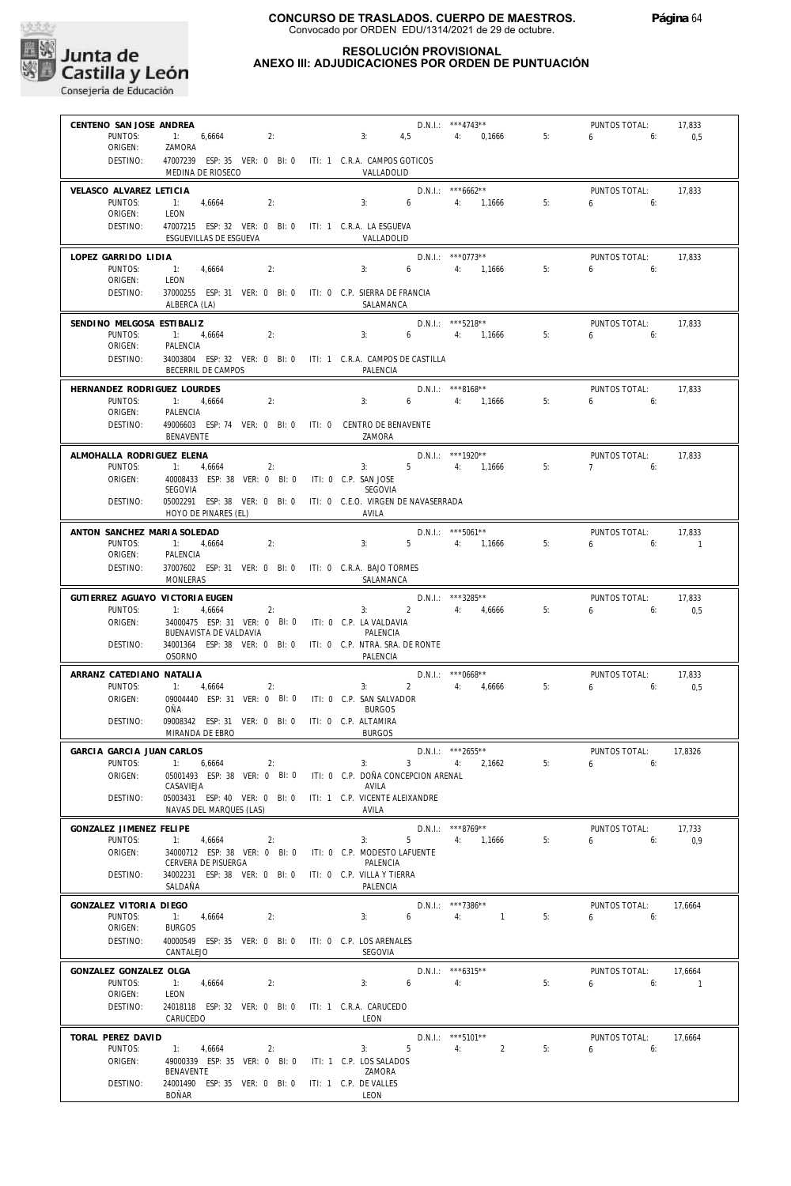

#### **RESOLUCIÓN PROVISIONAL ANEXO III: ADJUDICACIONES POR ORDEN DE PUNTUACIÓN**

**Página** 64

| CENTENO SAN JOSE ANDREA<br>PUNTOS:   | 1: 6,6664<br>2:                                                                                      | 3:                                     | 4,5                              | $D.N.1::$ ***4743**<br>4: 0,1666           | 5: | PUNTOS TOTAL:<br>6 -<br>6:    | 17,833<br>0,5  |
|--------------------------------------|------------------------------------------------------------------------------------------------------|----------------------------------------|----------------------------------|--------------------------------------------|----|-------------------------------|----------------|
| ORIGEN:<br>DESTINO:                  | ZAMORA<br>47007239 ESP: 35 VER: 0 BI: 0 ITI: 1 C.R.A. CAMPOS GOTICOS                                 |                                        |                                  |                                            |    |                               |                |
|                                      | MEDINA DE RIOSECO                                                                                    | VALLADOLID                             |                                  |                                            |    |                               |                |
| VELASCO ALVAREZ LETICIA<br>PUNTOS:   | 1: 4,6664<br>2:                                                                                      | 3:                                     | 6                                | $D.N.1::$ *** 6662**<br>4: 1,1666          | 5: | PUNTOS TOTAL:<br>$6 \t\t 6$   | 17,833         |
| ORIGEN:<br>DESTINO:                  | LEON<br>47007215 ESP: 32 VER: 0 BI: 0 ITI: 1 C.R.A. LA ESGUEVA<br>ESGUEVILLAS DE ESGUEVA             | VALLADOLID                             |                                  |                                            |    |                               |                |
| LOPEZ GARRIDO LIDIA                  |                                                                                                      |                                        |                                  | D.N.I.: ***0773**                          |    | PUNTOS TOTAL:                 | 17,833         |
| PUNTOS:<br>ORIGEN:                   | $-1:$<br>4,6664<br>2:<br>LEON                                                                        | 3:                                     | $6\qquad \qquad$                 | 4: 1,1666                                  | 5: | 6.6                           |                |
| DESTINO:                             | 37000255 ESP: 31 VER: 0 BI: 0 ITI: 0 C.P. SIERRA DE FRANCIA<br>ALBERCA (LA)                          | SALAMANCA                              |                                  |                                            |    |                               |                |
| SENDINO MELGOSA ESTIBALIZ<br>PUNTOS: | 1: 4,6664<br>2:                                                                                      | 3:                                     |                                  | D.N.I.: *** 5218**<br>$6 \t 4: \t 1,1666$  | 5: | PUNTOS TOTAL:<br>$6\qquad 6$  | 17,833         |
| ORIGEN:                              | PALENCIA                                                                                             |                                        |                                  |                                            |    |                               |                |
| DESTINO:                             | 34003804 ESP: 32 VER: 0 BI: 0 ITI: 1 C.R.A. CAMPOS DE CASTILLA<br>BECERRIL DE CAMPOS                 | PALENCIA                               |                                  |                                            |    |                               |                |
| HERNANDEZ RODRIGUEZ LOURDES          |                                                                                                      |                                        |                                  | D.N.I.: ***8168**                          |    | PUNTOS TOTAL:                 | 17,833         |
| PUNTOS:<br>ORIGEN:                   | 1: 4,6664<br>2:<br>PALENCIA                                                                          | 3:                                     | $6\degree$                       | 4: 1,1666                                  | 5: | $6 \qquad 6$                  |                |
| DESTINO:                             | 49006603 ESP: 74 VER: 0 BI: 0 ITI: 0 CENTRO DE BENAVENTE<br>BENAVENTE                                | ZAMORA                                 |                                  |                                            |    |                               |                |
| ALMOHALLA RODRIGUEZ ELENA            |                                                                                                      |                                        | $3: 5 \t 4: 1,1666$              | $D.N.1.:$ ***1920**                        |    | PUNTOS TOTAL:                 | 17,833         |
| PUNTOS:<br>ORIGEN:                   | $\overline{1}$ :<br>4,6664<br>2:<br>40008433 ESP: 38 VER: 0 BI: 0 ITI: 0 C.P. SAN JOSE               |                                        |                                  |                                            | 5: | 7<br>6:                       |                |
| DESTINO:                             | SEGOVIA<br>05002291 ESP: 38 VER: 0 BI: 0 ITI: 0 C.E.O. VIRGEN DE NAVASERRADA<br>HOYO DE PINARES (EL) | SEGOVIA<br>AVILA                       |                                  |                                            |    |                               |                |
| ANTON SANCHEZ MARIA SOLEDAD          |                                                                                                      |                                        |                                  | $D.N.1.:$ ***5061**                        |    | PUNTOS TOTAL:                 | 17,833         |
| PUNTOS:                              | $-1:$<br>4,6664<br>2:                                                                                | 3:                                     |                                  | 5 4: 1,1666                                | 5: | 6.6                           | $\overline{1}$ |
| ORIGEN:<br>DESTINO:                  | PALENCIA<br>37007602 ESP: 31 VER: 0 BI: 0 ITI: 0 C.R.A. BAJO TORMES<br>MONLERAS                      | SALAMANCA                              |                                  |                                            |    |                               |                |
| GUTIERREZ AGUAYO VICTORIA EUGEN      |                                                                                                      |                                        |                                  | D.N.I.: ***3285**                          |    | PUNTOS TOTAL:                 | 17,833         |
| PUNTOS:<br>ORIGEN:                   | 1: 4,6664<br>2:<br>34000475 ESP: 31 VER: 0 BI: 0 ITI: 0 C.P. LA VALDAVIA                             | 3:                                     |                                  | 2 4: 4,6666                                | 5: | 6<br>6:                       | 0,5            |
| DESTINO:                             | BUENAVISTA DE VALDAVIA<br>34001364 ESP: 38 VER: 0 BI: 0 ITI: 0 C.P. NTRA. SRA. DE RONTE              | PALENCIA                               |                                  |                                            |    |                               |                |
|                                      | OSORNO                                                                                               | PALENCIA                               |                                  |                                            |    |                               |                |
| ARRANZ CATEDIANO NATALIA             |                                                                                                      | 3:                                     |                                  | $D.N.1.:$ ***0668**                        |    | PUNTOS TOTAL:                 | 17,833         |
| PUNTOS:<br>ORIGEN:                   | 1: 4,6664<br>2:<br>09004440 ESP: 31 VER: 0 BI: 0                                                     | ITI: 0 C.P. SAN SALVADOR               |                                  | 2 4: 4,6666                                | 5: | 6<br>6:                       | 0,5            |
| DESTINO:                             | OÑA<br>09008342 ESP: 31 VER: 0 BI: 0 ITI: 0 C.P. ALTAMIRA                                            | <b>BURGOS</b>                          |                                  |                                            |    |                               |                |
|                                      | MIRANDA DE EBRO                                                                                      | <b>BURGOS</b>                          |                                  |                                            |    |                               |                |
| GARCIA GARCIA JUAN CARLOS<br>PUNTOS: | 1: 6,6664<br>2:                                                                                      | 3:                                     | $\sim$ 3 and $\sim$ 3 and $\sim$ | $D.N.I.:$ ***2655**<br>4:<br>2,1662        | 5: | PUNTOS TOTAL:<br>6:<br>6      | 17,8326        |
| ORIGEN:                              | 05001493 ESP: 38 VER: 0 BI: 0 ITI: 0 C.P. DOÑA CONCEPCION ARENAL                                     |                                        |                                  |                                            |    |                               |                |
| DESTINO:                             | CASAVIEJA<br>05003431 ESP: 40 VER: 0 BI: 0 ITI: 1 C.P. VICENTE ALEIXANDRE                            | AVILA                                  |                                  |                                            |    |                               |                |
|                                      | NAVAS DEL MARQUES (LAS)                                                                              | AVILA                                  |                                  |                                            |    |                               |                |
| GONZALEZ JIMENEZ FELIPE<br>PUNTOS:   | 1:<br>4,6664<br>2:                                                                                   | 3:                                     | 5 <sub>1</sub>                   | $D.N.1::$ ***8769**<br>4: 1,1666           | 5: | PUNTOS TOTAL:<br>$6\qquad 6$  | 17,733<br>0,9  |
| ORIGEN:                              | 34000712 ESP: 38 VER: 0 BI: 0 ITI: 0 C.P. MODESTO LAFUENTE<br>CERVERA DE PISUERGA                    | PALENCIA                               |                                  |                                            |    |                               |                |
| DESTINO:                             | 34002231 ESP: 38 VER: 0 BI: 0<br>SALDAÑA                                                             | ITI: 0 C.P. VILLA Y TIERRA<br>PALENCIA |                                  |                                            |    |                               |                |
| GONZALEZ VITORIA DIEGO               |                                                                                                      |                                        |                                  | D.N.I.: ***7386**                          |    | PUNTOS TOTAL:                 | 17,6664        |
| PUNTOS:<br>ORIGEN:                   | 1:<br>4,6664<br>2:<br><b>BURGOS</b>                                                                  | 3:                                     | 6                                | 4: 1                                       | 5: | $6 \t\t\t 6$                  |                |
| DESTINO:                             | 40000549 ESP: 35 VER: 0 BI: 0 ITI: 0 C.P. LOS ARENALES<br>CANTALEJO                                  | SEGOVIA                                |                                  |                                            |    |                               |                |
| GONZALEZ GONZALEZ OLGA               |                                                                                                      |                                        |                                  | D.N.I.: *** 6315**                         |    | PUNTOS TOTAL:                 | 17,6664        |
| PUNTOS:<br>ORIGEN:                   | 1:<br>2:<br>4,6664<br>LEON                                                                           | 3:                                     | $6 \qquad \qquad 4:$             |                                            | 5: | $6 \qquad$<br>6:              | $\sim$ 1       |
| DESTINO:                             | 24018118 ESP: 32 VER: 0 BI: 0 ITI: 1 C.R.A. CARUCEDO<br>CARUCEDO                                     | LEON                                   |                                  |                                            |    |                               |                |
| TORAL PEREZ DAVID<br>PUNTOS:         | 1:<br>2:                                                                                             | 3:                                     | 5                                | D.N.I.: *** 5101**<br>4:<br>$\overline{2}$ | 5: | PUNTOS TOTAL:<br>$6 \t\t\t 6$ | 17,6664        |
| ORIGEN:                              | 4,6664<br>49000339 ESP: 35 VER: 0 BI: 0                                                              | ITI: 1 C.P. LOS SALADOS                |                                  |                                            |    |                               |                |
| DESTINO:                             | BENAVENTE<br>24001490 ESP: 35 VER: 0 BI: 0 ITI: 1 C.P. DE VALLES                                     | ZAMORA                                 |                                  |                                            |    |                               |                |
|                                      | BOÑAR                                                                                                | LEON                                   |                                  |                                            |    |                               |                |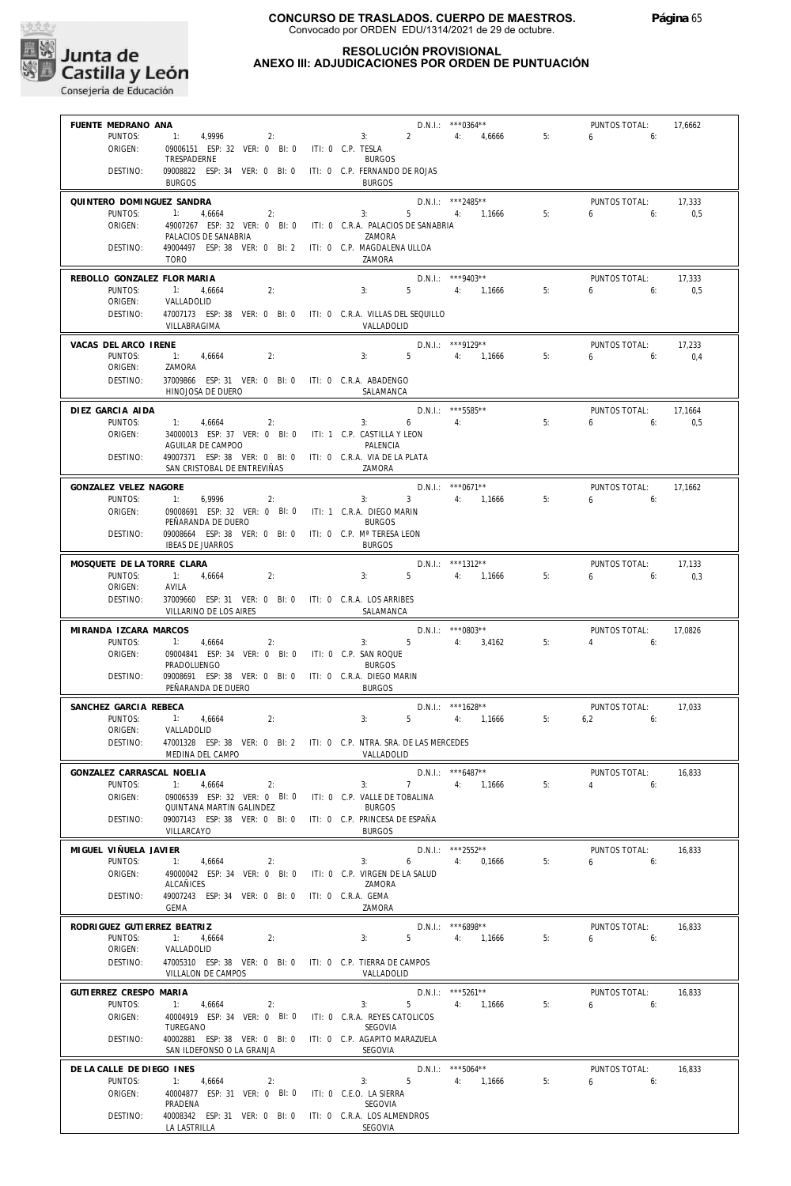

### **RESOLUCIÓN PROVISIONAL**

### **ANEXO III: ADJUDICACIONES POR ORDEN DE PUNTUACIÓN**

| FUENTE MEDRANO ANA                |                                                                           |                                | $D.N.1.:$ ***0364**                |    | PUNTOS TOTAL:                 | 17,6662        |
|-----------------------------------|---------------------------------------------------------------------------|--------------------------------|------------------------------------|----|-------------------------------|----------------|
| PUNTOS:                           | 1: 4,9996<br>2:                                                           | $\overline{2}$<br>3:           | 4: 4,6666                          | 5: | $6\qquad 6:$                  |                |
| ORIGEN:                           | 09006151 ESP: 32 VER: 0 BI: 0 ITI: 0 C.P. TESLA                           |                                |                                    |    |                               |                |
|                                   | TRESPADERNE                                                               | <b>BURGOS</b>                  |                                    |    |                               |                |
| DESTINO:                          | 09008822 ESP: 34 VER: 0 BI: 0 ITI: 0 C.P. FERNANDO DE ROJAS               |                                |                                    |    |                               |                |
|                                   | <b>BURGOS</b>                                                             | <b>BURGOS</b>                  |                                    |    |                               |                |
| QUINTERO DOMINGUEZ SANDRA         |                                                                           |                                | D.N.I.: ***2485**                  |    | PUNTOS TOTAL:                 | 17,333         |
| PUNTOS:                           | $-1:$<br>4,6664<br>2:                                                     | 3:                             | 5 4: 1,1666                        | 5: | 6:<br>6                       | 0,5            |
| ORIGEN:                           | 49007267 ESP: 32 VER: 0 BI: 0 ITI: 0 C.R.A. PALACIOS DE SANABRIA          |                                |                                    |    |                               |                |
| DESTINO:                          | PALACIOS DE SANABRIA                                                      | ZAMORA                         |                                    |    |                               |                |
|                                   | 49004497 ESP: 38 VER: 0 BI: 2 ITI: 0 C.P. MAGDALENA ULLOA<br><b>TORO</b>  | ZAMORA                         |                                    |    |                               |                |
|                                   |                                                                           |                                |                                    |    |                               |                |
| REBOLLO GONZALEZ FLOR MARIA       |                                                                           |                                | $D.N.1::$ ***9403**                |    | PUNTOS TOTAL:                 | 17,333         |
| PUNTOS:<br>ORIGEN:                | $-1:$<br>4,6664<br>2:<br>VALLADOLID                                       | 3:<br>$5 -$                    | 4: 1,1666                          | 5: | $6\qquad \qquad$<br>6:        | 0,5            |
| DESTINO:                          | 47007173 ESP: 38 VER: 0 BI: 0 ITI: 0 C.R.A. VILLAS DEL SEQUILLO           |                                |                                    |    |                               |                |
|                                   | VILLABRAGIMA                                                              | VALLADOLID                     |                                    |    |                               |                |
|                                   |                                                                           |                                |                                    |    |                               |                |
| VACAS DEL ARCO IRENE              |                                                                           |                                | $D.N.1::$ ***9129**                |    | PUNTOS TOTAL:                 | 17,233         |
| PUNTOS:<br>ORIGEN:                | 1: 4,6664<br>2:<br>ZAMORA                                                 | 3:                             | 5 4: 1,1666                        | 5: | $6 \qquad$<br>6:              | 0.4            |
| DESTINO:                          | 37009866 ESP: 31 VER: 0 BI: 0 ITI: 0 C.R.A. ABADENGO                      |                                |                                    |    |                               |                |
|                                   | HINOJOSA DE DUERO                                                         | SALAMANCA                      |                                    |    |                               |                |
|                                   |                                                                           |                                |                                    |    |                               |                |
| DIEZ GARCIA AIDA<br>PUNTOS:       | 1:<br>2:<br>4,6664                                                        | 3:<br>$6\quad$                 | D.N.I.: *** 5585**<br>4:           | 5: | PUNTOS TOTAL:<br>6<br>6:      | 17,1664<br>0,5 |
| ORIGEN:                           | 34000013 ESP: 37 VER: 0 BI: 0 ITI: 1 C.P. CASTILLA Y LEON                 |                                |                                    |    |                               |                |
|                                   | AGUILAR DE CAMPOO                                                         | PALENCIA                       |                                    |    |                               |                |
| DESTINO:                          | 49007371 ESP: 38 VER: 0 BI: 0 ITI: 0 C.R.A. VIA DE LA PLATA               |                                |                                    |    |                               |                |
|                                   | SAN CRISTOBAL DE ENTREVIÑAS                                               | ZAMORA                         |                                    |    |                               |                |
| GONZALEZ VELEZ NAGORE             |                                                                           |                                | $D.N.1::$ *** 0671**               |    | PUNTOS TOTAL:                 | 17.1662        |
| PUNTOS:                           | 1:<br>6,9996<br>2:                                                        | $3 -$<br>3:                    | 4: 1,1666                          | 5: | 6<br>6:                       |                |
| ORIGEN:                           | 09008691 ESP: 32 VER: 0 BI: 0 ITI: 1 C.R.A. DIEGO MARIN                   |                                |                                    |    |                               |                |
|                                   | PEÑARANDA DE DUERO                                                        | <b>BURGOS</b>                  |                                    |    |                               |                |
| DESTINO:                          | 09008664 ESP: 38 VER: 0 BI: 0 ITI: 0 C.P. Mª TERESA LEON                  |                                |                                    |    |                               |                |
|                                   | <b>IBEAS DE JUARROS</b>                                                   | <b>BURGOS</b>                  |                                    |    |                               |                |
| MOSQUETE DE LA TORRE CLARA        |                                                                           |                                | D.N.I.: ***1312**                  |    | PUNTOS TOTAL:                 | 17,133         |
| PUNTOS:                           | 2:<br>1: 4,6664                                                           | 3:                             | 5 4: 1,1666                        | 5: | 6.6                           | 0,3            |
| ORIGEN:                           | AVILA                                                                     |                                |                                    |    |                               |                |
| DESTINO:                          | 37009660 ESP: 31 VER: 0 BI: 0 ITI: 0 C.R.A. LOS ARRIBES                   |                                |                                    |    |                               |                |
|                                   | VILLARINO DE LOS AIRES                                                    | SALAMANCA                      |                                    |    |                               |                |
| MIRANDA IZCARA MARCOS             |                                                                           |                                | $D.N.I.:$ ***0803**                |    | PUNTOS TOTAL:                 | 17,0826        |
| PUNTOS:                           | 1:<br>4,6664<br>2:                                                        | $5$ 4: 3,4162<br>3:            |                                    | 5: | 4<br>6:                       |                |
| ORIGEN:                           | 09004841 ESP: 34 VER: 0 BI: 0 ITI: 0 C.P. SAN ROQUE<br>PRADOLUENGO        | <b>BURGOS</b>                  |                                    |    |                               |                |
| DESTINO:                          | 09008691 ESP: 38 VER: 0 BI: 0 ITI: 0 C.R.A. DIEGO MARIN                   |                                |                                    |    |                               |                |
|                                   | PEÑARANDA DE DUERO                                                        | <b>BURGOS</b>                  |                                    |    |                               |                |
|                                   |                                                                           |                                |                                    |    |                               |                |
| SANCHEZ GARCIA REBECA<br>PUNTOS:  | $-11$<br>4,6664<br>2:                                                     | 3:<br>$5 - 1$                  | $D.N.1::$ ***1628**<br>4: 1,1666   | 5: | PUNTOS TOTAL:<br>6,2<br>6:    | 17,033         |
| ORIGEN:                           | VALLADOLID                                                                |                                |                                    |    |                               |                |
| DESTINO:                          | 47001328 ESP: 38 VER: 0 BI: 2 ITI: 0 C.P. NTRA. SRA. DE LAS MERCEDES      |                                |                                    |    |                               |                |
|                                   | MEDINA DEL CAMPO                                                          | VALLADOLID                     |                                    |    |                               |                |
| GONZALEZ CARRASCAL NOELIA         |                                                                           |                                | $D.N.I.:$ ***6487**                |    | PUNTOS TOTAL:                 | 16,833         |
| PUNTOS:                           | 1: 4,6664<br>2:                                                           | 7<br>3:                        | 4: 1,1666                          | 5: | $4\hspace{1.5cm}6.1$          |                |
| ORIGEN:                           | 09006539 ESP: 32 VER: 0 BI: 0 ITI: 0 C.P. VALLE DE TOBALINA               |                                |                                    |    |                               |                |
|                                   | QUINTANA MARTIN GALINDEZ                                                  | <b>BURGOS</b>                  |                                    |    |                               |                |
| DESTINO:                          | 09007143 ESP: 38 VER: 0 BI: 0 ITI: 0 C.P. PRINCESA DE ESPAÑA              |                                |                                    |    |                               |                |
|                                   | VILLARCAYO                                                                | <b>BURGOS</b>                  |                                    |    |                               |                |
| MIGUEL VIÑUELA JAVIER             |                                                                           |                                | D.N.I.: ***2552**                  |    | PUNTOS TOTAL:                 | 16,833         |
| PUNTOS:                           | 1: 4,6664<br>2:                                                           | 3:                             | 6 4: 0,1666                        | 5: | $6\qquad 6$                   |                |
| ORIGEN:                           | 49000042 ESP: 34 VER: 0 BI: 0                                             | ITI: 0 C.P. VIRGEN DE LA SALUD |                                    |    |                               |                |
|                                   | ALCAÑICES                                                                 | ZAMORA                         |                                    |    |                               |                |
| DESTINO:                          | 49007243 ESP: 34 VER: 0 BI: 0 ITI: 0 C.R.A. GEMA<br>GEMA                  | ZAMORA                         |                                    |    |                               |                |
|                                   |                                                                           |                                |                                    |    |                               |                |
| RODRIGUEZ GUTIERREZ BEATRIZ       |                                                                           |                                | $D.N.1.:$ ***6898**                |    | PUNTOS TOTAL:                 | 16,833         |
| PUNTOS:<br>ORIGEN:                | 1: 4,6664<br>2:<br>VALLADOLID                                             | 3:                             | 5 4: 1,1666                        | 5: | $6\qquad 6$                   |                |
| DESTINO:                          | 47005310 ESP: 38 VER: 0 BI: 0 ITI: 0 C.P. TIERRA DE CAMPOS                |                                |                                    |    |                               |                |
|                                   | VILLALON DE CAMPOS                                                        | VALLADOLID                     |                                    |    |                               |                |
|                                   |                                                                           |                                |                                    |    |                               |                |
| GUTIERREZ CRESPO MARIA<br>PUNTOS: | 4,6664<br>2:                                                              | 3:                             | $D.N.1::$ ***5261**<br>5 4: 1,1666 | 5: | PUNTOS TOTAL:<br>$6 \t\t\t 6$ | 16,833         |
| ORIGEN:                           | 40004919 ESP: 34 VER: 0 BI: 0 ITI: 0 C.R.A. REYES CATOLICOS               |                                |                                    |    |                               |                |
|                                   | TUREGANO                                                                  | SEGOVIA                        |                                    |    |                               |                |
| DESTINO:                          | 40002881 ESP: 38 VER: 0 BI: 0 ITI: 0 C.P. AGAPITO MARAZUELA               |                                |                                    |    |                               |                |
|                                   | SAN ILDEFONSO O LA GRANJA                                                 | SEGOVIA                        |                                    |    |                               |                |
| DE LA CALLE DE DIEGO INES         |                                                                           |                                | D.N.I.: ***5064**                  |    | PUNTOS TOTAL:                 | 16,833         |
| PUNTOS:                           | 1: 4,6664<br>2:                                                           | 3:                             | 5 4: 1,1666                        | 5: | 6<br>6:                       |                |
| ORIGEN:                           | 40004877 ESP: 31 VER: 0 BI: 0 ITI: 0 C.E.O. LA SIERRA                     |                                |                                    |    |                               |                |
|                                   |                                                                           |                                |                                    |    |                               |                |
|                                   | PRADENA                                                                   | SEGOVIA                        |                                    |    |                               |                |
| DESTINO:                          | 40008342 ESP: 31 VER: 0 BI: 0 ITI: 0 C.R.A. LOS ALMENDROS<br>LA LASTRILLA | SEGOVIA                        |                                    |    |                               |                |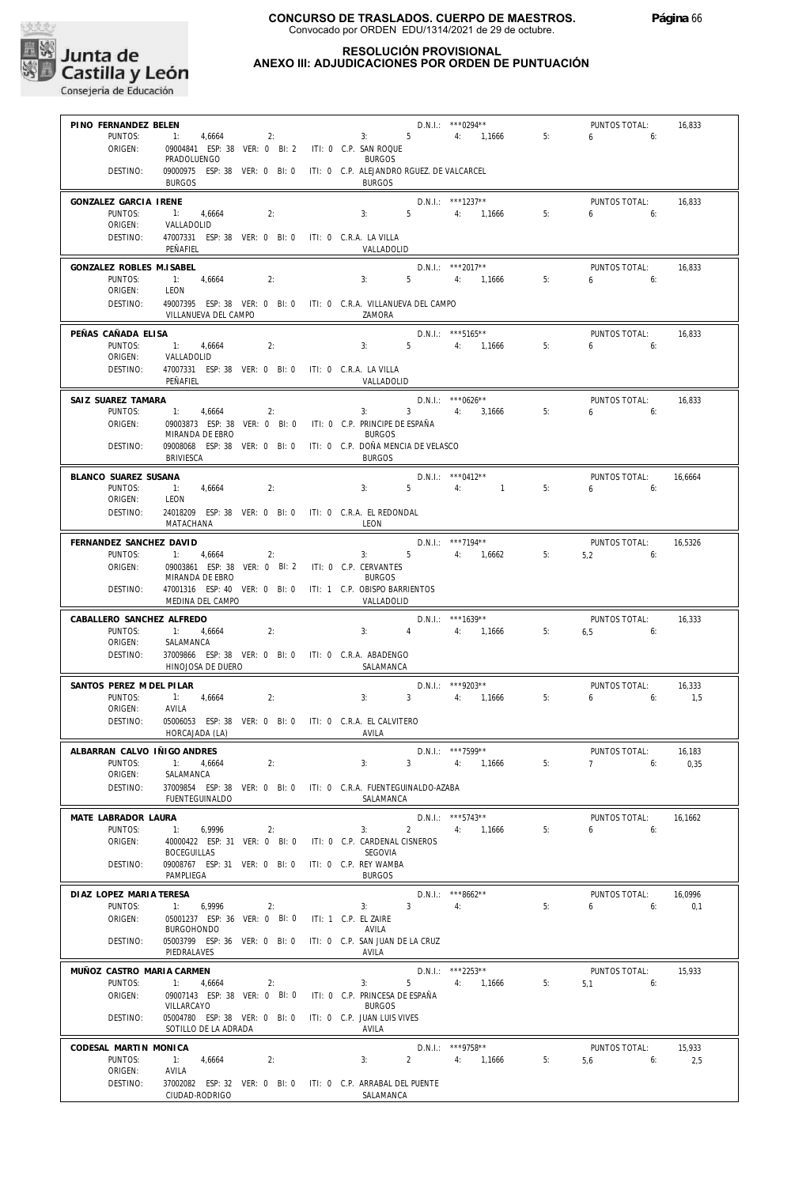

#### **RESOLUCIÓN PROVISIONAL ANEXO III: ADJUDICACIONES POR ORDEN DE PUNTUACIÓN**

| PINO FERNANDEZ BELEN                 |                                                                                          |           |                                          |                | D.N.I.: ***0294**                         |    | PUNTOS TOTAL:                 | 16,833         |
|--------------------------------------|------------------------------------------------------------------------------------------|-----------|------------------------------------------|----------------|-------------------------------------------|----|-------------------------------|----------------|
| PUNTOS:<br>ORIGEN:                   | 1: 4,6664<br>09004841 ESP: 38 VER: 0 BI: 2 ITI: 0 C.P. SAN ROQUE                         | $2:$ $2:$ |                                          |                | $3: 5 \t 4: 1,1666$                       | 5: | $6\qquad 6$                   |                |
|                                      | PRADOLUENGO                                                                              |           | <b>BURGOS</b>                            |                |                                           |    |                               |                |
| DESTINO:                             | 09000975 ESP: 38 VER: 0 BI: 0 ITI: 0 C.P. ALEJANDRO RGUEZ. DE VALCARCEL<br><b>BURGOS</b> |           | <b>BURGOS</b>                            |                |                                           |    |                               |                |
| GONZALEZ GARCIA IRENE                |                                                                                          |           |                                          |                | $D.N.1.:$ ***1237**                       |    | PUNTOS TOTAL:                 | 16,833         |
| PUNTOS:<br>ORIGEN:                   | 1: 4,6664<br>2:<br>VALLADOLID                                                            |           | 3:                                       |                | 5 4: 1,1666                               | 5: | $6\qquad 6$                   |                |
| DESTINO:                             | 47007331 ESP: 38 VER: 0 BI: 0 ITI: 0 C.R.A. LA VILLA                                     |           |                                          |                |                                           |    |                               |                |
|                                      | PEÑAFIEL                                                                                 |           | VALLADOLID                               |                |                                           |    |                               |                |
| GONZALEZ ROBLES M.ISABEL<br>PUNTOS:  | 1: 4.6664<br>2:                                                                          |           | 3:                                       |                | D.N.I.: *** 2017**<br>5 4: 1,1666         | 5: | PUNTOS TOTAL:<br>$6\qquad 6:$ | 16,833         |
| ORIGEN:                              | LEON                                                                                     |           |                                          |                |                                           |    |                               |                |
| DESTINO:                             | 49007395 ESP: 38 VER: 0 BI: 0 ITI: 0 C.R.A. VILLANUEVA DEL CAMPO<br>VILLANUEVA DEL CAMPO |           | ZAMORA                                   |                |                                           |    |                               |                |
| PEÑAS CAÑADA ELISA                   |                                                                                          |           |                                          |                | $D.N.1.:$ ***5165**                       |    | PUNTOS TOTAL:                 | 16,833         |
| PUNTOS:<br>ORIGEN:                   | 1: 4,6664<br>2:<br>VALLADOLID                                                            |           |                                          |                | $3: 5 \t 4: 1,1666$                       | 5: | $6\qquad 6$                   |                |
| DESTINO:                             | 47007331 ESP: 38 VER: 0 BI: 0 ITI: 0 C.R.A. LA VILLA                                     |           |                                          |                |                                           |    |                               |                |
|                                      | PEÑAFIEL                                                                                 |           | VALLADOLID                               |                |                                           |    |                               |                |
| SAIZ SUAREZ TAMARA<br>PUNTOS:        | 1: 4,6664<br>2:                                                                          |           |                                          |                | $D.N.1.:$ ***0626**<br>3: 3: 4: 3.1666    | 5: | PUNTOS TOTAL:<br>$6\qquad 6$  | 16,833         |
| ORIGEN:                              | 09003873 ESP: 38 VER: 0 BI: 0 ITI: 0 C.P. PRINCIPE DE ESPAÑA                             |           |                                          |                |                                           |    |                               |                |
| DESTINO:                             | MIRANDA DE EBRO<br>09008068 ESP: 38 VER: 0 BI: 0 ITI: 0 C.P. DOÑA MENCIA DE VELASCO      |           | <b>BURGOS</b>                            |                |                                           |    |                               |                |
|                                      | <b>BRIVIESCA</b>                                                                         |           | <b>BURGOS</b>                            |                |                                           |    |                               |                |
| BLANCO SUAREZ SUSANA                 |                                                                                          |           |                                          |                | D.N.I.: ***0412**                         |    | PUNTOS TOTAL:                 | 16,6664        |
| PUNTOS:<br>ORIGEN:                   | 1: 4,6664<br>2:<br>LEON                                                                  |           | 3:                                       |                | $5 \qquad \qquad 4: \qquad \qquad 1$      | 5: | $6\qquad 6$                   |                |
| DESTINO:                             | 24018209 ESP: 38 VER: 0 BI: 0 ITI: 0 C.R.A. EL REDONDAL                                  |           |                                          |                |                                           |    |                               |                |
|                                      | MATACHANA                                                                                |           | LEON                                     |                |                                           |    |                               |                |
| FERNANDEZ SANCHEZ DAVID<br>PUNTOS:   | 4,6664<br>$-1$ :<br>2:                                                                   |           |                                          |                | $D.N.I.:$ ***7194**<br>3: $5$ 4: $1,6662$ | 5: | PUNTOS TOTAL:<br>$5,2$ 6:     | 16,5326        |
| ORIGEN:                              | 09003861 ESP: 38 VER: 0 BI: 2 ITI: 0 C.P. CERVANTES                                      |           |                                          |                |                                           |    |                               |                |
| DESTINO:                             | MIRANDA DE EBRO<br>47001316 ESP: 40 VER: 0 BI: 0 ITI: 1 C.P. OBISPO BARRIENTOS           |           | <b>BURGOS</b>                            |                |                                           |    |                               |                |
|                                      | MEDINA DEL CAMPO                                                                         |           | VALLADOLID                               |                |                                           |    |                               |                |
| CABALLERO SANCHEZ ALFREDO<br>PUNTOS: | 1: 4,6664<br>2:                                                                          |           | 3:                                       |                | $D.N.1::$ ***1639**<br>4 4: 1,1666        | 5: | PUNTOS TOTAL:<br>$6,5$ 6:     | 16,333         |
| ORIGEN:                              | SALAMANCA                                                                                |           |                                          |                |                                           |    |                               |                |
| DESTINO:                             | 37009866 ESP: 38 VER: 0 BI: 0 ITI: 0 C.R.A. ABADENGO<br>HINOJOSA DE DUERO                |           | SALAMANCA                                |                |                                           |    |                               |                |
| SANTOS PEREZ M DEL PILAR             |                                                                                          |           |                                          |                | D.N.I.: ***9203**                         |    | PUNTOS TOTAL:                 | 16,333         |
| PUNTOS:                              | 1: 4,6664<br>2:                                                                          |           | 3:                                       |                | 3 4: 1.1666                               | 5: | $6\qquad 6$                   | 1,5            |
| ORIGEN:<br>DESTINO:                  | AVILA<br>05006053 ESP: 38 VER: 0 BI: 0 ITI: 0 C.R.A. EL CALVITERO                        |           |                                          |                |                                           |    |                               |                |
|                                      | HORCAJADA (LA)                                                                           |           | AVILA                                    |                |                                           |    |                               |                |
| ALBARRAN CALVO IÑIGO ANDRES          |                                                                                          |           |                                          |                | D.N.I.: ***7599**                         |    | PUNTOS TOTAL: 16,183          |                |
| PUNTOS:<br>ORIGEN:                   | 2:<br>1: 4,6664<br>SALAMANCA                                                             |           | 3:                                       | $\overline{3}$ | 4:<br>1,1666                              | 5: | 7<br>6:                       | 0,35           |
| DESTINO:                             | 37009854 ESP: 38 VER: 0 BI: 0 ITI: 0 C.R.A. FUENTEGUINALDO-AZABA<br>FUENTEGUINALDO       |           | SALAMANCA                                |                |                                           |    |                               |                |
| MATE LABRADOR LAURA                  |                                                                                          |           |                                          |                | $D.N.1::$ ***5743**                       |    | PUNTOS TOTAL:                 | 16,1662        |
| PUNTOS:                              | 1:<br>6,9996<br>2:                                                                       |           | 3:                                       | $\overline{2}$ | 4: 1.1666                                 | 5: | 6<br>6:                       |                |
| ORIGEN:                              | 40000422 ESP: 31 VER: 0 BI: 0<br><b>BOCEGUILLAS</b>                                      |           | ITI: 0 C.P. CARDENAL CISNEROS<br>SEGOVIA |                |                                           |    |                               |                |
| DESTINO:                             | 09008767 ESP: 31 VER: 0 BI: 0                                                            |           | ITI: 0 C.P. REY WAMBA                    |                |                                           |    |                               |                |
|                                      | PAMPLIEGA                                                                                |           | <b>BURGOS</b>                            |                |                                           |    |                               |                |
| DIAZ LOPEZ MARIA TERESA<br>PUNTOS:   | 1:<br>6,9996<br>2:                                                                       |           | 3:                                       | 3 <sup>7</sup> | $D.N.1.:$ ***8662**<br>4:                 | 5: | PUNTOS TOTAL:<br>6<br>6:      | 16.0996<br>0,1 |
| ORIGEN:                              | 05001237 ESP: 36 VER: 0 BI: 0                                                            |           | ITI: 1 C.P. EL ZAIRE                     |                |                                           |    |                               |                |
| DESTINO:                             | <b>BURGOHONDO</b><br>05003799 ESP: 36 VER: 0 BI: 0                                       |           | AVILA<br>ITI: 0 C.P. SAN JUAN DE LA CRUZ |                |                                           |    |                               |                |
|                                      | PIEDRALAVES                                                                              |           | AVILA                                    |                |                                           |    |                               |                |
| MUÑOZ CASTRO MARIA CARMEN<br>PUNTOS: | 1:<br>4,6664<br>2:                                                                       |           | 3:                                       | $5 -$          | D.N.I.: ***2253**<br>4: 1,1666            | 5: | PUNTOS TOTAL:<br>5,1<br>6:    | 15,933         |
| ORIGEN:                              |                                                                                          |           |                                          |                |                                           |    |                               |                |
|                                      | 09007143 ESP: 38 VER: 0 BI: 0                                                            |           | ITI: 0 C.P. PRINCESA DE ESPAÑA           |                |                                           |    |                               |                |
|                                      | VILLARCAYO                                                                               |           | <b>BURGOS</b>                            |                |                                           |    |                               |                |
| DESTINO:                             | 05004780 ESP: 38 VER: 0 BI: 0 ITI: 0 C.P. JUAN LUIS VIVES<br>SOTILLO DE LA ADRADA        |           | AVILA                                    |                |                                           |    |                               |                |
| CODESAL MARTIN MONICA                |                                                                                          |           |                                          |                | D.N.I.: ***9758**                         |    | PUNTOS TOTAL:                 | 15,933         |
| PUNTOS:<br>ORIGEN:                   | 1:<br>4,6664<br>2:<br>AVILA                                                              |           | 3:                                       | $2^{\circ}$    | 4: 1,1666                                 | 5: | 5.6<br>6:                     | 2,5            |
| DESTINO:                             | 37002082 ESP: 32 VER: 0 BI: 0 ITI: 0 C.P. ARRABAL DEL PUENTE<br>CIUDAD-RODRIGO           |           | SALAMANCA                                |                |                                           |    |                               |                |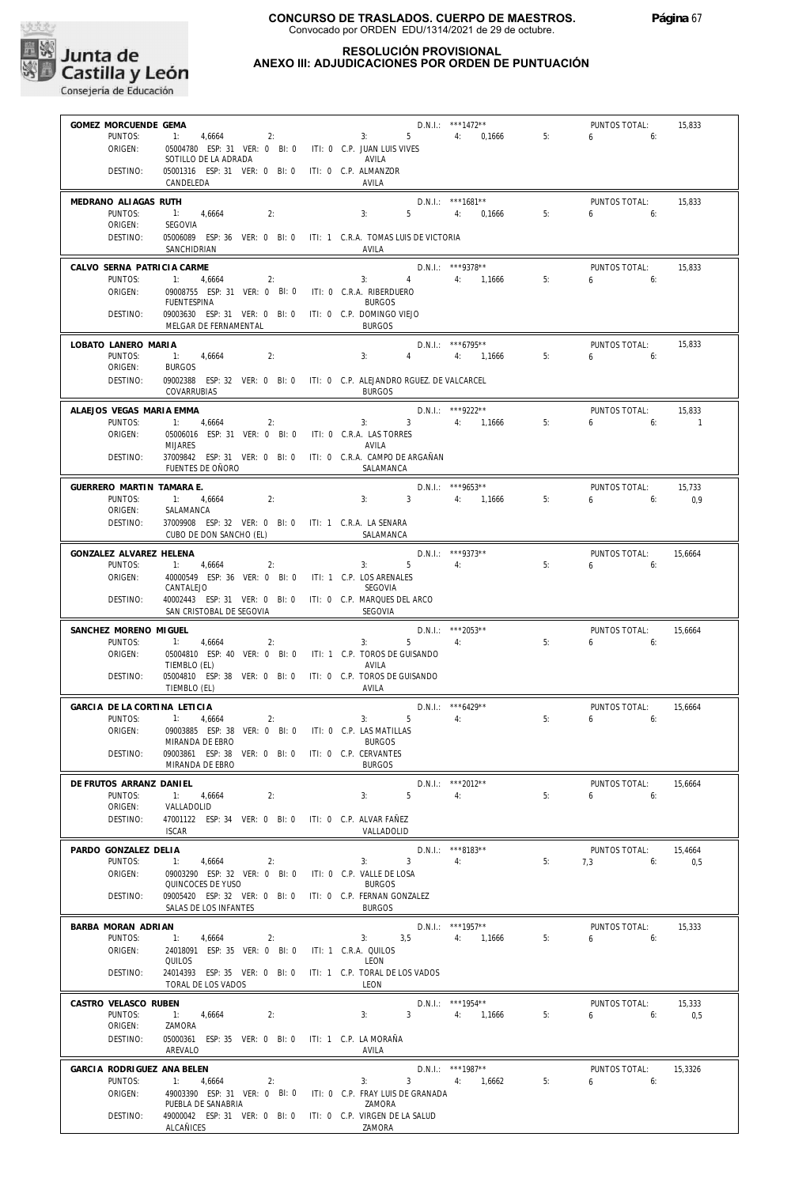

#### **RESOLUCIÓN PROVISIONAL ANEXO III: ADJUDICACIONES POR ORDEN DE PUNTUACIÓN**

**CONSEJERIA DE CONSEJERIA DE EDUCACIÓN**<br>Consejería de Educación

| GOMEZ MORCUENDE GEMA                |                                                                                        |                                                                             | $D.N.1.:$ ***1472**     |    | PUNTOS TOTAL:                 | 15,833             |
|-------------------------------------|----------------------------------------------------------------------------------------|-----------------------------------------------------------------------------|-------------------------|----|-------------------------------|--------------------|
| PUNTOS:<br>ORIGEN:                  | 4,6664<br>05004780 ESP: 31 VER: 0 BI: 0 ITI: 0 C.P. JUAN LUIS VIVES                    | 2:<br>3:                                                                    | 5 4: 0,1666             | 5: | $6 \t\t 6$                    |                    |
|                                     | SOTILLO DE LA ADRADA                                                                   | AVILA                                                                       |                         |    |                               |                    |
| DESTINO:                            | 05001316 ESP: 31 VER: 0 BI: 0 ITI: 0 C.P. ALMANZOR<br>CANDELEDA                        | AVILA                                                                       |                         |    |                               |                    |
| MEDRANO ALIAGAS RUTH                |                                                                                        |                                                                             | $D.N.1.:$ ***1681**     |    | PUNTOS TOTAL:                 | 15,833             |
| PUNTOS:<br>ORIGEN:                  | 1: 4,6664<br>2:<br>SEGOVIA                                                             | 3:                                                                          | 5 4: 0.1666             | 5: | $6\qquad 6$                   |                    |
| DESTINO:                            | SANCHIDRIAN                                                                            | 05006089 ESP: 36 VER: 0 BI: 0 ITI: 1 C.R.A. TOMAS LUIS DE VICTORIA<br>AVILA |                         |    |                               |                    |
| CALVO SERNA PATRICIA CARME          |                                                                                        |                                                                             | D.N.I.: ***9378**       |    | PUNTOS TOTAL:                 | 15,833             |
| PUNTOS:                             | $-1$ :<br>4,6664<br>2:                                                                 | 3:                                                                          | 4 4: 1,1666             | 5: | $6 \t\t\t 6$                  |                    |
| ORIGEN:                             | 09008755 ESP: 31 VER: 0 BI: 0 ITI: 0 C.R.A. RIBERDUERO<br><b>FUENTESPINA</b>           | <b>BURGOS</b>                                                               |                         |    |                               |                    |
| DESTINO:                            | 09003630 ESP: 31 VER: 0 BI: 0 ITI: 0 C.P. DOMINGO VIEJO<br>MELGAR DE FERNAMENTAL       | <b>BURGOS</b>                                                               |                         |    |                               |                    |
| LOBATO LANERO MARIA                 |                                                                                        |                                                                             | D.N.I.: ***6795**       |    | PUNTOS TOTAL:                 | 15,833             |
| PUNTOS:<br>ORIGEN:                  | 1: 4,6664<br>2:<br><b>BURGOS</b>                                                       | 3:<br>$4\degree$                                                            | 4: 1,1666               | 5: | $6 \qquad 6$                  |                    |
| DESTINO:                            |                                                                                        | 09002388 ESP: 32 VER: 0 BI: 0 ITI: 0 C.P. ALEJANDRO RGUEZ. DE VALCARCEL     |                         |    |                               |                    |
|                                     | COVARRUBIAS                                                                            | <b>BURGOS</b>                                                               |                         |    |                               |                    |
| ALAEJOS VEGAS MARIA EMMA<br>PUNTOS: | 1: 4,6664<br>2:                                                                        | 3: 3: 4: 1,1666                                                             | $D.N.1::$ ***9222**     | 5: | PUNTOS TOTAL:<br>$6 \t\t\t 6$ | 15,833<br>$\sim$ 1 |
| ORIGEN:                             | 05006016 ESP: 31 VER: 0 BI: 0 ITI: 0 C.R.A. LAS TORRES                                 |                                                                             |                         |    |                               |                    |
| DESTINO:                            | <b>MIJARES</b>                                                                         | AVILA<br>37009842 ESP: 31 VER: 0 BI: 0 ITI: 0 C.R.A. CAMPO DE ARGAÑAN       |                         |    |                               |                    |
|                                     | FUENTES DE OÑORO                                                                       | SALAMANCA                                                                   |                         |    |                               |                    |
| GUERRERO MARTIN TAMARA E.           |                                                                                        |                                                                             | D.N.I.: ***9653**       |    | PUNTOS TOTAL:                 | 15,733             |
| PUNTOS:<br>ORIGEN:                  | 1: 4,6664<br>2:<br>SALAMANCA                                                           | 3: 3: 4: 1.1666                                                             |                         | 5: | 6:<br>6                       | 0,9                |
| DESTINO:                            | 37009908 ESP: 32 VER: 0 BI: 0 ITI: 1 C.R.A. LA SENARA<br>CUBO DE DON SANCHO (EL)       | SALAMANCA                                                                   |                         |    |                               |                    |
|                                     |                                                                                        |                                                                             |                         |    |                               |                    |
| GONZALEZ ALVAREZ HELENA<br>PUNTOS:  | 1: 4,6664<br>2:                                                                        | $D.N.1.:$ ***9373**<br>5 <sub>5</sub><br>3:                                 | 4:                      | 5: | PUNTOS TOTAL:<br>6:<br>6      | 15,6664            |
| ORIGEN:                             | 40000549 ESP: 36 VER: 0 BI: 0 ITI: 1 C.P. LOS ARENALES<br>CANTALEJO                    | <b>SEGOVIA</b>                                                              |                         |    |                               |                    |
| DESTINO:                            | 40002443 ESP: 31 VER: 0 BI: 0 ITI: 0 C.P. MARQUES DEL ARCO<br>SAN CRISTOBAL DE SEGOVIA | SEGOVIA                                                                     |                         |    |                               |                    |
| SANCHEZ MORENO MIGUEL               |                                                                                        |                                                                             | D.N.I.: ***2053**       |    | PUNTOS TOTAL:                 | 15,6664            |
| PUNTOS:<br>ORIGEN:                  | 1: 4,6664<br>2:<br>05004810 ESP: 40 VER: 0 BI: 0 ITI: 1 C.P. TOROS DE GUISANDO         | $5 \t\t 4$<br>3:                                                            |                         | 5: | $6\qquad 6$                   |                    |
|                                     | TIEMBLO (EL)                                                                           | AVILA                                                                       |                         |    |                               |                    |
| DESTINO:                            | 05004810 ESP: 38 VER: 0 BI: 0 ITI: 0 C.P. TOROS DE GUISANDO<br>TIEMBLO (EL)            | AVILA                                                                       |                         |    |                               |                    |
| GARCIA DE LA CORTINA LETICIA        |                                                                                        |                                                                             | D.N.I.: *** 6429**      |    | PUNTOS TOTAL:                 | 15,6664            |
| PUNTOS:<br>ORIGEN:                  | 1:<br>4,6664<br>2:<br>09003885 ESP: 38 VER: 0 BI: 0 ITI: 0 C.P. LAS MATILLAS           | 3:<br>5                                                                     | 4:                      | 5: | 6<br>6:                       |                    |
|                                     | MIRANDA DE EBRO                                                                        | <b>BURGOS</b>                                                               |                         |    |                               |                    |
|                                     | DESTINO: 09003861 ESP: 38 VER: 0 BI: 0 ITI: 0 C.P. CERVANTES<br>MIRANDA DE EBRO        | <b>BURGOS</b>                                                               |                         |    |                               |                    |
| DE FRUTOS ARRANZ DANIEL             |                                                                                        |                                                                             | D.N.I.: ***2012**       |    | PUNTOS TOTAL:                 | 15,6664            |
| PUNTOS:<br>ORIGEN:                  | 1:<br>4,6664<br>2:<br>VALLADOLID                                                       | 3:<br>5                                                                     | 4:                      | 5: | 6<br>6:                       |                    |
| DESTINO:                            | 47001122 ESP: 34 VER: 0 BI: 0 ITI: 0 C.P. ALVAR FAÑEZ                                  |                                                                             |                         |    |                               |                    |
|                                     | <b>ISCAR</b>                                                                           | VALLADOLID                                                                  |                         |    |                               |                    |
| PARDO GONZALEZ DELIA<br>PUNTOS:     | 1:<br>4,6664<br>2:                                                                     | 3:<br>$\overline{3}$                                                        | D.N.I.: ***8183**<br>4: | 5: | PUNTOS TOTAL:<br>7,3<br>6:    | 15,4664<br>0,5     |
| ORIGEN:                             | 09003290 ESP: 32 VER: 0 BI: 0                                                          | ITI: 0 C.P. VALLE DE LOSA                                                   |                         |    |                               |                    |
| DESTINO:                            | QUINCOCES DE YUSO<br>09005420 ESP: 32 VER: 0 BI: 0 ITI: 0 C.P. FERNAN GONZALEZ         | <b>BURGOS</b>                                                               |                         |    |                               |                    |
|                                     | SALAS DE LOS INFANTES                                                                  | <b>BURGOS</b>                                                               |                         |    |                               |                    |
| BARBA MORAN ADRIAN                  |                                                                                        |                                                                             | $D.N.1::$ ***1957**     |    | PUNTOS TOTAL:                 | 15,333             |
| PUNTOS:<br>ORIGEN:                  | 1: 4,6664<br>2:<br>24018091 ESP: 35 VER: 0 BI: 0                                       | 3,5<br>3:<br>ITI: 1 C.R.A. QUILOS                                           | 4: 1,1666               | 5: | 6<br>6:                       |                    |
| DESTINO:                            | QUILOS<br>24014393 ESP: 35 VER: 0 BI: 0                                                | LEON<br>ITI: 1 C.P. TORAL DE LOS VADOS                                      |                         |    |                               |                    |
|                                     | TORAL DE LOS VADOS                                                                     | LEON                                                                        |                         |    |                               |                    |
| CASTRO VELASCO RUBEN                |                                                                                        |                                                                             | $D.N.1::$ ***1954**     |    | PUNTOS TOTAL:                 | 15,333             |
| PUNTOS:<br>ORIGEN:                  | 1: 4,6664<br>2:<br>ZAMORA                                                              | 3 <sup>7</sup><br>3:                                                        | 4: 1,1666               | 5: | 6<br>6:                       | 0,5                |
| DESTINO:                            | 05000361 ESP: 35 VER: 0 BI: 0 ITI: 1 C.P. LA MORAÑA<br>AREVALO                         | AVILA                                                                       |                         |    |                               |                    |
| GARCIA RODRIGUEZ ANA BELEN          |                                                                                        |                                                                             | D.N.I.: ***1987**       |    | PUNTOS TOTAL:                 | 15,3326            |
| PUNTOS:<br>ORIGEN:                  | 1:<br>4,6664<br>2:<br>49003390 ESP: 31 VER: 0 BI: 0                                    | 3:<br>$3^{\circ}$<br>ITI: 0 C.P. FRAY LUIS DE GRANADA                       | 4: 1,6662               | 5: | $6\qquad 6$                   |                    |
|                                     | PUEBLA DE SANABRIA                                                                     | ZAMORA                                                                      |                         |    |                               |                    |
| DESTINO:                            | 49000042 ESP: 31 VER: 0 BI: 0 ITI: 0 C.P. VIRGEN DE LA SALUD                           |                                                                             |                         |    |                               |                    |

**Página** 67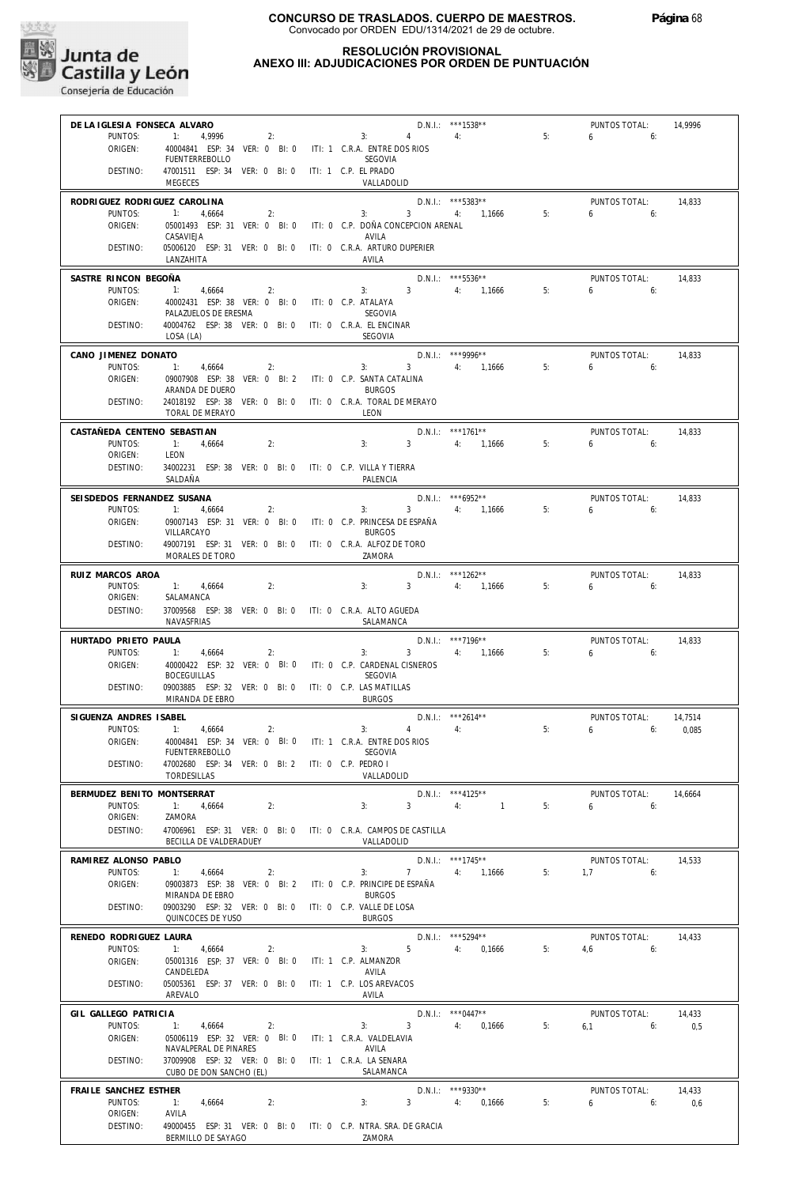

| DE LA IGLESIA FONSECA ALVARO |                                                                                     |                                                 | D.N.I.: ***1538**       | $\overline{\phantom{0}}$ 5: | PUNTOS TOTAL:   | 14.9996 |
|------------------------------|-------------------------------------------------------------------------------------|-------------------------------------------------|-------------------------|-----------------------------|-----------------|---------|
| PUNTOS:                      | 1: 4,9996<br>2:                                                                     | $\sim$ 3:<br>$4 \quad$                          | 4:                      |                             | $6\qquad 6:$    |         |
| ORIGEN:                      | 40004841 ESP: 34 VER: 0 BI: 0 ITI: 1 C.R.A. ENTRE DOS RIOS<br><b>FUENTERREBOLLO</b> | SEGOVIA                                         |                         |                             |                 |         |
| DESTINO:                     | 47001511 ESP: 34 VER: 0 BI: 0 ITI: 1 C.P. EL PRADO<br>MEGECES                       | VALLADOLID                                      |                         |                             |                 |         |
| RODRIGUEZ RODRIGUEZ CAROLINA |                                                                                     |                                                 | $D.N.1.:$ ***5383**     |                             | PUNTOS TOTAL:   | 14,833  |
| PUNTOS:                      | 4,6664<br>2:                                                                        | 3: 3: 4: 1,1666                                 |                         | 5:                          | $6\qquad 6$     |         |
| ORIGEN:                      | 05001493 ESP: 31 VER: 0 BI: 0 ITI: 0 C.P. DOÑA CONCEPCION ARENAL<br>CASAVIEJA       | AVILA                                           |                         |                             |                 |         |
| DESTINO:                     | 05006120 ESP: 31 VER: 0 BI: 0 ITI: 0 C.R.A. ARTURO DUPERIER<br>LANZAHITA            | AVILA                                           |                         |                             |                 |         |
| SASTRE RINCON BEGOÑA         |                                                                                     |                                                 | $D.N.1.:$ ***5536**     |                             | PUNTOS TOTAL:   | 14.833  |
| PUNTOS:                      | 1: 4,6664<br>2:                                                                     |                                                 | 3: $3 \t 4$ : 1,1666 5: |                             | $6 \qquad 6$    |         |
| ORIGEN:                      | 40002431 ESP: 38 VER: 0 BI: 0 ITI: 0 C.P. ATALAYA<br>PALAZUELOS DE ERESMA           | SEGOVIA                                         |                         |                             |                 |         |
| DESTINO:                     | 40004762 ESP: 38 VER: 0 BI: 0 ITI: 0 C.R.A. EL ENCINAR<br>LOSA (LA)                 | SEGOVIA                                         |                         |                             |                 |         |
| CANO JIMENEZ DONATO          |                                                                                     |                                                 | D.N.I.: ***9996**       |                             | PUNTOS TOTAL:   | 14,833  |
| PUNTOS:                      | 1:<br>4,6664<br>2:                                                                  | 3:                                              | 3 4: 1,1666             | 5:                          | 6 <sub>6</sub>  |         |
| ORIGEN:                      | 09007908 ESP: 38 VER: 0 BI: 2 ITI: 0 C.P. SANTA CATALINA<br>ARANDA DE DUERO         | <b>BURGOS</b>                                   |                         |                             |                 |         |
| DESTINO:                     | 24018192 ESP: 38 VER: 0 BI: 0 ITI: 0 C.R.A. TORAL DE MERAYO                         |                                                 |                         |                             |                 |         |
|                              | TORAL DE MERAYO                                                                     | LEON                                            |                         |                             |                 |         |
| CASTAÑEDA CENTENO SEBASTIAN  |                                                                                     |                                                 | $D.N.1.:$ ***1761**     |                             | PUNTOS TOTAL:   | 14,833  |
| PUNTOS:                      | $-1$ :<br>2:<br>4,6664                                                              | 3:                                              | 3 4: 1,1666 5:          |                             | $6\qquad 6$     |         |
| ORIGEN:<br>DESTINO:          | LEON<br>34002231 ESP: 38 VER: 0 BI: 0 ITI: 0 C.P. VILLA Y TIERRA                    |                                                 |                         |                             |                 |         |
|                              | SALDAÑA                                                                             | PALENCIA                                        |                         |                             |                 |         |
| SEISDEDOS FERNANDEZ SUSANA   |                                                                                     |                                                 | D.N.I.: *** 6952**      |                             | PUNTOS TOTAL:   | 14,833  |
| PUNTOS:                      | 1: 4,6664<br>2:                                                                     |                                                 | $3: 3 \t 4: 1,1666$     | 5:                          | $6 \quad$<br>6: |         |
| ORIGEN:                      | 09007143 ESP: 31 VER: 0 BI: 0 ITI: 0 C.P. PRINCESA DE ESPAÑA                        |                                                 |                         |                             |                 |         |
| DESTINO:                     | VILLARCAYO<br>49007191 ESP: 31 VER: 0 BI: 0 ITI: 0 C.R.A. ALFOZ DE TORO             | <b>BURGOS</b>                                   |                         |                             |                 |         |
|                              | MORALES DE TORO                                                                     | ZAMORA                                          |                         |                             |                 |         |
| RUIZ MARCOS AROA             |                                                                                     |                                                 | D.N.I.: ***1262**       |                             | PUNTOS TOTAL:   | 14,833  |
| PUNTOS:                      | 1: 4,6664<br>2:                                                                     | 3:3                                             | 4: 1,1666               | 5:                          | $6 \t\t 6$      |         |
| ORIGEN:<br>DESTINO:          | SALAMANCA<br>37009568 ESP: 38 VER: 0 BI: 0 ITI: 0 C.R.A. ALTO AGUEDA                |                                                 |                         |                             |                 |         |
|                              | NAVASFRIAS                                                                          | SALAMANCA                                       |                         |                             |                 |         |
| HURTADO PRIETO PAULA         |                                                                                     |                                                 | $D.N.1.:$ ***7196**     |                             | PUNTOS TOTAL:   | 14.833  |
| PUNTOS:                      | 1: 4,6664<br>2:                                                                     | 3:                                              | $3 \t 4: \t 1.1666$     | 5:                          | 6 <sub>6</sub>  |         |
| ORIGEN:                      | 40000422 ESP: 32 VER: 0 BI: 0 ITI: 0 C.P. CARDENAL CISNEROS                         |                                                 |                         |                             |                 |         |
| DESTINO:                     | <b>BOCEGUILLAS</b><br>09003885 ESP: 32 VER: 0 BI: 0 ITI: 0 C.P. LAS MATILLAS        | SEGOVIA                                         |                         |                             |                 |         |
|                              | MIRANDA DE EBRO                                                                     | <b>BURGOS</b>                                   |                         |                             |                 |         |
| SIGUENZA ANDRES ISABEL       |                                                                                     |                                                 | $D.N.1.:$ ***2614**     |                             | PUNTOS TOTAL:   | 14,7514 |
| PUNTOS:                      | 1:<br>4,6664<br>2:                                                                  | 3:<br>$4 \quad \blacksquare$                    | 4:                      | 5:                          | $6\qquad 6$     | 0,085   |
| ORIGEN:                      | 40004841 ESP: 34 VER: 0 BI: 0 ITI: 1 C.R.A. ENTRE DOS RIOS<br>FUENTERREBOLLO        | SEGOVIA                                         |                         |                             |                 |         |
| DESTINO:                     | 47002680 ESP: 34 VER: 0 BI: 2 ITI: 0 C.P. PEDRO I                                   |                                                 |                         |                             |                 |         |
|                              | TORDESILLAS                                                                         | VALLADOLID                                      |                         |                             |                 |         |
| BERMUDEZ BENITO MONTSERRAT   |                                                                                     |                                                 | $D.N.1::$ ***4125**     |                             | PUNTOS TOTAL:   | 14,6664 |
| PUNTOS:<br>ORIGEN:           | 2:<br>$-1:$<br>4.6664<br>ZAMORA                                                     | 3 <sup>7</sup><br>3:                            | 4:<br>$\sim$ 1          | 5:                          | 6<br>6:         |         |
| DESTINO:                     | 47006961 ESP: 31 VER: 0 BI: 0 ITI: 0 C.R.A. CAMPOS DE CASTILLA                      |                                                 |                         |                             |                 |         |
|                              | BECILLA DE VALDERADUEY                                                              | VALLADOLID                                      |                         |                             |                 |         |
| RAMIREZ ALONSO PABLO         |                                                                                     |                                                 | $D.N.1::$ ***1745**     |                             | PUNTOS TOTAL:   | 14,533  |
| PUNTOS:                      | 1: 4,6664<br>2:                                                                     | 3: 7                                            | 4: 1,1666               | 5:                          | 1,7<br>6:       |         |
| ORIGEN:                      | 09003873 ESP: 38 VER: 0 Bl: 2<br>MIRANDA DE EBRO                                    | ITI: 0 C.P. PRINCIPE DE ESPAÑA<br><b>BURGOS</b> |                         |                             |                 |         |
| DESTINO:                     | 09003290 ESP: 32 VER: 0 BI: 0 ITI: 0 C.P. VALLE DE LOSA                             |                                                 |                         |                             |                 |         |
|                              | QUINCOCES DE YUSO                                                                   | <b>BURGOS</b>                                   |                         |                             |                 |         |
| RENEDO RODRIGUEZ LAURA       |                                                                                     |                                                 | $D.N.1::$ ***5294**     |                             | PUNTOS TOTAL:   | 14,433  |
| PUNTOS:                      | 1: 4,6664<br>2:                                                                     | $5 -$<br>3:                                     | 4: 0,1666               | 5:                          | 4.6<br>6:       |         |
| ORIGEN:                      | 05001316 ESP: 37 VER: 0 BI: 0<br>CANDELEDA                                          | ITI: 1 C.P. ALMANZOR<br>AVILA                   |                         |                             |                 |         |
| DESTINO:                     | 05005361 ESP: 37 VER: 0 BI: 0                                                       | ITI: 1 C.P. LOS AREVACOS                        |                         |                             |                 |         |
|                              | AREVALO                                                                             | AVILA                                           |                         |                             |                 |         |
| GIL GALLEGO PATRICIA         |                                                                                     |                                                 | $D.N.1::$ *** 0447**    |                             | PUNTOS TOTAL:   | 14,433  |
| PUNTOS:<br>ORIGEN:           | 1: 4,6664<br>2:<br>05006119 ESP: 32 VER: 0 BI: 0 ITI: 1 C.R.A. VALDELAVIA           | 3 <sup>1</sup><br>3:                            | 4:<br>0,1666            | 5:                          | $6,1$ 6:        | 0,5     |
|                              | NAVALPERAL DE PINARES                                                               | AVILA                                           |                         |                             |                 |         |
| DESTINO:                     | 37009908 ESP: 32 VER: 0 BI: 0 ITI: 1 C.R.A. LA SENARA                               |                                                 |                         |                             |                 |         |
|                              | CUBO DE DON SANCHO (EL)                                                             | SALAMANCA                                       |                         |                             |                 |         |
| FRAILE SANCHEZ ESTHER        |                                                                                     |                                                 | D.N.I.: ***9330**       |                             | PUNTOS TOTAL:   | 14,433  |
| PUNTOS:<br>ORIGEN:           | 2:<br>1:<br>4,6664<br>AVILA                                                         | 3:                                              | 3 4: 0,1666             | 5:                          | 6<br>6:         | 0,6     |
|                              |                                                                                     |                                                 |                         |                             |                 |         |
| DESTINO:                     | 49000455 ESP: 31 VER: 0 BI: 0 ITI: 0 C.P. NTRA. SRA. DE GRACIA                      |                                                 |                         |                             |                 |         |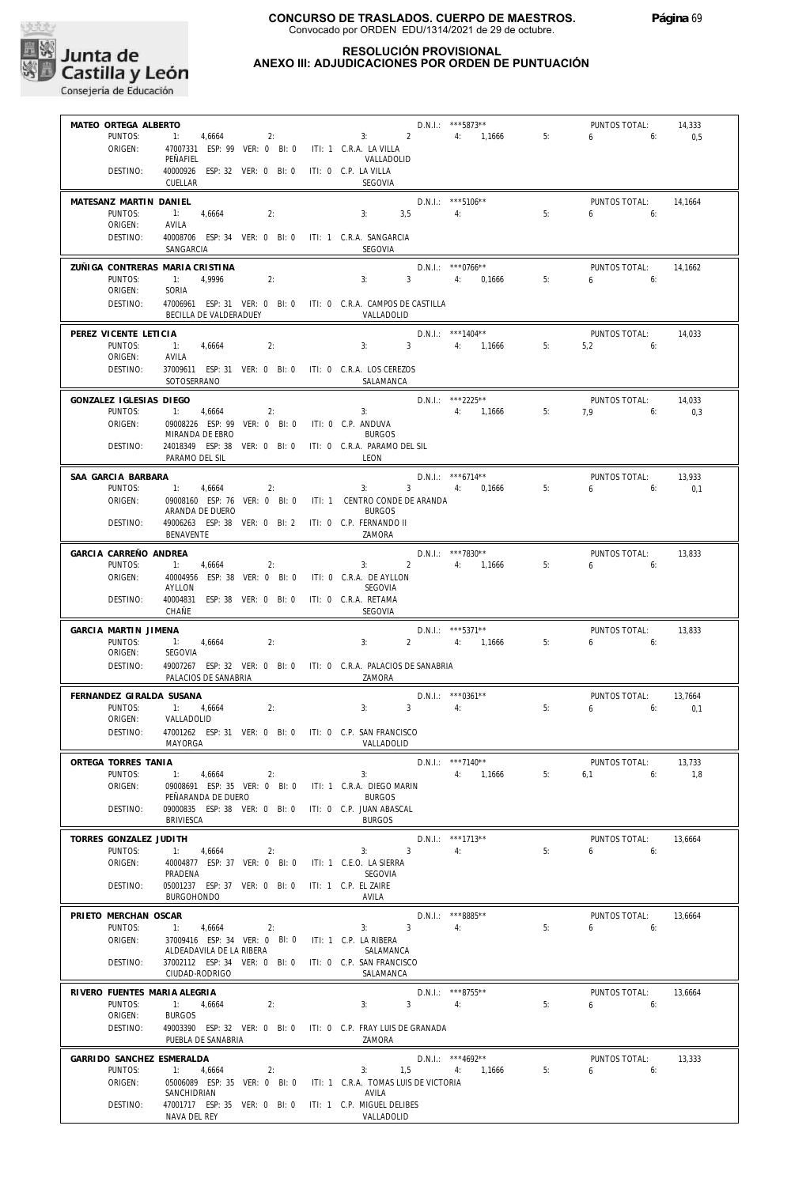

#### **RESOLUCIÓN PROVISIONAL ANEXO III: ADJUDICACIONES POR ORDEN DE PUNTUACIÓN**

| MATEO ORTEGA ALBERTO            |                                                                    |                               |                         | D.N.I.: *** 5873**   |    | PUNTOS TOTAL:  | 14,333  |
|---------------------------------|--------------------------------------------------------------------|-------------------------------|-------------------------|----------------------|----|----------------|---------|
| PUNTOS:                         | 1: 4,6664<br>2:                                                    | 3:2                           |                         | 4: 1,1666            | 5: | 6<br>6:        | 0,5     |
| ORIGEN:                         | 47007331 ESP: 99 VER: 0 BI: 0                                      |                               |                         |                      |    |                |         |
|                                 | PEÑAFIEL                                                           | ITI: 1 C.R.A. LA VILLA        |                         |                      |    |                |         |
|                                 |                                                                    | VALLADOLID                    |                         |                      |    |                |         |
| DESTINO:                        | 40000926<br>ESP: 32 VER: 0 BI: 0                                   | ITI: 0 C.P. LA VILLA          |                         |                      |    |                |         |
|                                 | CUELLAR                                                            | SEGOVIA                       |                         |                      |    |                |         |
| MATESANZ MARTIN DANIEL          |                                                                    |                               |                         | D.N.I.: *** 5106**   |    | PUNTOS TOTAL:  | 14,1664 |
|                                 |                                                                    |                               |                         |                      |    |                |         |
| PUNTOS:                         | 1:<br>4,6664<br>2:                                                 | 3,5<br>3:                     |                         | 4:                   | 5: | 6<br>6:        |         |
| ORIGEN:                         | AVILA                                                              |                               |                         |                      |    |                |         |
| DESTINO:                        | 40008706 ESP: 34 VER: 0 BI: 0 ITI: 1 C.R.A. SANGARCIA              |                               |                         |                      |    |                |         |
|                                 | SANGARCIA                                                          | SEGOVIA                       |                         |                      |    |                |         |
|                                 |                                                                    |                               |                         |                      |    |                |         |
| ZUÑIGA CONTRERAS MARIA CRISTINA |                                                                    |                               |                         | $D.N.1::$ ***0766**  |    | PUNTOS TOTAL:  | 14,1662 |
| PUNTOS:                         | 2:<br>1:<br>4,9996                                                 | 3:                            | $3^{\circ}$             | 4: 0,1666            | 5: | $6\qquad 6$    |         |
| ORIGEN:                         | SORIA                                                              |                               |                         |                      |    |                |         |
| DESTINO:                        | 47006961 ESP: 31 VER: 0 BI: 0 ITI: 0 C.R.A. CAMPOS DE CASTILLA     |                               |                         |                      |    |                |         |
|                                 | BECILLA DE VALDERADUEY                                             | VALLADOLID                    |                         |                      |    |                |         |
|                                 |                                                                    |                               |                         |                      |    |                |         |
| PEREZ VICENTE LETICIA           |                                                                    |                               |                         | $D.N.1.:$ ***1404**  |    | PUNTOS TOTAL:  | 14,033  |
| PUNTOS:                         | $-1$ :<br>4,6664<br>2:                                             | 3:                            | $\overline{\mathbf{3}}$ | 4: 1,1666            | 5: | 5,2<br>6:      |         |
| ORIGEN:                         | AVILA                                                              |                               |                         |                      |    |                |         |
| DESTINO:                        |                                                                    |                               |                         |                      |    |                |         |
|                                 | 37009611 ESP: 31 VER: 0 BI: 0 ITI: 0 C.R.A. LOS CEREZOS            |                               |                         |                      |    |                |         |
|                                 | SOTOSERRANO                                                        | SALAMANCA                     |                         |                      |    |                |         |
| GONZALEZ IGLESIAS DIEGO         |                                                                    |                               |                         | $D.N.1.:$ ***2225**  |    | PUNTOS TOTAL:  | 14,033  |
| PUNTOS:                         | 1: 4,6664<br>2:                                                    | 3:                            |                         | 4: 1,1666            | 5: | 7.9<br>6:      |         |
|                                 |                                                                    |                               |                         |                      |    |                | 0,3     |
| ORIGEN:                         | 09008226 ESP: 99 VER: 0 BI: 0 ITI: 0 C.P. ANDUVA                   |                               |                         |                      |    |                |         |
|                                 | MIRANDA DE EBRO                                                    | <b>BURGOS</b>                 |                         |                      |    |                |         |
| DESTINO:                        | 24018349 ESP: 38 VER: 0 BI: 0                                      | ITI: 0 C.R.A. PARAMO DEL SIL  |                         |                      |    |                |         |
|                                 | PARAMO DEL SIL                                                     | LEON                          |                         |                      |    |                |         |
|                                 |                                                                    |                               |                         |                      |    |                |         |
| SAA GARCIA BARBARA              |                                                                    |                               |                         | $D.N.1.:$ ***6714**  |    | PUNTOS TOTAL:  | 13,933  |
| PUNTOS:                         | 1:<br>4,6664<br>2:                                                 | 3:                            |                         | 3 4: 0,1666          | 5: | 6<br>6:        | 0,1     |
| ORIGEN:                         | 09008160 ESP: 76 VER: 0 BI: 0                                      | ITI: 1 CENTRO CONDE DE ARANDA |                         |                      |    |                |         |
|                                 | ARANDA DE DUERO                                                    | <b>BURGOS</b>                 |                         |                      |    |                |         |
| DESTINO:                        | 49006263 ESP: 38 VER: 0 BI: 2 ITI: 0 C.P. FERNANDO II              |                               |                         |                      |    |                |         |
|                                 | BENAVENTE                                                          | ZAMORA                        |                         |                      |    |                |         |
|                                 |                                                                    |                               |                         |                      |    |                |         |
| GARCIA CARREÑO ANDREA           |                                                                    |                               |                         | D.N.I.: ***7830**    |    | PUNTOS TOTAL:  | 13,833  |
| PUNTOS:                         | 1:<br>4,6664<br>2:                                                 | 3:                            | $2^{\circ}$             | 4: 1,1666            | 5: | 6<br>6:        |         |
| ORIGEN:                         | 40004956 ESP: 38 VER: 0 BI: 0                                      | ITI: 0 C.R.A. DE AYLLON       |                         |                      |    |                |         |
|                                 | AYLLON                                                             | SEGOVIA                       |                         |                      |    |                |         |
| DESTINO:                        | 40004831 ESP: 38 VER: 0 BI: 0                                      | ITI: 0 C.R.A. RETAMA          |                         |                      |    |                |         |
|                                 | CHAÑE                                                              | SEGOVIA                       |                         |                      |    |                |         |
|                                 |                                                                    |                               |                         |                      |    |                |         |
|                                 |                                                                    |                               |                         |                      |    |                |         |
| GARCIA MARTIN JIMENA            |                                                                    |                               |                         | D.N.I.: ***5371**    |    | PUNTOS TOTAL:  | 13,833  |
| PUNTOS:                         | 1:<br>2:<br>4,6664                                                 | 3:                            | $\overline{2}$          | 4: 1,1666            | 5: | 6 <sub>6</sub> |         |
| ORIGEN:                         | SEGOVIA                                                            |                               |                         |                      |    |                |         |
|                                 |                                                                    |                               |                         |                      |    |                |         |
| DESTINO:                        | 49007267 ESP: 32 VER: 0 BI: 0 ITI: 0 C.R.A. PALACIOS DE SANABRIA   |                               |                         |                      |    |                |         |
|                                 | PALACIOS DE SANABRIA                                               | ZAMORA                        |                         |                      |    |                |         |
| FERNANDEZ GIRALDA SUSANA        |                                                                    |                               |                         | $D.N.1::$ *** 0361** |    | PUNTOS TOTAL:  | 13,7664 |
| PUNTOS:                         | 1: 4,6664<br>2:                                                    | 3:                            | $\overline{3}$          | 4:                   | 5: | 6<br>6:        | 0,1     |
|                                 |                                                                    |                               |                         |                      |    |                |         |
| ORIGEN:                         | VALLADOLID                                                         |                               |                         |                      |    |                |         |
| DESTINO:                        | 47001262 ESP: 31 VER: 0 BI: 0 ITI: 0 C.P. SAN FRANCISCO            |                               |                         |                      |    |                |         |
|                                 | MAYORGA                                                            | VALLADOLID                    |                         |                      |    |                |         |
|                                 |                                                                    |                               |                         |                      |    |                |         |
| ORTEGA TORRES TANIA             |                                                                    |                               |                         | D.N.I.: ***7140**    |    | PUNTOS TOTAL:  | 13,733  |
| PUNTOS:                         | 1:<br>4,6664<br>2:                                                 | 3:                            |                         | 4: 1,1666            | 5: | 6:<br>6,1      | 1.8     |
| ORIGEN:                         | 09008691 ESP: 35 VER: 0 BI: 0 ITI: 1 C.R.A. DIEGO MARIN            |                               |                         |                      |    |                |         |
|                                 | PEÑARANDA DE DUERO                                                 | <b>BURGOS</b>                 |                         |                      |    |                |         |
| DESTINO:                        | 09000835 ESP: 38 VER: 0 BI: 0 ITI: 0 C.P. JUAN ABASCAL             |                               |                         |                      |    |                |         |
|                                 | BRIVIESCA                                                          | <b>BURGOS</b>                 |                         |                      |    |                |         |
|                                 |                                                                    |                               |                         |                      |    |                |         |
| TORRES GONZALEZ JUDITH          |                                                                    |                               |                         | $D.N.1::$ ***1713**  |    | PUNTOS TOTAL:  | 13,6664 |
| PUNTOS:                         | 1: 4,6664<br>2:                                                    | 3:                            | $\overline{3}$          | 4:                   | 5: | 6<br>6:        |         |
| ORIGEN:                         | 40004877 ESP: 37 VER: 0 BI: 0                                      | ITI: 1 C.E.O. LA SIERRA       |                         |                      |    |                |         |
|                                 | PRADENA                                                            | SEGOVIA                       |                         |                      |    |                |         |
| DESTINO:                        | 05001237 ESP: 37 VER: 0 BI: 0 ITI: 1 C.P. EL ZAIRE                 |                               |                         |                      |    |                |         |
|                                 | <b>BURGOHONDO</b>                                                  | AVILA                         |                         |                      |    |                |         |
|                                 |                                                                    |                               |                         |                      |    |                |         |
| PRIETO MERCHAN OSCAR            |                                                                    |                               |                         | D.N.I.: ***8885**    |    | PUNTOS TOTAL:  | 13.6664 |
| PUNTOS:                         | 1:<br>4,6664<br>2:                                                 | 3:                            | $\overline{3}$          | 4:                   | 5: | 6<br>6:        |         |
| ORIGEN:                         | 37009416 ESP: 34 VER: 0 BI: 0 ITI: 1 C.P. LA RIBERA                |                               |                         |                      |    |                |         |
|                                 | ALDEADAVILA DE LA RIBERA                                           | SALAMANCA                     |                         |                      |    |                |         |
| DESTINO:                        | 37002112 ESP: 34 VER: 0 BI: 0 ITI: 0 C.P. SAN FRANCISCO            |                               |                         |                      |    |                |         |
|                                 | CIUDAD-RODRIGO                                                     | SALAMANCA                     |                         |                      |    |                |         |
|                                 |                                                                    |                               |                         |                      |    |                |         |
| RIVERO FUENTES MARIA ALEGRIA    |                                                                    |                               |                         | D.N.I.: ***8755**    |    | PUNTOS TOTAL:  | 13,6664 |
| PUNTOS:                         | 1:<br>4,6664<br>2:                                                 | 3:                            | 3 <sup>7</sup>          | 4:                   | 5: | 6 <sub>6</sub> |         |
| ORIGEN:                         | <b>BURGOS</b>                                                      |                               |                         |                      |    |                |         |
| DESTINO:                        | 49003390 ESP: 32 VER: 0 BI: 0 ITI: 0 C.P. FRAY LUIS DE GRANADA     |                               |                         |                      |    |                |         |
|                                 | PUEBLA DE SANABRIA                                                 | ZAMORA                        |                         |                      |    |                |         |
|                                 |                                                                    |                               |                         |                      |    |                |         |
| GARRIDO SANCHEZ ESMERALDA       |                                                                    |                               |                         | D.N.I.: *** 4692**   |    | PUNTOS TOTAL:  | 13,333  |
| PUNTOS:                         | 1:<br>4,6664<br>2:                                                 | 3:<br>1,5                     |                         | 4:<br>1,1666         | 5: | 6<br>6:        |         |
| ORIGEN:                         | 05006089 ESP: 35 VER: 0 BI: 0 ITI: 1 C.R.A. TOMAS LUIS DE VICTORIA |                               |                         |                      |    |                |         |
|                                 | SANCHIDRIAN                                                        | AVILA                         |                         |                      |    |                |         |
| DESTINO:                        | 47001717 ESP: 35 VER: 0 BI: 0 ITI: 1 C.P. MIGUEL DELIBES           |                               |                         |                      |    |                |         |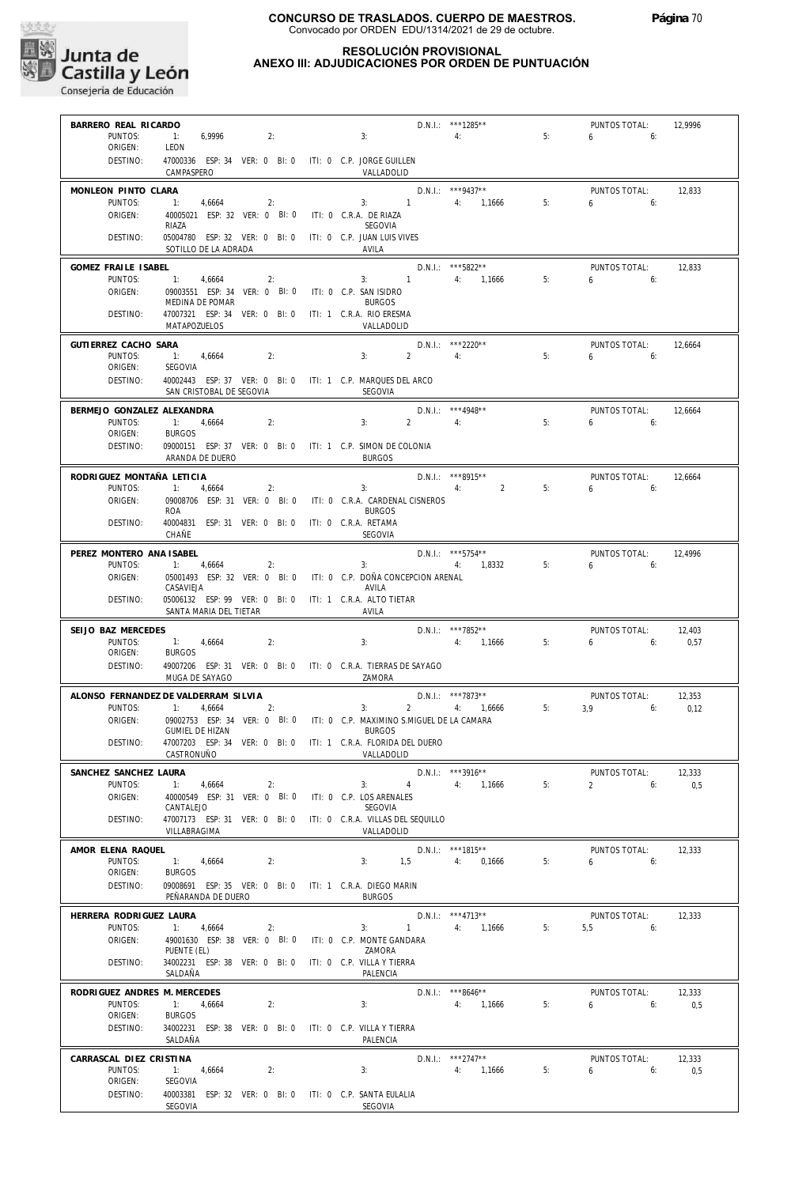

# **RESOLUCIÓN PROVISIONAL**

# **ANEXO III: ADJUDICACIONES POR ORDEN DE PUNTUACIÓN**

| BARRERO REAL RICARDO         |                                                                          |                |                    | D.N.I.: ***1285**                       |                                         | PUNTOS TOTAL:                 | 12.9996 |
|------------------------------|--------------------------------------------------------------------------|----------------|--------------------|-----------------------------------------|-----------------------------------------|-------------------------------|---------|
| PUNTOS:                      | 1: 6.9996<br>2:                                                          | 3:             |                    | $\overline{4}$ :                        | $\begin{array}{c}\n\hline\n\end{array}$ | $6\qquad 6$                   |         |
| ORIGEN:                      | LEON                                                                     |                |                    |                                         |                                         |                               |         |
| DESTINO:                     | 47000336 ESP: 34 VER: 0 BI: 0 ITI: 0 C.P. JORGE GUILLEN                  |                |                    |                                         |                                         |                               |         |
|                              | CAMPASPERO                                                               | VALLADOLID     |                    |                                         |                                         |                               |         |
|                              |                                                                          |                |                    |                                         |                                         |                               |         |
| MONLEON PINTO CLARA          |                                                                          |                |                    | $D.N.1.:$ ***9437**                     |                                         | PUNTOS TOTAL:                 | 12,833  |
| PUNTOS:                      | $-1$ :<br>4,6664<br>2:                                                   |                | 3: $1$ 4: $1,1666$ |                                         | 5:                                      | 650                           |         |
| ORIGEN:                      | 40005021 ESP: 32 VER: 0 BI: 0 ITI: 0 C.R.A. DE RIAZA                     |                |                    |                                         |                                         |                               |         |
|                              | RIAZA                                                                    | SEGOVIA        |                    |                                         |                                         |                               |         |
| DESTINO:                     | 05004780 ESP: 32 VER: 0 BI: 0 ITI: 0 C.P. JUAN LUIS VIVES                |                |                    |                                         |                                         |                               |         |
|                              | SOTILLO DE LA ADRADA                                                     | AVILA          |                    |                                         |                                         |                               |         |
| GOMEZ FRAILE ISABEL          |                                                                          |                |                    | D.N.I.: ***5822**                       |                                         | PUNTOS TOTAL:                 | 12,833  |
| PUNTOS:                      | $-11$<br>4,6664<br>2:                                                    |                | 3: $1$ 4: $1,1666$ |                                         | 5:                                      | $6\qquad 6$                   |         |
|                              |                                                                          |                |                    |                                         |                                         |                               |         |
| ORIGEN:                      | 09003551 ESP: 34 VER: 0 BI: 0 ITI: 0 C.P. SAN ISIDRO<br>MEDINA DE POMAR  | <b>BURGOS</b>  |                    |                                         |                                         |                               |         |
| DESTINO:                     |                                                                          |                |                    |                                         |                                         |                               |         |
|                              | 47007321 ESP: 34 VER: 0 BI: 0 ITI: 1 C.R.A. RIO ERESMA<br>MATAPOZUELOS   | VALLADOLID     |                    |                                         |                                         |                               |         |
|                              |                                                                          |                |                    |                                         |                                         |                               |         |
| GUTIERREZ CACHO SARA         |                                                                          |                |                    | D.N.I.: ***2220**                       |                                         | PUNTOS TOTAL:                 | 12,6664 |
| PUNTOS:                      | 1: 4,6664<br>2:                                                          | 3:             | $2 \t 4$ :         |                                         | 5:                                      | $6\qquad 6$                   |         |
| ORIGEN:                      | SEGOVIA                                                                  |                |                    |                                         |                                         |                               |         |
| DESTINO:                     | 40002443 ESP: 37 VER: 0 BI: 0 ITI: 1 C.P. MARQUES DEL ARCO               |                |                    |                                         |                                         |                               |         |
|                              | SAN CRISTOBAL DE SEGOVIA                                                 | SEGOVIA        |                    |                                         |                                         |                               |         |
|                              |                                                                          |                |                    |                                         |                                         |                               |         |
| BERMEJO GONZALEZ ALEXANDRA   |                                                                          |                |                    | $D.N.1.:$ ***4948**                     |                                         | PUNTOS TOTAL:                 | 12,6664 |
| PUNTOS:                      | 1: 4,6664<br>2:                                                          | 3:             | $2 \t 4$           |                                         | 5:                                      | $6\qquad 6$                   |         |
| ORIGEN:                      | <b>BURGOS</b>                                                            |                |                    |                                         |                                         |                               |         |
| DESTINO:                     | 09000151 ESP: 37 VER: 0 BI: 0 ITI: 1 C.P. SIMON DE COLONIA               |                |                    |                                         |                                         |                               |         |
|                              | ARANDA DE DUERO                                                          | <b>BURGOS</b>  |                    |                                         |                                         |                               |         |
|                              |                                                                          |                |                    |                                         |                                         |                               |         |
| RODRIGUEZ MONTAÑA LETICIA    |                                                                          |                |                    | D.N.I.: ***8915**<br>$L(N)$ . $4$ : $2$ |                                         | PUNTOS TOTAL:                 | 12,6664 |
| PUNTOS:                      | $-11$<br>4,6664<br>2:                                                    | 3:             |                    |                                         | 5:                                      | 650                           |         |
| ORIGEN:                      | 09008706 ESP: 31 VER: 0 BI: 0 ITI: 0 C.R.A. CARDENAL CISNEROS            |                |                    |                                         |                                         |                               |         |
|                              | <b>ROA</b>                                                               | <b>BURGOS</b>  |                    |                                         |                                         |                               |         |
| DESTINO:                     | 40004831 ESP: 31 VER: 0 BI: 0 ITI: 0 C.R.A. RETAMA                       |                |                    |                                         |                                         |                               |         |
|                              | CHAÑE                                                                    | <b>SEGOVIA</b> |                    |                                         |                                         |                               |         |
| PEREZ MONTERO ANA ISABEL     |                                                                          |                |                    | $D.N.1::$ ***5754**                     |                                         | PUNTOS TOTAL:                 | 12,4996 |
| PUNTOS:                      | 1: 4,6664<br>2:                                                          | 3:             |                    | 4: $1,8332$ 5:                          |                                         | $6\qquad 6$                   |         |
| ORIGEN:                      | 05001493 ESP: 32 VER: 0 BI: 0 ITI: 0 C.P. DOÑA CONCEPCION ARENAL         |                |                    |                                         |                                         |                               |         |
|                              | CASAVIEJA                                                                | AVILA          |                    |                                         |                                         |                               |         |
| DESTINO:                     | 05006132 ESP: 99 VER: 0 BI: 0 ITI: 1 C.R.A. ALTO TIETAR                  |                |                    |                                         |                                         |                               |         |
|                              | SANTA MARIA DEL TIETAR                                                   | AVILA          |                    |                                         |                                         |                               |         |
|                              |                                                                          |                |                    |                                         |                                         |                               |         |
|                              |                                                                          |                |                    |                                         |                                         |                               |         |
| SEIJO BAZ MERCEDES           |                                                                          |                |                    | D.N.I.: ***7852**                       |                                         | PUNTOS TOTAL:                 | 12,403  |
| PUNTOS:                      | 1: 4,6664<br>2:                                                          | 3:             |                    | 4: 1,1666                               | 5:                                      | $6\qquad 6$                   | 0.57    |
| ORIGEN:                      | <b>BURGOS</b>                                                            |                |                    |                                         |                                         |                               |         |
| DESTINO:                     | 49007206 ESP: 31 VER: 0 BI: 0 ITI: 0 C.R.A. TIERRAS DE SAYAGO            |                |                    |                                         |                                         |                               |         |
|                              | MUGA DE SAYAGO                                                           | ZAMORA         |                    |                                         |                                         |                               |         |
|                              |                                                                          |                |                    |                                         |                                         |                               |         |
|                              | ALONSO FERNANDEZ DE VALDERRAM SILVIA                                     |                |                    | D.N.I.: ***7873**                       |                                         | PUNTOS TOTAL:                 | 12,353  |
| PUNTOS:                      | $-1$ $\frac{1}{2}$ :<br>1:<br>4,6664                                     |                |                    | 3: 2 4: $1,6666$ 5:                     |                                         | $3,9$ 6:                      | 0,12    |
| ORIGEN:                      | 09002753 ESP: 34 VER: 0 BI: 0 ITI: 0 C.P. MAXIMINO S.MIGUEL DE LA CAMARA |                |                    |                                         |                                         |                               |         |
|                              | <b>GUMIEL DE HIZAN</b>                                                   | <b>BURGOS</b>  |                    |                                         |                                         |                               |         |
| DESTINO:                     | 47007203 ESP: 34 VER: 0 BI: 0 ITI: 1 C.R.A. FLORIDA DEL DUERO            |                |                    |                                         |                                         |                               |         |
|                              | CASTRONUÑO                                                               | VALLADOLID     |                    |                                         |                                         |                               |         |
|                              |                                                                          |                |                    | $D.N.1::$ ***3916**                     |                                         |                               | 12,333  |
| SANCHEZ SANCHEZ LAURA        |                                                                          |                |                    |                                         |                                         | PUNTOS TOTAL:<br>$2 \t\t\t 6$ |         |
| PUNTOS:                      | 1: 4,6664<br>2:                                                          |                |                    | 3: 4: 1,1666                            | 5:                                      |                               | 0,5     |
| ORIGEN:                      | 40000549 ESP: 31 VER: 0 BI: 0 ITI: 0 C.P. LOS ARENALES                   |                |                    |                                         |                                         |                               |         |
|                              | CANTALEJO                                                                | SEGOVIA        |                    |                                         |                                         |                               |         |
| DESTINO:                     | 47007173 ESP: 31 VER: 0 BI: 0 ITI: 0 C.R.A. VILLAS DEL SEQUILLO          |                |                    |                                         |                                         |                               |         |
|                              | VILLABRAGIMA                                                             | VALLADOLID     |                    |                                         |                                         |                               |         |
| AMOR ELENA RAQUEL            |                                                                          |                |                    | $D.N.1.:$ ***1815**                     |                                         | PUNTOS TOTAL:                 | 12,333  |
| PUNTOS:                      | 1: 4,6664<br>2:                                                          |                | 3: 1,5 4: 0,1666   |                                         | 5:                                      | $6\qquad 6$                   |         |
| ORIGEN:                      | <b>BURGOS</b>                                                            |                |                    |                                         |                                         |                               |         |
| DESTINO:                     | 09008691 ESP: 35 VER: 0 BI: 0 ITI: 1 C.R.A. DIEGO MARIN                  |                |                    |                                         |                                         |                               |         |
|                              | PEÑARANDA DE DUERO                                                       | <b>BURGOS</b>  |                    |                                         |                                         |                               |         |
|                              |                                                                          |                |                    |                                         |                                         |                               |         |
| HERRERA RODRIGUEZ LAURA      |                                                                          |                |                    | $D.N.1::$ ***4713**                     |                                         | PUNTOS TOTAL:                 | 12,333  |
| PUNTOS:                      | 1: 4,6664<br>2:                                                          | 3:             | $1$ 4: 1,1666      |                                         | 5:                                      | $5,5$ 6:                      |         |
| ORIGEN:                      | 49001630 ESP: 38 VER: 0 BI: 0 ITI: 0 C.P. MONTE GANDARA                  |                |                    |                                         |                                         |                               |         |
|                              | PUENTE (EL)                                                              | ZAMORA         |                    |                                         |                                         |                               |         |
| DESTINO:                     | 34002231 ESP: 38 VER: 0 BI: 0 ITI: 0 C.P. VILLA Y TIERRA                 |                |                    |                                         |                                         |                               |         |
|                              | SALDAÑA                                                                  | PALENCIA       |                    |                                         |                                         |                               |         |
|                              |                                                                          |                |                    |                                         |                                         |                               |         |
| RODRIGUEZ ANDRES M. MERCEDES |                                                                          |                |                    | $D.N.1.:$ ***8646**                     |                                         | PUNTOS TOTAL:                 | 12,333  |
| PUNTOS:                      | 1: 4,6664<br>2:                                                          | 3:             |                    | 4: 1,1666                               | 5:                                      | $6\qquad 6$                   | 0,5     |
| ORIGEN:                      | <b>BURGOS</b>                                                            |                |                    |                                         |                                         |                               |         |
| DESTINO:                     | 34002231 ESP: 38 VER: 0 BI: 0 ITI: 0 C.P. VILLA Y TIERRA                 |                |                    |                                         |                                         |                               |         |
|                              | SALDAÑA                                                                  | PALENCIA       |                    |                                         |                                         |                               |         |
| CARRASCAL DIEZ CRISTINA      |                                                                          |                |                    | $D.N.1.:$ ***2747**                     |                                         | PUNTOS TOTAL:                 | 12.333  |
| PUNTOS:                      | 1: 4,6664<br>2:                                                          | 3:             |                    | 4: 1,1666                               | 5:                                      | 6 <sub>6</sub>                | 0,5     |
| ORIGEN:                      | SEGOVIA                                                                  |                |                    |                                         |                                         |                               |         |
| DESTINO:                     | 40003381 ESP: 32 VER: 0 BI: 0 ITI: 0 C.P. SANTA EULALIA                  |                |                    |                                         |                                         |                               |         |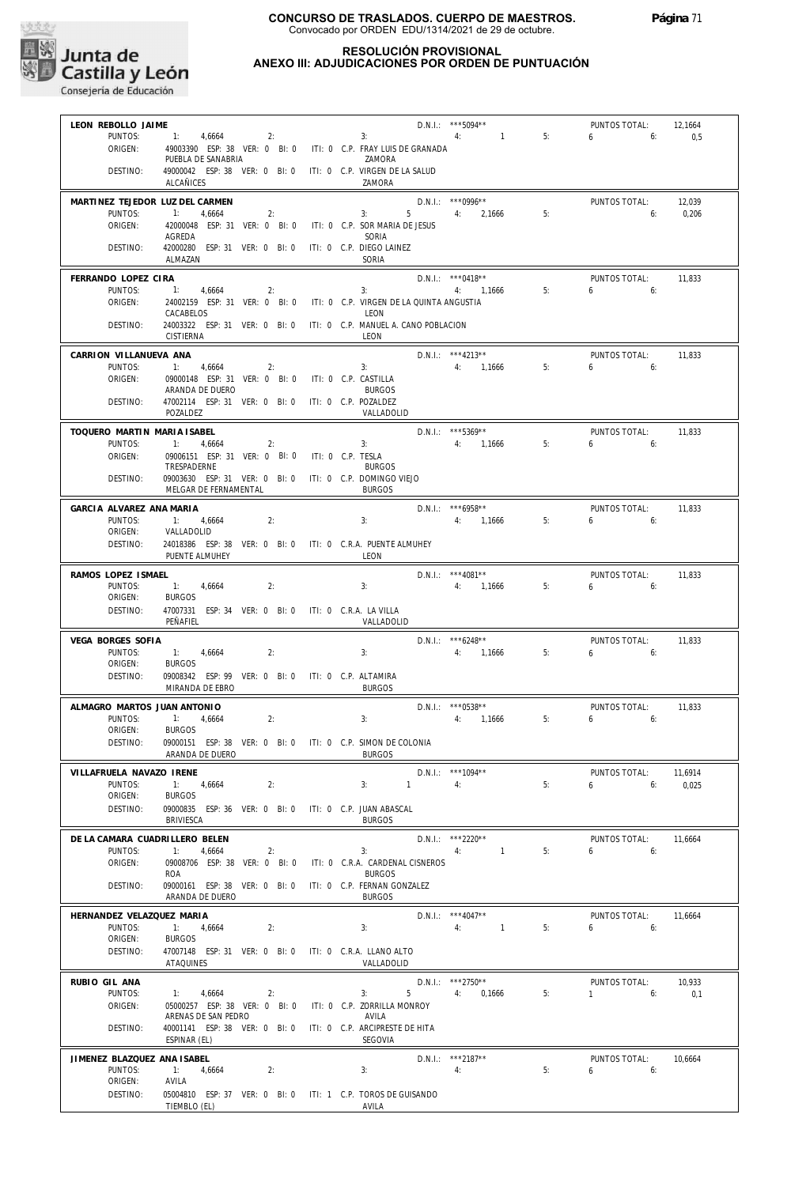

#### **RESOLUCIÓN PROVISIONAL ANEXO III: ADJUDICACIONES POR ORDEN DE PUNTUACIÓN**

| LEON REBOLLO JAIME                  |                                                                                  |                         |                          | D.N.I.: *** 5094**                 |    | PUNTOS TOTAL:                   | 12,1664          |
|-------------------------------------|----------------------------------------------------------------------------------|-------------------------|--------------------------|------------------------------------|----|---------------------------------|------------------|
| PUNTOS:                             | 2:<br>1: 4,6664                                                                  |                         | 4:<br>3:                 | $\sim$ 1.100 $\sim$                | 5: | $6 \t\t 6$                      | 0,5              |
| ORIGEN:                             | 49003390 ESP: 38 VER: 0 BI: 0 ITI: 0 C.P. FRAY LUIS DE GRANADA                   |                         |                          |                                    |    |                                 |                  |
|                                     | PUEBLA DE SANABRIA                                                               |                         | 7AMORA                   |                                    |    |                                 |                  |
| DESTINO:                            | 49000042 ESP: 38 VER: 0 BI: 0 ITI: 0 C.P. VIRGEN DE LA SALUD<br><b>ALCAÑICES</b> |                         | ZAMORA                   |                                    |    |                                 |                  |
|                                     |                                                                                  |                         |                          |                                    |    |                                 |                  |
| MARTINEZ TEJEDOR LUZ DEL CARMEN     |                                                                                  |                         |                          | $D.N.1.:$ ***0996**                |    | PUNTOS TOTAL:                   | 12.039           |
| PUNTOS:<br>ORIGEN:                  | 1: 4,6664<br>2:<br>42000048 ESP: 31 VER: 0 BI: 0 ITI: 0 C.P. SOR MARIA DE JESUS  |                         | 3:                       | 5 4: 2.1666                        | 5: | 6:                              | 0,206            |
|                                     | AGREDA                                                                           |                         | SORIA                    |                                    |    |                                 |                  |
| DESTINO:                            | 42000280 ESP: 31 VER: 0 BI: 0                                                    |                         | ITI: 0 C.P. DIEGO LAINEZ |                                    |    |                                 |                  |
|                                     | ALMAZAN                                                                          |                         | SORIA                    |                                    |    |                                 |                  |
| FERRANDO LOPEZ CIRA                 |                                                                                  |                         |                          | $D.N.1::$ ***0418**                |    | PUNTOS TOTAL:                   | 11,833           |
| PUNTOS:                             | 1: 4,6664<br>2:                                                                  |                         | 3:                       | 4: 1,1666                          | 5: | $6 \t\t 6$                      |                  |
| ORIGEN:                             | 24002159 ESP: 31 VER: 0 BI: 0 ITI: 0 C.P. VIRGEN DE LA QUINTA ANGUSTIA           |                         |                          |                                    |    |                                 |                  |
| DESTINO:                            | CACABELOS<br>24003322 ESP: 31 VER: 0 BI: 0 ITI: 0 C.P. MANUEL A. CANO POBLACION  |                         | LEON                     |                                    |    |                                 |                  |
|                                     | CISTIERNA                                                                        |                         | LEON                     |                                    |    |                                 |                  |
|                                     |                                                                                  |                         |                          |                                    |    |                                 |                  |
| CARRION VILLANUEVA ANA<br>PUNTOS:   | 1: 4,6664<br>2:                                                                  |                         | 3:                       | D.N.I.: ***4213**<br>4: 1,1666     | 5: | PUNTOS TOTAL:<br>$6\qquad 6$    | 11,833           |
| ORIGEN:                             | 09000148 ESP: 31 VER: 0 BI: 0 ITI: 0 C.P. CASTILLA                               |                         |                          |                                    |    |                                 |                  |
|                                     | ARANDA DE DUERO                                                                  |                         | <b>BURGOS</b>            |                                    |    |                                 |                  |
| DESTINO:                            | 47002114 ESP: 31 VER: 0 BI: 0 ITI: 0 C.P. POZALDEZ                               |                         |                          |                                    |    |                                 |                  |
|                                     | POZALDEZ                                                                         |                         | VALLADOLID               |                                    |    |                                 |                  |
| TOQUERO MARTIN MARIA ISABEL         |                                                                                  |                         |                          | $D.N.1::$ ***5369**                |    | PUNTOS TOTAL:                   | 11,833           |
| PUNTOS:                             | 1: 4,6664<br>2:                                                                  |                         | 3:                       | 4: 1,1666                          | 5: | 6.6                             |                  |
| ORIGEN:                             | 09006151 ESP: 31 VER: 0 BI: 0 ITI: 0 C.P. TESLA                                  |                         |                          |                                    |    |                                 |                  |
|                                     | TRESPADERNE                                                                      |                         | <b>BURGOS</b>            |                                    |    |                                 |                  |
| DESTINO:                            | 09003630 ESP: 31 VER: 0 BI: 0 ITI: 0 C.P. DOMINGO VIEJO<br>MELGAR DE FERNAMENTAL |                         | <b>BURGOS</b>            |                                    |    |                                 |                  |
|                                     |                                                                                  |                         |                          |                                    |    |                                 |                  |
| GARCIA ALVAREZ ANA MARIA<br>PUNTOS: | 1: 4,6664<br>2:                                                                  |                         | 3:                       | $D.N.1.:$ ***6958**<br>4: 1,1666   | 5: | PUNTOS TOTAL:<br>6 <sub>6</sub> | 11,833           |
| ORIGEN:                             | VALLADOLID                                                                       |                         |                          |                                    |    |                                 |                  |
| DESTINO:                            | 24018386 ESP: 38 VER: 0 BI: 0 ITI: 0 C.R.A. PUENTE ALMUHEY                       |                         |                          |                                    |    |                                 |                  |
|                                     | PUENTE ALMUHEY                                                                   |                         | LEON                     |                                    |    |                                 |                  |
| RAMOS LOPEZ ISMAEL                  |                                                                                  |                         |                          | D.N.I.: *** 4081**                 |    | PUNTOS TOTAL:                   | 11,833           |
| PUNTOS:                             | 1: 4,6664<br>2:                                                                  |                         | 3:                       | 4: 1,1666                          | 5: | 6.6                             |                  |
| ORIGEN:                             | <b>BURGOS</b>                                                                    |                         |                          |                                    |    |                                 |                  |
| DESTINO:                            | 47007331 ESP: 34 VER: 0 BI: 0 ITI: 0 C.R.A. LA VILLA                             |                         |                          |                                    |    |                                 |                  |
|                                     | PEÑAFIEL                                                                         |                         | VALLADOLID               |                                    |    |                                 |                  |
| VEGA BORGES SOFIA                   |                                                                                  |                         |                          | $D.N.1.:$ ***6248**                |    | PUNTOS TOTAL:                   | 11,833           |
| PUNTOS:                             | 1: 4,6664<br>2:                                                                  |                         | 3:                       | 4: 1,1666                          | 5: | 6<br>6:                         |                  |
| ORIGEN:                             | <b>BURGOS</b>                                                                    |                         |                          |                                    |    |                                 |                  |
| DESTINO:                            | 09008342 ESP: 99 VER: 0 BI: 0 ITI: 0 C.P. ALTAMIRA<br>MIRANDA DE EBRO            |                         | <b>BURGOS</b>            |                                    |    |                                 |                  |
|                                     |                                                                                  |                         |                          |                                    |    |                                 |                  |
| ALMAGRO MARTOS JUAN ANTONIO         |                                                                                  |                         |                          | $D.N.1::$ ***0538**                |    | PUNTOS TOTAL:                   | 11,833           |
| PUNTOS:<br>ORIGEN:                  | 1: 4,6664<br>2:<br><b>BURGOS</b>                                                 |                         | 3:                       | 4: 1,1666                          | 5: | $6\qquad 6$                     |                  |
| DESTINO:                            | 09000151 ESP: 38 VER: 0 BI: 0 ITI: 0 C.P. SIMON DE COLONIA                       |                         |                          |                                    |    |                                 |                  |
|                                     | ARANDA DE DUERO                                                                  | <b>EXECUTE: ENRICOS</b> |                          |                                    |    |                                 |                  |
| VILLAFRUELA NAVAZO IRENE            |                                                                                  |                         |                          | D.N.I.: ***1094**                  |    | PUNTOS TOTAL:                   |                  |
| PUNTOS:                             | 2:<br>1: 4,6664                                                                  |                         | $3: 1 \t 4:$             |                                    | 5: | $6\qquad 6:$                    | 11,6914<br>0,025 |
| ORIGEN:                             | <b>BURGOS</b>                                                                    |                         |                          |                                    |    |                                 |                  |
| DESTINO:                            | 09000835 ESP: 36 VER: 0 BI: 0 ITI: 0 C.P. JUAN ABASCAL                           |                         |                          |                                    |    |                                 |                  |
|                                     | BRIVIESCA                                                                        |                         | <b>BURGOS</b>            |                                    |    |                                 |                  |
| DE LA CAMARA CUADRILLERO BELEN      |                                                                                  |                         |                          | $D.N.1::$ ***2220**                |    | PUNTOS TOTAL:                   | 11.6664          |
| PUNTOS:                             | 1: 4,6664<br>2:                                                                  |                         | 3:<br>4:                 | $\sim$ 1 and $\sim$                | 5: | 6.6                             |                  |
| ORIGEN:                             | 09008706 ESP: 38 VER: 0 BI: 0 ITI: 0 C.R.A. CARDENAL CISNEROS                    |                         |                          |                                    |    |                                 |                  |
|                                     | ROA                                                                              |                         | <b>BURGOS</b>            |                                    |    |                                 |                  |
| DESTINO:                            | 09000161 ESP: 38 VER: 0 BI: 0 ITI: 0 C.P. FERNAN GONZALEZ                        |                         |                          |                                    |    |                                 |                  |
|                                     | ARANDA DE DUERO                                                                  |                         | <b>BURGOS</b>            |                                    |    |                                 |                  |
| HERNANDEZ VELAZQUEZ MARIA           |                                                                                  |                         |                          | $D.N.1::$ ***4047**                |    | PUNTOS TOTAL:                   | 11,6664          |
| PUNTOS:<br>ORIGEN:                  | 1: 4,6664<br>2:<br><b>BURGOS</b>                                                 |                         | 3:                       | 4: 1                               | 5: | $6\qquad 6$                     |                  |
| DESTINO:                            | 47007148 ESP: 31 VER: 0 BI: 0 ITI: 0 C.R.A. LLANO ALTO                           |                         |                          |                                    |    |                                 |                  |
|                                     | ATAQUINES                                                                        |                         | VALLADOLID               |                                    |    |                                 |                  |
|                                     |                                                                                  |                         |                          |                                    |    |                                 |                  |
| RUBIO GIL ANA<br>PUNTOS:            | 1: 4,6664<br>2:                                                                  |                         | 3:                       | $D.N.1.:$ ***2750**<br>5 4: 0,1666 | 5: | PUNTOS TOTAL:<br>$1 \t\t\t 6$   | 10,933<br>0,1    |
| ORIGEN:                             | 05000257 ESP: 38 VER: 0 BI: 0 ITI: 0 C.P. ZORRILLA MONROY                        |                         |                          |                                    |    |                                 |                  |
|                                     | ARENAS DE SAN PEDRO                                                              |                         | AVILA                    |                                    |    |                                 |                  |
| DESTINO:                            | 40001141 ESP: 38 VER: 0 BI: 0 ITI: 0 C.P. ARCIPRESTE DE HITA                     |                         |                          |                                    |    |                                 |                  |
|                                     | ESPINAR (EL)                                                                     |                         | SEGOVIA                  |                                    |    |                                 |                  |
| JIMENEZ BLAZQUEZ ANA ISABEL         |                                                                                  |                         |                          | D.N.I.: ***2187**                  |    | PUNTOS TOTAL:                   | 10,6664          |
| PUNTOS:                             | 1: 4,6664<br>2:                                                                  |                         | 3:                       | 4:                                 | 5: | $6\qquad 6:$                    |                  |
| ORIGEN:                             | AVILA                                                                            |                         |                          |                                    |    |                                 |                  |
| DESTINO:                            | 05004810 ESP: 37 VER: 0 BI: 0 ITI: 1 C.P. TOROS DE GUISANDO<br>TIEMBLO (EL)      |                         | AVILA                    |                                    |    |                                 |                  |
|                                     |                                                                                  |                         |                          |                                    |    |                                 |                  |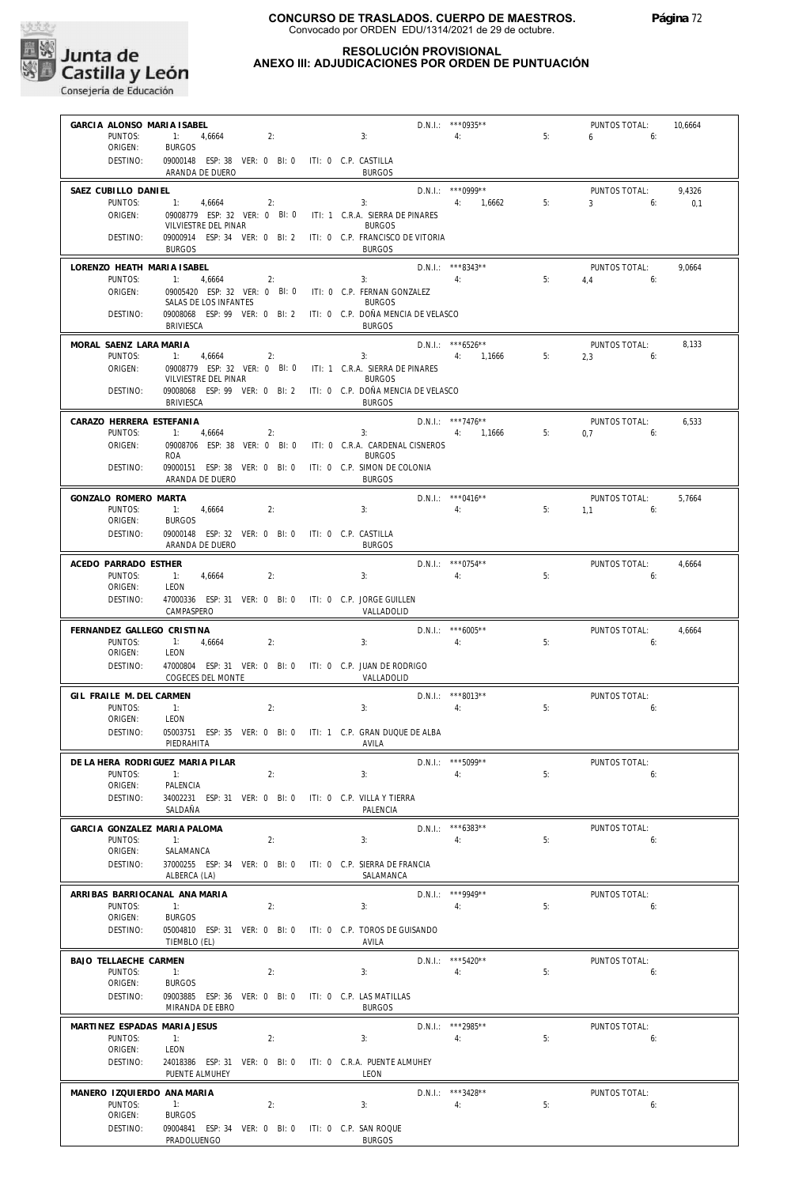

|                                         | GARCIA ALONSO MARIA ISABEL                                                     |    |  |                                                                                   | D.N.I.: ***0935**        |       | PUNTOS TOTAL:                        | 10.6664 |
|-----------------------------------------|--------------------------------------------------------------------------------|----|--|-----------------------------------------------------------------------------------|--------------------------|-------|--------------------------------------|---------|
| PUNTOS:<br>ORIGEN:                      | 1:<br>4,6664<br><b>BURGOS</b>                                                  | 2: |  | 3:                                                                                | 4:                       | 5:    | 6<br>6:                              |         |
| DESTINO:                                | 09000148 ESP: 38 VER: 0 BI: 0 ITI: 0 C.P. CASTILLA<br>ARANDA DE DUERO          |    |  | <b>BURGOS</b>                                                                     |                          |       |                                      |         |
| SAEZ CUBILLO DANIEL                     |                                                                                |    |  |                                                                                   | $D.N.1::$ *** 0999**     |       | PUNTOS TOTAL:                        | 9,4326  |
| PUNTOS:                                 | 4,6664<br>1:                                                                   | 2: |  | 3:                                                                                | 4: 1,6662                | 5:    | $3 \left( \frac{1}{2} \right)$<br>6: | 0,1     |
| ORIGEN:                                 | 09008779 ESP: 32 VER: 0 BI: 0<br>VILVIESTRE DEL PINAR                          |    |  | ITI: 1 C.R.A. SIERRA DE PINARES<br><b>BURGOS</b>                                  |                          |       |                                      |         |
| DESTINO:                                | <b>BURGOS</b>                                                                  |    |  | 09000914 ESP: 34 VER: 0 BI: 2 ITI: 0 C.P. FRANCISCO DE VITORIA<br><b>BURGOS</b>   |                          |       |                                      |         |
| LORENZO HEATH MARIA ISABEL              |                                                                                |    |  |                                                                                   | $D.N.1::$ ***8343**      |       | PUNTOS TOTAL:                        | 9,0664  |
| PUNTOS:<br>ORIGEN:                      | 1:<br>4,6664                                                                   | 2: |  | 3:<br>09005420 ESP: 32 VER: 0 BI: 0 ITI: 0 C.P. FERNAN GONZALEZ                   | 4:                       | 5:    | $4.4$ 6:                             |         |
|                                         | SALAS DE LOS INFANTES<br>09008068 ESP: 99 VER: 0 BI: 2                         |    |  | <b>BURGOS</b><br>ITI: 0 C.P. DOÑA MENCIA DE VELASCO                               |                          |       |                                      |         |
| DESTINO:                                | <b>BRIVIESCA</b>                                                               |    |  | <b>BURGOS</b>                                                                     |                          |       |                                      |         |
| MORAL SAENZ LARA MARIA                  |                                                                                |    |  |                                                                                   | $D.N.1.:$ ***6526**      |       | PUNTOS TOTAL:                        | 8.133   |
| PUNTOS:<br>ORIGEN:                      | 1:<br>4,6664                                                                   | 2: |  | 3:<br>09008779 ESP: 32 VER: 0 BI: 0 ITI: 1 C.R.A. SIERRA DE PINARES               | 4: 1,1666                | 5:5:5 | 2,3<br>6:                            |         |
| DESTINO:                                | VILVIESTRE DEL PINAR                                                           |    |  | <b>BURGOS</b><br>09008068 ESP: 99 VER: 0 BI: 2 ITI: 0 C.P. DOÑA MENCIA DE VELASCO |                          |       |                                      |         |
|                                         | <b>BRIVIESCA</b>                                                               |    |  | <b>BURGOS</b>                                                                     |                          |       |                                      |         |
| CARAZO HERRERA ESTEFANIA                |                                                                                |    |  |                                                                                   | $D.N.1.:$ ***7476**      |       | PUNTOS TOTAL:                        | 6,533   |
| PUNTOS:<br>ORIGEN:                      | $\ddot{ }$ 1:<br>4,6664<br>09008706 ESP: 38 VER: 0 BI: 0                       | 2: |  | 3:<br>ITI: 0 C.R.A. CARDENAL CISNEROS                                             | 4: 1,1666                | 5:    | 0.7<br>6:                            |         |
| DESTINO:                                | ROA<br>09000151 ESP: 38 VER: 0 BI: 0                                           |    |  | <b>BURGOS</b><br>ITI: 0 C.P. SIMON DE COLONIA                                     |                          |       |                                      |         |
|                                         | ARANDA DE DUERO                                                                |    |  | <b>BURGOS</b>                                                                     |                          |       |                                      |         |
| GONZALO ROMERO MARTA                    |                                                                                |    |  |                                                                                   | $D.N.1.:$ *** 0416**     |       | PUNTOS TOTAL:                        | 5,7664  |
| PUNTOS:<br>ORIGEN:                      | 1:<br>4,6664<br><b>BURGOS</b>                                                  | 2: |  | 3:                                                                                | 4:                       | 5:    | 1,1<br>6:                            |         |
| DESTINO:                                | 09000148 ESP: 32 VER: 0 BI: 0 ITI: 0 C.P. CASTILLA<br>ARANDA DE DUERO          |    |  | <b>BURGOS</b>                                                                     |                          |       |                                      |         |
| ACEDO PARRADO ESTHER                    |                                                                                |    |  |                                                                                   | $D.N.1::$ *** 0754**     |       | PUNTOS TOTAL:                        | 4,6664  |
| PUNTOS:                                 | 4,6664<br>$-1$ :                                                               | 2: |  | 3:                                                                                | 4:                       | 5:    | 6:                                   |         |
| ORIGEN:<br>DESTINO:                     | LEON<br>47000336 ESP: 31 VER: 0 BI: 0 ITI: 0 C.P. JORGE GUILLEN                |    |  |                                                                                   |                          |       |                                      |         |
|                                         | CAMPASPERO                                                                     |    |  | VALLADOLID                                                                        |                          |       |                                      |         |
| FERNANDEZ GALLEGO CRISTINA              |                                                                                |    |  |                                                                                   | $D.N.1::$ *** 6005**     |       | PUNTOS TOTAL:                        | 4,6664  |
| PUNTOS:<br>ORIGEN:                      | 1:<br>4,6664<br>LEON                                                           | 2: |  | 3:                                                                                | 4:                       | 5:    | 6:                                   |         |
| DESTINO:                                | 47000804 ESP: 31 VER: 0 BI: 0 ITI: 0 C.P. JUAN DE RODRIGO<br>COGECES DEL MONTE |    |  | VALLADOLID                                                                        |                          |       |                                      |         |
| GIL FRAILE M. DEL CARMEN                |                                                                                |    |  |                                                                                   | $D.N.I.:$ ***8013**      |       | PUNTOS TOTAL:                        |         |
|                                         |                                                                                |    |  |                                                                                   |                          |       |                                      |         |
| PUNTOS:                                 | 1:                                                                             | 2: |  | 3:                                                                                | 4:                       | 5:    | 6:                                   |         |
| ORIGEN:<br>DESTINO:                     | LEON                                                                           |    |  | 05003751 ESP: 35 VER: 0 BI: 0 ITI: 1 C.P. GRAN DUQUE DE ALBA                      |                          |       |                                      |         |
|                                         | PIEDRAHITA                                                                     |    |  | AVILA                                                                             |                          |       |                                      |         |
| DE LA HERA RODRIGUEZ MARIA PILAR        |                                                                                |    |  |                                                                                   | D.N.I.: *** 5099**       |       | PUNTOS TOTAL:                        |         |
| PUNTOS:<br>ORIGEN:                      | 1:<br>PALENCIA                                                                 | 2: |  | 3:                                                                                | 4:                       | 5:    | 6:                                   |         |
| DESTINO:                                | 34002231 ESP: 31 VER: 0 BI: 0<br>SALDAÑA                                       |    |  | ITI: 0 C.P. VILLA Y TIERRA<br>PALENCIA                                            |                          |       |                                      |         |
| GARCIA GONZALEZ MARIA PALOMA            |                                                                                |    |  |                                                                                   | $D.N.1::$ *** 6383**     |       | PUNTOS TOTAL:                        |         |
| PUNTOS:                                 | 1:                                                                             | 2: |  | 3:                                                                                | 4:                       | 5:    | 6:                                   |         |
| ORIGEN:<br>DESTINO:                     | SALAMANCA<br>37000255 ESP: 34 VER: 0 BI: 0                                     |    |  | ITI: 0 C.P. SIERRA DE FRANCIA                                                     |                          |       |                                      |         |
|                                         | ALBERCA (LA)                                                                   |    |  | SALAMANCA                                                                         |                          |       |                                      |         |
| ARRIBAS BARRIOCANAL ANA MARIA           |                                                                                |    |  |                                                                                   | D.N.I.: ***9949**        |       | PUNTOS TOTAL:                        |         |
| PUNTOS:<br>ORIGEN:                      | 1:<br><b>BURGOS</b>                                                            | 2: |  | 3:                                                                                | 4:                       | 5:    | 6:                                   |         |
| DESTINO:                                | TIEMBLO (EL)                                                                   |    |  | 05004810 ESP: 31 VER: 0 BI: 0 ITI: 0 C.P. TOROS DE GUISANDO<br>AVILA              |                          |       |                                      |         |
| BAJO TELLAECHE CARMEN                   |                                                                                |    |  |                                                                                   | D.N.I.: *** 5420**       |       | PUNTOS TOTAL:                        |         |
| PUNTOS:                                 | 1:                                                                             | 2: |  | 3:                                                                                | 4:                       | 5:    | 6:                                   |         |
| ORIGEN:<br>DESTINO:                     | <b>BURGOS</b><br>09003885 ESP: 36 VER: 0 BI: 0                                 |    |  | ITI: 0 C.P. LAS MATILLAS                                                          |                          |       |                                      |         |
|                                         | MIRANDA DE EBRO                                                                |    |  | <b>BURGOS</b>                                                                     |                          |       |                                      |         |
| MARTINEZ ESPADAS MARIA JESUS<br>PUNTOS: | 1:                                                                             | 2: |  | 3:                                                                                | D.N.I.: *** 2985**<br>4: | 5:    | PUNTOS TOTAL:<br>6:                  |         |
| ORIGEN:                                 | LEON                                                                           |    |  |                                                                                   |                          |       |                                      |         |
| DESTINO:                                | 24018386 ESP: 31 VER: 0 BI: 0<br>PUENTE ALMUHEY                                |    |  | ITI: 0 C.R.A. PUENTE ALMUHEY<br>LEON                                              |                          |       |                                      |         |
| MANERO IZQUIERDO ANA MARIA              |                                                                                |    |  |                                                                                   | D.N.I.: ***3428**        |       | PUNTOS TOTAL:                        |         |
| PUNTOS:<br>ORIGEN:                      | 1:<br><b>BURGOS</b>                                                            | 2: |  | 3:                                                                                | 4:                       | 5:    | 6:                                   |         |
| DESTINO:                                | 09004841 ESP: 34 VER: 0 BI: 0 ITI: 0 C.P. SAN ROQUE<br>PRADOLUENGO             |    |  | <b>BURGOS</b>                                                                     |                          |       |                                      |         |